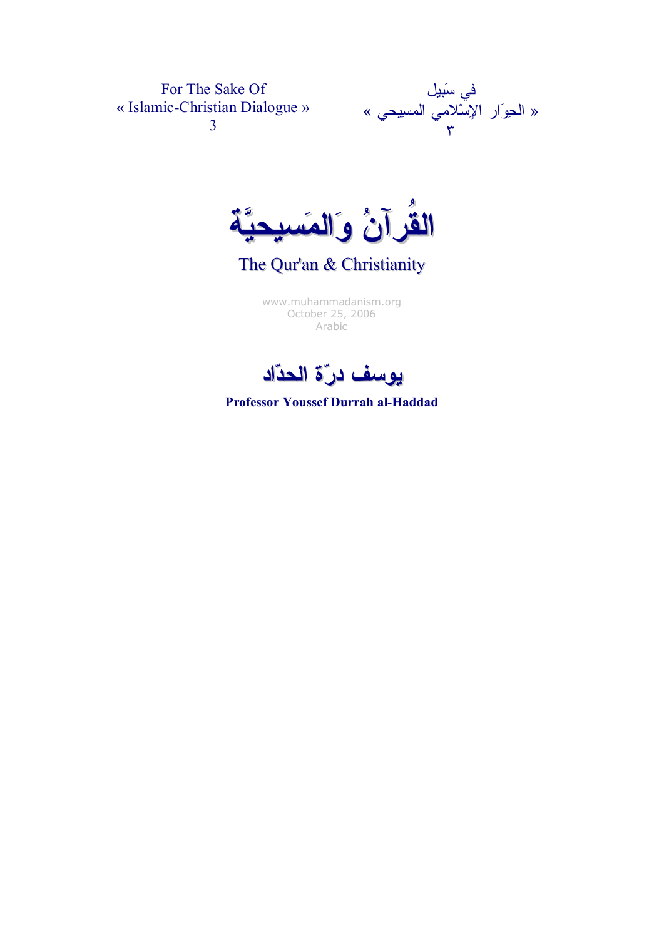For The Sake Of « Islamic-Christian Dialogue » 3



القران والمسيحية

The Qur'an & Christianity

[www.muhammadanism.org](http://www.muhammadanism.org/Arabic/default.htm)  October 25, 2006 Arabic



Professor Youssef Durrah al-Haddad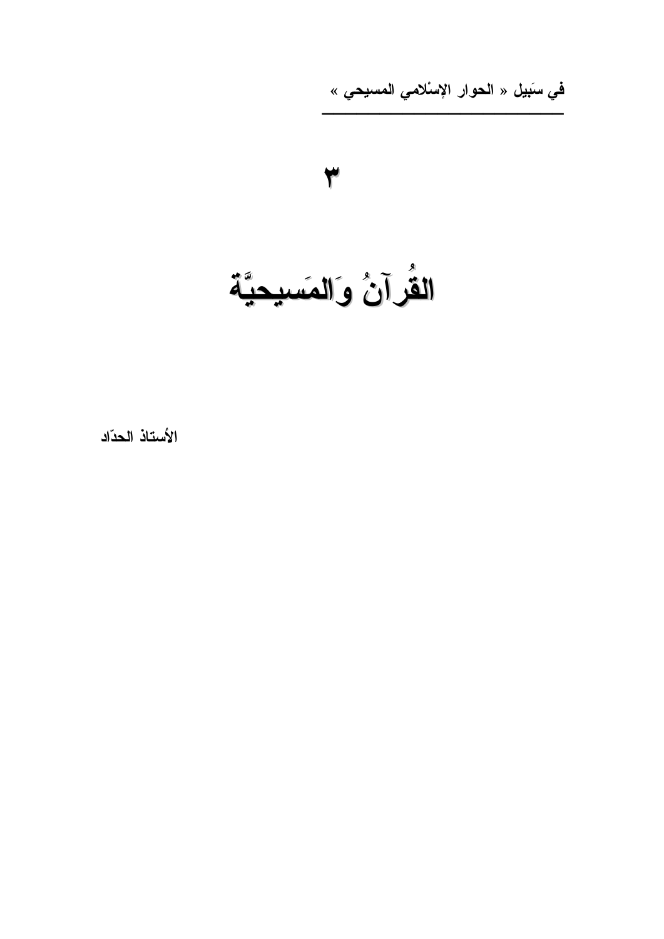ف*ي* سَبيل « الحوار الإسْلامي المسيحي »



الأستاذ الحدّاد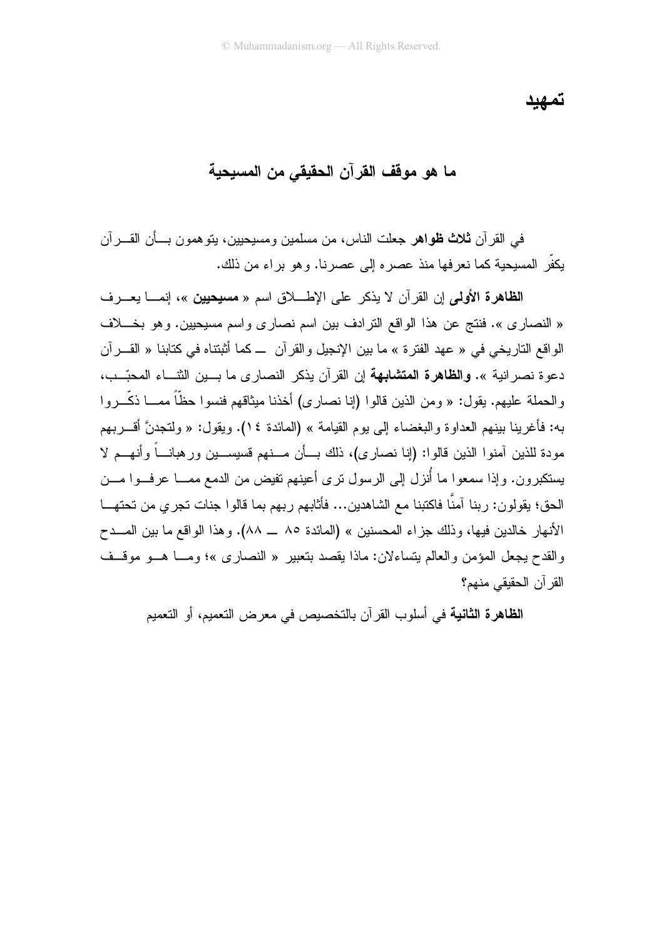تمهيد

ما هو موقف القرآن الحقيقي من المسيحية

في القرآن **ثلاث ظواهر جعل**ت الناس، من مسلمين ومسيحيين، بنو همون بـــأن القــــرآن يكفِّر المسيحية كما نعرفها منذ عصره إلى عصرنا. وهو براء من ذلك.

ا**لظاهرة الأولى** إن القر آن لا يذكر على الإطبلاق اسم « مسيحيين »، إنمـــا يعـــر ف « النصار ي ». فنتج عن هذا الواقع التر ادف بين اسم نصار ي و اسم مسيحيين. و هو بخـــلاف الو اقع التار بخي في « عهد الفتر ة » ما بين الإنجيل و القر آن ـــ كما أثبتناه في كتابنا « القـــر آن دعوة نصر انية ». وا**لظاهرة المتشابهة** إن القرآن يذكر النصارى ما بسين الثنساء المحبِّـب، والحملة عليهم. يقول: « ومن الذين قالوا (إنا نصارى) أخذنا ميثاقهم فنسوا حظًّا ممـــا ذكَّـــروا به: فأغرينا بينهم العداوة والبغضاء إلى يوم القيامة » (المائدة ١٤). ويقول: « ولنتجدنَّ أقــــربهم مودة للذين آمنوا الذين قالوا: (إنا نصارى)، ذلك بـــأن مــــنهم قسيســـين ورهبانــــاً وأنهـــم لا يستكبرون. وإذا سمعوا ما أُنزل إلى الرسول نرى أعينهم نفيض من الدمع ممــــا عرفـــوا مــــن الحق؛ يقولون: ربنا آمنَّا فاكتبنا مع الشاهدين... فأثابهم ربهم بما قالوا جنات تجري من تحتهـــا الأنهار خالدين فيها، وذلك جزاء المحسنين » (المائدة ٨٥ ــ ٨٨). وهذا الواقع ما بين المـــدح والقدح يجعل المؤمن والعالم بِتساءلان: ماذا بِقصد بِتعبير « النصار ي »؛ ومـــا هــو موقــف القرآن الحقبقى منهم؟

ا**لظاهرة الثانية** في أسلوب القر آن بالتخصيص في معر ض التعميم، أو التعميم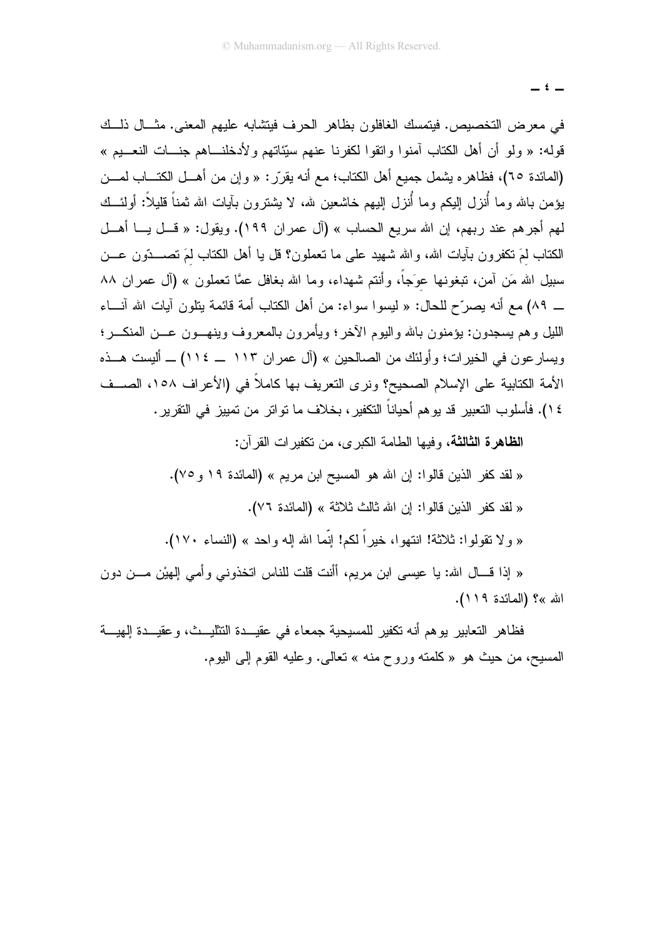$i-$ 

في معرض التخصيص. فيتمسك الغافلون بظاهر الحرف فيتشابه عليهم المعنى. مثَّــال ذلَّــك قوله: « ولو أن أهل الكتاب آمنوا واتقوا لكفرنا عنهم سيِّئاتهم ولأدخلنــاهم جنـــات النعـــيم » (المائدة ٦٥)، فظاهره يشمل جميع أهل الكتاب؛ مع أنه يقرّر: « وإن من أهـــل الكتـــاب لمـــن يؤمن بالله وما أُنزل البكم وما أُنزل البيهم خاشعين لله، لا يشترون بآيات الله ثمناً قليلاً: أولئـــك لمهم أجرهم عند ربهم، إن الله سريع الحساب » (آل عمران ١٩٩). ويقول: « قـــل يـــا أهـــل الكتاب لمَ نكفرون بأيات الله، والله شهيد على ما نعملون؟ قل يا أهل الكتاب لمَ نصـــدّون عـــن سبيل الله مَن أمن، تبغونـها عوَجاً، وأنتم شـهداء، وما الله بـغافل عمَّا نـعملون » (أل عمران ٨٨ ـ ٨٩) مع أنه يصرِّح للحال: « ليسوا سواء: من أهل الكتاب أمة قائمة ينلون آيات الله آنـــاء الليل وهم يسجدون: يؤمنون بالله واليوم الأخر؛ ويأمرون بالمعروف وينهـــون عـــن المنكــــر؛ ويسار عون في الخيرات؛ وأولئك من الصالحين » (آل عمران ١١٣ \_ ١١٤) \_ أليست هــذه الأمة الكتابية على الإسلام الصحيح؟ ونر ي التعريف بها كاملاً في (الأعر اف ١٥٨، الصــف ٤ ١). فأسلوب التعبير قد يو هم أحياناً التكفير ، بخلاف ما تو اتر من تمييز في التقرير .

**الظاهرة الثالثة،** وفيها الطامة الكبر ى، من تكفير ات القر آن:

« لقد كفر الذين قالوا: إن الله هو المسيح ابن مريم » (المائدة ١٩ و ٧٥). « لقد كفر الذين قالوا: إن الله ثالث ثلاثة » (المائدة ٧٦).

« ولا نقولوا: ثلاثة! انتهوا، خيراً لكم! إنَّما الله إله واحد » (النساء ١٧٠).

« إذا قـــال الله: يا عيسى ابن مريم، أأنت قلت للناس اتخذوني وأمي إلهيْن مـــن دون الله »؟ (المائدة ١١٩).

فظاهر النعابير يوهم أنه نكفير للمسيحية جمعاء في عقيـــدة النتثليـــث، وعقيـــدة الِـهيـــة المسيح، من حيث هو «كلمته وروح منه » تعالى. وعليه القوم إلى اليوم.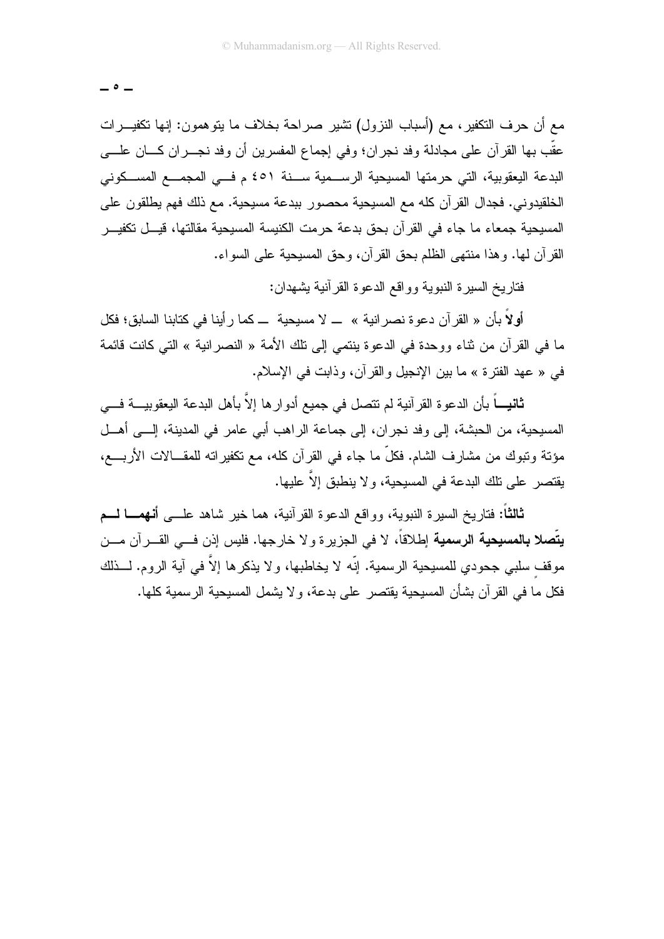$- \circ -$ 

مع أن حرف النكفير، مع (أسباب النزول) نشير صراحة بخلاف ما يتوهمون: إنها نكفيـــرات عقَّب بها القرآن علي مجادلة وفد نجر إن؛ وفي إجماع المفسرين أن وفد نجـــر إن كــــان علــــي البدعة البعقوبية، التي حرمتها المسيحية الرســمية ســنة ٤٥١ م فــي المجمـــع المســكوني الخلقيدو نبي. فجدال القرآن كله مع المسيحية محصور ببدعة مسيحية. مع ذلك فهم يطلقون على المسيحية جمعاء ما جاء في القرآن بحق بدعة حرمت الكنيسة المسيحية مقالتها، قيــل تكفيـــر القرآن لمها. وهذا منتهى الظلم بحق القرآن، وحق المسيحية على السواء.

فتار يخ السير ة النبوية وو اقع الدعو ة القر آنية يشهدان:

أولاً بأن « القرآن دعوة نصرانية » ــ لا مسيحية ـــ كما رأينا في كتابنا السابق؛ فكل ما في القرآن من ثناء ووحدة في الدعوة بنتمي إلى تلك الأمة « النصرانية » التي كانت فائمة في « عهد الفتر ة » ما بين الإنجيل و القر آن، و ذابت في الإسلام.

ثانيـــاً بأن الدعوة القرآنية لم تتصل في جميع أدوار ها إلاَّ بأهل البدعة اليعقوبيـــة فـــي المسيحية، من الحبشة، إلى وفد نجران، إلى جماعة الراهب أبي عامر في المدينة، إلـــي أهـــل مؤنَّة وتبوك من مشارف الشام. فكلَّ ما جاء في القرآن كله، مع تكفيراته للمقــالات الأربــــع، يقتصر على تلك البدعة في المسيحية، و لا ينطبق إلاّ عليها.

**ثالثاً:** فتاريخ السيرة النبوية، وواقع الدعوة القرآنية، هما خير شاهد علــــى أ**نـهمـــا لــــم يتِّصلا بالمسيحية الرسمية** إطلاقاً، لا في الجزيرة و لا خارجها. فليس إذن فـــي القـــرآن مـــن موقف سلبي جحودي للمسيحية الرسمية. إنَّه لا يخاطبها، و لا يذكر ها إلاَّ في آية الروم. لـــذلك فكل ما في القر آن بشأن المسيحية يقتصر على بدعة، و لا يشمل المسيحية الر سمية كلها.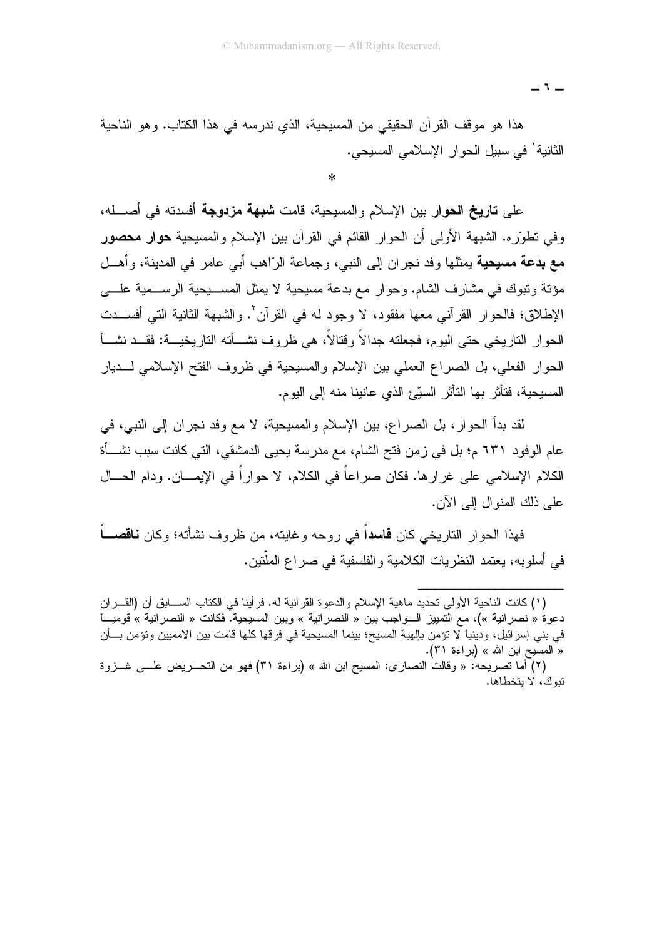- 1 -

هذا هو موقف القرآن الحقيقي من المسيحية، الذي ندرسه في هذا الكتاب. وهو الناحية الثانية' في سبيل الحوار الإسلامي المسيحي.

على تاريخ الحوار بين الإسلام والمسيحية، قامت شبهة مزدوجة أفسدته في أصـــله، وفي نطوِّره. الشبهة الأولى أن الحوار القائم في القرآن بين الإسلام والمسيحية حوار محصور مع بدعة مسيحية يمثلها وفد نجران إلى النبي، وجماعة الرّاهب أبـي عامر فـي المدينة، وأهــل مؤنَّة وتبوك في مشارف الشام. وحوار مع بدعة مسيحية لا يمثل المســـبحية الرســـمية علــــي الإطلاق؛ فالحوار القرآني معها مفقود، لا وجود له في القرآن'. والشبهة الثانية التي أفســدت الحوار التاريخي حتى اليوم، فجعلته جدالاً وقتالاً، هي ظروف نشـــأته التاريخيـــة: فقـــد نشـــأ الحوار الفعلي، بل الصراع العملي بين الإسلام والمسيحية في ظروف الفتح الإسلامي لــــديار المسيحية، فتأثَّر بها التأثُّر السيِّئ الذي عانينا منه إلى اليوم.

لقد بدأ الحوار ، بل الصراع، بين الإسلام والمسيحية، لا مع وفد نجران إلى النبي، في عام الوفود ٦٣١ م؛ بل في زمن فتح الشام، مع مدرسة يحيى الدمشقي، التي كانت سبب نشـــأة الكلام الإسلامي على غرارها. فكان صراعاً في الكلام، لا حواراً في الإيمـــان. ودام الحـــال على ذلك المنوال إلى الآن.

فهذا الحوار الناريخي كان **فاسدا** في روحه وغايته، من ظروف نشأته؛ وكان **ناقصـــ**اً في أسلوبه، يعتمد النظريات الكلامية والفلسفية في صراع الملَّتين.

<sup>(</sup>١) كانت الناحية الأولى تحديد ماهية الإسلام والدعوة القرآنية له. فرأينا في الكتاب الســـابق أن (القـــرآن دعوة « نصرانية »)، مع التمييز الـــواجب بين « النصرانية » وبين المسيحية. فكانت « النصرانية » قوميـــا في بني إسرائيل، ودينيا لا تؤمن بإلهية المسيح؛ بينما المسيحية في فرقها كلها قامت بين الامميين وتؤمن بــــأن « المسيح ابن الله » (براءة ٣١).

<sup>(</sup>٢) أما نصريحه: « وقالت النصارى: المسيح ابن الله » (براءة ٣١) فهو من النحــــريض علــــي غــــزوة تبوك، لا بتخطاها.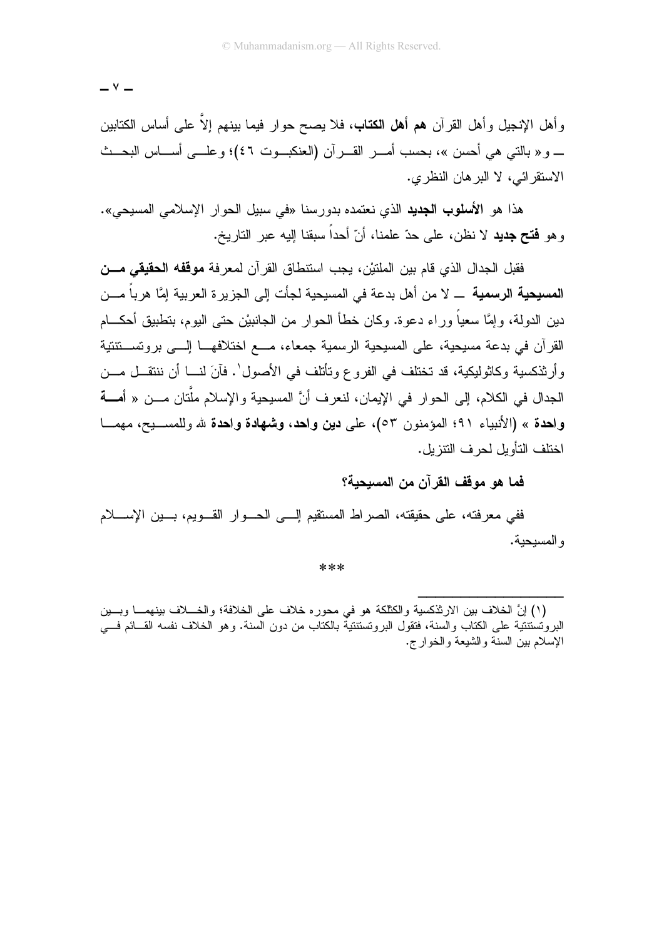$-$ 

وأهل الإنجيل وأهل القرآن **هم أهل الكتاب**، فلا يصـح حوار فيمـا بينـهم إلاّ علـي أساس الكتابين \_ و « بالتي هي أحسن »، بحسب أمـــر القـــر آن (العنكبـــوت ٤٦)؛ و علـــي أســــاس البحـــث الاستقر ائے، لا البر هان النظر ی.

هذا هو الأ**سلوب الجديد** الذي نعتمده بدورسنا «في سبيل الحوار الإسلامي المسيحي». وهو **فتح جديد** لا نظن، على حدّ علمنا، أنّ أحداً سبقنا إليه عبر التاريخ.

فقيل الجدال الذي قام بين الملتيْن، بجب استنطاق القر آن لمعر فة **موقفه الحقيقي مـــن** المسيحية الرسمية \_ لا من أهل بدعة في المسيحية لجأت إلى الجزير ة العربية إمَّا هرباً مـــن دين الدولة، وإمَّا سعياً وراء دعوة. وكان خطأ الحوار من الجانبيْن حتى اليوم، بتطبيق أحكـــام القرآن في بدعة مسيحية، على المسيحية الرسمية جمعاء، مـــع اختلافهـــا إلـــي بروتســـتتتية وأر تُذكسبة وكاثولبكية، قد تختلف في الفر و ع وتأتلف في الأصول`. فآنَ لنـــا أن ننتقــل مـــن الجدال في الكلام، إلى الحوار في الإيمان، لنعر ف أنَّ المسبحبة و الإسلام ملَّتان مـــن « أ**مـــة** واحدة » (الأنبياء ٩١؛ المؤمنون ٥٣)، على دين واحد، وشبهادة واحدة لله وللمسبح، مهمــا اختلف التأويل لحر ف النتز يل.

فما هو موقف القرآن من المسيحية؟

ففي معرفته، على حقيقته، الصراط المستقيم إلـــي الـحـــوار القــــويم، بــــين الإســـــلام و المسيحية.

\*\*\*

<sup>(</sup>١) إنَّ الخلاف بين الارثذكسية والكثلكة هو في محوره خلاف على الخلافة؛ والخـــلاف بينهمـــا وبـــين البروُنسْتنتَيَة على الكتاب والسنة، فتقول البرونستنتيةٌ بالكتاب من دون السنة. وهو الخلاف نفسه القـــائم فــــى الإسلام بين السنة والشبعة والخوارج.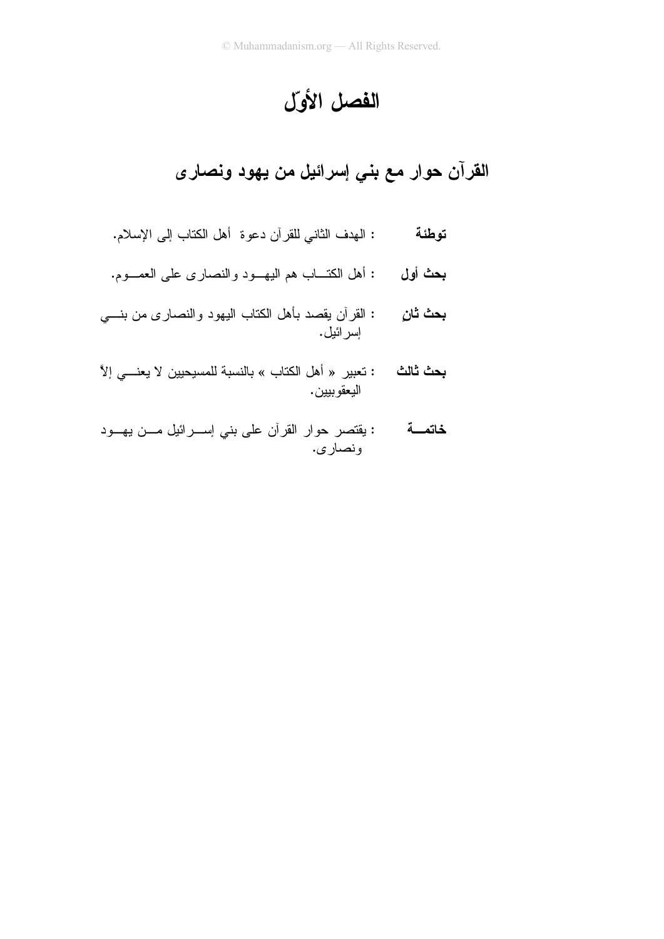# الفصل الأول

القرآن حوار مع بني إسرائيل من يهود ونصارى

- : المهدف الثاني للقرآن دعوة أهل الكتاب إلى الإسلام. توطئة
- : أهل الكتـــاب هم البـهــــود والنصــاري علـي الـعمــــوم. بحث أول
- : القرأن يقصد بأهل الكتاب اليهود والنصارى من بنسي بحث ثان اِسر ائيل.
- **بحث ثالث :** تعبير « أهل الكتاب » بالنسبة للمسيحيين لا يعنــــى إلاَّ اليعقو بيين .
- **خاتمــــة** : يقتصر حوار القرأن على بنى إســـرائيل مـــن يهـــود ونصار ی.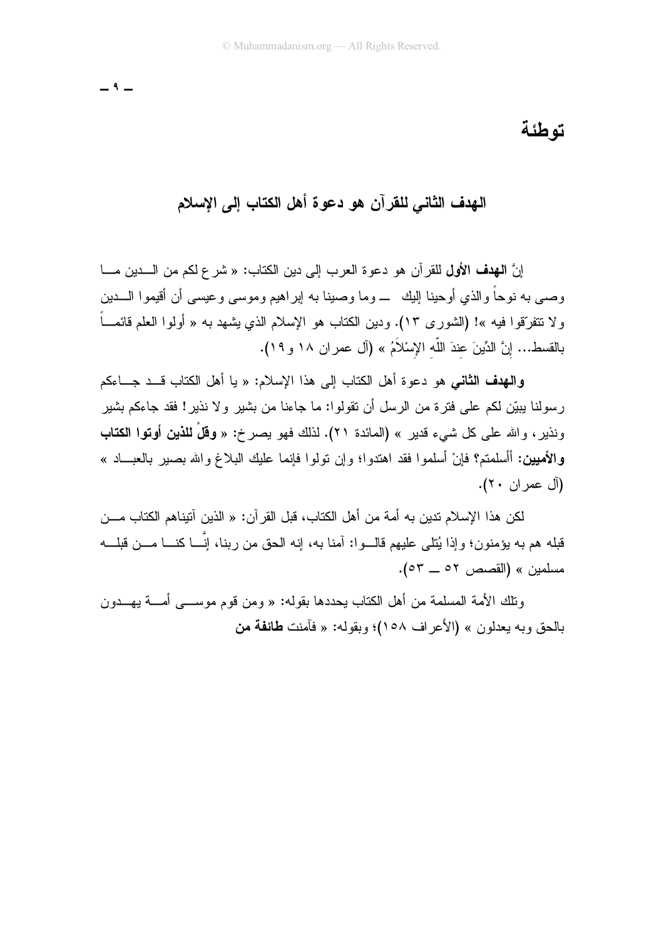$-9-$ 

### تو طئة

## الـهدف الثّاني للقرآن هو دعوة أهل الكتاب إلى الإسلام

إنَّ ا**لـهدف الأول ل**لقر آن هو دعو ة العرب إلى دبن الكتاب: « شرع لكم من الـــدبن مـــا وصبي به نوحاً والذي أوحينا البك ـــ وما وصبنا به ابراهيم وموسى وعيسى أن أقيموا الــــدين و لا تتفرَّقوا فيه »! (الشور ي ١٣). ودبن الكتاب هو الإسلام الذي بشهد به « أولوا العلم قائمــاً بالقسط... إنَّ الدِّينَ عندَ اللَّه الإِسْلاَمُ » (آل عمران ١٨ و ١٩).

وا**لهدف الثاني** هو دعوة أهل الكتاب إلى هذا الإسلام: « يا أهل الكتاب قــد جـــاءكم رِ سولنا يبيِّن لكم على فترة من الرسل أن تقولوا: ما جاءنا من بشير ولا نذير! فقد جاءكم بشير ونذير، والله على كل شيء قدير » (المائدة ٢١). لذلك فهو يصرخ: « **وقلْ للذين أوتوا الكتاب** و الأ**مبين:** أأسلمتم؟ فإنْ أسلمو ا فقد اهتدوا؛ وإن تولوا فإنما عليك البلاغ والله بصبر بالعبــاد »  $\tilde{J}$  ( $\tilde{J}$ ) عمر  $\tilde{J}$ ) .

لكن هذا الإسلام تدين به أمة من أهل الكتاب، قبل القرآن: « الذين آتيناهم الكتاب مـــن قبله هم به يؤمنون؛ وإذا يُتلى عليهم قالــوا: آمنا به، إنه الحق من ربنا، إنّـــا كنـــا مـــن قبلـــه مسلمين » (القصص ٥٢ \_ ٥٣).

ونلك الأمة المسلمة من أهل الكتاب بحددها بقوله: « ومن قوم موســـي أمــــة بـهـــدون بالحق وبه يعدلون » (الأعر اف ١٥٨)؛ وبقوله: « فآمنت **طائفة من**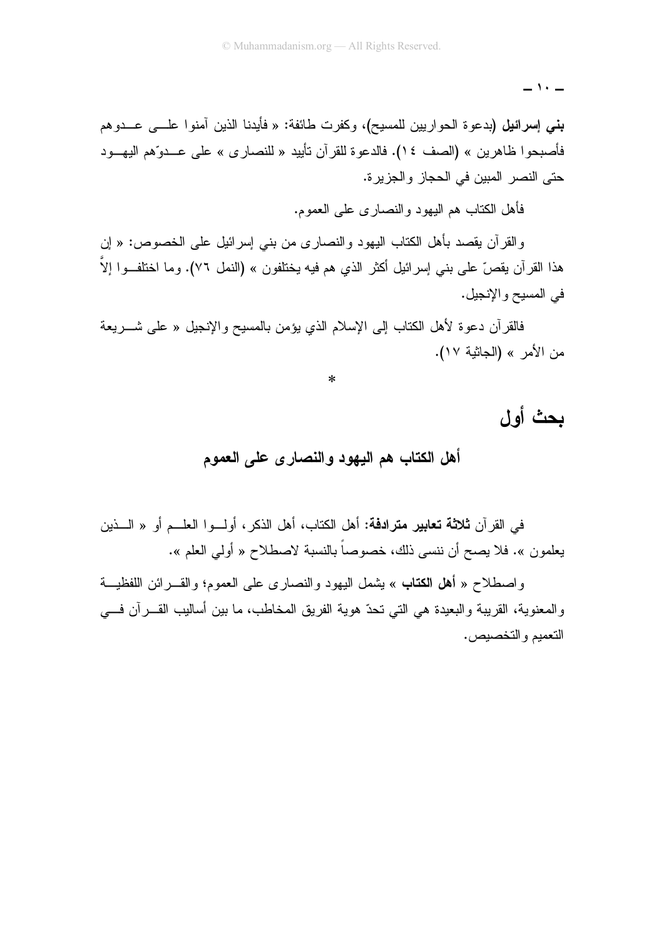$-1+$ 

**بني إسرائيل (**بدعوة الحواريين للمسيح)، وكفرت طائفة: « فأيدنا الذين آمنوا علـــي عـــدوهم فأصبحوا ظاهرين » (الصف ١٤). فالدعوة للقرآن تأييد « للنصارى » على عــدوّهم اليهـــود حتى النصر المبين في الحجاز والجزير ة.

فأهل الكتاب هم اليهود والنصباري على العموم.

والقرآن يقصد بأهل الكتاب اليهود والنصارى من بني إسرائيل على الخصوص: « إن هذا القرآن يقصّ على بنـى إسرائيل أكثر الذي هم فيه يختلفون » (النمل ٧٦). وما اختلفــوا إلاّ في المسيح والإنجيل.

فالقرآن دعوة لأهل الكتاب إلى الإسلام الذي يؤمن بالمسيح والإنجيل « على شـــريعة من الأمر » (الجاثية ١٧).

 $\ast$ 

# بحث أول

#### أهل الكتاب هم اليهود والنصار ي على العموم

في القرآن **ثلاثة تعابير مترادفة:** أهل الكتاب، أهل الذكر ، أولــوا العلــم أو « الـــذين يعلمون ». فلا يصح أن ننسى ذلك، خصوصاً بالنسبة لاصطلاح « أولى العلم ».

واصطلاح « أهل الكتاب » يشمل اليهود والنصاري على العموم؛ والقـــرائن اللفظيـــة والمعنوية، القريبة والبعيدة هي التي تحدّ هوية الفريق المخاطب، ما بين أساليب القـــرآن فـــي التعميم والتخصيص.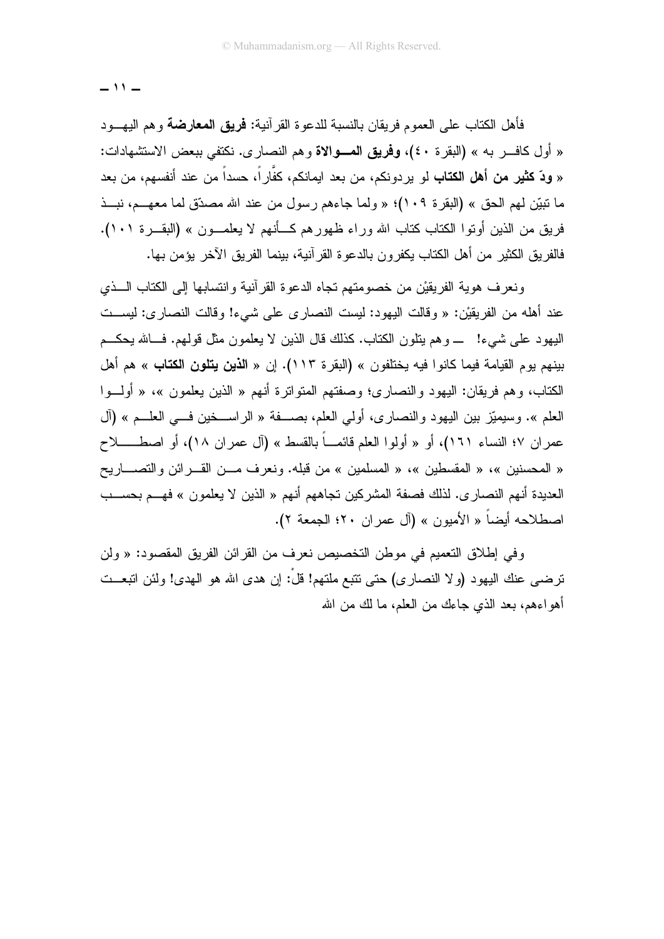فأهل الكتاب على العموم فريقان بالنسبة للدعوة القر آنية: **فريق المعارضة** وهم اليهـــود « أول كافـــر به » (البقرة ٤٠)، وفريق المـــوالاة وهم النصاري. نكتفي ببعض الاستشهادات: « **ودّ كثير من أهل الكتاب** لو يردونكم، من بعد ايمانكم، كفّاراً، حسداً من عند أنفسهم، من بعد ما نبيِّن لمهم الحق » (البقرة ١٠٩)؛ « ولما جاءهم رسول من عند الله مصدِّق لما معهـــم، نبـــذ فريق من الذين أوتوا الكتاب كتاب الله وراء ظهورهم كـــأنهم لا يعلمـــون » (البقـــرة ١٠١). فالفر يق الكثير من أهل الكتاب يكفر و ن بالدعو ة القر آنية، بينما الفر يق الآخر يؤمن بـها.

ونعرف هوية الفريقيْن من خصومتهم تجاه الدعوة القرآنية وانتسابها إلى الكتاب السذى عند أهله من الفريقيْن: « وقالت اليهود: ليست النصار ي علي شيء! وقالت النصار ي: ليســت اليهود على شبيء! \_ وهم ينلون الكتاب. كذلك قال الذين لا يعلمون مثل قولهم. فــالله يحكـــم بينهم يو مالقيامة فيما كانو ا فيه يختلفون » (البقر ة ١١٣). إن « ا**لذين يتلون الكتاب** » هم أهل الكتاب، و هم فريقان: اليهود والنصاري؛ وصفتهم المتواترة أنهم « الذين يعلمون »، « أولـــوا العلم ». وسيميّز بين اليهود والنصارى، أولي العلم، بصـــفة « الراســخين فـــي العلـــم » (آل عمران ٧؛ النساء ١٦١)، أو « أولوا العلم قائمـــاً بالقسط » (آل عمران ١٨)، أو اصطــــــــلاح « المحسنين »، « المقسطين »، « المسلمين » من قبله. ونعرف مـــن القـــرائن والتصــــاريح العديدة أنهم النصار ي. لذلك فصفة المشركين تجاههم أنهم « الذين لا يعلمون » فهـــم بـحســـب اصطلاحه أيضاً « الأميون » (آل عمر ان ٢٠؛ الجمعة ٢).

وفي إطلاق التعميم في موطن التخصيص نعرف من القرائن الفريق المقصود: « ولن ترضـي عنك اليهود (ولا النصـار ي) حتى نتبع ملتهم! قلَّ: إن هدى الله هو الـهدى! ولئن انبعــت أهو اءهم، بعد الذي جاءك من العلم، ما لك من الله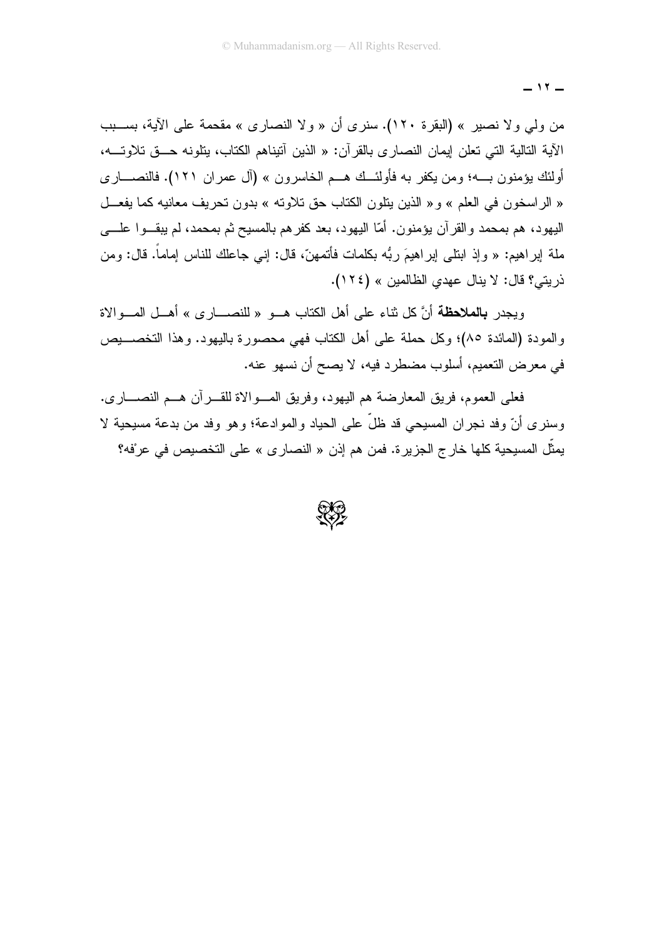من ولي ولا نصير » (البقرة ١٢٠). سنرى أن « ولا النصارى » مقحمة على الآية، بســـبب الآية التالية التي تعلن إيمان النصاري بالقرآن: « الذين آنيناهم الكتاب، بنلونه حــق تلاوتـــه، أولئك يؤمنون بــــه؛ ومن يكفر به فأولئـــك هـــم الخاسرون » (آل عمران ١٢١). فالنصــــاري « الر اسخون في العلم » و « الذين يتلون الكتاب حق تلاوته » بدون تحريف معانيه كما يفعـــل اليهود، هم بمحمد والقرآن يؤمنون. أمّا اليهود، بعد كفرهم بالمسيح ثم بمحمد، لم يبقـــوا علــــي ملة إبراهيم: « وإذ ابنلـي إبراهيمَ ربُّه بكلمات فأتمـهنَّ، قال: إنـي جاعلك للنـاس إمـاماً. قال: ومن ذريتي؟ قال: لا ينال عهدي الظالمين » (١٢٤).

ويجدر **بالملاحظة** أنَّ كل ثناء على أهل الكتاب هــو « للنصـــار ي » أهــل المــو الاة والمودة (المائدة ٨٥)؛ وكل حملة على أهل الكتاب فهي محصورة باليهود. وهذا التخصــــيص في معرض التعميم، أسلوب مضطرد فيه، لا يصح أن نسهو عنه.

فعلي العموم، فريق المعار ضنة هم اليهود، وفريق المسو الاة للقبر آن هسم النصبار ي. وسنرى أنّ وفد نجران المسيحي قد ظلَّ على الحياد والموادعة؛ وهو وفد من بدعة مسيحية لا يمثِّل المسيحية كلها خار ج الجزيرة. فمن هم إذن « النصار ي » على التخصيص في عرْفه؟

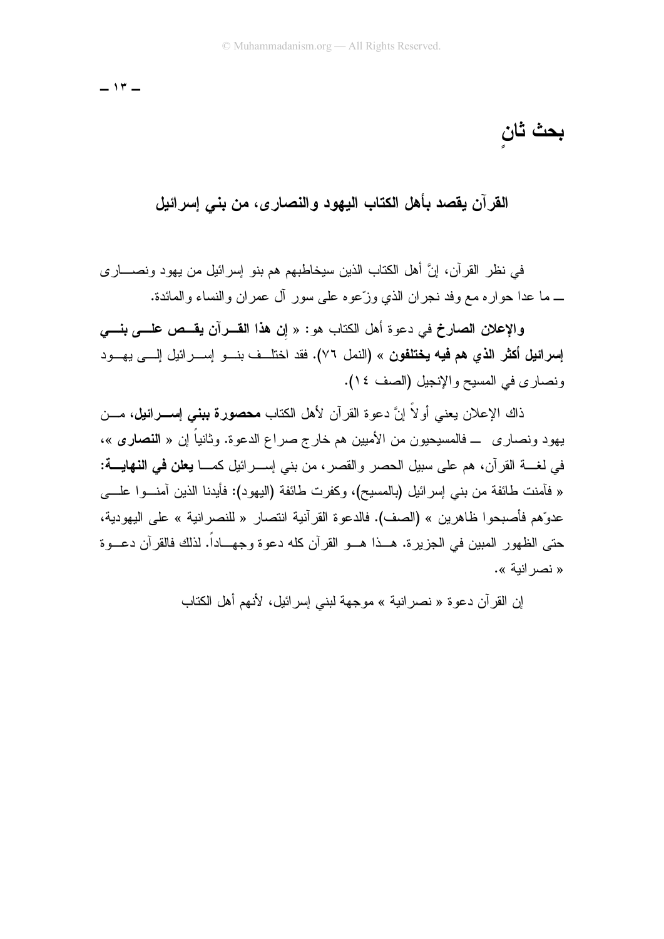بحث ثان

القرآن يقصد بأهل الكتاب اليهود والنصار ي، من بني إسرائيل

في نظر القرآن، إنَّ أهل الكتاب الذين سيخاطبهم هم بنو إسرائيل من يهود ونصــــار ي ــ ما عدا حواره مع وفد نجران الذي وزَّعوه على سور آل عمران والنساء والمائدة.

والإعلان الصارخ في دعوة أهل الكتاب هو: « إن هذا القــــرآن يقـــص علـــــى بنـــــي إ**سرائيل أكثر الذي هم فيه يختلفون** » (النمل ٧٦). فقد اختلــف بنـــو إســـرائيل إلـــي يهـــود ونصاري في المسيح والإنجيل (الصف ١٤).

ذاك الإعلان يعني أو لاَّ اِنَّ دعوة القرآن لأهل الكتاب **محصورة ببني إســـرائيل،** مـــن يهود ونصاري ـــ فالمسيحيون من الأميين هم خارج صراع الدعوة. وثانياً إن « ا**لنصاري** »، في لغــــة القرآن، هم علـي سبيل الـحصـر والقصـر ، من بنـي إســـــرائيل كمـــــا **يـعلن فـي النـهايــــة**: « فأمنت طائفة من بنبي إسرائيل (بالمسيح)، وكفرت طائفة (اليهود): فأيدنا الذين أمنـــوا علــــي عدوِّهم فأصبحو ا ظاهرين » (الصف). فالدعو ة القر آنية انتصار « للنصر انية » على اليهو دية، حتى الظهور المبين في الجزير ة. هــذا هــو القرآن كله دعو ة وجهـــاداً. لذلك فالقرآن دعــو ة « نصر انبة ».

إن القرآن دعو ة « نصر انية » موجهة لبني إسر ائيل، لأنهم أهل الكتاب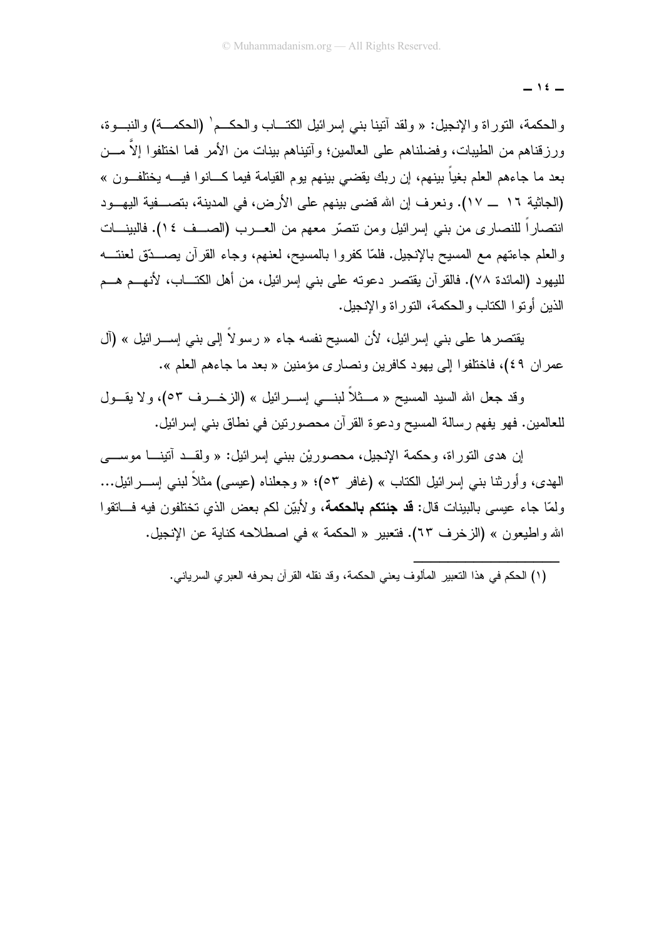$\overline{\phantom{0}}$  1  $\overline{\phantom{0}}$ 

والحكمة، النوراة والإنجيل: « ولقد أننينا بنبي إسرائيل الكتـــاب والحكـــم' (الحكمـــة) والنبـــوة، ورزقناهم من الطيبات، وفضلناهم على العالمين؛ وأنيناهم بينات من الأمر فما اختلفوا إلاَّ مـــن بعد ما جاءهم العلم بغياً بينهم، إن ربك يقضي بينهم يوم القيامة فيما كـــانوا فيــــه يختلفــون » (الجاثية ١٦ \_\_ ١٧). ونعرف إن الله قضبي بينهم على الأرض، في المدينة، بتصــــفية اليهـــود انتصاراً للنصاري من بني إسرائيل ومن نتصَّر معهم من العـــرب (الصـــف ١٤). فالبينـــات والعلم جاءتهم مع المسيح بالإنجيل. فلمَّا كفروا بالمسيح، لعنهم، وجاء القرآن يصـــدّق لعنتـــه لليهود (المائدة ٧٨). فالقرآن يقتصر دعوته على بني إسرائيل، من أهل الكتـــاب، لأنهـــم هـــم الذين أو تو ا الكتاب و الحكمة، التو ر اة و الإنجيل.

يقتصر ها على بني إسرائيل، لأن المسيح نفسه جاء « رسولاً إلى بني إســـرائيل » (آل عمر ان ٤٩)، فاختلفوا إلى يهود كافرين ونصاري مؤمنين « بعد ما جاءهم العلم ».

وقد جعل الله السيد المسيح « مـــثلاً لبنــــى إســـر ائيل » (الز خـــر ف ٥٣)، و لا يقـــول للعالمين. فهو يفهم رسالة المسيح ودعوة القرآن محصورتين في نطاق بني إسرائيل.

إن هدى التوراة، وحكمة الإنجيل، محصوريْن ببني إسرائيل: « ولقــد أننينـــا موســـي الـهدي، وأورثنـا بنـي إسرائيل الكتاب » (غافر ٥٣)؛ « وجعلنـاه (عيسى) مثلاً لبنـي إســــرائيل... ولمّا جاء عيسى بالبينات قال: **قد جئتكم بالحكمة**، ولأبيّن لكم بعض الذي تختلفون فيه فـــاتقوا الله واطيعون » (الزخرف ٦٣). فتعبير « الحكمة » في اصطلاحه كناية عن الإنجيل.

(١) الحكم في هذا النعبير المألوف يعني الحكمة، وقد نقله القرآن بحرفه العبري السرياني.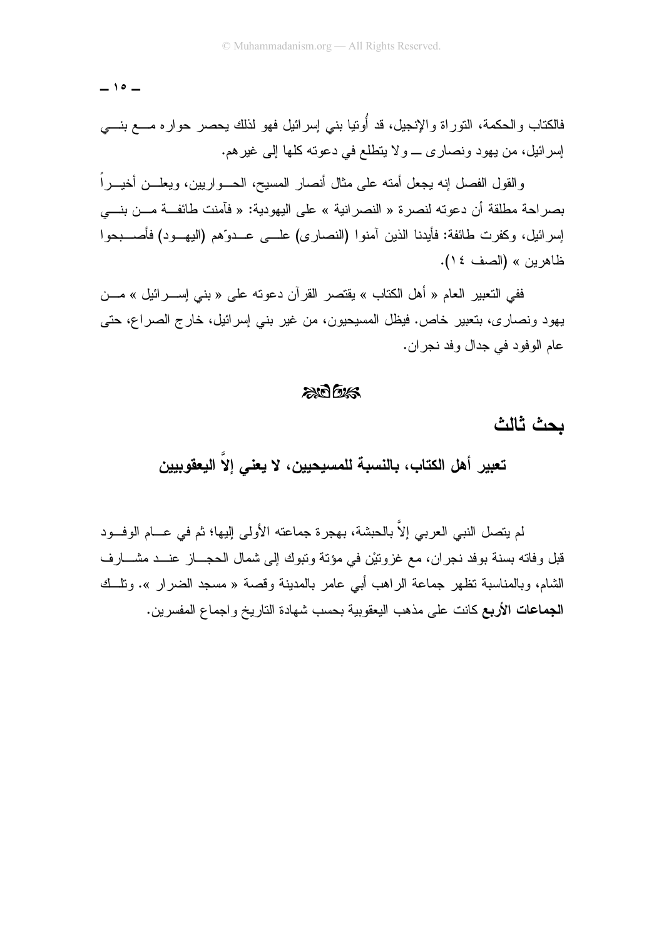$-10-$ 

فالكتاب والحكمة، النوراة والإنجيل، قد أُوتيا بنى إسرائيل فهو لذلك يحصر حواره مـــع بنـــي إسر ائيل، من يهود ونصاري \_ ولا يتطلع في دعوته كلها إلى غير هم.

و القول الفصل إنه بجعل أمته على مثال أنصار المسبح، الحـــو اربين، وبعلـــن أخبـــر اً بصراحة مطلقة أن دعوته لنصرة « النصرانية » على اليهودية: « فآمنت طائفــة مـــن بنـــي إسرائيل، وكفرت طائفة: فأيدنا الذين آمنوا (النصارى) علـــي عـــدوّهم (اليهـــود) فأصــــبحوا ظاهرين » (الصف ١٤).

ففي التعبير العام « أهل الكتاب » يقتصر القرآن دعوته على « بني إســـرائيل » مـــن يهود ونصاري، بتعبير خاص. فيظل المسيحيون، من غير بني إسرائيل، خارج الصراع، حتى عام الو فو د في جدال و فد نجر ان.

#### $205$

بحث ثالث

تعبير أهل الكتاب، بالنسبة للمسيحيين، لا يعني إلاّ اليعقوييين

لم يتصل النبي العربي إلاَّ بالحبشة، بهجر ة جماعته الأولى إليها؛ ثم في عـــام الوفـــود قبل و فاته بسنة بو فد نجر ان، مع غز وتيْن في مؤتة وتبوك إلى شمال الحجـــاز عنـــد مشـــار ف الشَّام، وبالمناسبة تظهر جماعة الراهب أبي عامر بالمدينة وقصة « مسجد الضرار ». وتلَّــك **الجماعات الأربع** كانت على مذهب البعقوبية بحسب شهادة التاريخ و اجماع المفسر بن.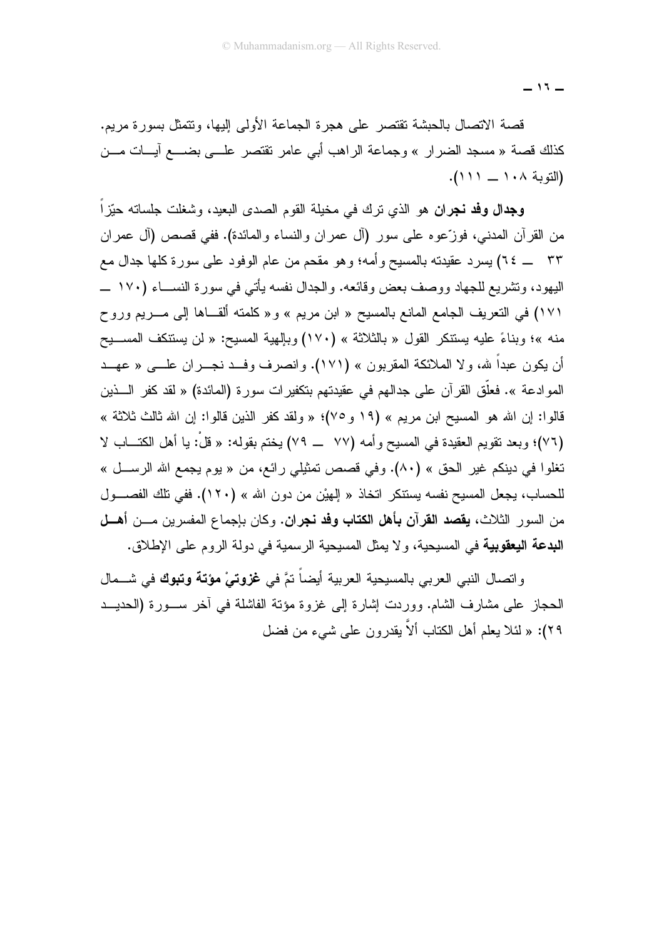قصة الاتصال بالحبشة تقتصر على هجرة الجماعة الأولى إليها، ونتمثل بسورة مريم. كذلك قصنة « مسجد الضرار » وجماعة الراهب أبي عامر تقتصر علـــي بضـــع آيـــات مـــن (التوبة ١٠٨ \_ ١١١١).

**وجدال وفد نجران** هو الذي نرك في مخيلة القوم الصدى البعيد، وشغلت جلساته حيّزاً من القرآن المدنى، فوزَّعوه على سور (أل عمران والنساء والمائدة). ففي قصص (أل عمران ٣٣ \_ ٢٤) يسرد عقيدته بالمسيح وأمه؛ وهو مقحم من عام الوفود على سورة كلها جدال مع اليهود، وتشريع للجهاد ووصف بعض وقائعه. والجدال نفسه بأتبي في سورة النســـاء (١٧٠ ـــ ١٧١) في النعريف الجامع المانع بالمسيح « ابن مريم » و « كلمته ألقـــاها إلى مــــريم وروح منه »؛ وبناءً عليه يستنكر القول « بالثلاثة » (١٧٠) وبإلهية المسيح: « لن يستنكف المســـيح أن يكون عبداً لله، ولا الملائكة المقربون » (١٧١). وانصرف وفــد نجـــران علــــى « عهـــد الموادعة ». فعلَّق القرآن على جدالهم في عقيدتهم بتكفيرات سورة (المائدة) « لقد كفر الــــذين قالوا: إن الله هو المسيح ابن مريع » (١٩ و٧٥)؛ « ولقد كفر الذين قالوا: إن الله ثالث ثلاثة » (٧٦)؛ وبعد نقويم العقيدة في المسيح وأمه (٧٧ \_ ٧٩) يختم بقوله: « قلْ: يا أهل الكتـــاب لا تغلوا في دينكم غير الحق » (٨٠). وفي قصص تمثيلي رائع، من « يوم يجمع الله الرســـل » للحساب، يجعل المسيح نفسه يستنكر اتخاذ « الِهيْن من دون الله » (١٢٠). ففي تلك الفصـــول من السور الثلاث، **يقصد القرآن بأهل الكتاب وفد نجران.** وكان بإجماع المفسرين مـــن **أهـــل** البدعة اليعقوبية في المسيحية، ولا يمثل المسيحية الرسمية في دولة الروم على الإطلاق.

واتصال النبي العربي بالمسيحية العربية أيضاً تمَّ في **غزوتيْ مؤتة وتبوك** في شـــمال الحجاز على مشارف الشام. ووردت إشارة إلى غزوة مؤنة الفاشلة في أخر ســورة (الحديـــد ٢٩): « لَئلا يعلَّم أهل الكتاب ألاَّ بِقدرٍ ون علي شيءٍ من فضل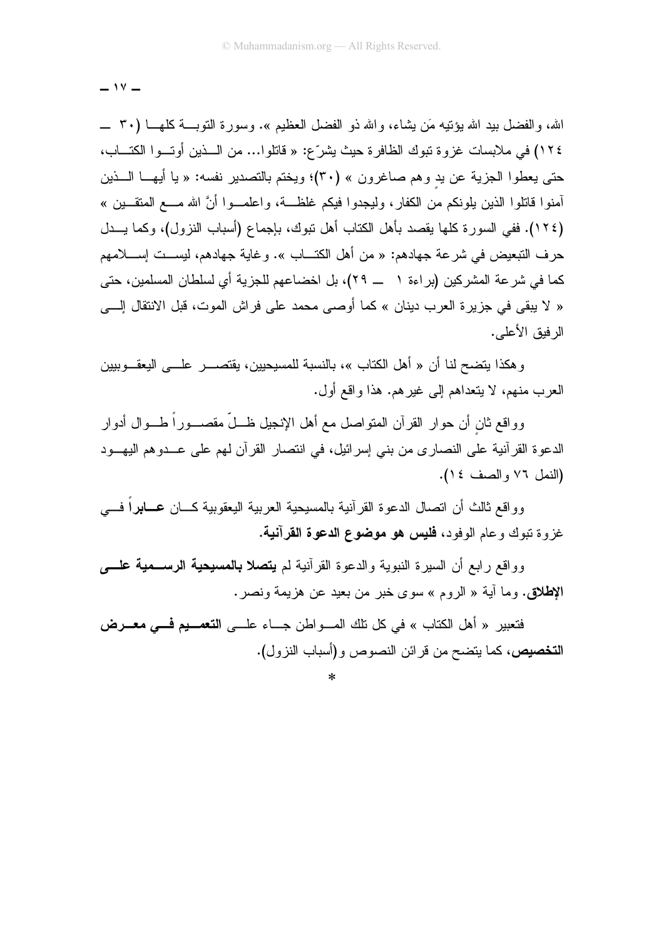$-14 -$ 

الله، والفضل بيد الله يؤنَّنِه مَن بِشاء، والله ذو الفضل العظيم ». وسورة النوبـــة كلهـــا (٣٠ ــــ ١٢٤) في ملابسات غزوة تبوك الظافرة حيث يشرّع: « فاتلوا… من الـــذين أوتـــوا الكتـــاب، حتى يعطوا الجزية عن يد وهم صاغرون » (٣٠)؛ ويختم بالتصدير نفسه: « يا أيهـــا الــــذين أمنو! فاتلو! الذين يلونكم من الكفار ، وليجدو! فيكم غلظـــة، وإعلمـــو! أنَّ الله مــــع المنقـــين » (١٢٤). ففي السورة كلها يقصد بأهل الكتاب أهل نبوك، بإجماع (أسباب النزول)، وكما يـــدل حرف التبعيض في شرعة جهادهم: « من أهل الكتـــاب ». وغاية جهادهم، ليســـت إســــلامهم كما في شرعة المشركين (براءة ١ ـــ ٢٩)، بل اخضاعهم للجزية أي لسلطان المسلمين، حتى « لا يبقى في جزيرة العرب دينان » كما أوصبي محمد على فراش الموت، قبل الانتقال إلـــي الر فبق الأعلى.

و هكذا يتضح لنا أن « أهل الكتاب »، بالنسبة للمسيحيين، يقتصــــــر علـــــي اليعقــــوببين العرب منهم، لا يتعداهم إلى غيرهم. هذا واقع أول.

وواقع ثان أن حوار القرآن المتواصل مع أهل الإنجيل ظـــلّ مقصــــوراً طــــوال أدوار الدعوة القرآنية على النصارى من بني إسرائيل، في انتصار القرآن لهم على عــدوهم اليهـــود (النمل ٧٦ والصف ١٤).

وواقع ثالث أن انصال الدعوة القرآنية بالمسيحية العربية اليعقوبية كـــان ع**ـــابر**اً فــــي غزوة نبوك وعام الوفود، فليس هو موضوع الدعوة القرآنية.

وو اقع ر ابع أن السير ة النبوية والدعو ة القر آنية لم **يتصلا بالمسيحية الرســـمية علــــ**ى الإطلاق. وما أية « الروم » سوى خبر من بعيد عن هزيمة ونصر.

فتعبير « أهل الكتاب » في كل تلك المـــواطن جـــاء علـــي ا**لتعمـــيم فـــي معـــرض التخصيص،** كما يتضح من قرائن النصوص و(أسباب النزول).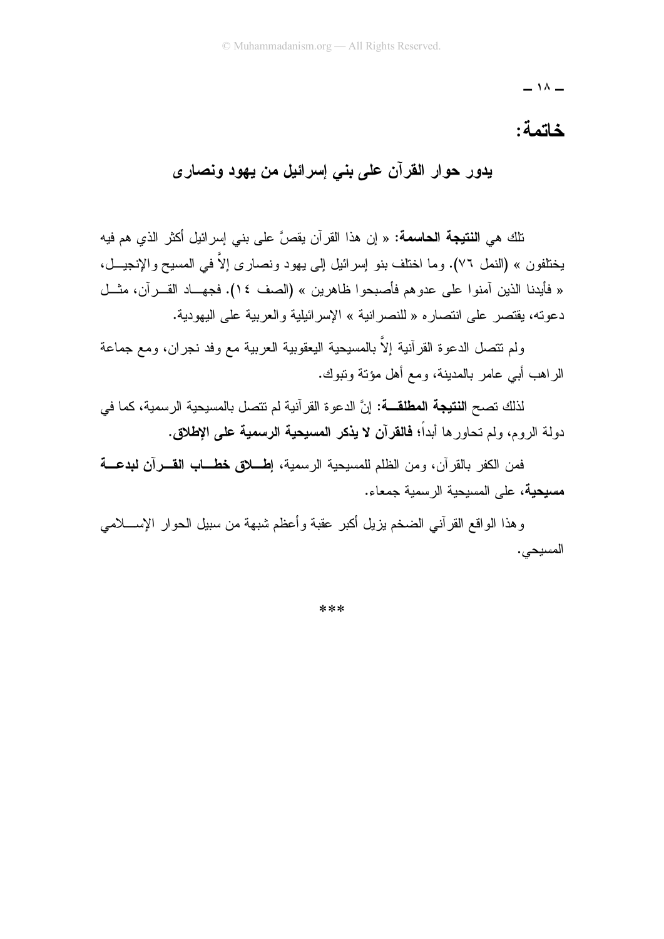#### خاتمة:

يدور حوار القرآن على بنى إسرائيل من يهود ونصارى

.<br>تلك هي ا**لنتيجة الحاسمة:** « إن هذا القرآن يقصَّ على بني إسرائيل أكثر الذي هم فيه يختلفون » (النمل ٧٦). وما اختلف بنو ٳسرائيل إلى يهود ونصارى إلاّ في المسيح والإنجيـــل، « فأيدنا الذين آمنوا على عدوهم فأصبحوا ظاهرين » (الصف ١٤). فجهــاد القـــرآن، مثـــل دعونه، يقتصر على انتصار ه « للنصر انية » الإسر ائيلية و العربية على اليهودية.

ولم نتصل الدعوة القرآنية إلاَّ بالمسيحية اليعقوبية العربية مع وفد نجران، ومع جماعة الر اهب أبي عامر بالمدينة، ومع أهل مؤتة وتبوك.

لذلك تصح ا**لنتيجة المطلقـــة:** إنَّ الدعوة القرآنية لم تتصل بالمسيحية الرسمية، كما في دولة الروم، ولم تحاور ها أبداً؛ فالقرآن لا يذكر المسيحية الرسمية على الإطلاق.

فمن الكفر بالقر آن، و من الظلم للمسيحية الر سمية، إطلوق خطــاب القـــرآن لبدعــــة مسيحية، على المسيحية الرسمية جمعاء.

وهذا الواقع القرأنبي الضخم بزيل أكبر عقبة وأعظم شبهة من سبيل الحوار الإســـلامي المسيحى.

\*\*\*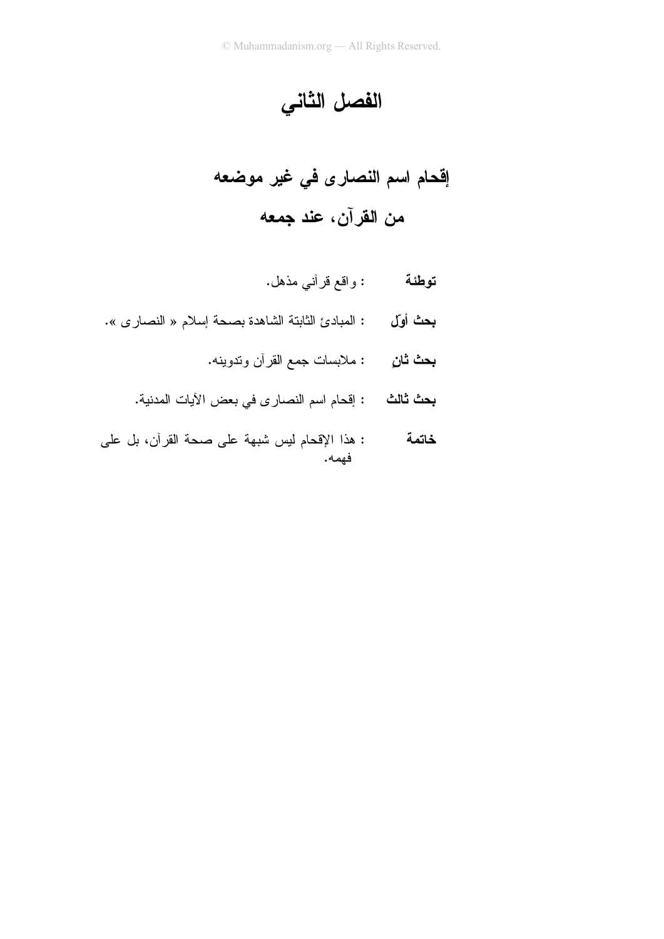الفصل الثاني

- بحث أول : المبادئ الثابتة الشاهدة بصحة إسلام « النصارى ».
	- **بحث ثانِ** : ملابسات جمع القرآن وندوينه.
	- **بحث ثالث :** إقحام اسم النصار ى في بعض الآيات المدنية.
- : هذا الإقحام ليس شبهة على صحة القرآن، بل على<br>فهمه. خاتمة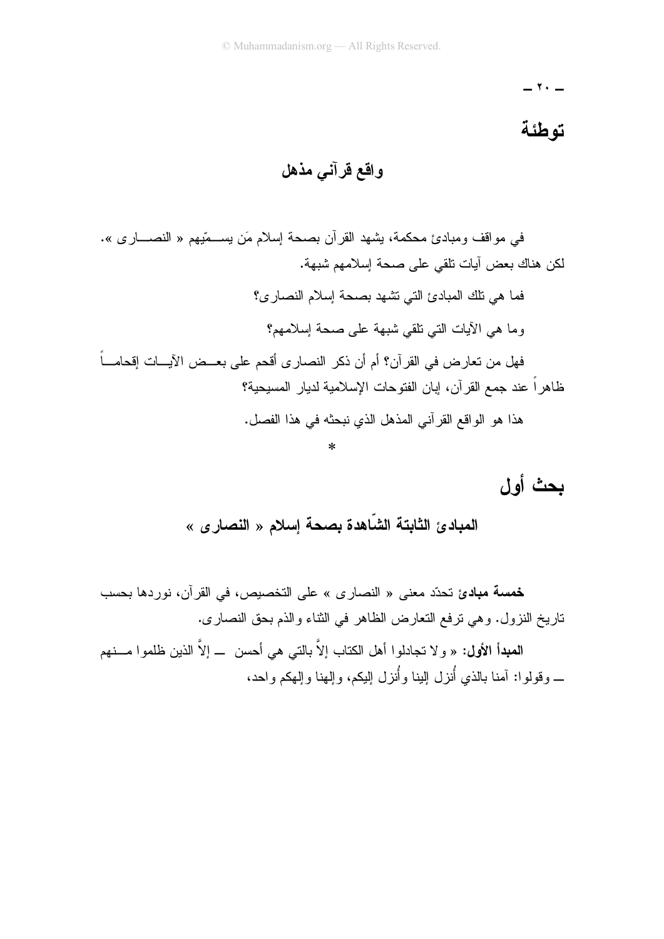= ۲۰ =

### تو طئة

واقع قرآني مذهل

في مواقف ومبادئ محكمة، يشهد القرآن بصحة إسلام مَن يســـمّيهم « النصــــار ي ». لكن هناك بعض آبات تلقى على صحة إسلامهم شبهة. فما هي تلك المبادئ التي تشهد بصحة إسلام النصاري؟ وما هي الأيات الني نلقي شبهة على صحة إسلامهم؟ فهل من تعارض في القرآن؟ أم أن ذكر النصارى أقحم على بعــض الآيـــات إقحامـــاً ظاهراً عند جمع القرآن، إبان الفتوحات الإسلامية لديار المسيحية؟ هذا هو الواقع القرآني المذهل الذي نبحثه في هذا الفصل.

بحث أول

خمسة مبادئ تحدّد معنى « النصارى » على التخصيص، في القرآن، نوردها بحسب ناريخ النزول. وهي نرفع النعارض الظاهر في الثناء والذم بحق النصارى.

المعبدأ الأول: « و لا تجادلوا أهل الكتاب إلاَّ بالتبي هي أحسن ــ إلاَّ الذين ظلموا مـــنهم ــــ وقولو ا: آمنا بالذي أُنزل البنا وأُنزل البكم، والهنا والهكم واحد،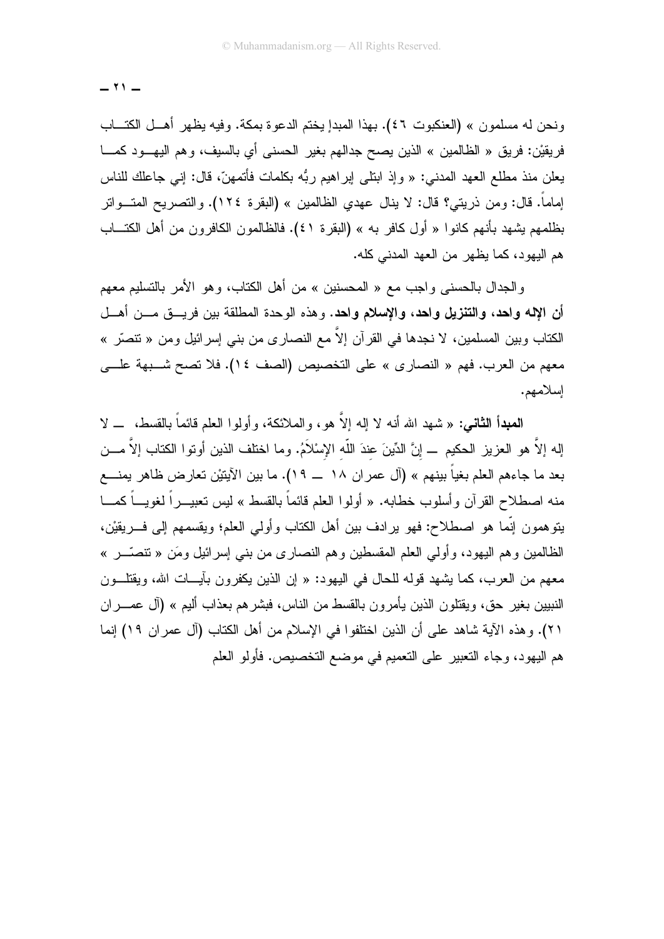ونحن له مسلمون » (العنكبوت ٤٦). بهذا المبدإ يختم الدعوة بمكة. وفيه يظهر أهــل الكتـــاب فريقيْن: فريق « الظالمين » الذين يصح جدالهم بغير الحسني أي بالسيف، وهم اليهــود كمـــا يعلن منذ مطلع العهد المدني: « وإذ ابتلي ابر اهيم ربُّه بكلمات فأتمهنَّ، قال: إني جاعلك للناس إماماً. قال: ومن ذريتي؟ قال: لا ينال عهدي الظالمين » (البقرة ١٢٤). والتصريح المتــواتر بظلمهم يشهد بأنهم كانوا « أول كافر به » (البقرة ٤١). فالظالمون الكافرون من أهل الكتـــاب هم اليهود، كما يظهر من العهد المدنى كله.

و الجدال بالحسني و اجب مع « المحسنين » من أهل الكتاب، و هو الأمر بالتسليم معهم أن الإله واحد، والتنزيل واحد، والإسلام واحد. وهذه الوحدة المطلقة بين فريـــق مـــن أهـــل الكتاب وبين المسلمين، لا نجدها في القرآن إلاّ مع النصار ى من بنـي إسرائيل ومن « نتصرّ » معهم من العرب. فهم « النصارى » على التخصيص (الصف ١٤). فلا تصح شـبهة علـــي إسلامهم.

المعبدأ الثاني: « شهد الله أنه لا إله إلاَّ هو ، والملائكة، وأولوا العلم قائماً بالقسط، \_ لا {\ إله إلاَّ هو العزيز الحكيم \_ إنَّ الدِّينَ عندَ اللّه الإسْلاَمُ. وما اختلف الذين أوتوا الكتاب إلاَّ مـــن بعد ما جاءهم العلم بغياً بينهم » (آل عمر ان ١٨ \_\_ ١٩). ما بين الآيتيْن تعارض ظاهر يمنــــع منه اصطلاح القرآن وأسلوب خطابه. « أولوا العلم قائماً بالقسط » ليس تعبيــــراً لغويــــاً كمــــا يتوهمون إنَّما هو اصطلاح: فهو يرادف بين أهل الكتاب وأولـي العلم؛ ويقسمهم إلـى فــــريقيْن، الظالمين وهم اليهود، وأولى العلم المقسطين وهم النصاري من بنبي إسرائيل ومَن « نتصَّـــر » معهم من العرب، كما يشهد قوله للحال في اليهود: « إن الذين يكفرون بآيـــات الله، ويقتلـــون النبيين بغير حق، ويقتلون الذين يأمرون بالقسط من الناس، فبشرهم بعذاب أليم » (آل عصـــران ٢١). وهذه الآية شاهد على أن الذين اختلفوا في الإسلام من أهل الكتاب (آل عمران ١٩) إنما هم اليهود، وجاء التعبير على التعميم في موضع التخصيص. فأولو العلم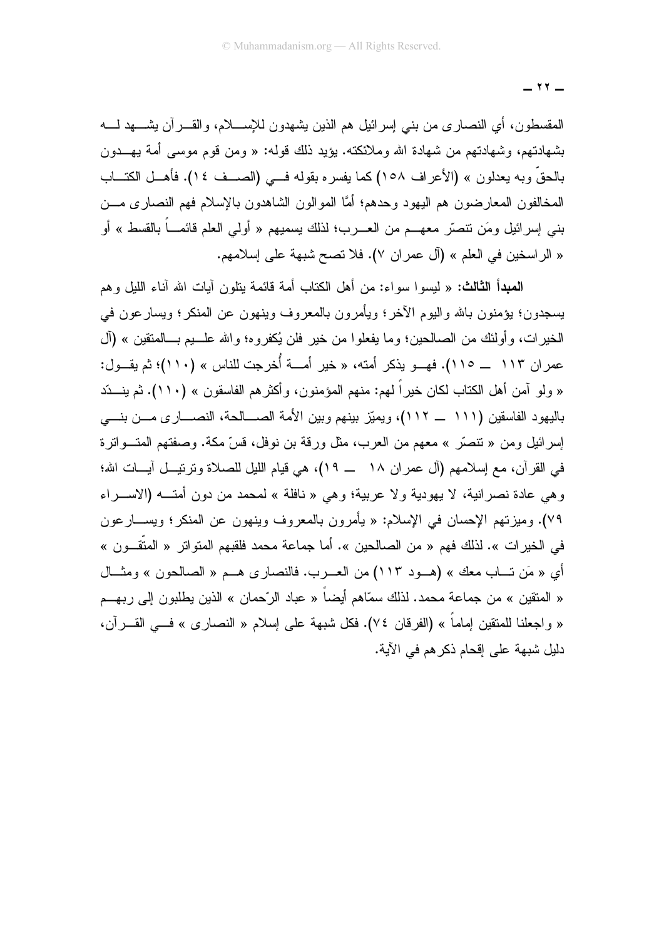المقسطون، أي النصاري من بنبي إسرائيل هم الذين يشهدون للإســــلام، والقـــــرآن يشـــــهد لـــــه بشهادتهم، وشهادتهم من شهادة الله وملائكته. يؤيد ذلك قوله: « ومن قوم موسى أمة يهـــدون بالحقِّ وبه يعدلون » (الأعراف ١٥٨) كما يفسره بقوله فـــي (الصـــف ١٤). فأهـــل الكتـــاب المخالفون المعارضون هم اليهود وحدهم؛ أمَّا الموالون الشاهدون بالإسلام فهم النصاري مـــن بني إسرائيل ومَن نتصرَّ معهـــم من العــــرب؛ لذلك يسميهم « أولـي العلم قائمــــاً بالقسط » أو « الراسخين في العلم » (آل عمران ٧). فلا نصح شبهة على إسلامهم.

**المبدأ الثالث:** « لبسوا سواء: من أهل الكتاب أمة قائمة بتلون آبات الله آناء اللبل وهم يسجدون؛ يؤمنون بالله واليوم الآخر؛ ويأمرون بالمعروف وينهون عن المنكر؛ ويسار عون في الخيرات، وأولئك من الصالحين؛ وما يفعلوا من خير فلن يُكفروه؛ والله علـــبم بـــالمنقين » (آل عمر ان ۱۱۳ ــ ۱۱۰). فهــو يذكر أمته، « خير أمـــة أُخرجت للناس » (١١٠)؛ ثم يقــول: « ولو آمن أهل الكتاب لكان خيراً لهم: منهم المؤمنون، وأكثرهم الفاسقون » (١١٠). ثم ينـــدّد باليهود الفاسقين (١١١ \_ ١١٢)، ويميّز بينهم وبين الأمة الصـــالحة، النصـــارى مـــن بنـــى إسرائيل ومن « نتصَّر » معهم من العرب، مثل ورقة بن نوفل، قسَّ مكة. وصفتهم المتـــواترة في القرآن، مع إسلامهم (آل عمران ١٨ ـــ ١٩)، هي قيام الليل للصلاة وترتيــل آيـــات الله؛ وهي عادة نصرانية، لا يهودية ولا عربية؛ وهي « نافلة » لمحمد من دون أمتـــه (الاســـراء ٧٩). وميزتهم الإحسان في الإسلام: « يأمرون بالمعروف وينهون عن المنكر؛ ويســـارعون في الخير ات ». لذلك فهم « من الصالحين ». أما جماعة محمد فلقبهم المتواتر « المتَّقــو ن » أي « مَن تــاب معك » (هــود ١١٣) من العــرب. فالنصاري هــم « الصـالحون » ومثــال « المتقين » من جماعة محمد. لذلك سمّاهم أيضـاً « عباد الرّحمان » الذين يطلبون إلى ربهـــم « واجعلنا للمنقين إماماً » (الفرقان ٧٤). فكل شبهة على إسلام « النصارى » فـــى القــــرآن، دليل شبهة على إقحام ذكر هم في الآية.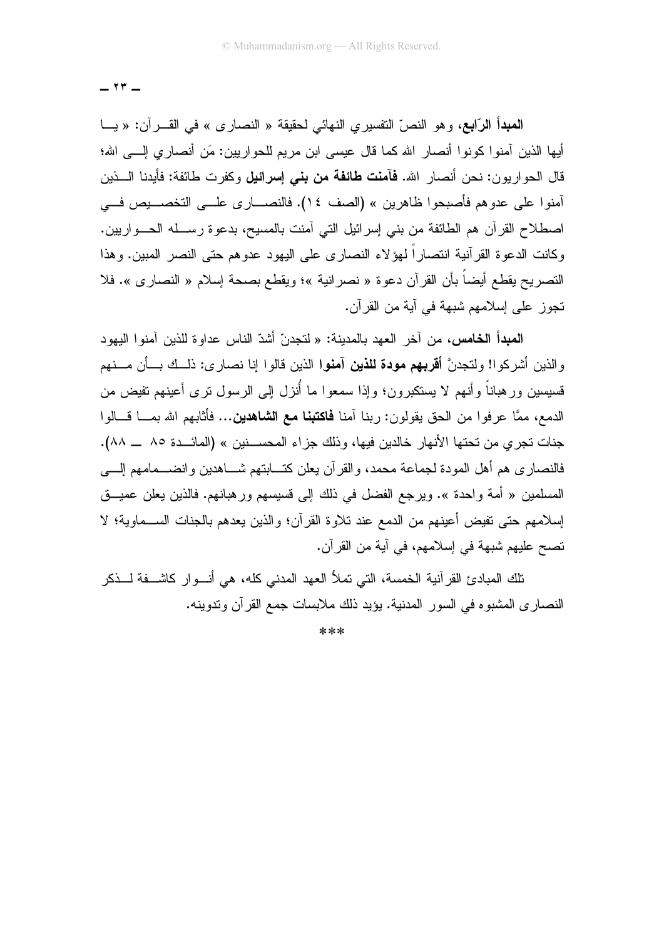المعدأ الرَّابع، وهو النصِّ التفسيري النهائي لمحقيقة « النصاري » في القــــرآن: « يــــا أيها الذين آمنوا كونوا أنصار الله كما قال عيسى ابن مريع للحو اريين: مَن أنصار ي إلــــى الله؛ قال الحواريون: نحن أنصار الله. **فآمنت طائفة من بني إسرائيل** وكفرت طائفة: فأبدنا الـــذين أمنوا على عدوهم فأصبحوا ظاهرين » (الصف ١٤). فالنصـــاري علـــي التخصــــيص فـــي اصطلاح القرآن هم الطائفة من بني إسرائيل التي أمنت بالمسيح، بدعوة رســله الـحــواريين. وكانت الدعوة القرآنية انتصاراً لـهؤلاء النصارى على اليهود عدوهم حتى النصر المبين. وهذا التصريح يقطع أيضاً بأن القرآن دعوة « نصرانية »؛ ويقطع بصحة إسلام « النصارى ». فلا تجوز على إسلامهم شبهة في أية من القرآن.

ا**لمبدأ الخامس،** من آخر العهد بالمدينة: « لتجدنّ أشدّ الناس عداو ة للذين آمنو ا اليهو د والذين أشركوا! ولتجدنَّ أ**قربهم مودة للذين آمنوا** الذين قالوا إنا نصارى: ذلــك بـــأن مـــنهم قسيسين ورهباناً وأنهم لا يستكبرون؛ وإذا سمعوا ما أُنزل إلى الرسول نرى أعينهم تفيض من الدمع، ممَّا عرفوا من الحق يقولون: ربنا آمنا **فاكتبنا مع الشاهدين...** فأثابهم الله بمـــا قـــالوا جنات تجرى من تحتها الأنهار خالدين فيها، وذلك جزاء المحســنين » (المائـــدة ٨٥ ـــ ٨٨). فالنصاري هم أهل المودة لجماعة محمد، والقرآن يعلن كتـــابتهم شـــاهدين وانضـــمامهم إلــــي المسلمين « أمة واحدة ». ويرجع الفضل في ذلك إلى قسيسهم ورهبانهم. فالذين يعلن عميـــق إسلامهم حتى تفيض أعينهم من الدمع عند تلاوة القرآن؛ والذين يعدهم بالجنات الســماوية؛ لا تصبح عليهم شبهة في إسلامهم، في آية من القر آن.

تلك المبادئ القر آنية الخمسة، التي تملأ العهد المدني كله، هي أنـــو ار كاشـــفة لـــذكر النصاري المشبوه في السور المدنية. يؤيد ذلك ملابسات جمع القرآن وندوينه.

 $***$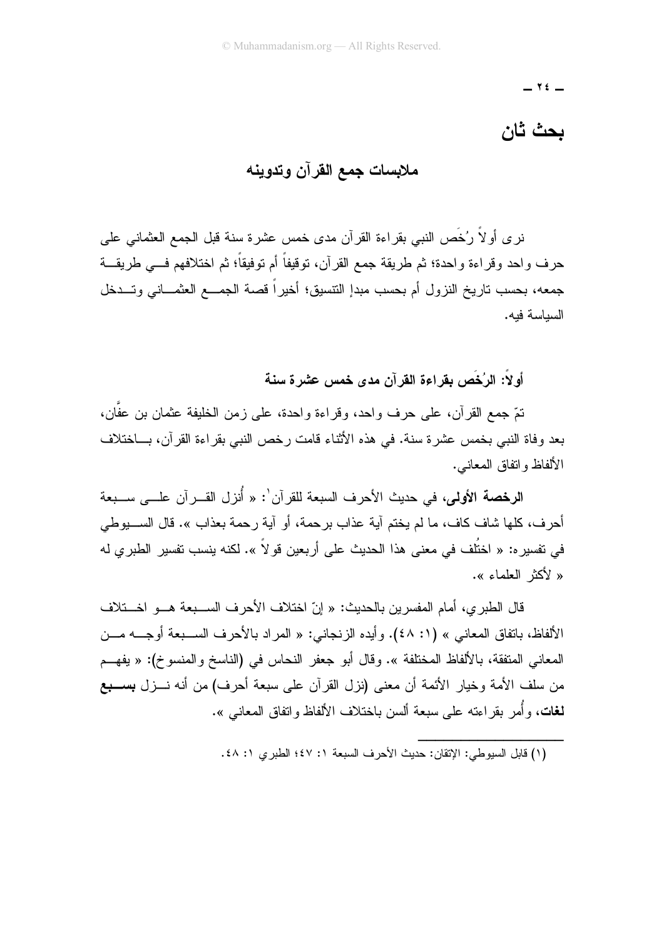$\forall$   $\xi$   $-$ 

## بحث ثان

# ملابسات جمع القرآن وتدوينه

نر ي أو لاَّ رُخْصَ النبي بقر اءة القر آن مدى خمس عشر ة سنة قبل الجمع العثماني علي حرف واحد وقراءة واحدة؛ ثم طريقة جمع القرآن، توقيفاً أم توفيقاً؛ ثم اختلافهم فـــي طريقـــة جمعه، بحسب تاريخ النزول أم بحسب مبدإ التتسيق؛ أخيراً قصة الجمـــع العثمـــانـى وتـــدخل السباسة فبه.

أولاً: الرُخُص بقراءة القرآن مدى خمس عشرة سنة

تمّ جمع القرآن، على حرف واحد، وقراءة واحدة، على زمن الخليفة عثمان بن عفَّان، بعد وفاة النبي بخمس عشرة سنة. في هذه الأنثاء قامت رخص النبي بقراءة القرآن، بـــاختلاف الألفاظ و انفاق المعانبي.

ا**لرخصة الأولى**، في حديث الأحرف السبعة للقرآن': « أُنزل القــرآن علـــي ســـبعة أحر ف، كلها شاف كاف، ما لم يختم آية عذاب بر حمة، أو آية ر حمة بعذاب ». قال الســـبوطي في تفسير ه: « اختُلف في معنى هذا الحديث على أربعين قو لاً ». لكنه ينسب تفسير الطبري له « لأكثر العلماء ».

قال الطبر ي، أمام المفسرين بالحديث: « إنّ اختلاف الأحرف الســـبعة هـــو اخـــتلاف الألفاظ، باتفاق المعاني » (١: ٤٨). وأيده الزنجاني: « المراد بالأحرف الســبعة أوجـــه مـــن المعاني المنفقة، بالألفاظ المختلفة ». وقال أبو جعفر النحاس في (الناسخ والمنسوخ): « يفهــم من سلف الأمة وخيار الأئمة أن معنى (نزل القرآن على سبعة أحرف) من أنه نـــزل بســـبع **لـغات**، وأُمر بقراءته علـى سبعة ألسن باختلاف الألفاظ واتفاق المعانـى ».

<sup>(</sup>١) قابل السبوطي: الاتقان: حديث الأحر ف السبعة ١: ٤٧؛ الطير ي ١: ٤٨.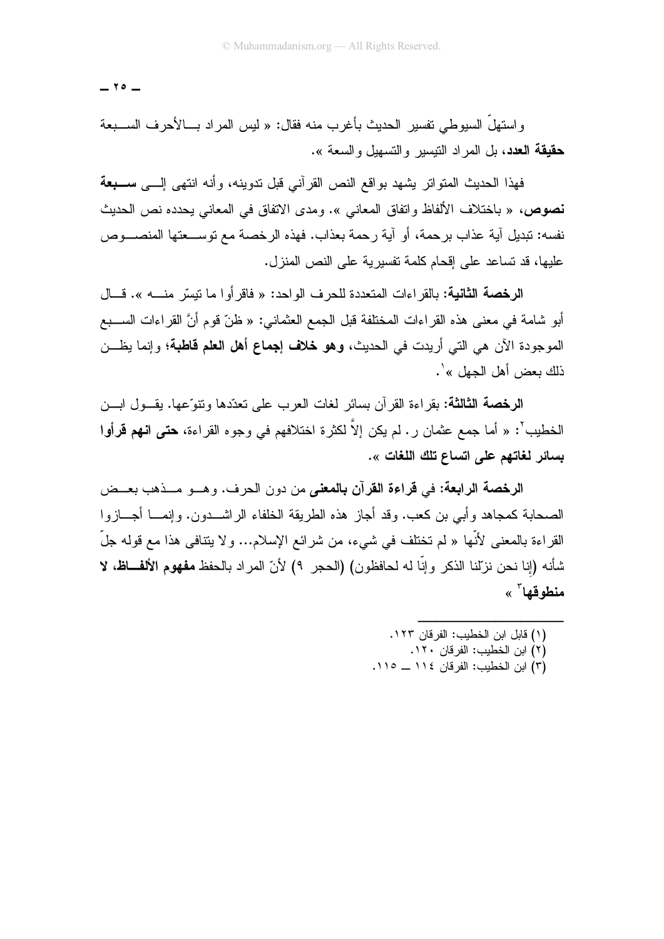$-70-$ 

واستهلَّ السيوطي تفسير الحديث بأغرب منه فقال: « ليس المراد بـــالأحرف الســـبعة حقيقة العدد، بل المراد النيسير والنسهيل والسعة ».

فهذا الحديث المتواتر يشهد بواقع النص القرآني قبل ندوينه، وأنه انتهى إلـــى ســـ**بعة** نصوص، « باختلاف الألفاظ واتفاق المعانبي ». ومدى الاتفاق في المعانبي يحدده نص الحديث نفسه: تبديل آية عذاب برحمة، أو آية رحمة بعذاب. فهذه الرخصة مع توســعتها المنصـــوص عليها، قد تساعد على إقحام كلمة تفسير بـة على النص المنز ل.

الرخصة الثانية: بالقراءات المتعددة للحرف الواحد: « فاقرأوا ما نيسّر منـــــــ». قــــال أبو شامة في معنى هذه القراءات المختلفة قبل الجمع العثماني: « ظنّ قوم أنَّ القراءات الســـبع الموجودة الآن هي التي أريدت في الحديث، **وهو خلاف إجماع أهل العلم قاطبة**؛ وإنما يظــــن ذلك بعض أهل الجهل »'.

الرخصة الثالثة: بقراءة القرآن بسائر لغات العرب على تعدّدها ونتوِّعها. يقــول ابـــن الخطيب<sup>٢</sup>: « أما جمع عثمان ر . لم يكن إلاّ لكثر ة اختلافهم في وجو ه القر اءة، **حتى انهم قرأو**ا بسائر لغاتهم على اتساع تلك اللغات ».

الرخصة الرابعة: في قراءة القرآن بالمعنى من دون الحرف. وهــو مــذهب بعــض الصحابة كمجاهد وأبـي بن كعب. وقد أجاز هذه الطريقة الخلفاء الراشـــدون. وإنمــــا أجـــازوا القراءة بالمعنى لأنَّها « لم تختلف في شيء، من شرائع الإسلام... و لا يتنافى هذا مع قوله جلَّ شأنه (إنا نحن نزِّلنا الذكر ، إنَّا له لحافظون) (الحجر ٩) لأنّ المراد بالحفظ **مفهوم الألفــاظ، لا** منطه قها<sup>۳</sup> »

- (١) قابل ابن الخطبب: الفر قان ١٢٣.
	- (٢) ابن الخطيب: الفرقان ١٢٠.
- (٣) ابن الخطيب: الفر قان ١١٤ ــ ١١٥.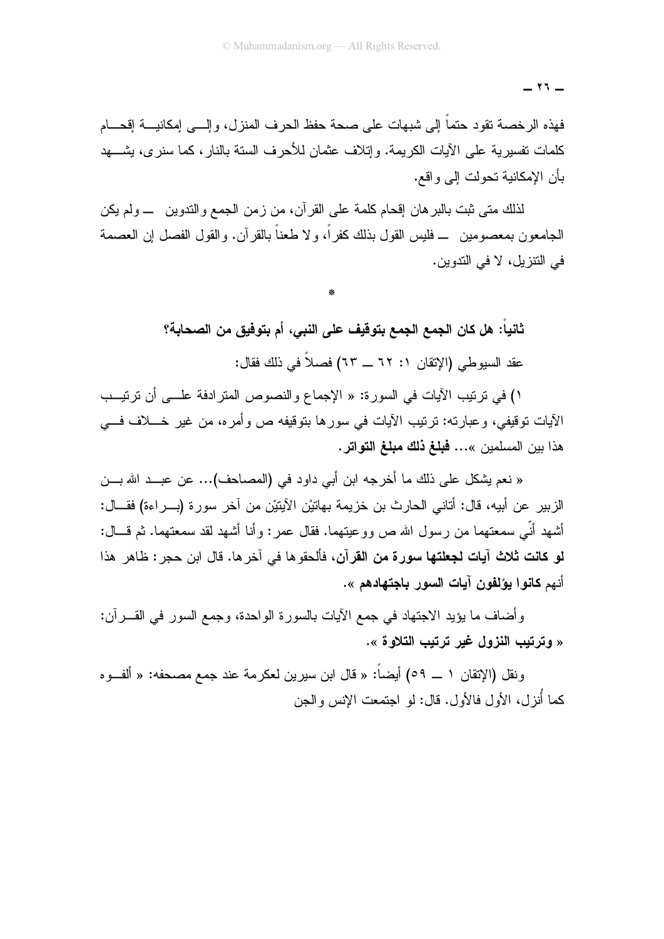فهذه الرخصة نقود حتماً إلى شبهات على صحة حفظ الحرف المنزل، وإلـــي إمكانيـــة إقحـــام كلمات تفسيرية على الأيات الكريمة. وإتلاف عثمان للأحرف الستة بالنار، كما سنرى، يشـــهد بأن الإمكانية تحولت إلى واقع.

لذلك متى ثبت بالبر هان إقحام كلمة على القرآن، من زمن الجمع والتدوين ـــ ولم يكن الجامعون بمعصومين ـــ فليس القول بذلك كفر أ، و لا طعناً بالقر آن. و القول الفصل إن العصمة في النتز بل، لا في الندو بن.

> ثانياً: هل كان الجمع الجمع بتوفيف على النبي، أم بتوفيق من الصحابة؟ عقد السبوطي (الإتقان ١: ٦٢ \_ ٦٣) فصلاً في ذلك فقال:

١) في ترتيب الآيات في السورة: « الإجماع والنصوص المترادفة علـــي أن ترتيــب الآيات نوقيفي، وعبارته: نرتيب الآيات في سورها بتوقيفه ص وأمره، من غير خــــلاف فــــي هذا بين المسلمين »... فبلغ ذلك مبلغ التواتر.

« نعم يشكل على ذلك ما أخرجه ابن أبي داود في (المصاحف)... عن عبــد الله بـــن الز بير عن أبيه، قال: أتاني الحار ث بن خز بمة بـهاتبْن الآبنتِن من آخر سو ر ة (بـــر اءة) فقـــال: أشهد أنِّي سمعتهما من ر سول الله ص وو عيتهما. فقال عمر : وأنا أشهد لقد سمعتهما. ثم قـــال: لو كانت ثلاث آيات لجعلتها سورة من القرآن، فألحقوها في آخرها. قال ابن حجر : ظاهر هذا أنهم **كانوا يؤلفون آيات السور باجتهادهم** ».

و أضاف ما يؤيد الاجتهاد في جمع الآيات بالسورة الو احدة، وجمع السور في القـــر آن: « وترتيب النزول غير ترتيب التلاوة ».

ونقل (الإتقان ١ ـــ ٥٩) أيضاً: « قال ابن سير بن لعكر مة عند جمع مصـحفه: « ألفــو ه كما أُنزل، الأول فالأول. قال: لو اجتمعت الإنس والجن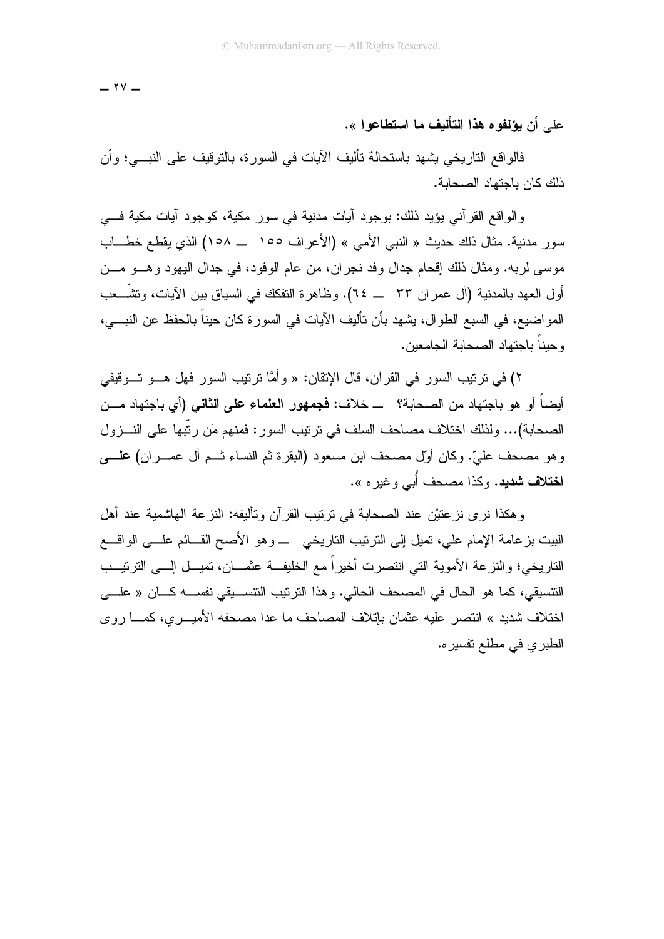$-$  ۲۷  $-$ 

على أن يؤلفوه هذا التأليف ما استطاعوا ».

فالواقع التاريخي يشهد باستحالة تأليف الأيات في السورة، بالتوقيف على النبـــي؛ وأن ذلك كان باجتهاد الصحابة.

والواقع القرآني يؤيد ذلك: بوجود آيات مدنية في سور مكية، كوجود آيات مكية فـــي سور مدنية. مثال ذلك حديث « النبي الأمي » (الأعراف ١٥٥ ـــ ١٥٨) الذي يقطع خطـــاب موسى لربه. ومثال ذلك إقحام جدال وفد نجران، من عام الوفود، في جدال اليهود وهـــو مـــن أول العهد بالمدنية (آل عمر ان ٣٣ ـــ ٢٤). وظاهرة النفكك في السياق بين الآيات، وتشَّـــعب المو اضبيع، في السبع الطوال، يشهد بأن نأليف الآيات في السورة كان حيناً بالحفظ عن النبـــي، و حيناً باجتهاد الصحابة الجامعين.

٢) في ترتيب السور في القرآن، قال الإتقان: « وأمَّا ترتيب السور فهل هـــو تـــوقيفي أيضاً أو هو باجتهاد من الصحابة؟ ــ خلاف: **فجمهور العلماء على الثاني (**أي باجتهاد مـــن الصحابة)... ولذلك اختلاف مصاحف السلف في ترتيب السور : فمنهم مَن ربَّبها على النـــزول وهو مصحف عليّ. وكان أوّل مصحف ابن مسعود (البقرة ثم النساء شــم آل عصـــران) علمـــــى ا**ختلاف شدید.** و کذا مصحف أُبي و غیر م ».

وهكذا نرى نزعتيْن عند الصحابة في ترتيب القرآن وتأليفه: النزعة الهاشمية عند أهل البيت بزعامة الإمام علي، تميل إلى الترتيب التاريخي ـــ وهو الأصح القـــائم علــــى الواقــــع التاريخي؛ والنزعة الأموية التي انتصرت أخيراً مع الخليفــة عثمـــان، تميـــل إلـــي الترتيـــب النتسيقي، كما هو الحال في المصحف الحالي. وهذا النرنيب النتســيقي نفســـه كـــان « علـــي اختلاف شديد » انتصر عليه عثمان بإتلاف المصاحف ما عدا مصحفه الأميـــري، كمــــا روى الطبري في مطلع نفسيره.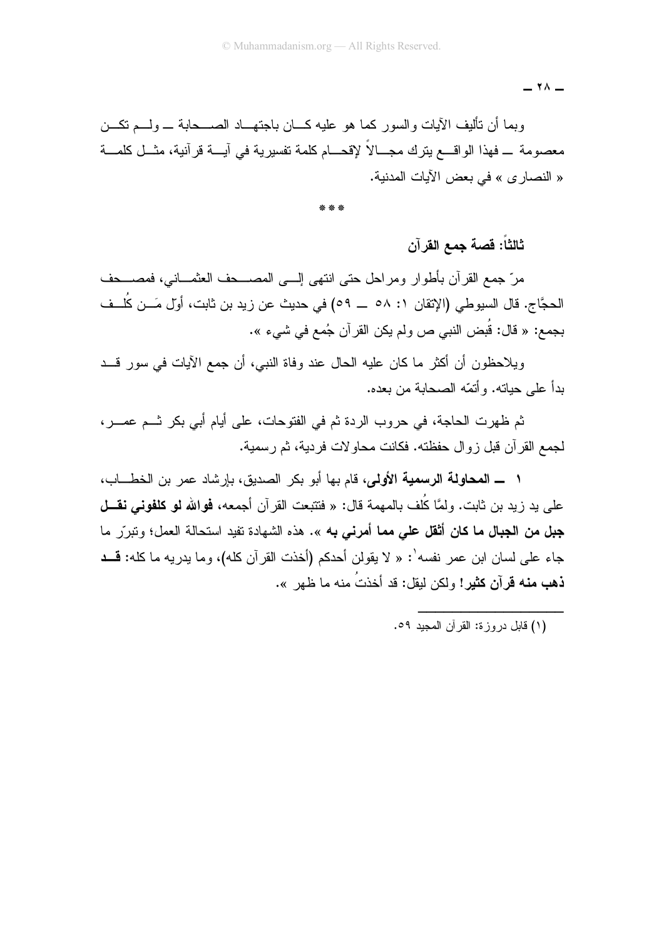$\lambda$   $-$ 

وبما أن نأليف الآيات والسور كما هو عليه كـــان باجتهـــاد الصــــحابـة ــــ ولــــم نكــــن معصومة \_ فهذا الواقــــع يترك مجــــالاً لإقحــــام كلمة تفسيرية في آيــــة قر آنية، مثـــل كلمـــة « النصار ي » في بعض الآبات المدنبة.

ثالثاً: قصة جمع القرآن

مرّ جمع القرآن بأطوار ومراحل حتى انتهى إلـــى المصـــحف العثمـــانـى، فمصــــحف الحجَّاج. قال السيوطي (الإتقان ١: ٥٨ \_ ٥٩) في حديث عن زيد بن ثابت، أوّل مَـــن كُلـــف بجمع: « قال: قُبض النبي ص ولم يكن القرآن جُمع في شيء ».

ويلاحظون أن أكثر ٍ ما كان عليه الحال عند وفاة النبي، أن جمع الآيات في سور قـــد بدأ على حباته. و أتمّه الصحابة من بعده.

ثم ظهرت الحاجة، في حروب الردة ثم في الفتوحات، على أيام أبي بكر ثــم عصــر، لجمع القرآن قبل زوال حفظته. فكانت محاولات فردية، ثم رسمية.

١ ـــ المحاولة الرسمية الأولى، قام بها أبو بكر الصديق، بإرشاد عمر بن الخطـــاب، علي بد زيد بن ثابت. ولمَّا كُلِّف بالمهمة قال: « فتتبعت القر آن أجمعه، **فوالله لو كلفوني نقـــل** جبل من الجبال ما كان أثقل على مما أمرني به ». هذه الشهادة تفيد استحالة العمل؛ وتبرّر ما جاء على لسان ابن عمر نفسه': « لا يقولن أحدكم (أخذت القرآن كله)، وما يدريه ما كله: قــد **ذهب منه قرآن كثير!** ولكن لبقل: قد أخذتُ منه ما ظهر ».

(١) قابل در وز ة: القر آن المجبد ٥٩.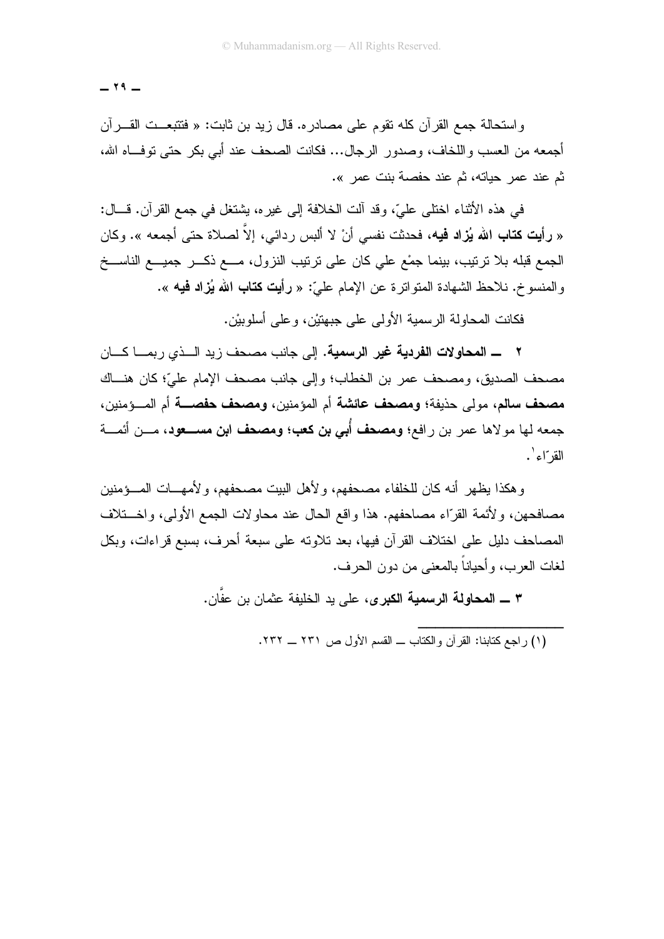$-79-$ 

واستحالة جمع القرآن كله نقوم على مصادره. قال زيد بن ثابت: « فتتبعــت القــــرأن أجمعه من العسب واللخاف، وصدور الرجال... فكانت الصحف عند أبي بكر حتى توفَّــاه الله، ثم عند عمر حياته، ثم عند حفصة بنت عمر ».

في هذه الأثناء اختلى عليّ، وقد آلت الخلافة إلى غيره، يشتغل في جمع القرآن. قـــال: « **رأيت كتاب الله يُزاد فيه، ف**حدثت نفسي أنْ لا ألبس ردائي، إلاّ لصلاة حتى أجمعه ». وكان الجمع قبله بلا نرنيب، بينما جمْع على كان على نرنيب النزول، مـــع ذكـــر جميـــع الناســـخ والمنسوخ. نلاحظ الشهادة المتواتر ة عن الإمام عليّ: « رأيت **كتاب الله يُزاد فيه** ».

فكانت المحاولة الرسمية الأولى على جبهتيْن، و على أسلوبيْن.

٢ ـــــــــ المحاولات الفريبية غير الرسمية. إلى جانب مصحف زيد الـــذي ريمــــا كـــان مصحف الصديق، ومصحف عمر بن الخطاب؛ وإلى جانب مصحف الإمام عليِّ؛ كان هنساك مصحف سالم، مولى حذيفة؛ ومصحف عائشة أم المؤمنين، ومصحف حفصـــة أم المـــؤمنين، جمعه لها مولاها عمر بن رافع؛ ومصحف أُبي بن كعب؛ ومصحف ابن مســـعود، مـــن أئمـــة القر"اء `.

و هكذا بظهر أنه كان للخلفاء مصبحفهم، و لأهل البيت مصبحفهم، و لأمهـــات المـــوَمنين مصافحهن، ولأئمة القرّاء مصاحفهم. هذا واقع الحال عند محاولات الجمع الأولى، واخـــتلاف المصاحف دليل على اختلاف القرآن فيها، بعد تلاوته على سبعة أحرف، بسبع قراءات، وبكل لغات العرب، و أحياناً بالمعنى من دون الحر ف.

٣ ـــ المحاولة الرسمية الكبرى، على يد الخليفة عثمان بن عفَّان.

(١) راجع كتابنا: القرآن والكتاب ــ القسم الأول ص ٢٣١ ــ ٢٣٢.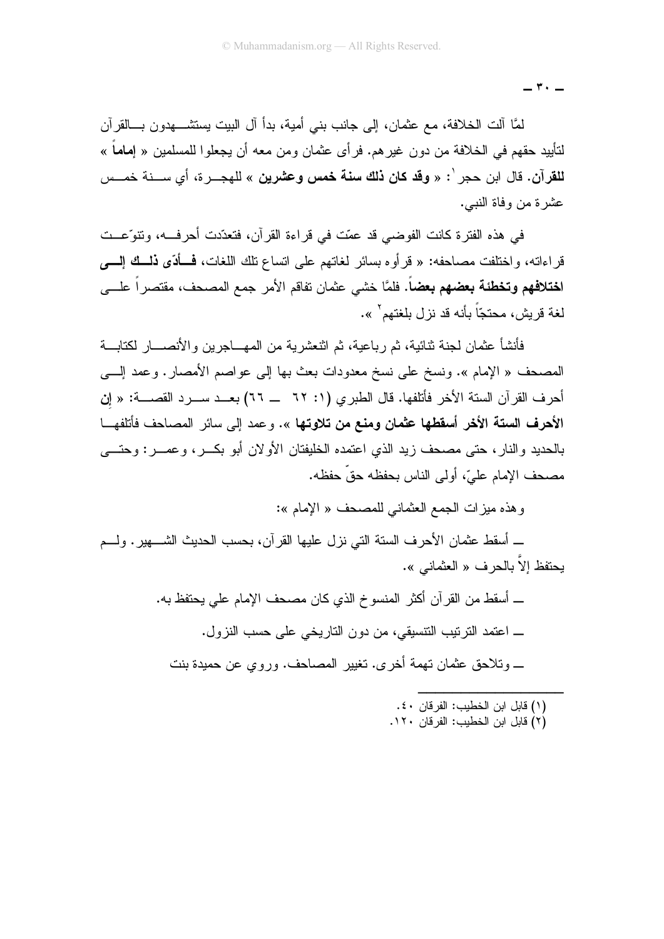\_ ۳ · \_

لمَّا آلت الخلافة، مع عثمان، إلى جانب بني أمية، بدأ آل البيت يستثنــــهدون بــــالقرآن لتأييد حقهم في الخلافة من دون غير هم. فر أي عثمان ومن معه أن يجعلوا للمسلمين « إ**ماماً** » للقرآن. قال ابن حجر <sup>'</sup>: « **وقد كان ذلك سنة خمس وعشرين** » للهجـــر ة، أي ســـنة خمـــس عشر ة من وفاة النبي.

في هذه الفترة كانت الفوضي قد عمّت في قراءة القرآن، فتعدّدت أحرفـــه، وتتوّعــت قر اءاته، و اختلفت مصباحفه: « قر أو ه بسائر لغاتهم على انساع تلك اللغات، فسأدّى ذلسك إليسى ا**ختلافهم وتخطئة بعضهم بعضاً**. فلمَّا خشي عثمان تفاقم الأمر جمع المصحف، مقتصراً علــــى لغة قربش، محتجّاً بأنه قد نز ل بلغتهم ّ ».

فأنشأ عثمان لجنة ثنائبة، ثم رباعية، ثم اثنعشر بة من المهـــاجر بن و الأنصــــار لكنابـــة المصحف « الإمام ». ونسخ على نسخ معدودات بعث بها إلى عواصم الأمصار . وعمد إلـــى أحر ف القر آن السنة الأخر فأتلفها. قال الطبر ي (١: ٦٢ ــ ٦٦) بعــد ســر د القصــــة: « إن الأ**حرف الستة الأخر أسقطها عثمان ومنع من تلاوتها** ». و عمد إلى سائر المصاحف فأتلفهــا بالحديد والنار، حتى مصحف زيد الذي اعتمده الخليفتان الأولان أبو بكسر، وعصـر: وحتـــى مصحف الإمام عليّ، أولى الناس بحفظه حقّ حفظه.

و هذه مبز ات الجمع العثماني للمصبحف « الإمام »:

\_ أسقط عثمان الأحرف السنة التي نزل عليها القرآن، بحسب الحديث الشــــهير . ولــــم يحتفظ إلاّ بالحرف « العثماني ».

> \_ أسقط من القرآن أكثر المنسوخ الذي كان مصحف الإمام علي يحتفظ به. \_ اعتمد الترتيب التتسيقي، من دون التاريخي على حسب النزول. \_ وتلاحق عثمان تهمة أخرى. تغيير المصاحف. وروي عن حميدة بنت

> > (١) قابل ابن الخطيب: الفرقان ٤٠. (٢) قابل ابن الخطيب: الفر قان ١٢٠.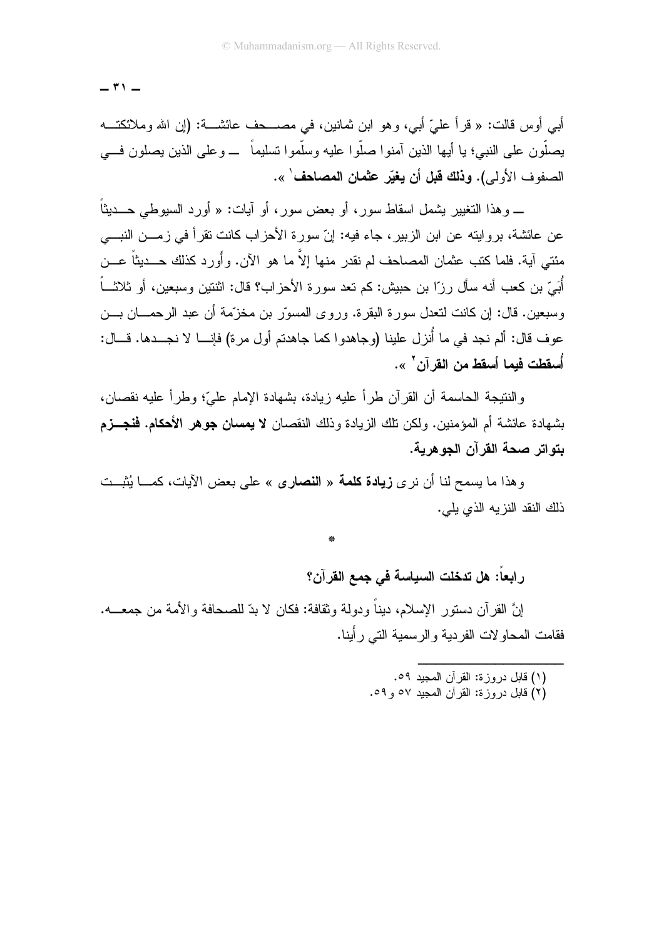$-$  ۳۱ $-$ 

أبي أوس قالت: « قرأ عليّ أبي، وهو ابن ثمانين، في مصـــــــف عائشــــة: (إن الله وملائكتــــه يصلُّون على النبي؛ يا أيها الذين آمنوا صلُّوا عليه وسلَّموا تسليماً ـــ وعلى الذين يصلون فـــي الصفو ف الأولى). **وذلك قبل أن يغبّر عثمان المصاحف** ٰ ».

\_ و هذا النغيير يشمل اسقاط سور ، أو بعض سور، أو آيات: « أورد السيوطي حــــديثاً ً عن عائشة، بروايته عن ابن الزبير، جاء فيه: إنّ سورة الأحزاب كانت نقرأ في زمـــن النبـــي مئتي آية. فلما كتب عثمان المصاحف لم نقدر منها إلاَّ ما هو الآن. وأَورد كذلك حـــديثاً عـــن أُبَيِّ بنِ كعبٍ أنه سأل رزّا بنِ حبيش: كم تعد سورة الأحز اب؟ قال: اثنتين وسبعين، أو ثلاثـــاً وسبعين. قال: إن كانت لتعدل سور ة البقر ة. وروى المسوّر بن مخزّمة أن عبد الرحمـــان بـــن عوف قال: ألم نجد في ما أُنزل علينا (وجاهدوا كما جاهدتم أول مرة) فإنـــا لا نجـــدها. قـــال: أُسقطت فبما أسقط من القر آن<sup>٢</sup> ».

و النتيجة الحاسمة أن القر آن طر أ عليه زيادة، بشهادة الإمام عليِّ؛ وطر أ عليه نقصان، بشهادة عائشة أم المؤمنين. ولكن تلك الزيادة وذلك النقصان لا **يمسان جوهر الأحكام. فنجـــزم** بتواتر صحة القرآن الجوهرية.

وهذا ما بسمح لنا أن نر ي **زيادة كلمة** « **النصا**رى » على بعض الآبات، كمـــا بُثبــت ذلك النقد النز به الذي بلي.

رابعاً: هل تدخلت السياسة في جمع القرآن؟

إنَّ القرآن دستور الإسلام، ديناً ودولة وثقافة: فكان لا بدِّ للصحافة والأمة من جمعـــه. فقامت المحاولات الفردية والرسمية الني رأينا.

- (١) قابل در وز ة: القرآن المحبد ٥٩.
- (٢) قابل دروزة: القرآن المعبيد ٥٧ و ٥٩.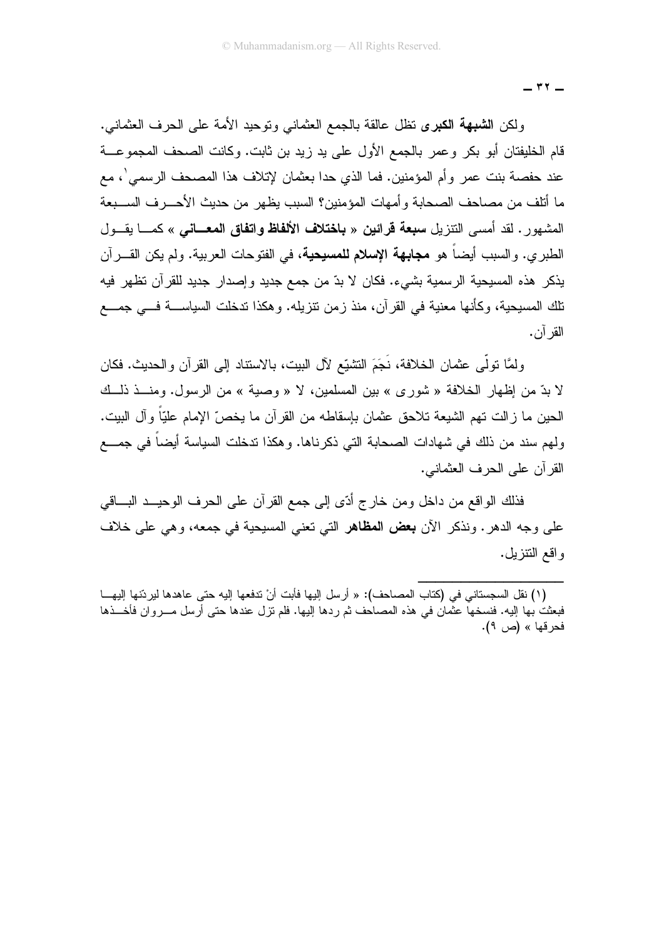$-$  ۳۲  $-$ 

ولكن ا**لشبهة الكبرى** نظل عالقة بالجمع العثماني ونوحيد الأمة على الحرف العثماني. قام الخليفتان أبو بكر وعمر بالجمع الأول على يد زيد بن ثابت. وكانت الصحف المجموعـــة عند حفصة بنت عمر وأم المؤمنين. فما الذي حدا بعثمان لإتلاف هذا المصحف الرسمي ٰ، مع ما أتلف من مصاحف الصحابة و أمهات المؤمنين؟ السبب بظهر ٍ من حديث الأحـــر ف الســـبعة المشهور . لقد أمسى النتزيل **سبعة قرائين** « **باختلاف الألفاظ واتفاق المعــانـي** » كمـــا يقـــول الطبري. والسبب أيضاً هو **مجابهة الإسلام للمسيحية**، في الفتوحات العربية. ولم يكن القــــرآن يذكر هذه المسيحية الرسمية بشيء. فكان لا بدّ من جمع جديد وإصدار جديد للقرآن تظهر فيه نلك المسيحية، وكأنها معنية في القرآن، منذ زمن نتزيله. وهكذا ندخلت السياســــة فــــى جمــــع القر آن.

ولمَّا نولِّي عثمان الخلافة، نَجَمَ النشيِّع لآل البيت، بالاستناد إلى القرآن والحديث. فكان لا بدّ من إظهار الخلافة « شورى » بين المسلمين، لا « وصية » من الرسول. ومنــذ ذلــك الحين ما زالت تهم الشيعة تلاحق عثمان بإسقاطه من القرآن ما يخصّ الإمام عليّا وآل البيت. ولـهم سند من ذلك في شـهادات الصـحابـة التي ذكرنـاها. وهكذا ندخلت السياسة أيضـاً فـى جمـــع القرآن على الحرف العثماني.

فذلك الواقع من داخل ومن خارج أدّى إلى جمع القرآن على الحرف الوحيـــد البــــاقى على وجه الدهر . ونذكر الآن **بعض المظاهر** التي تعني المسيحية في جمعه، وهي على خلاف واقع النتزيل.

<sup>(</sup>١) نقل السجستاني في (كتاب المصـاحف): « أرسل إليها فأبت أنْ تدفعها إليه حتى عاهدها ليردّنها إليهـــا فبعثت بها إليه. فنسخها عثمان في هذه المصاحف ثم ردها إليها. فلم نزل عندها حتى أرسل مــــروان فأخـــذها فحرقها » (ص ۹).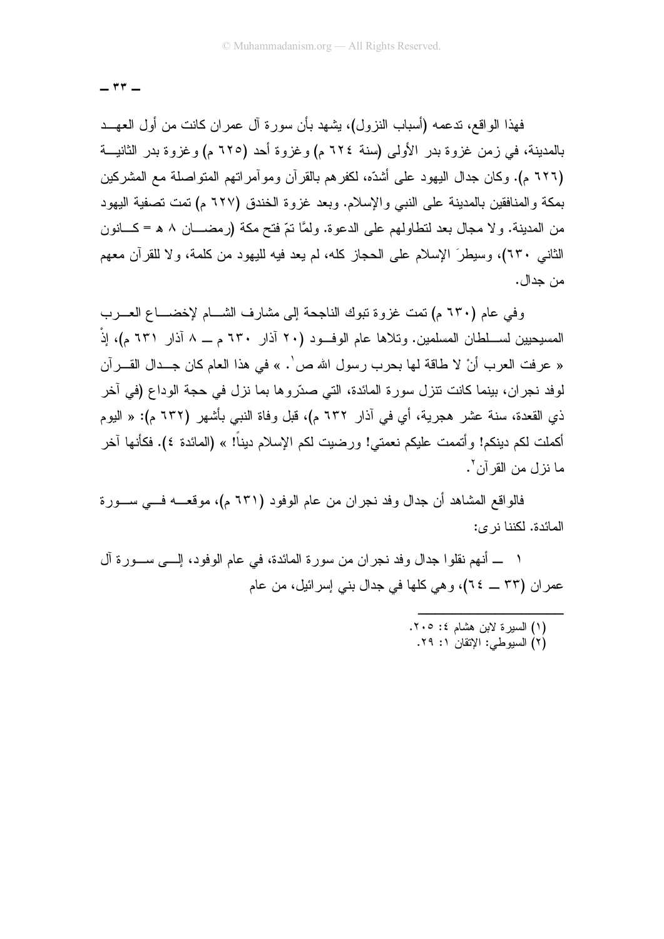$-$  ۳۳  $-$ 

فهذا الواقع، ندعمه (أسباب النزول)، يشهد بأن سورة آل عمران كانت من أول العهــد بالمدينة، في زمن غزوة بدر الأولى (سنة ٢٢٤ م) وغزوة أحد (٦٢٥ م) وغزوة بدر الثانيــة (٦٢٦ م). وكان جدال اليهود على أشدِّه، لكفر هم بالقر آن ومو آمر انهم المنو اصلة مع المشر كين بمكة والمنافقين بالمدينة على النبي والإسلام. وبعد غزوة الخندق (٦٢٧ م) تمت تصفية اليهود من المدينة. ولا مجال بعد لنطاولهم على الدعوة. ولمَّا نمّ فنح مكة (رمضــــان ٨ هـ = كـــانون الثاني ٢٣٠)، وسيطرَ الإسلام على الحجاز كله، لم يعد فيه لليهود من كلمة، ولا للقرآن معهم من جدال.

وفي عام (٦٣٠ م) نَمت غزوة نبوك الناجحة إلى مشارف الشـــام لإخضــــاع العــــرب المسيحيين لســـلطان المسلمين. وتلاها عام الوفـــود (٢٠ آذار ٦٣٠ م ـــ ٨ آذار ٦٣١ م)، إذْ « عرفت العرب أنْ لا طاقة لها بحرب رسول الله ص'. » في هذا العام كان جــدال القـــرآن لوفد نجر ان، بينما كانت نتزل سورة المائدة، التي صدّروها بما نزل في حجة الوداع (في آخر ذي القعدة، سنة عشر هجرية، أي في آذار ٦٣٢ م)، قبل وفاة النبي بأشهر (٦٣٢ م): « اليوم أكملت لكم دينكم! وأتممت عليكم نعمتي! ورضيت لكم الإسلام ديناً! » (المائدة ٤). فكأنها آخر ما نزل من القرآن '.

فالواقع المشاهد أن جدال وفد نجران من عام الوفود (٦٣١ م)، موقعـــه فــــي ســــورة المائدة. لكننا نر ي:

١ ــــ أنهم نقلوا جدال وفد نجران من سورة المائدة، في عام الوفود، إلــــى ســـورة آل عمر إن (٣٣ \_ ٢٤)، وهي كلها في جدال بني إسرائيل، من عام

> (١) السيرة لابن هشام ٤: ٢٠٥. (٢) السيوطي: الإتقان ١: ٢٩.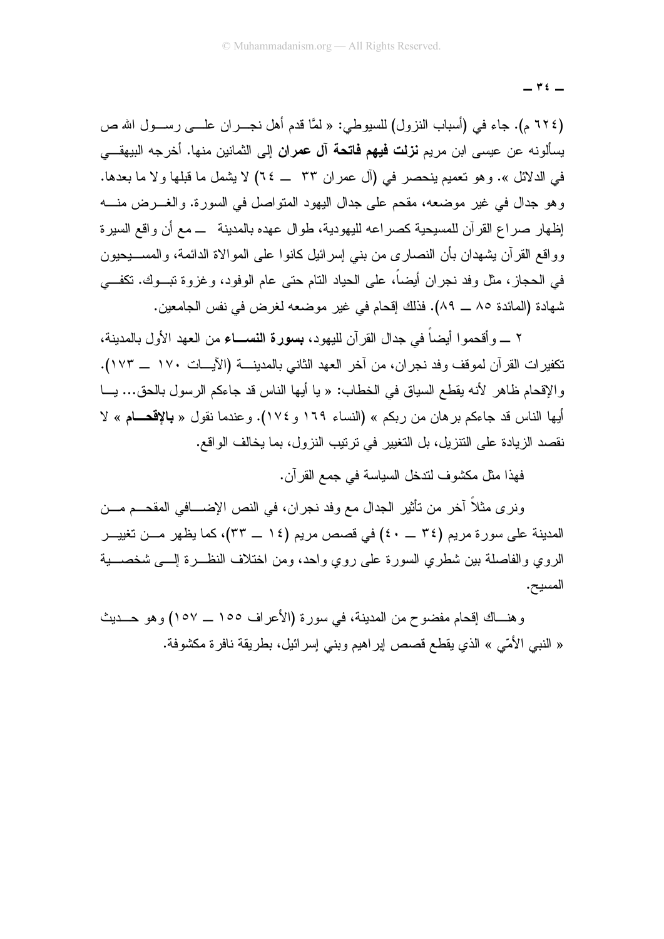$\forall$   $\epsilon$   $-$ 

(٢٢٤ م). جاء في (أسباب النزول) للسيوطي: « لَمَّا قدم أهل نجـــران علــــي رســـول الله ص يسألونه عن عيسى ابن مريم **نزلت فيهم فاتحة آل عمران** إلى الثمانين منها. أخرجه البيهقـــى في الدلائل ». وهو تعميم بنحصر في (آل عمر ان ٣٣ ــ ٢٤) لا بشمل ما قبلها و لا ما بعدها. وهو جدال في غير موضعه، مقحم على جدال اليهود المتواصل في السورة. والغـــرض منــــه إظهار صراع القرآن للمسيحية كصراعه لليهودية، طوال عهده بالمدينة ـــ مع أن واقع السيرة وواقع القرآن بشهدان بأن النصارى من بنبي إسرائيل كانوا على الموالاة الدائمة، والمســـبحيون في الحجاز، مثل وفد نجران أيضاً، على الحياد النام حتى عام الوفود، وغزوة نبـــوك. نكفـــي شهادة (المائدة ٨٥ \_ ٨٩). فذلك إقحام في غير موضعه لغرض في نفس الجامعين.

٢ ـــ و أقحمو ا أيضاً في جدال القر آن لليهو د، بسورة النســـاء من العهد الأول بالمدينة، تكفيرات القرآن لموقف وفد نجران، من آخر العهد الثاني بالمدينة (الآيــات ١٧٠ \_ ١٧٣). والإقحام ظاهر لأنه يقطع السياق في الخطاب: « يا أيها الناس قد جاءكم الرسول بالحق... يـــا أيها الناس قد جاءكم برهان من ربكم » (النساء ١٦٩ و ١٧٤). وعندما نقول « **بالإقحــام** » لا نقصد الزيادة على النتزيل، بل التغيير في ترتيب النزول، بما يخالف الواقع.

فهذا مثل مكشوف لندخل السياسة في جمع القرآن.

ونر ي مثلاً آخر من تأثير الجدال مع وفد نجران، في النص الإضــــافي المقحـــم مـــن المدينة على سورة مريم (٣٤ \_ ٤٠) في قصص مريم (١٤ \_ ٣٣)، كما يظهر مـــن تغييـــر الروى والفاصلة بين شطرى السورة على روى واحد، ومن اختلاف النظـــرة إلــــي شخصــــية المسيح.

وهنـــاك إقحام مفضوح من المدينة، في سورة (الأعراف ١٥٥ ـــ ١٥٧) وهو حـــديث « النبي الأمّي » الذي يقطع قصص اير اهيم وبني إسر ائيل، بطريقة نافرة مكشوفة.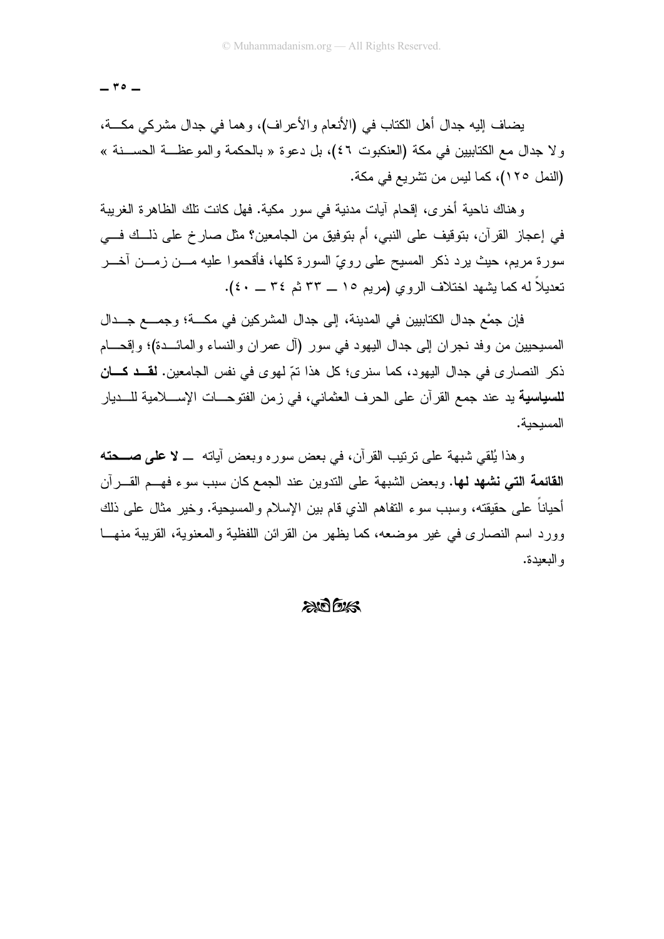$r \circ -$ 

يضاف إليه جدال أهل الكتاب في (الأنعام والأعراف)، وهما في جدال مشركي مكـــة، ولا جدال مع الكتابيين في مكة (العنكبوت ٤٦)، بل دعوة « بالحكمة والموعظــة الحســنة » (النمل ١٢٥)، كما ليس من نشر يع في مكة.

و هناك ناحبة أخر ي، إقحام آبات مدنية في سور مكية. فهل كانت تلك الظاهر ة الغربية في إعجاز القرآن، بتوقيف على النبي، أم بتوفيق من الجامعين؟ مثل صارخ على ذلَّــك فـــي سورة مريم، حيث يرد ذكر المسيح على رويِّ السورة كلُّها، فأقحموا عليه مـــن زمـــن أخـــر تعديلاً له كما بِشهد اختلاف الروى (مربير ١٥ ـــ ٣٣ ثير ٣٤ ـــ ٤٠).

فإن جمْع جدال الكتابيين في المدينة، إلى جدال المشركين في مكـــة؛ وجمـــع جـــدال المسيحيين من وفد نجران إلى جدال اليهود في سور (آل عمران والنساء والمائـــدة)؛ وإقحـــام ذكر النصار ي في جدال اليهو د، كما سنر ي؛ كل هذا نمّ لهو ي في نفس الجامعين. لقـــد كـــان للسياسية يد عند جمع القرآن على الحرف العثماني، في زمن الفتوحـــات الإســــلامية للــــديار المسبحبة.

وهذا يُلقى شبهة على نرتيب القرآن، في بعض سوره وبعض آياته ــ لا علمي صــحته **القائمة التي نشهد لها.** وبعض الشبهة على الندوين عند الجمع كان سبب سوء فهــم القـــر آن أحباناً على حقيقته، وسبب سوء التفاهم الذي قام بين الإسلام والمسبحية. وخبر مثال على ذلك وورد اسم النصبار ي في غير موضعه، كما يظهر من القر ائن اللفظية و المعنوية، القريبة منهــا و البعيدة.

#### $2075/5$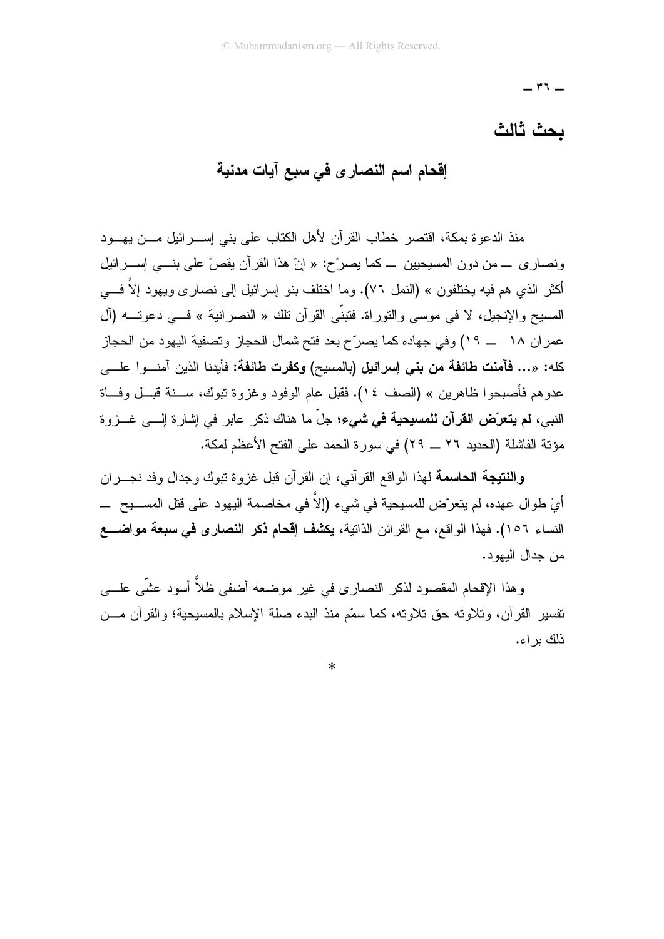$-$  ۳٦ $-$ 

### يجث ثالث

إقحام اسم النصار ى فى سبع آيات مدنية

منذ الدعو ة بمكة، اقتصر خطاب القر آن لأهل الكتاب على بني إســـر ائبل مــــن بـهـــو د ونصاري \_ من دون المسيحيين \_ كما يصرِّح: « إنَّ هذا القرآن يقصِّ على بنـــي إســـرائيل أكثر الذي هم فيه يختلفون » (النمل ٧٦). وما اختلف بنو ٳسرائيل ٳلبي نصـار ي ويـهود إلاّ فــــي المسيح والإنجيل، لا في موسى والتوراة. فتبنَّى القرآن نلك « النصرانية » فـــي دعوتـــه (آل عمر ان ١٨ ـــ ١٩) وفي جهاده كما يصرِّح بعد فتح شمال الحجاز وتصفية اليهود من الحجاز كله: «... فآمنت طائفة من بني إسرائيل (بالمسيح) وكفرت طائفة: فأيدنا الذين آمنـــوا علـــي عدوهم فأصبحوا ظاهرين » (الصف ١٤). فقبل عام الوفود وغزوة تبوك، ســـنة قبـــل وفـــاة النبي، **لم يتعرّض القرآن للمسيحية في شيء؛** جلّ ما هناك ذكر عابر في إشارة إلـــي غـــزوة مؤتة الفاشلة (الحديد ٢٦ ـــ ٢٩) في سور ة الحمد على الفتح الأعظم لمكة.

وال**نتيجة الحاسمة** لهذا الواقع القرآني، إن القرآن قبل غزوة تبوك وجدال وفد نجـــران أيْ طوال عهده، لم يتعرّض للمسيحية في شيء (إلاّ في مخاصمة اليهود على قتل المســــيح ــــــــــــــــ النساء ١٥٦). فهذا الواقع، مع القر ائن الذاتية، يكشف إقحام ذكر النصاري في سبعة مواضـــع من جدال البھو د۔

وهذا الإقحام المقصود لذكر النصارى في غير موضعه أضفى ظلاًّ أسود عشَّى علــــ ٍ، نفسير القرآن، ونلاونه حقٌّ نلاونه، كما سمَّع منذ البدء صلَّة الإسلام بالمسيحية؛ والقرآن مـــن ذلك بر اء.

 $\ast$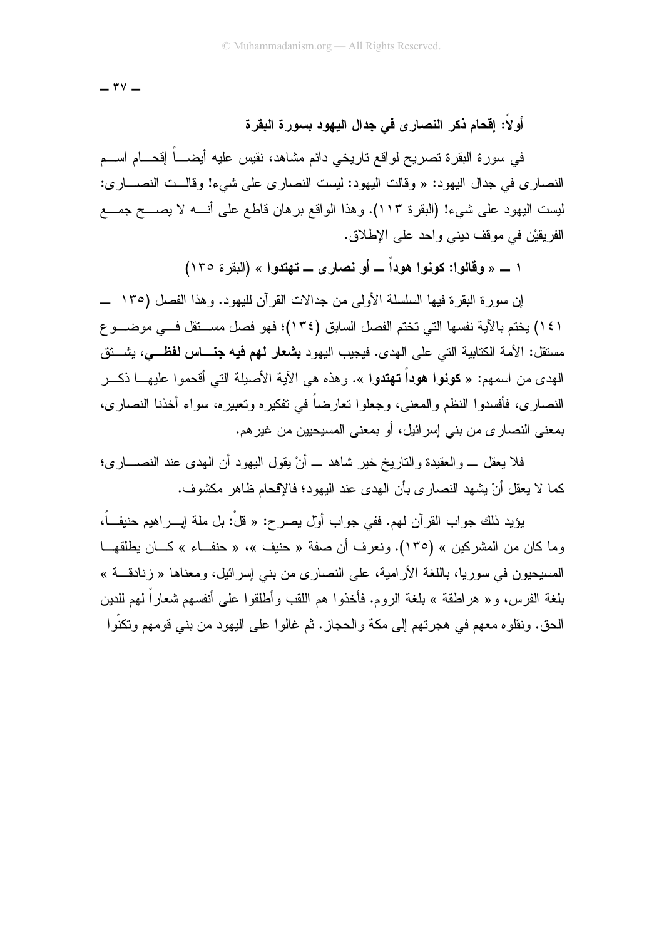$-$  ۳۷  $-$ 

### أولا: إقحام ذكر النصار ى فى جدال اليهود بسورة البقرة

في سورة البقرة تصريح لواقع تاريخي دائم مشاهد، نقيس عليه أيضــــاً إقحـــام اســـم النصاري في جدال اليهود: « وقالت اليهود: ليست النصاري على شيء! وقالــت النصـــاري: ليست اليهود على شيء! (البقرة ١١٣). وهذا الواقع برهان قاطع على أنــــه لا يصــــح جمــــع الفريقيْن في موقف ديني واحد على الإطلاق.

١ ـــ « وقالو إ: كونو إ هوداً ـــ أو نصار ي ـــ تهتدو إ » (البقر ة ١٣٥)

١٤١) يختم بالآية نفسها التي تختم الفصل السابق (١٣٤)؛ فهو فصل مســتقل فـــي موضـــوع مستقل: الأمة الكتابية التي على الهدى. فيجيب اليهود **بشعار لـهم فيه جنــــاس نفظـــ**ي، بشـــتق الهدى من اسمهم: « **كونوا هوداً تهتدوا** ». وهذه هي الآية الأصيلة التي أقحموا عليهـــا ذكـــر النصار ى، فأفسدو ا النظم و المعنى، وجعلو ا تعارضاً في تفكير ه وتعبير ه، سو اء أخذنا النصار ي، بمعنى النصاري من بني إسرائيل، أو بمعنى المسيحيين من غير هم.

فلا يعقل \_ والعقيدة والناريخ خير شاهد \_ أنْ يقول اليهود أن الـهدى عند النصــــارى؛ كما لا يعقل أنْ يشهد النصارى بأن الهدى عند اليهود؛ فالإقحام ظاهر مكشوف.

يؤيد ذلك جو اب القر آن لـهم. ففي جو اب أول بصر ح: « قلْ: بل ملة إبـــر اهبم حنبفــاً، وما كان من المشركين » (١٣٥). ونعرف أن صفة « حنيف »، « حنف|ء » كـــان يطلقهــا المسيحيون في سوريا، باللغة الأرامية، على النصاري من بني إسرائيل، ومعناها « زنادقـــة » بلغة الفرس، و « هراطقة » بلغة الروم. فأخذوا هم اللقب وأطلقوا على أنفسهم شعاراً لهم للدين الحق. ونقلوه معهم في هجرتهم إلى مكة والحجاز . ثم غالوا على اليهود من بني قومهم وتكنُّوا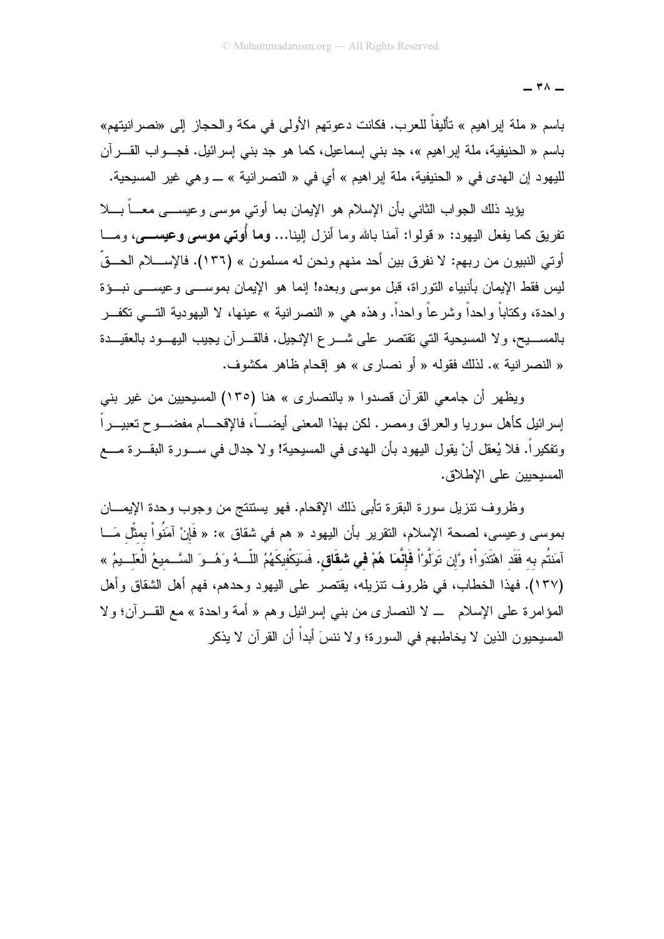باسم « ملة إبراهيم » تأليفاً للعرب. فكانت دعوتهم الأولى في مكة والحجاز إلى «نصرانيتهم» باسم « الحنيفية، ملة إبر اهيم »، جد بني إسماعيل، كما هو جد بني إسر ائيل. فجـــو اب القــــر آن لليهود إن الهدى في « الحنيفية، ملة إبراهيم » أي في « النصر انية » ـــ و هي غير المسيحية.

بؤيد ذلك الجواب الثاني بأن الإسلام هو الإبمان بما أوتي موسى وعبســـى معـــاً بـــلا نفريق كما يفعل اليهود: « قولوا: أمنا بالله وما أنزل إلينا… **وما أُوتى موسى وعيســــى**، ومـــا أو تبي النبيو ن من ربهم: لا نفر ق بين أحد منهم و نحن له مسلمو ن » (١٣٦). فالإســــلام الحـــقّ ليس فقط الإيمان بأنبياء النور اة، قبل موسى وبعده! إنما هو الإيمان بموســـى و عيســـى نبـــوْة واحدة، وكتاباً واحداً وشرعاً واحداً. وهذه هي « النصرانية » عينها، لا اليهودية النــــي تكفـــر بالمســــبيح، ولا المسبحية التي تقتصر على شــــرع الإنـجيل. فالقــــرآن يـجيب اليهـــود بالعقيـــدة « النصر انية ». لذلك فقوله « أو نصاري » هو إقحام ظاهر مكشوف.

ويظهر أن جامعي القرآن قصدوا « بالنصارى » هنا (١٣٥) المسيحيين من غير بني إسر ائيل كأهل سور يا والعر اق ومصر . لكن بهذا المعنى أيضــــاً، فالإقحـــام مفضـــو ح تعبيـــر اً ونفكيراً. فلا يُعقل أنْ يقول اليهود بأن الهدى في المسيحية! و لا جدال في ســـورة البقـــرة مــــع المسيحيين على الإطلاق.

وظروف نتزيل سورة البقرة نأبى ذلك الإقحام. فهو يستتنج من وجوب وحدة الإيمـــان بموسى وعيسى، لصحة الإسلام، النقرير بأن اليهود « هم في شقاق »: « فَإِنْ آمَنُواْ بِمثْل مَـــا آمَنتُم به فَقَد اهْتَدَواْ؛ وَّإِن تَوَلَّوْاْ **فَإِنَّمَا هُمْ في شقَاقٍ.** فَسَيَكْفِيكَهُمُ اللَّــهُ وَهُــوَ السَّــميعُ الْعَلــيمُ » (١٣٧). فهذا الخطاب، في ظروف نتزيله، يقتصر على اليهود وحدهم، فهم أهل الشقاق وأهل المؤامرة على الإسلام \_ لا النصارى من بني إسرائيل وهم « أمة واحدة » مع القــــرآن؛ ولا المسيحيون الذين لا يخاطبهم في السورة؛ و لا ننسَ أبداً أن القرآن لا يذكر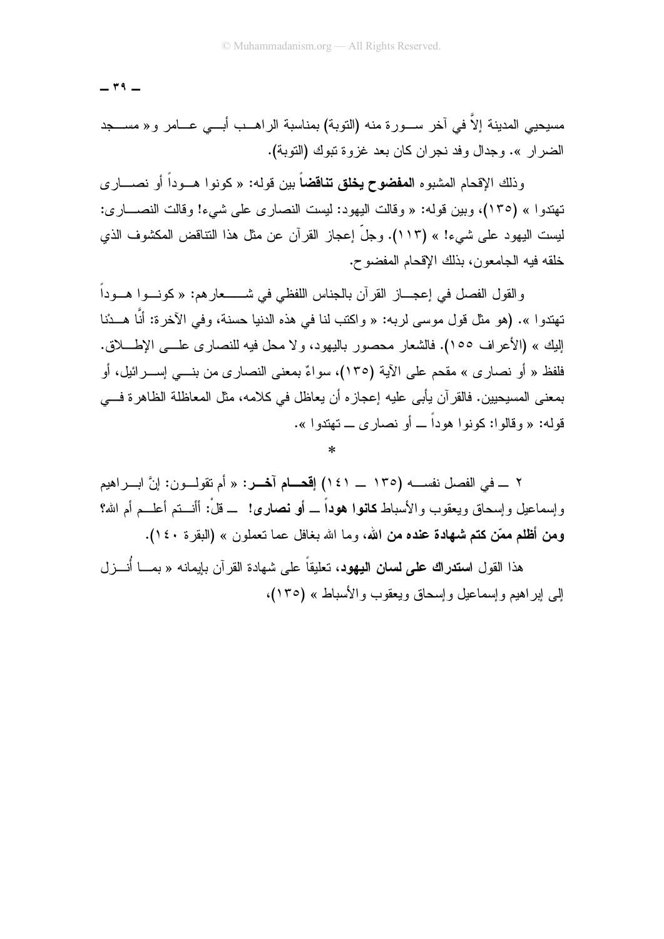$-$  ۳۹  $-$ 

مسيحيى المدينة إلاّ في آخر ســـورة منه (التوبة) بمناسبة الراهـــب أبـــي عــــامر و« مســـجد الضرار ». وجدال وفد نجران كان بعد غزوة تبوك (التوبة).

وذلك الإقحام المشبوه ا**لمفضوح يخلق تناقضاً** بين قوله: « كونوا هــوداً أو نصـــار ي تهتدو لـ » (١٣٥)، وبين قوله: « وقالت البهود: لبست النصار ي علي شيء! وقالت النصـــار ي: ليست اليهود على شيء! » (١١٣). وجلَّ إعجاز القرآن عن مثل هذا التناقض المكشوف الذي خلقه فيه الجامعون، بذلك الإقحام المفضوح.

والقول الفصل في إعجـــاز القرآن بالجناس اللفظي في شـــــــعارهم: « كونـــوا هـــوداً تهتدوا ». (هو مثل قول موسى لربه: « واكتب لنا في هذه الدنيا حسنة، وفي الآخرة: أنَّا هـــدْنا الِبِكِ » (الأعر اف ١٥٥). فالشعار محصور باليهود، ولا محل فيه للنصار ي علـــ الإطــــلاق. فلفظ « أو نصار ي » مقحم على الآية (١٣٥)، سواءٌ بمعنى النصار ي من بنــــى إســـر ائيل، أو بمعنى المسيحيين. فالقر آن يأبي عليه إعجاز ه أن يعاظل في كلامه، مثل المعاظلة الظاهر ة فـــي قوله: « وقالوا: كونوا هوداً ــ أو نصار ي ــ تهتدوا ».

٢ ــــ في الفصل نفســــه (١٣٥ ــــ ١٤١) إ**قحــــام آخــــر:** « أم تقولــــون: إنَّ ابــــراهيم وإسماعيل وإسحاق ويعقوب والأسباط **كانوا هوداً \_ أو نصاري!** \_ قلْ: أأنـــتم أعلـــم أم الله؟ ومن أظلم ممّن كتم شهادة عنده من الله، وما الله بغافل عما نعملون » (البقرة ١٤٠).

هذا القول ا**ستدراك على لسان اليهود،** تعليقاً على شهادة القر آن بإيمانه « بمـــا أنـــز ل إلى إبر اهيم وإسماعيل وإسحاق ويعقوب والأسباط » (١٣٥)،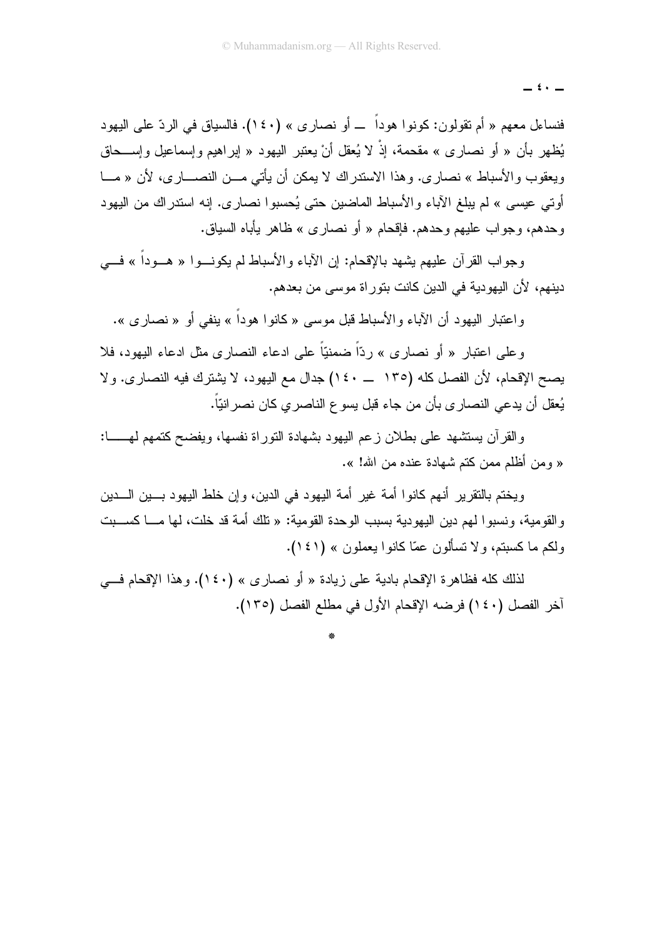فنساءل معهم « أم نقولون: كونوا هوداً ـــ أو نصارى » (١٤٠). فالسياق في الردّ على اليهود يُظهر بأن « أو نصاري » مقحمة، إذْ لا يُعقل أنْ يعتبر اليهود « إبراهيم وإسماعيل وإســحاق ويعقوب والأسباط » نصار ي. و هذا الاستدر اك لا يمكن أن يأتي مـــن النصــــار ي، لأن « مـــا أو تبي عبسي » لم ببلغ الآباء و الأسباط الماضين حتى بُحسبو ا نصار ي. إنه استدر اك من البهو د و حدهم، و جو اب عليهم و حدهم. فإقحام « أو نصار ي » ظاهر بيأباه السياق.

وجواب القر آن عليهم بشهد بالإقحام: إن الآباء و الأسباط لم يكونـــوا « هـــوداً » فــــى دينهم، لأن اليهودية في الدين كانت بتوراة موسى من بعدهم.

و اعتبار اليهود أن الآباء و الأسباط قبل موسى « كانو ا هوداً » ينفي أو « نصار ي ».

و علي اعتبار « أو نصار ي » ردّاً ضمنيّاً علي ادعاء النصار ي مثل ادعاء اليهود، فلا يصح الإقحام، لأن الفصل كله (١٣٥ \_ ١٤٠) جدال مع اليهود، لا يشترك فيه النصاري. ولا يُعقل أن يدعى النصار ي بأن من جاء قبل يسو ع الناصر ي كان نصر انيّاً.

والقرآن يستشهد على بطلان زعم اليهود بشهادة التوراة نفسها، ويفضح كتمهم لمهــــا: « ومن أظلم ممن كتم شهادة عنده من الله! ».

ويختم بالنقرير أنهم كانوا أمة غير أمة اليهود في الدين، وإن خلط اليهود بـــين الــــدين والقومية، ونسبوا لهم دين اليهودية بسبب الوحدة القومية: « تلك أمة قد خلت، لها مــــا كســـبت ولكم ما كسبتم، ولا تسألون عمّا كانوا بعملون » (١٤١).

لذلك كله فظاهرة الإقحام بادية على زيادة « أو نصارى » (١٤٠). وهذا الإقحام فـــي آخر الفصل (١٤٠) فرضه الإقحام الأول في مطلع الفصل (١٣٥).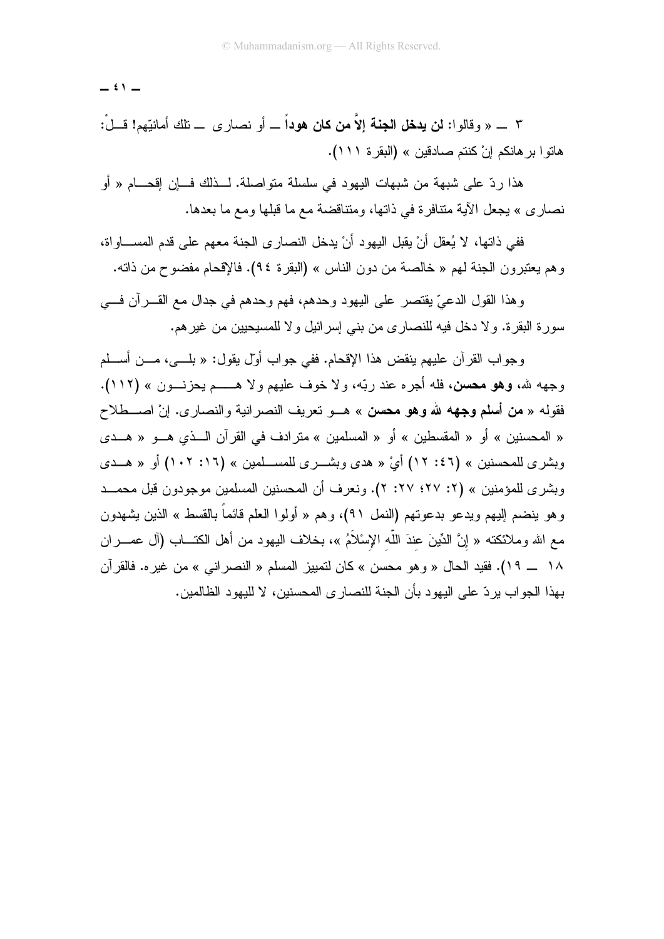$\stackrel{\frown}{\cdot}$   $-$ 

٣ \_ « وقالوا: **نن يدخل الجنة إلاّ من كان هوداً** \_ أو نصارى \_ نلك أمانيّهم! قـــلْ: هاتوا بر هانكم إنْ كنتم صادقين » (البقرة ١١١).

هذا ردِّ على شبهة من شبهات اليهود في سلسلة متواصلة. لــذلك فـــان إقـحـــام « أو نصاري » يجعل الأية متتافرة في ذاتها، ومتتاقضة مع ما قبلها ومع ما بعدها.

ففي ذاتها، لا يُعقل أنْ بقبل البهود أنْ بدخل النصار ي الجنة معهم على قدم المســـاو اة، وهم يعتبرون الجنة لهم « خالصة من دون الناس » (البقرة ٩٤). فالإقحام مفضوح من ذاته.

وهذا القول الدعيِّ يقتصر على اليهود وحدهم، فهم وحدهم في جدال مع القــــرآن فــــي سورة البقرة. ولا دخل فيه للنصار ي من بني إسرائيل ولا للمسيحيين من غير هم.

وجو اب القر آن عليهم بنقض هذا الإقحام. ففي جو اب أولِّ بقول: « بلَّـــي، مـــن أســـلم وجهه لله، وهو محسن، فله أجره عند ربّه، ولا خوف عليهم ولا هــــم يحزنـــون » (١١٢). فقوله « **من أسلم وجهه لله وهو محسن** » هـــو تعريف النصر انية والنصار ي. إنْ اصــــطلاح « المحسنين » أو « المقسطين » أو « المسلمين » مترادف في القرآن الــذي هــو « هــدي وبشرى للمحسنين » (٤٦: ١٢) أيْ « هدى وبشـــرى للمســـلمين » (١٠٢: ١٠٢) أو « هـــدى وبشرى للمؤمنين » (٢: ٢٧؛ ٢٧: ٢). ونعرف أن المحسنين المسلمين موجودون قبل محمــد وهو ينضم إليهم ويدعو بدعوتهم (النمل ٩١)، وهم « أولوا العلم قائماً بالقسط » الذين يشهدون مع الله وملائكته « إنَّ الدِّينَ عندَ اللَّه الإسْلاَمُ »، بخلاف اليهود من أهل الكتـــاب (آل عصـــران ١٨ \_\_ ١٩). فقيد الحال « و هو محسن » كان لتمييز المسلم « النصر اني » من غير ه. فالقر آن بهذا الجو اب بر دّ علي البهود بأن الجنة للنصار ي المحسنين، لا للبهود الظالمين.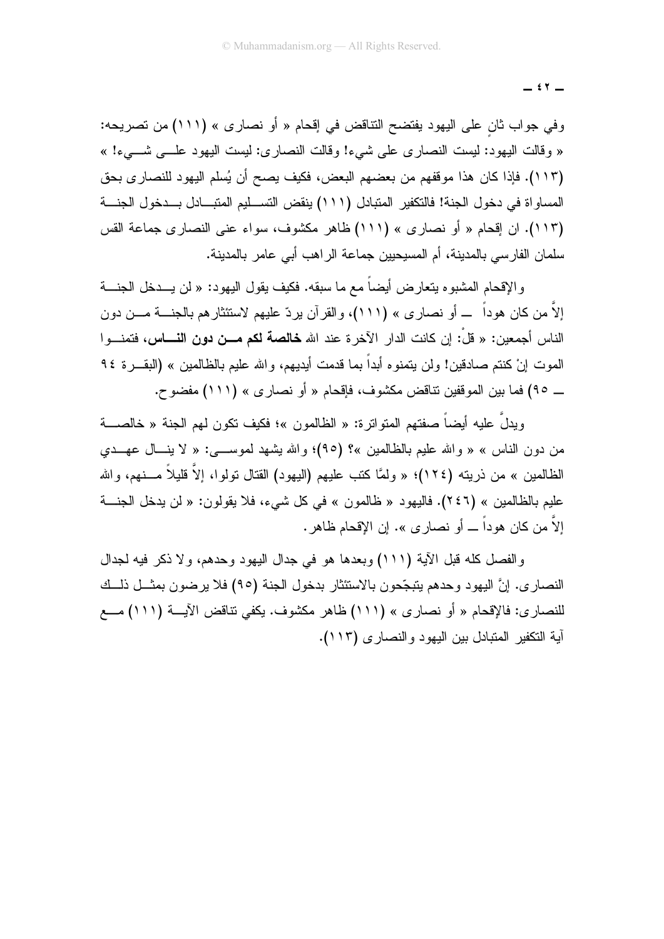$\mathfrak{c}$   $\mathfrak{r}$   $-$ 

وفي جواب ثان على اليهود يفتضح النتاقض في إقحام « أو نصارى » (١١١) من تصريحه: « وقالت اليهود: ليست النصاري على شيء! وقالت النصاري: ليست اليهود علـــي شـــيء! » (١١٣). فإذا كان هذا موقفهم من بعضهم البعض، فكيف يصح أن يُسلم اليهود للنصاري بحق المساواة في دخول الجنة! فالتكفير المتبادل (١١١) ينقض التســليم المتبــادل بــدخول الجنـــة (١١٣). ان إقحام « أو نصارى » (١١١) ظاهر مكشوف، سواء عنى النصارى جماعة القس سلمان الفارسي بالمدينة، أم المسيحيين جماعة الراهب أبي عامر بالمدينة.

و الإقحام المشبو ه يتعار ض أيضاً مع ما سبقه. فكيف يقول اليهو د: « لن يـــدخل الجنــــة إلاَّ من كان هوداً ـــ أو نصاري » (١١١)، والقرآن يردّ عليهم لاستئثارهم بالجنـــة مـــن دون الناس أجمعين: « قلْ: إن كانت الدار الآخرة عند الله **خالصة لكم مـــن دون النـــــاس،** فتمنــــوا الموت إنْ كنتم صادقين! ولن يتمنوه أبداً بما قدمت أيديهم، والله عليم بالظالمين » (البقـــرة ٩٤ \_ ٩٥) فما بين الموقفين نتاقض مكشوف، فإقحام « أو نصارى » (١١١) مفضوح.

وبدلٌ عليه أيضاً صفتهم المتواتر ة: « الظالمون »؛ فكيف تكون لهم الجنة « خالصــــة من دون الناس » « والله عليم بالظالمين »؟ (٩٥)؛ والله بشهد لموســـي: « لا ينـــال عهـــدي الظالمين » من ذريته (١٢٤)؛ « ولمَّا كتب عليهم (اليهود) القتال تولوا، إلاَّ قليلاً مـــنهم، والله عليم بالظالمين » (٢٤٦). فاليهود « ظالمون » في كل شيء، فلا يقولون: « لن يدخل الجنة إلاَّ من كان هوداً ـــ أو نصار ي ». إن الإقحام ظاهر .

والفصل كله قبل الآية (١١١) وبعدها هو في جدال اليهود وحدهم، ولا ذكر فيه لجدال النصاري. إنَّ اليهود وحدهم يتبجَّحون بالاستئثار بدخول الجنة (٩٥) فلا يرضون بمثـــل ذلـــك للنصاري: فالإقحام « أو نصاري » (١١١) ظاهر مكشوف. يكفي نتاقض الآيـــة (١١١) مـــع آية التكفير المتبادل بين اليهود والنصارى (١١٣).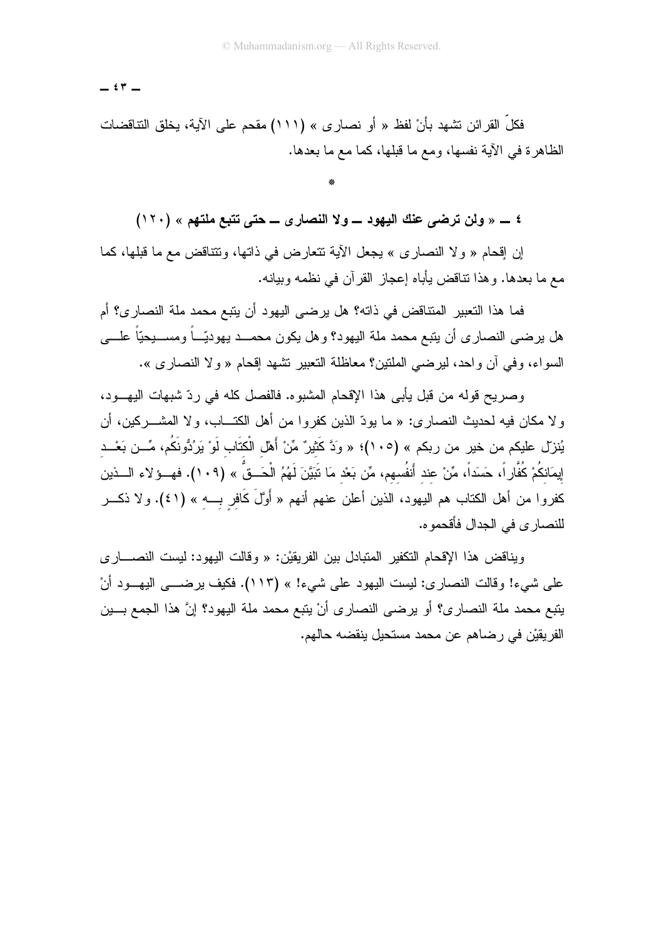$\epsilon$   $\tau$   $-$ 

فكلِّ القرائن تشهد بأنْ لفظ « أو نصارى » (١١١) مقحم على الآية، يخلق التناقضات الظاهرة في الآية نفسها، ومع ما قبلها، كما مع ما بعدها.

٤ \_ « ولن ترضى عنك اليهود \_ ولا النصارى \_ حتى تتبع ملتهم » (١٢٠)

إن إقحام « ولا النصاري » يجعل الآية نتعارض في ذاتها، ونتناقض مع ما قبلها، كما مع ما بعدها. وهذا نتاقض يأباه إعجاز القرآن في نظمه وبيانه.

فما هذا التعبير المتناقض في ذاته؟ هل يرضي اليهود أن يتبع محمد ملة النصار ي؟ أم هل يرضـي النصـار ي أن يتبع محمد ملة اليهود؟ وهل يكون محمـــد يهوديّـــاً ومســـيحيّاً علــــي السواء، وفي أن واحد، ليرضي الملتين؟ معاظلة التعبير نشهد إقحام « ولا النصاري ».

وصريح قوله من قبل يأبي هذا الإقحام المشبوه. فالفصل كله في ردّ شبهات اليهــود، و لا مكان فيه لحديث النصار ي: « ما يودّ الذين كفروا من أهل الكتـــاب، و لا المشــــركين، أن يُنزلّ عليكم من خير من ربكم » (١٠٥)؛ « وَدَّ كَثيرٌ مِّنْ أَهْل الْكتَاب لَوْ يَرِدُوْنَكُم، مِّــن بَعْــد إِيمَانكُمْ كُفَّارٍ اً، حَسَداً، مِّنْ عند أَنفُسهم، مِّن بَعْد مَا تَبَيَّنَ لَهُمُ الْحَــقُ » (١٠٩). فهــؤ لاء الـــذين كفروا من أهل الكتاب هم اليهود، الذين أعلن عنهم أنهم « أَوَّلَ كَافر بـــه » (٤١). ولا ذكـــر للنصار ي في الجدال فأقحمو ه.

ويناقض هذا الإقحام التكفير المتبادل بين الفريقيْن: « وقالت اليهود: ليست النصــــار ي على شيء! وقالت النصاري: ليست اليهود على شيء! » (١١٣). فكيف يرضـــي اليهــود أنْ يتبع محمد ملة النصاري؟ أو يرضى النصارى أنْ يتبع محمد ملة اليهود؟ إنَّ هذا الجمع بـــين الفريقيْن في رضاهم عن محمد مستحيل ينقضه حالهم.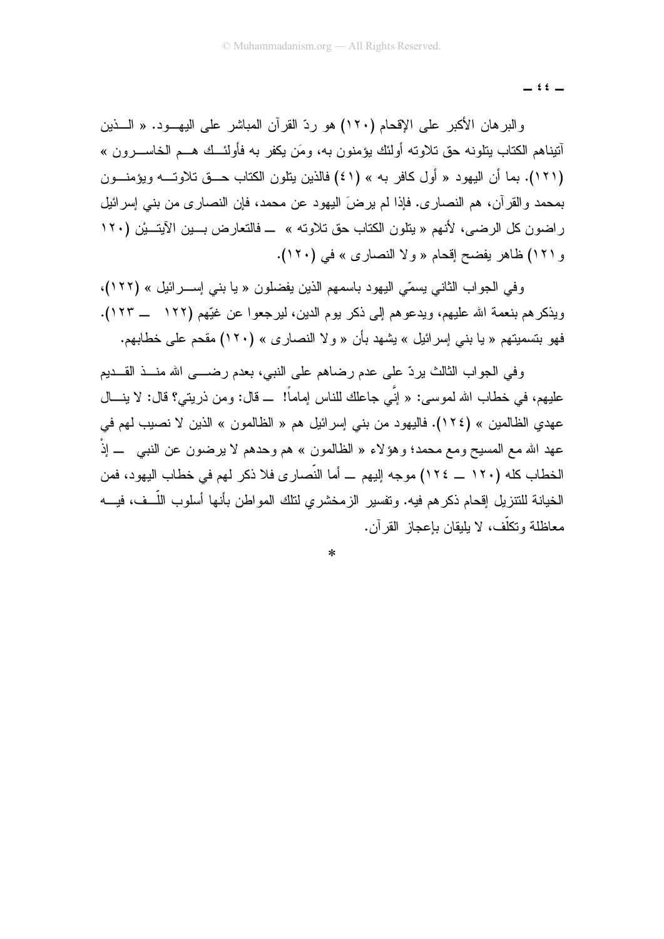$i i -$ 

والبرهان الأكبر على الإقحام (١٢٠) هو ردّ القرآن المباشر على اليهــود. « الـــذين أنيناهم الكتاب بنلونه حق تلاوته أولئك بؤمنون به، ومَن بكفر به فأولئــك هـــم الخاســـرون » (١٢١). بما أن اليهود « أول كافر به » (٤١) فالذين يتلون الكتاب حـــق تلاوتـــه ويؤمنــون بمحمد و القر آن، هم النصار ي. فإذا لم بر ضَ البِهود عن محمد، فإن النصار ي من بني إسر ائبِل راضون كل الرضي، لأنهم « يتلون الكتاب حق تلاوته » ــ فالتعارض بـــين الآيتـــيْن (١٢٠ و ١٢١) ظاهر يفضح إقحام « ولا النصاري » في (١٢٠).

و في الجو اب الثاني بسمّى اليهو د باسمهم الذين يفضلون « يا بني إســـر ائيل » (١٢٢)، ويذكر هم بنعمة الله عليهم، ويدعو هم إلى ذكر يوم الدين، ليرجعوا عن غيِّهم (١٢٢ \_\_ ١٢٣). فهو بتسميتهم « يا بني إسرائيل » بشهد بأن « و لا النصار ي » (١٢٠) مقحم على خطابهم.

وفي الجواب الثالث بردِّ على عدم رضاهم على النبي، بعدم رضـــي الله منــذ القــديم عليهم، في خطاب الله لموسى: « إِنِّي جاعلك للناس إماماً! ــ قال: ومن ذريتي؟ قال: لا ينـــال عهدي الظالمين » (١٢٤). فاليهود من بني إسرائيل هم « الظالمون » الذين لا نصيب لهم في عهد الله مع المسيح ومع محمد؛ وهؤ لاء « الظالمون » هم وحدهم لا يرضون عن النبـي ـــ إذْ الخطاب كله (١٢٠ \_ ١٢٤) موجه إليهم \_ أما النِّصارى فلا ذكر لهم في خطاب اليهود، فمن الخيانة للنتزيل إقحام ذكرهم فيه. ونفسير الزمخشري لنتلك المواطن بأنها أسلوب اللَّــف، فيــــه معاظلة ونكلَّف، لا يليقان بإعجاز القرآن.

 $\ast$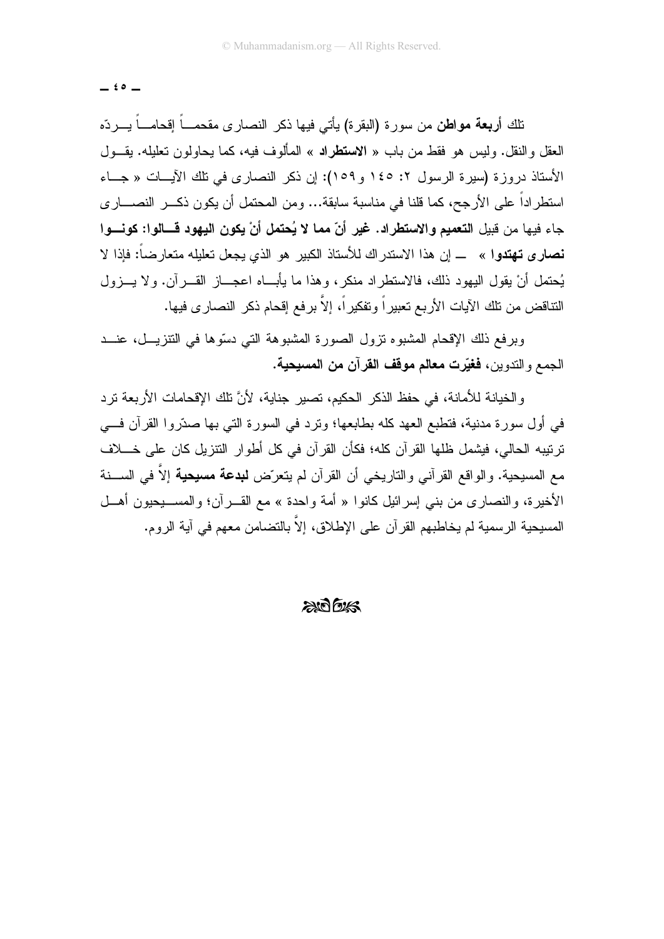$\stackrel{\frown}{ }$   $\stackrel{\frown}{ }$ 

نلك أ**ربعة مواطن** من سورة (البقرة) يأتى فيها ذكر النصارى مقحمـــاً إقحامـــاً يــــردّه العقل والنقل. وليس هو فقط من باب « الاستطراد » المألوف فيه، كما يحاولون تعليله. يقــول الأستاذ دروزة (سيرة الرسول ٢: ١٤٥ و ١٥٩): إن ذكر النصارى في تلك الآيـــات « جـــاء استطر اداً على الأرجح، كما قلنا في مناسبة سابقة... ومن المحتمل أن يكون ذكـــر النصــــار ي جاء فيها من قبيل التعميم والاستطراد. غير أنّ مما لا يُحتمل أنْ يكون اليهود قـــالوا: كونـــوا نصارى تهتدوا » ــــ إن هذا الاستدراك للأستاذ الكبير هو الذي يجعل تعليله متعارضاً: فإذا لا يُحتمل أنْ يقول اليهود ذلك، فالاستطراد منكر، وهذا ما يأبـــاه اعجـــاز القــــرآن. ولا يـــزول النتاقض من نلك الأيات الأربع تعبيراً ونفكيراً، إلاَّ برفع إقحام ذكر النصارى فيها.

وبر فع ذلك الإقحام المشبوء نزول الصورة المشبوهة التي دسّوها في النتزيـــل، عنـــد الجمع و الندوين، **فغيّرت معالم موقف القر**آن **من المسيحية.** 

و الخبانة للأمانة، في حفظ الذكر الحكيم، تصبر جنابة، لأنَّ تلك الإقحامات الأربعة تر د في أول سورة مدنية، فتطبع العهد كله بطابعها؛ ونرد في السورة التي بها صدَّروا القرآن فـــي ترنيبه الحالي، فيشمل ظلها القرآن كله؛ فكأن القرآن في كل أطوار النتزيل كان على خــــلاف مع المسيحية. والواقع القرآني والتاريخي أن القرآن لم يتعرّض **لبدعة مسيحية** إلاَّ في الســـنة الأخيرة، والنصاري من بنبي إسرائيل كانوا « أمة واحدة » مع القــــرآن؛ والمســــيحيون أهـــل المسيحية الرسمية لم يخاطبهم القرآن على الإطلاق، إلاّ بالتضامن معهم في آية الروم.

 $2007/525$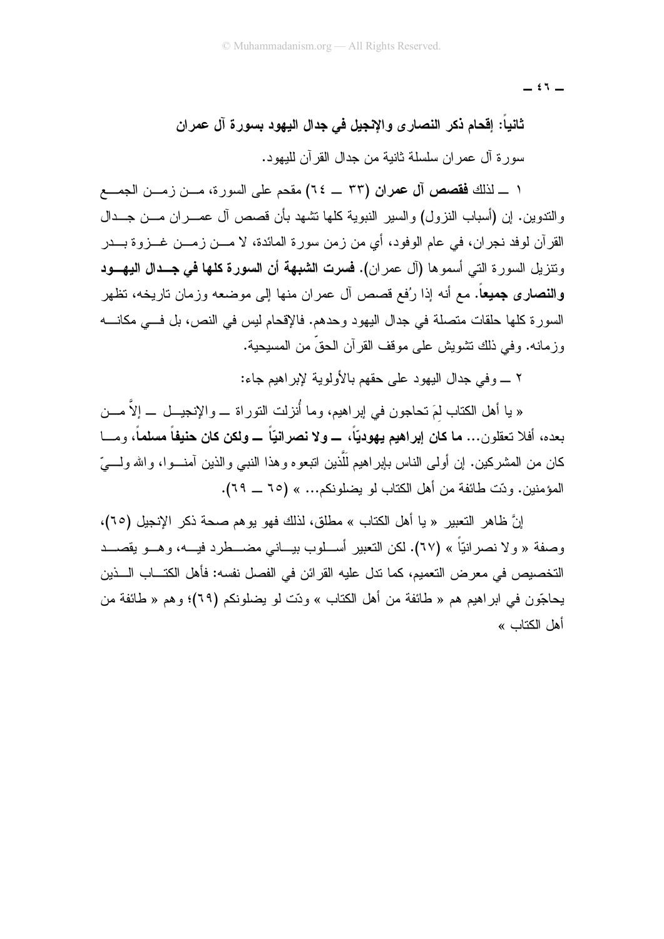$=$   $\mathfrak{t}$   $\mathfrak{t}$   $-$ 

ثانيا: إقحام ذكر النصار ى والإنجيل فى جدال اليهود بسورة آل عمران سور ة آل عمر ان سلسلة ثانية من جدال القر آن لليهود.

١ \_ لذلك فقصص آل عمران (٣٣ \_ ٦٤) مقحم على السورة، مـــن زمـــن الجمـــع والندوين. إن (أسباب النزول) والسير النبوية كلها نشهد بأن قصص آل عمـــران مـــن جـــدال القرآن لوفد نجران، في عام الوفود، أي من زمن سورة المائدة، لا مـــن زمـــن غـــزوة بـــدر ونتزيل السورة التي أسموها (آل عمران). فسرت الشبهة أن السورة كلها في جــدال اليهـــود **والنصارى جميعاً.** مع أنه إذا رُفع قصص آل عمران منها إلى موضعه وزمان تاريخه، تظهر السورة كلها حلقات متصلة في جدال اليهود وحدهم. فالإقحام ليس في النص، بل فـــي مكانــــه وز مانه. وفي ذلك تشويش على موقف القرآن الحقِّ من المسبحبة.

٢ ـــ و في جدال البهو د علي حقهم بالأولوبة لإبر اهبم جاء:

« يا أهل الكتاب لمَ تحاجون في ابر اهيم، وما أُنزلت التور اة ـــ و الإنجيـــل ــــ إلاَّ مـــن بعده، أفلا تعقلون… ما كان إبراهيم يهوديّاً، ــــ ولا نصر انيّاً ــــ ولكن كان حنيفاً مسلماً، ومــــا كان من المشركين. إن أولى الناس بإبراهيم للَّذين انبعوه وهذا النبـي والذين آمنـــوا، والله ولــــيّ المؤمنين. ودّت طائفة من أهل الكتاب لو بضلو نكم... » (٦٥ \_\_ ٦٩).

إنَّ ظاهر التعبير « يا أهل الكتاب » مطلق، لذلك فهو يوهم صحة ذكر الإنجيل (٦٥)، وصفة « و لا نصر انبّاً » (٦٧). لكن التعبير أســلوب بيــاني مضــطر د فيـــه، و هـــو بقصـــد التخصيص في معرض التعميم، كما ندل عليه القرائن في الفصل نفسه: فأهل الكتـــاب الـــذين يحاجّون في ابراهيم هم « طائفة من أهل الكتاب » ودّت لو يضلونكم (٦٩)؛ وهم « طائفة من أهل الكتاب »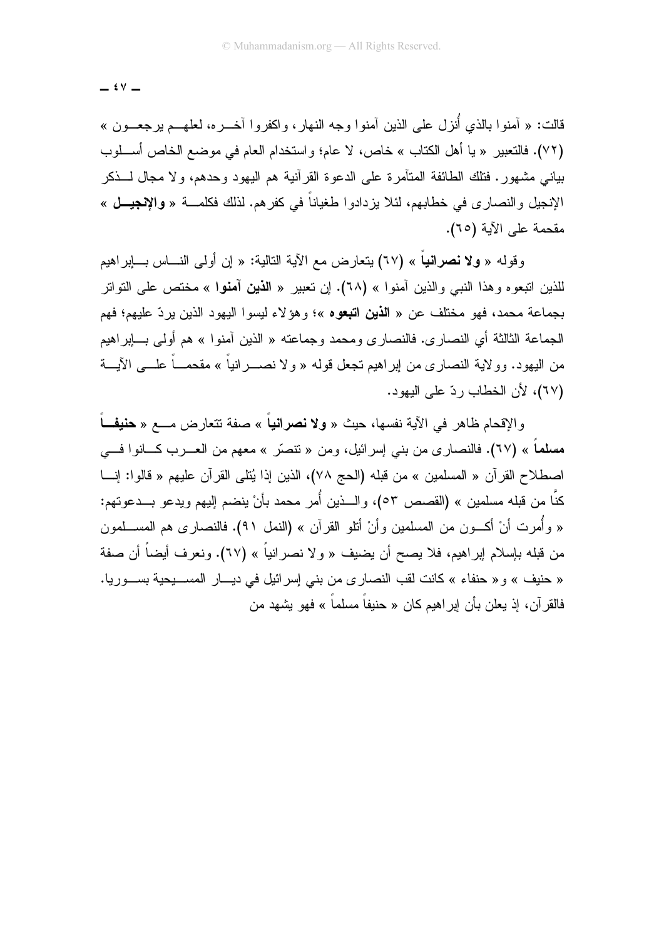$\mathfrak{t} \vee -$ 

قالت: « آمنوا بالذي أُنزل على الذين آمنوا وجه النهار، واكفروا آخـــره، لعلهـــم ب<u>رجع</u>ـــون » (٧٢). فالتعبير « يا أهل الكتاب » خاص، لا عام؛ واستخدام العام في موضع الخاص أسـلوب بياني مشهور . فتلك الطائفة المتآمر ة على الدعو ة القر آنية هم اليهود وحدهم، و لا مجال لـــذكر الإنجيل و النصار ي في خطابهم، لئلا بز دادو ا طغياناً في كفر هم. لذلك فكلمــــة « و الإنجيــــل » مقحمة على الآبة (٦٥).

وقوله « ولا نصرانياً » (٦٧) بِتعارِ ض مع الآية التالية: « إن أولى النـــاس بـــابر اهيم للذين اتبعو ه و هذا النبي والذين آمنو ا » (٦٨). إن تعبير « ا**لذين آمنو**ا » مختص على التواتر بجماعة محمد، فهو مختلف عن « ا**لذين اتبع**وه »؛ وهوَ لاء لبسوا البهود الذين بردّ علبهم؛ فهم الجماعة الثالثة أي النصار ي. فالنصار ي ومحمد وجماعته « الذين آمنو ا » هم أولى بـــابر اهيم من البهود. وو لابة النصار ي من ابر اهبم تجعل قوله « و لا نصــــر انباً » مقحمـــاً علــــى الآبـــة (٦٧)، لأن الخطاب ردّ على البهود.

والإقحام ظاهر في الآية نفسها، حيث « **ولا نصراني**اً » صفة تتعارض مــــع « **حنيفـــ**اً مسلماً » (٦٧). فالنصارى من بنى إسرائيل، ومن « نتصَّر » معهم من العــــرب كــــانوا فــــى اصطلاح القرآن « المسلمين » من قبله (الحج ٧٨)، الذين إذا يُتلى القرآن عليهم « قالوا: إنـــا كنَّا من قبله مسلمين » (القصص ٥٣)، والـــذين أُمر محمد بأنْ ينضم إليهم ويدعو بـــدعوتهم: « وأُمرت أنْ أكـــون من المسلمين وأنْ أتلو القرآن » (النمل ٩١). فالنصـار ى هم المســـلمون من قبله بإسلام إبراهيم، فلا يصح أن يضيف « ولا نصرانياً » (٦٧). ونعرف أيضاً أن صفة « حنيف » و « حنفاء » كانت لقب النصارى من بنى إسرائيل فى ديــار المســـبحية بســـوريا. فالقر آن، إذ يعلن بأن إبر اهيم كان « حنيفاً مسلماً » فهو يشهد من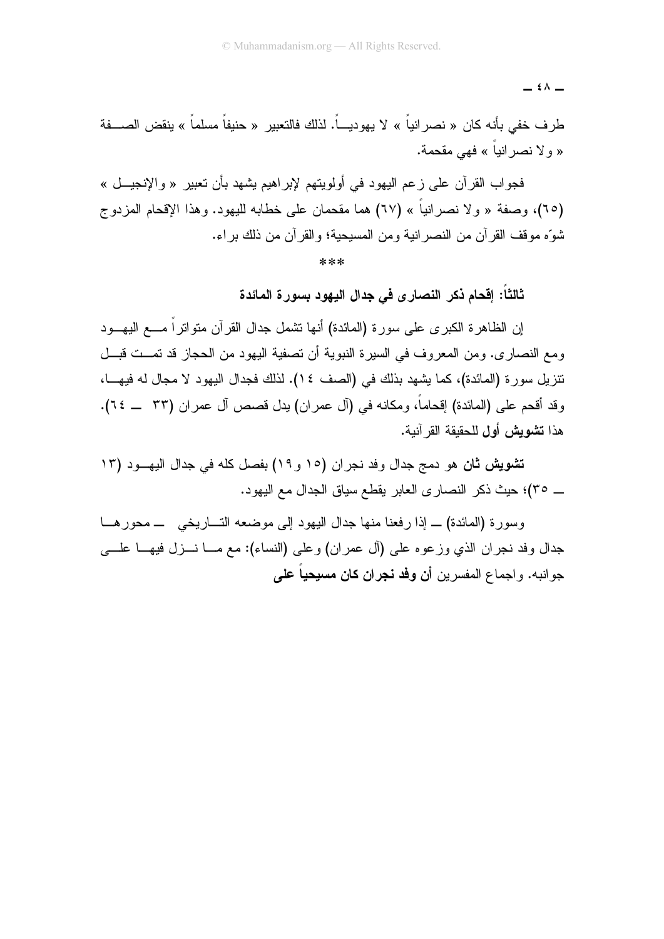= {^ -

طرف خفي بأنه كان « نصر انياً » لا يهوديـــاً. لذلك فالتعبير « حنيفاً مسلماً » ينقض الصـــفة « و لا نصر انباً » فهي مقحمة.

فجو اب القر آن علي ز عم البهو د في أولو بتهم لإبر اهبم بشهد بأن تعبير « والإنجيـــل » (٦٥)، وصفة « و لا نصر انباً » (٦٧) هما مقحمان على خطابه للبهود. و هذا الإقحام المز دو ج شوِّه موقف القرآن من النصر انية ومن المسيحية؛ والقرآن من ذلك براء.

 $* * *$ 

ثالثاً: إقحام ذكر النصارى في جدال اليهود بسورة المائدة

إن الظاهرة الكبرى على سورة (المائدة) أنها نشمل جدال القرآن منواتراً مــــع اليهـــود ومع النصاري. ومن المعروف في السيرة النبوية أن نصفية اليهود من الحجاز قد نمــت قبــل نتزيل سورة (المائدة)، كما يشهد بذلك في (الصف ١٤). لذلك فجدال اليهود لا مجال له فيهـــا، وقد أقحم على (المائدة) إقحاماً، ومكانه في (آل عمران) يدل قصص آل عمران (٣٣ \_ ٢٤). هذا **تشويش أول** للحقيقة القر آنية.

تشويش ثان هو دمج جدال وفد نجران (١٥ و ١٩) بفصل كله في جدال اليهـــود (١٣ \_ ٣٥)؛ حيث ذكر النصارى العابر يقطع سياق الجدال مع اليهود.

وسورة (المائدة) \_ إذا رفعنا منها جدال اليهود إلى موضعه التساريخي ـــ محور هـــا جدال وفد نجران الذي وزعوه على (أل عمران) وعلى (النساء): مع مـــا نـــزل فيهـــا علــــي جو انبه. و اجماع المفسر بن أ**ن وفد نجران كان مسيحياً على**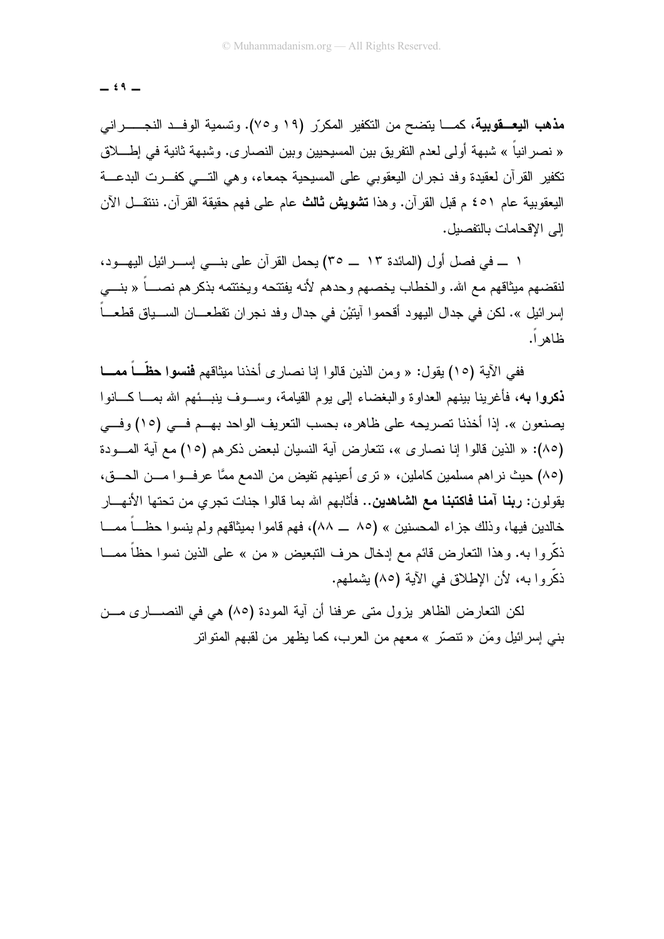$\stackrel{\frown}{\ }$   $\stackrel{\frown}{\ }$ 

**مذهب اليعــقوبية**، كمـــا يتضـح من التكفير المكرّر (١٩ و ٧٥). وتسمية الوفــد النجــــــراني « نصر انياً » شبهة أولى لعدم التفريق بين المسيحيين وبين النصارى. وشبهة ثانية في إطــــلاق تكفير القرآن لعقيدة وفد نجران اليعقوبي على المسيحية جمعاء، وهي التسي كفـــرت البدعـــة البعقوبية عام ٤٥١ م قبل القرآن. وهذا **تشويش ثالث** عام على فهم حقيقة القرآن. ننتقــل الآن الى الاقحامات بالتفصيل.

١ ـــ في فصل أول (المائدة ١٣ ـــ ٣٥) بحمل القر آن على بنـــي إســـر ائبل البهــود، لنقضهم مبثاقهم مع الله. والخطاب يخصهم و حدهم لأنه بفتتحه ويختتمه بذكر هم نصباً « بنــــى إسر ائيل ». لكن في جدال اليهود أقحموا آيتيْن في جدال وفد نجر ان تقطعـــان الســـياق قطعـــاً ظاهر أ.

ففي الآية (١٥) يقول: « ومن الذين قالوا إنا نصار ي أخذنا ميثاقهم **فنسوا حظَّــاً ممـــا ذكروا به،** فأغربنا بينهم العداوة والبغضاء إلى يوم القيامة، وســوف بنبـــئهم الله بمـــا كـــانوا يصنعون ». إذا أخذنا تصريحه على ظاهر ه، بحسب التعريف الواحد بهــم فـــى (١٥) وفـــى (٨٥): « الذين قالوا إنا نصار ي »، تتعارض آية النسيان لبعض ذكر هم (١٥) مع آية المسودة (٨٥) حيث نراهم مسلمين كاملين، « ترى أعينهم تفيض من الدمع ممَّا عرف وا مـــن الحـــق، يقولون: **ربنا آمنا فاكتبنا مع الشاهدين..** فأثابهم الله بما قالوا جنات تجري من تحتها الأنهـــار خالدين فيها، و ذلك جزاء المحسنين » (٨٥ \_\_ ٨٨)، فهم قامو ا بميثاقهم ولم ينسو ا حظـــاً ممـــا ذكَّروا به. وهذا النعارض قائم مع إدخال حرف النبعيض « من » على الذين نسوا حظا ممـــا ذكَّر وا به، لأن الإطلاق في الآية (٨٥) يشملهم.

لكن التعارض الظاهر يزول متى عرفنا أن آية المودة (٨٥) هي في النصــــاري مـــن بني إسرائيل ومَن « تتصَّر » معهم من العرب، كما يظهر من لقبهم المتواتر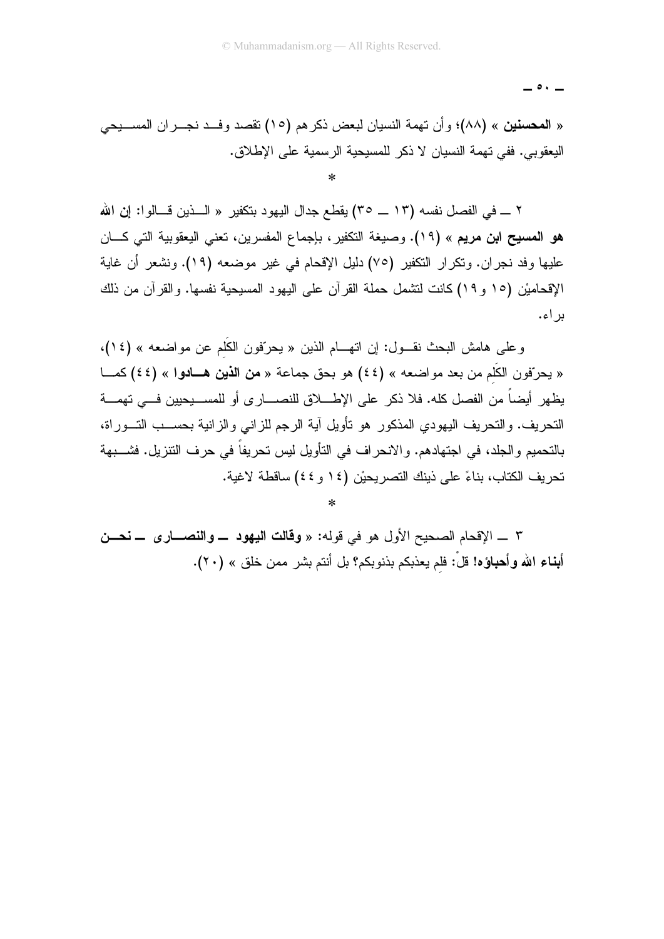$\circ$   $\cdot$   $-$ 

« المحسنين » (٨٨)؛ وأن تهمة النسيان لبعض ذكر هم (١٥) تقصد وفــد نجـــران المســـيحي البعقوبي. ففي تهمة النسيان لا ذكر للمسبحية الرسمية على الإطلاق.

٢ ـــ في الفصل نفسه (١٣ ـــ ٣٥) يقطع جدال اليهود بتكفير « الـــذين قـــالوا: إن الله هو المسيح ابن مريع » (١٩). وصيغة التكفير ، بإجماع المفسرين، تعني اليعقوبية التي كـــان عليها وفد نجران. ونكرار النكفير (٧٥) دليل الإقحام في غير موضعه (١٩). ونشعر أن غاية الإقحاميْن (١٥ و ١٩) كانت لنتثمل حملة القرآن على اليهود المسيحية نفسها. والقرآن من ذلك بر اء.

وعلى هامش البحث نقـــول: إن اتهـــام الذين « يحرّفون الكَلْم عن مواضعه » (١٤)، « يحرّفون الكَلّم من بعد مواضعه » (٤٤) هو بحق جماعة « من الذين هـادوا » (٤٤) كمــا يظهر أيضاً من الفصل كله. فلا ذكر على الإطــــلاق للنصـــــار ى أو للمســـبحبين فـــى تهمــــة التحريف. والتحريف اليهودي المذكور هو تأويل أية الرجم للزاني والزانية بحســب التـــوراة، بالتحميم والجلد، في اجتهادهم. والانحراف في التأويل ليس تحريفاً في حرف التتزيل. فشـــبهة تحريف الكتاب، بناءً على ذينك التصريحيْن (١٤ و ٤٤) ساقطة لاغية.

٣ \_ الإقحام الصحيح الأول هو في قوله: « **وقالت اليهود \_ والنصـــار ي \_ نحـــن** أبناء الله وأهباؤه! قلْ: فلم يعذبكم بذنوبكم؟ بل أنتم بشر ممن خلق » (٢٠).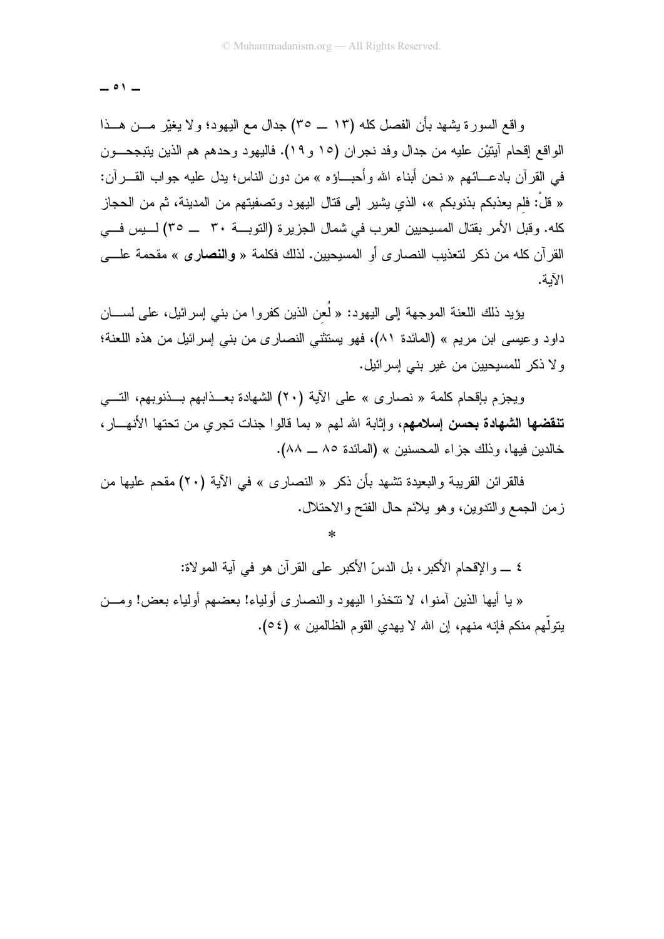$$
\_ \circ \iota \_
$$

واقع السورة بِشهد بأن الفصل كله (١٣ ــ ٣٥) جدال مع اليهود؛ ولا يغيَّر مـــن هـــذا الو اقع إقحام آيتيْن عليه من جدال وفد نجر إن (١٥ و ١٩). فاليهو د وحدهم هم الذين يتبجحـــون في القرآن بادعـــائـهم « نـحن أبنـاء الله وأحبـــاؤه » من دون النـاس؛ يدل عليه جواب القــــرآن: « قلْ: فلم يعذبكم بذنو بكم »، الذي يشير ٍ إلى قتال اليهو د و تصفيتهم من المدينة، ثم من الحجاز ِ كله. وقبل الأمر بقتال المسيحيين العرب في شمال الجزيرة (التوبـــة ٣٠ \_\_ ٣٥) لــــيس فـــي القرآن كله من ذكر لتعذيب النصارى أو المسيحيين. لذلك فكلمة « **والنصارى** » مقحمة علــــ*ى* الآبة.

يؤيد ذلك اللعنة الموجهة إلى اليهود: « لَعن الذين كفروا من بني إسرائيل، على لســـان داود وعيسى ابن مريم » (المائدة ٨١)، فهو يستثنى النصارى من بني إسرائيل من هذه اللعنة؛ و لا ذكر اللمسيحيين من غير بني إسر ائيل.

ويجزم باِقحام كلمة « نصارى » على الآية (٢٠) الشهادة بعــذابهم بــذنوبهم، النــــي **تنقضها الشهادة بحسن إسلامهم**، وإثابة الله لهم « بما قالوا جنات تجرى من تحتها الأنهـــار ، خالدين فيها، وذلك جزاء المحسنين » (المائدة ٨٥ ــ ٨٨).

فالقر ائن القر بيبة و البعيدة تشهد بأن ذكر « النصار ي » في الآية (٢٠) مقحم عليها من ز من الجمع والندوين، و هو يلائم حال الفتح و الاحتلال.

 $\star$ 

٤ \_ والإقحام الأكبر، بل الدسِّ الأكبر على القرآن هو في آية المو لاة: « يا أيها الذين أمنوا، لا نتخذوا اليهود والنصارى أولياء! بعضهم أولياء بعض! ومــن يتولَّهم منكم فإنه منهم، إن الله لا يهدي القوم الظالمين » (0 2).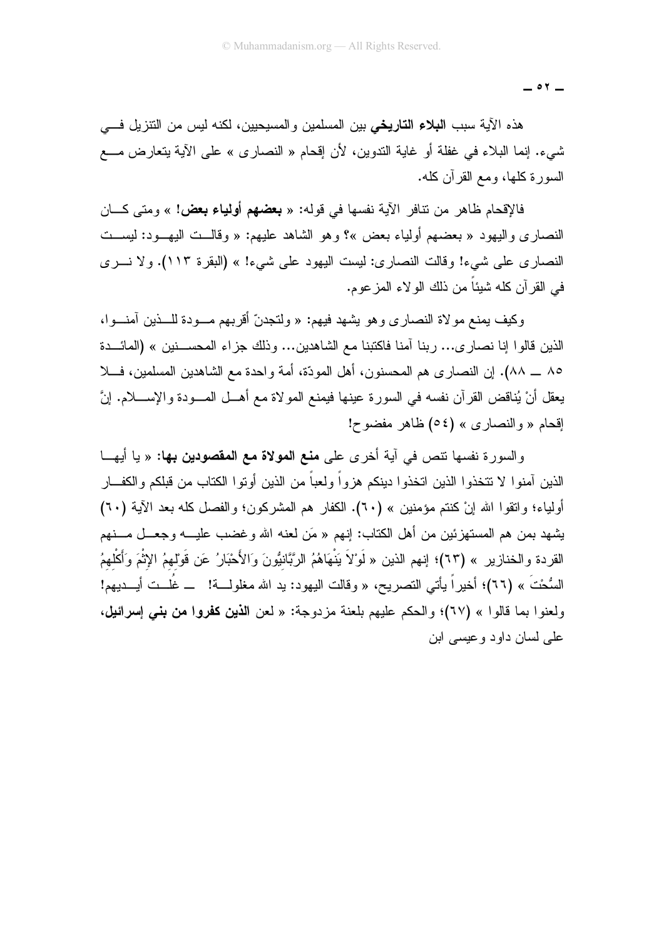$\circ$   $\tau$   $-$ 

هذه الأية سبب ا**لبلاء التاريخي** بين المسلمين والمسيحيين، لكنه ليس من النتزيل فـــي شيء. إنما البلاء في غفلة أو غاية التدوين، لأن إقحام « النصاري » على الآية بتعارض مــــع السور ة كلَّها، ومع القر أن كلُّه.

فالإقحام ظاهر من نتافر الأية نفسها في قوله: « **بعضهم أولياء بعض!** » ومتى كـــان النصاري واليهود « بعضهم أولياء بعض »؟ وهو الشاهد عليهم: « وقالــت اليهـــود: ليســت النصاري على شيء! وقالت النصاري: ليست اليهود على شيء! » (البقرة ١١٣). ولا نسري في القرآن كله شيئاً من ذلك الولاء المزعوم.

وكيف يمنع مو لاة النصار ي و هو يشهد فيهم: « ولتجدنَّ أقربهم مـــودة للـــذين آمنـــوا، الذين قالوا إنا نصار ي... ربنا آمنا فاكتبنا مع الشاهدين... وذلك جزاء المحســـنين » (المائـــدة ٨٥ ـــ ٨٨). إن النصار ي هم المحسنون، أهل المودَّة، أمة و احدة مع الشاهدين المسلمين، فـــلا يعقل أنْ يُناقض القرآن نفسه في السورة عينها فيمنع المولاة مع أهــل المـــودة والإســــلام. إنَّ اقحام « والنصار ي » (٥٤) ظاهر مفضوح!

والسورة نفسها نتص في آية أخرى على **منع المولاة مع المقصودين بها:** « يا أيهــا الذبن آمنو ا لا تتخذو ا الذبن اتخذو ا دبنكم هز و اً و لعباً من الذبن أو تو ا الكتاب من قبلكم و الكف\_ار أُولِياء؛ واتقوا الله إنْ كنتم مؤمنين » (٦٠). الكفار هم المشركون؛ والفصل كله بعد الآية (٦٠) يشهد بمن هم المستهزئين من أهل الكتاب: إنهم « مَن لعنه الله وغضب عليـــه وجعـــل مـــنهم القردة والخنازير » (٦٣)؛ إنهم الذين « لَوْلاَ يَنْهَاهُمُ الرَّبَّانيُّونَ وَالأَحْبَارُ عَن قَوْلهمُ الإثْمَ وَأَكْلهمُ السُّحْتَ » (٦٦)؛ أخيراً يأتي النصريح، « وقالت اليهود: يد الله مغلولـــة! ـــ غُلـــت أيــــديهم! ولعنوا بما قالوا » (٦٧)؛ والحكم عليهم بلعنة مزدوجة: « لعن ا**لذين كفروا من بني إسرائيل،** علي لسان داود و عيسى ابن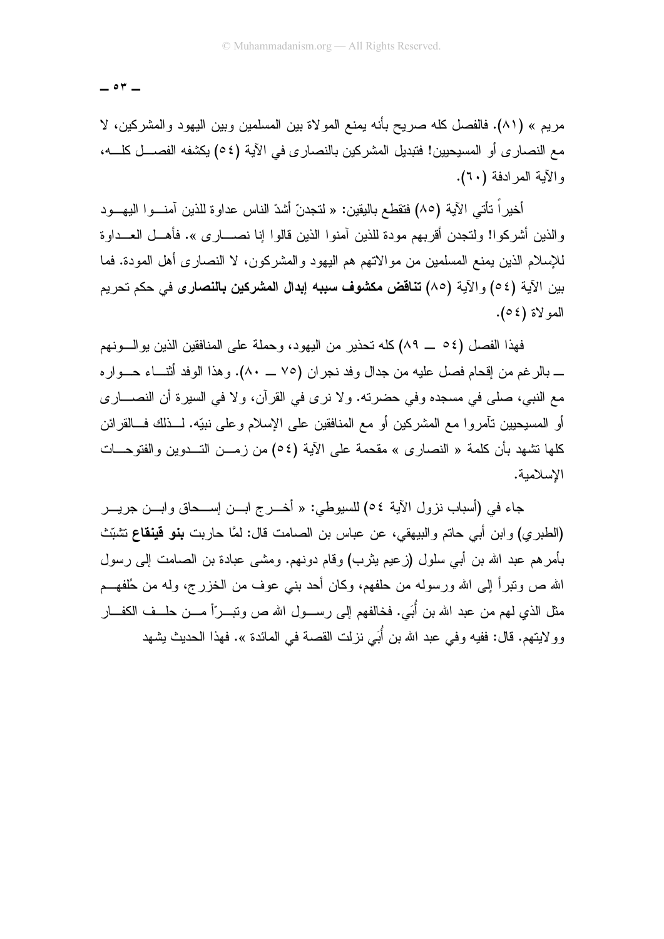$\circ$   $\tau$   $-$ 

مريع » (٨١). فالفصل كله صريح بأنه يمنع المولاة بين المسلمين وبين اليهود والمشركين، لا مع النصار ي أو المسيحيين! فتبديل المشركين بالنصار ي في الآية (٥٤) يكشفه الفصــــل كلــــه، و الآية المر ادفة (٦٠).

أخيراً تأتي الآية (٨٥) فتقطع باليقين: « لتجدنّ أشدّ الناس عداوة للذين آمنـــوا اليهـــود والذين أشركوا! ولتجدن أقربهم مودة للذين آمنوا الذين قالوا إنا نصــــارى ». فأهـــل العـــداوة للإسلام الذين يمنع المسلمين من مو الاتهم هم اليهود و المشركون، لا النصار ي أهل المودة. فما بين الآية (٥٤) والآية (٨٥) **تناقض مكشوف سببه إبدال المشركين بالنصارى** في حكم تحريم العو لاة (٥٤).

فهذا الفصل (٥٤ \_ ٨٩) كله تحذير من اليهود، وحملة على المنافقين الذين يوالسونهم ــ بالر غم من إقحام فصل عليه من جدال وفد نجر ان (٧٥ ـــ ٨٠). و هذا الوفد أثنـــاء حـــوار ه مع النبي، صلَّى في مسجده وفي حضرته. ولا نرى في القرآن، ولا في السيرة أن النصــــاري أو المسيحيين نأمروا مع المشركين أو مع المنافقين على الإسلام وعلى نبيّه. لـــذلك فــالقرائن كلُّها تشهد بأن كلمة « النصار ي » مقحمة على الآية (٥٤) من زمـــن التـــدوين والفتوحـــات الاسلامية.

جاء في (أسباب نزول الآية ٥٤) للسيوطي: « أخـــرج ابـــن إســـحاق وابـــن جريـــر (الطبري) وابن أبي حاتم والبيهقي، عن عباس بن الصامت قال: لمَّا حاربت **بنو قينقاع** تشبِّث بأمر هم عبد الله بن أبي سلول (زعيم يثرب) وقام دونهم. ومشى عبادة بن الصامت إلى رسول الله ص ونبراً إلى الله ورسوله من حلفهم، وكان أحد بنبي عوف من الخزر ج، وله من حُلفهــم مثل الذي لمهم من عبد الله بن أُبَي. فخالفهم إلى رســـول الله ص ونبـــرّأ مــــن حلـــف الكفـــار وو لايتهم. قال: ففيه وفي عبد الله بن أُبَي نزلت القصـة في المـائدة ». فـهذا الـحديث يشـهد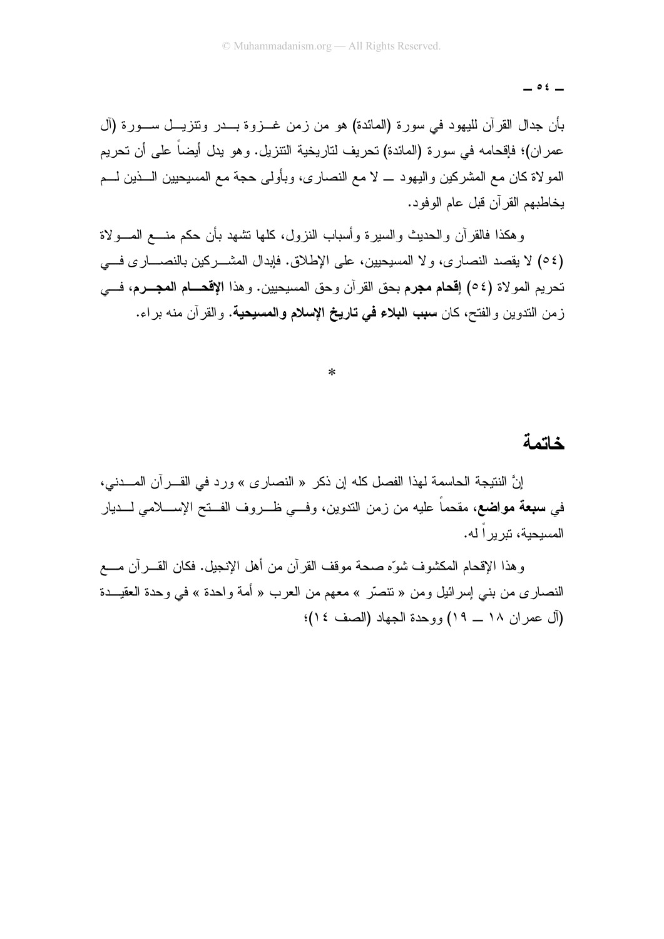$\circ$   $\epsilon$   $-$ 

بأن جدال القرآن لليهود في سورة (المائدة) هو من زمن غـــزوة بـــدر ونتزيـــل ســـورة (آل عمر إن)؛ فإقحامه في سور ة (المائدة) تحريف لتاريخية التتزيل. و هو يدل أيضاً على أن تحريم المولاة كان مع المشركين واليهود ــ لا مع النصاري، وبأولى حجة مع المسيحيين الـــذين لـــم بخاطبهم القر آن قبل عام الو فو د.

وهكذا فالقرأن والحديث والسبرة وأسباب النزول، كلها نشهد بأن حكم منسع المسولاة (٥٤) لا يقصد النصار ي، ولا المسيحيين، على الإطلاق. فإبدال المشـــر كين بالنصــــار ي فــــى تحريم المو لاة (٥٤) إ**قحام مجرم** بحق القر آن وحق المسيحيين. و هذا الإ**قحـــام المجـــرم،** فــــ*ي* زمن الندوين والفتح، كان **سبب البلاء في تاريخ الإسلام والمسيحية**. والقرآن منه براء.

 $\ast$ 

#### خاتمة

إنَّ النتيجة الحاسمة لهذا الفصل كله إن ذكر « النصارى » ورد في القـــر أن المـــدني، في **سبعة مواضع،** مقحماً عليه من زمن الندوين، وف<sub>سى</sub> ظــروف الفــنح الإســـلامي لـــديار المسبحبة، نبر بر اله.

وهذا الإقحام المكشوف شوَّه صحة موقف القرآن من أهل الإنجيل. فكان القــــرآن مـــــع النصاري من بني إسرائيل ومن « تنصَّر » معهم من العرب « أمة واحدة » في وحدة العقيـــدة (آل عمر إن ١٨ \_ ١٩) ووحدة الجهاد (الصف ١٤)؛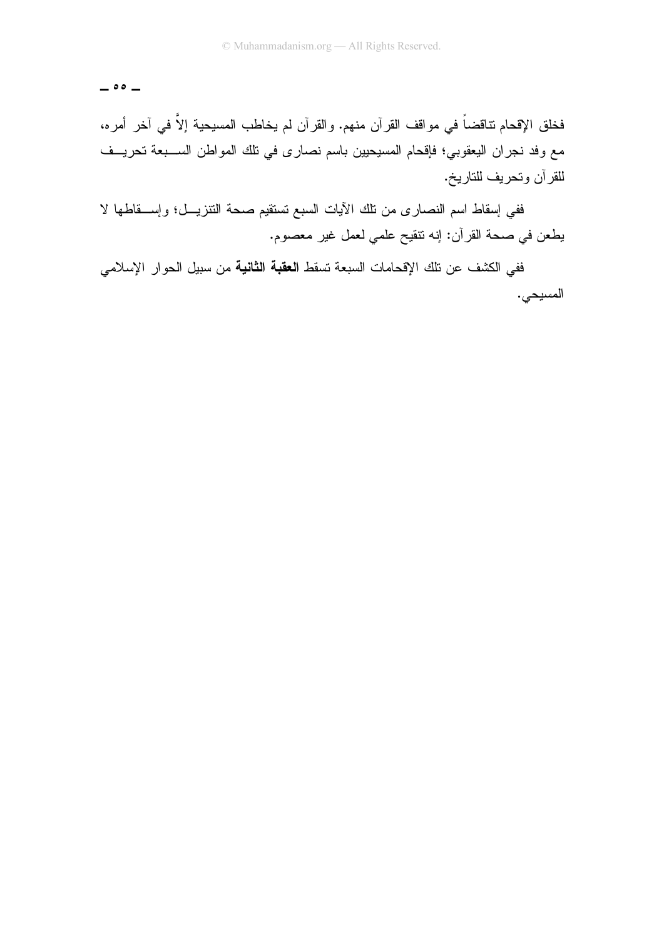$\circ \circ$   $-$ 

فخلق الإقحام نتاقضاً في مواقف القرآن منهم. والقرآن لم يخاطب المسيحية إلاَّ في آخر أمره، مع وفد نجران اليعقوبي؛ فإقحام المسيحيين باسم نصارى في تلك المواطن الســبعة تحريــف للقرآن وتحريف للتاريخ.

ففي إسقاط اسم النصارى من نلك الأيات السبع نستقيم صحة النتزيـــل؛ وإســـقاطها لا يطعن في صحة القرآن: إنه نتقيح علمي لعمل غير معصوم.

ففي الكشف عن تلك الإقحامات السبعة تسقط ا**لعقبة الثانية** من سبيل الحوار الإسلامي المسيحي.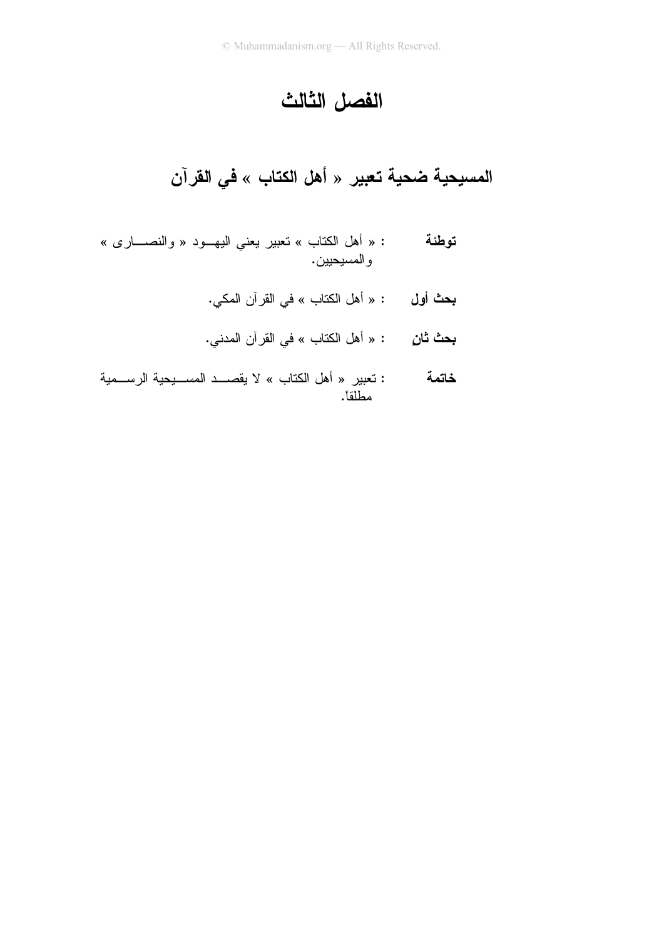# الفصل الثالث

المسبحية ضحية تعبير « أهل الكتاب » في القرآن

- : « أهل الكتاب » نعبير يعني اليهـــود « والنصـــــارى » توطئة و المسيحيين .
	- **بحث أول :** « أهل الكتاب » في القرآن المكي.
	- **بحث ثانِ** : « أهل الكتاب » في القر آن المدني.
- : تعبير « أهل الكتاب » لا يقصـــد المســـيحية الرســـمية خاتمة مطلقاً.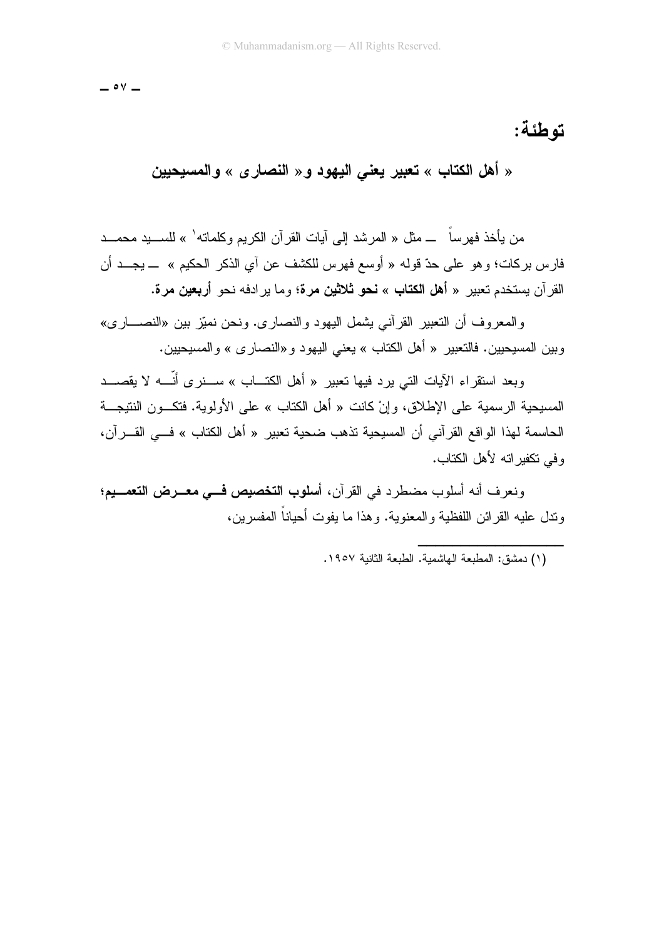$\circ$  Y  $-$ 

## توطئة:

« أهل الكتاب » تعبير يعني اليهود و « النصار ي » والمسيحيين

من بأخذ فهر ساً ـــ مثل « المر شد الے ِ آبات القر آن الکر بم و کلماته' » للسبید محمـــد .<br>فارس بركات؛ وهو على حدّ قوله « أوسع فهرس للكشف عن آي الذكر الحكيم » ـــ يجـــد أن القرآن يستخدم تعبير « أهل الكتاب » نحو ثلاثين مرة؛ وما يرادفه نحو أربعين مرة.

و المعر و ف أن التعبير القر آني يشمل اليهو د و النصار ي. و نحن نميّز بين «النصـــار ي» وبين المسيحيين. فالتعبير « أهل الكتاب » يعني اليهو د و «النصار ي » و المسيحيين.

وبعد استقراء الآيات التي يرد فيها تعبير « أهل الكتـــاب » ســــنر ي أنّــــه لا يقصــــد المسيحية الرسمية على الإطلاق، وإنْ كانت « أهل الكتاب » على الأولوية. فتكــون النتيجـــة الحاسمة لهذا الواقع القرآني أن المسيحية تذهب ضحية تعبير « أهل الكتاب » فــي القـــرآن، و في تكفير اته لأهل الكتاب.

ونعرف أنه أسلوب مضطرد في القرآن، أ**سلوب التخصيص فــي معــرض التع***م***ــي**م؛ وندل عليه القرائن اللفظية والمعنوية. وهذا ما يفوت أحياناً المفسرين،

<sup>(</sup>١) دمشق: المطبعة الماشمية. الطبعة الثانية ١٩٥٧.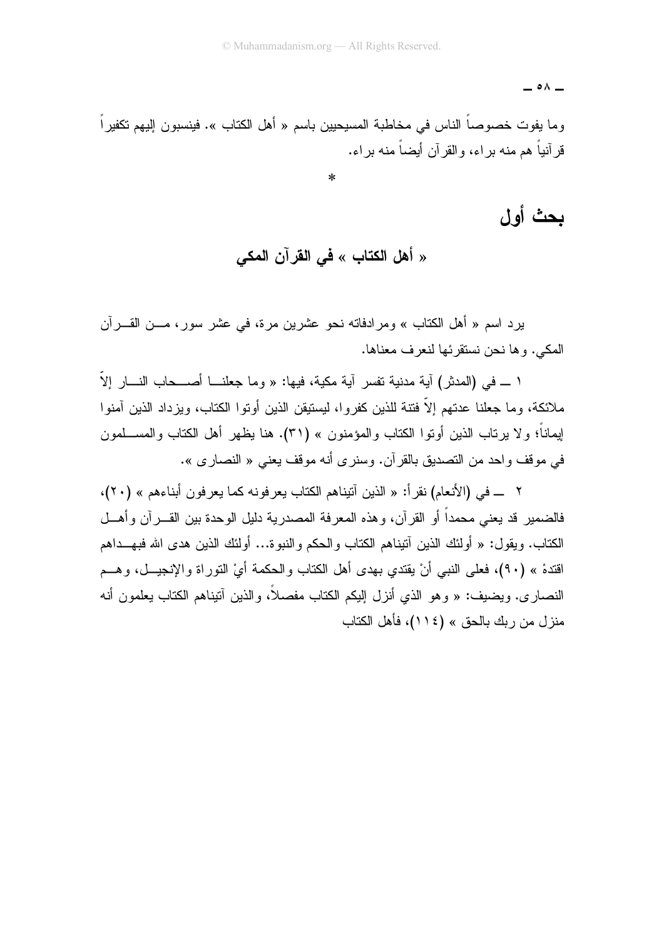$\overline{\phantom{a}}$   $\circ$   $\wedge$   $\overline{\phantom{a}}$ 

وما يفوت خصوصاً الناس في مخاطبة المسيحيين باسم « أهل الكتاب ». فينسبون إليهم تكفيراً قر آنباً هم منه بر اء، والقر آن أبضاً منه بر اء.

 $\ast$ 

بحث أول

« أهل الكتاب » في القرآن المكي

يرد اسم « أهل الكتاب » ومرادفاته نحو عشرين مرة، في عشر سور، مـــن القــــرآن المكي. وها نحن نستقر ئها لنعر ف معناها.

ا ــــ في (المدثر) آية مدنية تفسر آية مكية، فيها: « وما جعلنــــا أصـــــحاب النــــار إلاّ ملائكة، وما جعلنا عدتهم إلاّ فتنة للذين كفروا، ليستيقن الذين أوتوا الكتاب، ويزداد الذين آمنوا لِيماناً؛ ولا يرتاب الذين أوتوا الكتاب والمؤمنون » (٣١). هنا يظهر أهل الكتاب والمســـلمون في موقف واحد من التصديق بالقرآن. وسنرى أنه موقف يعني « النصارى ».

٢ ـــ في (الأنعام) نقرأ: « الذين آتيناهم الكتاب يعرفونه كما يعرفون أبناءهم » (٢٠)، فالضمير قد بعني محمداً أو القر آن، و هذه المعر فة المصدر بـة دليل الو حدة بين القـــر آن و أهـــل الكتاب. ويقول: « أولئك الذين آنيناهم الكتاب والحكم والنبوة... أولئك الذين هدى الله فبهـــداهم اقتدهْ » (٩٠)، فعلى النبي أنْ يقتدي بهدى أهل الكتاب والحكمة أيْ النوراة والإنجيــل، وهـــم النصاري. ويضيف: « وهو الذي أنزل إليكم الكتاب مفصلاً، والذين آنيناهم الكتاب يعلمون أنه منز ل من ربك بالحق » (١١٤)، فأهل الكتاب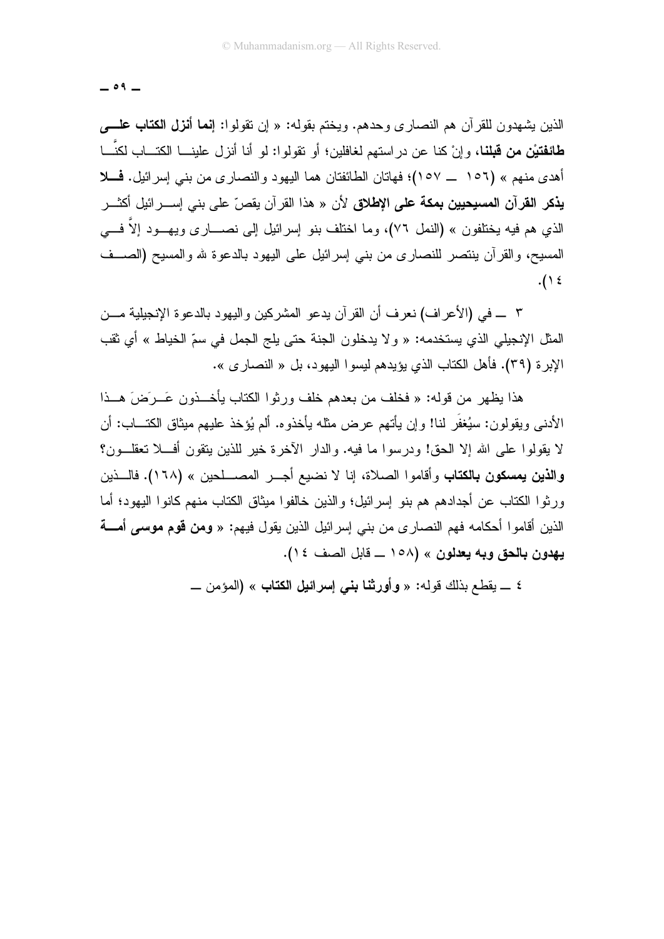$-09-$ 

الذين بشهدون للقرآن هم النصارى وحدهم. ويختم بقوله: « إن نقولوا: إ**نما أنزل الكتاب علـــــ**ى **طائفتيْن من قبلنا،** وإنْ كنا عن در استهم لغافلين؛ أو تقولوا: لو أنا أنزل علينـــا الكتـــاب لكنّـــا أهدى منهم » (١٥٦ \_ ١٥٧)؛ فهاتان الطائفتان هما اليهود والنصاري من بني إسرائيل. فـــلا **يذكر القرآن المسيحيين بمكة على الإطلاق** لأن « هذا القرآن يقصّ على بنى إســـرائيل أكثـــر الذي هم فيه يختلفون » (النمل ٧٦)، وما اختلف بنو ٳسرائيل ٳلمي نصــــاري ويـهـــود ٳلاّ فــــي المسيح، والقرآن ينتصر للنصاري من بنبي إسرائيل على اليهود بالدعوة لله والمسيح (الصــف  $.() \xi$ 

٣ \_ في (الأعراف) نعرف أن القرآن يدعو المشركين واليهود بالدعوة الإنجيلية مـــن المثل الإنجيلي الذي يستخدمه: « ولا يدخلون الجنة حتى يلج الجمل في سمِّ الخياط » أي ثقب الإبر ة (٣٩). فأهل الكتاب الذي بؤيدهم لبسوا البهود، بل « النصار ي ».

هذا بظهر ٍ من قوله: « فخلف من بعدهم خلف ورثوا الكتاب بأخـــذون عَــرصَ هــذا الأدني ويقولون: سيُغفَر لنا! وإن يأتهم عرض مثله يأخذوه. ألم يُؤخذ عليهم ميثاق الكتـــاب: أن لا يقولوا على الله إلا الحق! ودرسوا ما فيه. والدار الأخرة خير للذين يتقون أفـــلا تعقلـــون؟ وا**لذين يمسكون بالكتاب** وأقاموا الصلاة، إنا لا نضيع أجـــر المصــــلحين » (١٦٨). فالـــذين ورِ ثوا الكتاب عن أجدادهم هم بنو إسرائيل؛ والذين خالفوا ميثاق الكتاب منهم كانوا اليهود؛ أما الذين أقامو! أحكامه فهم النصار ي من بني إسر ائيل الذين يقول فيهم: « **ومن قوم موسى أمـــة** يهدون بالحق وبه يعدلون » (١٥٨ \_ قابل الصف ١٤).

٤ \_ بقطع بذلك قو له: « وأورثنا بني إسرائيل الكتاب » (المؤمن \_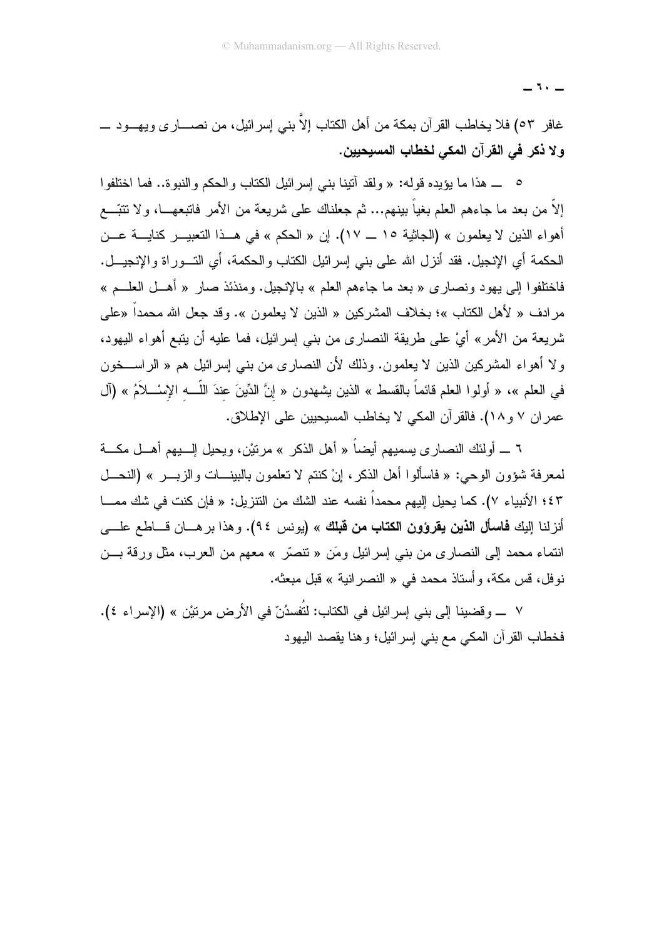غافر ٥٣) فلا يخاطب القرآن بمكة من أهل الكتاب إلاّ بني إسرائيل، من نصــــارى ويـهــــود ــــــ ولا ذكر في القرآن المكي لخطاب المسيحيين.

0 ــ هذا ما يؤيده قوله: « ولقد أتينا بني إسر ائيل الكتاب والحكم والنبوة.. فما اختلفوا إلاَّ من بعد ما جاءهم العلم بغياً ببنهم... ثم جعلناك على شريعة من الأمر فاتبعهــا، ولا نتبَّـــع أهواء الذين لا يعلمون » (الجاثية ١٥ ــ ١٧). إن « الحكم » في هــذا التعبيـــر كنايــــة عـــن الحكمة أي الإنجيل. فقد أنزل الله على بني إسر ائيل الكتاب والحكمة، أي التـــور اة و الإنجيـــل. فاختلفوا إلى بهود ونصاري « بعد ما جاءهم العلم » بالإنجيل. ومنذئذ صار « أهــل العلـــم » مرادف « لأهل الكتاب »؛ بخلاف المشركين « الذين لا يعلمون ». وقد جعل الله محمداً «على شريعة من الأمر» أيْ على طريقة النصارى من بني إسرائيل، فما عليه أن يتبع أهواء اليهود، ولا أهواء المشركين الذين لا يعلمون. وذلك لأن النصارى من بني إسرائيل هم « الراســـخون في العلم »، « أولوا العلم قائماً بالقسط » الذين يشهدون « إنَّ الدِّينَ عندَ اللَّـــــه الإسْــــلاَمُ » (آل عمران ٧ و ١٨). فالقرآن المكي لا يخاطب المسيحيين على الإطلاق.

٦ ـــ أولئك النصاري يسميهم أيضاً « أهل الذكر » مرنتيْن، ويحيل الــــبيهم أهــــل مكــــة لمعرفة شؤون الوحي: « فاسألوا أهل الذكر، إنْ كنتم لا تعلمون بالبينـــات والزبــــر » (النحـــل ٤٣؛ الأنبياء ٧). كما يحيل إليهم محمداً نفسه عند الشك من التتزيل: « فإن كنت في شك ممـــا أنزلنا إليك **فاسأل الذين يقرؤون الكتاب من قبلك** » (يونس ٩٤). وهذا برهــان قــاطع علـــى انتماء محمد إلى النصاري من بنبي إسرائيل ومَن « نتصَّر » معهم من العرب، مثل ورقة بـــن نوفل، قس مكة، وأستاذ محمد في « النصر انية » قبل مبعثه.

٧ ــــ وقضينا إلى بني إسرائيل في الكتاب: لتُفسدُنّ في الأرض مرتيْن » (الإسراء ٤). فخطاب القرآن المكي مع بني إسرائيل؛ وهنا يقصد اليهود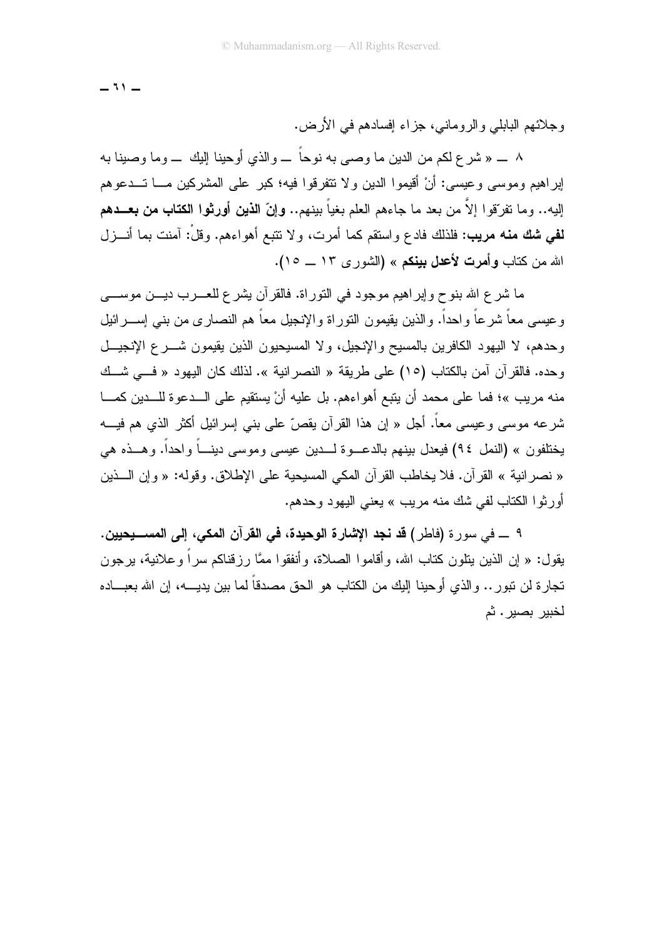وجلائهم البابلي والروماني، جزاء إفسادهم في الأرض.

۸ ــ « شر ع لكم من الدين ما و صبي به نو حاً ــ و الذي أو حينا اليك ـــ و ما و صبنا به إبر أهبم وموسى و عبسى: أنْ أقبِموا الدبن و لا نتقر قوا فيه؛ كبر على المشركين مـــا تـــدعو هم إليه.. وما تفرّقوا إلاّ من بعد ما جاءهم العلم بغياً بينهم.. وإنّ الذين أورثوا الكتاب من بعــدهم **لفي شك منه مريب: ف**لذلك فادع واستقم كما أمرت، ولا نتبع أهواءهم. وقلْ: آمنت بما أنـــزل الله من كتاب **وأمرت لأعدل بينكم** » (الشورى ١٣ ــ ١٥).

ما شرع الله بنوح وإبراهيم موجود في النوراة. فالقرآن بشرع للعـــرب ديـــن موســــي وعيسى معاً شرعاً واحداً. والذين يقيمون النوراة والإنجيل معاً هم النصارى من بنبي إســـرائيل وحدهم، لا اليهود الكافرين بالمسيح والإنجيل، ولا المسيحيون الذين يقيمون شـــرع الإنجيـــل و حده. فالقر آن آمن بالكتاب (١٥) على طريقة « النصر انبة ». لذلك كان البهود « فـــ شــك منه مر بب »؛ فما على محمد أن بنبع أهو اءهم. بل عليه أنْ يستقيم على الـــدعو ة للـــدين كمـــا شر عه موسى و عيسى معاً. أجل « إن هذا القر آن يقص ّ على بني إسر ائيل أكثر الذي هم فيـــه يختلفون » (النمل ٩٤) فيعدل بينهم بالدعـــوة لــــدين عيسى وموسى دينــــاً واحداً. وهـــذه هي « نصر انية » القرآن. فلا يخاطب القرآن المكي المسيحية على الإطلاق. وقوله: « وإن الـــذين أورثوا الكتاب لفي شك منه مريب » يعني اليهود وحدهم.

٩ \_\_ في سور ة (فاطر ) **قد نجد الإشارة الوحيدة، في القر**آ**ن المكي، إلي المســــيحيين.** بقول: « إن الذين بنلون كتاب الله، وأقاموا الصلاة، وأنفقوا ممَّا رز قناكم سراً و علانية، بر جون تجار ة لن تبور .. و الذي أو حينا إليك من الكتاب هو الحق مصدقاً لما بين يديــــه، إن الله بعبــــاده لخبير بصير . ثم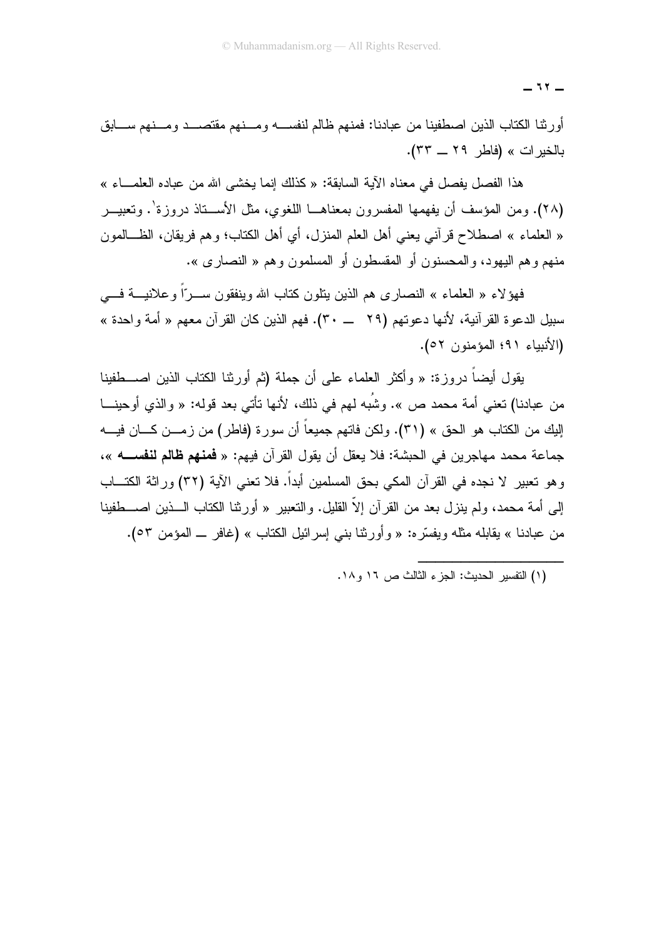أورثنا الكناب الذين اصطفينا من عبادنا: فمنهم ظالم لنفســـه ومـــنـهم مقتصــــد ومـــنـهم ســــابق بالخيرات » (فاطر ٢٩ ــ ٣٣).

هذا الفصل يفصل في معناه الآية السابقة: « كذلك إنما يخشى الله من عباده العلمـــاء » (٢٨). ومن المؤسف أن بفهمها المفسرون بمعناهــا اللغوي، مثل الأســـناذ دروز ة'. وتعبيــر « العلماء » اصطلاح قرأنبي يعني أهل العلم المنزل، أي أهل الكتاب؛ وهم فريقان، الظـــالمون منهم و هم اليهود، و المحسنون أو المقسطون أو المسلمون و هم « النصار ي ».

فهؤلاء « العلماء » النصاري هم الذين ينلون كتاب الله وينفقون ســـرّاً وعلانيـــة فــــي (الأنبياء ٩١؛ المؤمنون ٥٢).

بِقول أيضاً در وز ة: « وأكثر العلماء على أن جملة (ثم أور ثنا الكتاب الذين اصــــطفينا من عبادنا) تعني أمة محمد ص ». وشُبه لمهم في ذلك، لأنها تأتي بعد قوله: « والذي أوحينـــا إليك من الكتاب هو الحق » (٣١). ولكن فاتهم جميعاً أن سورة (فاطر) من زمـــن كــــان فيــــه جماعة محمد مهاجرين في الحبشة: فلا يعقل أن يقول القرآن فيهم: « **فمنهم ظالم لنفســــ**ه »، و هو تعبير لا نجده في القر آن المكي بحق المسلمين أبداً. فلا تعني الآية (٣٢) ور اثة الكتـــاب إلى أمة محمد، ولم ينز ل بعد من القر آن إلاّ القليل. والتعبير « أور ثنا الكتاب الــــذين اصــــطفينا من عبادنا » يقابله مثله ويفسَّره: « وأورثنا بنبي إسرائيل الكتاب » (غافر ــ المؤمن ٥٣).

<sup>(</sup>١) التفسير الحديث: الجزء الثالث ص ١٦ و ١٨.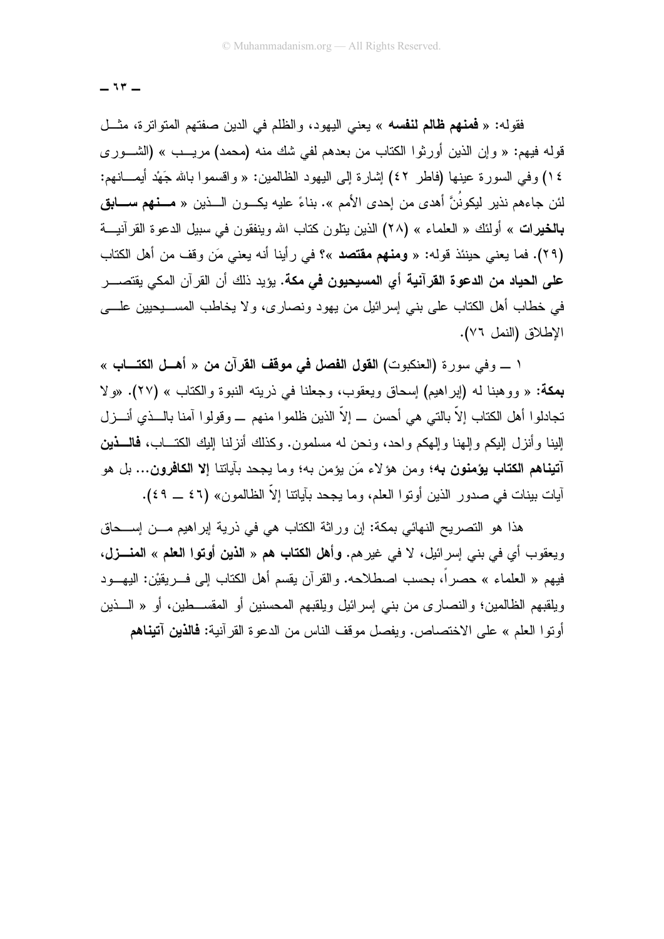فقوله: « فَعَنَّهُمْ ظَالِمُ لَنْفْسُهُ » يعني اليهود، والظلَّم في الدين صفَّتهم المتواترة، مثَّــل قوله فيهم: « وإن الذين أورثوا الكتاب من بعدهم لفي شك منه (محمد) مريـــب » (الشـــور ي ١٤) وفي السورة عينها (فاطر ٤٢) إشارة إلى اليهود الظالمين: « واقسموا بالله جَهْد أيمـــانهم: لئن جاءهم نذير ليكونُنَّ أهدى من إحدى الأمم ». بناءً عليه يكـــون الـــذين « مـــ**نهم ســـابق بالخيرات** » أولئك « العلماء » (٢٨) الذين ينلون كتاب الله وينفقون في سبيل الدعوة القرآنيـــة (٢٩). فما يعني حينئذ قوله: « ومنهم مقتصد »؟ في رأينا أنه يعني مَن وقف من أهل الكتاب **على الحياد من الدعوة القرآنية أي المسيحيون في مكة.** يؤيد ذلك أن القرآن المكي يقتصــــر في خطاب أهل الكتاب على بني إسرائيل من يهود ونصارى، ولا يخاطب المســــبحبين علـــــي الإطلاق (النمل ٧٦).

١ \_ وفي سورة (العنكبوت) ا**لقول الفصل في موقف القرآن من** « أه**ــل الكتـــاب** » بِمِكة: « ووهبنا له (إبراهيم) إسحاق ويعقوب، وجعلنا في ذريته النبوة والكتاب » (٢٧). «ولا تجادلوا أهل الكتاب إلاّ بالتي هي أحسن \_ إلاّ الذين ظلموا منهم \_ وقولوا آمنا بالـــذي أنـــزل إلينا وأنزل إليكم وإلـهنا وإلـهكم واحد، ونـحن لـه مسلمون. وكذلك أنزلنـا إليك الكتـــاب، **فالــــذين** آ**تيناهم الكتاب يؤمنون ب**ه؛ ومن هؤلاء مَن يؤمن به؛ وما يجحد بآياتنا إلا **الكافرون...** بل هو آيات بينات في صدور الذين أوتوا العلم، وما يجحد بآياتنا إلاّ الظالمون» (٤٦ ــ ٤٩).

هذا هو النصريح النهائي بمكة: إن وراثة الكتاب هي في ذرية إبراهيم مــن إســحاق ويعقوب أي في بني إسرائيل، لا في غير هم. وأهل الكتاب هم « الذين أوتوا العلم » المنـــزل، فيهم « العلماء » حصراً، بحسب اصطلاحه. والقرآن يقسم أهل الكتاب إلى فــــريقيْن: اليهــــود ويلقبهم الظالمين؛ والنصار ي من بني إسر ائيل ويلقبهم المحسنين أو المقســـطين، أو « الــــذين أونوا العلم » على الاختصاص. ويفصل موقف الناس من الدعوة القرآنية: **فالذين آتيناهم**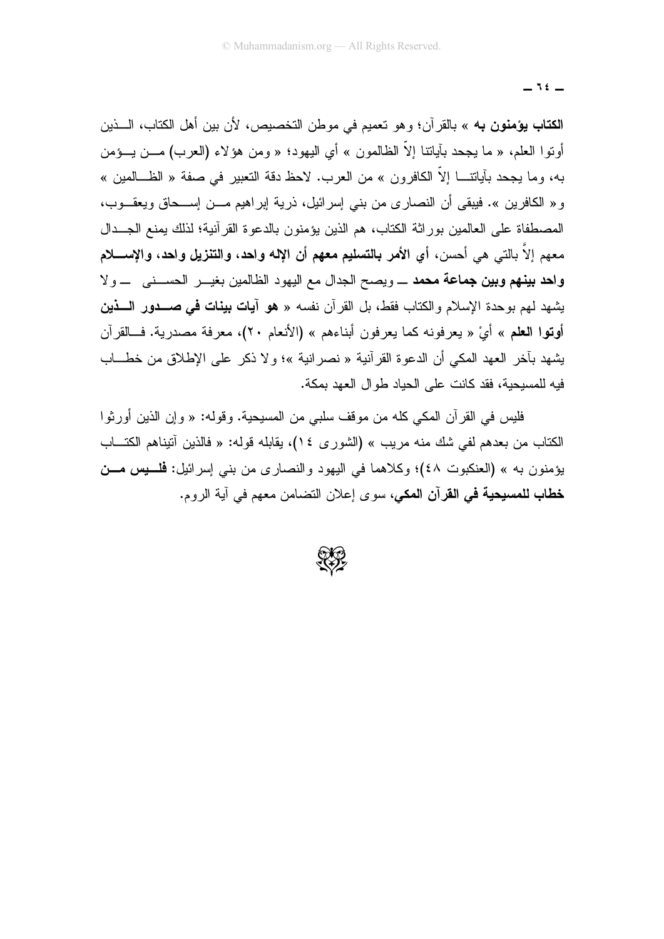$-15$ 

الكتاب يؤمنون به » بالقرآن؛ وهو تعميم في موطن التخصيص، لأن بين أهل الكتاب، الـــذين أوتو! العلم، « ما يجحد بآياتنا إلاَّ الظالمون » أي اليهود؛ « ومن هؤلاء (العرب) مـــن يـــؤمن به، وما يجحد بآياتتـــا إلاّ الكافرون » من العرب. لاحظ دقة التعبير في صفة « الظـــالمين » و « الكافرين ». فيبقى أن النصارى من بنى إسرائيل، ذرية إبراهيم مـــن إســـحاق ويعقـــوب، المصطفاة على العالمين بوراثة الكتاب، هم الذين يؤمنون بالدعوة القرآنية؛ لذلك يمنع الجــدال معهم إلاّ بالتي هي أحسن، أي الأمر بالتسليم معهم أن الإله واحد، والتنزيل واحد، والإســــلام وا**هد بينهم وبين جماعة محمد** \_ ويصح الجدال مع اليهود الظالمين بغيـــر الحســـنبي \_ ولا يشهد لهم بوحدة الإسلام والكتاب فقط، بل القرآن نفسه « هو آ**يات بينات في صـــدور الـــذين** أوتوا العلم » أيْ « يعرفونه كما يعرفون أبناءهم » (الأنعام ٢٠)، معرفة مصدرية. فــالقرآن يشهد بآخر العهد المكي أن الدعوة القر آنية « نصر انية »؛ و لا ذكر ٍ على الإطلاق من خطـــاب فيه للمسيحية، فقد كانت على الحياد طوال العهد يمكة.

فليس في القرآن المكي كله من موقف سلبي من المسيحية. وقوله: « وإن الذين أورثو ا الكتاب من بعدهم لفي شك منه مريب » (الشورى ١٤)، يقابله قوله: « فالذين آتيناهم الكتـــاب يؤمنون به » (العنكبوت ٤٨)؛ وكلاهما في اليهود والنصاري من بني إسرائيل: فلسيس مسن **خطاب للمسيحية في القرآن المكي،** سوى إعلان التضامن معهم في آية الروم.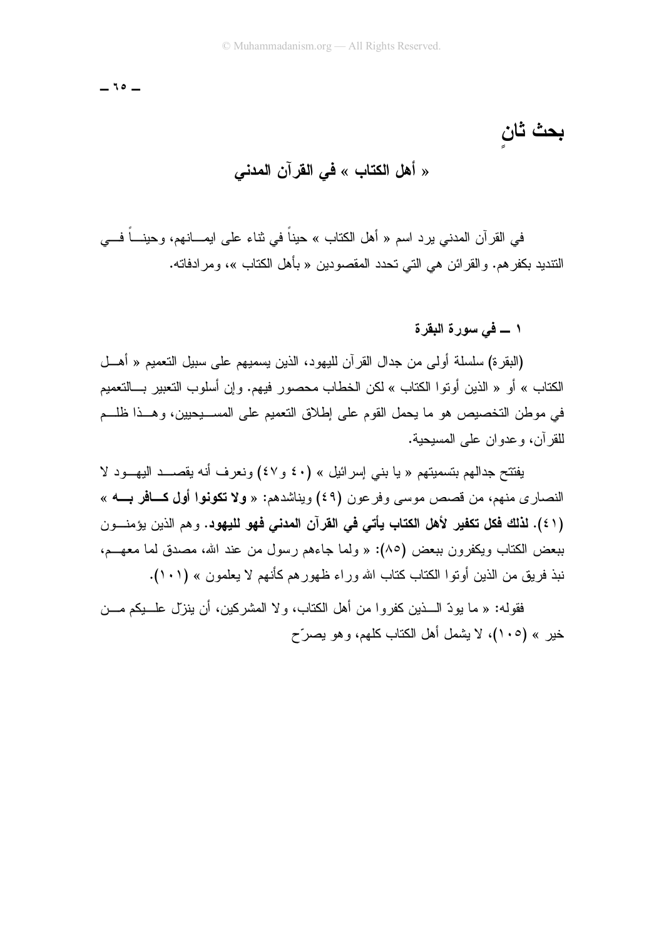$-10-$ 

بحث ثان

## « أهل الكتاب » في القرآن المدنى

في القرآن المدنى برد اسم « أهل الكتاب » حيناً في ثناء على ابمـــانهم، وحينـــاً فـــي النّنديد بكفر هم. و القر ائن هي التي تحدد المقصودين « بأهل الكتاب »، و مر ادفاته.

#### ١ ــــ في سورة البقرة

(البقر ة) سلسلة أولى من جدال القرآن لليهود، الذين يسميهم على سبيل التعميم « أهــل الكتاب » أو « الذين أوتوا الكتاب » لكن الخطاب محصور فيهم. وإن أسلوب التعبير بـــالتعميم في موطن التخصيص هو ما يحمل القوم على إطلاق التعميم على المســــيجيين، وهـــذا ظلـــم للقرآن، وعدوان على المسيحية.

يفتتح جدالهم بتسميتهم « يا بنبي إسرائيل » (٤٠ و ٤٧) ونعرف أنه يقصـــد اليهـــود لا النصاري منهم، من قصص موسى وفرعون (٤٩) ويناشدهم: « ولا تكونوا أول كــافر بـــه » (٤١). لذلك فكل تكفير لأهل الكتاب يأتي في القرآن المدني فهو لليهود. وهم الذين يؤمنــون ببعض الكتاب ويكفرون ببعض (٨٥): « ولما جاءهم رسول من عند الله، مصدق لما معهـــم، نبذ فريق من الذين أوتوا الكتاب كتاب الله وراء ظهورهم كأنهم لا يعلمون » (١٠١).

فقوله: « ما يودِّ السذين كفر و ا من أهل الكتاب، و لا المشركين، أن ينزل علـــيكم مـــن خير » (١٠٥)، لا يشمل أهل الكتاب كلهم، و هو يصرِّح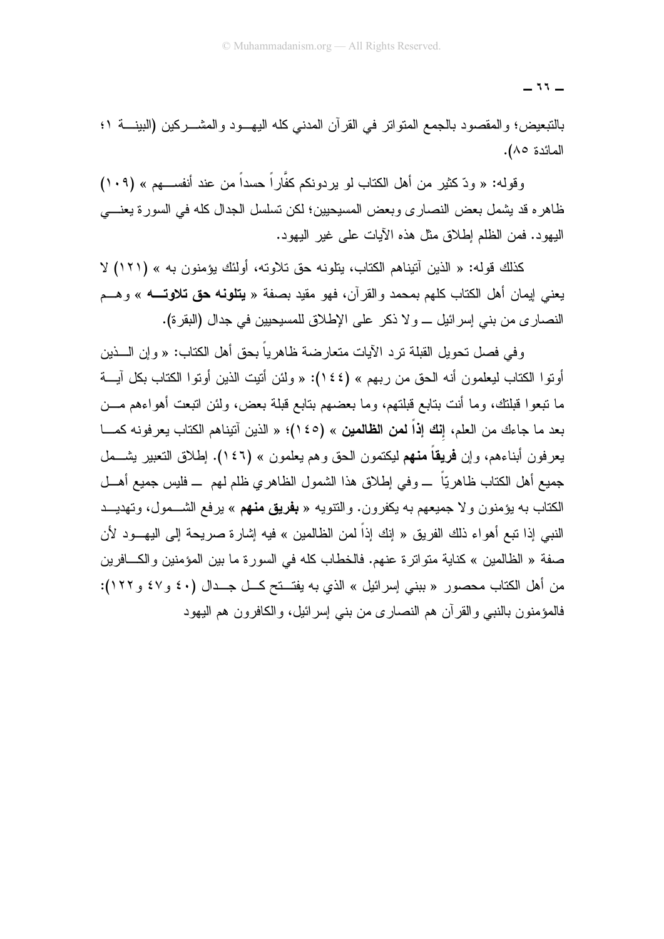$77-$ 

بالتبعيض؛ والمقصود بالجمع المنواتر في القرآن المدنى كله اليهـــود والمشــــركين (البينــــة ١؛ المائدة ٨٥).

وقوله: « ودّ كثير من أهل الكتاب لو يردونكم كغَّار اً حسداً من عند أنفســـهم » (١٠٩) ظاهره قد يشمل بعض النصاري وبعض المسيحيين؛ لكن نسلسل الجدال كله في السورة يعنـــي اليهود. فمن الظلم إطلاق مثل هذه الأيات على غير اليهود.

كذلك قوله: « الذين أنيناهم الكتاب، يتلونه حق تلاوته، أولئك يؤمنون به » (١٢١) لا يعني إيمان أهل الكتاب كلهم بمحمد والقرآن، فهو مقيد بصفة « **يتلونه حق تلاوتــــه** » وهـــم النصاري من بني إسر ائيل \_ و لا ذكر ٍ على الإطلاق للمسيحيين في جدال (البقر ة).

و في فصل تحويل القبلة تر د الآيات متعار ضة ظاهر ياً بحق أهل الكتاب: « و إن الــــذين أونوا الكتاب ليعلمون أنه الحق من ربهم » (١٤٤): « ولئن أنيت الذين أونوا الكتاب بكل آيـــة ما نبعوا فبلنك، وما أنت بنابع فبلنهم، وما بعضهم بنابع فبلة بعض، ولئن انبعت أهواءهم مـــن بعد ما جاءك من العلم، إ**نك إذاً لمن الظالمين** » (١٤٥)؛ « الذين آنيناهم الكتاب يعرفونه كمـــا يعرفون أبناءهم، وإن **فريقاً منهم** ليكتمون الحق وهم يعلمون » (١٤٦). اِطلاق التعبير يشـــمل جميع أهل الكتاب ظاهريّاً ــــ و في اِطلاق هذا الشمول الظاهر ي ظلم لمهم ــــ فليس جميع أهـــل الكتاب به يؤمنون ولا جميعهم به يكفرون. والنتويه « **بفريق منهم** » يرفع الشـــمول، وتهديـــد النبي إذا نبع أهواء ذلك الفريق « إنك إذاً لمن الظالمين » فيه إشارة صريحة إلى اليهـــود لأن صفة « الظالمين » كناية متواترة عنهم. فالخطاب كله في السورة ما بين المؤمنين والكـــافرين من أهل الكتاب محصور « ببني إسرائيل » الذي به يفتـــنح كـــل جـــدال (٤٠ و٤٧ و ١٢٢): فالمؤمنون بالنبي والقرآن هم النصاري من بنبي إسرائيل، والكافرون هم اليهود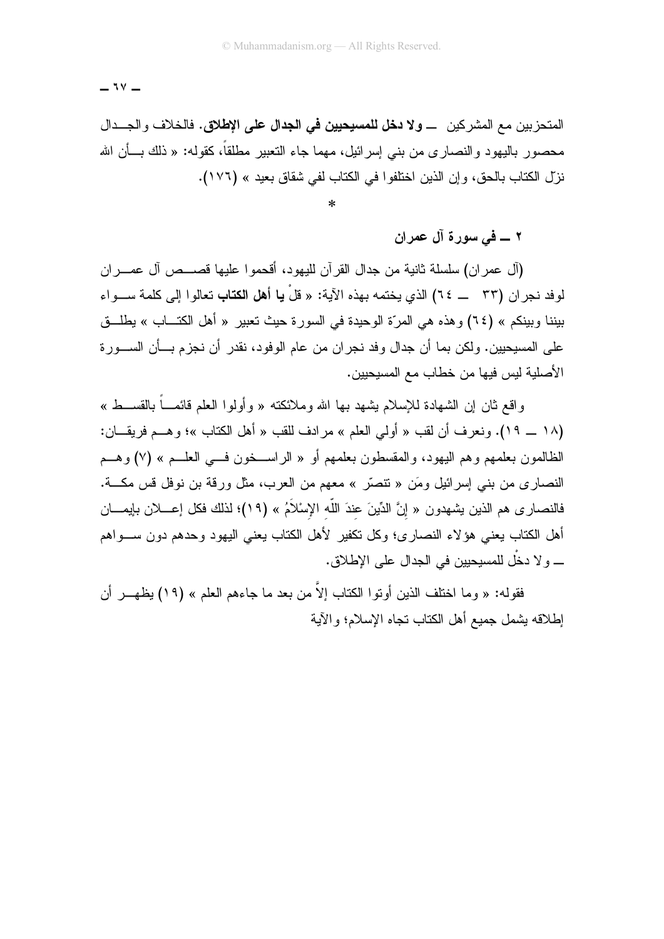$-14$ 

المتحزبين مع المشركين ــــ ولا **دخل للمسيحيين في الجدال على الإطلاق.** فالخلاف والجـــدال محصور ِ بِاليهودِ و النصارِ ي من بني اِسرِ ائيلِ، مهما جاء النعبير ِ مطلقًا، كقوله: « ذلك بِـــأن الله نزل الكتاب بالحق، وإن الذين اختلفوا في الكتاب لفي شقاق بعيد » (١٧٦).

٢ ــــ في سورة آل عمران

(آل عمران) سلسلة ثانية من جدال القرآن لليهود، أقحموا عليها قصـــص آل عمـــران لوفد نجر ان (٣٣ \_\_ ٢٤) الذي يختمه بهذه الآية: « قلْ **يا أهل الكتاب** تعالو ا إلى كلمة ســـو اء بيننا وبينكم » (٢٤) وهذه هي المرَّة الوحيدة في السورة حيث تعبير « أهل الكتـــاب » يطلـــق علي المسيحيين، ولكن بما أن جدال وفد نجر ان من عام الوفود، نقدر ۖ أن نجز م بِـــأن الســـور ة الأصلية ليس فيها من خطاب مع المسيحيين.

واقع ثان إن الشهادة للإسلام بِشهد بـها الله وملائكته « وأولوا العلم قائمـــاً بالقســـط » (١٨ \_ ١٩). ونعرف أن لقب « أولى العلم » مرادف للقب « أهل الكتاب »؛ وهــم فريقـــان: الظالمون بعلمهم وهم اليهود، والمقسطون بعلمهم أو « الراســخون فـــي العلـــم » (٧) وهـــم النصاري من بنبي إسرائيل ومَن « تنصَّر » معهم من العرب، مثل ورقة بن نوفل قس مكـــة. فالنصـار ى هم الذين يشـهدون « إنَّ الدِّينَ عندَ اللَّه الإسْلاَمُ » (١٩)؛ لذلك فكل إعــــلان بإيمــــان أهل الكتاب يعني هؤلاء النصارى؛ وكل نكفير لأهل الكتاب يعني اليهود وحدهم دون ســـواهم \_ و لا دخْل للمسيحيين في الجدال على الإطلاق.

فقوله: « وما اختلف الذين أو تو ا الكتاب إلاّ من بعد ما جاءهم العلم » (١٩) يظهــر أن اطلاقه بشمل جمبع أهل الكتاب تجاه الإسلام؛ و الآبة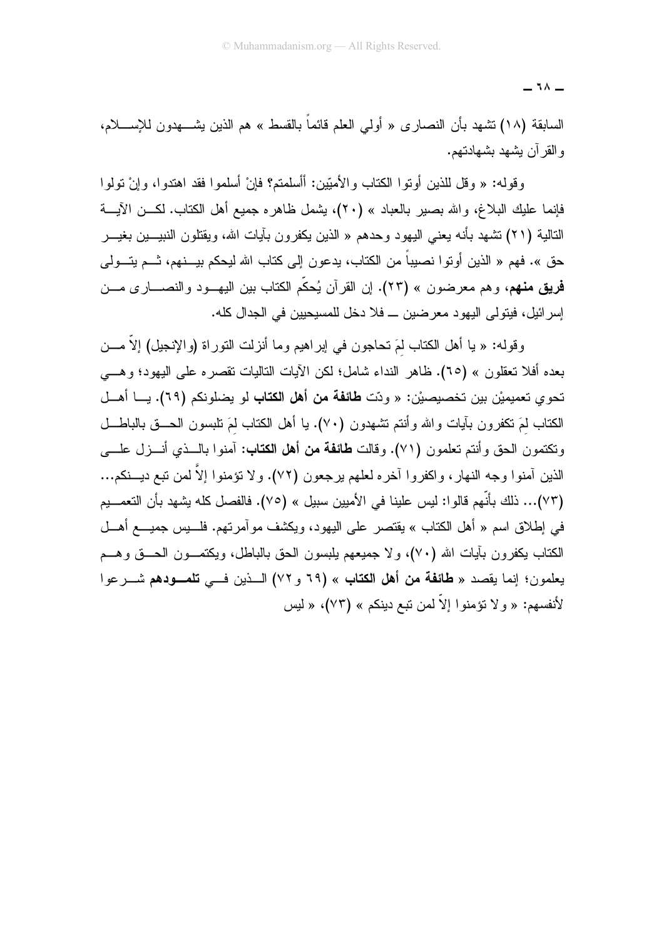السابقة (١٨) نشهد بأن النصارى « أولـي الـعلم قائماً بالقسط » هم الذين يشــــهدون للإســـــلام، و القر آن بشهد بشهادتهم.

و قوله: « و قل للذين أو تو ا الكتاب و الأمبّين: أأسلمتم؟ فإنْ أسلمو ا فقد اهتدوا، و إنْ تولو ا فإنما عليك البلاغ، والله بصير بالعباد » (٢٠)، يشمل ظاهره جميع أهل الكتاب. لكـــن الآيــــة النالية (٢١) نتثىهد بأنه يعني اليهود وحدهم « الذين يكفرون بآيات الله، ويقتلون النبيـــين بغيـــر حق ». فهم « الذين أو تو ا نصبياً من الكتاب، يدعو ن إلى كتاب الله ليحكم بيـــنهم، ثـــم يتـــو لـي فريق منهم، وهم معرضون » (٢٣). إن القرآن يُحكِّم الكتاب بين اليهـــود والنصــــاري مـــن إسر ائيل، فيتولى اليهود معر ضين ـــ فلا دخل للمسيحيين في الجدال كله.

وقوله: « يا أهل الكتاب لمَ تحاجون في اير اهيم وما أنزلت التوراة (والإنجيل) إلاَّ مـــن بعده أفلا تعقلون » (٦٥). ظاهر النداء شامل؛ لكن الآيات التاليات تقصر ه على اليهود؛ و هـــي تحو ي تعميميْن بين تخصيصيْن: « ودّت **طائفة من أهل الكتاب** لو يضلو نكم (٦٩). يـــا أهـــل الكتاب لمَ نكفرون بآيات والله وأنتم تشهدون (٧٠). يا أهل الكتاب لمَ نلبسون الحـــق بالباطـــل ونكتمون الحق وأنتم تعلمون (٧١). وقالت **طائفة من أهل الكتاب:** آمنوا بالــذي أنـــزل علـــي الذين آمنوا وجه النهار، واكفروا آخره لعلهم برجعون (٧٢). ولا تؤمنوا إلاَّ لمن تبع ديـــنكم... (٧٣)... ذلك بأنَّهم قالوا: ليس علينا في الأميين سبيل » (٧٥). فالفصل كله يشهد بأن التعمـــيم في إطلاق اسم « أهل الكتاب » يقتصر على اليهود، ويكشف موآمرتهم. فلــــبس جميـــــع أهــــل الكتاب يكفرون بأيات الله (٧٠)، ولا جميعهم بلبسون الحق بالباطل، ويكتمـــون الحــــق وهـــم يعلمون؛ إنما يقصد « **طائفة من أهل الكتاب** » (٦٩ و ٧٢) الـــذين فـــي **تلمـــودهم** شـــرعوا لأنفسهم: « و لا تؤمنو ا إلاَّ لمن نتبع دينكم » (٧٣)، « ليس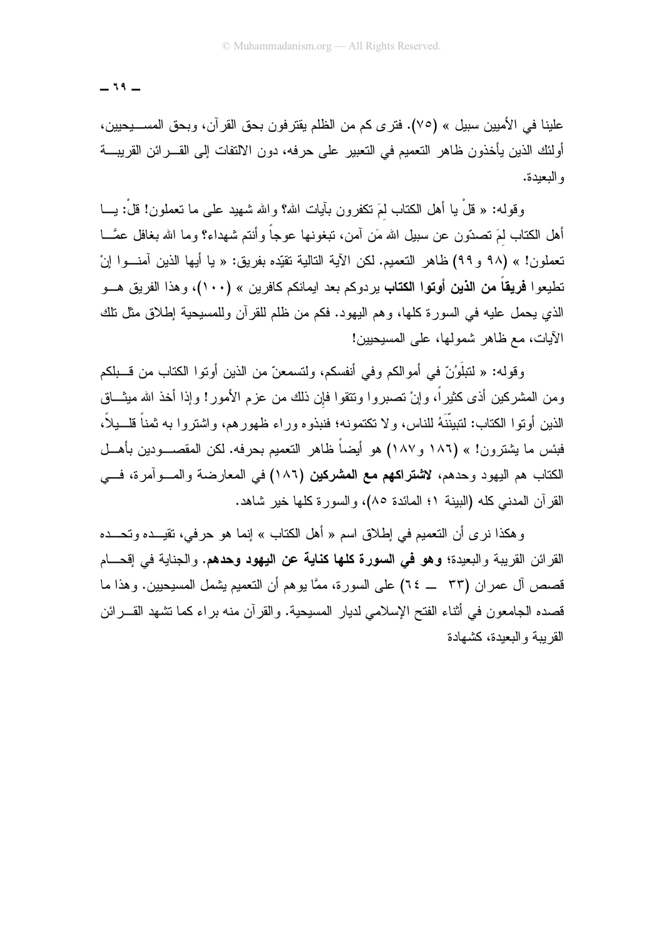$-19-$ 

علينا في الأميين سبيل » (٧٥). فترى كم من الظلم يقترفون بحق القرآن، وبحق المســـيحيين، أولئك الذين يأخذون ظاهر التعميم في التعبير ٍ على حرفه، دون الالتفات إلى القـــر ائن القريبـــة و البعدة.

وقوله: « قُلْ يا أهل الكتاب لَمَ نكفرون بآيات الله؟ والله شهيد على ما نعملون! قلْ: يـــا أهل الكتاب لمَ نصدَّون عن سبيل الله مَن آمن، نبغونها عوجاً وأنتم شهداء؟ وما الله بغافل عصَّــا تعملون! » (٩٨ و ٩٩) ظاهر التعميم. لكن الآية التالية تقيّده بفريق: « يا أيها الذين آمنــوا إنْ تطيعوا **فريقاً من الذين أوتوا الكتاب** يردوكم بعد ايمانكم كافرين » (١٠٠)، وهذا الفريق هـــو الذي يحمل عليه في السورة كلها، وهم اليهود. فكم من ظلم للقرآن وللمسيحية إطلاق مثل نلك الآيات، مع ظاهر شمولها، على المسيحيين!

و قوله: « لتبلَّوُنَّ في أمو الكم و في أنفسكم، ولتسمعنَّ من الذين أو تو ا الكتاب من قـــبلكم ومن المشركين أذى كثيراً، وإنْ نصبروا ونتقوا فإن ذلك من عزم الأمور! وإذا أخذ الله ميثـــاق الذين أو تو ١ الكتاب: لتبينَّنَهُ للناس، و لا تكتمونه؛ فنبذو ه و ر اء ظهور هم، و اشتر و ١ به ثمناً قلــبلاً، فبئس ما يشترون! » (١٨٦ و ١٨٧) هو أيضاً ظاهر التعميم بحرفه. لكن المقصــــودين بأهـــل الكتاب هم اليهود وحدهم، لاشتراكهم مع المشركين (١٨٦) في المعارضة والمسوآمرة، فسي القرآن المدنى كله (الببنة ١؛ المائدة ٨٥)، والسورة كلها خير شاهد.

وهكذا نرى أن التعميم في إطلاق اسم « أهل الكتاب » إنما هو حرفي، تقيـــده وتحـــده القرائن القريبة والبعيدة؛ **وهو في السورة كلها كناية عن اليهود وحدهم.** والجناية في إقحـــام قصص آل عمر ان (٣٣ \_ ٢٤) على السورة، ممَّا يوهم أن التعميم يشمل المسيحيين. وهذا ما قصده الجامعون في أثناء الفتح الإسلامي لديار المسيحية. والقرآن منه براء كما تشهد القـــرائن القربية والبعدة، كشهادة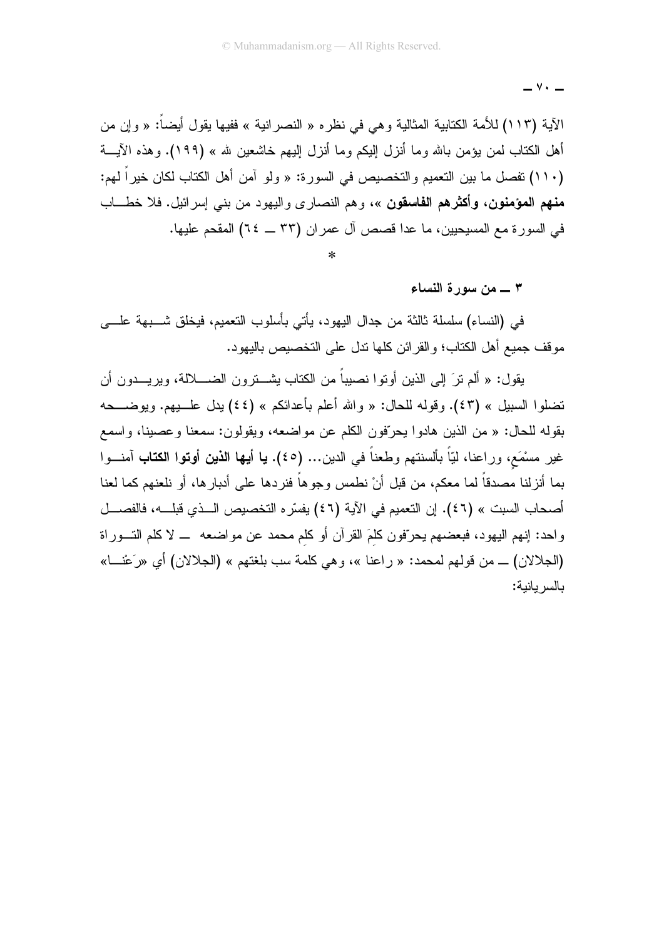الآية (١١٣) للأمة الكتابية المثالية وهي في نظره « النصرانية » ففيها يقول أيضاً: « وإن من أهل الكتاب لمن يؤمن بالله وما أنزل البكم وما أنزل البهم خاشعين لله » (١٩٩). وهذه الآيـــة (١١٠) تفصل ما بين التعميم والتخصيص في السور ة: « ولو آمن أهل الكتاب لكان خير اً لهم: م**نهم المؤمنون، وأكثرهم الفاسقون** »، وهم النصارى واليهود من بني إسرائيل. فلا خطـــاب في السورة مع المسيحيين، ما عدا قصص آل عمران (٣٣ ــ ٢٤) المقحم عليها.

٣ \_\_ من سورة النساء

 $\vee \cdot$   $-$ 

في (النساء) سلسلة ثالثة من جدال اليهود، يأتي بأسلوب النعميم، فيخلق شـــبهة علـــي مو قف جميع أهل الكتاب؛ و القر ائن كلها ندل على التخصيص باليهو د.

يقول: « ألم نرَ إلى الذين أونوا نصيباً من الكتاب يشــــترون الضــــــلالة، ويريــــدون أن تضلُّوا السَّبيل » (٤٣). وقوله للحال: « والله أعلم بأعدائكم » (٤٤) يدل علــــبيم. ويوضــــحه بقوله للحال: « من الذين هادوا يحرّفون الكلم عن مواضعه، ويقولون: سمعنا وعصينا، واسمع غير مسْمَع، وراعنا، لَيّاً بألسنتهم وطعناً في الدين… (٤٥). **يا أيها الذين أوتوا الكتاب** آمنـــوا بما أنزلنا مصدقاً لما معكم، من قبل أنْ نطمس وجوهاً فنردها على أدبارها، أو نلعنهم كما لعنا أصحاب السبت » (٤٦). إن التعميم في الآية (٤٦) يفسِّر ه التخصيص الــذي قبلـــه، فالفصـــل واحد: إنهم اليهود، فبعضهم يحرّفون كلَّمَ القرآن أو كلَّم محمد عن مواضعه ۖ لا كلَّم النَّـــوراة (الجلالان) ــ من قولهم لمحمد: « راعنا »، وهي كلمة سب بلغتهم » (الجلالان) أي «رَعْنــا» بالسر بانية: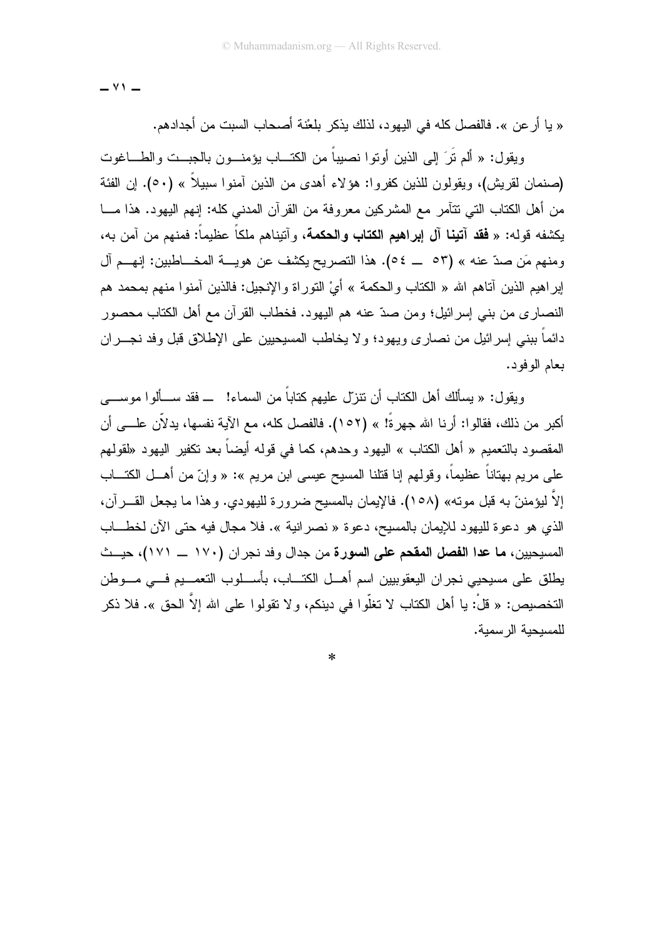$-$  Y  $\prime$ 

« يا أر عن ». فالفصل كله في اليهود، لذلك يذكر بلعْنة أصحاب السبت من أجدادهم.

ويقول: « ألم نَرَ إلى الذين أونوا نصبياً من الكتـــاب يؤمنـــون بالجبـــت والطـــاغوت (صنمان لقريش)، ويقولون للذين كفروا: هؤلاء أهدى من الذين آمنوا سبيلاً » (٥٠). إن الفئة من أهل الكتاب التي نتأمر مع المشركين معروفة من القرآن المدنى كله: إنهم اليهود. هذا مـــا يكشفه قوله: « **فقد آتينا آل إبراهيم الكتاب والحكمة**، وآتيناهم ملكاً عظيماً: فمنهم من آمن به، ومنهم مَن صدّ عنه » (٥٣ \_ ٥٤). هذا التصريح يكشف عن هويـــة المخـــاطبين: إنهـــم آل إبر اهيم الذين آناهم الله « الكتاب و الحكمة » أيْ النَّور اة و الإنجيل: فالذين آمنو ا منهم بمحمد هم النصاري من بني إسر ائيل؛ ومن صدّ عنه هم اليهود. فخطاب القرآن مع أهل الكتاب محصور دائماً ببني إسرائيل من نصاري ويهود؛ ولا يخاطب المسيحيين على الإطلاق قبل وفد نجــــران بعام الو فو د.

ويقول: « يسألكَ أهل الكتاب أن تتزلَّ عليهم كتاباً من السماء! ــ فقد ســألو ا موســــى أكبر من ذلك، فقالو ا: أر نا الله جهر ةً! » (١٥٢). فالفصل كله، مع الآية نفسها، بدلاَّن علـــي أن المقصود بالتعميم « أهل الكتاب » اليهود وحدهم، كما في قوله أيضـاً بعد نكفير اليهود «لقولهم على مريم بهتاناً عظيماً، وقولهم إنا قتلنا المسيح عيسى ابن مريم »: « وإنّ من أهـــل الكتــــاب إلاَّ ليؤمننَّ به قبل موته» (١٥٨). فالإيمان بالمسيح ضرورة لليهودي. وهذا ما يجعل القـــرآن، الذي هو دعوة لليهود للإيمان بالمسيح، دعوة « نصر انية ». فلا مجال فيه حتى الآن لخطـــاب المسيحيين، ما عدا الفصل المقحم على السورة من جدال وفد نجران (١٧٠ ـــ ١٧١)، حيــث يطلق على مسيحيى نجران اليعقوبيين اسم أهـــل الكتــــاب، بأســـلوب النعمـــيم فـــي مــــوطن التخصيص: « قلْ: يا أهل الكتاب لا تغلُّوا في دينكم، و لا تقولوا على الله إلاَّ الحق ». فلا ذكر للمسبحبة الر سمبة.

 $\ast$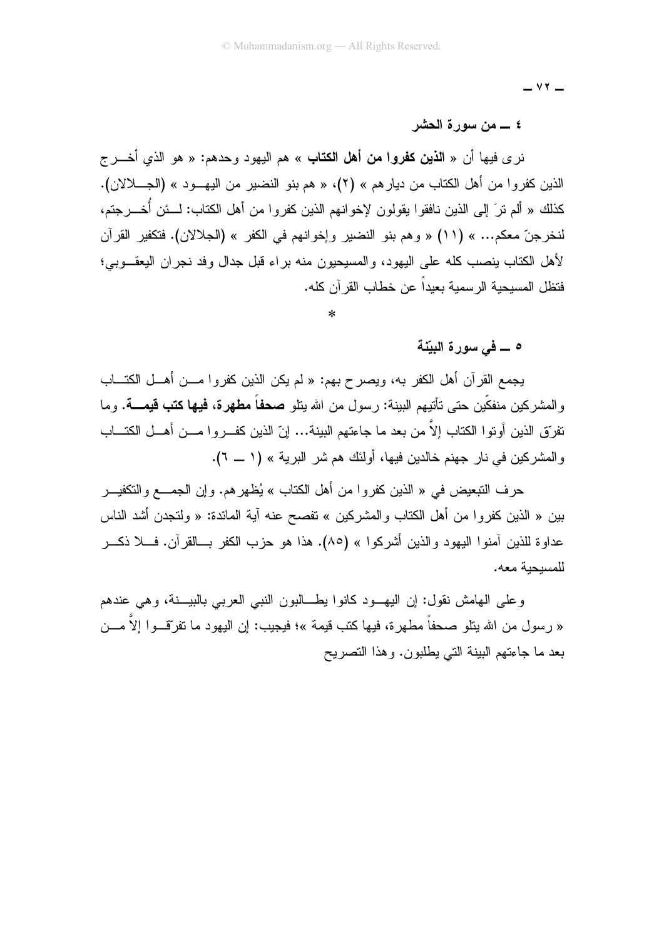$\vee$   $\vee$   $-$ 

#### 

نر ي فيها أن « ا**لذين كفروا من أهل الكتاب** » هم اليهود وحدهم: « هو الذي أخـــر ج الذين كفروا من أهل الكتاب من ديار هم » (٢)، « هم بنو النضير من اليهــود » (الجـــلالان). كذلك « ألم تر َ إلى الذين نافقو ا بقولو ن لإخو انهم الذين كفر و ا من أهل الكتاب: لـــئن أُخـــر جتم، لنخرجنّ معكم... » (١١) « وهم بنو النضير وإخوانهم في الكفر » (الجلالان). فتكفير القرآن لأهل الكتاب ينصب كله على اليهود، والمسيحيون منه براء قبل جدال وفد نجران اليعقــوبي؛ فتظل المسبحية الرسمية يعبداً عن خطاب القر آن كله.

ه ـــ في سورة البيّنة

يجمع القرآن أهل الكفر به، ويصرح بهم: « لم يكن الذين كفروا مـــن أهـــل الكتــــاب والمشركين منفكّين حتى نأتيهم البينة: رسول من الله يتلو **صحفاً مطهرة، فيها كتب قيمــــة**. وما نفرّق الذين أونوا الكتاب إلاّ من بعد ما جاءتهم البينة... إنّ الذين كفـــروا مـــن أهـــل الكتـــاب و المشركين في نار جهنم خالدين فيها، أولئك هم شر البرية » (١ ــ ٦).

حرف التبعيض في « الذين كفروا من أهل الكتاب » يُظهر هم. وإن الجمــــع والتكفيــــر بين « الذين كفروا من أهل الكتاب والمشركين » تفصح عنه أية المائدة: « ولتجدن أشد الناس عداوة للذين أمنوا اليهود والذين أشركوا » (٨٥). هذا هو حزب الكفر بـــالقرآن. فــــلا ذكــــر للمسبحبة معه.

وعلى الهامش نقول: إن اليهـود كانوا يطـــالبون النبي العربي بالبيـــنة، وهي عندهم « رسول من الله يتلو صحفاً مطهرة، فيها كتب قيمة »؛ فيجيب: إن اليهود ما تفرَّقــوا إلاّ مـــن بعد ما جاءتهم البينة التبي بطلبون. وهذا التصريح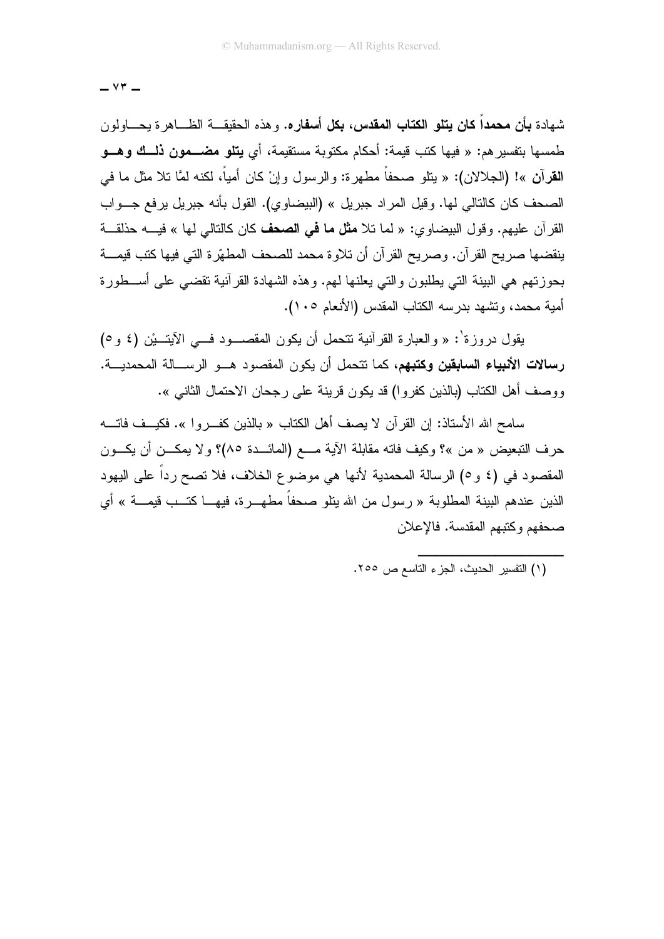$Y\ddot{r}$   $-$ 

شهادة **بأن محمداً كان يتلو الكتاب المقدس، بكل أسفاره.** و هذه الحقيقـــة الظـــاهر ة يحــــاولون طمسها بنفسير هم: « فيها كتب قيمة: أحكام مكتوبة مستقيمة، أي **يتلو مضـــمون ذلـــك وهـــو** القرآن »! (الجلالان): « بنلو صحفاً مطهرة: والرسول وإنْ كان أمياً، لكنه لمَّا نلا مثل ما في الصحف كان كالنالي لها. وقيل المراد جبريل » (البيضاوي). القول بأنه جبريل برفع جـــواب القرآن عليهم. وقول البيضاوي: « لما تلا **مثل ما في الصحف** كان كالتالي لها » فيـــه حذلقـــة ينقضها صريح القرآن. وصريح القرآن أن تلاوة محمد للصحف المطهّرة التي فيها كتب قيمـــة بحوزتهم هي البينة التي يطلبون والتي يعلنها لـهم. وهذه الشهادة القرآنية نقضـي علـى أســـطورة أمية محمد، وتشهد بدرسه الكتاب المقدس (الأنعام ١٠٥).

يقول در وز ة': « والعبار ة القر آنية تتحمل أن يكون المقصـــود فـــى الآيتــيْن (٤ و ٥) **رسالات الأتبياء السابقين وكتبهم**، كما تتحمل أن يكون المقصود هـــو الرســــالة المحمديـــة. ووصف أهل الكتاب (بالذين كفروا) قد يكون قرينة على رجحان الاحتمال الثاني ».

سامح الله الأستاذ: إن القرآن لا بصف أهل الكتاب « بالذين كفير و ا ». فكبيف فاتسه حرف التبعيض « من »؟ وكيف فاته مقابلة الآية مـــع (المائـــدة ٨٥)؟ ولا يمكـــن أن يكـــون المقصود في (٤ و ٥) الرسالة المحمدية لأنها هي موضوع الخلاف، فلا تصح رداً على اليهود الذين عندهم البينة المطلوبة « رسول من الله ينلو صحفاً مطهـــرة، فيهــــا كتـــب قيمــــة » أي صحفهم وكتبهم المقدسة. فالإعلان

(١) النفسير الحديث، الجزء الناسع ص ٢٥٥.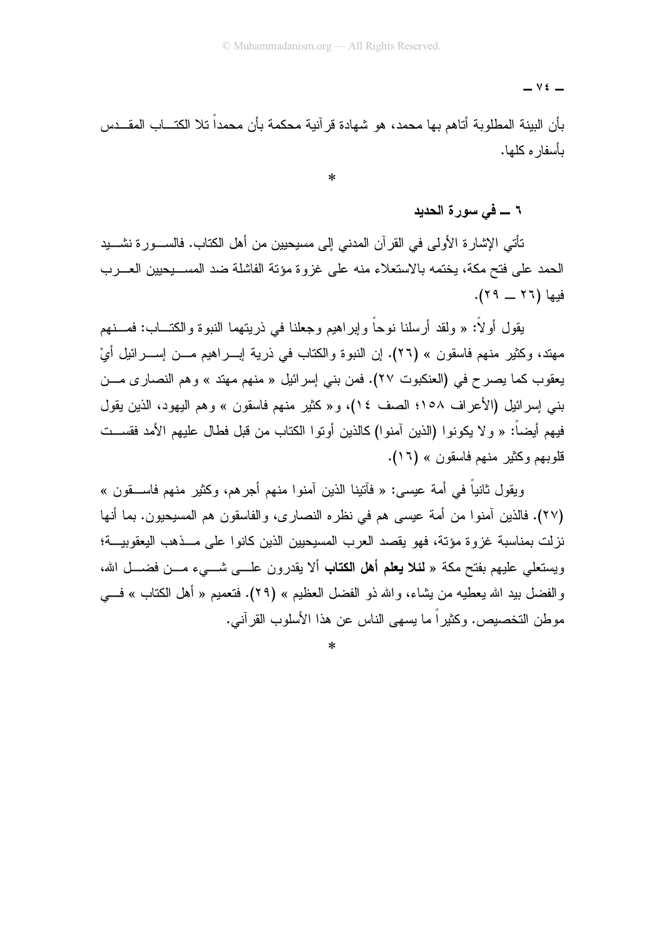$\vee$   $\epsilon$   $-$ 

بأن البينة المطلوبة أتاهم بها محمد، هو شهادة قرآنية محكمة بأن محمداً تلا الكتـــاب المقـــدس ىأسفار ە كلھا.

 $\ast$ 

#### ٦ \_ في سورة الحديد

تأتـى الإشارة الأولـى فـى القرآن المدنـى إلـى مسيحيين من أهل الكتاب. فالســـورة نشــــيد الحمد على فتح مكة، يختمه بالاستعلاء منه على غزوة مؤتة الفاشلة ضد المســـيحيين العـــرب فيها (٢٦ \_ ٢٩).

يقول أو لاً: « ولقد أرسلنا نوحاً وإيراهيم وجعلنا في ذريتهما النبوة والكتـــاب: فمـــنهم مهند، وكثير منهم فاسقون » (٢٦). إن النبوة والكتاب في ذرية إبـــراهيم مـــن إســـرائيل أيْ يعقوب كما يصرح في (العنكبوت ٢٧). فمن بني إسرائيل « منهم مهنّد » وهم النصاري مـــن بني إسرائيل (الأعراف ١٥٨؛ الصف ١٤)، و« كثير منهم فاسقون » وهم اليهود، الذين يقول فيهم أيضاً: « و لا يكونوا (الذين آمنوا) كالذين أوتوا الكتاب من قبل فطال عليهم الأمد فقســت قلوبيھ وكثير منهم فاسقون » (١٦).

ويقول ثانياً في أمة عيسى: « فأنينا الذين آمنوا منهم أجرهم، وكثير منهم فاســـقون » (٢٧). فالذين أمنوا من أمة عيسى هم في نظره النصارى، والفاسقون هم المسيحيون. بما أنها نزلت بمناسبة غزوة مؤنة، فهو يقصد العرب المسيحيين الذين كانوا على مــذهب اليعقوبيـــة؛ ويستعلِّمي عليهم بفتح مكة « **لئلا يعلم أهل الكتاب** ألا يقدرون علـــي شـــيء مـــن فضـــل الله، والفضل بيد الله يعطيه من يشاء، والله ذو الفضل العظيم » (٢٩). فتعميم « أهل الكتاب » في مو طن التخصيص. وكثير اً ما بسهى الناس عن هذا الأسلوب القر آني.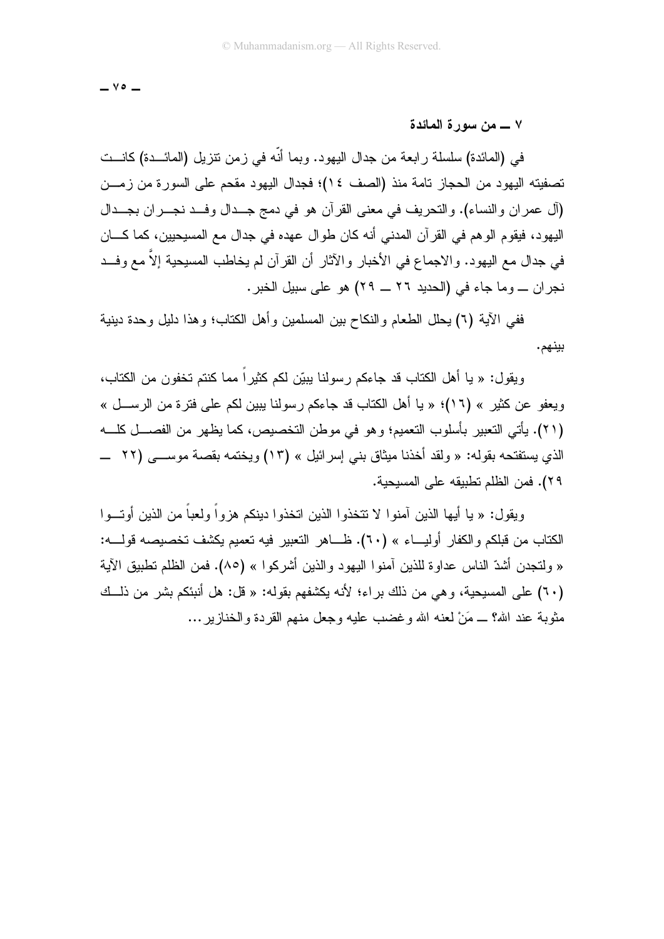$-$  Yo  $-$ 

#### ٧ ــــ من سورة المائدة

في (المائدة) سلسلة رابعة من جدال اليهود. وبما أنَّه في زمن نتزيل (المائـــدة) كانـــت تصفيته اليهود من الحجاز تامة منذ (الصف ٤١)؛ فجدال اليهود مقحم على السورة من زمـــن (آل عمران والنساء). والتحريف في معنى القرآن هو في دمج جــدال وفــد نجــران بجــدال اليهود، فيقوم الوهم في القرآن المدنى أنه كان طوال عهده في جدال مع المسيحيين، كما كـــان في جدال مع اليهود. و الاجماع في الأخبار و الآثار أن القر آن لم يخاطب المسيحية إلاّ مع و فــد نجر ان ـــ وما جاء في (الحديد ٢٦ ـــ ٢٩) هو على سبيل الخبر .

ففي الآية (٦) بحلل الطعام والنكاح بين المسلمين وأهل الكتاب؛ وهذا دليل وحدة دينية بينهم.

ويقول: « يا أهل الكتاب قد جاءكم رسولنا يبيّن لكم كثيراً مما كنتم تخفون من الكتاب، ويعفو عن كثير » (١٦)؛ « يا أهل الكتاب قد جاءكم رسولنا يبين لكم على فترة من الرســـل » (٢١). يأتي التعبير بأسلوب التعميم؛ وهو في موطن التخصيص، كما يظهر من الفصـــل كلـــه الذي يستفتحه بقوله: « ولقد أخذنا ميثاق بني إسرائيل » (١٣) ويختمه بقصة موســـي (٢٢ \_ ٢٩). فمن الظلم تطبيقه على المسيحية.

ويقول: « يا أيها الذين آمنوا لا تتخذوا الذين اتخذوا دينكم هزواً ولعباً من الذين أوتـــوا الكتاب من قبلكم والكفار أوليـــاء » (٦٠). ظــــاهر التعبير فيه تعميم يكشف تخصيصه قولــــه: « ولتجدن أشدّ الناس عداو ة للذين آمنو ا اليهو د و الذين أشر كو ا » (٨٥). فمن الظلم تطبيق الآية (٦٠) على المسيحية، و هي من ذلك بر اء؛ لأنه يكشفهم بقوله: « قل: هل أنبئكم بشر من ذلــك مثوبة عند الله؟ ـــ مَنْ لعنه الله وغضب عليه وجعل منهم القردة والخنازير ...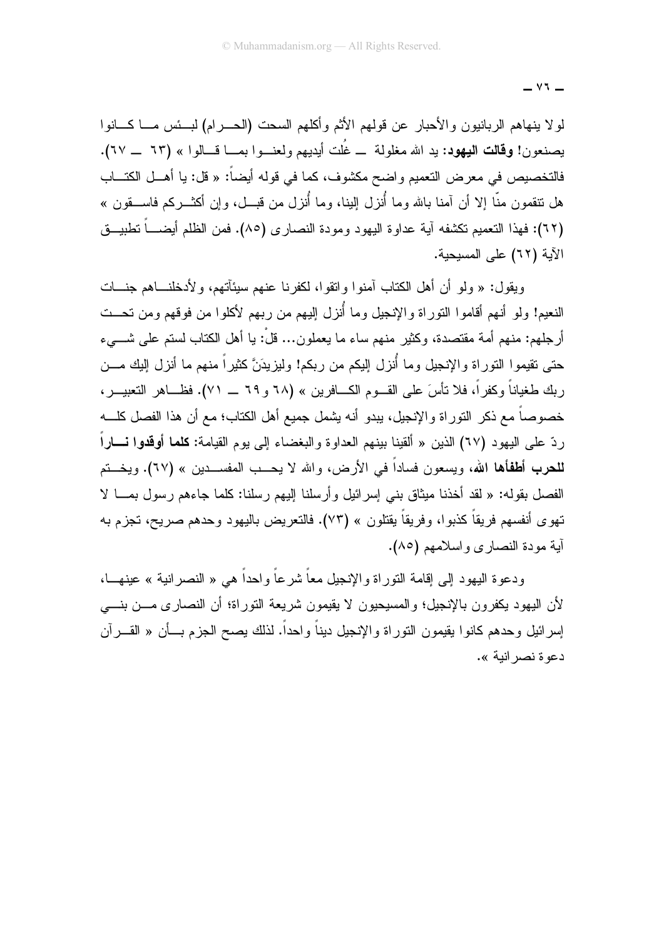$-11 -$ 

لولا ينهاهم الربانيون والأحبار عن قولهم الأثم وأكلهم السحت (الحـــرام) لبـــئس مــــا كــــانوا يصنعون! **وقالت اليهود**: يد الله مغلولة \_ غُلت أيديهم ولعنـــوا بمـــا قـــالوا » (٦٣ \_\_ ٦٧). فالتخصيص في معرض التعميم واضح مكشوف، كما في قوله أيضاً: « قل: يا أهـــل الكتـــاب هل نتقمون منَّا إلا أن آمنا بالله وما أُنزل البنا، وما أُنزل من قبـــل، وإن أكثـــركم فاســـقون » (٦٢): فهذا النعميم نكشفه آية عداوة اليهود ومودة النصارى (٨٥). فمن الظلم أيضــــاً نطبيـــق الآية (٦٢) على المسيحية.

وبِقول: « ولو أن أهل الكتاب آمنوا واتقوا، لكفرنا عنهم سبئآتهم، و لأدخلنـــاهم جنـــات النعيم! ولو أنهم أقاموا النوراة والإنجيل وما أُنزل اليهم من ربهم لأكلوا من فوقهم ومن تحــت أرجلهم: منهم أمة مقتصدة، وكثير منهم ساء ما يعملون... قلْ: يا أهل الكتاب لستم على شـــيء حتى تقيموا النوراة والإنجيل وما أُنزل إليكم من ربكم! وليزيدَنَّ كثيراً منهم ما أنزل إليك مـــن ربك طغياناً وكفراً، فلا نأسَ على القـــوم الكــــافرين » (٦٨ و ٦٩ ــــ ٧١). فظــــاهر النـعبيـــر، خصوصاً مع ذكر النوراة والإنجيل، ببدو أنه بشمل جميع أهل الكتاب؛ مع أن هذا الفصل كلـــه ردّ على اليهود (٦٧) الذين « ألقينا بينهم العداوة والبغضاء إلى يوم القيامة: **كلما أوقدوا نــــار**اً للحرب أطفأها الله، ويسعون فساداً في الأرض، والله لا يحــب المفســدين » (٦٧). ويخــتم الفصل بقوله: « لقد أخذنا ميثاق بنبي إسرائيل وأرسلنا البيهم رسلنا: كلما جاءهم رسول بمـــا لا تهوى أنفسهم فريقاً كذبوا، وفريقاً يقتلون » (٧٣). فالتعريض باليهود وحدهم صريح، تجزم به آية مودة النصار ي و اسلامهم (٨٥).

ودعوة اليهود إلى إقامة التور اة والإنجيل معاً شر عاً واحداً هي « النصر انية » عينهـــا، لأن اليهود يكفرون بالإنجيل؛ والمسيحيون لا يقيمون شريعة التوراة؛ أن النصاري مـــن بنــــي إسرائيل وحدهم كانوا يقيمون النوراة والإنجيل ديناً واحداً. لذلك بصح الجزم بـــأن « القــــرآن دعو ة نصر انبة ».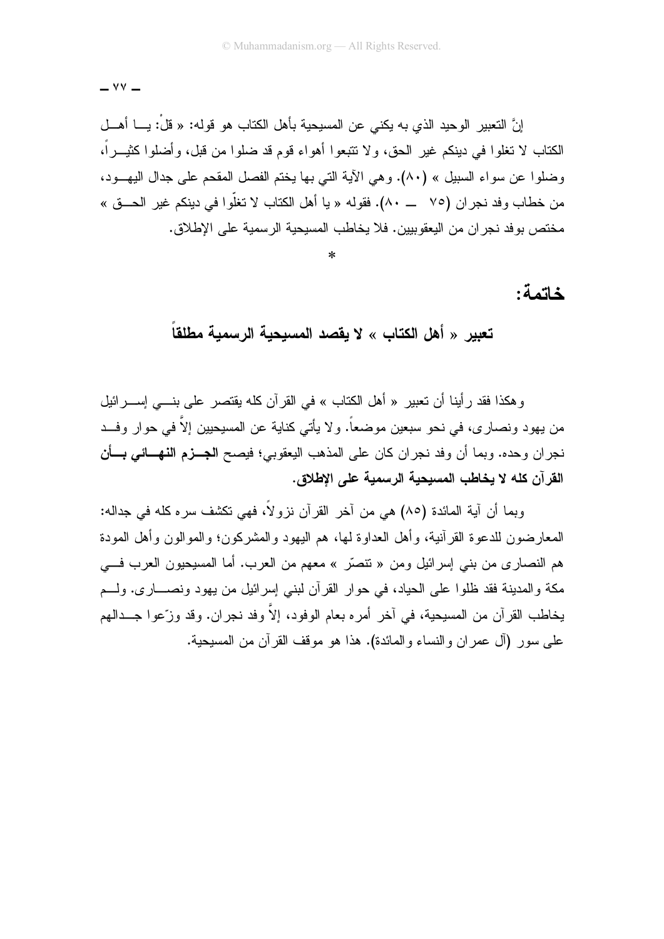إنَّ التعبير الوحيد الذي به يكني عن المسيحية بأهل الكتاب هو قوله: « قلْ: يـــا أهـــل الكتاب لا تغلوا في دينكم غير الحق، ولا تتبعوا أهواء قوم قد ضلوا من قبل، وأضلوا كثيــراً، وضلوا عن سواء السبيل » (٨٠). وهي الآية التي بها يختم الفصل المقحم على جدال اليهـــود، من خطاب وفد نجر ان (٧٥ ـــ ٨٠). فقوله « با أهل الكتاب لا تغلُّوا في دبنكم غبر الحـــوِّي » مختص بو فد نجر ان من اليعقو بيين. فلا يخاطب المسيحية الر سمية على الإطلاق.

### خاتمة:

تعبير « أهل الكتاب » لا يقصد المسيحية الرسمية مطلقا

وهكذا فقد رأينا أن تعبير « أهل الكتاب » في القرآن كله يقتصر على بنـــي إســــرائيل من يهود ونصارى، في نحو سبعين موضعاً. و لا يأتي كناية عن المسيحيين إلاّ في حوار وفــد نجر ان وحده. وبما أن وفد نجر ان كان على المذهب اليعقوبي؛ فيصح ا**لجــزم النهـــائ***ي* **بـــأن** القرآن كله لا يخاطب المسيحية الرسمية على الإطلاق.

وبما أن آبة المائدة (٨٥) هي من آخر القر آن نز و لاً، فهي نكشف سر ه كله في جداله: المعارضون للدعوة القرآنية، وأهل العداوة لمها، هم اليهود والمشركون؛ والموالون وأهل المودة هم النصاري من بنبي إسرائيل ومن « نتصَّر » معهم من العرب. أما المسيحيون العرب في مكة والمدينة فقد ظلوا على الحياد، في حوار القرآن لبني إسرائيل من يهود ونصــــارى. ولــــم بخاطب القرآن من المسبحية، في آخر أمر ه بعام الوفود، إلاّ وفد نجر ان. وقد وزّ عو ا جـــدالـهم على سور (آل عمر إن والنساء والمائدة). هذا هو موقف القر آن من المسبحبة.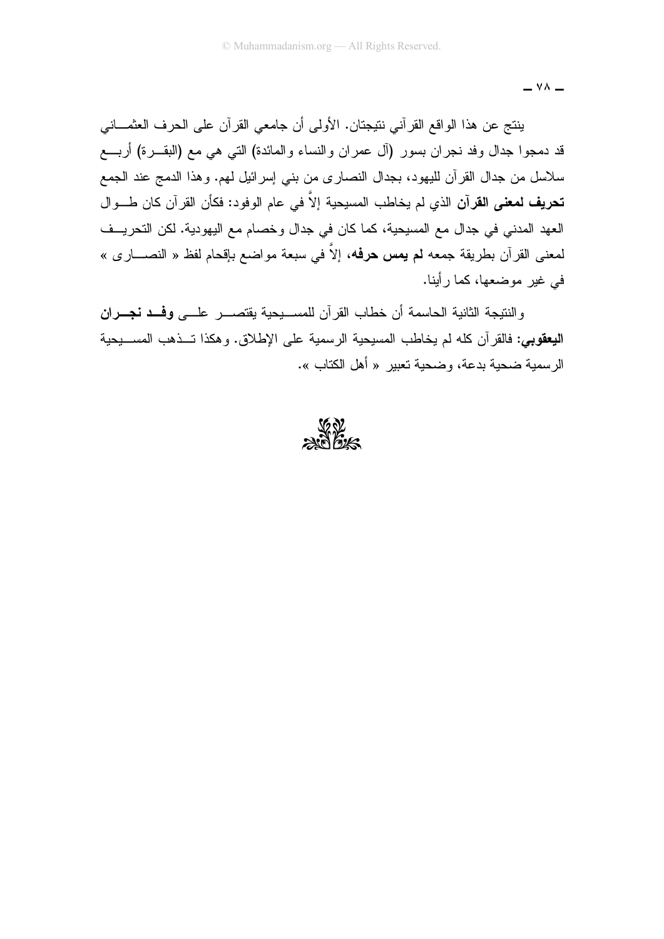$-$  YA  $-$ 

ينتج عن هذا الواقع القرآني نتيجتان. الأولى أن جامعي القرآن على الحرف العثمـــاني قد دمجوا جدال وفد نجران بسور (آل عمران والنساء والمائدة) التبي هي مع (البقـــرة) أربــــع سلاسل من جدال القرآن لليهود، بجدال النصاري من بني إسرائيل لمهم. وهذا الدمج عند الجمع **تحريف لمعنى القرآن** الذي لم يخاطب المسيحية إلاَّ في عام الوفود: فكأن القرآن كان طـــوال العهد المدنى في جدال مع المسيحية، كما كان في جدال وخصام مع اليهودية. لكن التحريــف لمعنى القرآن بطريقة جمعه **لم يمس حرفه**، إلاَّ في سبعة مواضع بإقحام لفظ « النصــــار ي » في غير موضعها، كما رأينا.

والنتبجة الثانية الحاسمة أن خطاب القرآن للمســبحبة بقتصـــر علـــي وفـــد نجـــران البعقوبي: فالقر آن كله لم يخاطب المسيحية الرسمية على الإطلاق. و هكذا تــذهب المســـبحية الر سمبة ضحبة بدعة، وضحبة تعبير « أهل الكتاب ».

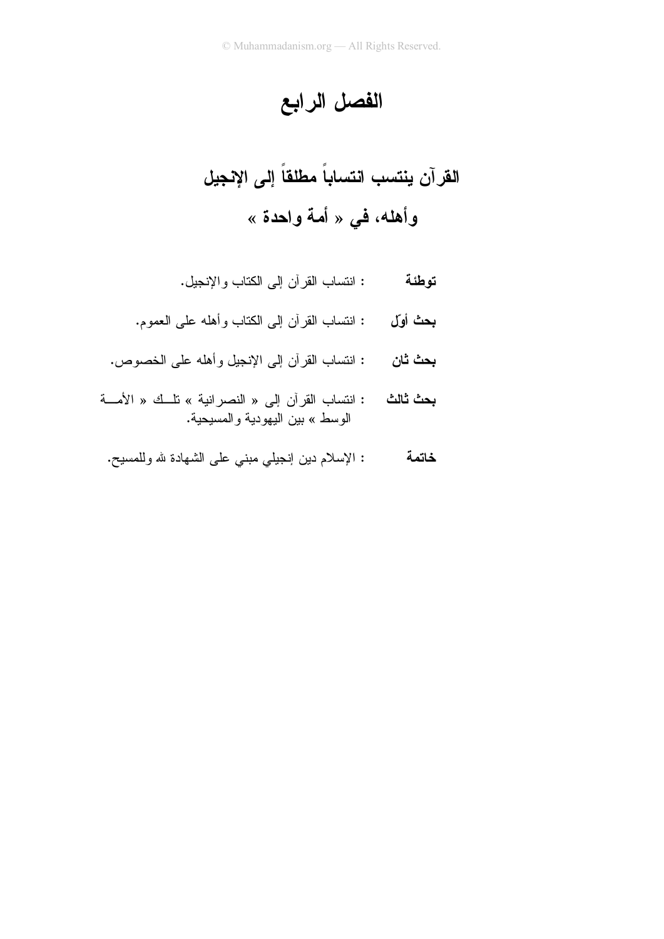الفصل الرابع

القرآن ينتسب انتساباً مطلقاً إلى الإنجيل وأهله، في « أمة واحدة »

- : انتساب القرآن إلى الكتاب والإنجيل. توطئة
- : انتساب القرآن إلى الكتاب وأهله على العموم. بحث أول
- : انتساب القرآن إلى الإنجيل وأهله على الخصوص. بحث ثان
- : انتساب القرآن إلى « النصرانية » تلَّك « الأمَّــة بحث ثالث الوسط » بين اليهودية والمسيحية.
- : الإسلام دين إنجيلي مبنى على الشهادة لله وللمسيح. خاتمة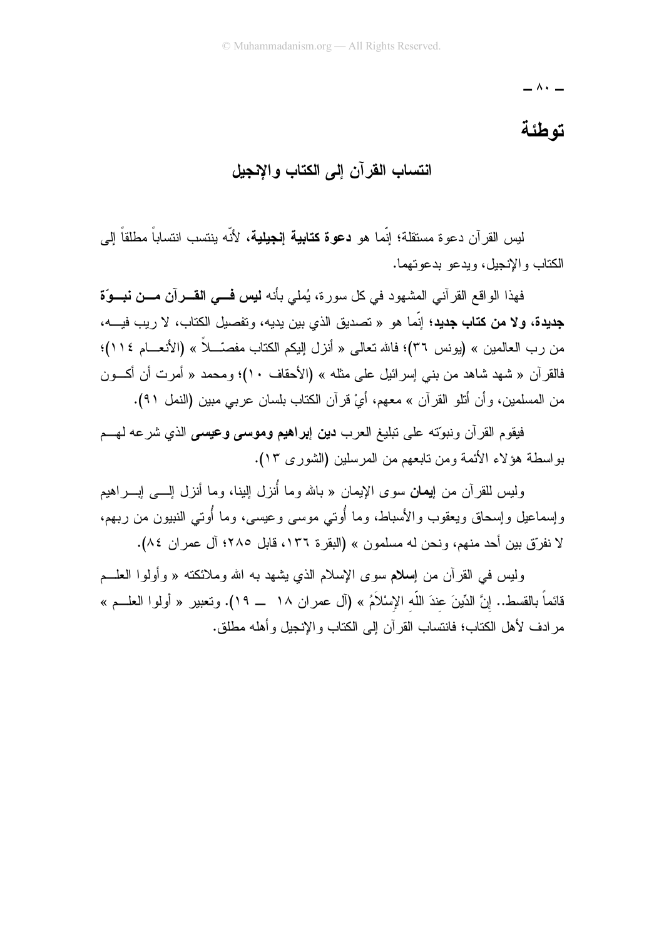$\overline{\phantom{a}}$   $\wedge\overline{\phantom{a}}$   $\overline{\phantom{a}}$ 

# توطئة

## انتساب القرآن الى الكتاب والانجبل

لس القرآن دعو ة مستقلة؛ انّما هو **دعو ة كتابية انجيلية**، لأنّه بنتسب انتساباً مطلقاً ال*ي* الكتاب والإنجل، ويدعو يدعونهما.

فهذا الو اقع القر آني المشهود في كل سور ة، يُملي بأنه **نيس فـــي القـــر**آ**ن مـــن نبـــو**ّة جديدة، ولا من كتاب جديد؛ إنَّما هو « تصديق الذي بين يديه، و تفصيل الكتاب، لا ر يب فيـــه، من رب العالمين » (يونس ٣٦)؛ فالله تعالى « أنزل إليكم الكتاب مفصَّـــلاً » (الأنعـــام ١١٤)؛ فالقرآن « شهد شاهد من بنبي إسرائيل علي مثله » (الأحقاف ١٠)؛ ومحمد « أمرت أن أكـــون من المسلمين، وأن أنثلو القرآن » معهم، أيْ قرآن الكتاب بلسان عربي مبين (النمل ٩١).

فيقوم القرآن ونبوّته على تبليغ العرب **دين إبراهيم وموسى وعيسى** الذي شرعه لهسم بو اسطة هؤ لاء الأئمة ومن تابعهم من المر سلين (الشور ي ١٣).

وليس للقرآن من إ**يمان** سوى الإيمان « بالله وما أُنزل الِبنا، وما أنزل الِسي اِبِـــراهيم وإسماعيل وإسحاق ويعقوب والأسباط، وما أُوتى موسى وعيسى، وما أُوتى النبيون من ربهم، لا نفرّق بين أحد منهم، ونحن له مسلمون » (البقرة ١٣٦، قابل ٢٨٥؛ آل عمر ان ٨٤).

وليس في القرآن من إ**سلام** سوى الإسلام الذي يشهد به الله وملائكته « وأولوا العلــم قائماً بالقسط.. إنَّ الدِّينَ عندَ اللَّه الإسْلاَمُ » (آل عمر ان ١٨ \_ ١٩). وتعبير « أولوا العلـــم » مرادف لأهل الكتاب؛ فانتساب القرآن إلى الكتاب والإنجيل وأهله مطلق.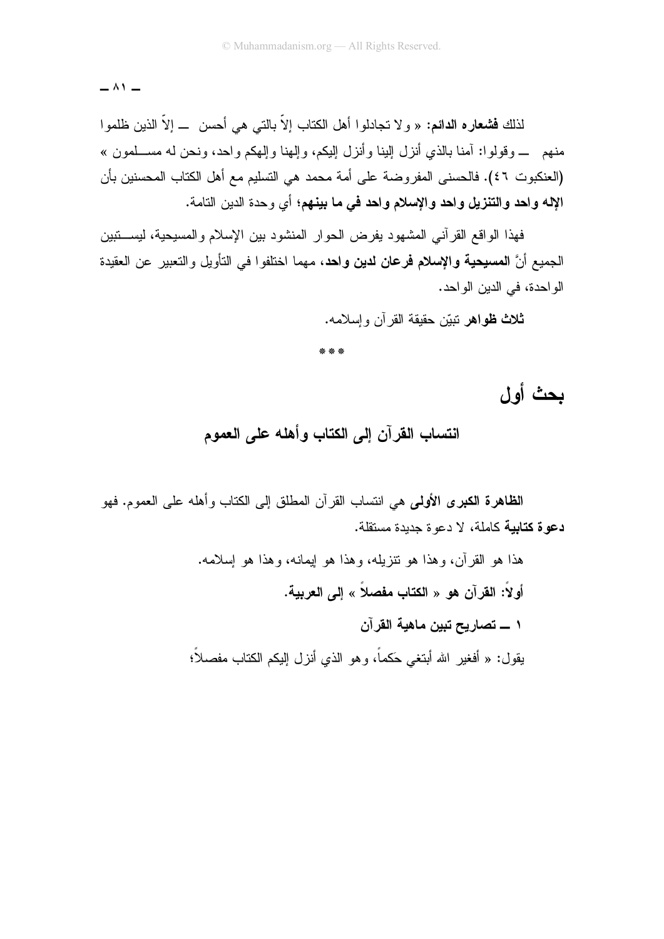$-$  ^  $\prime$   $-$ 

لذلك **فشعاره الدائم:** « و لا تجادلوا أهل الكتاب إلاّ بالتي هي أحسن ـــ إلاّ الذين ظلموا منهم ـــ وقولوا: آمنا بالذي أنزل البنا وأنزل البكم، وإلهنا وإلهكم وإحد، ونحن له مســلمون » (العنكبوت ٤٦). فالحسنى المفروضة على أمة محمد هي التسليم مع أهل الكتاب المحسنين بأن الإله واحد والتنزيل واحد والإسلام واحد في ما بينهم؛ أي وحدة الدين النامة.

فهذا الواقع القرآني المشهود يفرض الحوار المنشود بين الإسلام والمسيحية، ليستتبين الجميع أنَّ ا**لمسيحية والإسلام فرعان لدين واحد**، مهما اختلفوا في التأويل والتعبير ٍ عن العقيدة الواحدة، في الدين الواحد.

**ثلاث ظواهر** نبيّن حقيقة القر آن وإسلامه.

\* \* \*

بحث أول

انتساب القرآن إلى الكتاب وأهله على العموم

**الظاهرة الكبرى الأولى**ي هي انتساب القرآن المطلق إلى الكتاب وأهله على العموم. فهو دعوة كتابية كاملة، لا دعوة جديدة مستقلة.

> هذا هو القرآن، وهذا هو نتزيله، وهذا هو ايمانه، وهذا هو إسلامه. أولاً: القرآن هو « الكتاب مفصلاً » إل*ى* العربية. ١ ــــ تصاريح تبين ماهية القرآن يقول: « أفغير الله أبتغي حَكماً، وهو الذي أنزل الِبكم الكتاب مفصلاً؛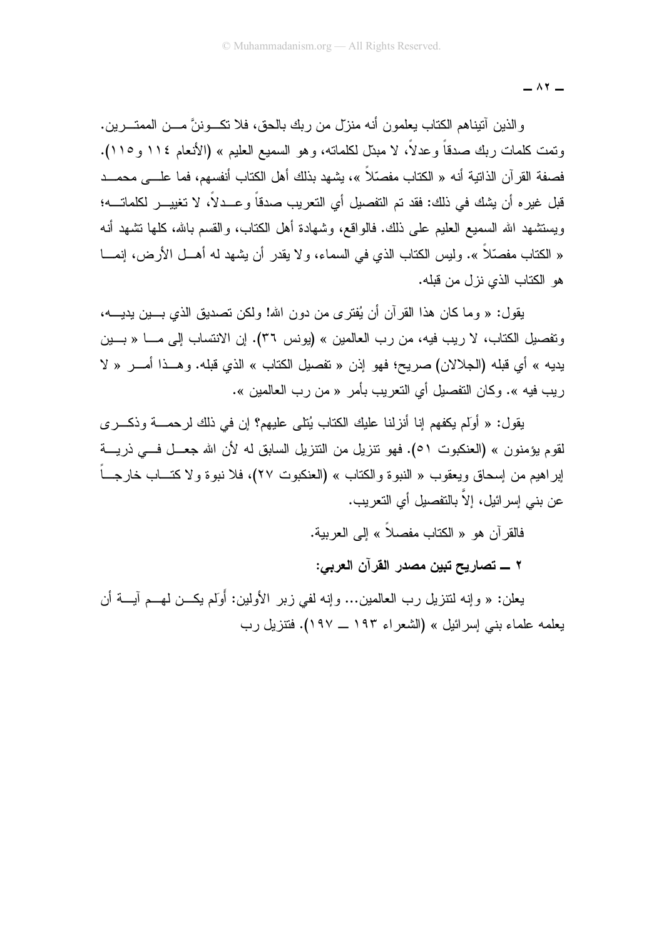$\wedge$   $\vee$ 

والذين أنيناهم الكتاب يعلمون أنه منزل من ربك بالحق، فلا نكــوننَّ مـــن الممتـــرين. وتمت كلمات ربك صدقاً وعدلاً، لا مبتل لكلماته، وهو السميع العليم » (الأنعام ١١٤ و ١١٥). فصفة القرآن الذاتية أنه « الكتاب مفصّلاً »، يشهد بذلك أهل الكتاب أنفسهم، فما علـــى محمـــد قبل غير ه أن بشك في ذلك: فقد تم التفصيل أي التعر بب صدقاً و عـــدلاً، لا تغيبـــر لكلماتـــه؛ ويستشهد الله السميع العليم على ذلك. فالواقع، وشهادة أهل الكتاب، والقسم بالله، كلها نشهد أنه « الكتاب مفصَّلاً ». وليس الكتاب الذي في السماء، و لا يقدر أن يشهد له أهـــل الأرض، إنمــــا هو الكتاب الذي نزل من قبله.

يقول: « وما كان هذا القر آن أن يُفتر ي من دون الله! ولكن تصديق الذي بـــين يديــــه، وتفصيل الكتاب، لا ريب فيه، من رب العالمين » (يونس ٣٦). إن الانتساب إلى مـــا « بـــين بديه » أي قبله (الجلالان) صريح؛ فهو إذن « تفصيل الكتاب » الذي قبله. وهــذا أمـــر « لا ريب فيه ». وكان النفصيل أي النعريب بأمر « من رب العالمين ».

يقول: « أولَم يكفهم إنا أنزلنا عليك الكتاب يُتلي عليهم؟ إن في ذلك لر حمـــة و ذكــر ي لقوم يؤمنون » (العنكبوت ٥١). فهو نتزيل من التتزيل السابق له لأن الله جعــل فـــي ذريـــة إبراهيم من إسحاق ويعقوب « النبوة والكتاب » (العنكبوت ٢٧)، فلا نبوة ولا كتـــاب خارجـــاً عن بني إسرائيل، إلاّ بالتفصيل أي التعريب.

فالقر آن هو « الكتاب مفصلاً » إلى العربية.

٢ ــــ تصاريح تبين مصدر القرآن العربي:

يعلن: « وإنه لنتزيل رب العالمين... وإنه لفي زبر الأولين: أَوَلَم يكــن لمهــم آيـــة أن يعلمه علماء بنبي إسرائيل » (الشعراء ١٩٣ ــ ١٩٧). فتتزيل رب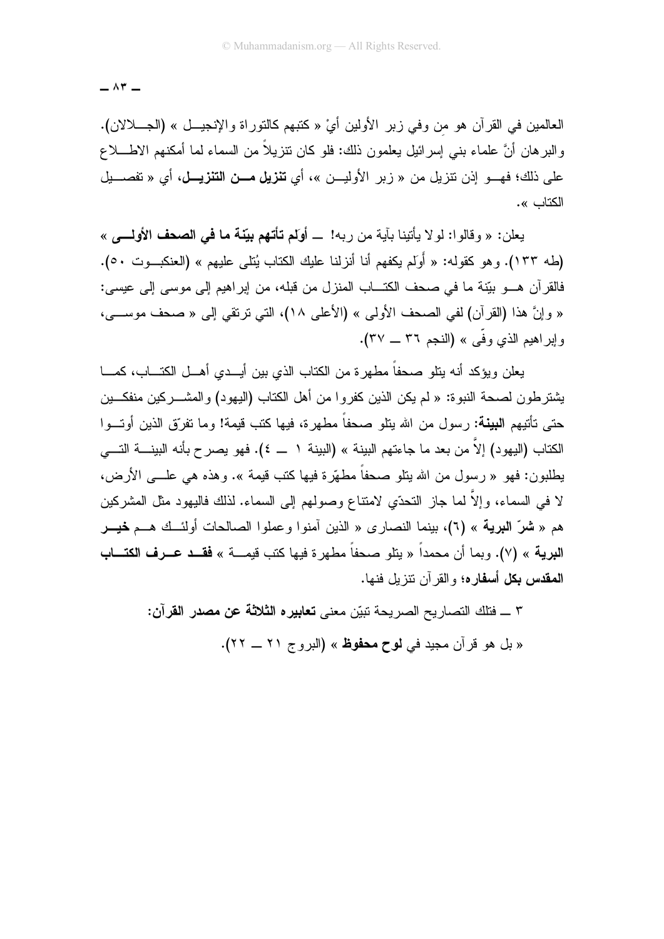$\wedge$   $\tau$   $-$ 

العالمين في القرآن هو من وفي زبر الأولين أيَّ « كَتبهم كالتوراة والإنجيـــل » (الجــــلالان). والبر هان أنَّ علماء بنبي إسرائيل يعلمون ذلك: فلو كان نتزيلاً من السماء لما أمكنهم الاطــــلاع على ذلك؛ فهـــو إذن نتزيل من « زير الأوليـــن »، أي **تنزيل مـــن التنزيـــل**، أي « تفصـــيل الكتاب ».

يعلن: « وقالو ا: لو لا يأتينا بآية من ر به! \_ أولم تأتهم بيّنة ما في الصحف الأولــــى » (طه ١٣٣). و هو كقوله: « أَوَلَم بِكفهم أنا أنزلنا عليك الكتاب بُتلي عليهم » (العنكبوت ٥٠). فالقرَّ أن هـــو بيّنة ما في صحف الكتـــاب المنزل من قبله، من إبراهيم إلى موسى إلى عيسى: « وإنَّ هذا (القرآن) لفي الصحف الأولى » (الأعلى ١٨)، التي ترتقي إلى « صحف موســـي، واير اهيم الذي وفَّى » (النجم ٣٦ ــ ٣٧).

يعلن ويؤكد أنه ينلو صحفاً مطهر ة من الكتاب الذي بين أيـــدي أهـــل الكتـــاب، كمـــا يشتر طون لصحة النبو ة: « لم يكن الذين كفر و ا من أهل الكتاب (اليهو د) و المشـــر كين منفكـــين حتى تأتيهم ا**لبينة:** رسول من الله يتلو صحفاً مطهر ة، فيها كتب قيمة! وما تفرّق الذين أوتــوا الكتاب (اليهود) إلاّ من بعد ما جاءتهم البينة » (البينة ١ ــ ٤). فهو يصر ح بأنه البينــــة التــــى يطلبون: فهو « رسول من الله يتلو صحفاً مطهَّرة فيها كتب قيمة ». وهذه هي علـــي الأرض، لا في السماء، وإلاَّ لما جاز النحدّي لامتناع وصولـهم إلى السماء. لذلك فاليـهود مثل المشركين هم « **شرّ البرية** » (٦)، بينما النصارى « الذين آمنوا وعملوا الصالحات أولئــك هــم **خيـــر** البرية » (٧). وبما أن محمداً « يتلو صحفاً مطهر ة فيها كتب قيمـــة » **فقــد عــرف الكتـــاب** ا**لمقدس بكل أسفاره؛** و القر آن نتز بل فنها.

> ٣ \_ فتلك النصاريح الصريحة نبيّن معنى **تعابير ه الثلاثة عن مصدر القرآن:** « بل هو قرآن مجيد في **لوح محفوظ** » (البروج ٢١ ــ ٢٢).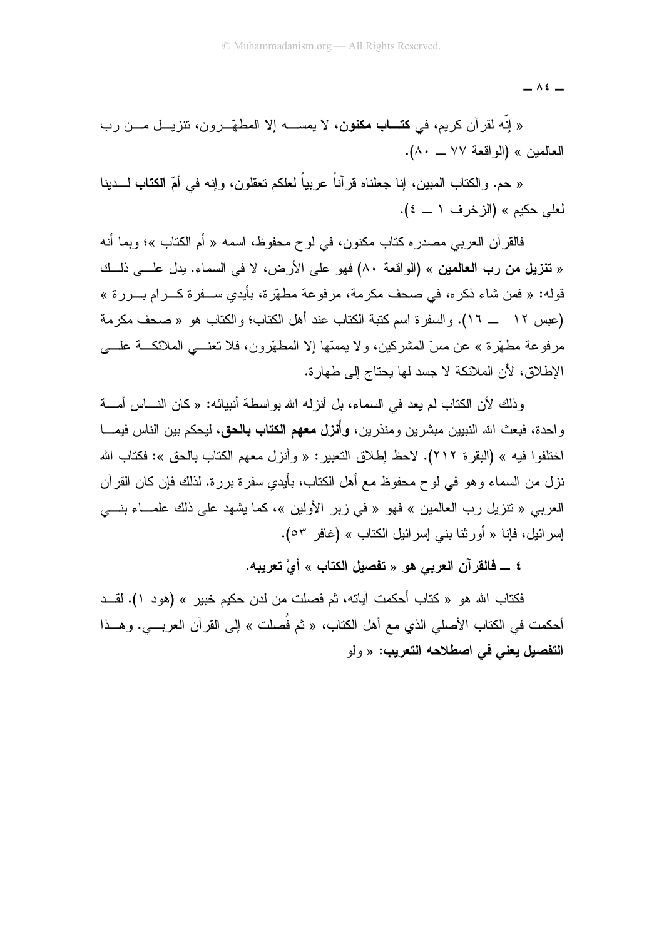$\overline{\phantom{0}}$   $\wedge$   $\overline{\phantom{0}}$ 

« إنه لقرآن كريم، في ك**تـــاب مكنون**، لا يمســـه إلا المطهّــرون، تتزيـــل مـــن رب العالمين » (الواقعة ٧٧ ــ ٨٠).

« حم. والكتاب المبين، إنا جعلناه قرأناً عربياً لعلكم تعقلون، وإنه في أمّ ا**لكتاب** لـــدينا لعلي حكيم » (الزخرف ١ ــ ٤).

فالقرآن العربي مصدر ه كتاب مكنون، في لو ح محفوظ، اسمه « أم الكتاب »؛ وبما أنه « **تنزيل من رب العالمين** » (الواقعة ٨٠) فهو على الأرض، لا في السماء. يدل علـــي ذلـــك قوله: « فمن شاء ذكر ه، في صحف مكر مة، مر فو عة مطهّر ة، بأيدي ســفر ة كـــر ام بـــر ر ة » (عبس ١٢ \_ ١٦). والسفرة اسم كتبة الكتاب عند أهل الكتاب؛ والكتاب هو « صحف مكرمة مرفوعة مطهَّرة » عن مسِّ المشركين، ولا يمسِّها إلا المطهَّرون، فلا تعنـــي الملائكـــة علــــي الإطلاق، لأن الملائكة لا جسد لها بحتاج إلى طهارة.

وذلك لأن الكتاب لم يعد في السماء، بل أنزله الله بواسطة أنبيائه: « كان النــــاس أمــــة واحدة، فبعث الله النبيين مبشرين ومنذرين، **وأنزل معهم الكتاب بالحق**، ليحكم بين الناس فيمـــا اختلفوا فيه » (البقرة ٢١٢). لاحظ إطلاق التعبير: « وأنزل معهم الكتاب بالحق »: فكتاب الله نزل من السماء وهو في لوح محفوظ مع أهل الكتاب، بأيدي سفرة بررة. لذلك فإن كان القرآن العربي « تنزيل رب العالمين » فهو « في زبر الأولين »، كما يشهد على ذلك علمــاء بنـــي إسر ائيل، فإنا « أور ثنا بني إسر ائيل الكتاب » (غافر ٥٣).

٤ ـــ فالقرآن العربي هو « تفصيل الكتاب » أيْ تعريبه.

فكتاب الله هو « كتاب أحكمت آياته، ثم فصلت من لدن حكيم خبير » (هود ١). لقــد أحكمت في الكتاب الأصلي الذي مع أهل الكتاب، « ثم فُصلت » إلى القرآن العربـــي. و هـــذا التفصيل يعني في اصطلاحه التعريب: « ولو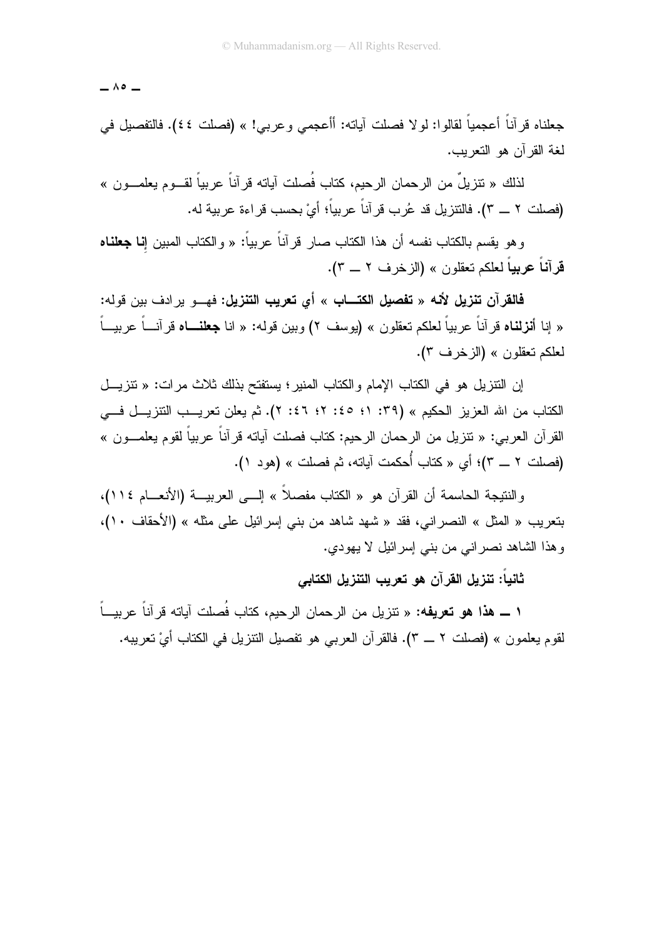$-$  ^  $\circ$   $-$ 

جعلناه قرآناً أعجمياً لقالوا: لولا فصلت آياته: أأعجمي وعربي! » (فصلت ٤٤). فالتفصيل في لغة القرآن هو التعريب.

لذلك « تنزيلٌ من الرحمان الرحيم، كتاب فُصلت آياته قرآناً عربياً لقــوم يعلمــون » (فصلت ٢ \_ ٣). فالتتزيل قد عُرب قرآناً عربياً؛ أيْ بحسب قراءة عربية له.

و هو يقسم بالكتاب نفسه أن هذا الكتاب صـار قر آناً عربياً: « و الكتاب المبين إ**نـا جعلنـاه** قرآنـاً عربيـاً لـعلكم تعقلون » (الزخرف ٢ ـــ ٣).

فالقرآن تنزيل لأنه « تفصيل الكتـــاب » أي تعريب التنزيل: فهـــو برادف بين قوله: « إنا أ**نزلناه** قرآناً عربياً لعلكم تعقلون » (يوسف ٢) وبين قوله: « انا **جعلنـــاه** قرآنـــاً عربيـــاً لعلكم تعقلون » (الزخرف ٣).

إن النتز بل هو في الكتاب الإمام و الكتاب المنبر ؛ بستفتح بذلك ثلاث مر ات: « نتز بـــل الكتاب من الله العزيز الحكيم » (٣٩: ١؛ ٤٥: ٢؛ ٤٦: ٢). ثم بعلن تعريب التنزيــل فـــي القرآن العربي: « تنزيل من الرحمان الرحيم: كتاب فصلت آياته قرآناً عربياً لقوم يعلمـــون » (فصلت ٢ ــ ٣)؛ أي « كتاب أُحكمت آياته، ثم فصلت » (هود ١).

و النتيجة الحاسمة أن القر آن هو « الكتاب مفصلاً » إلـــى العربيـــة (الأنعـــام ١١٤)، بتعريب « المثل » النصراني، فقد « شهد شاهد من بني إسرائيل على مثله » (الأحقاف ١٠)، وهذا الشاهد نصراني من بني إسرائيل لا يهودي.

ثانياً: تنزيل القرآن هو تعريب التنزيل الكتابي

١ ــــ هذا هو تعريفه: « تنزيل من الرحمان الرحيم، كتاب فُصلت آياته قرآناً عربيــاً لقوم يعلمون » (فصلت ٢ ـــ ٣). فالقرآن العربي هو تفصيل النتزيل في الكتاب أيْ تعريبه.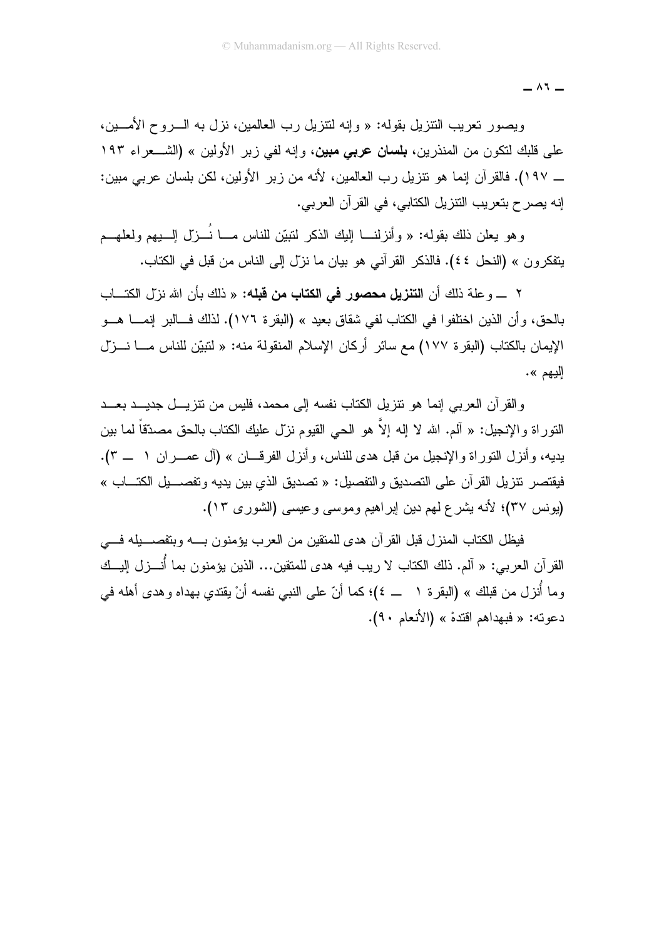$\wedge$   $\vee$ 

ويصور نعريب النتزيل بقوله: « وإنه لنتزيل رب العالمين، نزل به الـــروح الأمــــين، على قلبك لتكون من المنذرين، **بلسان عربي مبين**، وإنه لفي زير الأولين » (الشـــعراء ١٩٣ ـــ ١٩٧). فالقر آن إنما هو نتزيل رب العالمين، لأنه من زبر الأولين، لكن بلسان عربي مبين: إنه يصرح بتعريب النتزيل الكتابي، في القرآن العربي.

وهو يعلن ذلك بقوله: « وأنزلنـــا الِيكِ الذكر لتبيّن للناس مـــا نُـــزل الــــبيهم ولعلهـــم يتفكر ون » (النحل ٤٤). فالذكر القر آني هو بيان ما نزل إلى الناس من قبل في الكتاب.

٢ \_ و علة ذلك أن ا**لتنزيل محصور في الكتاب من قبله:** « ذلك بأن الله نزل الكتـــاب بالحق، و أن الذين اختلفو ا في الكتاب لفي شقاق بعيد » (البقر ة ١٧٦). لذلك فـــالبر إنمـــا هـــو الإيمان بالكتاب (البقر ة ١٧٧) مع سائر. أركان الإسلام المنقولة منه: « لنبيِّن للناس مـــا نـــزِّل اليهم ».

والقرآن العربي إنما هو نتزيل الكتاب نفسه إلى محمد، فليس من نتزيـــل جديـــد بعـــد النَّوراة والإنجيل: « آلم. الله لا إله إلاَّ هو الحي القيوم نزل عليك الكتاب بالحق مصدَّقاً لما بين يديه، وأنزل التوراة والإنجيل من قبل هدى للناس، وأنزل الفرقـــان » (آل عمـــران ١ \_\_ ٣). فيقتصر نتز بل القر آن على التصديق و التفصيل: « تصديق الذي بين يديه و تفصـــيل الكتـــاب » (يونس ٣٧)؛ لأنه يشرع لهم دين إبراهيم وموسى وعيسى (الشورى ١٣).

فيظل الكتاب المنزل قبل القرآن هدى للمنقين من العرب يؤمنون بــــه وبتفصــــيله فــــى القر آن العربي: « آلم. ذلك الكتاب لا ريب فيه هدى للمتقين... الذين يؤمنون بما أُنـــزل إليـــك وما أنزل من قبلك » (البقرة ١ ـــ ٤)؛ كما أنّ على النبي نفسه أنْ يقتدي بهداه وهدى أهله في دعوته: « فبهداهم اقتدهْ » (الأنعام ٩٠).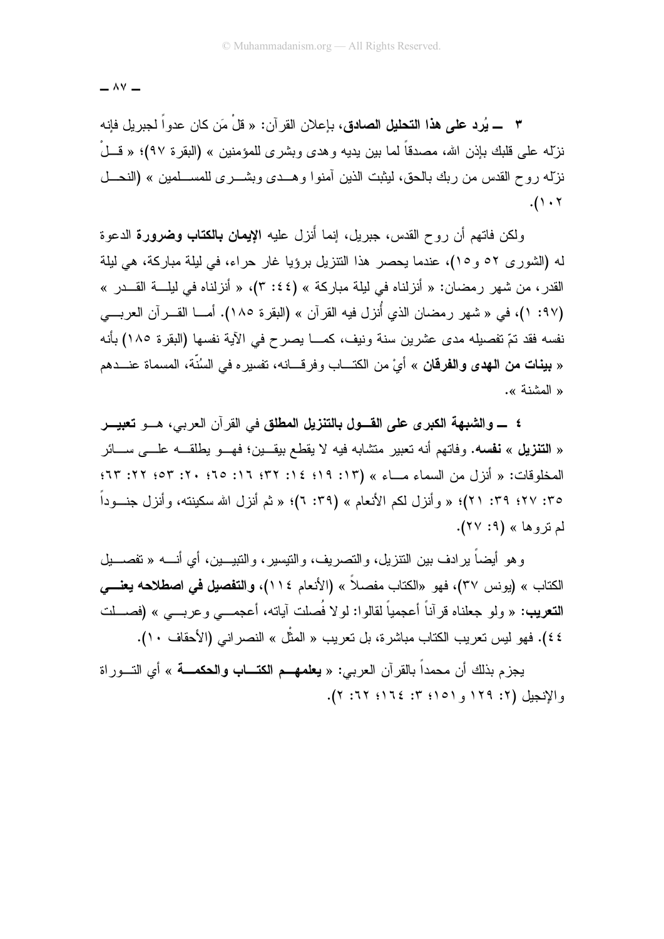$\wedge$  Y  $-$ 

٣ ـــــ يُرد على هذا التحليل الصادق، بإعلان القرآن: « قلْ مَن كان عدواً لجبريل فإنه نزلِّه علي قلبك بإذن الله، مصدقاً لما بين يديه و هدى وبشر ي للمؤمنين » (البقر ة ٩٧)؛ « قــلْ نزلّه ر و ح القدس من ر بك بالحق، ليثبت الذين آمنو ا و هــدي و بشـــر ي للمســـلمين » (النحـــل  $(1.7)$ 

ولكن فاتهم أن روح القدس، جبريل، إنما أُنزل عليه **الإيمان بالكتاب وضرورة** الدعوة له (الشور ي ٥٢ و ١٥)، عندما بحصر هذا النتزيل برؤيا غار حراء، في لبلة مباركة، هي لبلة القدر ، من شهر ر مضان: « أنز لناه في ليلة مبار كة » (٢ :٤٤)، « أنز لناه في ليلــــة القـــدر » (٩٧: ١)، في « شهر رمضان الذي أُنزل فيه القرآن » (البقرة ١٨٥). أمــا القـــرآن العربـــي نفسه فقد تمّ تفصيله مدى عشرين سنة ونيف، كمـــا يصرح في الآية نفسها (البقرة ١٨٥) بأنه « **بينات من الـهدى والفرقان** » أيْ من الكتـــاب وفرقـــانه، تفسيره في السُنّة، المسماة عنـــدهم « المشنة ».

٤ ــــــوالشبهة الكبرى على القــــول بـالتنزيل المطلق في القرآن العربي، هـــو تعبيـــر « ا**لتنزيل** » **نفسه.** وفاتهم أنه تعبير منشابه فيه لا يقطع بيقـــين؛ فهـــو يطلقــــه علـــي ســــائر المخلوقات: « أنزل من السماء مـــاء » (١٣: ١٩؛ ١٤: ٣٢؛ ١٦: ٢٥: ٢٠: ٥٣: ٢٢: ٣٣: ٣٥: ٢٧؛ ٣٩: ٢١)؛ « وأنزل لكم الأنعام » (٣٩: ٦)؛ « ثم أنزل الله سكينته، وأنزل جنسوداً لم تروها» (۹: ۲۷).

و هو أيضاً بر ادف بين النتز بل، و النصر بف، و النيسير ، و النبيـــين، أي أنــــه « نفصــــيل الكتاب » (يونس ٣٧)، فهو «الكتاب مفصلاً » (الأنعام ١١٤)، وا**لتفصيل في اصطلاحه يعنـــي التعريب:** « ولو جعلناه قرآناً أعجمياً لقالوا: لولا فُصلت آياته، أعجمـــي وعربـــي » (فصــــلت ٤٤). فهو ليس تعريب الكتاب مباشرة، بل تعريب « المثُّل » النصر اني (الأحقاف ١٠).

يجزم بذلك أن محمداً بالقرآن العربي: « **يعلمهــم الكتـــاب والحكمـــة** » أي التـــوراة والإنجيل (٢: ١٢٩ و ١٥١؛ ٣: ١٦٤؛ ٢٢: ٢).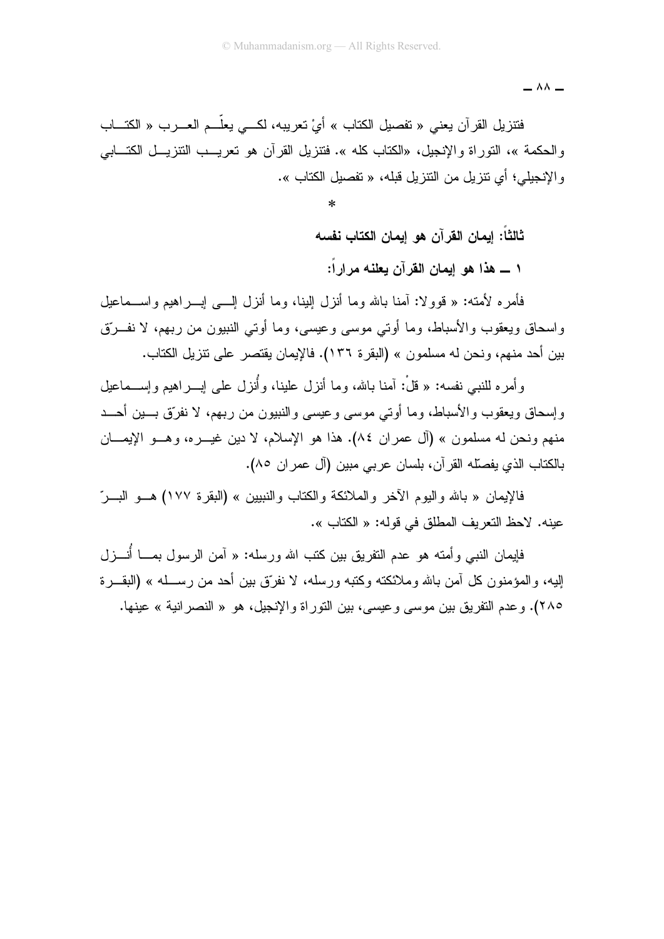$= \wedge \wedge$ 

فتنزيل القرآن يعني « نفصيل الكتاب » أيْ تعريبه، لكـــى يعلّـــم العــــرب « الكتــــاب والحكمة »، التوراة والإنجيل، «الكتاب كله ». فتنزيل القرآن هو تعريـــب النتزيـــل الكتـــابـي و الإنجيلي؛ أي نتز بل من النتز بل قبله، « تفصيل الكتاب ».

ثالثا: إيمان القرآن هو إيمان الكتاب نفسه

١ ـــ هذا هو إيمان القرآن يعلنه مرارا:

فأمره لأمته: « قوولا: آمنا بالله وما أنزل إلينا، وما أنزل إلـــي إبـــراهيم واســـماعيل واسحاق ويعقوب والأسباط، وما أوتى موسى وعيسى، وما أوتى النبيون من ربهم، لا نفــرتق بين أحد منهم، ونحن له مسلمون » (البقرة ١٣٦). فالإيمان يقتصر على تتزيل الكتاب.

و أمر ه للنبي نفسه: « قُلْ: آمنا بالله، وما أنزل علبنا، و أُنزل علي إب اهبم وإســـماعبل وإسحاق ويعقوب والأسباط، وما أوتى موسى وعيسى والنبيون من ربهم، لا نفرِّق بـــين أحـــد منهم ونحن له مسلمون » (آل عمران ٨٤). هذا هو الإسلام، لا دين غيــــره، وهــــو الإيمــــان بالكتاب الذي يفصلّه القرآن، بلسان عربي مبين (آل عمران ٨٥).

فالإيمان « بالله واليوم الآخر والملائكة والكتاب والنبيين » (البقرة ١٧٧) هــو البـــرّ عينه. لاحظ النعريف المطلق في قوله: « الكتاب ».

فإيمان النبي وأمته هو عدم النفريق بين كتب الله ورسله: « آمن الرسول بمـــا أنــــزل البه، و المؤمنون كل آمن بالله وملائكته وكتبه ورسله، لا نفرّق بين أحد من رســـله » (البقــر ة ٢٨٥). و عدم التفريق بين موسى و عبسى، بين التور اة و الإنجيل، هو « النصر انية » عبنها.

 $\ast$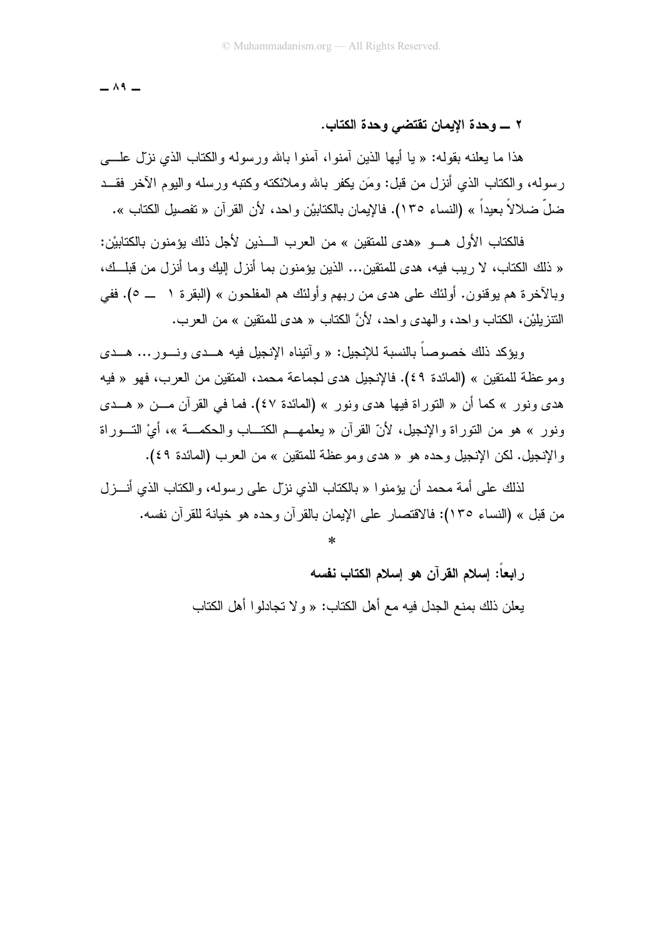$\wedge$  9  $-$ 

### 

هذا ما يعلنه بقوله: « يا أيها الذين أمنوا، أمنوا بالله ورسوله والكتاب الذي نزل علــــي ر سوله، والكتاب الذي أنز ل من قبل: ومَن بكفر بالله وملائكته وكتبه ورسله والبوم الآخر فقــد ضلَّ ضلالاً بعيداً » (النساء ١٣٥). فالإيمان بالكتابيْن واحد، لأن القرآن « تفصيل الكتاب ».

فالكتاب الأول هـــو «هدى للمتقبن » من العر ب الــــذين لأجل ذلك بوَمنون بالكتابيْن: « ذلك الكتاب، لا ريب فيه، هدى للمتقين... الذين يؤمنون بما أنزل إليك وما أنزل من قبلــك، وبالآخرة هم يوقنون. أولئك على هدى من ربهم وأولئك هم المفلحون » (البقرة ١ \_\_ ٥). ففي النتز بِلَيْنِ، الكتاب و احد، و الـهدي و احد، لأنَّ الكتاب « هدي للمتقين » من العر ب.

وبؤكد ذلك خصوصاً بالنسبة للإنجيل: « و آتيناه الإنجيل فيه هــدي ونــور ... هــدي وموعظة للمنقين » (المائدة ٤٩). فالإنجيل هدى لجماعة محمد، المنقين من العرب، فهو « فيه هدى ونور » كما أن « النوراة فيها هدى ونور » (المائدة ٤٧). فما في القرآن مـــن « هـــدى ونور » هو من التوراة والإنجيل، لأنّ القرآن « يعلمهــم الكتـــاب والـحكمـــة »، أيْ التـــوراة والإنجيل. لكن الإنجيل وحده هو « هدى وموعظة للمنقين » من العرب (المائدة ٤٩).

لذلك على أمة محمد أن يؤمنو ا « بالكتاب الذي نزَّل على ر سوله، و الكتاب الذي أنـــز ل من قبل » (النساء ١٣٥): فالاقتصار على الإيمان بالقرآن وحده هو خيانة للقرآن نفسه.

ر ابعاً: إسلام القرآن هو إسلام الكتاب نفسه

يعلن ذلك بمنع الجدل فيه مع أهل الكتاب: « و لا تجادلو ا أهل الكتاب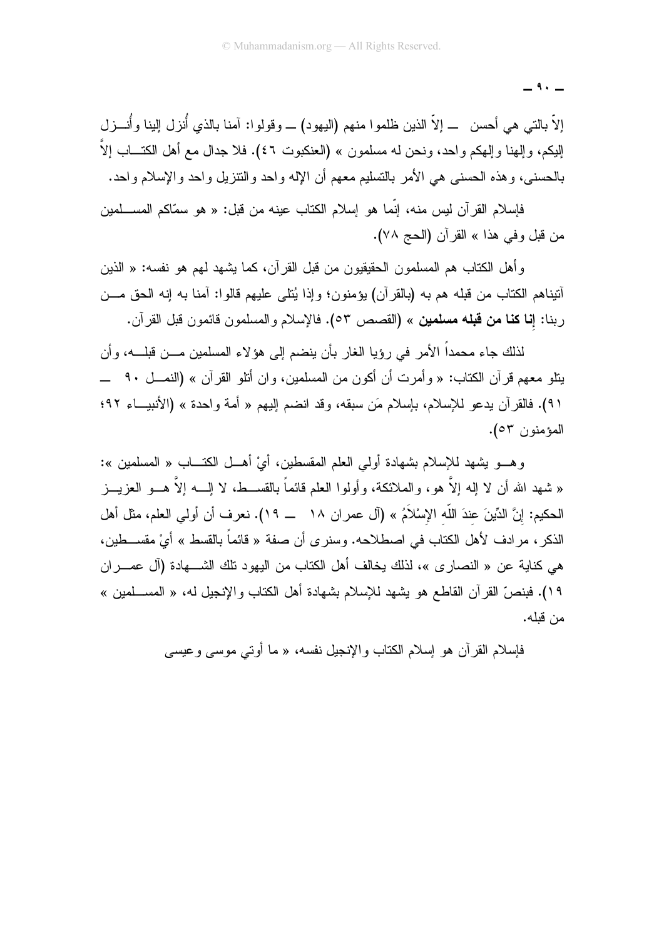$-9. -$ 

إلاَّ بالتي هي أحسن ـــ إلاَّ الذين ظلموا منهم (اليهود) ـــ وقولوا: آمنا بالذي أُنزل إلينا وأنــــزل الِبِكم، وإلهنا وإلهكم واحد، ونحن له مسلمون » (العنكبوت ٤٦). فلا جدال مع أهل الكتـــاب إلاَّ بالحسني، وهذه الحسني هي الأمر بالتسليم معهم أن الإله واحد والنتزيل واحد والإسلام واحد.

فإسلام القرآن ليس منه، إنَّما هو إسلام الكتاب عينه من قبل: « هو سمَّاكم المســـلمين من قبل وفي هذا » القرآن (الحج ٧٨).

وأهل الكتاب هم المسلمون الحقيقيون من قبل القرآن، كما يشهد لهم هو نفسه: « الذين أننيناهم الكتاب من قبله هم به (بالقرآن) يؤمنون؛ وإذا يُتلى عليهم قالوا: أمنا به إنه الحق مـــن ربنا: إ**نا كنا من قبله مسلمين** » (القصص ٥٣). فالإسلام والمسلمون قائمون قبل القرآن.

لذلك جاء محمداً الأمر في روِّيا الغار بأن ينضم إلى هوِّ لاء المسلمين مـــن قبلـــه، و أن يتلو معهم قرآن الكتاب: « وأمرت أن أكون من المسلمين، وان أتلو القرآن » (النمـــل ٩٠ ـــ ٩١). فالقرآن يدعو للإسلام، بإسلام مَن سبقه، وقد انضم إليهم « أمة واحدة » (الأنبيـــاء ٩٢؛ المؤمنون ٥٣).

وهـــو يشهد للإسلام بشهادة أولى العلم المقسطين، أيْ أهـــل الكتــــاب « المسلمين »: « شهد الله أن لا إله إلاَّ هو، والملائكة، وأولوا العلم قائماً بالقســط، لا إلـــه إلاَّ هـــو العزيـــز الحكيم: إنَّ الدِّينَ عندَ اللَّه الإسْلاَمُ » (آل عمر ان ١٨ ـــ ١٩). نعرف أن أولي العلم، مثل أهل الذكر ، مرادف لأهل الكتاب في اصطلاحه. وسنرى أن صفة « قائماً بالقسط » أيْ مقســـطين، هي كناية عن « النصار ي »، لذلك يخالف أهل الكتاب من اليهود تلك الشـــهادة (آل عصـــران ١٩). فبنصِّ القرآن القاطع هو يشهد للإسلام بشهادة أهل الكتاب والإنجيل له، « المســلمين » من قلله.

فإسلام القرآن هو إسلام الكتاب والإنجيل نفسه، « ما أوتبي موسى وعيسى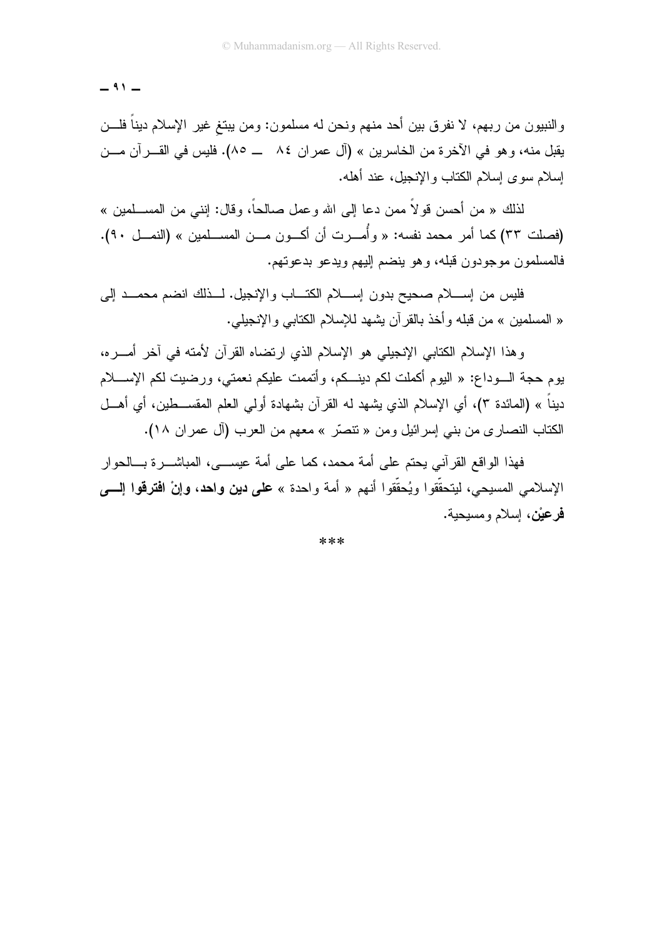$$
- \cdots -
$$

والنبيون من ربهم، لا نفرق بين أحد منهم ونحن له مسلمون: ومن يبتغ غير الإسلام ديناً فلـــن يقبل منه، وهو في الآخرة من الخاسرين » (آل عمر إن ٨٤ ــ ٨٥). فليس في القـــر آن مـــن اسلام سوى اسلام الكتاب والانجبل، عند أهله.

لذلك « من أحسن قولاً ممن دعا إلى الله وعمل صـالحـاً، وقال: إننـي من المســـلمين » (فصلت ٣٣) كما أمر محمد نفسه: « وأُمـــرت أن أكـــون مـــن المســـلمين » (النمـــل ٩٠). فالمسلمون موجودون قبله، وهو ينضم إليهم ويدعو بدعوتهم.

فليس من إســـلام صحيح بدون إســـلام الكتـــاب والإنجيل. لـــذلك انضم محمـــد إلـي « المسلمين » من قبله وأخذ بالقرآن بشهد للإسلام الكتابي والإنجيلي.

وهذا الإسلام الكتابي الإنجيلي هو الإسلام الذي ارتضاه القرآن لأمته في آخر أمـــره، يوم حجة الـــوداع: « اليوم أكملت لكم دينـــكم، وأتممت عليكم نعمتي، ورضيت لكم الإســــلام ديناً » (المائدة ٣)، أي الإسلام الذي يشهد له القرآن بشهادة أولـي العلم المقســـطين، أي أهـــل الكتاب النصارى من بني إسرائيل ومن « تنصَّر » معهم من العرب (آل عمران ١٨).

فهذا الواقع القرآني يحتم على أمة محمد، كما على أمة عيســـي، المباشـــرة بـــالحوار الإسلامي المسيحي، ليتحقَّقوا ويُحقَّقوا أنهم « أمة واحدة » على **دين واحد**، **وإنْ افترقوا إلـــــ**ي فرعيْن، اِسلام ومسيحية.

 $**$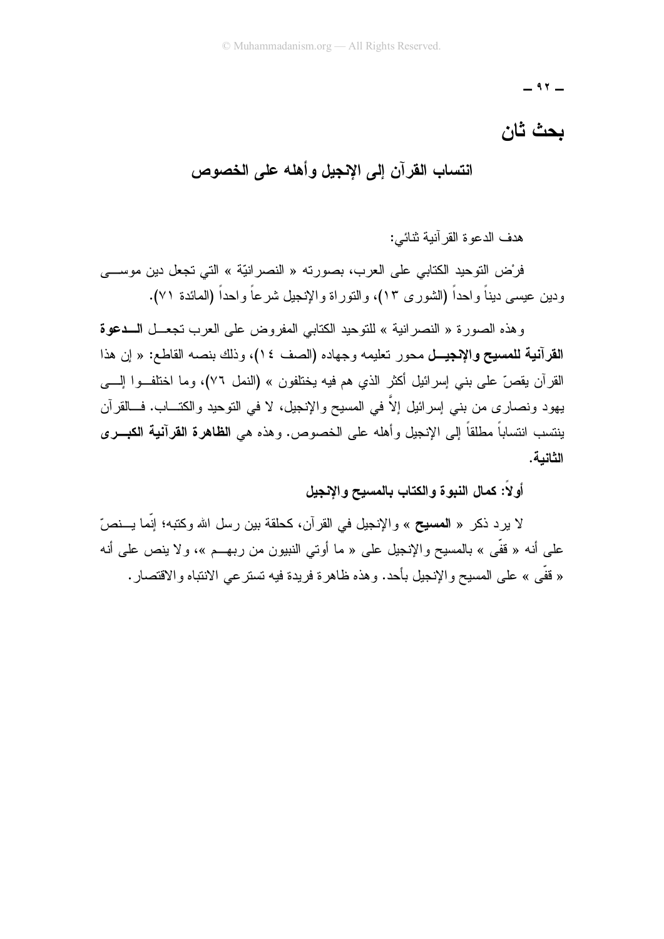$-$  ٩٢ $-$ 

# بحث ثان

انتساب القرآن إلى الإنجيل وأهله على الخصوص

هدف الدعو ة القر آنية تُنائي:

فرْض النّوحيد الكتابي على العرب، بصورته « النصر انيّة » التي تجعل دين موســـي ودين عيسى ديناً واحداً (الشورى ١٣)، والنوراة والإنجيل شرعاً واحداً (المائدة ٧١).

وهذه الصورة « النصر انية » للتوحيد الكتابي المفروض على العرب تجعــل الـــدعوة ا**لقرآنية للمسيح والإنجيــل** محور تعليمه وجهاده (الصف ١٤)، وذلك بنصـه القاطـع: « إن هذا القرآن يقصّ على بنبي إسرائيل أكثر الذي هم فيه يختلفون » (النمل ٧٦)، وما اختلفــوا إلــــي يهود ونصاري من بني إسرائيل إلاَّ في المسيح والإنجيل، لا في النوحيد والكتـــاب. فـــالقرآن ينتسب انتساباً مطلقاً إلى الإنجيل وأهله على الخصوص. وهذه هي ا**نظاهرة القرآنية الكبـــري** الثانية.

أو لا: كمال النبوة والكتاب بالمسيح والإنجيل

لا يرد ذكر « المسيح » والإنجيل في القرآن، كحلقة بين رسل الله وكتبه؛ إنَّما يـــنصّ علي أنه « قفّي » بالمسيح والإنجيل علي « ما أو تي النبيون من ربهــم »، و لا ينص علي أنه « قفّي » على المسيح والإنجيل بأحد. وهذه ظاهرة فريدة فيه تستر عي الانتباه والاقتصار .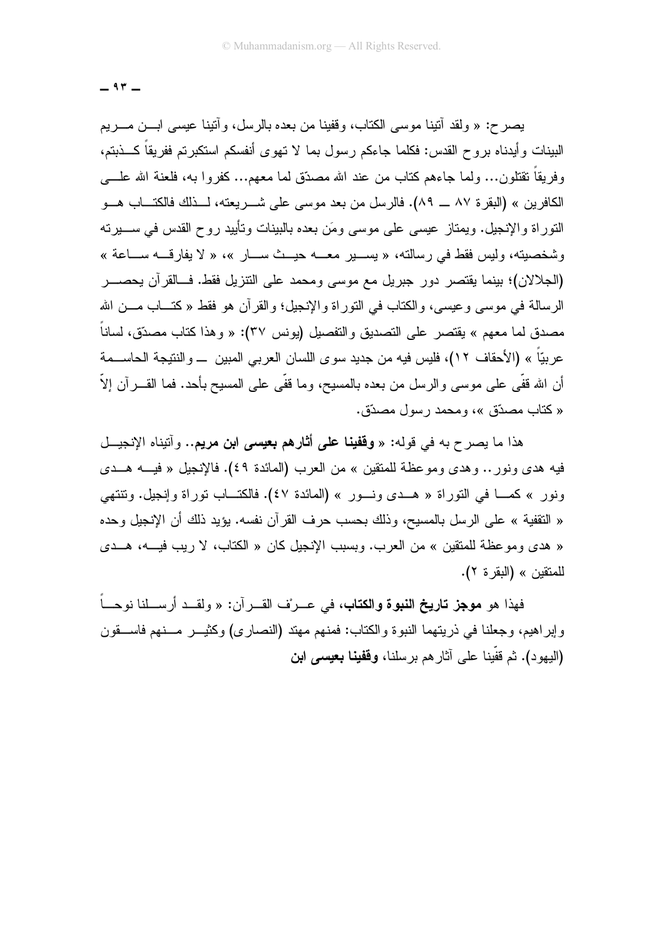$-95 -$ 

يصرح: « ولقد أنَّنِنا موسى الكتاب، وقفينا من بعده بالرسل، وأنَّنِنا عيسى ابـــن مــــريم البينات وأيدناه بروح القدس: فكلما جاءكم رسول بما لا نهوى أنفسكم استكبرتم ففريقاً كـــذبتم، وفريقاً نقتلون... ولما جاءهم كتاب من عند الله مصدّق لما معهم... كفروا به، فلعنة الله علـــى الكافرين » (البقرة ٨٧ ـــ ٨٩). فالرسل من بعد موسى على شـــريعته، لـــذلك فالكتـــاب هـــو النَّوراة والإنجيل. ويمتاز عيسى على موسى ومَن بعده بالبينات وتأييد روح القدس في ســــيرته وشخصيته، وليس فقط في رسالته، « يســير معـــه حيــث ســـار »، « لا يفارقـــه ســـاعة » (الجلالان)؛ بينما يقتصر دور جبريل مع موسى ومحمد على التنزيل فقط. فسالقرآن يحصـــر الرسالة في موسى وعيسى، والكتاب في التوراة والإنجيل؛ والقرآن هو فقط « كتـــاب مـــن الله مصدق لما معهم » يقتصر على التصديق والتفصيل (يونس ٣٧): « وهذا كتاب مصدَّق، لساناً عربيّاً » (الأحقاف ١٢)، فليس فيه من جديد سوى اللسان العربي المبين \_ والنتيجة الحاســمة أن الله قفَّى على موسى والرسل من بعده بالمسيح، وما قفَّى على المسيح بأحد. فما القــــرآن إلاّ « كتاب مصدّق »، ومحمد رسول مصدّق.

هذا ما يصرح به في قوله: « **وقفينا على أثارهم بعيسى ابن مريم..** وآتيناه الإنجيــل فيه هدى ونور .. وهدى وموعظة للمنقين » من العرب (المائدة ٤٩). فالإنجيل « فيــــه هـــدى ونور » كمـــا في التوراة « هـــدي ونـــور » (المائدة ٤٧). فالكتـــاب توراة وإنجيل. وتتتهي « التقفية » على الرسل بالمسيح، وذلك بحسب حرف القرآن نفسه. يؤيد ذلك أن الإنجيل وحده « هدى ومو عظة للمنقين » من العرب. وبسبب الإنجيل كان « الكتاب، لا ربب فيـــه، هـــدى للمتقين » (البقر ة ٢).

فهذا هو **موجز تاريخ النبوة والكتاب**، في عــرنف القــرآن: « ولقــد أرســـلنا نوحـــاً وإبراهيم، وجعلنا في ذريتهما النبوة والكتاب: فمنهم مهند (النصارى) وكثيـــر مـــنهم فاســــقون (اليهود). ثم قَفَينا علي آثار هم برسلنا، **وقفينا بعيسي ابن**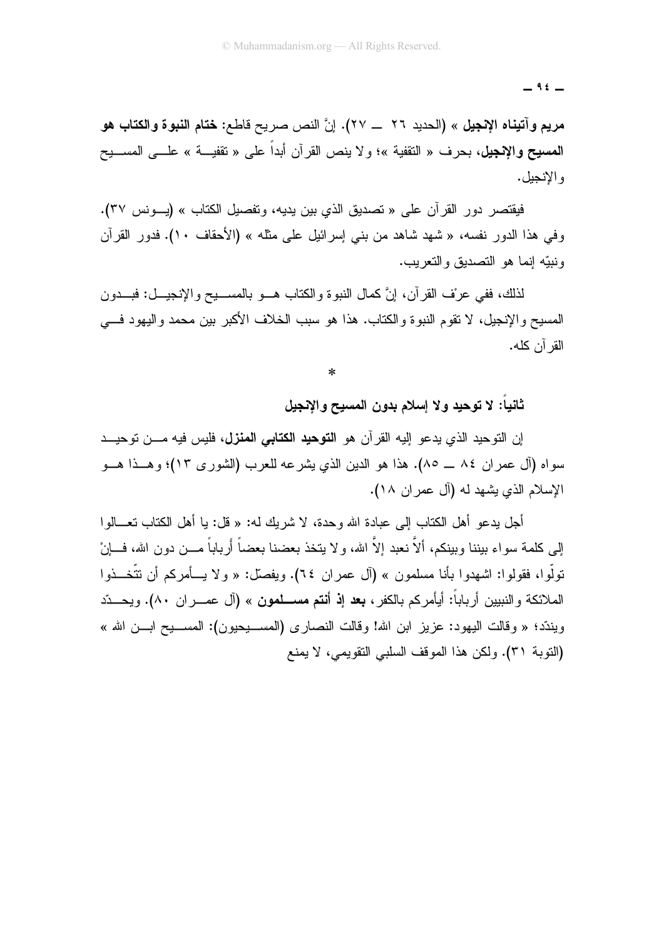$-$  ۹٤ $-$ 

مريم وآتيناه الإنجيل » (الحديد ٢٦ \_\_ ٢٧). إنَّ النص صريح قاطع: ختام النبوة والكتاب هو المصيح والإنجيل، بحرف « النقفية »؛ ولا ينص القرآن أبداً على « نقفيـــة » علـــي المســـيح و الإنجيل.

فيقتصر دور القرآن على « تصديق الذي بين يديه، وتفصيل الكتاب » (يسونس ٣٧). وفي هذا الدور نفسه، « شهد شاهد من بنبي إسرائيل على مثله » (الأحقاف ١٠). فدور القرآن ونبيّه إنما هو التصديق والتعربب.

لذلك، ففي عرْف القرآن، إنَّ كمال النبوة والكتاب هـــو بالمســـيح والإنجيـــل: فبـــدون المسيح و الإنجيل، لا تقوم النبوءَ و الكتاب. هذا هو سبب الخلاف الأكبر بين محمد و اليهود فــــى القر آن كله.

 $\ast$ 

ثانيا: لا توحيد ولا إسلام بدون المسيح والإنجيل

إن التوحيد الذي يدعو إليه القرآن هو ا**لتوحيد الكتابي المنزل،** فليس فيه مـــن توحيـــد سواه (آل عمران ٨٤ ــ ٨٥). هذا هو الدين الذي يشرعه للعرب (الشوري ١٣)؛ وهــذا هـــو الإسلام الذي يشهد له (آل عمران ١٨).

أجل يدعو أهل الكتاب إلى عبادة الله وحدة، لا شريك له: « قل: يا أهل الكتاب تعـــالوا إلى كلمة سواء بيننا وبينكم، ألاّ نعبد إلاّ الله، ولا يتخذ بعضنا بعضاً أَرباباً مـــن دون الله، فـــانْ تولُّول، فقولوا: اشهدوا بأنا مسلمون » (آل عمران ٢٤). ويفصِّل: « ولا يسأمركم أن تتَّخــذوا الملائكة والنبيين أرباباً: أيأمركم بالكفر، **بعد إذ أنتم مســـلمون** » (آل عصـــران ٨٠). ويحـــدّد ويندّد؛ « وقالت اليهود: عزيز ابن الله! وقالت النصاري (المســـيحيون): المســـيح ابـــن الله » (النوبة ٣١). ولكن هذا الموقف السلبي التقويمي، لا يمنع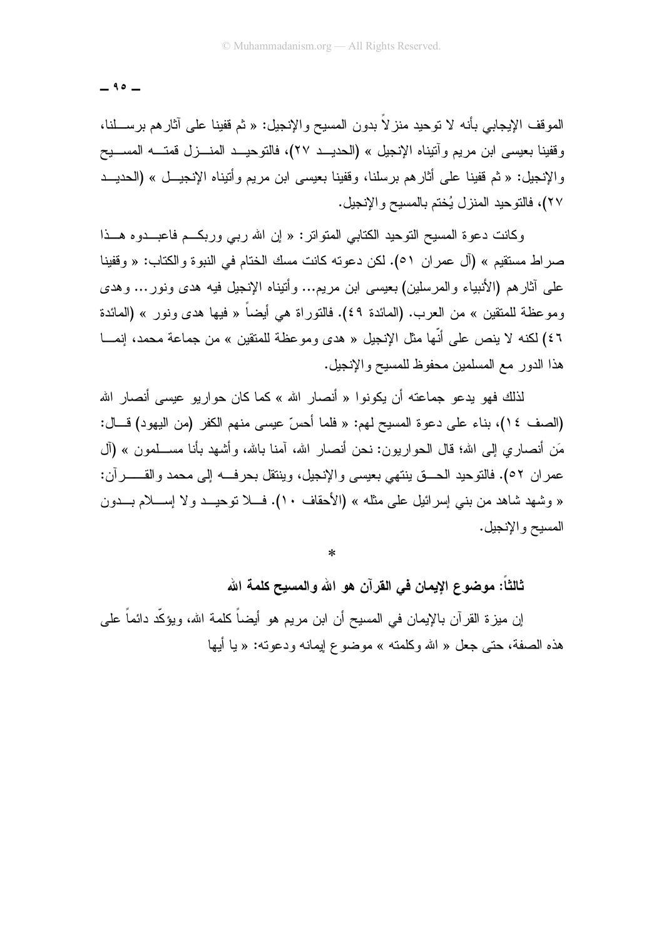$-90-$ 

الموقف الإيجابي بأنه لا توحيد منز لاً بدون المسيح والإنجيل: « ثم قفينا على أثارهم برســـلنا، وفَّفينا بعيسى ابن مريم وآتيناه الإنجيل » (الحديــد ٢٧)، فالتوحيــد المنــزل قمتـــه المســـيح والإنجيل: « ثم قفينا على أثارهم برسلنا، وقفينا بعيسى ابن مريم وأتيناه الإنجيــل » (الحديـــد ٢٧)، فالتوحيد المنز ل بُختم بالمسبح و الإنجيل.

وكانت دعوة المسيح النوحيد الكتابي المتواتر: « إن الله ربي وربكم فاعبــدوه هــذا صر اط مستقيم » (آل عمر ان ٥١). لكن دعوته كانت مسك الختام في النبوة والكتاب: « وقفينا على أثارهم (الأنبياء والمرسلين) بعيسى ابن مريم... وأتيناه الإنجيل فيه هدى ونور ... وهدى وموعظة للمنقين » من العرب. (المائدة ٤٩). فالتوراة هي أيضاً « فيها هدى ونور » (المائدة ٤٦) لكنه لا ينص على أنَّها مثل الإنجيل « هدى وموعظة للمتقين » من جماعة محمد، إنمـــا هذا الدور مع المسلمين محفوظ للمسيح والإنجيل.

لذلك فهو يدعو جماعته أن يكونوا « أنصار الله » كما كان حواريو عيسى أنصار الله (الصف ١٤)، بناء على دعوة المسيح لهم: « فلما أحسّ عيسى منهم الكفر (من اليهود) قـــال: مَن أنصاري إلى الله؛ قال الحواريون: نحن أنصار الله، آمنا بالله، وأشهد بأنا مســـلمون » (آل عمران ٥٢). فالتوحيد الحــــق ينتهي بعيسى والإنجيل، وينتقل بحرفـــه إلى محمد والقــــــــرآن: « وشهد شاهد من بنبي إسرائيل على مثله » (الأحقاف ١٠). فـــلا توحيـــد ولا إســــلام بــــدون المسيح والإنجيل.

 $\ast$ 

ثالثاً: موضوع الإيمان في القرآن هو الله والمسيح كلمة الله

إن ميزة القرآن بالإيمان في المسيح أن ابن مريم هو أيضاً كلمة الله، ويؤكِّد دائماً على هذه الصفة، حتى جعل « الله وكلمته » موضوع إيمانه ودعوته: « يا أيها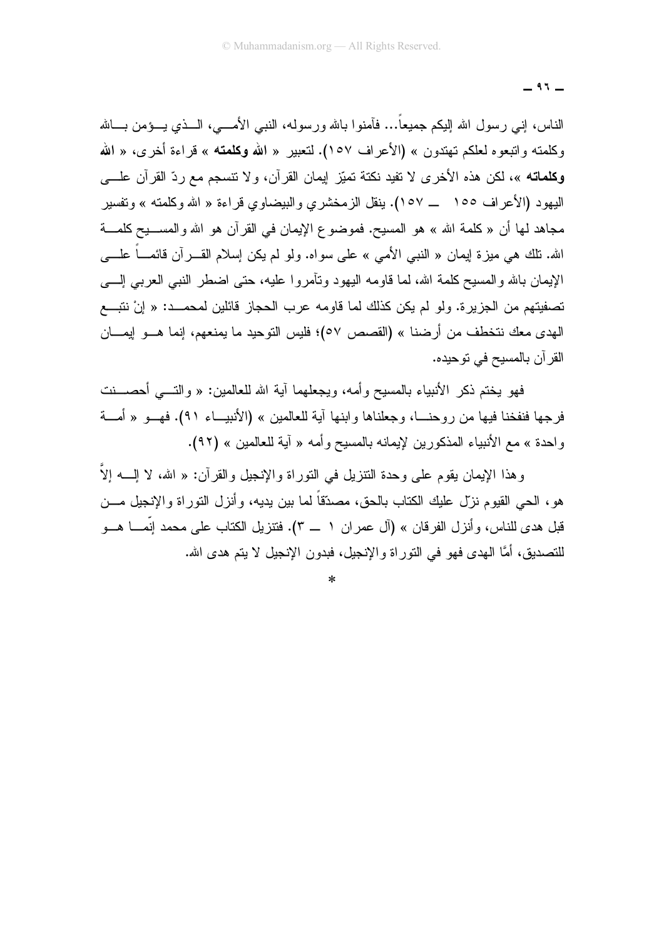$-97-$ 

الناس، إنـي رسول الله إليكم جميعاً… فأمنوا بالله ورسوله، النبـي الأمــــي، الـــذي يـــؤمن بــــالله وكلمته واتبعوه لعلكم تهتدون » (الأعراف ١٥٧). لتعبير « الله وكلمته » قراءة أخرى، « الله و**كلماته** »، لكن هذه الأخرى لا تفيد نكتة تميّز إيمان القرآن، و لا تتسجع مع ر دّ القرآن علــــ*ى* البهو د (الأعر اف ١٥٥ \_\_ ١٥٧). بنقل الز مخشر ي و البيضاو ي قر اءة « الله و كلمته » و تفسير مجاهد لها أن « كلمة الله » هو المسيح. فموضوع الإيمان في القرآن هو الله والمســـيح كلمــــة الله. نلك هي ميزة إيمان « النبي الأمي » على سواه. ولو لم يكن إسلام القــــرأن قائمــــاً علــــي الإيمان بالله والمسيح كلمة الله، لما قاومه اليهود ونأمروا عليه، حتى اضطر النبي العربي إلـــي تصفيتهم من الجزيرة. ولو لم يكن كذلك لما قاومه عرب الحجاز قائلين لمحمـــد: « إنْ نتبـــع الهدى معك نتخطف من أرضنا » (القصص ٥٧)؛ فليس التوحيد ما يمنعهم، إنما هـــو إيمـــان القرآن بالمسيح في توحيده.

فهو يختم ذكر الأنبياء بالمسيح وأمه، ويجعلهما آية الله للعالمين: « والتـــي أحصـــنت فرجها فنفخنا فيها من روحنـــا، وجعلناها وابنها آية للعالمين » (الأنبيـــاء ٩١). فهـــو « أمــــة واحدة » مع الأنبياء المذكورين لإيمانه بالمسيح وأمه « آية للعالمين » (٩٢).

وهذا الإيمان يقوم على وحدة النتزيل في النوراة والإنجيل والقرآن: « الله، لا الِّـــه إلاَّ هو، الحي القيوم نزل عليك الكتاب بالحق، مصدّقاً لما بين يديه، وأنزل التوراة والإنجيل مـــن قبل هدى للناس، وأنزل الفرقان » (آل عمران ١ \_ ٣). فتنزيل الكتاب على محمد إنَّمــــا هـــو للتصديق، أمَّا الـهدى فـهو فـي التوراة والإنـجيل، فبدون الإنـجيل لا يتم هدى الله.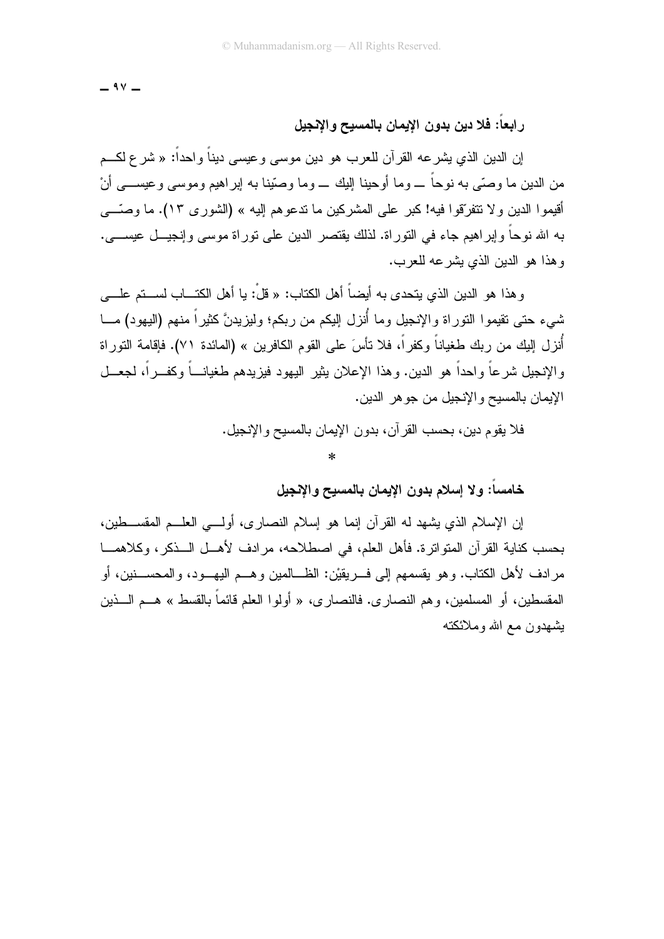$-9V -$ 

#### رابعا: فلا دين بدون الإيمان بالمسيح والإنجيل

إن الدين الذي يشرعه القرآن للعرب هو دين موسى وعيسى ديناً واحداً: « شرع لكـم من الدين ما وصبَّى به نوحاً ـــ وما أوحبنا البك ـــ وما وصبِّنا به إبر اهبِم وموسى و عبســـى أنْ أقبمو ا الدين و لا تتفرَّقو ا فيه! كبر على المشر كبن ما تدعو هم إليه » (الشور ي ١٣). ما وصَّـــي به الله نوحاً وإبراهيم جاء في النوراة. لذلك يقتصر الدين على نوراة موسى وإنجيـــل عيســــي. و هذا هو الدين الذي بِشْرِ عه للعرب.

و هذا هو الدين الذي يتحدى به أيضاً أهل الكتاب: « قلْ: يا أهل الكتـــاب لســـتم علــــى شيء حتى تقيموا النوراة والإنجيل وما أُنزل اليكم من ربكم؛ وليزيدنَّ كثيراً منهم (اليهود) مـــا أُنزل إليك من ربك طغياناً وكفراً، فلا نأسَ على القوم الكافرين » (المائدة ٧١). فإقامة التوراة و الإنجيل شر عاً و احداً هو الدين. و هذا الإعلان بِثير اليهو د فيز بدهم طغيانـــاً و كفـــر اً، لجعـــل الإيمان بالمسيح والإنجيل من جو هر الدين.

فلا يقوم دين، بحسب القرآن، بدون الإيمان بالمسيح والإنجيل.

#### $\ast$

خامسا: ولا إسلام بدون الإيمان بالمسيح والإنجيل

إن الإسلام الذي يشهد له القرآن إنما هو إسلام النصارى، أولـــي العلـــم المقســـطين، بحسب كناية القرآن المتواترة. فأهل العلم، في اصطلاحه، مرادف لأهــل الــذكر، وكلاهمـــا مر ادف لأهل الكتاب. و هو يقسمهم إلى فــر يقبْن: الظـــالمين و هـــم البـهـــو د، و المحســـنين، أو المقسطين، أو المسلمين، وهم النصار ي. فالنصار ي، « أولو ا العلم قائماً بالقسط » هـــم الــــذين بشهدون مع الله وملائكته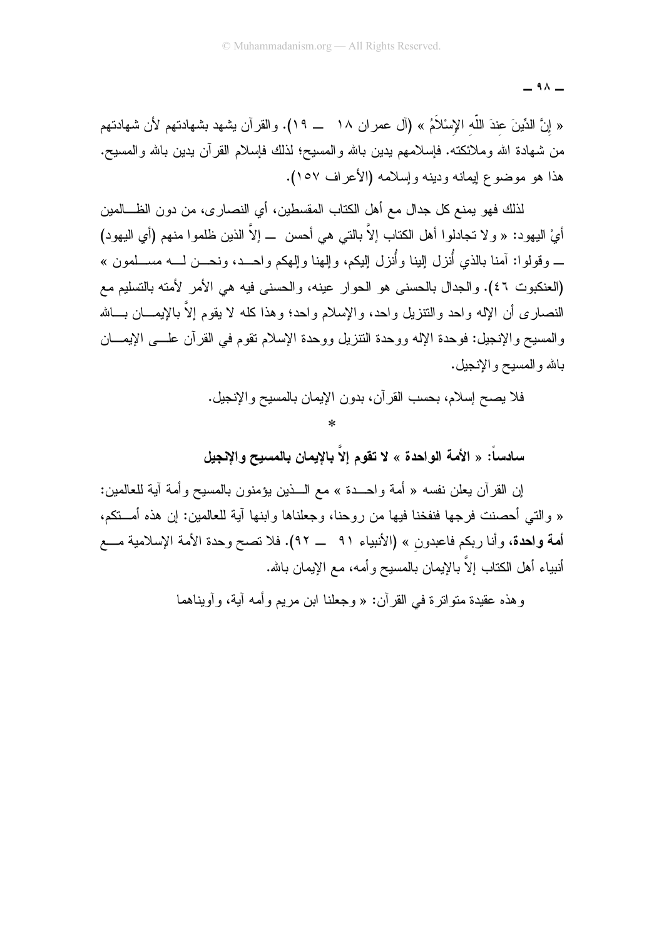$-91 -$ 

« إنَّ الدِّينَ عندَ اللَّه الإسْلاَمُ » (آل عمر ان ١٨ ـــ ١٩). والقر آن يشهد بشهادتهم لأن شهادتهم من شهادة الله وملائكته. فإسلامهم بدين بالله والمسيح؛ لذلك فإسلام القرآن بدين بالله والمسيح. هذا هو موضوع إيمانه ودينه وإسلامه (الأعراف ١٥٧).

لذلك فهو يمنع كل جدال مع أهل الكتاب المقسطين، أي النصـار ي، من دون الظـــالمين أيْ اليهود: « و لا تجادلوا أهل الكتاب إلاَّ بالتي هي أحسن \_ إلاَّ الذين ظلموا منهم (أي اليهود) \_ وقولوا: آمنا بالذي أُنزل الِينا وأُنزل الِيكم، والِهنا واِلِهكم واحــد، ونحـــن لـــه مســـلمون » (العنكبوت ٤٦). والجدال بالحسني هو الحوار عينه، والحسني فيه هي الأمر الأمته بالتسليم مع النصار ي أن الإله واحد والنتزيل واحد، والإسلام واحد؛ وهذا كله لا يقوم إلاَّ بالإيمـــان بـــالله والمسيح والإنجيل: فوحدة الإله ووحدة النتزيل ووحدة الإسلام نقوم في القرآن علـــي الإيمـــان بالله والمسيح والإنجيل.

فلا يصح إسلام، بحسب القرآن، بدون الإيمان بالمسيح والإنجيل.

 $\ast$ 

سادساً: « الأمة الواحدة » لا تقوم إلاّ بالإيمان بالمسبح و الإنجيل

إن القرآن يعلن نفسه « أمة واحـــدة » مع الــــذين يؤمنون بالمسيح وأمة آية للعالمين: « والتي أحصنت فرجها فنفخنا فيها من روحنا، وجعلناها وابنها آية للعالمين: إن هذه أمـــنكم، أمة واحدة، وأنا ربكم فاعبدون » (الأنبياء ٩١ \_ ٩٢). فلا تصح وحدة الأمة الإسلامية مـــع أنبياء أهل الكتاب إلاّ بالإبمان بالمسبح و أمه، مع الإبمان بالله.

وهذه عقيدة متواترة في القرآن: « وجعلنا ابن مريع وأمه آية، وأويناهما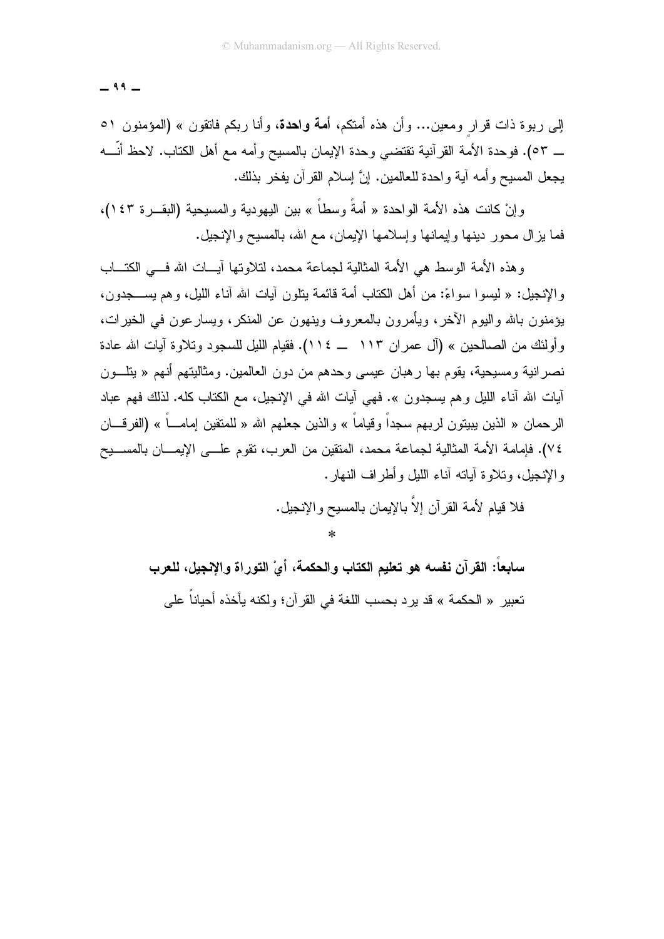$-99-$ 

إلى ربوة ذات قرار ومعين... وأن هذه أمتكم، أ**مة واحدة**، وأنا ربكم فاتقون » (المؤمنون ٥١ \_ ٥٣). فوحدة الأمة القرآنية نقتضـي وحدة الإيمان بالمسيح وأمه مـع أهل الكتاب. لاحظ أنّـــه يجعل المسيح وأمه أية واحدة للعالمين. إنَّ إسلام القرآن يفخر بذلك.

و إنْ كانت هذه الأمة الواحدة « أمةً وسطاً » بين البهودية والمسبحية (البقــر ة ١٤٣)، فما بزال محور دينها وإيمانها وإسلامها الإيمان، مع الله، بالمسيح والإنجيل.

و هذه الأمة الوسط هي الأمة المثالية لجماعة محمد، لتلاوتها آيسات الله فسي الكتساب و الإنجيل: « ليسو ا سو اءً: من أهل الكتاب أمة قائمة بتلون آيات الله آناء الليل، و هم يســـجدون، يؤمنون بالله واليوم الآخر ، ويأمرون بالمعروف وينهون عن المنكر ، ويسار عون في الخير ات، و أو لئك من الصـالحين » (آل عمر ان ١١٣ ـــ ١١٤). فقيام الليل للسجود وتلاوة آيات الله عادة نصر انية ومسيحية، يقوم بـها ر هبان عيسى وحدهم من دون العالمين. ومثاليتهم أنـهم « يتلــون آيات الله آناء الليل و هم يسجدون ». فهي آيات الله في الإنجيل، مع الكتاب كله. لذلك فهم عباد الر حمان « الذين ببينون لر بهم سجداً و قياماً » و الذين جعلهم الله « للمتقين إمامــــاً » (الفر قــــان ٧٤). فإمامة الأمة المثالية لجماعة محمد، المتقين من العرب، نقوم علـــي الإيمـــان بالمســـيح والإنجيل، وتلاوة أياته أناء الليل وأطراف النهار .

> فلا قيام لأمة القر آن الاّ بالإيمان بالمسبح والانجيل.  $\ast$

سابعاً: القرآن نفسه هو تعليم الكتاب والحكمة، أيْ التوراة والإنجيل، للعرب تعبير « الحكمة » قد بر د بحسب اللغة في القر آن؛ ولكنه بأخذه أحباناً على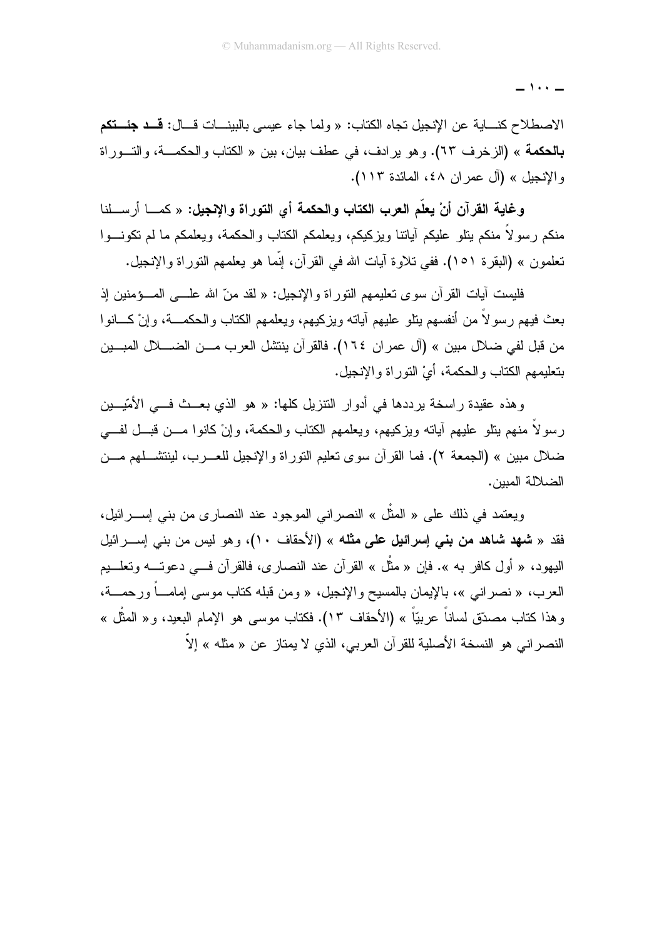$\cdots$   $-$ 

الاصطلاح كنـــاية عن الإنجيل تجاه الكتاب: « ولما جاء عيسى بالبينـــات قـــال: قـــد جئـــتكم بالحكمة » (الزخرف ٦٣). وهو يرادف، في عطف بيان، بين « الكتاب والحكمـــة، والتـــوراة والإنجيل » (آل عمران ٤٨، المائدة ١١٣).

وِغاية القرآن أنْ يعلّم العرب الكتاب والحكمة أي التوراة والإنجيل: « كمـــا أر ســـلنا منكم رسولاً منكم بنلو عليكم أياتنا وبزكيكم، ويعلمكم الكتاب والحكمة، ويعلمكم ما لم نكونـــوا تعلمون » (البقر ة ١٥١). ففي تلاو ة آبات الله في القر آن، إنَّما هو يعلمهم النَّور اة والإنجيل.

فليست أيات القرآن سوى تعليمهم النوراة والإنجيل: « لقد منّ الله علـــي المـــؤمنين إذ بعث فيهم رسولاً من أنفسهم بنلو عليهم آباته وبزكيهم، ويعلمهم الكتاب والحكمـــة، وإنْ كـــانوا من قبل لفي ضلال مبين » (آل عمر ان ١٦٤). فالقر آن ينتشل العرب مـــن الضــــلال المبـــين بتعليمهم الكتاب والحكمة، أيَّ النَّور اة والإنجيل.

وهذه عقيدة راسخة يرددها في أدوار التتزيل كلها: « هو الذي بعــث فـــي الأمّيـــين رسولاً منهم يتلو عليهم أياته ويزكيهم، ويعلمهم الكتاب والحكمة، وإنْ كانوا مـــن قبـــل لفــــي ضلال مبين » (الجمعة ٢). فما القرآن سوى تعليم التوراة والإنجيل للعـــرب، لينتشــــلهم مـــن الضلالة المسن.

ويعتمد في ذلك على « المثَّل » النصر اني الموجود عند النصارى من بني إســــرائيل، فقد « **شهد شاهد من بني إسرائيل على مثله** » (الأحقاف ١٠)، وهو ليس من بني إســــرائيل اليهود، « أول كافر به ». فإن « مثَّل » القرآن عند النصاري، فالقرآن فـــي دعوتـــه وتعلـــيم العرب، « نصراني »، بالإيمان بالمسيح والإنجيل، « ومن قبله كتاب موسى إمامـــاً ورحمـــة، وهذا كتاب مصدّق لساناً عربيّاً » (الأحقاف ١٣). فكتاب موسى هو الإمام البعيد، و« المثّل » النصر اني هو النسخة الأصلية للقرآن العربي، الذي لا يمتاز عن « مثله » إلاّ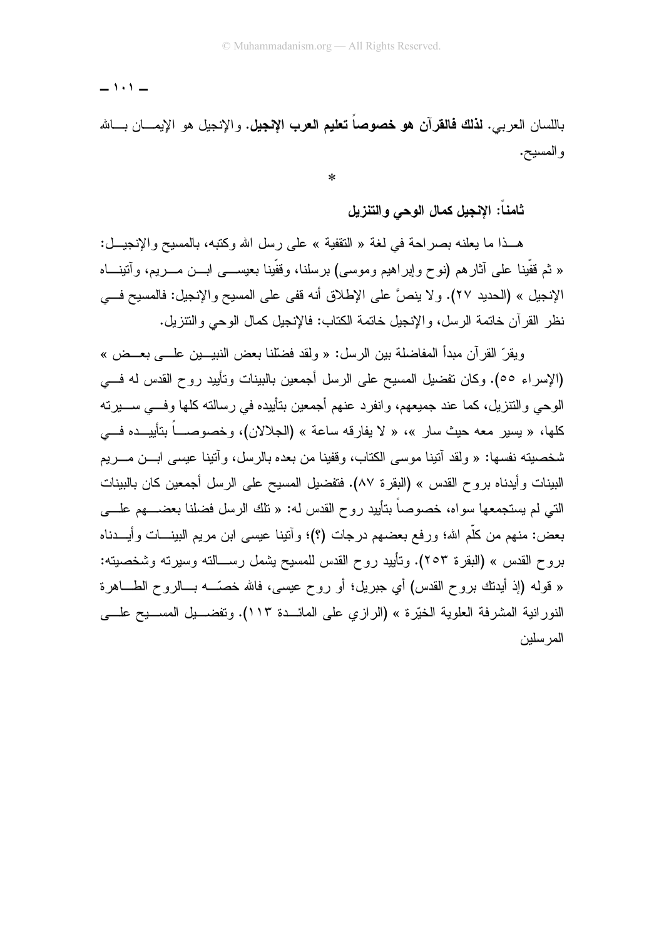$-1.1 -$ 

باللسان العربي. **لذلك فالقرآن هو خصوصاً تعليم العرب الإنجيل.** والإنجيل هو الإيمـــان بـــالله والمسيح.

 $\ast$ 

ثامناً: الإنجيل كمال الوحى والتنزيل

هـذا ما يعلنه بصر احة في لغة « التقفية » على رسل الله وكتبه، بالمسيح والإنجيــل: « ثم قُفِّينا علي أثارهم (نوح وإبراهيم وموسى) برسلنا، وقُفِّينا بعيســـي ابـــن مــــريم، وأننينــــاه الإنجيل » (الحديد ٢٧). ولا ينصَّ على الإطلاق أنه قفي على المسيح والإنجيل: فالمسيح فــي نظر القرآن خاتمة الرسل، والإنجيل خاتمة الكتاب: فالإنجيل كمال الوحي والنتزيل.

ويقرِّ القرآن مبدأ المفاضلة بين الرسل: « ولقد فضَّلنا بعض النبيـــين علــــي بعـــض » (الإسراء ٥٥). وكان نفضيل المسيح على الرسل أجمعين بالبينات ونأييد روح القدس له فسي الوحي والنتزيل، كما عند جميعهم، وانفرد عنهم أجمعين بتأييده في رسالته كلها وفـــي ســـيرته كلها، « يسير معه حيث سار »، « لا يفارقه ساعة » (الجلالان)، وخصوصـــاً بتأييـــده فـــي شخصيته نفسها: « ولقد آتينا موسى الكتاب، وقفينا من بعده بالرسل، وآتينا عيسى ابـــن مـــريم البينات و أيدناه بروح القدس » (البقر ة ٨٧). فتفضيل المسيح على الرسل أجمعين كان بالبينات التي لم يستجمعها سواه، خصوصاً بتأبيد روح القدس له: « نلك الرسل فضلنا بعضــــهم علــــي بعض: منهم من كلَّم الله؛ ورفع بعضهم درجات (؟)؛ وأتينا عيسى ابن مريم البينـــات وأيــــدناه بروح القدس » (البقرة ٢٥٣). وتأييد روح القدس للمسيح يشمل رســـالته وسيرته وشخصيته: « قوله (إذ أيدتك بروح القدس) أي جبريل؛ أو روح عيسى، فالله خصَّـــه بـــالروح الطــــاهرة النور انية المشرفة العلوية الخيّرة » (الرازي على المائـــدة ١١٣). وتفضـــيل المســـيح علــــي المر سلبن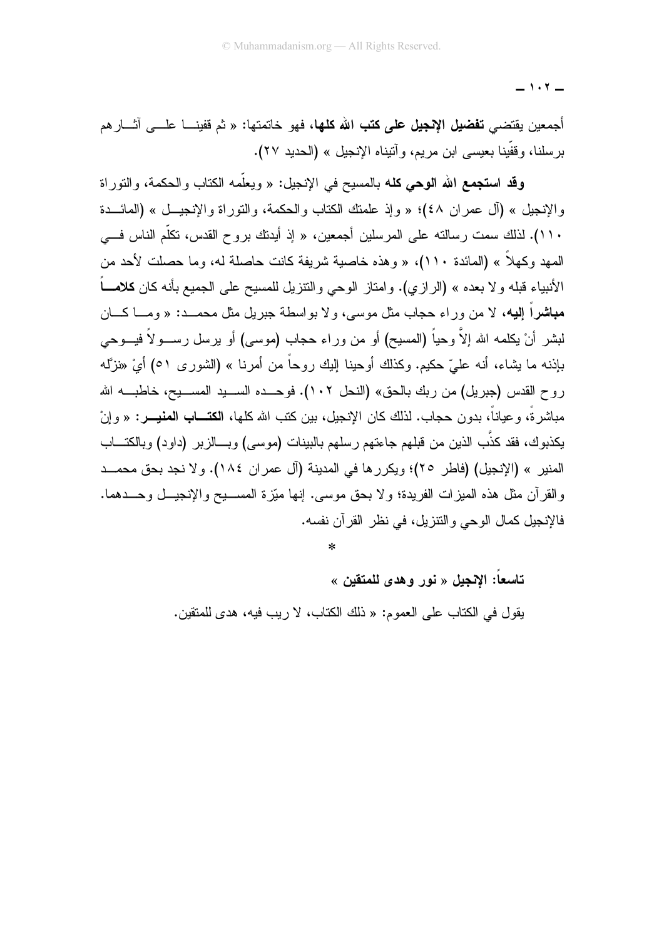$-1.7-$ 

أجمعين يقتضيي **تفضيل الإنجيل على كتب الله كلها، ف**هو خاتمتها: « ثم قفينـــا علـــي آثـــار هم برسلنا، وقفَّينا بعيسى ابن مريم، و آنيناه الإنجيل » (الحديد ٢٧).

وقد استجمع الله الوحي كله بالمسيح في الإنجيل: « ويعلَّمه الكتاب والحكمة، والنَّور اة والإنجيل » (أل عمران ٤٨)؛ « وإذ علمتك الكتاب والحكمة، والتوراة والإنجيــل » (المائـــدة ١١٠). لذلك سمت رسالته على المرسلين أجمعين، « إذ أيدتك بروح القدس، تكلَّم الناس فـــي المهد وكهلاً » (المائدة ١١٠)، « وهذه خاصبة شربفة كانت حاصلة له، وما حصلت لأحد من الأنبياء قبله و لا بعده » (الر از ي). و امتاز الوحي و التنز بل للمسيح على الجميع بأنه كان **كلامـــاً** مباشراً اليه، لا من وراء حجاب مثل موسى، ولا يواسطة جبريل مثل محمــد: « ومـــا كـــان لبشر أنْ يكلمه الله إلاَّ وحياً (المسيح) أو من وراء حجاب (موسى) أو يرسل رســـولاً فيـــوحى بإذنه ما بشاء، أنه عليّ حكيم. وكذلك أوحينا إليك روحاً من أمرنا » (الشورى ٥١) أيْ «نزَّله روح القدس (جبريل) من ربك بالحق» (النحل ١٠٢). فوحــده الســـيد المســـيح، خاطبــــه الله مباشرةً، وعياناً، بدون حجاب. لذلك كان الإنجيل، بين كتب الله كلها، **الكتـــاب المنيــــر**: « و إنْ يكذبوك، فقد كذَّب الذين من قبلهم جاءتهم رسلهم بالبينات (موسى) وبـــالزبر (داود) وبالكتـــاب المنير » (الإنجيل) (فاطر ٢٥)؛ ويكرر ها في المدينة (آل عمر ان ١٨٤). و لا نجد بحق محمــد والقرآن مثل هذه الميزات الفريدة؛ ولا بحق موسى. إنها ميّزة المســـيح والإنجيـــل وحـــدهما. فالإنجيل كمال الوحي والنتز بل، في نظر القر آن نفسه.

 $\star$ 

تاسعا: الإنجيل « نور وهدى للمتقين »

يقول في الكتاب على العموم: « ذلك الكتاب، لا ريب فيه، هدى للمتقين.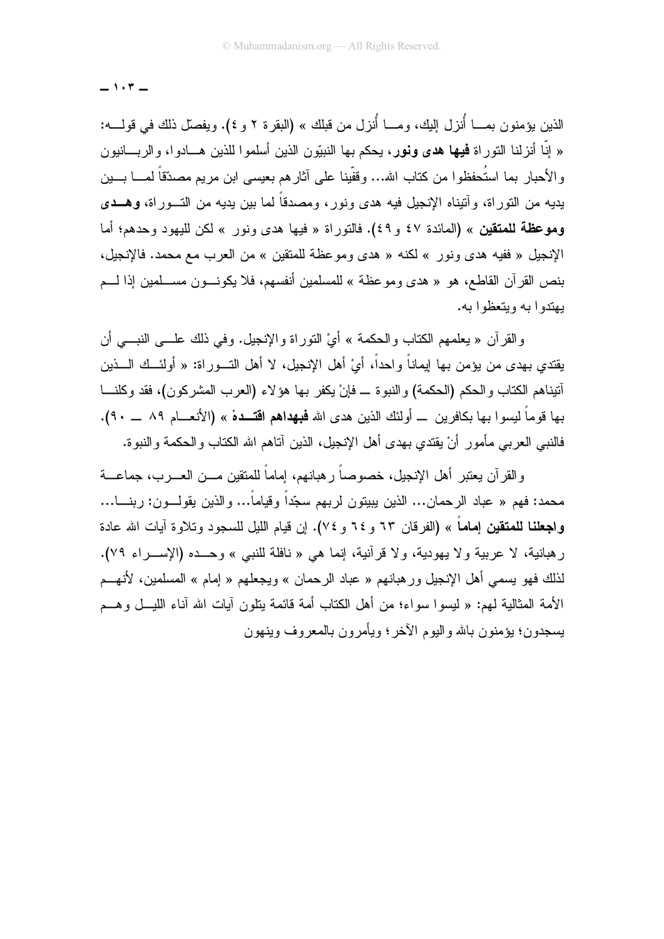$-1.7-$ 

الذين يؤمنون بمــــا أُنزل إليك، ومــــا أُنزل من قبلك » (البقرة ٢ و ٤). ويفصل ذلك في قولــــه: « إنَّا أنزلنا النوراة **فيها هدى ونور**، يحكم بها النبيّون الذين أسلموا للذين هــادوا، والربـــانيون و الأحبار بما استُحفظو ا من كتاب الله... وقفّينا على آثار هم بعيسى ابن مر يم مصدّقاً لمـــا بـــين بدبه من النور اة، و آنبناه الإنجبل فبه هدى ونور ، ومصدقاً لما بين بدبه من النّــور اة، وهــدى وموعظة للمتقين » (المائدة ٤٧ و ٤٩). فالتوراة « فيها هدى ونور » لكن لليهود وحدهم؛ أما الإنجيل « ففيه هدى ونور » لكنه « هدى وموعظة للمتقين » من العرب مع محمد. فالإنجيل، بنص القرآن القاطع، هو « هدى وموعظة » للمسلمين أنفسهم، فلا يكونـــون مســـلمين إذا لــــم بهتدوا به وبتعظوا به.

و القر آن « يعلمهم الكتاب و الحكمة » أيْ النور اة و الإنجيل. و في ذلك علـــي النبـــي أن يقتدي بهدى من يؤمن بها إيماناً واحداً، أيْ أهل الإنجيل، لا أهل التـــوراة: « أولئـــك الـــذين أنيناهم الكتاب والحكم (الحكمة) والنبوة ـــ فإنْ يكفر بها هؤلاء (العرب المشركون)، فقد وكلنــــا بها قوماً ليسوا بها بكافرين ــ أولئك الذين هدى الله **فبهداهم اقتـــدهْ** » (الأنعـــام ٨٩ ـــ ٩٠). فالنبي العربي مأمور أنْ يقتدي بهدى أهل الإنجيل، الذين آناهم الله الكتاب والحكمة والنبوة.

و القرآن يعتبر أهل الإنجيل، خصوصاً رهبانهم، إماماً للمتقين مـــن العـــرب، جماعـــة محمد: فهم « عباد الرحمان... الذين يبيتون لربهم سجّداً وقياماً... والذين يقولـــون: ربنــــا... وا**جعلنا للمتقين إماماً** » (الفرقان ٦٣ و ٦٤ و ٧٤). إن قيام الليل للسجود وتلاوة آيات الله عادة رهبانية، لا عربية ولا يهودية، ولا قرآنية، إنما هي « نافلة للنبي » وحــده (الإســراء ٧٩). لذلك فهو يسمى أهل الإنجيل ور هبانهم « عباد الر حمان » ويجعلهم « إمام » المسلمين، لأنهـــم الأمة المثالية لمهم: « ليسو ا سو اء؛ من أهل الكتاب أمة قائمة بِتلون آيات الله آناء الليـــل و هـــم يسجدون؛ يؤمنون بالله واليوم الآخر ؛ ويأمر ون بالمعر وف وينهون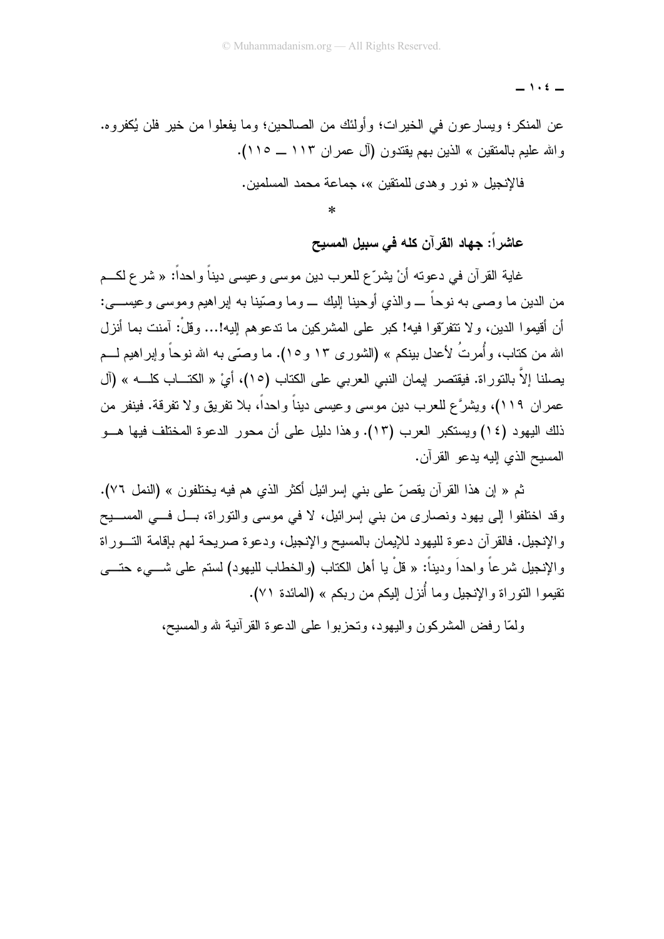$-$  1.2  $-$ 

عن المنكر؛ ويسار عون في الخيرات؛ وأولئك من الصالحين؛ وما يفعلوا من خير فلن يُكفروه. والله عليم بالمتقين » الذين بهم يقتدون (آل عمران ١١٣ ــ ١١٥).

فالانحيل « نور وهدي للمتقين »، حماعة محمد المسلمين.

 $\ast$ 

عاشراً: جهاد القرآن كله في سبيل المسيح

غاية القرآن في دعونه أنْ يشرّع للعرب دين موسى وعيسى ديناً واحداً: « شرع لكــم من الدين ما وصبي به نوحاً ــــ و الذي أوحينا إليك ــــ وما وصّينا به إبر اهيم وموسى وعيســــى: أن أقيمو ا الدين، و لا تتفرّقو ا فيه! كبر ٍ على المشر كين ما تدعو هم إليه!... و قلْ: آمنت بما أنز ل الله من كتاب، وأُمرتُ لأعدل بينكم » (الشورى ١٣ و ١٥). ما وصنَّى به الله نوحاً وإبراهيم لـــم يصلنا إلاَّ بالنَّوراة. فيقتصر إيمان النبي العربي على الكتاب (١٥)، أيْ « الكتـــاب كلــــه » (آل عمران ١١٩)، ويشرَّع للعرب دين موسى وعيسى ديناً واحداً، بلا تفريق ولا تفرقة. فينفر من ذلك اليهود (١٤) ويستكبر العرب (١٣). وهذا دليل على أن محور الدعوة المختلف فيها هـــو المسبح الذي إليه بدعو القرآن.

ثم « إن هذا القرآن يقصّ على بني إسرائيل أكثر الذي هم فيه يختلفون » (النمل ٧٦). وقد اختلفوا إلى يهود ونصارى من بني إسرائيل، لا في موسى والنوراة، بـــل فـــي المســــيح و الإنجيل. فالقرآن دعوة لليهود للإيمان بالمسيح والإنجيل، ودعوة صريحة لمهم بإقامة التسوراة و الإنجيل شر عاً و احداً و دبناً: « قلْ با أهل الكتاب (و الخطاب للبهود) لستم على شــــىء حتــــى نقيمو ا النور اة والإنحيل وما أُنزل البكم من ريكم » (المائدة ٧١).

ولَّمَّا رفض المشركون واليهود، وتحزَّبوا على الدعوة القرآنية لله والمسيح،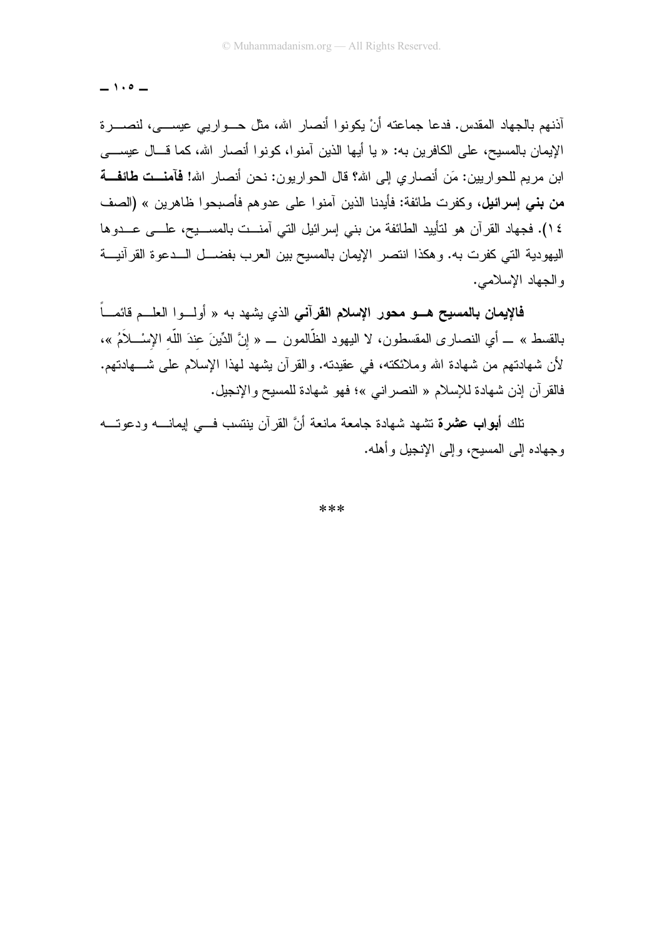$-1.0 -$ 

أذنهم بالجهاد المقدس. فدعا جماعته أنْ يكونوا أنصار الله، مثل حــواريبي عيســـي، لنصــــرة الإيمان بالمسيح، على الكافرين به: « يا أيها الذين آمنوا، كونوا أنصار الله، كما قـــال عيســــي ابن مر بم للحو ار بين: مَن أنصار ي إلى الله؟ قال الحو ار بون: نحن أنصار الله! **فآمنــت طائفــة من بني إسرائيل،** وكفرت طائفة: فأيدنا الذين آمنوا على عدوهم فأصبحوا ظاهرين » (الصف ١٤). فجهاد القرآن هو لتأييد الطائفة من بني إسرائيل التي آمنــت بالمســـيح، علـــي عـــدوها اليهودية التي كفرت به. وهكذا انتصر الإيمان بالمسيح بين العرب بفضـــل الـــدعوة القرآنيـــة والجهاد الإسلامي.

فالإيمان بالمسيح هـو محور الإسلام القرآني الذي يشهد به « أولـوا العلـم قائمــاً بالقسط » ــ أي النصـار ي المقسطون، لا اليهود الظَّالمون ـــ « إنَّ الدِّينَ عندَ اللَّه الإِسْـــلاَمُ »، لأن شهادتهم من شهادة الله وملائكته، في عقيدته. والقرآن يشهد لهذا الإسلام على شــــهادتهم. فالقرآن إذن شهادة للإسلام « النصرانبي »؛ فهو شهادة للمسيح والإنجيل.

.<br>ناك أ**بواب عشرة** تشهد شهادة جامعة مانعة أنَّ القر آن بنتسب فسي إيمانــــه ودعوتــــه وجهاده إلى المسيح، وإلى الإنجيل وأهله.

\*\*\*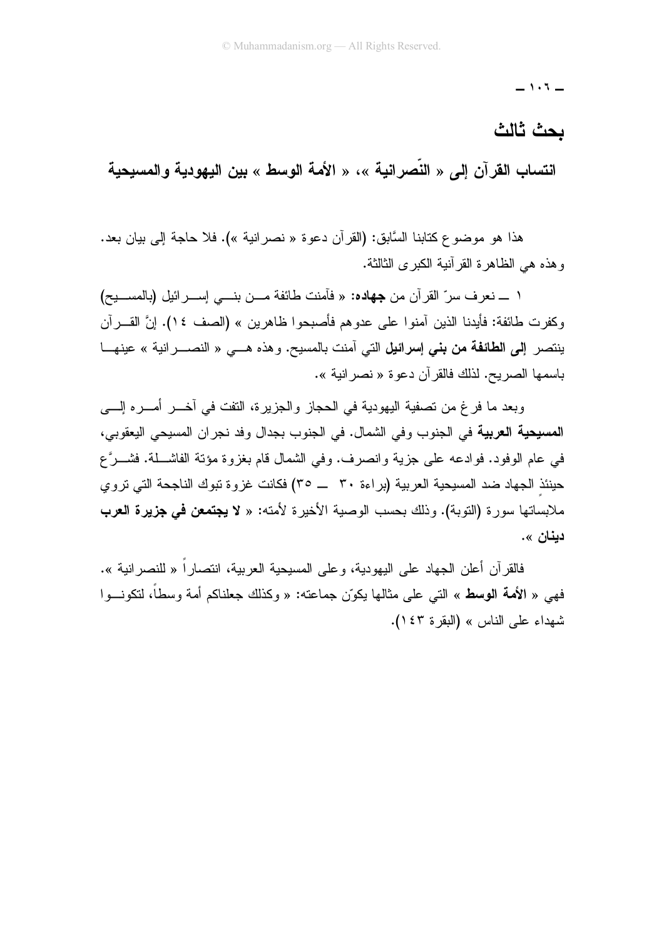$-1.5 -$ 

## ىحث ثالث

انتساب القرآن إلى « النّصرانية »، « الأمة الوسط » بين اليهودية والمسيحية

هذا هو موضوع كتابنا السَّابق: (القرآن دعوة « نصر انية »). فلا حاجة إلى بيان بعد. و هذه هي الظاهر ة القر آنية الكبر ي الثالثة.

١ ــــ نعرف سرِّ القرآن من جهاده: « فأمنت طائفة مـــن بنــــى إســـرائيل (بالمســـيح) وكفر ت طائفة: فأبدنا الذين آمنو ا على عدو هم فأصبحو ا ظاهر بن » (الصف ٤ ١). إنَّ القـــر آن ينتصر إلى الطائفة من بني إسرائيل التي آمنت بالمسيح. و هذه هـــي « النصـــر انية » عينهـــا باسمها الصر بح. لذلك فالقر آن دعو ة « نصر انبة ».

وبعد ما فرغ من تصفية اليهودية في الحجاز والجزيرة، النفت في أخـــر أُمـــره إلــــي المسيحية العربية في الجنوب وفي الشمال. في الجنوب بجدال وفد نجران المسيحي اليعقوبي، في عام الوفود. فوادعه على جزية وانصرف. وفي الشمال قام بغزوة مؤنة الفاشـــلة. فشـــرَّع حينئذ الجهاد ضد المسيحية العربية (بر اءة ٣٠ \_\_ ٣٥) فكانت غز و ة تبوك الناجحة التي تر و ي ملابساتها سورة (التوبة). وذلك بحسب الوصية الأخيرة لأمته: « لا **يجتمعن في جزيرة العرب** دبنا*ن ».* 

فالقر آن أعلن الجهاد على اليهودية، و على المسيحية العربية، انتصار أ « للنصر انية ». فهي « ا**لأمة الوسط** » التي على مثالها يكوّن جماعته: « وكذلك جعلناكم أمة وسطاً، لتكونـــوا شهداء على الناس » (البقرة ٤٣).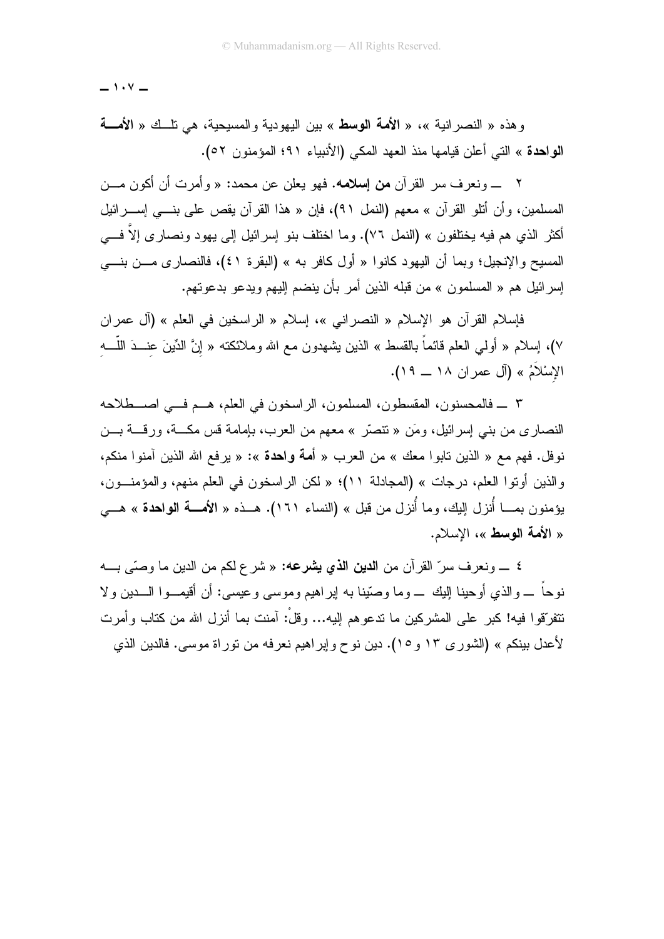$-1.7 -$ 

وهذه « النصرانية »، « الأمة الوسط » بين اليهودية والمسيحية، هي نلَّــك « الأمــــة الواحدة » التي أعلن قيامها منذ العهد المكي (الأنبياء ٩١؛ المؤمنون ٥٢).

٢ ـــ ونعرف سر القرآن **من إسلامه. ف**هو يعلن عن محمد: « وأمرت أن أكون مـــن المسلمين، وأن أنثو القرآن » معهم (النمل ٩١)، فإن « هذا القرآن يقص على بنـــي إســـرائيل أكثر الذي هم فيه يختلفون » (النمل ٧٦). وما اختلف بنو ٳسرائيل ٳلبي يهود ونصارى إلاّ فــــي المسبح و الإنجيل؛ وبما أن البهود كانوا « أول كافر به » (البقر ة ٤١)، فالنصبار ي مـــن بنــــي إسر ائيل هم « المسلمون » من قبله الذين أمر بأن ينضم إليهم و يدعو بدعو تهم.

فإسلام القرآن هو الإسلام « النصر إني »، إسلام « الر اسخين في العلم » (آل عمر إن ٧)، إسلام « أولـى الـعلم فائماً بالقسط » الذين يشهدون مـع الله وملائكنـه « إنَّ الدِّينَ عنـــدَ اللّــــه الإِسْلاَمُ » (آل عمر ان ١٨ \_\_ ١٩).

٣ \_ فالمحسنون، المقسطون، المسلمون، الراسخون في العلم، هــم فــي اصـــطلاحه النصاري من بنبي إسرائيل، ومَن « تنصَّر » معهم من العرب، بإمامة قس مكـــة، ورقـــة بـــن نوفل. فهم مع « الذين تابوا معك » من العرب « أ**مة واحدة** »: « يرفع الله الذين آمنوا منكم، والذين أوتوا العلم، درجات » (المجادلة ١١)؛ « لكن الراسخون في العلم منهم، والمؤمنون، بِوَمِنون بِمِـــا أُنزِ ل البِكِ، وما أُنزِ ل مِن قبِل » (النساء ١٦١). هـــذه « الأمـــة الواحدة » هـــي « الأمة الوسط»، الإسلام.

٤ \_ ونعر ف سر ّ القر آن من ا**لدين الذي يشرعه:** « شر ع لكم من الدين ما وصبّى بــــه نو جاً \_ و الذي أو حينا البك \_ و ما و صنّينا به اير اهيم و موسى و عيسى: أن أقيمـــو ا الــــدين و لا تتفرّقو! فيه! كبر ٍ على المشركين ما تدعو هم اليه... وقلْ: آمنت بما أنزل الله من كتاب وأمرت لأعدل بينكم » (الشور ي ١٣ و ١٥). دين نو ح و اير اهيم نعر فه من نور اة موسى. فالدين الذي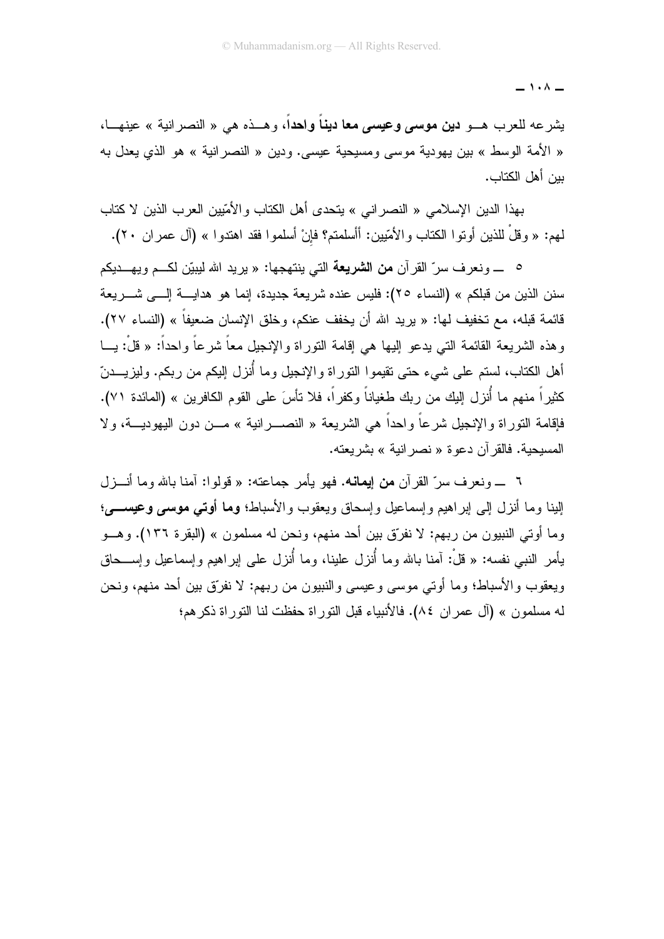$\overline{\phantom{0}}$   $\overline{\phantom{0}}$   $\overline{\phantom{0}}$   $\overline{\phantom{0}}$   $\overline{\phantom{0}}$   $\overline{\phantom{0}}$   $\overline{\phantom{0}}$   $\overline{\phantom{0}}$   $\overline{\phantom{0}}$   $\overline{\phantom{0}}$   $\overline{\phantom{0}}$   $\overline{\phantom{0}}$   $\overline{\phantom{0}}$   $\overline{\phantom{0}}$   $\overline{\phantom{0}}$   $\overline{\phantom{0}}$   $\overline{\phantom{0}}$   $\overline{\phantom{0}}$   $\overline{\$ 

يشرعه للعرب هــو **دين موسى وعيسى معا دينا واحد**ا، وهــذه هي « النصر انية » عينهــا، « الأمة الوسط » بين يهودية موسى ومسيحية عيسى. ودين « النصر انية » هو الذي يعدل به ببن أهل الكتاب.

بهذا الدين الإسلامي « النصراني » يتحدى أهل الكتاب والأمّيين العرب الذين لا كتاب لمم: « وقلْ للذين أوتوا الكتاب والأمّيين: أأسلمتم؟ فإنْ أسلموا فقد اهتدوا » (آل عمران ٢٠).

<sup>0</sup> ـ ونعرف سرّ القرآن **من الشريعة** التي ينتهجها: « بريد الله ليبيّن لكــم ويهـــديكم سنن الذين من قبلكم » (النساء ٢٥): فليس عنده شريعة جديدة، إنما هو هدايـــــة إلـــــى شــــــريعة قائمة قبله، مع تخفيف لها: « بريد الله أن يخفف عنكم، وخلق الإنسان ضعيفاً » (النساء ٢٧). و هذه الشر بعة القائمة التي بدعو البها هي إقامة التور اة و الإنجبل معاً شر عاً و احداً: « قلْ: بـــا أهل الكتاب، لستم على شيء حتى تقيموا النوراة والإنجيل وما أُنزل إليكم من ربكم. وليزيــــدنّ كثيراً منهم ما أُنزل البك من ربك طغياناً وكفراً، فلا تأسَ على القوم الكافرين » (المائدة ٧١). فاِقامة النوراة والإنجيل شرعاً واحداً هي الشريعة « النصـــــرانية » مــــن دون اليهوديــــة، ولا المسبحية. فالقرآن دعوة « نصر انية » يشر بعنه.

٦ \_ ونعرف سرِّ القرآن **من إيمانه.** فهو يأمر جماعته: « قولوا: آمنا بالله وما أنـــزل البنا وما أنزل إلى إبر اهيم وإسماعيل وإسحاق ويعقوب والأسباط؛ وما أوتسي موسى وعيســــي؛ وما أو تي النبيون من ربهم: لا نفر ّق بين أحد منهم، ونحن له مسلمون » (البقر ۃ ١٣٦). وهــو بِأمر النبي نفسه: « قلْ: آمنا بالله وما أُنزل علينا، وما أُنزل على لِبراهيم واِسماعيل واِســحاق ويعقوب والأسباط؛ وما أوتى موسى وعيسى والنبيون من ربهم: لا نفرِّق بين أحد منهم، ونحن له مسلمون » (آل عمر ان ٨٤). فالأنبياء قبل النور اة حفظت لنا النور اة ذكر هم؛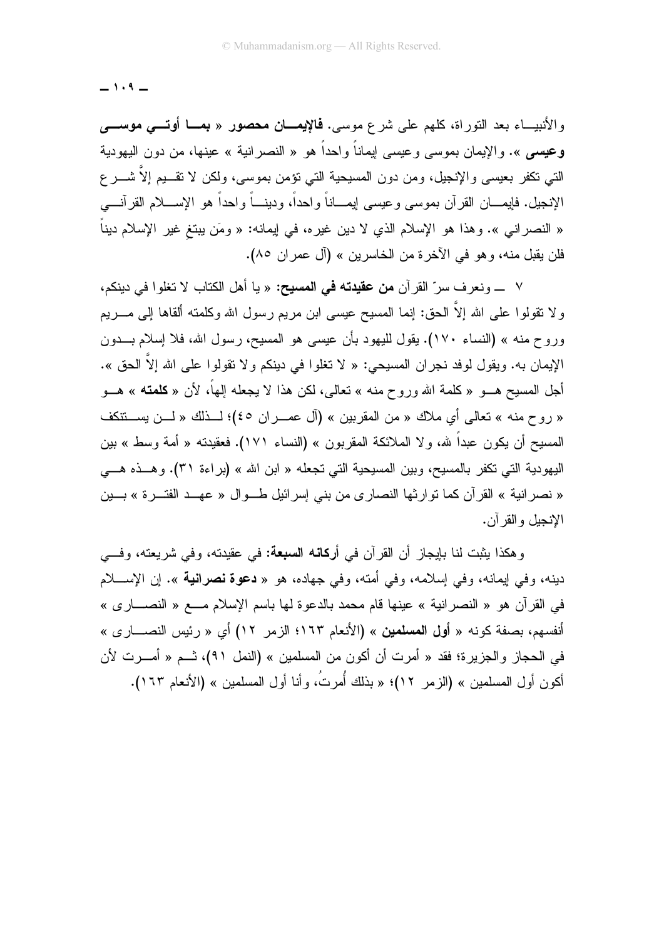$-1.9-$ 

والأنبيـــاء بعد النوراة، كلهم على شرع موسى. **فالإيمـــان محصور** « **بمـــا أوتــــى موســــ**ى وعيسم ». والإيمان بموسى وعيسى لِيماناً واحداً هو « النصرانية » عينها، من دون اليهودية التي تكفر بعيسى والإنجيل، ومن دون المسيحية التي نؤمن بموسى، ولكن لا نقـــيم إلاَّ شــــر ع الإنجيل. فإيمــــان القرآن بموسى وعيسى لِيمــــاناً واحداً، ودينــــاً واحداً هو الإســــلام القرآنــــى « النصر انـي ». وهذا هو الإسلام الذي لا دين غيره، فـي اِيمانـه: « ومَن يبتـغ غير الإسلام ديناً فلن يقبل منه، وهو في الآخرة من الخاسرين » (آل عمر ان ٨٥).

٧ ـــــ و نعر ف سرّ القر آن **من عقيدته في المسيح:** « يا أهل الكتاب لا تغلو ا في دينكم، و لا نقولوا على الله إلاَّ الحق: إنما المسيح عيسى ابن مريم رسول الله وكلمته ألقاها إلى مـــريم وروح منه » (النساء ١٧٠). يقول لليهود بأن عيسى هو المسيح، رسول الله، فلا إسلام بـــدون الإيمان به. ويقول لوفد نجر إن المسيحي: « لا تغلوا في دينكم و لا تقولوا على الله إلاَّ الحق ». أجل المسيح هـــو « كلمـة الله وروح منـه » تعالى، لكن هذا لا يجعله إلـهاً، لأن « **كلمتـه** » هـــو « روح منه » تعالى أي ملاك « من المقربين » (أل عمـــران ٤٥)؛ لـــذلك « لـــن يســـتتكف المسيح أن يكون عبداً لله، ولا الملائكة المقربون » (النساء ١٧١). فعقيدته « أمة وسط » بين اليهودية التي تكفر بالمسيح، وبين المسيحية التي تجعله « ابن الله » (براءة ٣١). وهـذه هـــي « نصر انية » القرآن كما توارثها النصاري من بني إسرائيل طــوال « عهــد الفتــرة » بــين الانجبل والقر آن.

وهكذا بِثبت لنا بإيجازٍ أن القرآن في أ**ركانه السبعة:** في عقيدته، وفي شريعته، وف*ــ*ي دينه، وفي إيمانه، وفي إسلامه، وفي أمته، وفي جهاده، هو « **دعوة نصرانية** ». إن الإســــلام في القرآن هو « النصرانية » عينها قام محمد بالدعوة لها باسم الإسلام مــــع « النصـــــار ي » أنفسهم، بصفة كونه « أ**ول المسلمين** » (الأنعام ١٦٣؛ الزمر ١٢) أي « رئيس النصــــار ي » في الحجاز والجزيرة؛ فقد « أمرت أن أكون من المسلمين » (النمل ٩١)، ثــم « أمـــرت لأن أكون أول المسلمين » (الزمر ١٢)؛ « بذلك أُمرتُ، وأنا أول المسلمين » (الأنعام ١٦٣).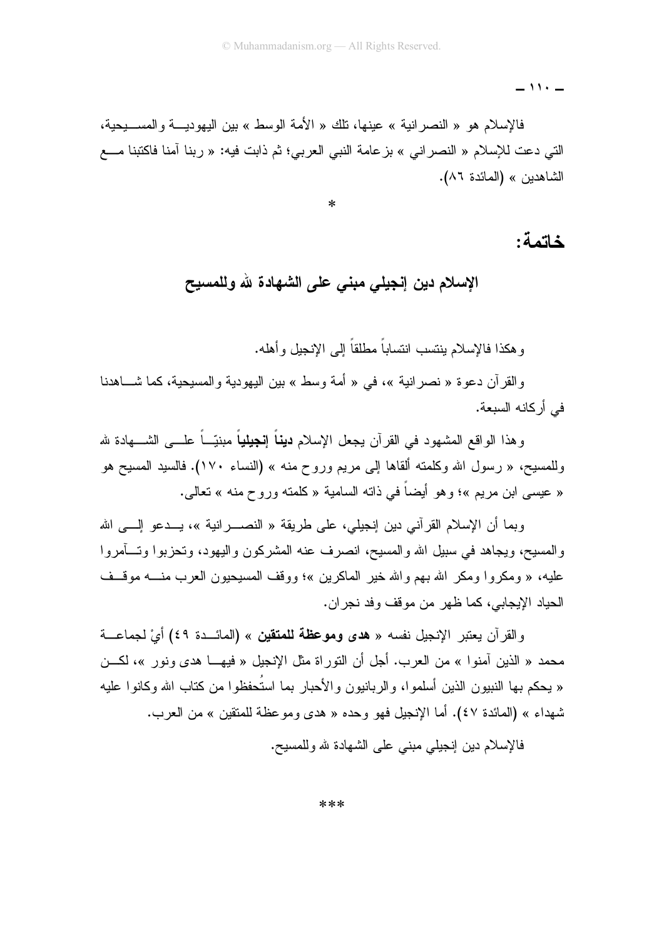$-11.1$ 

فالإسلام هو « النصر انية » عينها، نلك « الأمة الوسط » بين اليهوديــــة والمســـيحية، التي دعت للإسلام « النصر إني » بز عامة النبي العربي؛ ثم ذابت فيه: « ربنا آمنا فاكتبنا مـــع الشاهدين » (المائدة ٨٦).

 $\ast$ 

#### خاتمة:

#### الإسلام دين إنجيلي مبنى على الشهادة لله وللمسيح

و هكذا فالإسلام بنتسب انتساباً مطلقاً إلى الإنحيل و أهله.

والقرآن دعوة « نصرانية »، في « أمة وسط » بين اليهودية والمسيحية، كما شـــاهدنا في أر كانه السبعة.

وهذا الواقع المشهود في القرآن يجعل الإسلام **ديناً إنجيلياً** مبنيّــاً علــــى الشــــهادة لله وللمسيح، « رسول الله وكلمته ألقاها إلى مريم وروح منه » (النساء ١٧٠). فالسيد المسيح هو « عيسى ابن مريع »؛ وهو أيضاً في ذاته السامية « كلمته وروح منه » تعالى.

وبما أن الإسلام القرآني دين إنجيلي، على طريقة « النصــــرانية »، يـــدعو إلــــي الله والمسيح، ويجاهد في سبيل الله والمسيح، انصرف عنه المشركون واليهود، وتحزبوا وتسأمروا عليه، « ومكروا ومكر الله بهم والله خير الماكرين »؛ ووقف المسيحيون العرب منــــه موقـــف الجباد الإيجابي، كما ظهر ٍ من موقفٍ وفد نجر ان.

والقرآن يعتبر الإنجيل نفسه « هدى وموعظة للمتقين » (المائـــدة ٤٩) أيَّ لجماعـــة محمد « الذين أمنوا » من العرب. أجل أن النوراة مثل الإنجيل « فيهـــا هدى ونور »، لكـــن « يحكم بها النبيون الذين أسلموا، والربانيون والأحبار بما استُحفظوا من كتاب الله وكانوا عليه شهداء » (المائدة ٤٧). أما الإنجيل فهو وحده « هدى ومو عظة للمتقين » من العرب.

فالإسلام دين إنجيلي مبنى على الشهادة لله وللمسيح.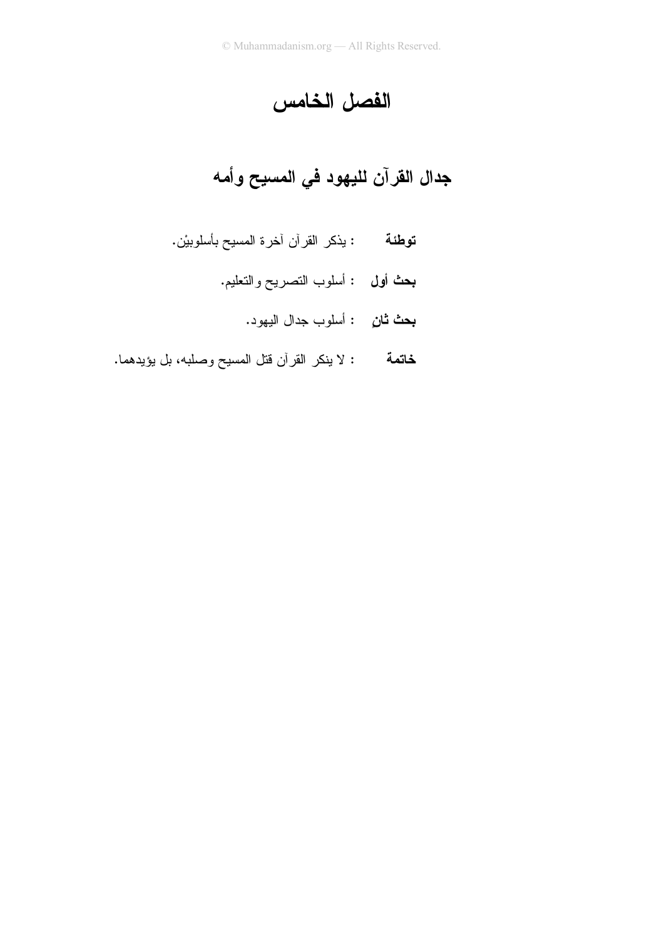# الفصل الخامس

# جدال القرآن لليهود في المسيح وأمه

- **توطئة** : يذكر القرآن أخرة المسيح بأسلوبيْن.
	- **بحث أول :** أسلوب التصريح والتعليم.
		- **بحث ثان**ِ : أسلوب جدال اليهود.
- : لا ينكر القرآن قتل المسيح وصلبه، بل يؤيدهما. خاتمة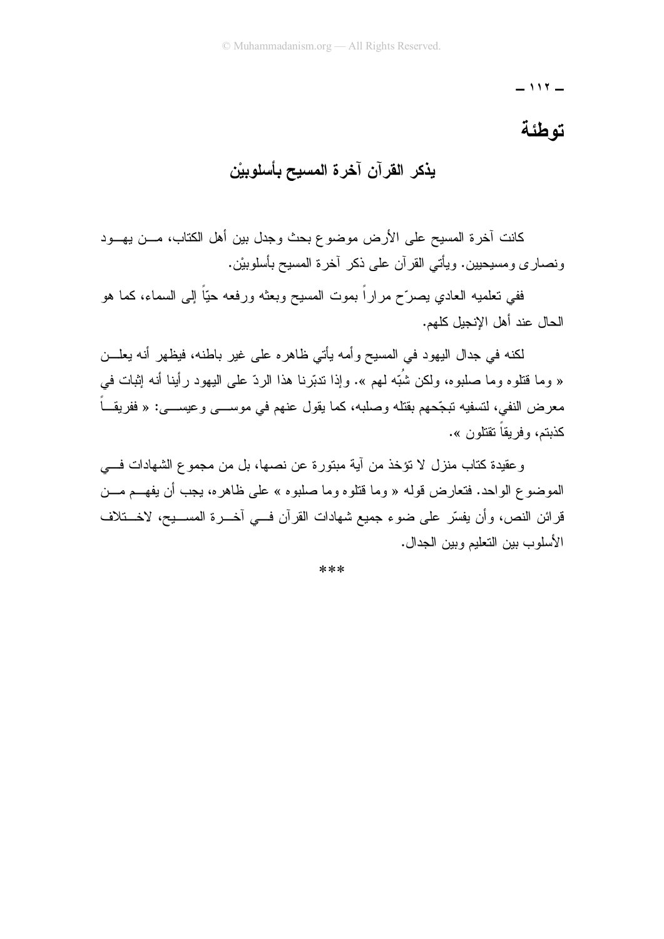$-117-$ 

#### توطئة

### يذكر القرآن آخرة المسيح بأسلوبيْن

كانت آخرة المسيح على الأرض موضوع بحث وجدل بين أهل الكتاب، مـــن يهـــود ونصار ي ومسيحيين. ويأتي القر آن علي ذكر آخر ۃ المسيح بأسلوبيْن.

ففي تعلميه العادي بصرّح مراراً بموت المسيح وبعثه ورفعه حبّاً إلى السماء، كما هو الحال عند أهل الإنجيل كلهم.

لكنه في جدال البهود في المسيح وأمه يأتي ظاهره على غير باطنه، فيظهر أنه يعلـــن « وما قُتلوه وما صلبوه، ولكن شُبَّه لمهم ». وإذا تدبَّرنا هذا الردِّ على اليهود رأينا أنه إثبات في معرض النفي، لتسفيه تبجّحهم بقتله وصلبه، كما يقول عنهم في موســـي وعيســـي: « ففريقـــاً كذبتم، و فر يقاً تقتلون ».

وعقيدة كتاب منزل لا نؤخذ من آية مبتورة عن نصها، بل من مجموع الشهادات فـــي الموضوع الواحد. فتعارض قوله « وما قتلوه وما صلبوه » على ظاهره، يجب أن يفهـــم مـــن قرائن النص، وأن يفسِّر على ضوء جميع شهادات القرآن فسي آخـــرة المســـيح، لاخــــتلاف الأسلوب ببن التعليم وببن الجدال.

\*\*\*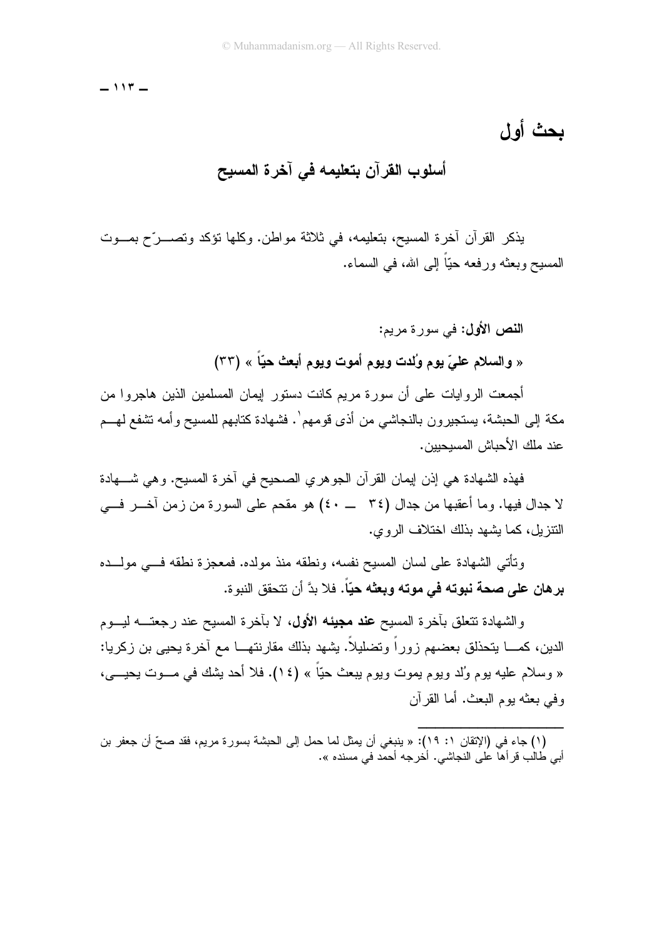$-117-$ 

## أسلوب القرآن بتعليمه في آخرة المسيح

يذكر القرآن آخرة المسيح، بتعليمه، في ثلاثة مواطن. وكلها تؤكد وتصـــرّح بمـــوت المسيح وبعثه ور فعه حيّاً إلى الله، في السماء.

> النص الأول: في سورة مريم: « والسلام عليّ يوم وُلدت ويوم أموت ويوم أبعث حيّاً » (٣٣)

أجمعت الروايات على أن سورة مريم كانت دستور إيمان المسلمين الذين هاجروا من مكة إلى الحبشة، يستجيرون بالنجاشي من أذى قومهم`. فشهادة كتابهم للمسيح وأمه نتثىفع لهـــم عند ملك الأحباش المسيحيين.

فهذه الشهادة هي إذن إيمان القرآن الجوهري الصحيح في أخرة المسيح. وهي شــــهادة لا جدال فيها. وما أعقبها من جدال (٣٤ ـــ ٤٠) هو مقحم على السورة من زمن آخـــر فـــي النتزيل، كما بشهد بذلك اختلاف الروي.

ونَأْتِي الشَّهادة على لسان المسيح نفسه، ونطقه منذ مولده. فمعجزة نطقه فـــي مولـــده برهان على صحة نبوته في موته وبعثه حيّاً. فلا بدَّ أن نتحقق النبوة.

والشهادة تتعلق بأخرة المسيح ع**ند مجيئه الأول،** لا بأخرة المسيح عند رجعتــــه ليـــوم الدين، كمــــا يتحذلق بعضـهم زور اً وتضليلاً. يشهد بذلك مقارنتهـــا مـع آخرة يـحيى بن زكريـا: « وسلام عليه بوم وُلد ويوم بِموت ويوم يبعث حيًّا » (١٤). فلا أحد بِشك في مـــوت بِحيـــي، و في بعثه يو م البعث. أما القر آن

<sup>(</sup>١) جاء في (الإتقان ١: ١٩): « ينبغي أن يمثل لما حمل إلى الحبشة بسورة مريم، فقد صحِّ أن جعفر بن أبي طُالْب قرأها على النجاشي. أخرجه أحمد في مسنده ».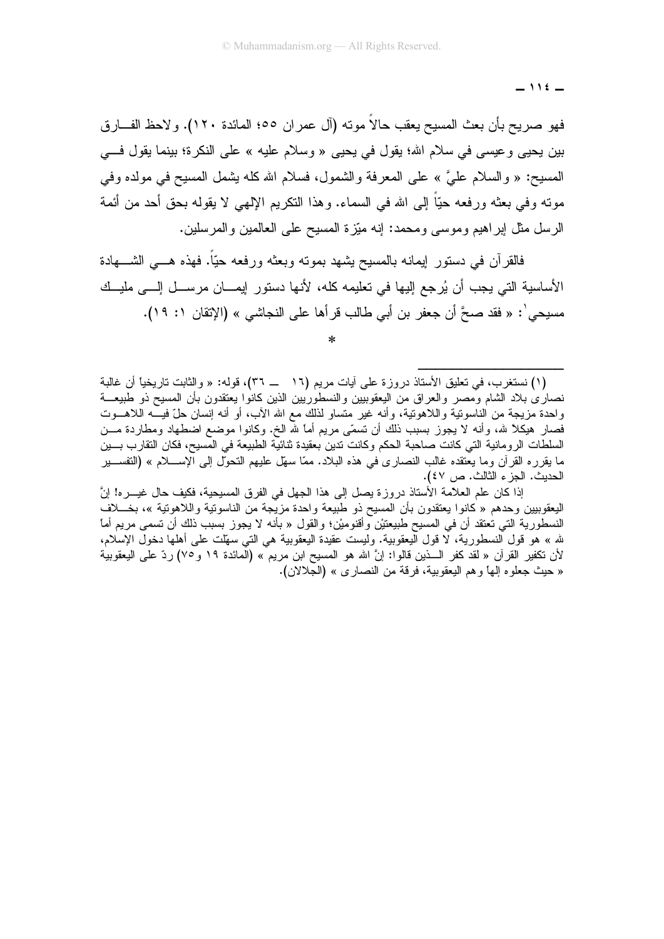$-116-$ 

فهو صريح بأن بعث المسيح يعقب حالا مونه (آل عمران ٥٥؛ المائدة ١٢٠). ولاحظ الفـــارق بين بحيي وعيسي في سلام الله؛ يقول في يحيى « وسلام عليه » على النكرة؛ بينما يقول فـــي المسيح: « والسلام عليَّ » على المعرفة والشمول، فسلام الله كله يشمل المسيح في مولده وفي مونـّه وفي بعثه ور فعه حبّا إلى الله في السماء. و هذا النكر بم الإلهي لا بقوله بحق أحد من أئمة الرسل مثل ابر اهيم وموسى ومحمد: إنه مبَّزة المسيح على العالمين والمرسلين.

فالقرآن في دستور ٳيمانه بالمسيح يشهد بمونـُه وبعثـُه ورفعه حيّاً. فهذه هــــي الشـــــهادة الأساسية التي يجب أن يُرجع الِيها في تعليمه كله، لأنها دستور ايمــــان مرســــل الــــي مليـــك مسيحي': « فقد صحَّ أن جعفر بن أبي طالب قر أها على النجاشي » (الإتقان ١: ١٩).

إذا كان علم العلامة الأستاذ دروزة يصل إلى هذا الجهل في الفرق المسيحية، فكيف حال غيـــره! إنَّ اليعقوبيين وحدهم « كانوا يعتقدون بأن المسيح ذو طبيعة واحدة مزيجة من الناسونية واللاهونية »، بخــــلاف النسطورية التي نعتقد أن في المسيح طبيعتيْن وأقنوميْن؛ والقول « بأنه لا يجوز بسبب ذلك أن تسمى مريع أما لله » هو قول النسطورية، لا قول اليعقوبية. وليست عقيدة اليعقوبية هي التي سهّلت على أهلها دخول الإسلام، لأن نكفير القرآن « لقد كفر الـــذين قالوا: إنَّ الله هو المسيح ابن مريم » (المائدة ١٩ و ٧٥) ردّ على اليعقوبية « حيث جعلو ه إلها و هم البعقوبية، فرقة من النصار ي » (الجلالان).

<sup>(</sup>١) نستغرب، في تعليق الأستاذ دروزة على أيات مريم (١٦ ـــ ٣٦)، قوله: « والثابت تاريخياً أن غالبة نصارى بلاد الشام ومصر والعراق من اليعقوببين والنسطوريين الذين كانوا يعتقدون بأن المسيح ذو طبيعـــة واحدة مزيجة من الناسونية واللاهونية، وأنه غير متساو لذلك مع الله الأب، أو أنه إنسان حلَّ فيــــه اللاهــــوت فصار هيكلاً لله، وأنه لا يجوز بسبب ذلك أن تسمَّى مريم أما لله الخ. وكانوا موضع اضطهاد ومطاردة مـــن السلطات الرومانية التي كانت صاحبة الحكم وكانت تدين بعقيدة ثنائية الطبيعة في المسيح، فكان التقارب بسين ما يقرره القرآن وما يعتقده غالب النصاري في هذه البلاد. ممّا سهّل عليهم التحوّل إلى الإســــلام » (التفســـير الحديث. الجزء الثالث. ص ٤٧).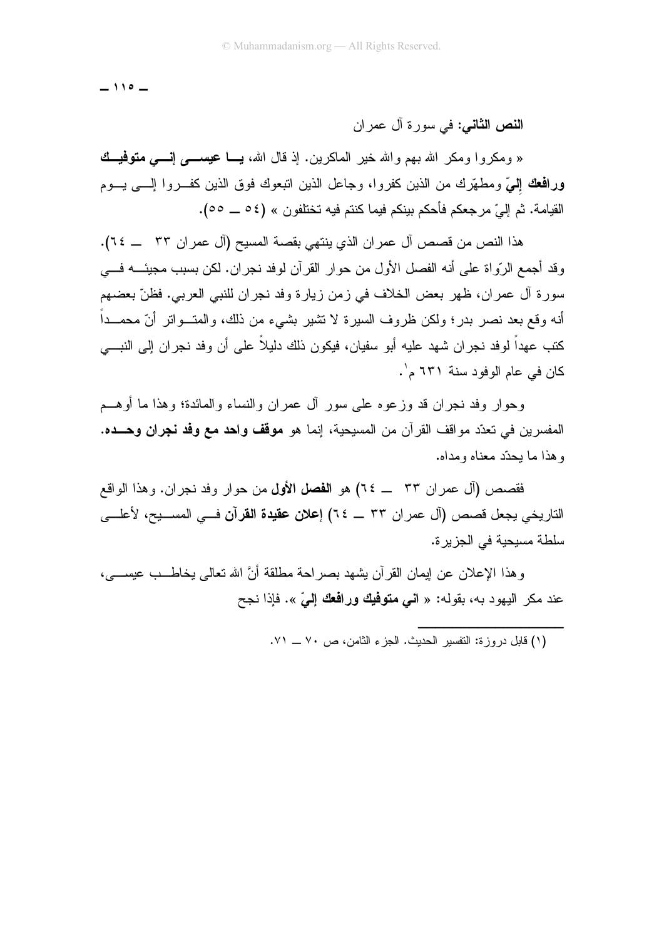$-110 -$ 

ا**لنص الثاني:** في سورة آل عمر إن

« ومكروا ومكر الله بهم والله خير الماكرين. إذ قال الله، **يـــا عيســــى إنـــــى متوفيـــك** ورافعك إلىّ ومطهّرك من الذين كفروا، وجاعل الذين اتبعوك فوق الذين كفـــروا إلــــي بـــوم القيامة. ثم إليّ مرجعكم فأحكم بينكم فيما كنتم فيه تختلفون » (٥٤ ـــ ٥٥).

هذا النص من قصص آل عمر ان الذي ينتهي بقصة المسيح (آل عمر ان ٣٣ ــــ ٢٤). وقد أجمع الرَّواة على أنه الفصل الأول من حوار القرآن لوفد نجران. لكن بسبب مجيئــــه فــــى سورة آل عمران، ظهر بعض الخلاف في زمن زيارة وفد نجران للنبي العربي. فظنّ بعضهم أنه وقع بعد نصر بدر؛ ولكن ظروف السيرة لا نشير بشيء من ذلك، والمتــواتر أنّ محمــداً كتب عهداً لوفد نجران شهد عليه أبو سفيان، فيكون ذلك دليلاً على أن وفد نجران إلى النبـــي كان في عام الوفود سنة ٦٣١ م'.

وحوار وفد نجران قد وزعوه على سور أل عمران والنساء والمائدة؛ وهذا ما أوهـــم المفسرين في تعدّد مواقف القرآن من المسيحية، إنما هو **موقف واحد مع وفد نجران وحــده.** وهذا ما يحدّد معناه ومداه.

فقصص (آل عمران ٣٣ \_ ٢٤) هو ا**لفصل الأول** من حوار وفد نجران. وهذا الواقع التاريخي يجعل قصص (آل عمر ان ٣٣ \_ ٢٤) إعلان عقيدة القرآن فــي المســـيح، لأعلـــي سلطة مسيحية في الجزيرة.

و هذا الإعلان عن إيمان القر آن يشهد بصر احة مطلقة أنَّ الله تعالى يخاطــب عيســـى، عند مكر اليهود به، بقوله: « ا**ني متوفيك ورافعك إلي**ّ ». فإذا نجح

(١) قابل در وز ة: التفسير الحديث. الجزء الثامن، ص ٧٠ ــ ٧١.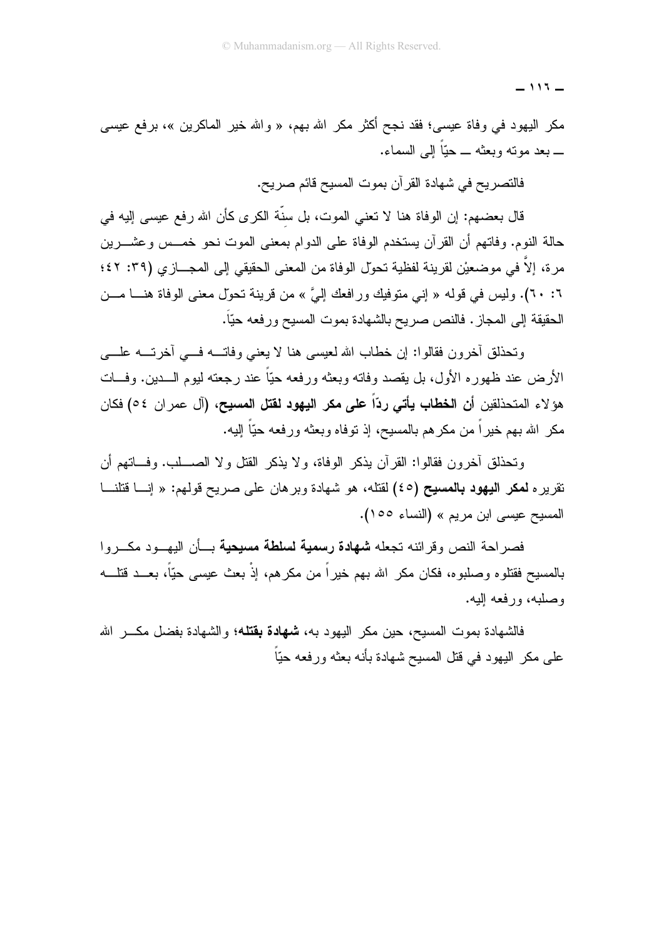$-115-$ 

مكر اليهود في وفاة عيسى؛ فقد نجح أكثر مكر الله بهم، « والله خير الماكرين »، برفع عيسى ۔ بعد موته وبعثه ۔ حبّا إلى السماء.

فالتصريح في شهادة القرآن بموت المسيح قائم صريح.

قال بعضهم: إن الوفاة هنا لا نعني الموت، بل سنَّة الكرى كأن الله رفع عيسى إليه في حالة النوم. وفاتهم أن القرآن يستخدم الوفاة على الدوام بمعنى الموت نحو خمـــس وعشــــرين مر ة، إلاَّ في موضعيْن لقرينة لفظية تحوّل الوفاة من المعنى الحقيقي إلى المجـــاز ي (٣٩: ٤٢؛ ٦: ٦٠). وليس في قوله « إني متوفيك ورافعك إليَّ » من قرينة تحوّل معنى الوفاة هنـــا مـــن الحقيقة إلى المجاز . فالنص صريح بالشهادة بموت المسيح ورفعه حيّاً.

وتحذلق أخرون فقالوا: إن خطاب الله لعيسى هنا لا يعني وفاتسه فسي أخرتسه علسي الأرض عند ظهوره الأول، بل يقصد وفاته وبعثه ورفعه حيًّا عند رجعته ليوم الـــدين. وفـــات هوَ لاء المتحذلقين أ**ن الخطاب يأت***ى* **ردّاً على مكر اليهود لقتل المسيح، (**آل عمر ان ٥٤) فكان مكر الله بهم خيراً من مكرهم بالمسيح، إذ نوفاه وبعثه ورفعه حيّاً الِيه.

وتحذلق آخرون فقالوا: القرآن يذكر الوفاة، و لا يذكر القتل و لا الصــــلب. وفـــاتهم أن تقريره **لمكر اليهود بالمسيح (٤٥) ل**قتله، هو شهادة وبرهان على صريح قولهم: « إنـــا قتلنـــا المسيح عيسى ابن مريم » (النساء ١٥٥).

فصراحة النص وقرائنه تجعله **شهادة رسمية لسلطة مسيحية** بسأن اليهـــود مكـــروا بالمسيح فقتلوه وصلبوه، فكان مكر الله بهم خيراً من مكرهم، إذْ بعث عيسى حيّاً، بعـــد قتلــــه وصلبه، ورفعه اليه.

فالشهادة بموت المسيح، حين مكر اليهود بـه، **شـهادة بقتلـه؛** والشـهادة بفضل مكــــر الله علمي مكر اليهود في قُتل المسيح شهادة بأنه بعثه ورفعه حيّاً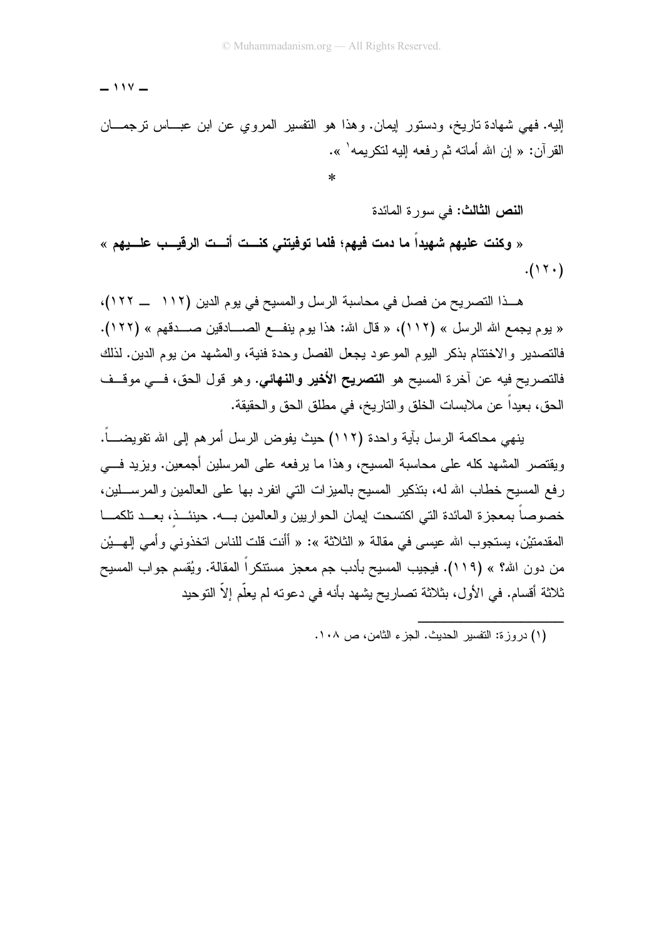$-114 -$ 

إليه. فهي شهادة ناريخ، ودستور إيمان. وهذا هو النفسير المروي عن ابن عبـــاس نرجمـــان القرآن: « إن الله أماته ثم رفعه إليه لنكريمه<sup>\</sup> ».

ا**لنص الثالث: ف**ي سورة المائدة

« وكنت عليهم شهيداً ما دمت فيهم؛ فلما توفيتني كنــت أنــت الرقيــب علــيهم »  $.(\rangle \Upsilon \cdot )$ 

هــذا التصريح من فصل في محاسبة الرسل والمسيح في يوم الدين (١١٢ \_ ١٢٢)، « يوم يجمع الله الرسل » (١١٢)، « قال الله: هذا يوم ينفــع الصـــادقين صـــدقهم » (١٢٢). فالتصدير والاختتام بذكر اليوم الموعود يجعل الفصل وحدة فنية، والمشهد من يوم الدين. لذلك فالتصريح فيه عن آخرة المسيح هو ا**لتصريح الأخير والنهائي.** وهو قول الحق، فـــي موقـــف الحق، بعيداً عن ملابسات الخلق والناريخ، في مطلق الحق والحقيقة.

ينهي محاكمة الرسل بآية واحدة (١١٢) حيث يفوض الرسل أمرهم إلى الله تفويضـــاً. ويقتصر المشهد كله على محاسبة المسيح، وهذا ما يرفعه على المرسلين أجمعين. ويزيد فسي رفع المسيح خطاب الله له، بتذكير المسيح بالميزات التي انفرد بها على العالمين والمرســـلين، خصوصاً بمعجزة المائدة التي اكتسحت ايمان الحواريين والعالمين بــــه. حينئـــذ، بعـــد تلكمــــا المقدمتيْن، يستجوب الله عيسى في مقالة « الثلاثة »: « أأنت قلت للناس اتخذوني و أمي إل<u>ه بيْن</u> من دون الله؟ » (١١٩). فيجيب المسيح بأدب جم معجز مستنكراً المقالة. ويُقسم جواب المسيح ثلاثة أقسام. في الأول، بثلاثة تصاريح يشهد بأنه في دعوته لم يعلَّم إلاَّ التوحيد

<sup>(</sup>١) در وز ة: التفسير الحديث. الجزء الثامن، ص ١٠٨.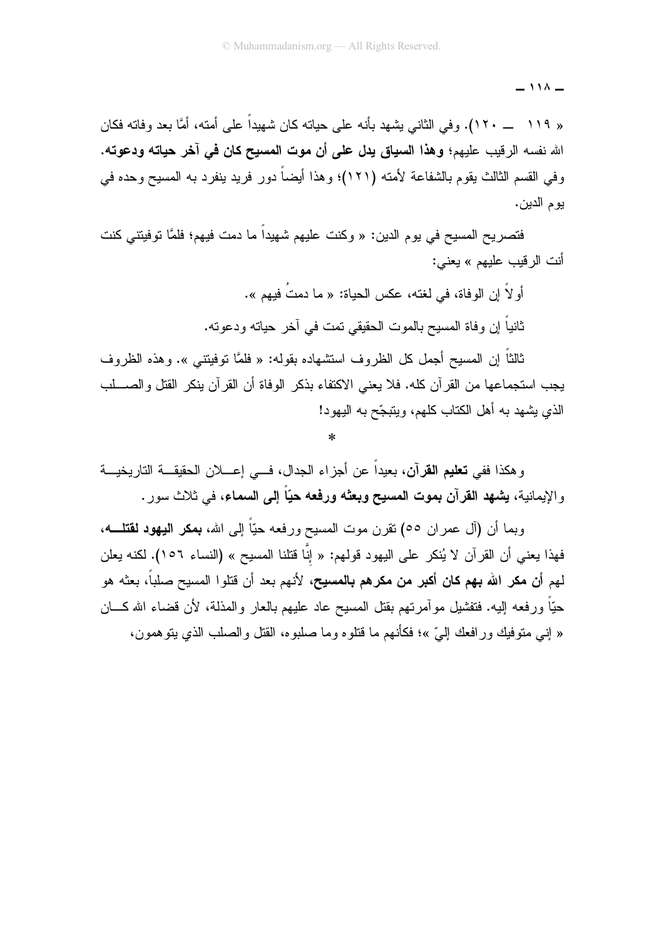$\lambda$   $\lambda$   $-$ 

« ١١٩ \_\_ ١٢٠). وفي الثاني بِشهد بأنه على حياته كان شهيداً على أمته، أمَّا بعد وفاته فكان الله نفسه الرقيب عليهم؛ وهذا السياق يدل على أن موت المسيح كان في آخر حياته ودعوته. وفي القسم الثالث يقوم بالشفاعة لأمته (١٢١)؛ وهذا أيضاً دورٍ فريدٍ ينفرد به المسيحٍ وحده في يوم الدين.

فتصريح المسيح في يوم الدين: « وكنت عليهم شهيداً ما دمت فيهم؛ فلمَّا توفيتني كنت أنت الر قبب عليهم » يعني:

أو لاَ إن الوفاة، في لغته، عكس الحياة: « ما دمتُ فيهم ».

ثانياً إن وفاة المسيح بالموت الحقيقي تمت في آخر حياته ودعوته.

ثالثاً إن المسيح أجمل كل الظر و ف استشهاده بقوله: « فلمَّا توفيتني ». و هذه الظر و ف يجب استجماعها من القر آن كله. فلا يعني الاكتفاء بذكر الوفاة أن القر آن ينكر القتل والصـــلب الذي يشهد به أهل الكتاب كلهم، ويتبجّح به اليهود!

وهكذا ففي **تعليم القرآن**، بعيداً عن أجزاء الجدال، فـــي إعــــلان الحقيقـــة التاريخيـــة والإيمانية، يشهد القرآن بموت المسيح وبعثه ورفعه حيّاً إلى السماء، في ثلاث سور .

وبما أن (آل عمران ٥٥) نقرن موت المسيح ورفعه حيّاً إلى الله، **بمكر اليهود لقتلــــه**، فهذا يعني أن القرآن لا يُنكر على اليهود قولهم: « إنَّا قتلنا المسيح » (النساء ١٥٦). لكنه يعلن لهم أ**ن مكر الله بهم كان أكبر من مكرهم بالمسيح**، لأنهم بعد أن قتلوا المسيح صلباً، بعثه هو حبّاً ورفعه إليه. فتفشيل موأمرتهم بقتل المسيح عاد عليهم بالعار والمذلة، لأن فضاء الله كـــان « إنبي متوفيك ور افعك إليّ »؛ فكأنهم ما قتلو ه وما صليو ه، القتل والصلب الذي يتو همون،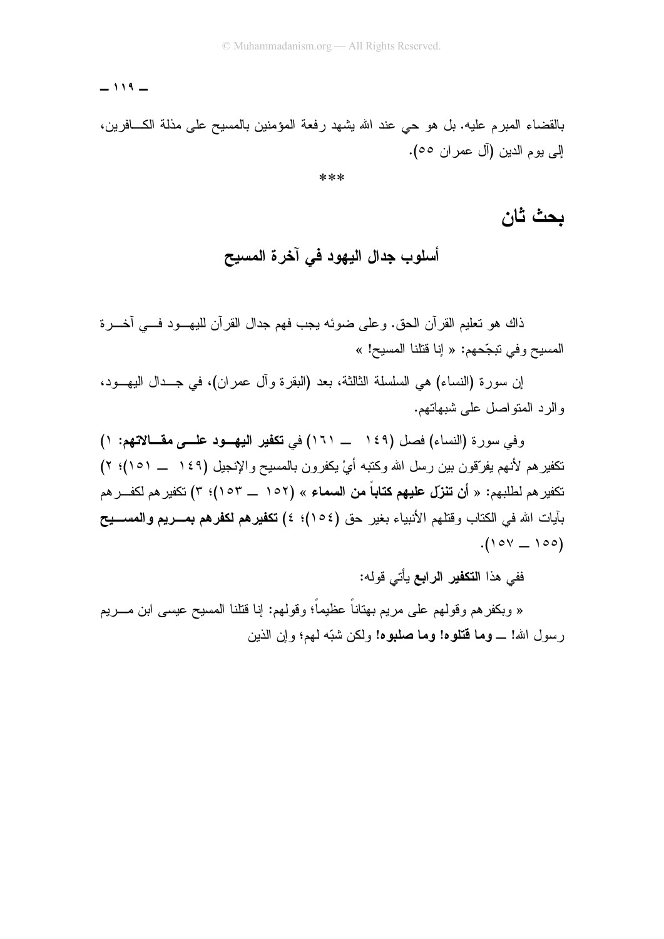#### $-119 -$

بالقضاء المبرم عليه. بل هو حي عند الله يشهد رفعة المؤمنين بالمسيح على مذلة الكـــافرين، إلى يوم الدين (آل عمر ان ٥٥).

\*\*\*

### بحث ثان

أسلوب جدال اليهود في آخرة المسيح

ذاك هو نعليم القرآن الحق. وعلى ضوئه يجب فهم جدال القرآن لليهــود فـــي أخـــرة المسيح و في تبجّحهم: « إنا قتلنا المسيح! »

إن سورة (النساء) هي السلسلة الثالثة، بعد (البقرة وأل عمران)، في جــدال البهـــود، و الر د المتو اصل علي شبهاتهم.

وفي سورة (النساء) فصل (١٤٩ ــــــ ١٦١) في تكفير اليهـــود علــــي مقـــالاتهم: ١) نكفيرهم لأنهم يفرّقون بين رسل الله وكتبه أيْ يكفرون بالمسيح والإنجيل (١٤٩ ـــ ١٥١)؛ ٢) تكفير هم لطلبهم: « أ**ن تنزّل عليهم كتاباً من السماء** » (١٥٢ ـــ ١٥٣)؛ ٣) تكفير هم لكفـــر هم بآيات الله في الكتاب وقتلهم الأنبياء بغير حق (١٥٤)؛ ٤) **تكفير هم لكفر هم بمــــريم والمســــيح**  $(100 - 100)$ 

ففي هذا ا**لتكفير الرابع** يأتي قوله:

« وبكفر هم وقولـهم علـى مريم بـهتانـاً عظيماً؛ وقولـهم: إنـا قتلنـا المسيح عيسـى ابن مــــريم رسول الله! ـــ **وما فتلوه! وما صلبوه!** ولكن شبّه لمهم؛ وإن الذين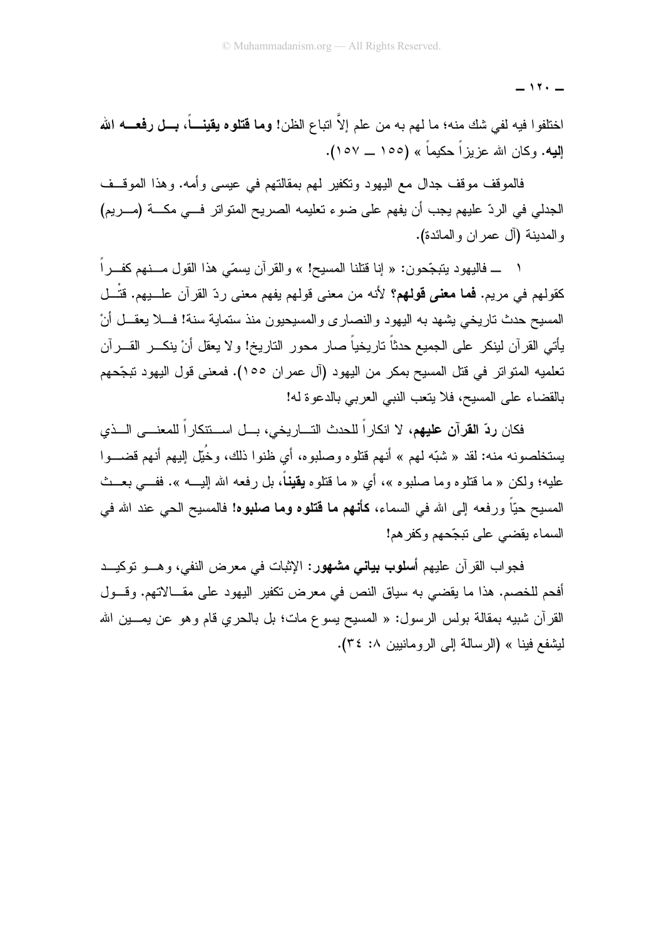$-11. -$ 

اختلفوا فيه لفي شك منه؛ ما لهم به من علم إلاّ اتباع الظن! **وما قتلوه يقينــــاً، بـــل رفعــــه الله اِلْيِه.** وكان الله عزيز اً حكيماً » (١٥٥ ــ ١٥٧).

فالموقف موقف جدال مع اليهود ونكفير لمهم بمقالتهم في عيسى وأمه. وهذا الموقف الجدلي في الردّ عليهم يجب أن يفهم على ضوء تعليمه الصريح المتواتر فــي مكـــة (مـــريم) و المدينة (آل عمر ان و المائدة).

ـــــ فاليهو د يتبجَّحو ن: « إنا قتلنا المسيح! » و القر آن يسمَّى هذا القول مـــنهم كفـــر اً كقولهم في مريم. **فما معنى قولهم؟** لأنه من معنى قولهم يفهم معنى ردّ القرآن علـــبهم. قتْـــل المسيح حدث تاريخي بشهد به اليهود والنصاري والمسيحيون منذ ستماية سنة! فـــلا يعقـــل أنْ يأتي القرآن لينكر على الجميع حدثاً تاريخياً صار محور الناريخ! ولا يعقل أنْ ينكـــر القـــرآن تعلميه المتواتر في قتل المسيح بمكر من اليهو د (آل عمر ان ١٥٥). فمعنى قول اليهو د تبجّحهم بالقضاء على المسيح، فلا يتعب النبي العربي بالدعوة له!

فكان **ردّ القرآن عليهم**، لا انكاراً للحدث التـــاريخي، بـــل اســـنتكاراً للمعنــــي الـــذي يستخلصونه منه: لقد « شبّه لمهم » أنهم قتلوه وصلبوه، أي ظنوا ذلك، وخُبّل البيهم أنهم قضــــوا عليه؛ ولكن « ما قتلوه وما صليوه »، أي « ما قتلوه **يقيناً**، بل رفعه الله البـــه ». ففـــ<sub>ـه</sub> بعــث المسيح حيّاً ورفعه إلى الله في السماء، **كأنهم ما قتلوه وما صلبوه!** فالمسيح الحي عند الله في السماء بقضبي على نبجّحهم وكفر هم!

فجواب القرآن عليهم أ**سلوب بياني مشهور**: الإثبات في معرض النفي، وهـــو توكيـــد أفحم للخصم. هذا ما يقضي به سياق النص في معرض نكفير اليهود على مقــالاتهم. وقـــول القرآن شبيه بمقالة بولس الرسول: « المسيح يسوع مات؛ بل بالحرى قام وهو عن يمـــين الله ليشفع فينا » (الرسالة إلى الرومانيين ٨: ٣٤).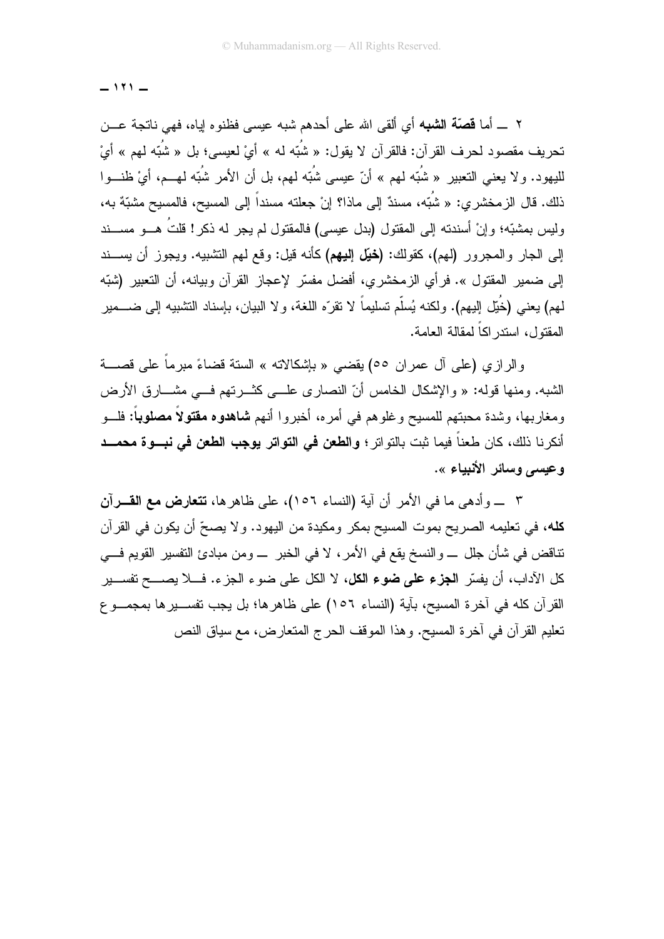$-111 -$ 

٢ \_ أما **قصّة الشبه** أي ألقى الله على أحدهم شبه عيسى فظنوه إياه، فهي ناتجة عـــن تحريف مقصود لحرف القرآن: فالقرآن لا يقول: « شُبّه له » أيْ لعيسى؛ بل « شُبّه لهم » أيْ لليهود. ولا يعني التعبير « شُبّه لهم » أنّ عيسى شُبّه لهم، بل أن الأمر شُبّه لهــم، أيْ ظنــوا ذلك. قال الزمخشري: « شُبّه، مسندٌ إلى ماذا؟ إنْ جعلته مسنداً إلى المسيح، فالمسيح مشبّهٌ به، وليس بمشبّه؛ وإنْ أسندته إلى المقتول (بدل عيسى) فالمقتول لم يجر له ذكر ! قلتُ هـــو مســـند إلى الجار والمجرور (لهم)، كقولك: (**خَيَّل إليهم**) كأنه قيل: وقع لهم التثنيبه. ويجوز أن يســـند إلى ضمير المقتول ». فرأي الزمخشري، أفضل مفسّر لإعجاز القرآن وبيانه، أن التعبير (شبّه لمهم) يعني (خُبِّل الِيهم). ولكنه يُسلَّم تسليماً لا تقرَّه اللغة، ولا البيان، بإسناد التشبيه إلى ضــــمير المقتول، استدر اكاً لمقالة العامة.

والرازي (علي أل عمران ٥٥) يقضي « بإشكالاته » الستة قضاءً مبرماً علي قصــــة الشبه. ومنها قوله: « والإشكال الخامس أنّ النصاري علـــي كثـــرتهم فـــي مشــــارق الأرض ومغاربها، وشدة محبتهم للمسيح وغلوهم في أمره، أخبروا أنهم **شاهدوه مقتولاً مصلوباً:** فلـــو أنكرنا ذلك، كان طعناً فيما ثبت بالتواتر ؛ **والطعن في التواتر يوجب الطعن في نبــوة محمــد** وعيسى وسائر الأنبياء ».

٣ ــ وأدهى ما في الأمر أن آية (النساء ١٥٦)، على ظاهر ها، **تتعارض مع القـــرآن** كله، في تعليمه الصريح بموت المسيح بمكر ومكيدة من اليهود. ولا يصحِّ أن يكون في القرآن نتاقض في شأن جلل \_ والنسخ يقع في الأمر ، لا في الخبر \_ ومن مبادئ التفسير القويم فـــي كل الآداب، أن يفسّر ا**لجزء على ضوء الكل**، لا الكل على ضوء الجزء. فـــلا يصــــح تفســـير القرآن كله في آخرة المسيح، بآية (النساء ١٥٦) على ظاهرها؛ بل يجب تفســـيرها بمجمـــو ع تعليم القرآن في آخرة المسيح. وهذا الموقف الحرج المتعارض، مع سياق النص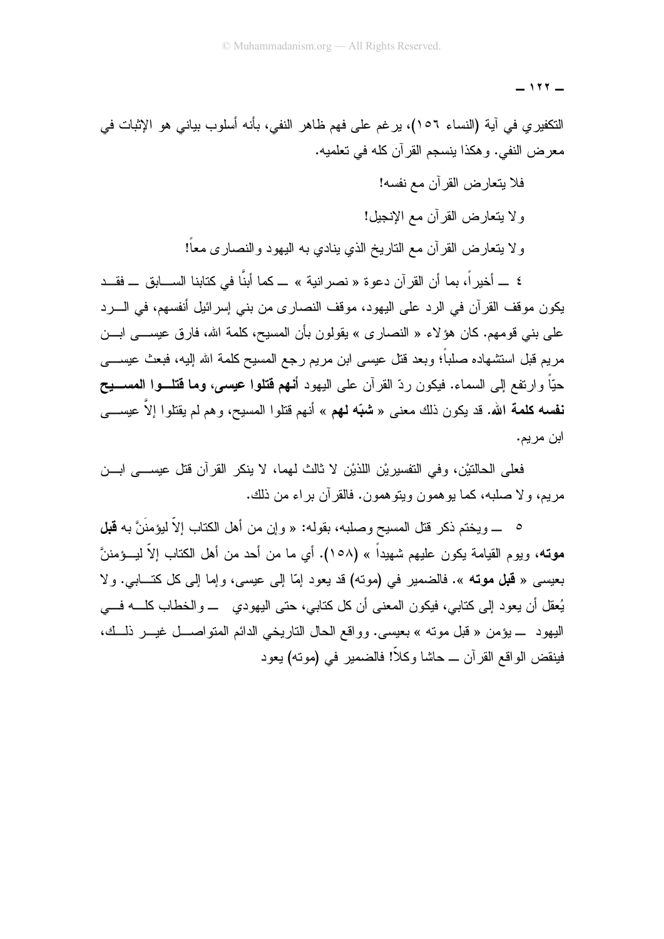$-111 -$ 

النكفيري في آية (النساء ١٥٦)، يرغم على فهم ظاهر النفي، بأنه أسلوب بياني هو الإثبات في معرض النفي. وهكذا ينسجم القرآن كله في تعلميه.

فلا يتعارض القرآن مع نفسه!

و لا يتعارض القر آن مع الإنجيل!

ولا يتعارض القرآن مع الناريخ الذي ينادي به اليهود والنصارى معاً!

٤ \_ أخيرٍ اً، بما أن القرآن دعوة « نصر انية » \_ كما أبنَّا في كتابنا الســـابق \_ فقــد يكون موقف القرآن في الرد على اليهود، موقف النصاري من بني إسرائيل أنفسهم، في السرد على بني قومهم. كان هؤلاء « النصاري » يقولون بأن المسيح، كلمة الله، فارق عيســـي ابـــن مريع قبل استشهاده صلباً؛ وبعد قتل عيسى ابن مريع رجع المسيح كلمة الله إليه، فبعث عيســـي حيّاً و ارتفع إلى السماء. فيكون ردّ القر آن على اليهود أ**نـهم قتلوا عيسى، وما قتلــوا المســـيح نفسه كلمة الله.** قد يكون ذلك معنى « **شبّه لهم** » أنهم قتلوا المسيح، وهم لم يقتلوا إلاّ عيســـي ابن مر يم.

فعلي الحالتيْن، وفي التفسير بْنِ اللَّذِيْنِ لا ثالث لهما، لا ينكر القرآن قتل عيســـي ابـــن مريم، و لا صلبه، كما يو همون ويتو همون. فالقر آن بر اء من ذلك.

0 ـــ ويختم ذكر قتل المسيح وصلبه، بقوله: « وإن من أهل الكتاب إلاَّ ليؤمنَنَّ به **قبل موت**ه، ويوم القيامة يكون عليهم شهيداً » (١٥٨). أي ما من أحد من أهل الكتاب إلاّ ليـــؤمننَّ بعيسى « **قبل موته** ». فالضمير في (موته) قد يعود إمّا إلى عيسى، وإما إلى كل كتـــابي. ولا يُعقل أن يعود إلى كتابي، فيكون المعنى أن كل كتابي، حتى اليهودي ـــ والخطاب كلــــه فــــي اليهود \_ يؤمن « قبل موته » بعيسى. وواقع الحال التاريخي الدائم المتواصـــل غيـــر ذلــك، فينقض الواقع القر آن \_ حاشا وكلاً! فالضمير ۖ في (مونـه) يعود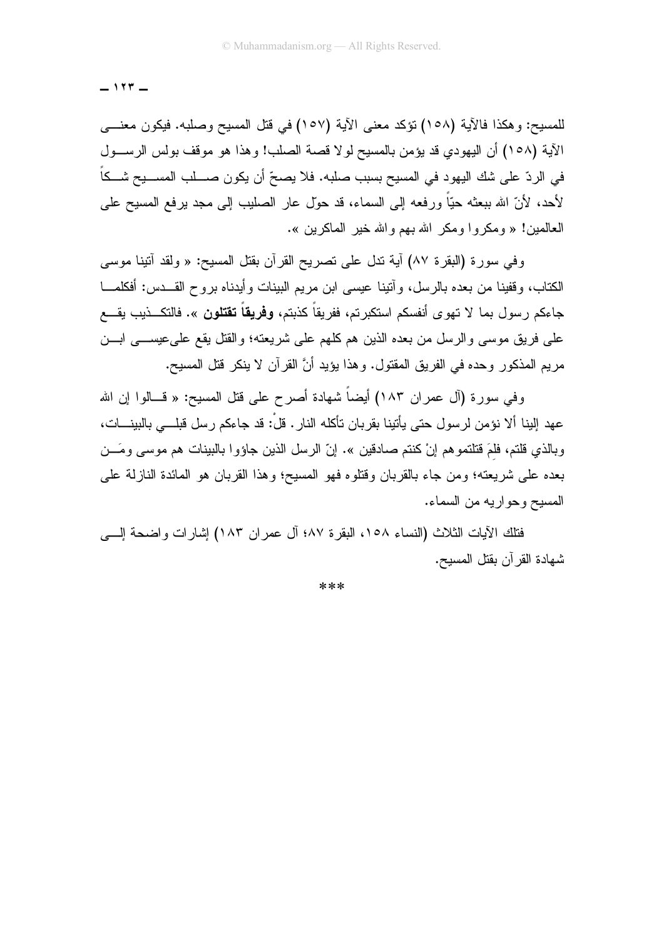$-117 -$ 

للمسيح: وهكذا فالآية (١٥٨) نؤكد معنى الآية (١٥٧) في قتل المسيح وصلبه. فيكون معنـــي الآية (١٥٨) أن اليهودي قد يؤمن بالمسيح لولا قصبة الصلب! وهذا هو موقف بولس الرســول في الردّ على شك اليهود في المسيح بسبب صلبه. فلا يصحّ أن يكون صــــلب المســـيح شـــكاً لأحد، لأنّ الله ببعثه حيّاً ورفعه إلى السماء، قد حوّل عار الصليب إلى مجد برفع المسيح على العالمين! « ومكر و ا ومكر الله بهم و الله خير الماكر بن ».

وفي سورة (البقرة ٨٧) أية ندل على تصريح القرأن بقتل المسيح: « ولقد أننينا موسى الكتاب، وقفينا من بعده بالرسل، وأتينا عيسى ابن مريم البينات وأيدناه بروح القـــدس: أفكلمــــا جاءكم رسول بما لا تهوى أنفسكم استكبرتم، ففريقاً كذبتم، **وفريقاً تقتلون** ». فالتكـــذيب يقــــع على فريق موسى والرسل من بعده الذين هم كلهم على شريعته؛ والقتل يقع على عيســـى ابـــن مريم المذكور وحده في الفريق المقتول. وهذا يؤيد أنَّ القرآن لا ينكر قتل المسيح.

وفي سورة (آل عمران ١٨٣) أيضاً شهادة أصرح على قتل المسيح: « قـــالوا إن الله عهد إلينا ألا نؤمن لر سول حتى يأتينا بقر بان تأكله النار . قلْ: قد جاءكم ر سل قبلـــى بالبينــــات، وبالذي قلتم، فلمَ قتلتموهم إنْ كنتم صادقين ». إنّ الرسل الذين جاؤوا بالبينات هم موسى ومَـــن بعده على شريعته؛ ومن جاء بالقربان وقتلوه فهو المسيح؛ وهذا القربان هو المائدة النازلة على المسيح وحواريه من السماء.

فتلك الآيات الثلاث (النساء ١٥٨، البقرة ٨٧؛ آل عمر إن ١٨٣) إشار إت و اضحة إلــــى شهادة القر آن بقتل المسيح.

\*\*\*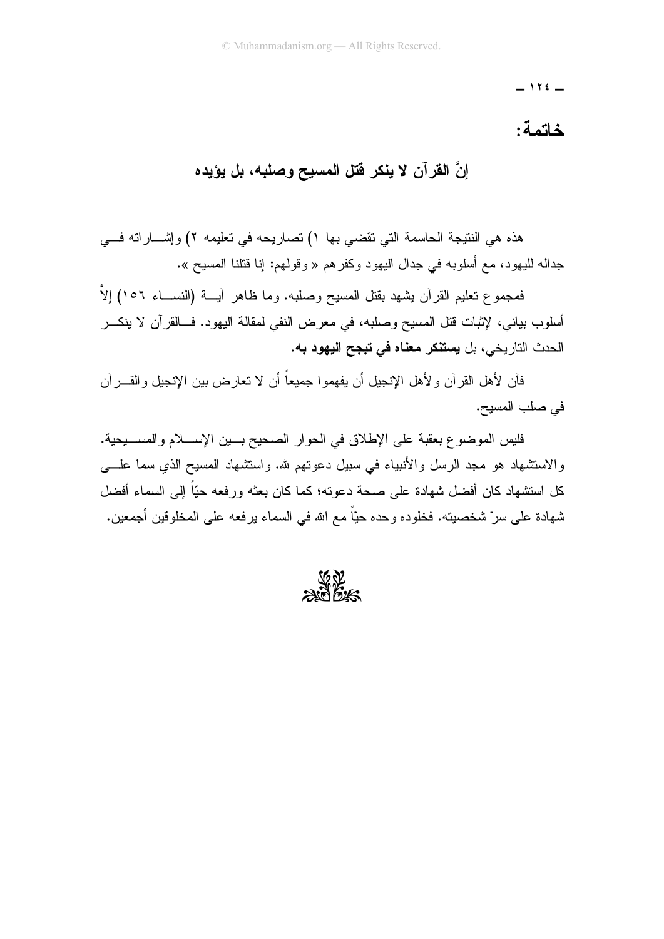$-115$ 

#### خاتمة:

## إنَّ القرآن لا ينكر فتل المسيح وصلبه، بل يؤيده

هذه هي النتيجة الحاسمة التي تقضي بها ١) تصاريحه في تعليمه ٢) وإشـــار اته فـــي جداله لليهود، مع أسلوبه في جدال اليهود وكفر هم « وقولهم: إنا قتلنا المسيح ».

فمجموع تعليم القرآن بشهد بقتل المسيح وصلبه. وما ظاهر آيسة (النســـاء ١٥٦) إلاَّ أسلوب بياني، لإثبات قتل المسيح وصلبه، في معرض النفي لمقالة البهود. فــالقرآن لا ينكـــر الحدث التار بخي، بل **بستنكر معناه في تبجح اليهود ب**ه.

فأن لأهل القرآن ولأهل الإنجيل أن يفهمو اجميعاً أن لا تعارض بين الإنجيل والقــــرآن في صلب المسيح.

فليس الموضوع بعقبة على الإطلاق في الحوار الصحيح بسين الإسسلام والمسسيحية. والاستشهاد هو مجد الرسل والأنبياء في سبيل دعوتهم لله. واستشهاد المسيح الذي سما علـــي كل استشهاد كان أفضل شهادة على صحة دعوته؛ كما كان بعثه ورفعه حبّاً إلى السماء أفضل شهادة على سرّ شخصيته. فخلوده وحده حيّاً مع الله في السماء يرفعه على المخلوقين أجمعين.

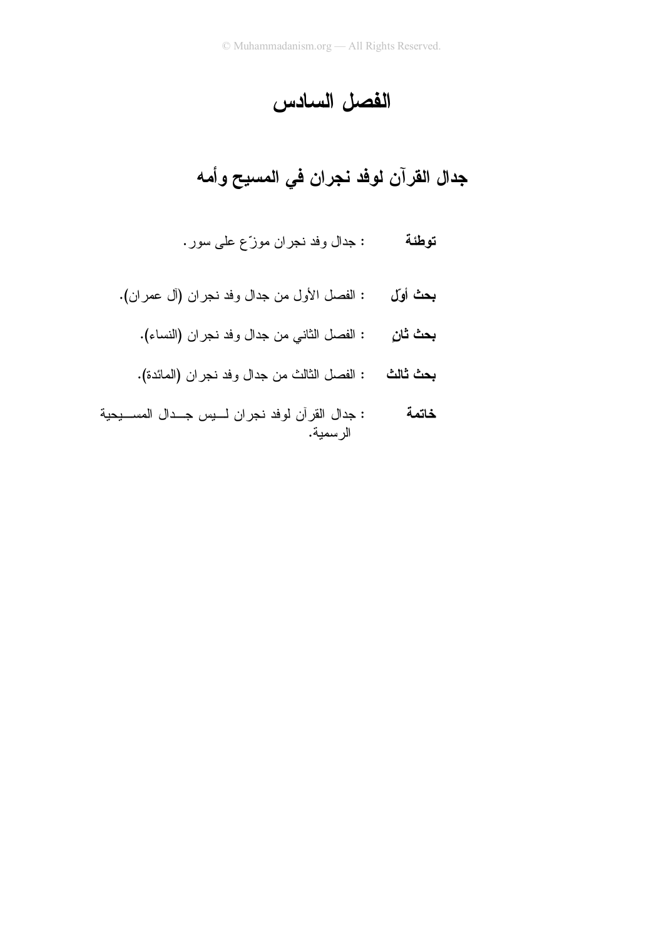### الفصل السادس

# جدال القرآن لوفد نجران في المسيح وأمه

- : جدال وفد نجران موزّع على سور. توطئة
- بحث أوّل : الفصل الأول من جدال وفد نجران (أل عمران).
	- بحث ثانٍ : الفصل الثاني من جدال وفد نجران (النساء).
	- بحث ثالث : الفصل الثالث من جدال وفد نجران (المائدة).
- : جدال القرآن لوفد نجران لسيس جلدال المسليحية خاتمة الر سمية.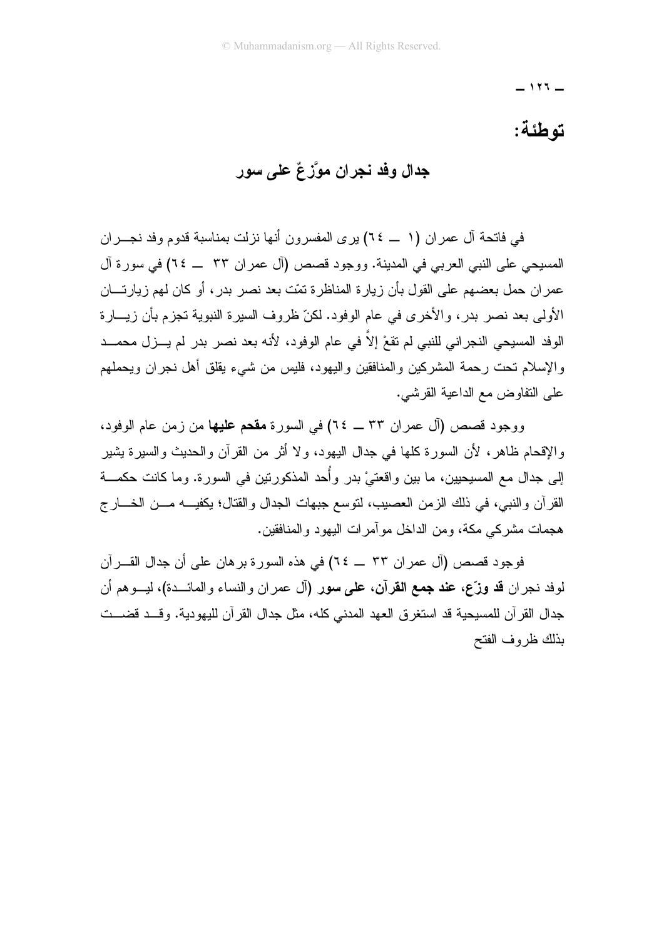$-111 -$ 

#### توطئة:

#### جدال وفد نجران موَّزعٌ على سور

في فاتحة آل عمر ان (١ \_\_ ٦٤) بر ي المفسر ون أنها نزلت بمناسبة قدوم وفد نجـــر ان المسبحي على النبي العربي في المدينة. ووجود قصص (آل عمر ان ٣٣ ــ ٢٤) في سور ة آل عمر ان حمل بعضهم على القول بأن زيار ة المناظر ة تمّت بعد نصر بدر ، أو كان لمهم زيار تـــان الأولى بعد نصر بدر، والأخرى في عام الوفود. لكنّ ظروف السيرة النبوية تجزم بأن زيـــارة الوفد المسيحي النجر اني للنبي لم تقعْ إلاّ في عام الوفود، لأنه بعد نصر بدر لم يـــزل محمـــد والإسلام تحت رحمة المشركين والمنافقين والبهود، فليس من شيء يقلق أهل نجران ويحملهم على النفاوض مع الداعية القر شي.

ووجود قصص (آل عمران ٣٣ \_ ٢٤) في السورة مقحم عليها من زمن عام الوفود، والإقحام ظاهر، لأن السورة كلها في جدال اليهود، ولا أثر من القرآن والحديث والسيرة بشير إلى جدال مع المسيحيين، ما بين واقعتيْ بدر وأُحد المذكورتين في السورة. وما كانت حكمـــة القرآن والنبي، في ذلك الزمن العصيب، لنوسع جبهات الجدال والقتال؛ يكفيـــه مــــن الخــــار ج هجمات مشركي مكة، ومن الداخل مو آمر ات اليهود و المنافقين.

فوجود قصص (آل عمران ٣٣ \_ ٢٤) في هذه السورة برهان على أن جدال القـــرآن لوفد نـجران **قد وزّع، عند جمـع القرآن، علـي سور (**آل عمران والنساء والمائـــدة)، ليـــوهم أن جدال القرآن للمسيحية قد استغرق العهد المدنى كله، مثل جدال القرآن لليهودية. وقــد قضــت بذلك ظر و ف الفتح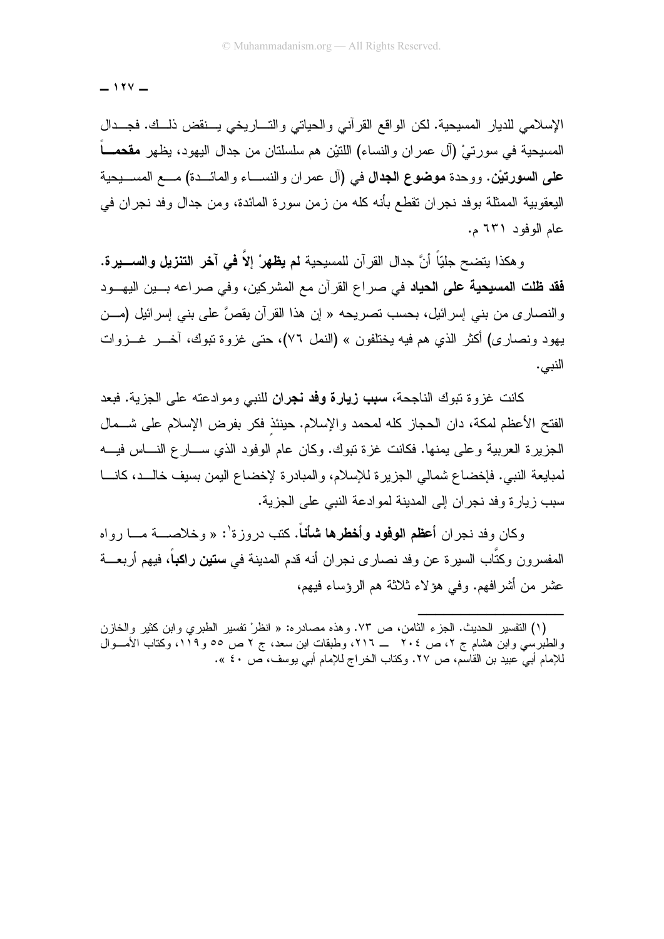$-111 -$ 

الإسلامي للديار المسيحية. لكن الواقع القرآني والحياتي والتساريخي يسنقض ذلسك. فجــدال المسبحية في سورتيْ (آل عمران والنساء) اللنئيْن هم سلسلتان من جدال اليهود، يظهر مقحمــــاً علمي السورتيْن. ووحدة موضوع الجدال في (آل عمر ان والنســـاء والمائـــدة) مـــع المســـيحية اليعقوبية الممثلة بوفد نجر ان تقطع بأنه كله من زمن سورة المائدة، ومن جدال وفد نجر ان في عام الوفود ٦٣١ م.

و هكذا بتضح جلبّاً أنَّ جدال القر آن للمسبحية **لم يظه**ر ْ إلاّ **في آخر التنزيل و الســـير ة. فقد ظلت المسيحية على الحياد** في صراع القرآن مع المشركين، وفي صراعه بـــين اليهـــود والنصاري من بنبي إسرائيل، بحسب نصريحه « إن هذا القرآن يقصَّ على بنبي إسرائيل (مـــن يهود ونصاري) أكثر الذي هم فيه يختلفون » (النمل ٧٦)، حتى غزوة تبوك، أخـــر غـــزوات النبي.

كانت غز و ة تبوك الناجحة، سبب زيارة وفد نجران للنبي وموادعته على الجزية. فبعد الفتح الأعظم لمكة، دان الحجاز كله لمحمد والإسلام. حينئذ فكر بفرض الإسلام على شـــمال الجزيرة العربية وعلى يمنها. فكانت غزة تبوك. وكان عام الوفود الذي ســـار ع النــــاس فيــــه لمبايعة النبي. فإخضاع شمالي الجزيرة للإسلام، والمبادرة لإخضاع اليمن بسيف خالــد، كانـــا سبب زيارة وفد نجر ان إلى المدينة لموادعة النبي على الجزية.

وكان وفد نجر ان أ**عظم الوفود وأخطرها شأناً.** كتب دروز ة<sup>٠</sup>: « وخلاصـــة مـــا رواه المفسرون وكتَّاب السيرة عن وفد نصارى نجران أنه قدم المدينة في **ستين راكب**اً، فيهم أربعـــة عشر من أشرافهم. وفي هؤلاء ثلاثة هم الرؤساء فيهم،

<sup>(</sup>١) التفسير الحديث. الجزء الثامن، ص ٧٣. وهذه مصادره: « انظرْ نفسير الطبري وابن كثير والخازن والطبرسي وابن هشام ج ٢، ص ٢٠٤ ـــ ٢١٦، وطبقات ابن سعد، ج ٢ ص ٥٥ و ١١٩، وكتاب الأمـــوال للإمام أبني عبيد بن القاسم، ص ٢٧. وكتاب الخراج للإمام أبني يوسف، ص ٤٠ ».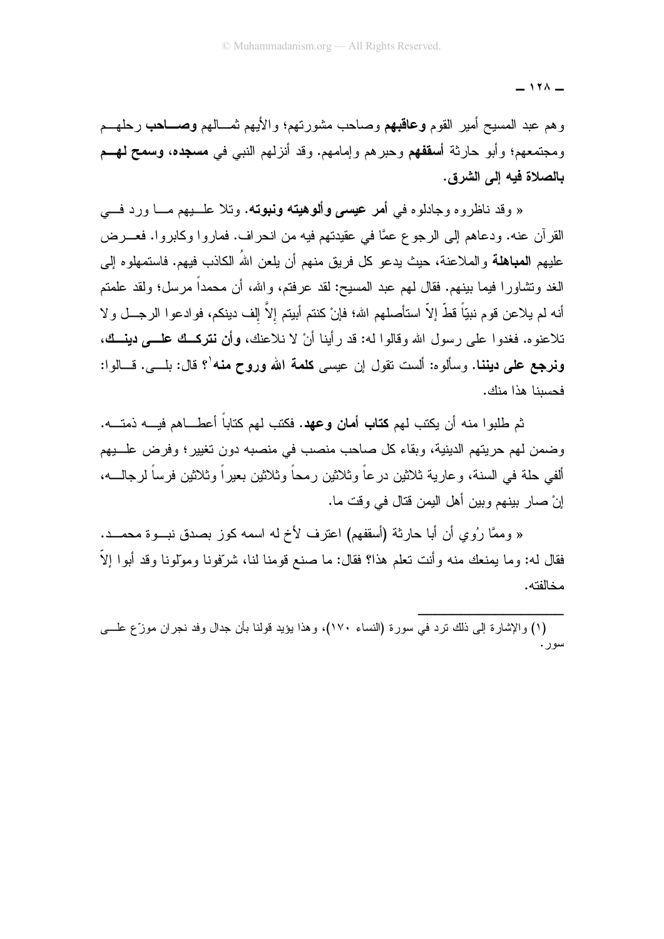$171 -$ 

وهم عبد المسيح أمير القوم **وعاقبهم** وصاحب مشورتهم؛ والأيهم ثمـــالهم **وصــــاحب** رحلهـــم ومجتمعهم؛ وأبو حارثة أ**سقفهم** وحبرهم وإمامهم. وقد أنزلهم النبي في م**سجده، وسمح لهــم** بالصلاة فيه إلى الشرق.

« وقد ناظروه وجادلوه في أ**مر عي***سي* **وألوهيته ونبوته.** وتلا علـــبهم مــــا ورد فــــي القرآن عنه. ودعاهم إلى الرجوع عمًّا في عقيدتهم فيه من انحراف. فماروا وكابروا. فعـــرض عليهم ا**لمباهلة** والملاعنة، حيث بدعو كل فريق منهم أن بلعن اللهُ الكاذب فيهم. فاستمهلوه إلى الغد وتشاورًا فيما بينهم. فقال لـهم عبد المسيح: لقد عرفتم، والله، أن محمداً مرسل؛ ولقد علمتم أنه لم يلاعن قوم نبيّاً قطّ إلاّ استأصلهم الله؛ فإنْ كنتم أبيتم إلاّ إلف دينكم، فوادعوا الرجـــل ولا تلاعنوه. فغدوا علي رسول الله وقالوا له: قد رأينا أنْ لا نلاعنك، وأن نتركت علمي دينــك، ون**رجع على دينن**ا. وسألوه: ألست نقول إن عيسى **كلمة الله وروح منه'؟ قال:** بلـــى. فـــالوا: فحسينا هذا منك.

ثم طلبو ا منه أن بكتب لهم **كتاب أمان وعهد.** فكتب لهم كتاباً أعطـــاهم فبــــه ذمتـــه. وضمن لهم حريتهم الدينية، وبقاء كل صاحب منصب في منصبه دون تغيير؛ وفرض علـــبهم ألفي حلة في السنة، وعارية ثلاثين درعاً وثلاثين رمحاً وثلاثين بعيراً وثلاثين فرساً لرجالــــه، إنْ صارٍ ببنهم وبين أهل اليمن قتال في وقت ما.

« وممَّا رِ ُو ي أن أبا حارثة (أسقفهم) اعتر ف لأخ له اسمه كوز بصدق نبوءٌ محمــد. فقال له: وما يمنعك منه وأنت تعلَّم هذا؟ فقال: ما صنع قومنا لنا، شرِّفونا ومولَّونا وقد أبوا إلاَّ مخالفته.

(١) والإشارة إلى ذلك نزد في سورة (النساء ١٧٠)، وهذا يؤيد قولنا بأن جدال وفد نجران موزّع علـــي سور .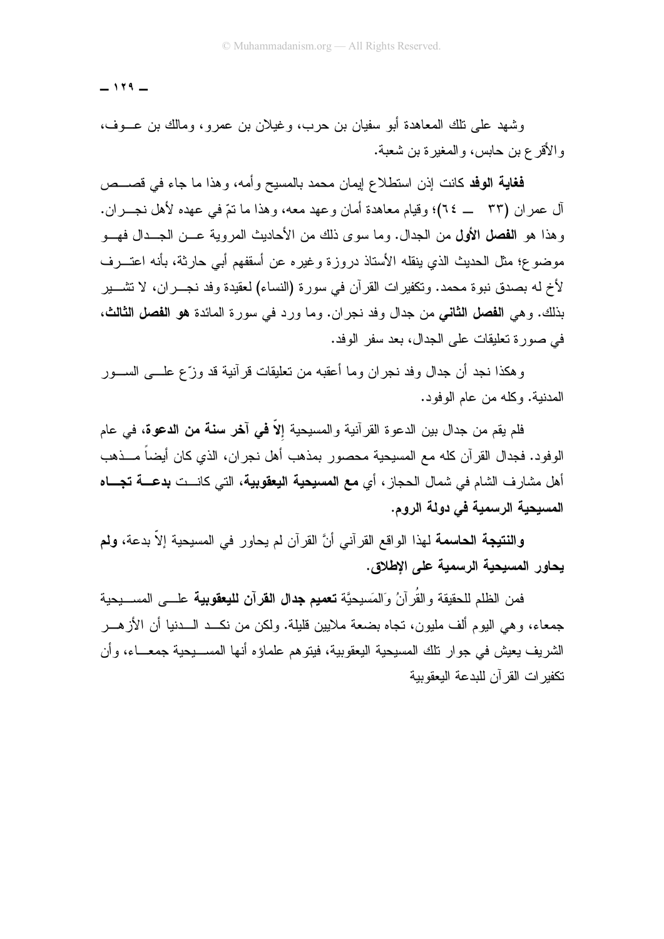$-119 -$ 

وشهد على نلك المعاهدة أبو سفيان بن حرب، وغيلان بن عمرو، ومالك بن عـــوف، و الأقرع بن حابس، و المغير ة بن شعبة.

**فغاية الوفد** كانت إذن استطلاع ايمان محمد بالمسيح وأمه، وهذا ما جاء في قصـــص آل عمر ان (٣٣ – ٢٤)؛ وقبام معاهدة أمان وعهد معه، وهذا ما نتَّرفي عهده لأهل نجــر ان. وهذا هو ا**لفصل الأول** من الجدال. وما سوى ذلك من الأحاديث المروية عــن الجــدال فهــو موضوع؛ مثل الحديث الذي بنقله الأستاذ دروز ة وغير ه عن أسقفهم أبي حارثة، بأنه اعتــر ف لأخ له بصدق نبو ة محمد. وتكفير ات القر آن في سور ة (النساء) لعقيدة وفد نجـــر ان، لا تشـــير بذلك. وهي ا**لفصل الثاني** من جدال وفد نجر ان. وما ورد في سورة المائدة **هو الفصل الثالث،** في صور ة تعليقات على الجدال، بعد سفر الوفد.

و هكذا نجد أن جدال وفد نجر ان وما أعقبه من تعليقات قر آنية قد وزّع علــــى الســـور المدنية. وكله من عام الوفود.

فلم يقم من جدال بين الدعوة القرآنية والمسيحية إلاّ **في آخر سنة من الدعوة،** في عام الوفود. فجدال القرآن كله مع المسيحية محصور بمذهب أهل نجران، الذي كان أيضاً مـــذهب أهل مشار ف الشام في شمال الحجاز ، أي **مع المسيحية اليعقو**يية، التي كانــت **بدعــة تجـــاه** المسبحية الرسمية في دولة الروم.

وال**نتيجة الحاسمة** لهذا الواقع القرآني أنَّ القرآن لم يحاور في المسيحية إلاَّ بدعة، **ولم** يحاور المسيحية الرسمية على الاطلاق.

فمن الظلم للحقيقة والقُرآنُ وَالمَسيحيَّة **تعميم جدال القرآن لليعقوبية** علـــى المســـيحية جمعاء، و هي اليوم ألف مليون، نجاه بضعة ملايين قليلة. ولكن من نكــد الـــدنيا أن الأز هـــر الشريف يعيش في جوار نلك المسيحية اليعقوبية، فيتوهم علماؤه أنها المســــبحية جمعــــاء، وأن تكفير ات القر آن للبدعة البعقويبة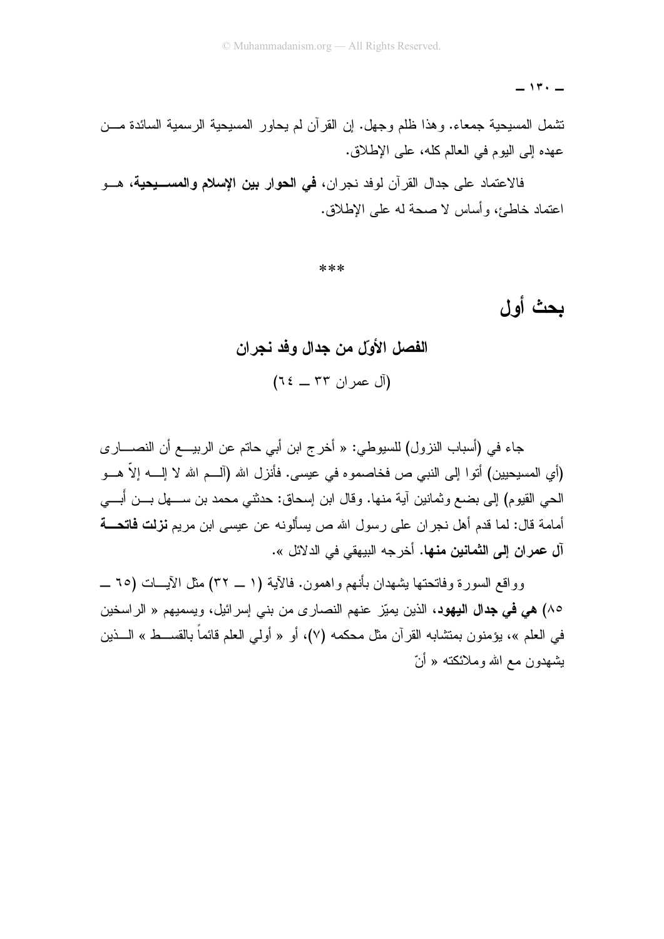$-11. -$ 

نتنمل المسيحية جمعاء. وهذا ظلم وجهل. إن القرآن لم يحاور المسيحية الرسمية السائدة مـــن عهده إلى اليوم في العالم كله، على الإطلاق.

فالاعتماد على جدال القر آن لوفد نجر ان، **في الحو**ار **بين الاسلام والمســــيحية،** هـــو اعتماد خاطئ، وأساس لا صحة له على الإطلاق.

\*\*\*

## بحث أول

# الفصل الأولّ من جدال وفد نجر ان (آل عمران ٣٣ \_ ٦٤)

جاء في (أسباب النزول) للسيوطي: « أخرج ابن أبي حاتم عن الربيــــع أن النصـــــار ي (أي المسيحيين) أتوا إلى النبي ص فخاصموه في عيسى. فأنزل الله (آلـــم الله لا إلــــه إلاّ هـــو الحي القيوم) إلى بضع وثمانين آية منها. وقال ابن إسحاق: حدثني محمد بن ســــهل بــــن أبــــي أمامة قال: لما قدم أهل نجر ان علي رسول الله ص يسألونه عن عيسى ابن مريم **نزلت فاتحـــة** آل عمران إلى الثمانين منها. أخرجه البيهقي في الدلائل ».

وواقع السورة وفاتحتها بِشهدان بأنهم وإهمون. فالآية (١ \_ ٣٢) مثل الآيــات (٦٥ \_ ٨٥) هي في جدال اليهود، الذين يميّز عنهم النصارى من بني إسرائيل، ويسميهم « الراسخين في العلم »، يؤمنون بمنشابه القرآن مثل محكمه (٧)، أو « أولـي العلم قائماً بالقســـط » الــــذين بشهدون مع الله وملائكته « أنّ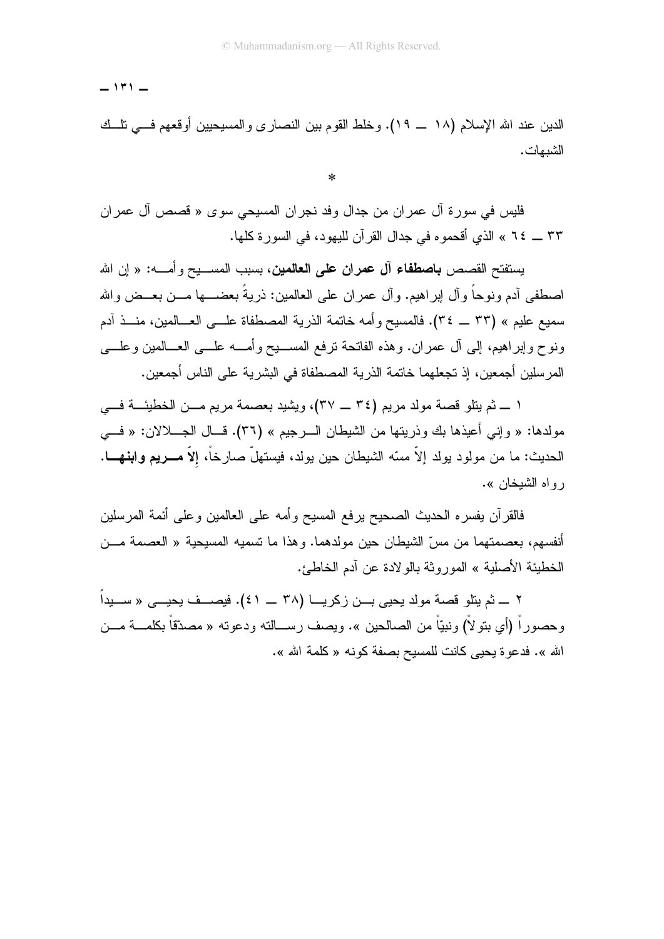$-111 -$ 

الدين عند الله الإسلام (١٨ \_ ١٩). وخلط القوم بين النصار ي والمسيحيين أوقعهم فـــي نلـــك الشدمات .

 $\ast$ 

فليس في سورة آل عمران من جدال وفد نجران المسيحي سوى « قصص آل عمران ٣٣ \_ ٢٤ » الذي أقحمو ه في جدال القرآن لليهود، في السورة كلها.

يستفتح القصص **باصطفاء آل عمران على العالمين،** بسبب المســـيح وأمــــه: « إن الله اصطفى آدم ونوحاً وأل إبراهيم. وأل عمران على العالمين: ذريةً بعضــــها مـــن بعـــض والله سميع عليم » (٣٣ \_ ٣٤). فالمسيح وأمه خاتمة الذرية المصطفاة علـــي العـــالمين، منـــذ آدم ونوح وإبراهيم، إلى أل عمران. وهذه الفاتحة نرفع المســـبح وأمــــه علــــي العــــالمين وعلــــي المرسلين أجمعين، إذ تجعلهما خاتمة الذرية المصطفاة في البشرية على الناس أجمعين.

١ ــ ثم يتلو قصة مولد مريم (٣٤ ــ ٣٧)، ويشيد بعصمة مريم مــن الخطيئـــة فـــى مولدها: « وإني أعيذها بك وذريتها من الشيطان السرجيم » (٣٦). قــال الجـــلالان: « فـــي الحديث: ما من مولود يولد إلاّ مسّه الشيطان حين يولد، فيستهلّ صارخاً، إلاّ **مـــريم وابنـهــــا**. ر و اه الشيخان ».

فالقرآن يفسره الحديث الصحيح يرفع المسيح وأمه على العالمين وعلى أئمة المرسلين أنفسهم، بعصمتهما من مسِّ الشَّيطان حين مولدهما. وهذا ما تسميه المسيحية « العصمة مـــن الخطيئة الأصلية » الموروثة بالولادة عن أدم الخاطئ.

٢ ــــ ثم يتلو قصة مولد يحيى بـــن زكريـــا (٣٨ ــــ ٤١). فيصـــف يحيـــى « ســـيداً وحصوراً (أي بنو لاً) ونبيّاً من الصالحين ». ويصف رســـالنه ودعوته « مصدّقاً بكلمـــة مـــن الله ». فدعو ة يحيى كانت للمسيح بصفة كونه « كلمة الله ».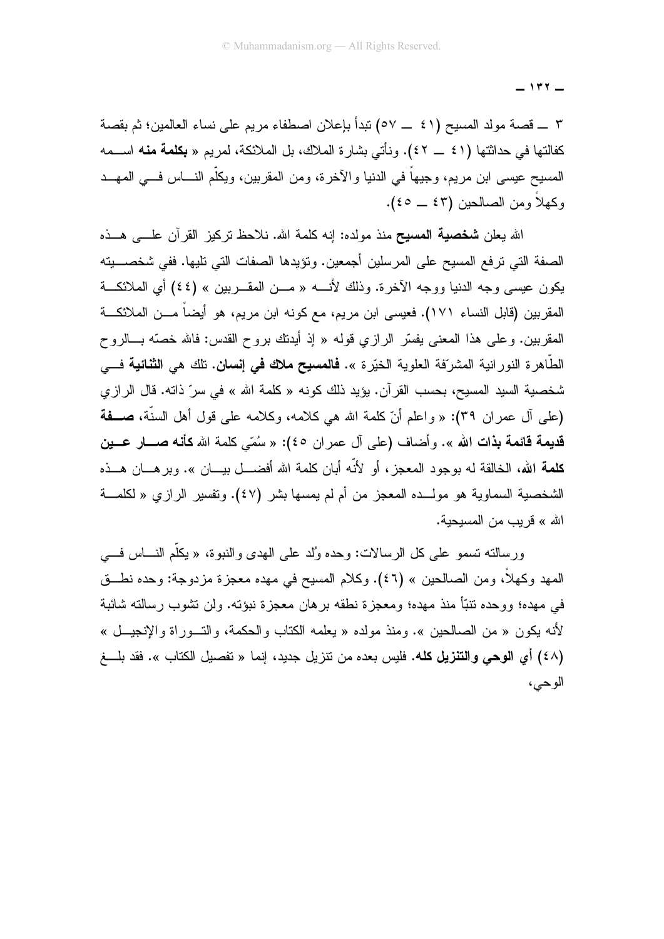$-111 -$ 

٣ ــــ قصنة مولد المسيح (٤١ ـــ ٥٧) تبدأ بإعلان اصطفاء مريم على نساء العالمين؛ ثم بقصة كغالتها في حداثتها (٤١ \_ ٤٢). ونأتي بشارة الملاك، بل الملائكة، لمريم « **بكلمة منه** اســـمه المسيح عيسى ابن مريم، وجيهاً في الدنيا والآخرة، ومن المقربين، ويكلَّم النــــاس فـــي المهـــد وكهلاً ومن الصالحين (٤٣ \_ ٤٥).

الله يعلن **شخصية المسيح** منذ مولده: إنه كلمة الله. نلاحظ نركيز القرآن علـــى هـــذه الصفة التي ترفع المسيح على المرسلين أجمعين. ونؤيدها الصفات التي تليها. ففي شخصــــيته يكون عيسى وجه الدنيا ووجه الآخرة. وذلك لأنسه « مـــن المقـــربين » (٤٤) أي الملائكـــة المقرِبين (قابل النساء ١٧١). فعيسى ابن مريم، مع كونه ابن مريم، هو أيضاً مـــن الملائكـــة المقربين. وعلى هذا المعنى يفسّر الرازي قوله « إذ أيدنك بروح القدس: فالله خصّه بـــالروح الطَّاهرة النورانية المشرّفة العلوية الخيّرة ». **فالمسيح ملاك في إنسان.** تلك هي ا**لثنائية** فـــي شخصية السيد المسيح، بحسب القرآن. يؤيد ذلك كونه « كلمة الله » في سرّ ذاته. قال الرازي (علي آل عمران ٣٩): « واعلم أنّ كلمة الله هي كلامه، وكلامه علي قول أهل السنَّة، صفة قديمة قائمة بذات الله ». وأضاف (على آل عمران ٤٥): « سُمَّى كلمة الله **كأنه صـــار عـــين كلمة الله، ال**خالقة له بوجود المعجز ، أو لأنّه أبان كلمة الله أفضـــل بيـــان ». وبر هـــان هـــذه الشخصية السماوية هو مولــده المعجز من أم لم يمسها بشر (٤٧). وتفسير الرازي « لكلمـــة الله » قريب من المسيحية.

ورسالته نسمو على كل الرسالات: وحده وُلد على الهدى والنبوة، « يكلُّم النــــاس فــــى المهد وكهلاً، ومن الصالحين » (٤٦). وكلام المسيح في مهده معجزة مزدوجة: وحده نطـــق في مهده؛ ووحده نتبًّا منذ مهده؛ ومعجزة نطقه برهان معجزة نبؤته. ولن نشوب رسالته شائبة لأنه يكون « من الصالحين ». ومنذ مولده « يعلمه الكتاب والحكمة، والتـــوراة والإنجيـــل » (٤٨) أي ا**لوحي والتنزيل كله.** فليس بعده من تتزيل جديد، إنما « تفصيل الكتاب ». فقد بلــــغ الوحي،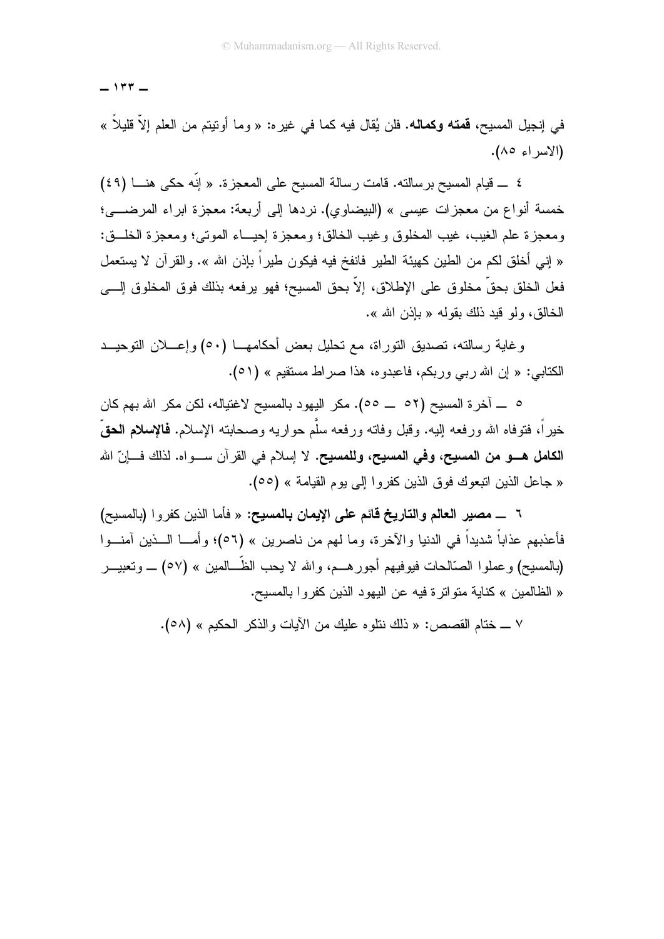$-114 -$ 

في إنجيل المسيح، **قمته وكماله.** فلن يُقال فيه كما في غيره: « وما أوتيتم من العلم إلاّ قليلاً » (الاسراء ٨٥).

٤ \_ قيام المسيح برسالته. قامت رسالة المسيح على المعجزة. « إنَّه حكى هنـــا (٤٩) خمسة أنواع من معجزات عيسى » (البيضاوي). نردها إلى أربعة: معجزة ابراء المرضــــى؛ ومعجزة علم الغيب، غيب المخلوق وغيب الخالق؛ ومعجزة إحيـــاء الموتبي؛ ومعجزة الخلـــق: « إني أخلق لكم من الطين كهيئة الطير فانفخ فيه فيكون طير اً بإذن الله ». و القر آن لا يستعمل فعل الخلق بحقِّ مخلوق على الإطلاق، إلاَّ بحق المسيح؛ فهو يرفعه بذلك فوق المخلوق إلــــى الخالق، ولو قدد ذلك يقوله « باذن الله ».

وغاية رسالته، تصديق التوراة، مع تحليل بعض أحكامهـــا (٥٠) وإعــــلان التوحيـــد الكتابي: « إن الله ربي وربكم، فاعبدوه، هذا صراط مستقيم » (٥١).

٥ \_ آخرة المسيح (٥٢ \_ ٥٥). مكر اليهود بالمسيح لاغتياله، لكن مكر الله بهم كان خيراً، فتوفاه الله ورفعه البيه. وقبل وفاته ورفعه سلَّم حواريه وصحابته الإسلام. **فالإسلام الحق**ُّ الكامل هـــو من المسيح، وفي المسيح، وللمسيح. لا إسلام في القرآن ســـواه. لذلك فـــانّ الله « جاعل الذين اتبعوك فوق الذين كفر و ا إلى يوم القيامة » (00).

٦ ـــ مصير العالم والتاريخ قائم على الإيمان بالمسيح: « فأما الذين كفروا (بالمسيح) فأعذبهم عذاباً شديداً في الدنيا والأخرة، وما لهم من ناصرين » (٥٦)؛ وأمـــا الـــذين آمنـــوا (بالمسيح) وعملوا الصَّالحات فيوفيهم أجورهـــم، والله لا يحب الظّـــالمين » (٥٧) \_ وتعبيــــر « الظالمين » كناية متواتر ة فيه عن اليهود الذين كفر وا بالمسيح.

٧ ــ ختام القصص: « ذلك نتلوه عليك من الأيات والذكر الحكيم » (٥٨).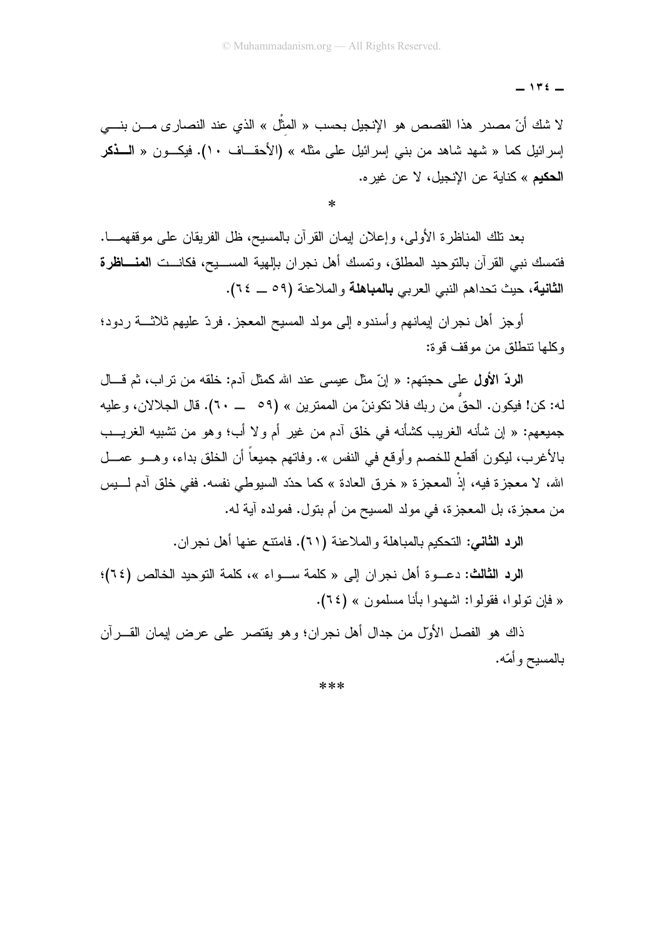$-115$ 

لا شك أنّ مصدر هذا القصص هو الإنجيل بحسب « المثّل » الذي عند النصـار ي مــــن بنــــي إسرائيل كما « شهد شاهد من بني إسرائيل على مثله » (الأحقــاف ١٠). فيكــون « ا**لـــذكر** الحكيم » كناية عن الانجيل، لا عن غير ه.

 $\ast$ 

بعد تلك المناظر ة الأولى، وإعلان إيمان القر آن بالمسيح، ظل الفريقان على موقفهمـــا. فتمسك نبي القرآن بالنوحيد المطلق، وتمسك أهل نجران بإلهية المســـيح، فكانـــت ا**لمنــــاظرة** الثانية، حيث تحداهم النبي العربي بالمباهلة والملاعنة (٥٩ \_ ٢٤).

أوجز أهل نجران إيمانهم وأسندوه إلى مولد المسيح المعجز. فردّ عليهم ثلاثــــة ردود؛ وكلها تتطلق من موقف قوة:

الردّ الأول على حجتهم: « إنّ مثل عيسى عند الله كمثل آدم: خلقه من نراب، ثم قـــال له: كن! فيكون. الحقُّ من ربك فلا نكوننّ من الممترين » (٥٩ ـــ ٦٠). قال الجلالان، وعليه جميعهم: « إن شأنه الغريب كشأنه في خلق أدم من غير أم ولا أب؛ وهو من تشبيه الغريـــب بالأغرب، ليكون أقطع للخصم وأوقع في النفس ». وفاتهم جميعاً أن الخلق بداء، وهــو عصــل الله، لا معجز ة فيه، إذْ المعجز ة « خر ق العادة » كما حدّد السيوطي نفسه. ففي خلق آدم لـــبِس من معجزة، بل المعجزة، في مولد المسيح من أم بتول. فمولده آية له.

الرد الثاني: التحكيم بالمباهلة والملاعنة (٦١). فامتتع عنها أهل نجران.

الرد الثالث: دعــوة أهل نجر إن إلى « كلمة ســواء »، كلمة التوحيد الخالص (٢٤)؛ « فإن نولوا، فقولوا: اشهدوا بأنا مسلمون » (٢٤).

ذاك هو الفصل الأولّ من جدال أهل نجر ان؛ و هو يقتصر على عرض إيمان القـــر آن بالمسيح وأمّه.

\*\*\*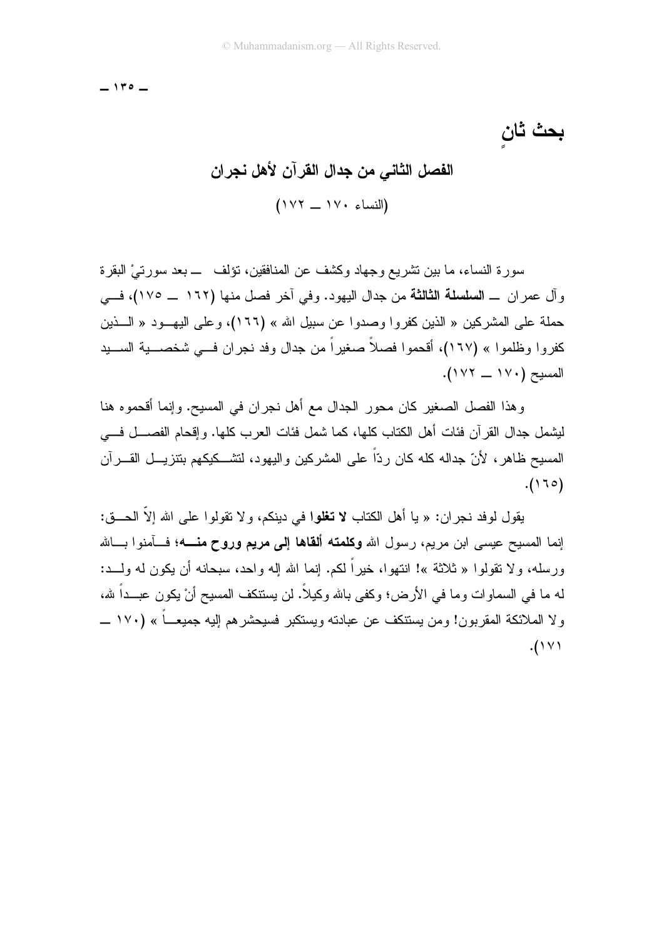$-110 -$ 

بحث ثان

## الفصل الثاني من جدال القرآن لأهل نجران  $(118 - 114)$

سورة النساء، ما بين تشريع وجهاد وكشف عن المنافقين، نؤلف ـــ بعد سورتيْ البقرة وآل عمران \_ السلسلة الثالثة من جدال اليهود. وفي آخر فصل منها (١٦٢ \_ ١٧٥)، فــي حملة على المشركين « الذين كفروا وصدوا عن سبيل الله » (١٦٦)، وعلى اليهـــود « الــــذين كفر و ا و ظلمو ا » (١٦٧)، أقحمو ا فصلاً صغير اً من جدال وفد نجر ان فـــي شخصـــية الســـيد المسبح (١٧٠ \_ ١٧٢).

وهذا الفصل الصغير كان محور الجدال مع أهل نجران في المسيح. وإنما أقحموه هنا ليشمل جدال القر آن فئات أهل الكتاب كلها، كما شمل فئات العر ب كلها. و إقحام الفصــــل فــــى المسيح ظاهر ، لأنّ جداله كله كان ردّاً على المشركين واليهود، لتشـــكيكهم بنتزيـــل القـــر آن  $(170)$ 

يقول لوفد نجران: « يا أهل الكتاب لا تغلوا في دينكم، ولا تقولوا على الله إلاّ الحـــق: إنما المسيح عيسى ابن مريم، رسول الله **وكلمته ألقاها إلى مريع وروح منــــه؛** فـــآمنوا بـــالله ورسله، ولا تقولوا « ثلاثة »! انتهوا، خيراً لكم. إنما الله إله واحد، سبحانه أن يكون له ولـــد: له ما في السماو ات و ما في الأر ض؛ و كفي بالله و كيلاً. لن يستنكف المسيح أنْ يكون عبـــداً لله، و لا الملائكة المقربون! ومن يستنكف عن عبادته ويستكبر فسيحشر هم إليه جميعـــاً » (١٧٠ ـــ  $.$ ( \  $\vee$  \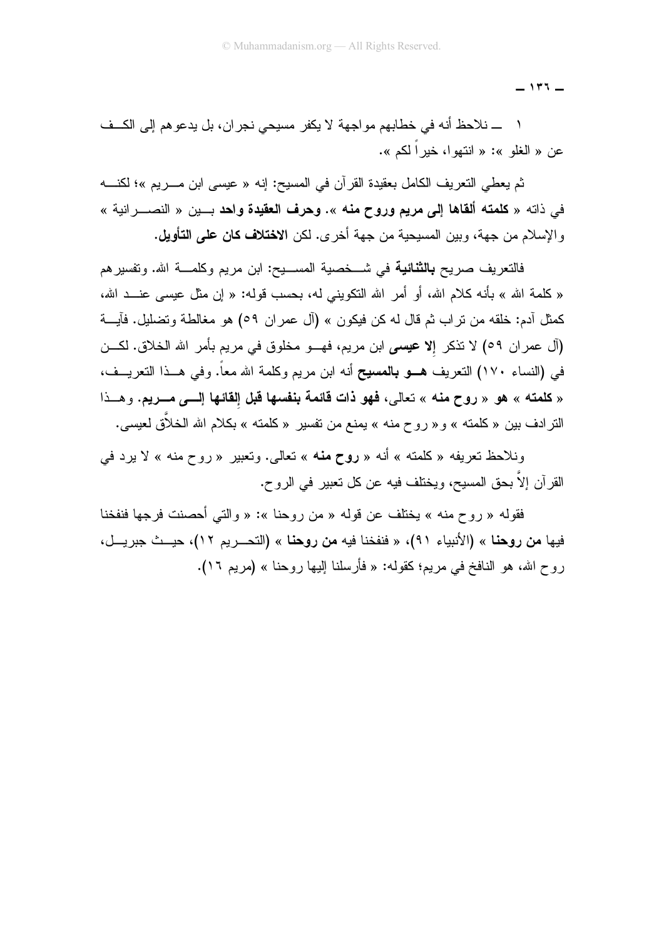$-111 -$ 

١ ـــ نلاحظ أنه في خطابهم مواجهة لا يكفر مسيحي نجران، بل يدعوهم إلى الكــف عن « الغلو »: « انتهوا، خبر أكم ».

ثم يعطي التعريف الكامل بعقيدة القرآن في المسيح: إنه « عيسى ابن مـــريم »؛ لكنـــه في ذاته « كلمته ألقاها إلى مريع وروح منه ». وحرف العقيدة واحد بـــين « النصــــرانية » والإسلام من جهة، وبين المسيحية من جهة أخرى. لكن الا**ختلاف كان على التأويل.** 

فالتعريف صريح **بالثنائية** في شــخصية المســيح: ابن مريم وكلمـــة الله. وتفسير هم « كلمة الله » بأنه كلام الله، أو أمر الله النكويني له، بحسب قوله: « إن مثل عيسى عنــد الله، كمثل أدم: خلقه من نراب ثم قال له كن فيكون » (أل عمران ٥٩) هو مغالطة وتضليل. فأيـــة (آل عمران ٥٩) لا ننكر إلا عيسى ابن مريم، فهـــو مخلوق في مريم بأمر الله الخلاق. لكـــن في (النساء ١٧٠) النعريف هــو بالمسيح أنه ابن مريم وكلمة الله معاً. وفي هــذا النعريــف، « كلمته » هو « روح منه » تعالى، فهو ذات قائمة بنفسها قبل إلقائها إليه مسريع. وهــذا النر ادف بين « كلمته » و « روح منه » يمنع من نفسير « كلمته » بكلام الله الخلاَّق لعيسى.

ونلاحظ تعريفه «كلمته » أنه « **روح منه** » تعالى. وتعبير « روح منه » لا يرد في القرآن إلا بحق المسيح، ويختلف فيه عن كل تعبير في الروح.

فقوله « روح منه » يختلف عن قوله « من روحنا »: « والتي أحصنت فرجها فنفخنا فيها **من روحنا** » (الأنبياء ٩١)، « فنفخنا فيه **من روحنا** » (التحـــريم ١٢)، حيـــث جبريـــل، ر و ح الله، هو النافخ في مريم؛ كقوله: « فأرسلنا البها ر وحنا » (مريم ١٦).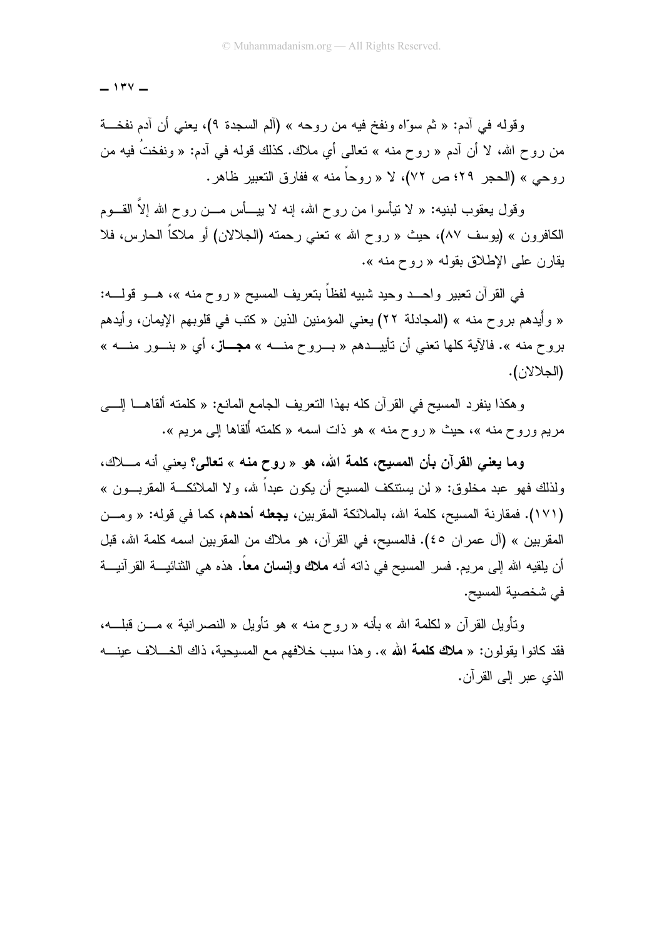$-144$ 

وقوله في أدم: « ثم سوَّاه ونفخ فيه من روحه » (ألم السجدة ٩)، يعني أن أدم نفخـــة من روح الله، لا أن آدم « روح منه » تعالى أي ملاك. كذلك قوله في آدم: « ونفختُ فيه من روحي » (الحجر ٢٩؛ ص ٧٢)، لا « روحاً منه » ففارق التعبير ظاهر .

وقول بعقوب لبنيه: « لا نتيأسوا من روح الله، إنه لا بيسـأس مـــن روح الله إلاّ القـــوم الكافرون » (يوسف ٨٧)، حيث « روح الله » نعني رحمته (الجلالان) أو ملاكاً الحارس، فلا بقارن علي الإطلاق بقوله « روح منه ».

في القرآن تعبير واحــد وحيد شبيه لفظاً بتعريف المسيح « روح منه »، هـــو قولــــه: « وأيدهم بروح منه » (المجادلة ٢٢) يعني المؤمنين الذين « كتب في قلوبهم الإيمان، وأيدهم بروح منه ». فالآية كلها تعني أن تأييــدهم « بـــروح منــــه » **مجـــاز**، أي « بنـــور منــــه » (الجلالان).

وهكذا ينفرد المسيح في القرآن كله بهذا النعريف الجامع المانع: « كلمته ألقاهـــا الٍــــي مريم وروح منه »، حيث « روح منه » هو ذات اسمه « كلمته أُلقاها إلى مريم ».

وما يعني القرآن بأن المسيح، كلمة الله، هو « روح منه » تعالى؟ يعني أنه مـــلاك، ولذلك فهو عبد مخلوق: « لن يستنكف المسيح أن يكون عبداً لله، ولا الملائكـــة المقربـــون » (١٧١). فمقارنة المسيح، كلمة الله، بالملائكة المقربين، **يجعله أحدهم**، كما في قوله: « ومــن المقربين » (آل عمر ان ٤٥). فالمسيح، في القر آن، هو ملاك من المقربين اسمه كلمة الله، قبل أن يلقيه الله إلى مريم. فسر المسيح في ذاته أنه **ملاك وإنسان معاً.** هذه هي الثنائيــــة القرآنيـــة في شخصية المسيح.

وتأويل القرآن « لكلمة الله » بأنه « روح منه » هو تأويل « النصر انية » مـــن قبلــــه، فقد كانوا يقولون: « **ملاك كلمة الله** ». وهذا سبب خلافهم مع المسيحية، ذاك الخــــلاف عينـــــه الذي عبر إلى القرآن.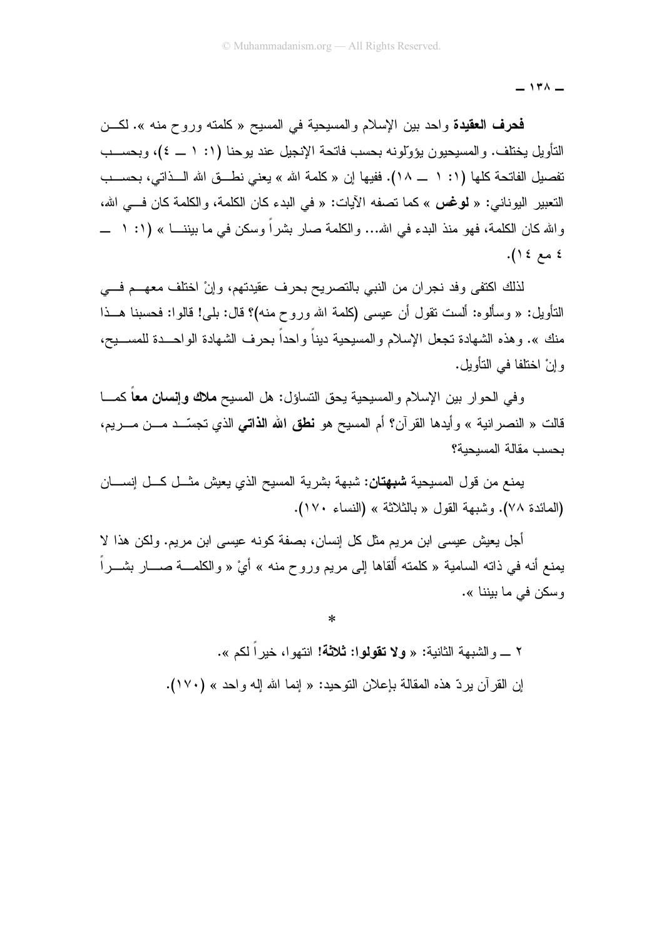$-171 -$ 

فحرف العقيدة واحد بين الإسلام والمسيحية في المسيح « كلمته وروح منه ». لكـــن التأويل يختلف. و المسيحيون يؤولونه بحسب فاتحة الإنجيل عند يوحنا (١: ١ ــ ٤)، وبحســب تفصيل الفاتحة كلها (١: ١ ـــ ١٨). ففيها إن « كلمة الله » يعني نطـــق الله الـــذاتي، بحســـب النعبير اليوناني: « **لوغس** » كما نصفه الآيات: « في البدء كان الكلمة، و الكلمة كان فـــي الله، و الله كان الكلمة، فهو منذ البدء في الله... والكلمة صار بشراً وسكن في ما بيننــــا » (١: ١ ـــ ٤ مع ١٤).

لذلك اكتفى وفد نجران من النبي بالنصريح بحرف عقيدتهم، وإنْ اختلف معهـــم فـــي النَّأويل: « وسألوه: ألست نقول أن عيسى (كلمة الله وروح منه)؟ قال: بلي! قالو!: فحسبنا هــذا منك ». وهذه الشهادة تجعل الإسلام والمسيحية ديناً واحداً بحرف الشهادة الواحـــدة للمســـيح، و انْ اختلفا في التأويل.

وفي الحوار بين الإسلام والمسيحية يحق التساؤل: هل المسيح ملاك وإنسان معا كمــا قالت « النصر انية » وأيدها القرآن؟ أم المسيح هو **نطق الله الذاتي** الذي تجسّــد مـــن مــــريم، بحسب مقالة المسبحبة؟

يمنع من قول المسيحية **شبهتان:** شبهة بشرية المسيح الذي يعيش مثـــل كـــل إنســــان (المائدة ٧٨). وشبهة القول « بالثلاثة » (النساء ١٧٠).

أجل يعيش عيسى ابن مريع مثل كل إنسان، بصفة كونه عيسى ابن مريع. ولكن هذا لا يمنع أنه في ذاته السامية « كلمته ألقاها إلى مريع وروح منه » أيْ « والكلمـــة صــــار بشــــراً وسكن في ما بيننا ».

 $\ast$ 

٢ \_ والشبهة الثانية: « **ولا تقولوا: ثلاثة!** انتهوا، خيراً لكم ». إن القرآن بردِّ هذه المقالة بإعلان التوحيد: « إنما الله إله واحد » (١٧٠).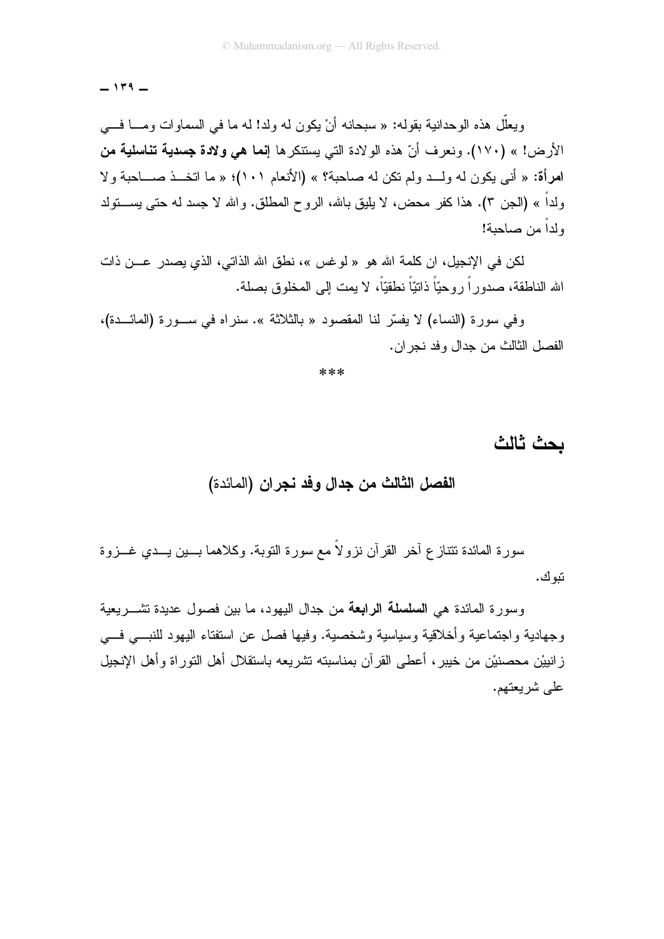$-114 -$ 

ويعلَّل هذه الوحدانية بقوله: « سبحانه أنْ يكون له ولد! له ما في السماوات ومـــا فـــي الأرض! » (١٧٠). ونعرف أنّ هذه الولادة التي يستتكرها إ**نما هي ولادة جسدية تناسلية من** امرأة: « أني يكون له ولــد ولم تكن له صاحبة؟ » (الأنعام ١٠١)؛ « ما اتخــذ صـــاحبة ولا ولداً » (الجن ٣). هذا كفر محض، لا يليق بالله، الروح المطلق. والله لا جسد له حتى يســـتولد ولدا من صاحبة!

لكن في الإنجيل، إن كلمة الله هو « لو غس »، نطق الله الذاتي، الذي بصدر عــــن ذات الله الناطقة، صدور اً روحيّاً ذاتيّاً نطقيّاً، لا بمت الى المخلوق بصلة.

وفي سورة (النساء) لا يفسِّر لنا المقصود « بالثلاثة ». سنراه في ســورة (المائــدة)، الفصل الثالث من جدال وفد نجر ان.

\*\*\*

يحث ثالث

#### الفصل الثالث من جدال وفد نجران (المائدة)

سورة المائدة نتتازع آخر القرآن نزولاً مع سورة النوبة. وكلاهما بسين يسدي غسزوة نبو ك.

وسور ة المائدة هي ا**لسلسلة الرابعة** من جدال البهود، ما بين فصول عديدة تشــر بعية وجهادية واجتماعية وأخلاقية وسياسية وشخصية. وفيها فصل عن استفتاء اليهود للنبي في زانييْن محصنيْن من خيبر، أعطي القرآن بمناسبته تشريعه باستقلال أهل التوراة وأهل الإنجيل علم شريعتهم.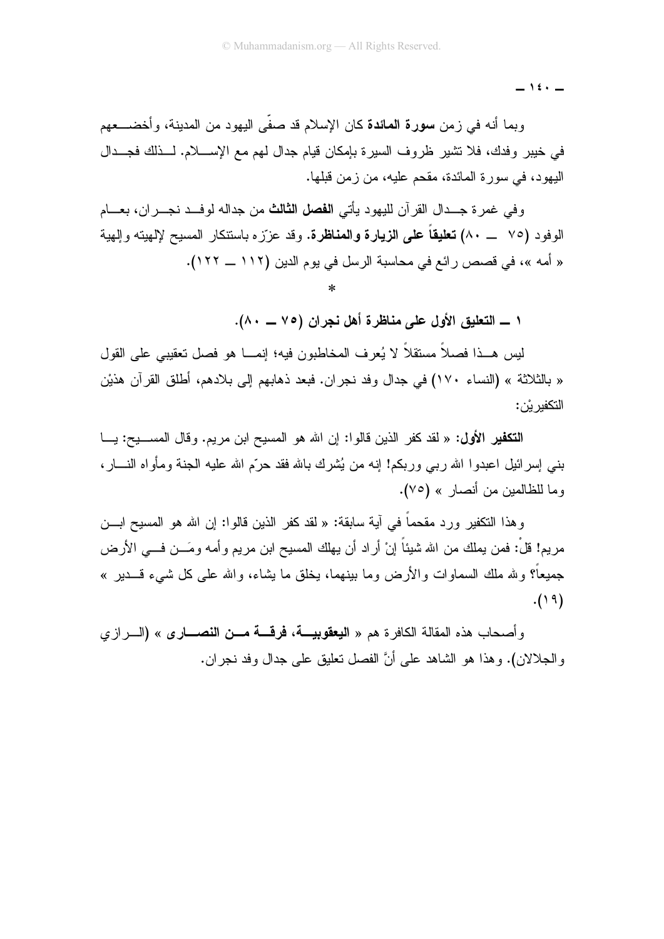$-$  12.  $-$ 

وبما أنه في زمن **سورة المائدة** كان الإسلام قد صفّى اليهود من المدينة، وأخضــــعهم في خيبر وفدك، فلا نشير ظروف السيرة بإمكان قيام جدال لهم مع الإســــلام. لــــذلك فجــــدال البِهود، في سور ة المائدة، مقحم عليه، من ز من قبلها.

وفي غمرة جــدال القرآن لليهود يأتي ا**لفصل الثالث** من جداله لوفــد نجــران، بعـــام الوفود (٧٥ \_\_ ٨٠) **تعليقاً على الزيارة والمناظرة.** وقد عزّزه باستنكار المسيح لإلهينه وإلهية « أمه »، في قصص رائع في محاسبة الرسل في يوم الدين (١١٢ ــ ١٢٢).

١ ــــ التعليق الأول على مناظرة أهل نجران (٧٥ ـــ ٨٠).

ليس هــذا فصـلاً مستقلاً لا يُعرف المخاطبون فيه؛ إنمـــا هو فصل تعقيبي على القول « بالثلاثة » (النساء ١٧٠) في جدال وفد نجران. فبعد ذهابهم إلى بلادهم، أطلق القرآن هذيْن التكفير يْن:

التكفير الأول: « لقد كفر الذين قالوا: إن الله هو المسيح ابن مريع. وقال المســـيح: يـــا بنبي إسرائيل اعبدوا الله رببي وربكم! إنه من يُشرك بالله فقد حرّم الله عليه الجنة ومأواه النسـار، وما للظالمين من أنصار » (٧٥).

وهذا النكفير ورد مقحماً في آية سابقة: « لقد كفر الذين قالوا: إن الله هو المسيح ابـــن مريم! قلَّ: فمن بملك من الله شببًا إنْ أراد أن يهلك المسبح ابن مريم وأمه ومَـــن فــــى الأرض جميعاً؟ ولله ملك السماوات والأرض وما ببنهما، يخلق ما بشاء، والله على كل شيء قـــدير »  $.()9)$ 

و أصبحاب هذه المقالة الكافر ة هم « ال**يعقوبيـــة، فرقـــة مـــن النصــــار ي** » (الــــر از ي و الجلالان). و هذا هو الشاهد علي أنَّ الفصل تعليق علي جدال وفد نجر ان.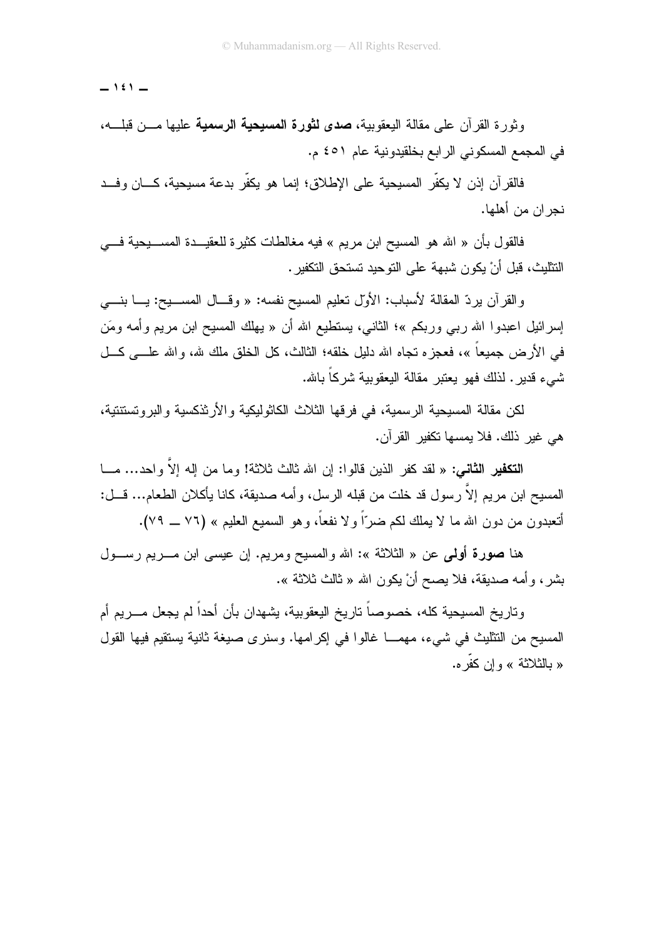$-151-$ 

وثورة القرآن على مقالة البعقوبية، **صدى لثورة المسيحية الرسمية** عليها مـــن قبلــــه، في المجمع المسكوني الرابع بخلقيدونية عام ٤٥١ م.

فالقر آن إذن لا يكفِّر المسبحية على الإطلاق؛ إنما هو يكفِّر بدعة مسبحية، كـــان وفــد نحر ان من أهلها.

فالقول بأن « الله هو المسيح ابن مريم » فيه مغالطات كثيرة للعقيـــدة المســــيحية فــــي النثليث، قبل أنْ يكون شبهة على التوحيد تستحق التكفير .

والقرآن برردّ المقالة لأسباب: الأول نعليم المسيح نفسه: « وقـــال المســــيح: يــــا بنــــي إسرائيل اعبدوا الله ربـي وربكم »؛ الثانـي، يستطيع الله أن « يـهلك المسيح ابن مريم وأمـه ومَن في الأرض جميعاً »، فعجزه نجاه الله دليل خلقه؛ الثالث، كل الخلق ملك لله، والله علـــي كـــل شيء قدير . لذلك فهو يعتبر ًمقالة اليعقوبية شركاً باشه.

لكن مقالة المسيحية الر سمية، في فر قها الثلاث الكاثوليكية والأر ثذكسية والبر و تستنتية، هي غير ذلك. فلا يمسها تكفير القرآن.

ا**لتكفير الثاني:** « لقد كفر الذين قالوا: إن الله ثالث ثلاثة! وما من إله إلاَّ واحد… مـــا المسيح ابن مريم إلاَّ رسول قد خلت من قبله الرسل، وأمه صديقة، كانا يأكلان الطعام... قـــل: أنتعبدون من دون الله ما لا يملك لكم ضرّاً ولا نفعاً، وهو السميع العليم » (٧٦ ــ ٧٩).

هنا صورة أولى عن « الثلاثة »: الله والمسيح ومريع. إن عيسى ابن مــــريم رســــول بشر، وأمه صديقة، فلا يصح أنْ يكون الله « ثالث ثلاثة ».

وتاريخ المسيحية كله، خصوصاً تاريخ اليعقوبية، يشهدان بأن أحداً لم يجعل مـــريم أم المسبح من النتثليث في شيء، مهمـــا غالوا في إكرامها. وسنرى صبغة ثانية بستقيم فيها القول « بالثلاثة » وإن كفر ه.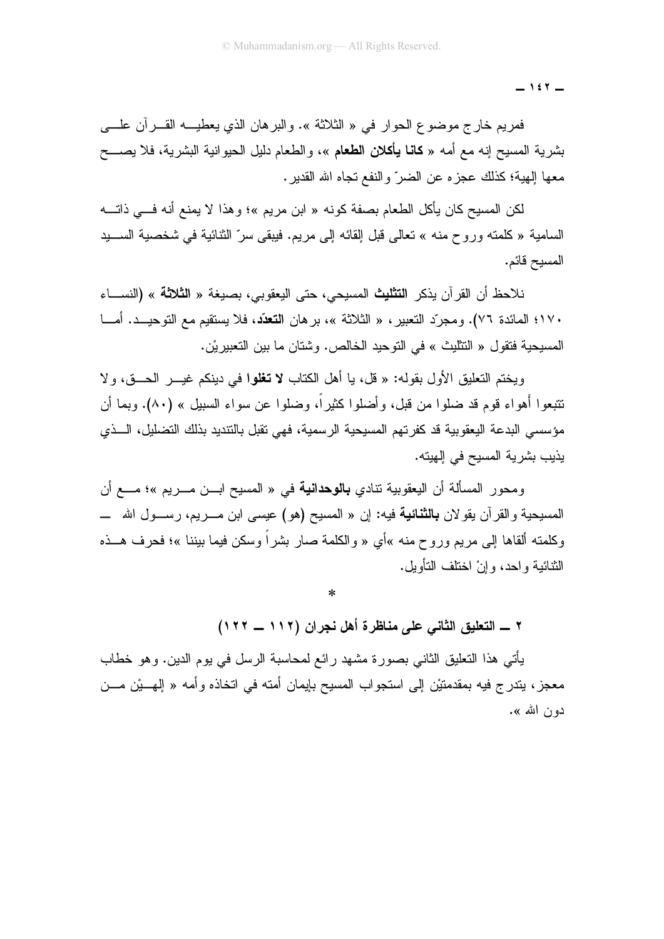$-157-$ 

فمريم خارج موضوع الحوار في « الثلاثة ». والبرهان الذي يعطيـــه القــــرأن علــــي بشرية المسيح إنه مع أمه « **كانـا يـأكلان الطعام** »، والطعام دليل الحيوانية البشرية، فلا يصــــح معها إلهية؛ كذلك عجز ه عن الضر ّ و النفع تجاه الله القدير .

لكن المسيح كان يأكل الطعام بصفة كونه « ابن مريم »؛ وهذا لا يمنع أنه فـــى ذاتــــه السامية « كلمته وروح منه » تعالى قبل القائه إلى مريع. فيبقى سرّ الثنائية في شخصية الســـيد المسيح قائم.

نلاحظ أن القرآن يذكر ا**لتثليث** المسيحي، حتى اليعقوبي، بصيغة « ا**لثلاثة** » (النســـاء ١٧٠؛ المائدة ٧٦). ومجرِّد التعبير ، « الثلاثة »، بر هان ا**لتعدُّد**، فلا يستقيم مع التوحيــد. أمـــا المسيحية فتقول « التثليث » في التوحيد الخالص. وشتان ما بين التعبير يْن.

وبختم التعليق الأول بقوله: « قلَّ، با أهل الكتاب لا تغلوا في دينكم غيـــر الحـــق، و لا نتبعوا أهواء قوم قد ضلوا من قبل، وأضلوا كثيراً، وضلوا عن سواء السبيل » (٨٠). وبما أن مؤسسي البدعة اليعقوبية قد كفرتهم المسيحية الرسمية، فهي تقبل بالتنديد بذلك التضليل، الـــذي يذيب بشرية المسيح في الهيته.

ومحور المسألة أن اليعقوبية تنادي **بالوحدانية** في « المسيح ابـــن مــــريم »؛ مــــع أن المسيحية والقرآن يقولان **بالثنائية** فيه: إن « المسيح (هو) عيسى ابن مــــريم، رســــول الله ـــــ وكلمته ألقاها إلى مريع وروح منه »أي « والكلمة صار بشراً وسكن فيما بيننا »؛ فحرف هـــذه الثنائية واحد، وإنْ اختلف النأويل.

 $\ast$ 

٢ ــــ التعليق الثاني على مناظرة أهل نجران (١١٢ ـــ ١٢٢)

يأتـي هذا النعليق الثانـي بصـورة مشـهد رائـع لمحاسبة الرسل فـي يوم الدين. وهو خطاب معجز ، بندر ج فيه بمقدمتيْن إلى استجواب المسيح بإيمان أمته في اتخاذه وأمه « إل<u>ه يْن</u> مـــن دو ن الله ».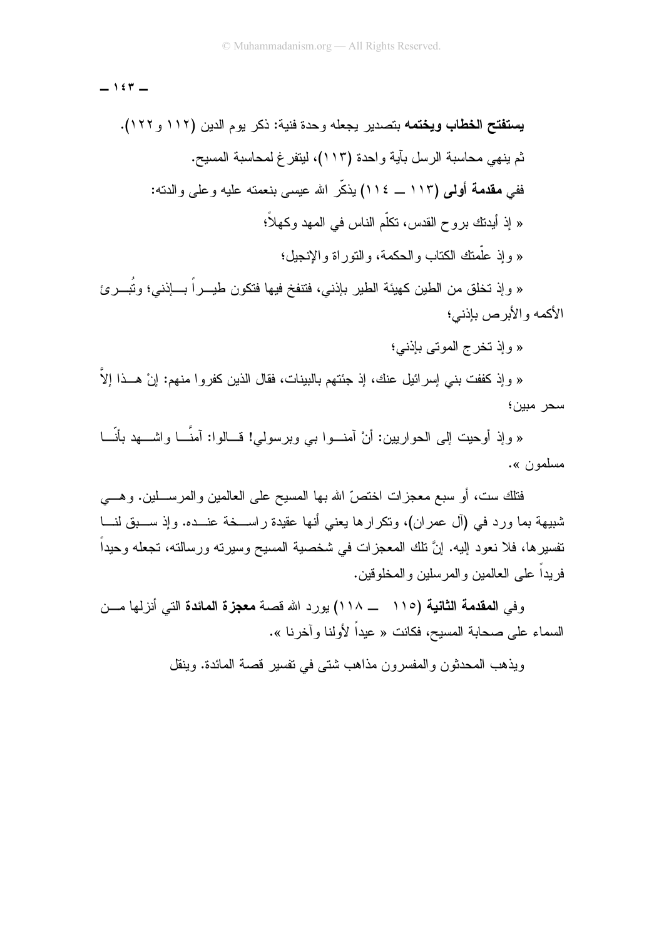$-157-$ 

« وإذ تخلق من الطين كهيئة الطير بإذنـي، فتتفخ فيها فتكون طيـــراً بــــإذنـي؛ وتُبــــرئ الأكمه والأبر ص بإذنبي؛

« وإذ تخرج الموتى بإذنبي؛

« وإذ كففت بني إسرائيل عنك، إذ جئتهم بالبينات، فقال الذين كفروا منهم: إنْ هـــذا إلاَّ سحر مبين؛

« وإذ أوحيت إلى الحواريين: أنْ آمنــوا بـي وبرسولـي! قـــالوا: آمنَّـــا واشـــهد بأنَّـــا مسلمون ».

فتلك ست، أو سبع معجزات اختصّ الله بها المسيح على العالمين والمرســـلين. وهـــي شبيهة بما ورد في (آل عمران)، ونكرارها يعني أنها عقيدة راســـخة عنـــده. وإذ ســـبق لنـــا نفسيرها، فلا نعود إليه. إنَّ نلك المعجزات في شخصية المسيح وسيرنه ورسالته، نجعله وحيداً فريداً على العالمين والمرسلين والمخلوقين.

وفي ال**مقدمة الثانية (١١٥ ـــ ١١٨)** يورد الله قصـة **معجزة المائدة** التي أنزلها مـــن السماء على صحابة المسيح، فكانت « عيداً لأولنا وآخرنا ».

ويذهب المحدثون والمفسر ون مذاهب شتبي في تفسير قصبة المائدة. وينقل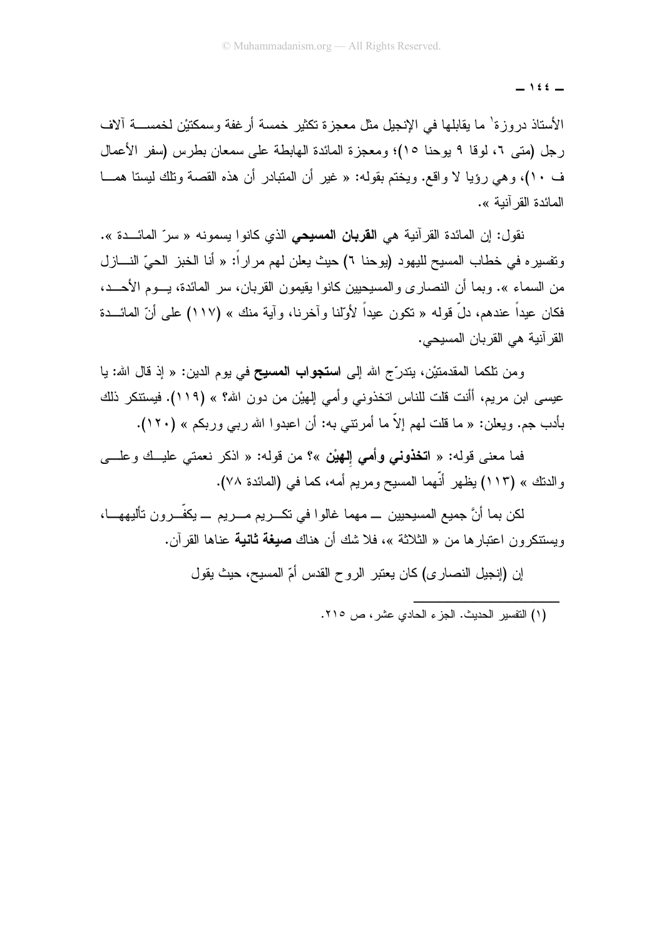$-$  122  $-$ 

الأستاذ دروزة' ما يقابلها في الإنجيل مثل معجزة تكثير خمسة أرغفة وسمكنيْن لخمســـة آلاف رِجِل (متى ٢، لوقا ٩ يوحنا ١٥)؛ ومعجزة المائدة الهابطة على سمعان بطرس (سفر الأعمال ف ١٠)، و هي روِّيا لا واقع. ويختم بقوله: « غير أن المتبادر أن هذه القصبة وتلك ليستا همــا المائدة القر آنية ».

نقول: إن المائدة القرآنية هي ا**لقربان المسيحي** الذي كانوا يسمونه « سرّ المائـــدة ». و تفسير م في خطاب المسيح لليهو د (يو حنا ٢) حيث يعلن لهم مر ار أ: « أنا الخبز الحيِّ النـــاز ل من السماء ». وبما أن النصار ي والمسيحيين كانو ا يقيمون القربان، سر المائدة، يسوم الأحسد، فكان عبداً عندهم، دلٍّ قوله « تكون عبداً لأولَّنا وآخرنا، وآبة منك » (١١٧) على أنّ المائـــدة القر آنية هي القربان المسيحي.

ومن تلكما المقدمتيْن، بتدرَّج الله إلى ا**ستجواب المسيح** في يوم الدين: « إذ قال الله: يا عيسى ابن مريم، أأنت قلت للناس اتخذوني وأمي إلهيْن من دون الله؟ » (١١٩). فيستنكر ذلك بأدب جم. ويعلن: « ما قلت لهم إلاَّ ما أمرنتـي به: أن اعبدوا الله ربـي وربكم » (١٢٠).

فما معنى قوله: « ا**تخذوني وأمي إلـهيْن** »؟ من قوله: « اذكر نعمتي عليــك وعلـــي والدنك » (١١٣) يظهر أنَّهما المسيح ومريم أمه، كما في (المائدة ٧٨).

لكن بما أنَّ جميع المسيحيين \_ مهما غالوا في تكـــريم مــــريم \_\_ يكفّـــرون تأليههــــا، ويستنكرون اعتبارها من « الثلاثة »، فلا شك أن هناك **صيغة ثانية** عناها القرآن.

إن (إنجيل النصاري) كان يعتبر الروح القدس أمّ المسيح، حيث يقول

<sup>(</sup>١) التفسير الحديث. الجزء الحادي عشر ، ص ٢١٥.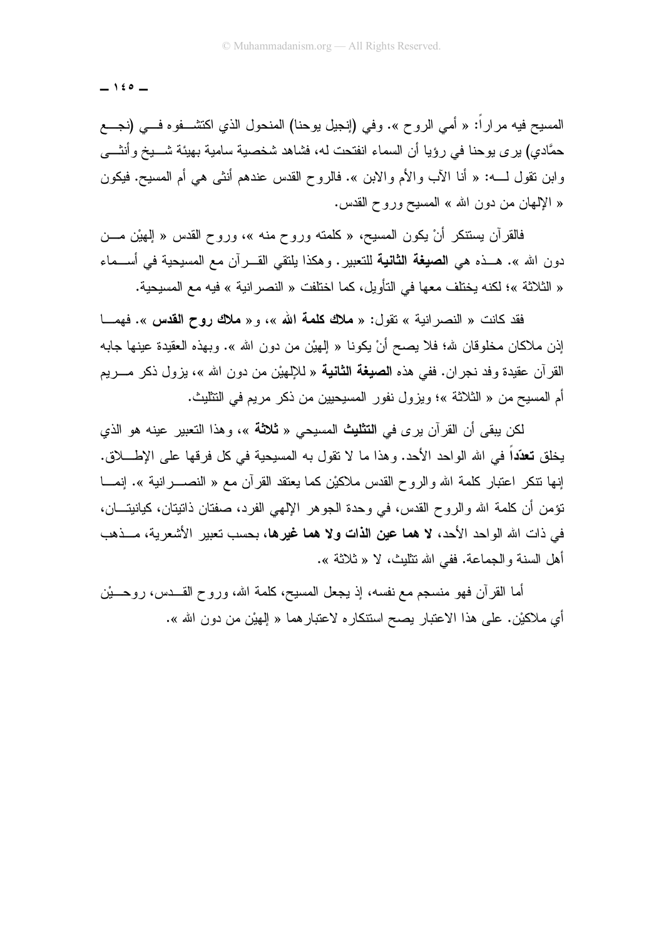$-$  120  $-$ 

المسيح فيه مرارًا: « أمي الروح ». وفي (إنجيل يوحنا) المنحول الذي اكتشــــفوه فــــي (نجــــع حمَّادي) يرى يوحنا في رؤيا أن السماء انفتحت له، فشاهد شخصية سامية بهيئة شــــيخ وأنثـــي وابن نقول لــــه: « أنا الآب والأم والابن ». فالروح القدس عندهم أنثى هي أم المسبح. فيكون « الإلهان من دون الله » المسيح وروح القدس.

فالقرآن يستنكر أنْ يكون المسيح، « كلمته وروح منه »، وروح القدس « الِمهيْن مـــن دون الله ». هــذه هي ا**لصيغة الثانية** للتعبير . وهكذا يلتقي القـــرآن مع المسيحية في أســـماء « الثلاثة »؛ لكنه بختلف معها في التأويل، كما اختلفت « النصر انية » فيه مع المسيحية.

فقد كانت « النصر انية » تقول: « ملاك كلمة الله »، و « ملاك روح القدس ». فهمــا إذن ملاكان مخلوقان لله؛ فلا يصح أنْ يكونا « الِهيْنِ من دون الله ». وبهذه العقيدة عينها جابه القرآن عقيدة وفد نجران. ففي هذه ا**لصيغة الثانية** « للإلهيْن من دون الله »، بزول ذكر مـــريم أم المسيح من « الثلاثة »؛ ويزول نفور المسيحيين من ذكر مريع في التثليث.

لكن يبقى أن القرآن يرى في ا**لتثليث** المسيحي « **ثلاثة** »، وهذا التعبير عينه هو الذي يخلق **تعدّد**اً في الله الواحد الأحد. وهذا ما لا تقول به المسيحية في كل فرقها على الإطـــــلاق. إنها نتكر اعتبار كلمة الله والروح القدس ملاكيْن كما يعتقد القرآن مع « النصــــــرانية ». إنمـــــا تؤمن أن كلمة الله والروح القدس، في وحدة الجوهر الإلهي الفرد، صفتان ذاتيتان، كيانيتـــان، في ذات الله الواحد الأحد، لا هما عين الذات ولا هما غيرها، بحسب تعبير الأشعرية، منذهب أهل السنة والجماعة. ففي الله نتليث، لا « ثلاثة ».

أما القرآن فهو منسجم مع نفسه، إذ يجعل المسيح، كلمة الله، وروح القـــدس، روحــــيْن أى ملاكيْن. على هذا الاعتبار بصح استنكاره لاعتبار هما « الِهيْن من دون الله ».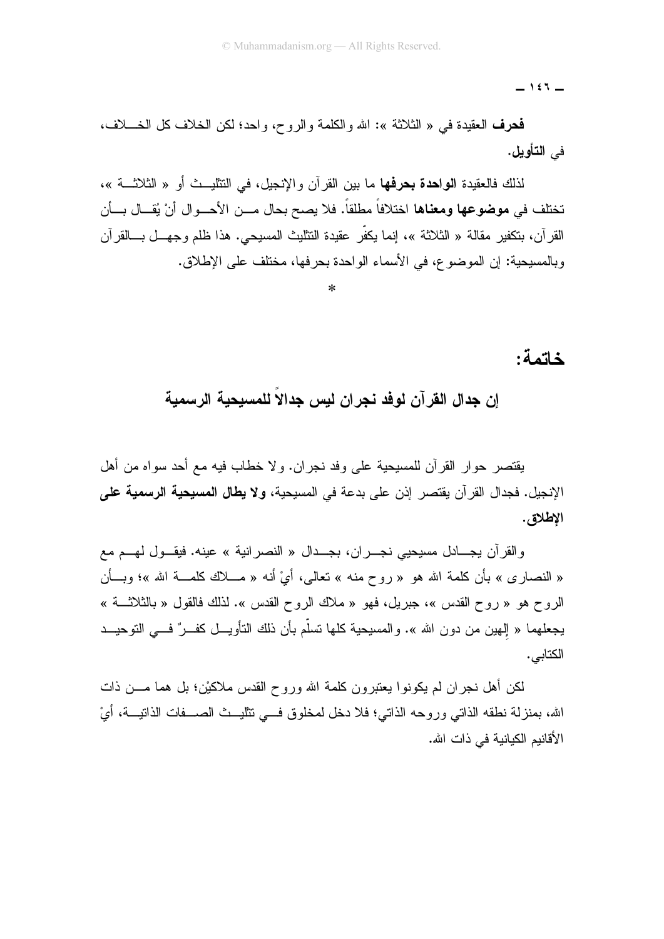$-157-$ 

فحرف العقيدة في « الثلاثة »: الله والكلمة والروح، واحد؛ لكن الخلاف كل الخــــلاف، في التأويل.

لذلك فالعقيدة ا**لواحدة بحرفها** ما بين القرآن والإنجيل، في التثليــث أو « الثلاثـــة »، تختلف في **موضوعها ومعناها** اختلافاً مطلقاً. فلا يصح بحال مـــن الأحـــوال أنْ يُقـــال بـــأن القرآن، بتكفير مقالة « الثلاثة »، إنما يكفّر عقيدة التثليث المسيحي. هذا ظلم وجهـــل بــــالقرآن وبالمسبحية: إن الموضوع، في الأسماء الواحدة بحر فها، مختلف على الإطلاق.

#### خاتمة:

#### إن جدال القرآن لوفد نجران ليس جدالا للمسيحية الرسمية

يقتصر حوار القرآن للمسيحية على وفد نجران. ولا خطاب فيه مع أحد سواه من أهل الإنجيل. فجدال القرآن يقتصر إذن على بدعة في المسيحية، **ولا يطال المسيحية الرسمية على** الإطلاق.

والقرآن يجــادل مسيحيى نجـــران، بجـــدال « النصرانية » عينه. فيقـــول لهـــم مع « النصاري » بأن كلمة الله هو « روح منه » تعالى، أيْ أنه « مـــلاك كلمــــة الله »؛ وبـــأن الروح هو « روح القدس »، جبريل، فهو « ملاك الروح القدس ». لذلك فالقول « بالثلاثــــة » يجعلهما « الهين من دون الله ». والمسيحية كلها تسلَّم بأن ذلك التأويـــل كفـــرٌ فـــي التوحيـــد الكتابي.

لكن أهل نجران لم يكونوا يعتبرون كلمة الله وروح القدس ملاكيْن؛ بل هما مـــن ذات الله، بمنز لة نطقه الذاتي ور وحه الذاتي؛ فلا دخل لمخلوق فـــي تتلبـــث الصــــفات الذاتبـــة، أيْ الأقانيم الكيانية في ذات الله.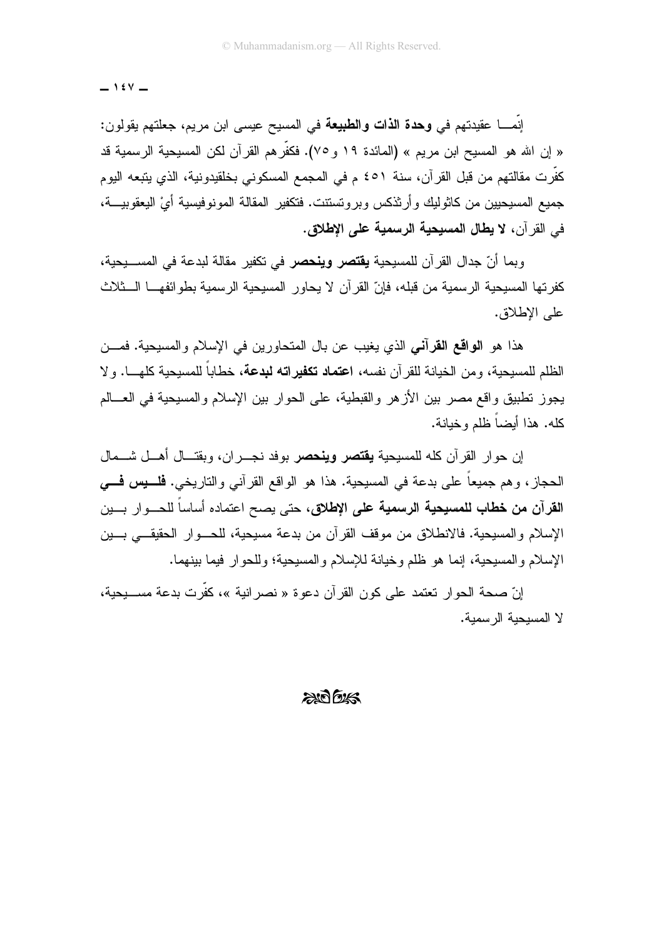$-154$ 

إنمــــا عقيدتهم في **وهدة الذات والطبيعة** في المسيح عيسى ابن مريم، جعلتهم يقولون: « إن الله هو المسيح ابن مريم » (المائدة ١٩ و ٧٥). فكفَّر هم القرآن لكن المسيحية الرسمية قد كفَّرت مقالتهم من قبل القرآن، سنة ٤٥١ م في المجمع المسكوني بخلقيدونية، الذي يتبعه اليوم جميع المسيحيين من كاثوليك و أرثذكس وبر وتستنت. فتكفير المقالة المونوفيسية أيْ اليعقوبيـــة، في القرآن، لا يطال المسيحية الرسمية على الإطلاق.

وبما أنّ جدال القرآن للمسيحية **يقتصر وينحصر** في تكفير مقالة لبدعة في المســـيحية، كفرتها المسيحية الرسمية من قبله، فإنّ القرآن لا يحاور المسيحية الرسمية بطوائفهـــا الـــثلاث على الاطلاق.

هذا هو ا**لواقع القرآني** الذي يغيب عن بال المتحاورين في الإسلام والمسيحية. فمـــن الظلم للمسبحية، ومن الخيانة للقر آن نفسه، ا**عتماد تكفير اته لبدعة**، خطاباً للمسبحية كلهــــا. و لا يجوز تطبيق وإقع مصر بين الأزهر والقبطية، على الحوار بين الإسلام والمسيحية في العسالم كله. هذا أيضاً ظلم وخيانة.

إن حوار القرآن كله للمسيحية **يقتصر وينحصر** بوفد نجـــران، وبقتـــال أهـــل شــــمال الحجاز ، و هم جميعاً على بدعة في المسيحية. هذا هو الواقع القرآني والتاريخي. **فلــــيس فــــي** ا**لقرآن من خطاب للمسيحية الرسمية على الإطلاق،** حتى يصح اعتماده أساساً للحـــوار بــــين الإسلام والمسيحية. فالانطلاق من موقف القرآن من بدعة مسيحية، للحـــوار الحقيقـــي بـــين الإسلام والمسيحية، إنما هو ظلم وخيانة للإسلام والمسيحية؛ وللحوار فيما بينهما.

إنّ صحة الحوار تعتمد على كون القرآن دعوة « نصر انبة »، كفّرت بدعة مســبحبة، لا المسبحبة الر سمبة.

 $2007/15$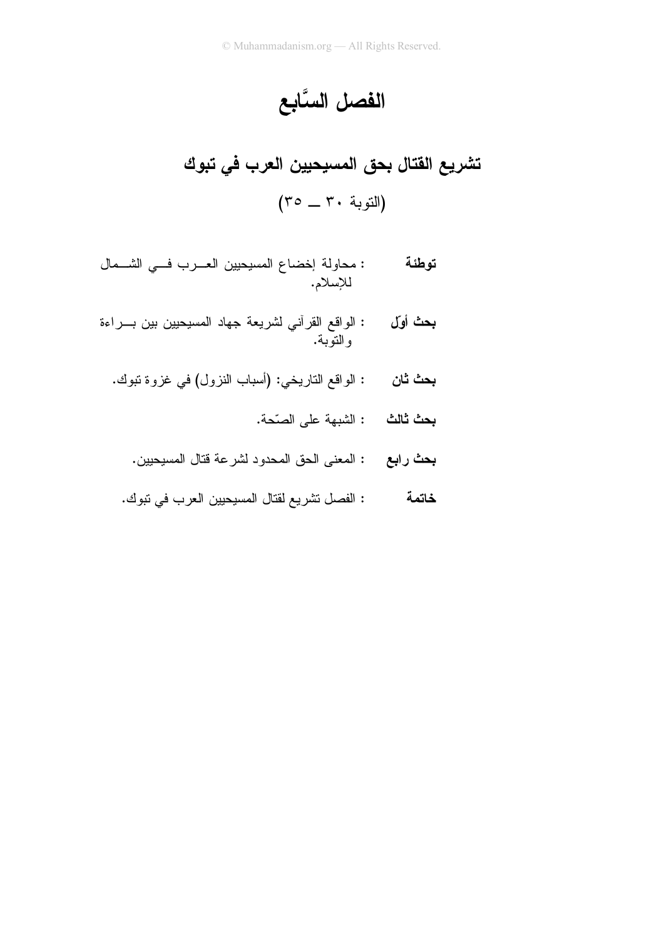# الفصل السَّابع

- **بحث أوّل :** الواقع القرأني لشريعة جهاد المسيحيين بين بـــراءة<br>والنوبة.
	- : الواقع الناريخي: (أسباب النزول) في غزوة تبوك. بحث ثان
		- **بحث ثالث :** الشبهة على الصّحة.
		- **بحث رابع :** المعنى الحق المحدود لشرعة قتال المسيحيين.
		- : الفصل تشريع لقتال المسيحيين العرب في تبوك. خاتمة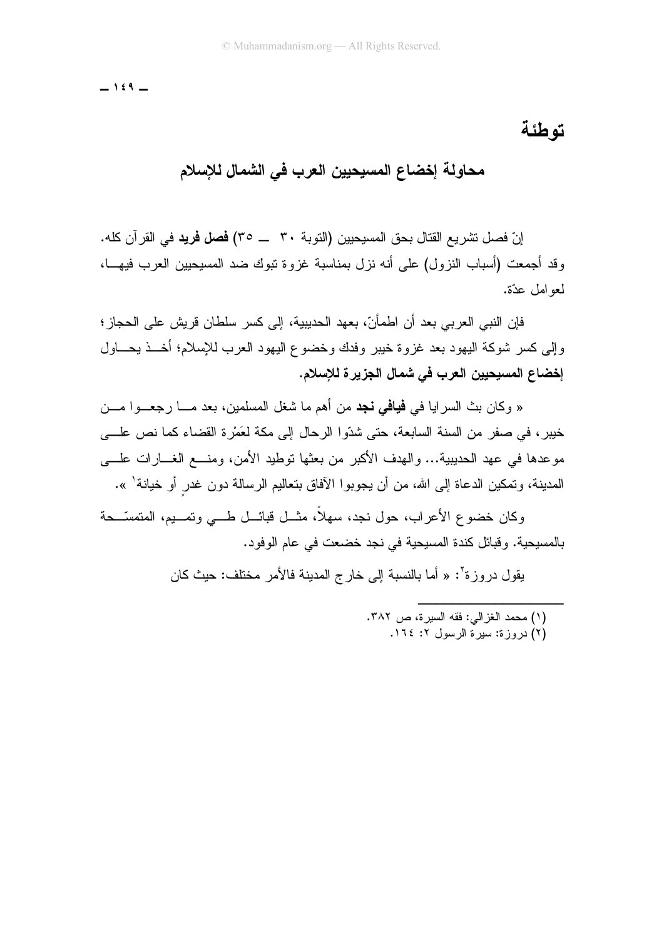$-159-$ 

#### تو طئة

# محاولة إخضاع المسيحيين العرب في الشمال للإسلام

إنّ فصل تشر بـع القتال بـحق المسبحبين (التوبة ٣٠ \_\_ ٣٥) **فصل فريد** في القر آن كله. وقد أجمعت (أسباب النزول) على أنه نزل بمناسبة غزوة نبوك ضد المسبحبين العرب فيهــا، لمعو امل عدّة.

فإن النبي العربي بعد أن اطمأنّ، بعهد الحديبية، إلى كسر سلطان قريش على الحجاز ؛ وإلى كسر شوكة البهود بعد غزوة خيبر وفدك وخضوع اليهود العرب للإسلام؛ أخــذ يحـــاول إخضاع المسيحيين العرب في شمال الجزيرة للإسلام.

« وكان بث السرايا في **فيافي نجد** من أهم ما شغل المسلمين، بعد مــــا رجعـــوا مـــن خيبر ، في صفر ٍ من السنة السابعة، حتى شدّوا الرحال إلى مكة لعَمْرٍ ة القضاء كما نص علـــى مو عدها في عهد الحديبية... والهدف الأكبر من بعثها توطيد الأمن، ومنسع الغسار ات علسي المدينة، وتمكين الدعاة إلى الله، من أن يجوبوا الآفاق بتعاليم الرسالة دون غدر أو خيانة' ».

وكان خضوع الأعراب، حول نجد، سهلاً، مثـــل فبائـــل طــــى وتمـــيم، المتمسّـــحة بالمسيحية. و قبائل كندة المسيحية في نجد خضعت في عام الو فو د.

يقول دروزة': « أما بالنسبة إلى خار ج المدينة فالأمر مختلف: حيث كان

(١) محمد الغزالي: فقه السبر ة، ص ٣٨٢. (٢) دروزة: سيرة الرسول ٢: ١٦٤.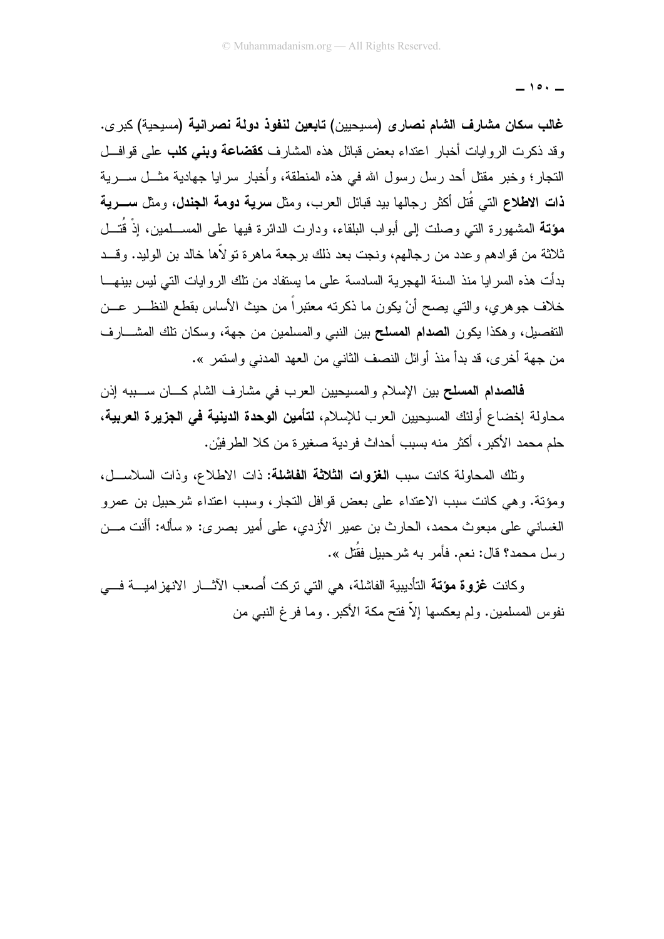$-10.$ 

غالب سكان مشارف الشام نصار ى (مسيحيين) تابعين لنفوذ دولة نصرانية (مسيحية) كبر ى. وقد ذكرت الروايات أخبار اعتداء بعض قبائل هذه المشارف **كقضاعة وبنبي كلب** على قوافـــل النجار؛ وخبر مقتل أحد رسل رسول الله في هذه المنطقة، وأُخبار سرايا جهادية مثـــل ســــرية ذات الاطلاع التي قُتل أكثر رجالها بيد قبائل العرب، ومثل **سرية دومة الجندل**، ومثل **ســـريـة** مؤتـَّة المشهورة التي وصلت إلى أبواب البلقاء، ودارت الدائرة فيها على المســـلمين، إذْ قُتـــل ثلاثة من قوادهم وعدد من رجالهم، ونجت بعد ذلك برجعة ماهرة تولاًها خالد بن الوليد. وقـــد بدأت هذه السرايا منذ السنة الهجرية السادسة على ما يستفاد من تلك الروايات التي ليس بينهـــا خلاف جوهري، والتـى يصـح أنْ يكون ما ذكرته معتبراً من حيث الأساس بقطع النظــــر عـــن التفصيل، وهكذا يكون ا**لصدام المسلح** بين النبي والمسلمين من جهة، وسكان نلك المشـــارف من جهة أخرى، قد بدأ منذ أوائل النصف الثاني من العهد المدنى واستمر ».

فالصدام المسلح بين الإسلام والمسيحيين العرب في مشارف الشام كــان ســـببه إذن محاولة إخضاع أولئك المسيحيين العرب للإسلام، **لتأمين الوحدة الدينية في الجزيرة العربية**، حلم محمد الأكبر ، أكثر منه بسبب أحداث فردية صغير ة من كلا الطرفيْن.

ونلك المحاولة كانت سبب الغزوات الثلاثة الفاشلة: ذات الاطلاع، وذات السلاســل، ومؤنة. وهي كانت سبب الاعتداء على بعض قوافل النجار، وسبب اعتداء شرحبيل بن عمرو الغساني على مبعوث محمد، الحارث بن عمير الأزدي، على أمير بصري: « سأله: أأنت مـــن ر سل محمد؟ قال: نعم. فأمر به شر حببل فقُتل ».

وكانت غزوة مؤتة التأديبية الفاشلة، هي التي تركت أصعب الآثـــار الانهزاميـــة فـــي نفوس المسلمين. ولم يعكسها إلاَّ فتح مكة الأكبر . وما فر غ النبي من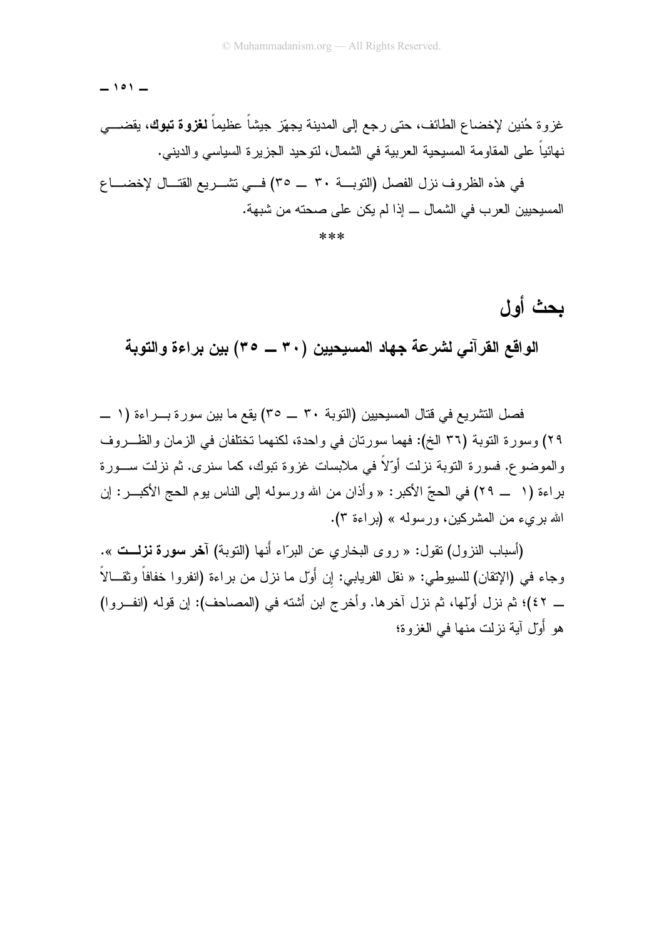$-101 -$ 

# غزوة حُنين لإخضاع الطائف، حتى رجع إلى المدينة يجهّز جيشاً عظيماً **لغزوة تبوك**، يقضــــ*ي* نهائياً على المقاومة المسبحية العربية في الشمال، لنوحيد الجزيرة السياسي والديني.

في هذه الظروف نزل الفصل (التوبية ٣٠ \_ ٣٥) في تشريع القتــال لإخضـــاع المسيحيين العرب في الشمال ـــ إذا لم يكن على صحته من شبهة.

 $***$ 

# بحث أول

الواقع القرآني لشرعة جهاد المسيحيين (٣٠ \_\_ ٣٥) بين براءة والتوبة

فصل التشريع في قتال المسيحيين (التوبة ٣٠ \_\_ ٣٥) يقع ما بين سورة بـــراءة (١ \_\_ ٢٩) وسورة التوبة (٣٦ الخ): فهما سورتان في واحدة، لكنهما تختلفان في الزمان والظــروف والموضوع. فسورة النوبة نزلت أوٌلاً في ملابسات غزوة نبوك، كما سنرى. ثم نزلت ســـورة براءة (١ \_ ٢٩) في الحجّ الأكبر : « وأذان من الله ورسوله إلى الناس بوم الحج الأكبـــر : إن الله بريء من المشركين، ورسوله » (براءة ٣).

(أسباب النزول) نقول: « روى البخاري عن البرّاء أنها (النوبة) آ**خر سورة نزلــت** ». وجاء في (الإنقان) للسيوطي: « نقل الفريابي: إن أول ما نزل من براءة (انفروا خفافاً وثقـــالاً ۖ \_ ٤٢)؛ ثم نزل أولَّها، ثم نزل آخرها. وأخرج ابن أشته في (المصاحف): إن قوله (انفــروا) هو أَوَّل آية نزلت منها في الغزوة؛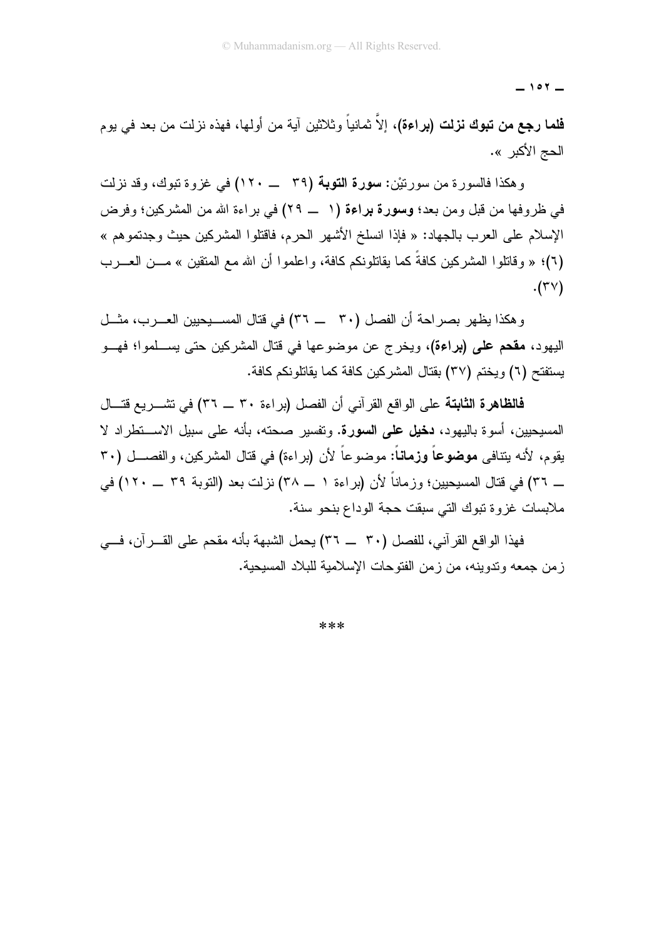$-101 -$ 

فلما رجع من تبوك نزلت (براءة)، إلاّ ثمانياً وثلاثين آية من أولها، فهذه نزلت من بعد في يوم الحج الأكبر ».

وهكذا فالسورة من سورتيْن: **سورة التوبة (**٣٩ \_ ١٢٠) في غزوة تبوك، وقد نزلت في ظروفها من قبل ومن بعد؛ وسورة براءة (١ \_ ٢٩) في براءة الله من المشركين؛ وفرض الإسلام على العرب بالجهاد: « فإذا انسلخ الأشهر الحرم، فاقتلوا المشركين حيث وجدتموهم » (٦)؛ « و قاتلو ا المشر كبن كافةً كما بقاتلونكم كافة، و اعلمو ا أن الله مع المتقبن » مـــن العـــر ب  $.(\tau \vee)$ 

و هكذا يظهر بصر احة أن الفصل (٣٠ \_\_ ٣٦) في قتال المســـيحيين العـــرب، مثـــل اليهود، **مقحم على (براءة)**، ويخرج عن موضوعها في قتال المشركين حتى بســلموا؛ فهــو بستفتح (٦) وبختم (٣٧) بقتال المشر كبن كافة كما بقاتلو نكم كافة.

فالظاهرة الثابتة على الواقع القرآني أن الفصل (براءة ٣٠ \_ ٣٦) في تشـــريع قتـــال المسيحيين، أسوة باليهود، **دخيل على السورة.** وتفسير صحته، بأنه على سبيل الاســـتطراد لا يقوم، لأنه يتنافى **موضوعاً وزماناً:** موضوعاً لأن (براءة) في قتال المشركين، والفصـــل (٣٠ ـــ ٣٦) في قتال المسيحيين؛ وزماناً لأن (براءة ١ ـــ ٣٨) نزلت بعد (التوبة ٣٩ ـــ ١٢٠) في ملابسات غز و ة تبوك التي سبقت حجة الوداع بنحو سنة.

فهذا الواقع القرآني، للفصل (٣٠ \_\_ ٣٦) يحمل الشبهة بأنه مقحم على القـــرآن، فـــى ز من جمعه وتدوينه، من ز من الفتوحات الإسلامية للبلاد المسبحية.

\*\*\*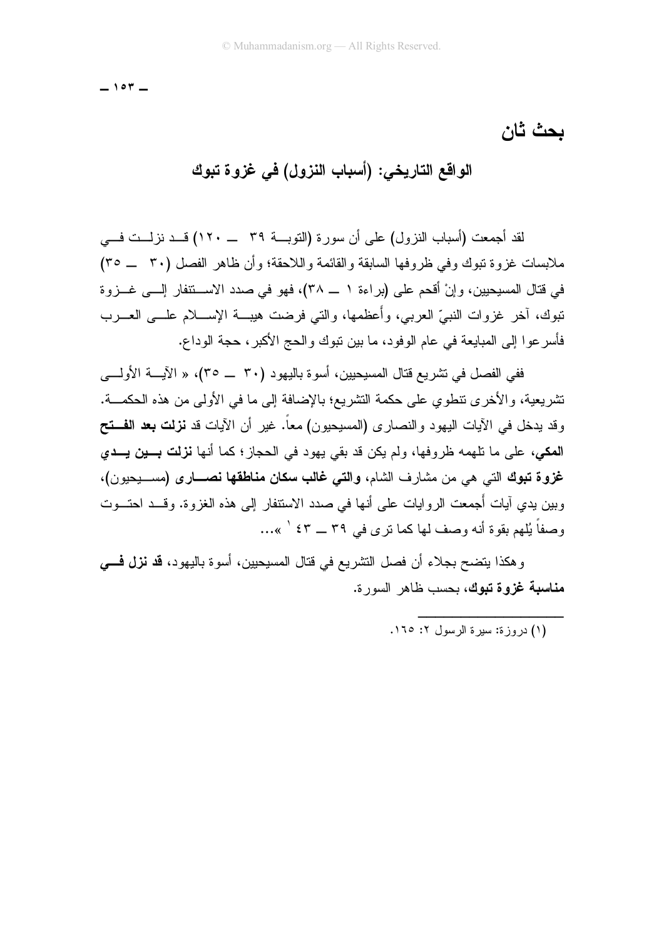$-104-$ 

بحث ثان

الواقع التاريخي: (أسباب النزول) في غزوة تبوك

لقد أجمعت (أسباب النزول) على أن سورة (التوبية ٣٩ ـــــ ١٢٠) قبد نزليت في ملابسات غزوة نبوك وفي ظروفها السابقة والقائمة واللاحقة؛ وأن ظاهر الفصل (٣٠ \_\_ ٣٥) في قتال المسيحيين، وإنْ أقحم على (براءة ١ ــ ٣٨)، فهو في صدد الاســتنفار إلـــي غــزوة تبوك، أخر غزوات النبيِّ العربي، وأعظمها، والتي فرضت هيبـــة الإســــلام علــــي العــــرب فأسر عو ا إلى المبايعة في عام الو فو د، ما بين نبوك و الحج الأكبر ، حجة الو داع.

.<br>ففي الفصل في تشريع قتال المسيحيين، أسوة باليهود (٣٠ \_\_ ٣٥)، « الآيـــة الأولــــى تشريعية، والأخرى نتطوى على حكمة التشريع؛ بالإضافة إلى ما في الأولى من هذه الحكمـــة. وقد يدخل في الأيات اليهود والنصارى (المسيحيون) معاً. غير أن الأيات قد **نزلت بعد الفـــتح** المكي، على ما تلهمه ظروفها، ولم يكن قد بقى يهود في الحجاز؛ كما أنها نزلت بسين يــدي غزوة تبوك التي هي من مشارف الشام، والتي غالب سكان مناطقها نصـــارى (مســـبحيون)، وبين يدي آيات أُجمعت الروايات على أنها في صدد الاستنفار إلى هذه الغزوة. وقـــد احتـــوت وصفاً يُلهم بقوة أنه وصف لها كما ترى في ٣٩ ـــ ٤٣ / »...

و هكذا يتضح بجلاء أن فصل النشر يع في قتال المسيحيين، أسو ة باليهو د، **قد نزل فـــ**ي مناسبة غزوة تبوك، بحسب ظاهر السورة.

(١) در وز ة: سير ة الرسول ٢: ١٦٥.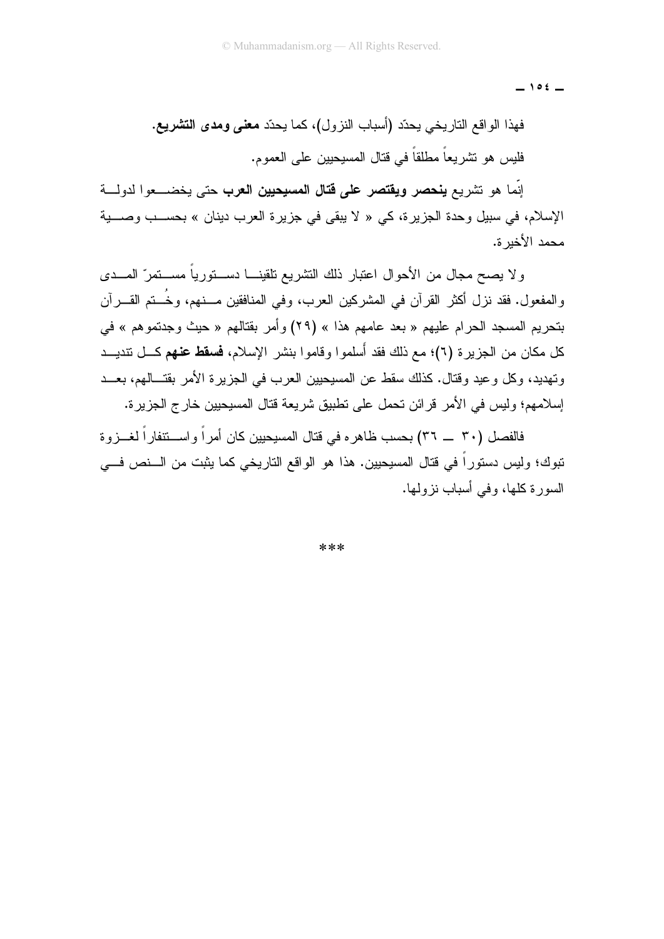$-105-$ 

فهذا الواقع الناريخي يحدّد (أسباب النزول)، كما يحدّد **معنى ومدى التشريع.** فليس هو نشريعاً مطلقاً في قتال المسيحيين على العموم.

إنَّما هو تشريع **ينحصر ويقتصر على قتال المسيحيين العرب** حتى يخضب والدولية الإسلام، في سبيل وحدة الجزيرة، كي « لا يبقى في جزيرة العرب دينان » بحســب وصـــية محمد الأخد ة.

و لا يصبح مجال من الأحوال اعتبار ذلك التشريع تلقينـــا دســـتور ياً مســـتمر ّ المـــدى والمفعول. فقد نزل أكثر القرآن في المشركين العرب، وفي المنافقين مـــنهم، وخَـــنم القـــرآن بتحريم المسجد الحرام عليهم « بعد عامهم هذا » (٢٩) وأمر بقتالهم « حيث وجدتموهم » في كل مكان من الجزيرة (٦)؛ مع ذلك فقد أسلموا وقاموا بنشر الإسلام، **فسقط عنهم** كــل تتديــد وتهديد، وكل وعيد وقتال. كذلك سقط عن المسيحيين العرب في الجزيرة الأمر بقتـــالهم، بعـــد إسلامهم؛ وليس في الأمر قرائن تحمل على تطبيق شريعة قتال المسيحيين خارج الجزيرة.

فالفصل (٣٠ \_\_ ٣٦) بحسب ظاهره في قتال المسيحيين كان أمراً واســـنتفاراً لغـــزوة نبوك؛ وليس دستوراً في قتال المسيحيين. هذا هو الواقع التاريخي كما يثبت من الـــنص فـــي السورة كلَّها، وفي أسباب نزولها.

 $***$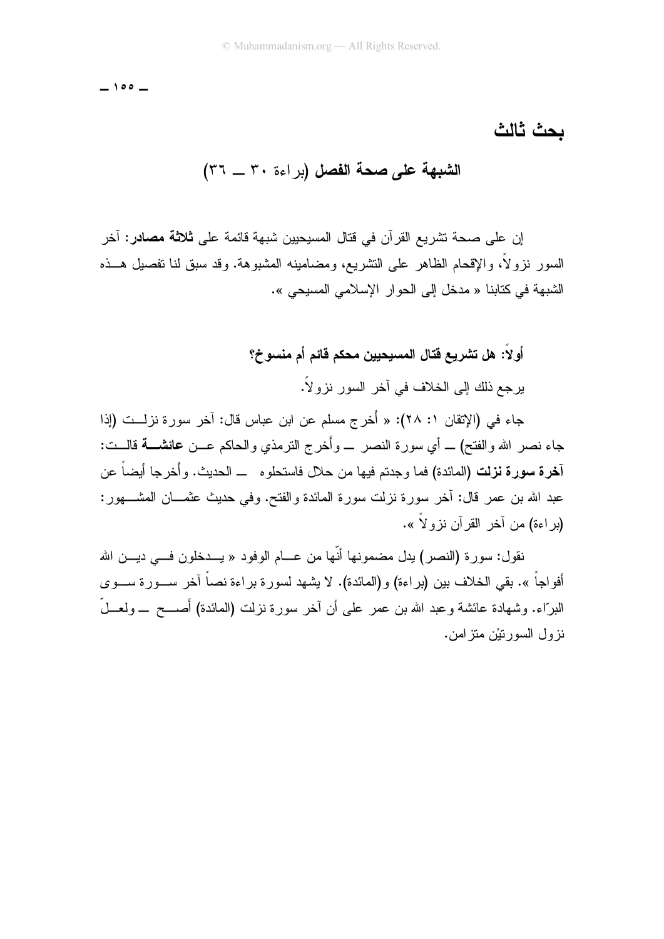$-100 -$ 

الشبهة على صحة الفصل (براءة ٣٠ \_ ٣٦)

إن على صحة نشر بع القر آن في قتال المسبحبين شبهة قائمة على **ثلاثة مصاد**ر : آخر السور ِ نزولاً، والإقحام الظاهر على التشريع، ومضامينه المشبوهة. وقد سبق لنا تفصيل هــذه الشبهة في كتابنا « مدخل إلى الحو ار الإسلامي المسيحي ».

#### أولاً: هل تشريع قتال المسيحيين محكم قائم أم منسوخ؟

بر جع ذلك إلى الخلاف في آخر السور نز و لاً.

جاء في (الإتقان ١: ٢٨): « أَخر ج مسلم عن ابن عباس قال: آخر سور ة نز لــت (إذا جاء نصر الله و الفتح) ـــ أي سور ة النصر ـــ و أخر ج النر مذي و الحاكم عـــن عائشــــة فالـــت: آ**خرة سورة نزلت (**المائدة**)** فما وجدتم فيها من حلال فاستحلوه ــ الحديث. وأخرجا أيضاً عن عبد الله بن عمر قال: أخر سورة نزلت سورة المائدة والفتح. وفي حديث عثمـــان المشــــهور: (بر اءة) من أخر القر أن نزو لاً ».

نقول: سور ة (النصر ) بدل مضمونها أنّها من عـــام الوفود « بـــدخلون فــــى دبــــن الله أفواجاً ». بقي الخلاف بين (براءة) و(المائدة). لا يشهد لسورة براءة نصاً آخر ســـورة ســـوى البرّاء. وشهادة عائشة وعبد الله بن عمر علمي أن آخر سورة نزلت (المائدة) أَصــــح \_ ولعـــلّ نز ول السور نَبْن مِنز امن.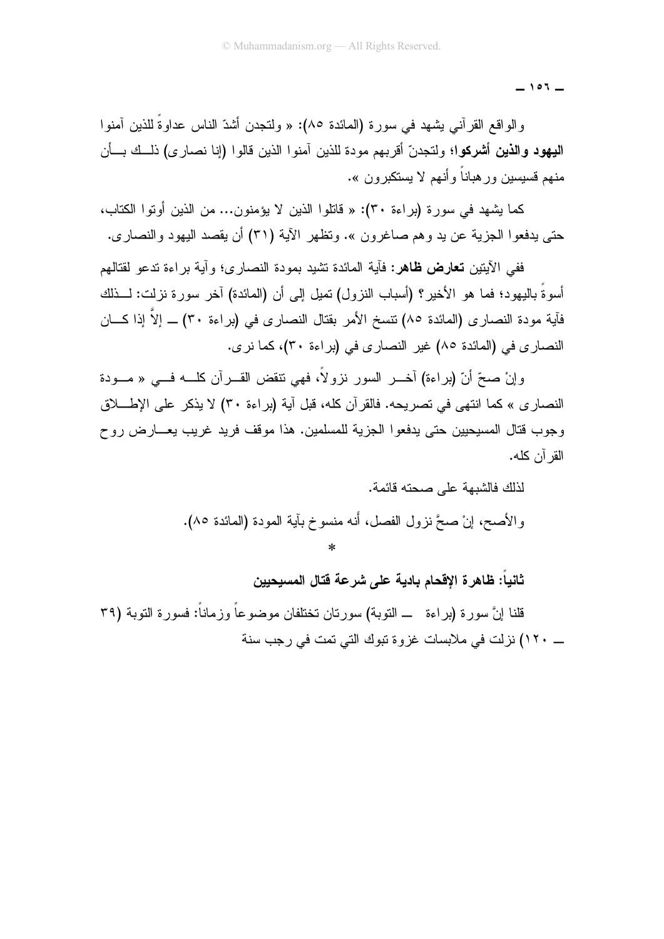$-107-$ 

والواقع القرآنـى بشـهد فـى سورة (المـائدة ٨٥): « ولتـجدن أشدّ النـاس عداوةً للذين آمنوا اليهود والذين أشركوا؛ ولتجدنّ أقربهم مودة للذين آمنوا الذين قالوا (إنا نصارى) ذلــك بــأن منهم قسسين ور هياناً و أنهم لا بسنكبر ون ».

كما يشهد في سورة (براءة ٣٠): « فاتلوا الذين لا يؤمنون... من الذين أوتوا الكتاب، حتى يدفعوا الجزية عن يد وهم صاغرون ». وتظهر الأية (٣١) أن يقصد اليهود والنصاري.

ففي الآيتين **تعارض ظاهر:** فآية المائدة تشيد بمودة النصار ي؛ و آية بر اءة تدعو لقتالهم أسوةً باليهود؛ فما هو الأخير؟ (أسباب النزول) تميل إلى أن (المائدة) آخر سورة نزلت: لـــذلك فآية مودة النصارى (المائدة ٨٥) نتسخ الأمر بقتال النصارى في (براءة ٣٠) \_ إلاَّ إذا كـــان النصاري في (المائدة ٨٥) غير النصاري في (براءة ٣٠)، كما نرى.

وإنْ صحِّ أنّ (براءة) آخــر السور نزولاً، فهي نتقض القــرآن كلـــه فـــي « مـــودة النصاري » كما انتهى في تصريحه. فالقرآن كله، قبل آية (براءة ٣٠) لا يذكر على الإطــــلاق وجوب قتال المسيحيين حتى يدفعوا الجزية للمسلمين. هذا موقف فريد غريب يعـــارض روح القر آن كله.

> لذلك فالشبهة على صحته قائمة. والأصح، إنْ صحَّ نزول الفصل، أنه منسوخ بآية المودة (المائدة ٨٥).

ثانيا: ظاهرة الإقحام بادية على شرعة قتال المسيحيين

قلنا إنَّ سورة (براءة ـــ النوبة) سورتان تختلفان موضوعاً وزماناً: فسورة النوبة (٣٩ \_ ١٢٠) نزلت في ملابسات غزوة نبوك التي نمت في رجب سنة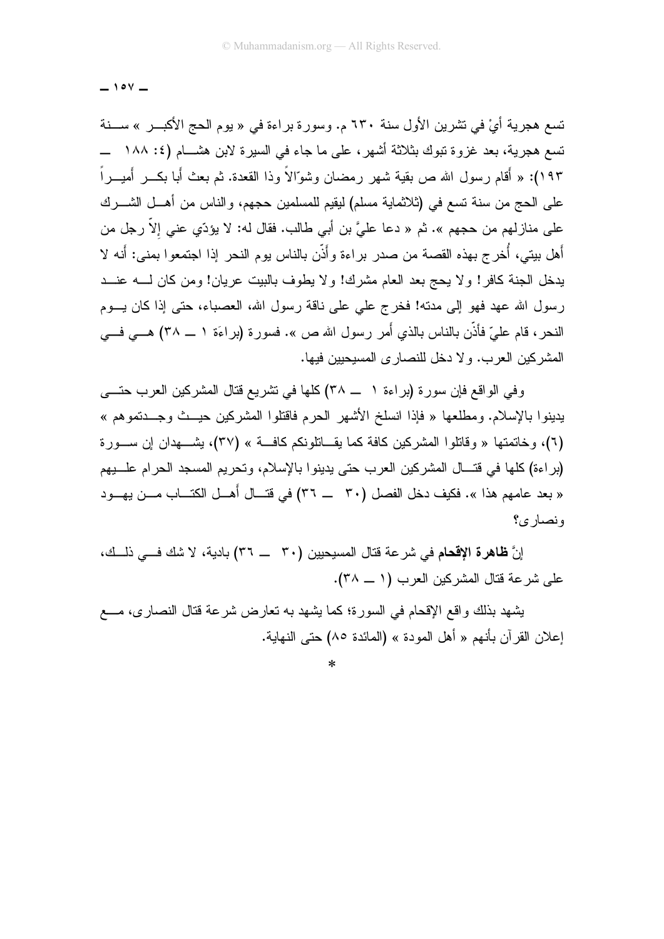$\overline{\phantom{0}}$  10Y  $\overline{\phantom{0}}$ 

تسع هجرية أيْ في تشرين الأول سنة ٦٣٠ م. وسورة براءة في « يوم الحج الأكبــر » ســـنة تسع هجرية، بعد غزوة تبوك بثلاثة أشهر، على ما جاء في السيرة لابن هشـــام (٤: ١٨٨ ـــ ١٩٣): « أَقام ر سول الله ص بقية شهر ر مضان وشوّالاً وذا القعدة. ثم بعث أبا بكــر أُميــر اً على الحج من سنة تسع في (ثلاثماية مسلم) ليقيم للمسلمين حجهم، والناس من أهــل الشـــرك على منازلهم من حجهم ». ثم « دعا عليَّ بن أبي طالب. فقال له: لا يؤدِّي عني إلاَّ رجل من أهل بيتي، أُخرج بهذه القصة من صدر براءة وأَذَّن بالناس يوم النحر إذا اجتمعوا بمني: أَنه لا يدخل الجنة كافر! ولا يحج بعد العام مشرك! ولا يطوف بالبيت عريان! ومن كان لــــه عنـــد رسول الله عهد فهو إلى مدته! فخرج على على ناقة رسول الله، العصباء، حتى إذا كان يسوم النحر، قام عليّ فأذَّن بالناس بالذي أَمر رسول الله ص ». فسورة (براءَة ١ ـــ ٣٨) هـــي فـــي المشركين العرب. ولا دخل للنصارى المسيحيين فيها.

وفي الواقع فإن سورة (براءة ١ ـــ ٣٨) كلَّها في تشريع قتال المشركين العرب حتَّـــي يدينوا بالإسلام. ومطلعها « فإذا انسلخ الأشهر الحرم فاقتلوا المشركين حيــث وجـــدتموهم » (٦)، وخاتمتها « وقاتلوا المشركين كافة كما يقــاتلونكم كافـــة » (٣٧)، يشـــهدان إن ســـورة (براءة) كلها في فتــال المشركين العرب حتى بدينو ا بالإسلام، وتحريم المسجد الحرام علـــبهم « بعد عامهم هذا ». فكيف دخل الفصل (٣٠ ـــ ٣٦) في قتــال أهــل الكتــاب مــن بهــود ونصار ی؟

إنَّ **ظاهرة الإقحام** في شرعة قتال المسيحيين (٣٠ \_\_ ٣٦) بادية، لا شك فـــى ذلـــك، على شرعة قتال المشركين العرب (١ ــ ٣٨).

يشهد بذلك واقع الإقحام في السورة؛ كما يشهد به نعارض شرعة قتال النصاري، مـــع إعلان القرآن بأنهم « أهل المودة » (المائدة ٨٥) حتى النهاية.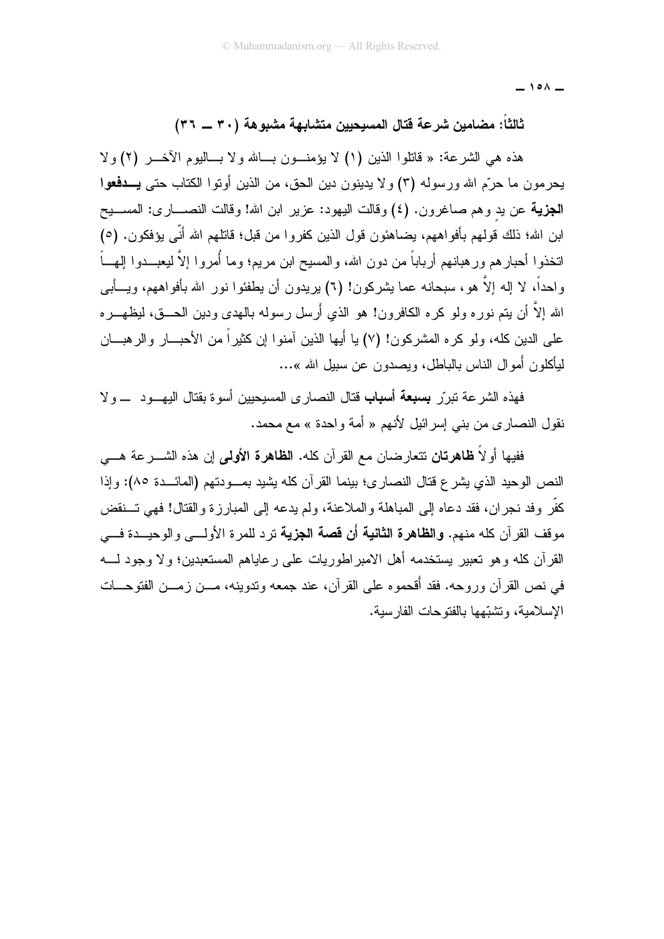$\overline{\phantom{0}}$  10 $\wedge$   $\overline{\phantom{0}}$ 

#### ثالثاً: مضامين شرعة قتال المسيحيين متشابهة مشبوهة (٣٠ ــ ٣٦)

هذه هي الشرعة: « قاتلوا الذين (١) لا يؤمنــون بـــالله ولا بـــاليوم الأخـــر (٢) ولا يحرمون ما حرّم الله ورسوله (٣) ولا يدينون دين الحق، من الذين أونوا الكتاب حتى يـــدفعوا **الجزيـة** عن يد وهم صـاغرون. (٤) وفالت اليهود: عزير ابن الله! وفالت النصــــاري: المســـيح ابن الله؛ ذلك قولهم بأفواههم، يضاهئون قول الذين كفروا من قبل؛ قاتلهم الله أنّي يؤفكون. (٥) اتخذوا أحبار هم ور هبانهم أرباباً من دون الله، والمسيح ابن مريم؛ وما أُمروا إلاَّ ليعبـــدوا المهـــاً واحداً، لا إله إلاَّ هو، سبحانه عما بِشركون! (٦) بريدون أن بطفئوا نور الله بأفواههم، ويـــأبـي الله إلاَّ أن بتم نور ه ولو كر ه الكافر ون! هو الذي أَر سلَّ رسوله بالبهدي ودبن الحــــق، لبظهـــر ه علمي الدين كله، ولو كره المشركون! (٧) يا أيها الذين آمنوا إن كثيراً من الأحبـــار والرهبـــان ليأكلون أمو ال الناس بالباطل، ويصدون عن سبيل الله »…

فهذه الشرعة نبررٍّ **بسبعة أسباب** قتال النصارى المسيحيين أسوة بقتال اليهـــود ــــولا نقول النصاري من بنبي إسرائيل لأنهم « أمة واحدة » مع محمد.

ففيها أو لاً **ظاهرتان** نتعارضان مع القرآن كله. **الظاهرة الأول***ى* **إ**ن هذه الشــــرعة هــــي النص الوحيد الذي بشر ع قتال النصار ي؛ بينما القر آن كله بشيد بمـــودتهم (المائـــدة ٨٥): وإذا كفَّرٍ وفد نجرٍ إن، فقد دعاه إلى المباهلة والملاعنة، ولم يدعه إلى المبارِ ز ة والقتال! فهي تسنقض مو قف القر آن كله منهم. **والظاهر ة الثانية أَن قصة الجزية** تر د للمر ة الأولــــ<sub>ي</sub> و الوحبـــدة فــــي القرآن كله وهو تعبير يستخدمه أهل الامبراطوريات على رعاياهم المستعبدين؛ ولا وجود لــــه في نص القر آن وروحه. فقد أُقحموه على القر آن، عند جمعه وندوينه، مـــن زمـــن الفتوحـــات الإسلامية، وتشبّهها بالفتوحات الفارسية.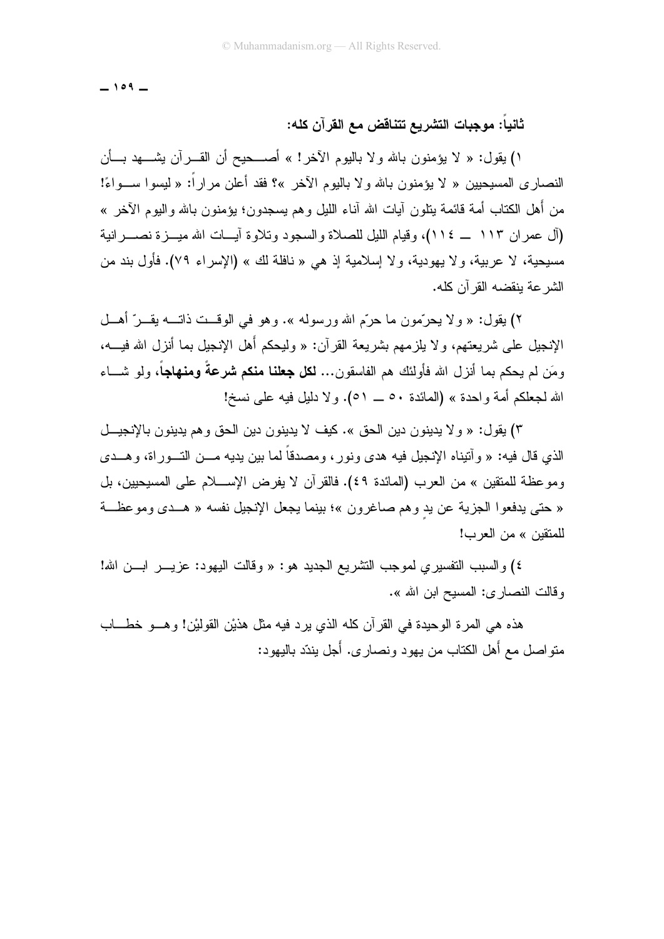$-109 -$ 

#### ثانياً: موجبات التشريع تتناقض مع القرآن كله:

١) يقول: « لا يؤمنون بالله ولا باليوم الأخر! » أصـــحيح أن القـــرآن يشــــهد بـــأن النصاري المسيحيين « لا يؤمنون بالله ولا باليوم الأخر »؟ فقد أعلن مراراً: « ليسوا ســـواءً! من أهل الكتاب أمة قائمة بتلون آبات الله أناء الليل وهم بسجدون؛ بؤمنون بالله واليوم الآخر » (آل عمران ١١٣ \_ ١١٤)، وقيام الليل للصلاة والسجود وتلاوة أيسات الله ميسزة نصسرانية مسيحية، لا عربية، و لا يهودية، و لا إسلامية إذ هي « نافلة لك » (الإسر اء ٧٩). فأول بند من الشر عة بنقضه القر آن كله.

٢) بقول: « ولا يحرِّمون ما حرَّم الله ورسوله ». وهو في الوقــت ذاتـــه بقــر ِّ أهــل الإنجيل على شريعتهم، ولا يلزمهم بشريعة القرآن: « وليحكم أهل الإنجيل بما أنزل الله فيــــه، ومَن لم يحكم بما أنز ل الله فأولئك هم الفاسقون... **لكل جعلنا منكم شرعةً ومنهاجاً**، ولو شـــاء الله لجعلكم أمة واحدة » (المائدة ٥٠ \_ ٥١). ولا دليل فيه على نسخ!

٣) بقول: « ولا يدينون دين الحق ». كيف لا يدينون دين الحق وهم يدينون بالإنجيــل الذي قال فيه: « وآتيناه الإنجيل فيه هدى ونور، ومصدقاً لما بين يديه مـــن التـــوراة، وهـــدى وموعظة للمتقين » من العرب (المائدة ٤٩). فالقرآن لا يفرض الإســـلام على المسيحيين، بل « حتى يدفعوا الجزية عن يد وهم صاغرون »؛ بينما يجعل الإنجيل نفسه « هــدي وموعظــة للمتقبن » من العرب!

٤) والسبب النفسيري لموجب النشريع الجديد هو: « وقالت اليهود: عزيـــر ابـــن الله! و قالت النصار ي: المسيح ابن الله ».

هذه هي المرة الوحيدة في القرآن كله الذي يرد فيه مثل هذيْنِ القوليْن! وهـــو خطــــاب منواصل مع أهل الكتاب من يهود ونصارى. أجل يندّد باليهود: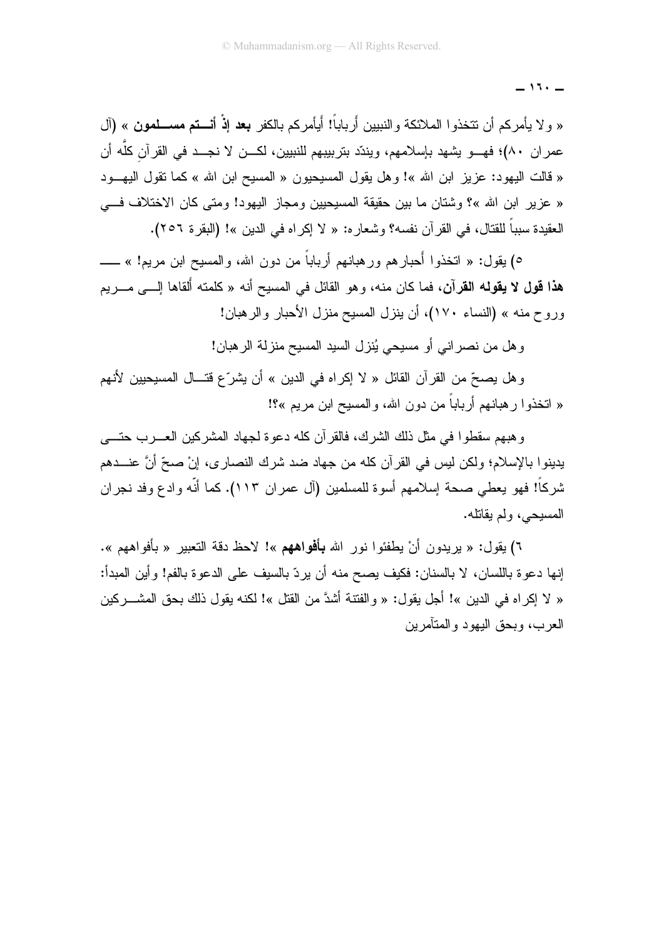$\overline{\phantom{0}}$  11.  $\overline{\phantom{0}}$ 

« ولا يأمركم أن نتخذوا الملائكة والنبيين أَرباباً! أيأمركم بالكفر **بعد إذْ أنـــتم مســـلمون** » (آل عمر إن ٨٠)؛ فهـــو يشهد بإسلامهم، ويندّد بنربيبهم للنبيين، لكـــن لا نجـــد في القرآن كلّه أن « قالت اليهود: عزيز ابن الله »! وهل يقول المسيحيون « المسيح ابن الله » كما تقول اليهـــود « عزير ابن الله »؟ وشتان ما بين حقيقة المسيحيين ومجاز اليهود! ومتى كان الاختلاف فـــى العقيدة سبباً للقتال، في القرآن نفسه؟ وشعاره: « لا إكراه في الدين »! (البقرة ٢٥٦).

٥) يقول: « انخذوا أحبارهم ورهبانهم أرباباً من دون الله، والمسيح ابن مريم! » ــــــــــــــــــــــــــــــــــ هذا قول لا يقولـه القرآن، فما كان منـه، وهو القائل في المسيح أنـه « كلمته أَلقاها إلـــي مـــريم وروح منه » (النساء ١٧٠)، أن ينزل المسيح منزل الأحبار والرهبان!

و هل من نصر اني أو مسيحي يُنز ل السيد المسيح منز لة الر هبان!

و هل يصحِّ من القرآن القائل « لا إكراه في الدين » أن يشرِّع قتـــال المسيحيين لأنـهم « اتخذوا رهبانهم أرباباً من دون الله، والمسيح ابن مريم »؟!

و هبهم سقطوا في مثل ذلك الشرك، فالقرآن كله دعوة لجهاد المشركين العسرب حتـــي يدينوا بالإسلام؛ ولكن ليس في القرآن كله من جهاد ضد شرك النصاري، إنْ صحِّ أنَّ عنـــدهم شركاً! فهو يعطي صحة إسلامهم أسوة للمسلمين (آل عمران ١١٣). كما أنّه وادع وفد نجران المسيحي، ولم يقاتله.

٦) بقول: « بريدون أنْ يطفئوا نور الله **بأفواههم** »! لاحظ دقة التعبير « بأفواههم ». إنها دعوة باللسان، لا بالسنان: فكيف يصح منه أن يردّ بالسيف على الدعوة بالفم! وأين المبدأ: « لا إكر اه في الدين »! أجل يقول: « و الفتنة أشدَّ من القتل »! لكنه يقول ذلك بحق المشـــر كين العرب، وبحق اليهود والمتأمرين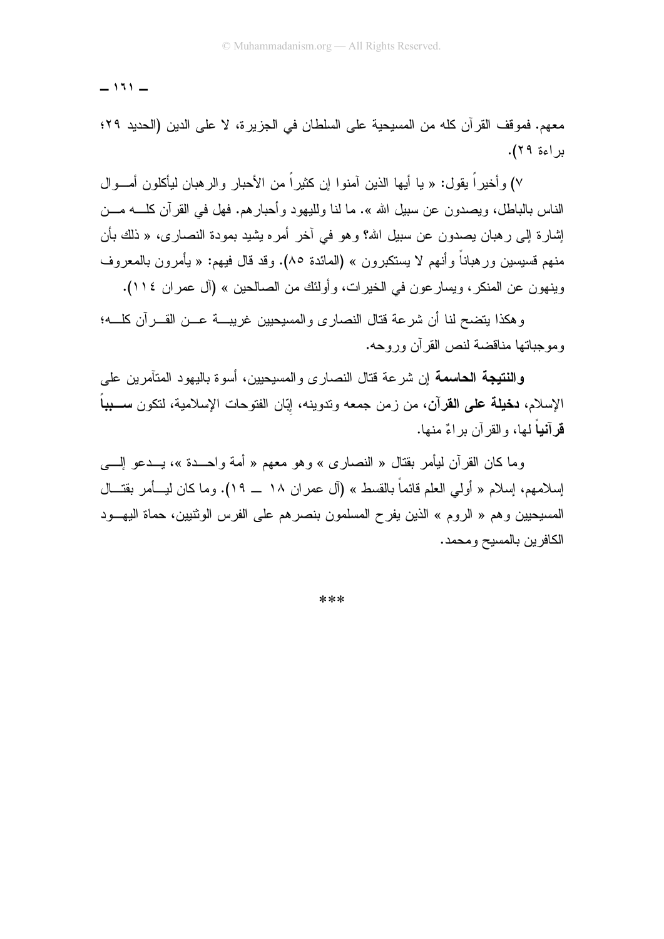$-131 -$ 

معهم. فموقف القرآن كله من المسيحية على السلطان في الجزيرة، لا على الدين (الحديد ٢٩؛ براءة ٢٩).

٧) و أخير اً يقول: « يا أيها الذين آمنو ا إن كثير اً من الأحبار و الر هبان ليأكلو ن أمـــو ال الناس بالباطل، ويصدون عن سبيل الله ». ما لنا ولليهود وأحبارهم. فهل في القرآن كلــــه مـــن إشارة إلى رهبان بصدون عن سبيل الله؟ وهو في أخر أمره يشيد بمودة النصارى، « ذلك بأن منهم قسيسين ور هباناً وأنهم لا يستكبر ون » (المائدة ٨٥). وقد قال فيهم: « يأمر ون بالمعر وف وينهون عن المنكر، ويسار عون في الخيرات، وأولئك من الصالحين » (آل عمران ١١٤).

وهكذا يتضح لنا أن شرعة قتال النصارى والمسبحيين غريبة عــن القـــرآن كلـــه؛ وموجباتها مناقضة لنص القرآن وروحه.

**والنتيجة الحاسمة** إن شرعة قتال النصارى والمسيحيين، أسوة باليهود المتآمرين على الإسلام، **دخيلة على القرآن**، من زمن جمعه وتدوينه، ايّان الفتوحات الإسلامية، لتكون م**سـبب**اً قرآنياً لها، والقرآن براءٌ منها.

وما كان القر أن ليأمر بقتال « النصار ي » وهو معهم « أمة واحـــدة »، يـــدعو إلــــي إسلامهم، إسلام « أولى العلم قائماً بالقسط » (آل عمر ان ١٨ \_ ١٩). وما كان ليسأمر بقتـــال المسيحيين وهم « الروم » الذين يفرح المسلمون بنصرهم على الفرس الوثنيين، حماة اليهــود الكافرين بالمسيح ومحمد.

\*\*\*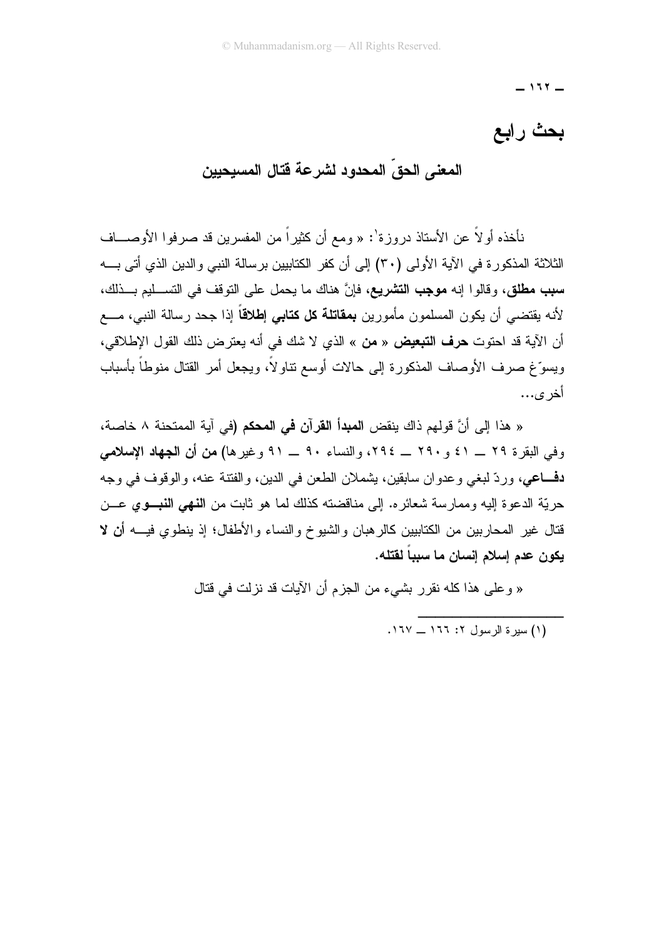$-111 -$ 

# بحث رابع

المعنى الحقِّ المحدود لشرعة فتال المسيحيين

نأخذه أو لاً عن الأستاذ دروز ة': « ومع أن كثير اً من المفسر بن قد صر فوا الأوصـــاف الثلاثة المذكور ة في الآية الأولى (٣٠) إلى أن كفر الكتابيين بر سالة النبي والدين الذي أتى بـــه **سبب مطلق،** وقالوا إنه **موجب التشريع**، فإنَّ هناك ما يحمل على التوقف في التســليم بـــذلك، لأنه يقتضمي أن يكون المسلمون مأمورين **بمقاتلة كل كتابي إطلاقاً** إذا جحد رسالة النبي، مــــع أن الآية قد احتوت **حرف التبعيض** « **من** » الذي لا شك في أنه يعترض ذلك القول الإطلاقي، ويسوِّغ صرف الأوصاف المذكورة إلى حالات أوسع نتاولاً، ويجعل أمر القتال منوطاً بأسباب أخر ي...

« هذا إلى أنَّ قولهم ذاك ينقض ا**لمبدأ القرآن في المحكم (**في آية الممتحنة ٨ خاصـة، وفي البقرة ٢٩ \_ ٤١ و ٢٩٠ \_ ٢٩٤، والنساء ٩٠ \_ ٩١ وغيرها) من أن الجهاد الإسلامي **دفـــاعي**، وردّ لبغي وعدوان سابقين، بِشملان الطعن في الدين، والفتنة عنه، والوقوف في وجه حريّة الدعوة اليه وممارسة شعائره. إلى مناقضته كذلك لما هو ثابت من ا**لنهي النبــوي** عـــن قتال غير المحاربين من الكتابيين كالرهبان والشيوخ والنساء والأطفال؛ إذ ينطوي فيــــه أن لا يكون عدم إسلام إنسان ما سبباً لقتله.

« وعلى هذا كله نقرر بشيء من الجزم أن الآيات قد نزلت في قتال

.<br>(١) سير ة الرسول ٢: ١٦٦ \_ ١٦٧.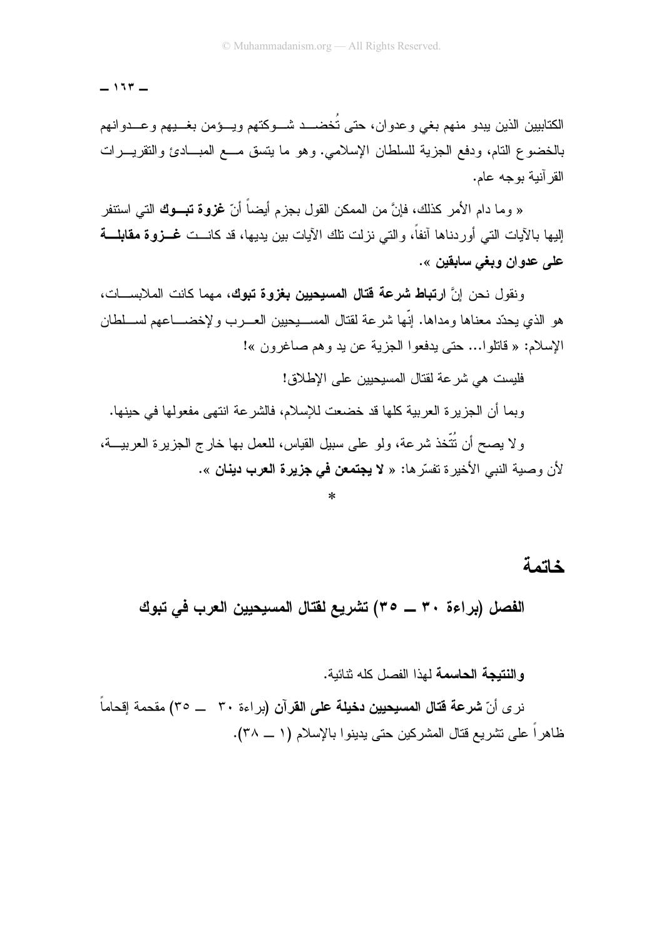$-117 -$ 

الكتابيين الذين يبدو منهم بغى وعدوان، حتى تُخضـــد شـــوكتهم ويـــؤمن بغـــيهم وعـــدوانهم بالخضوع النام، ودفع الجزية للسلطان الإسلامي. وهو ما يتسق مـــع المبـــادئ والنقريـــرات القر آنبة بوجه عام.

« وما دام الأمر كذلك، فإنَّ من الممكن القول بجز م أبضياً أنّ **غزوة تبــوك** التي استتفر الِبِها بِالآيات الَّتي أوردناها آنفاً، والتي نزلت تلك الآيات بين يديها، قد كانـــت **غــزوة مقابلـــة** علي عدوان ويغي سابقين ».

ونقول نحن إنَّ ا**رتباط شرعة قتال المسيحيين بغزوة تبوك**، مهما كانت الملابســـات، هو الذي يحدّد معناها ومداها. إنها شرعة لقتال المســـيحبين العــــرب ولإخضـــــاعهم لســــلطان الإسلام: « فانلوا... حتى يدفعوا الجزية عن يد وهم صاغرون »!

فلبست هي شر عة لقتال المسبحبين على الإطلاق!

وبما أن الجزير ة العربية كلها قد خضعت للإسلام، فالشر عة انتهى مفعولها في حبنها.

و لا يصح أن نُتَّخذ شرعة، ولو على سبيل القياس، للعمل بها خارج الجزيرة العربيـــة، لأن وصية النبي الأخيرة نفسّرها: « لا **يجتمعن في جزيرة العرب دينان** ».

خاتمة

الفصل (براءة ٣٠ ـــ ٣٥) تشريع لفتال المسيحيين العرب في تبوك

و النتيجة الحاسمة لهذا الفصل كله نتائبة.

نر ى أنّ **شر عة قتال المسيحيين دخيلة على القر**آ**ن (**بر اءة ٣٠ ـــ ٣٥) مقحمة إقحاماً ظاهراً على نشريع قتال المشركين حتى يدينوا بالإسلام (١ ــ ٣٨).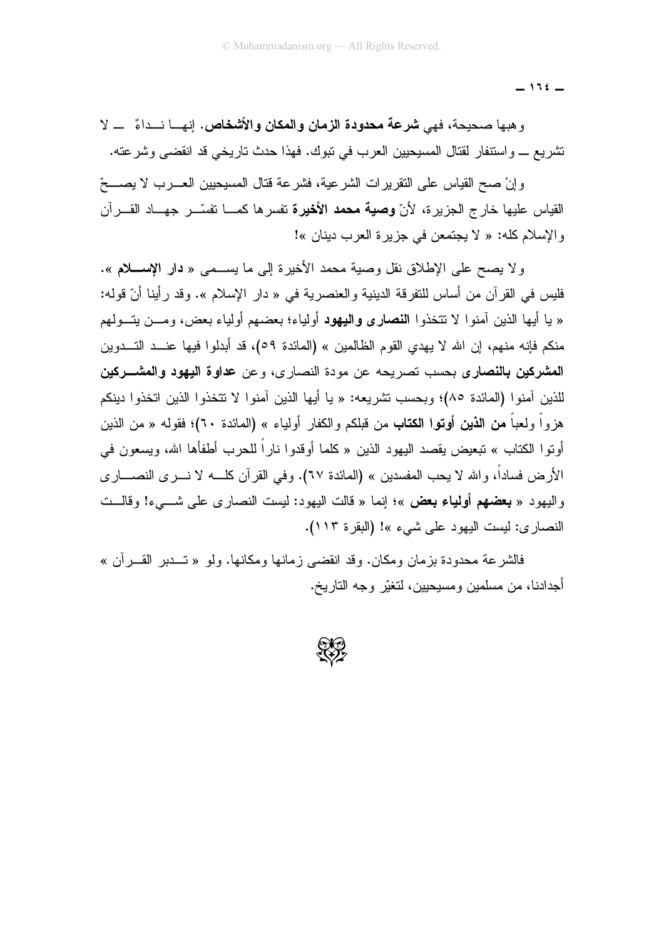$-115$ 

و هبها صحيحة، فهي **شرعة محدودة الزمان والمكان والأشخاص.** إنهـــا نـــداءٌ ـــ لا تشريع \_ واستنفار لقتال المسيحيين العرب في نبوك. فهذا حدث تاريخي قد انقضي وشرعته.

و إنْ صبح القباس على النقر بر ات الشر عبة، فشر عة قتال المسبحبين العب رب لا بصبحِّ القياس عليها خارج الجزيرة، لأنّ **وصية محمد الأخيرة** تفسرها كمـــا تفسّـــر جهـــاد القــــرآن والإسلام كله: « لا يجتمعن في جزيرة العرب دينان »!

ولا يصح على الإطلاق نقل وصية محمد الأخيرة إلى ما يســمى « **دار الإســـلام** ». فليس في القرآن من أساس للنفرقة الدينية والعنصرية في « دار الإسلام ». وقد رأينا أنّ قوله: « يا أيها الذين آمنو ا لا تتخذو ا **النصارى واليهود** أولياء؛ بعضهم أولياء بعض، ومـــن يتـــولهم منكم فإنه منهم، إن الله لا يهدى القوم الظالمين » (المائدة ٥٩)، قد أبدلوا فيها عنــد التــدوين المشركين بالنصاري بحسب تصريحه عن مودة النصاري، وعن عداوة اليهود والمشـــركين للذين آمنو ا (المائدة ٨٥)؛ وبحسب نشر بعه: « با أبها الذين آمنو ا لا نتخذو ا الذين اتخذو ا دينكم هزواً ولعباً **من الذين أوتوا الكتاب** من قبلكم والكفار أولياء » (المائدة ٦٠)؛ فقوله « من الذين أوتوا الكتاب » تبعيض يقصد اليهود الذين « كلما أوقدوا ناراً للحرب أطفأها الله، ويسعون في الأرض فساداً، والله لا يحب المفسدين » (المائدة ٦٧). وفي القرآن كلــــه لا نــــرى النصــــاري واليهود « **بعضهم أولياء بعض** »؛ إنما « قالت اليهود: ليست النصارى على شـــيء! وقالـــت النصاري: ليست اليهود على شيء »! (البقرة ١١٣).

فالشر عة محدودة بز مان ومكان. وقد انقضبي ز مانها ومكانها. ولو « تـــدبر القـــر آن » أجدادنا، من مسلمين ومسيحيين، لتغيّر وجه التاريخ.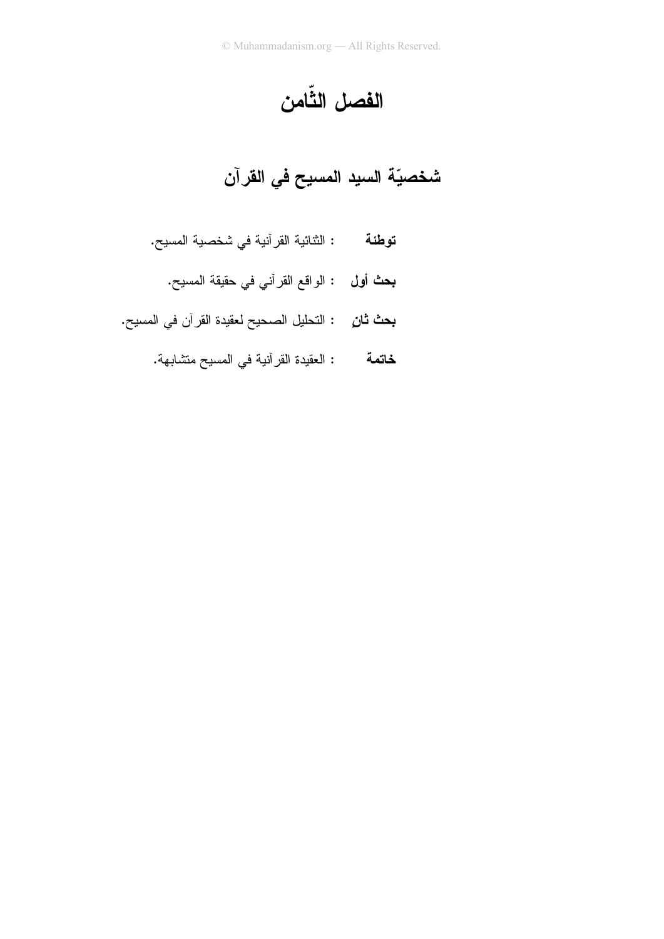الفصل الثّامن

# شخصيّة السيد المسيح في القرآن

- **توطئة :** الثنائية القرآنية في شخصية المسيح.
	- **بحث أول :** الواقع القرآني في حقيقة المسيح.
- **بحث ثانِ** : التحليل الصحيح لعقيدة القرآن في المسيح.
	- : العقيدة القرآنية في المسيح متشابهة. خاتمة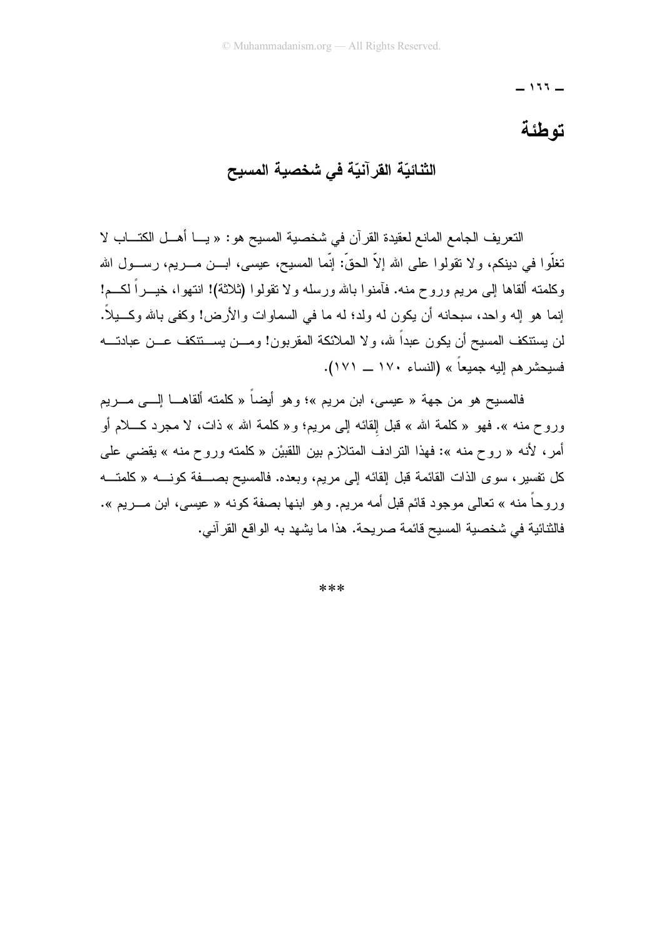$-111 -$ 

# توطئة

### الثنائيّة القرآنيّة في شخصية المسيح

النعريف الجامع المانع لعقيدة القرآن في شخصية المسيح هو : « يـــا أهـــل الكتـــاب لا تغلُّوا في دينكم، ولا نقولوا على الله إلاَّ الحقَّ: إنَّما المسيح، عيسى، ابـــن مــــريم، رســــول الله وكلمته ألقاها إلى مريع وروح منه. فأمنوا بالله ورسله ولا نقولوا (ثلاثة)! انتهوا، خيـــراً لكــــم! إنما هو إله واحد، سبحانه أن يكون له ولد؛ له ما في السماوات والأرض! وكفي بالله وكــــيلاً. لن يستنكف المسيح أن يكون عبداً لله، ولا الملائكة المقربون! ومـــن يســـتنكف عـــن عبادتــــه فسيحشر هم إليه جميعاً » (النساء ١٧٠ \_ ١٧١).

فالمسيح هو من جهة « عيسى، ابن مريم »؛ وهو أيضاً « كلمته ألقاهـــا إلــــى مــــريم وروح منه ». فهو «كلمة الله » قبل القائه البي مريم؛ و«كلمة الله » ذات، لا مجرد كــــلام أو أمر، لأنه « روح منه »: فهذا النرادف المتلازم بين اللقبيْن « كلمته وروح منه » يقضي على كل نفسير ، سوى الذات القائمة قبل القائه إلى مريم، وبعده. فالمسيح بصــــفة كونـــــه « كلمتــــه وروحاً منه » تعالى موجود قائم قبل أمه مريم. وهو ابنها بصفة كونه « عيسى، ابن مــــريم ». فالثنائية في شخصية المسيح قائمة صريحة. هذا ما يشهد به الواقع القرآني.

\*\*\*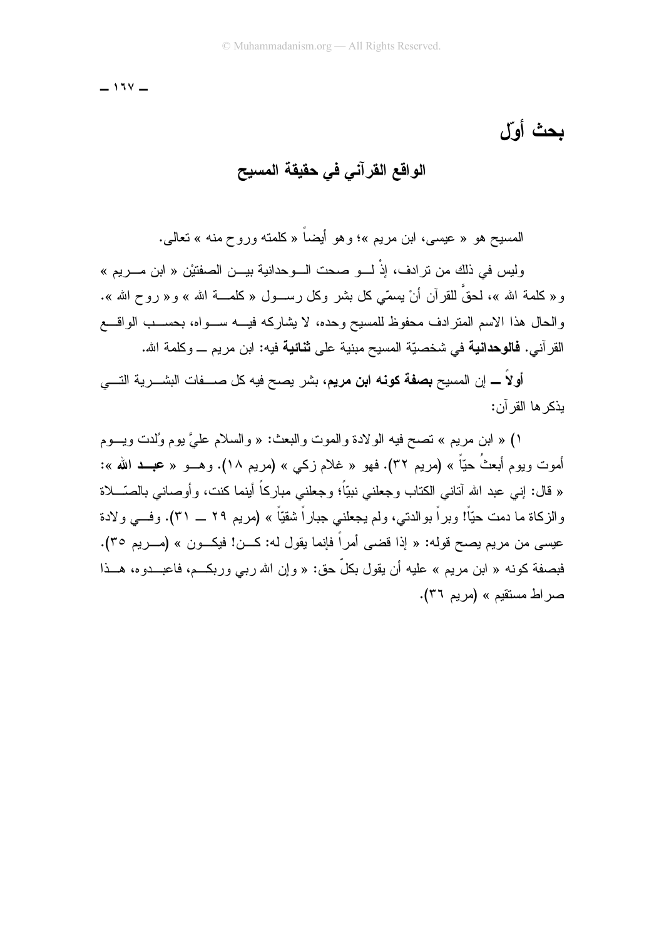$-111$ 

## بحث أول

### الواقع القرآني في حقيقة المسيح

المسيح هو « عيسى، ابن مريم »؛ وهو أيضـاً « كلمنـّه وروح منـه » نـعالـم..

وليس في ذلك من ترادف، إذْ لـــو صحت الـــوحدانية بيـــن الصفتيْن « ابن مـــريم » و « كلمة الله »، لحقٌ للقرآن أنْ يسمّي كل بشر وكل رســول « كلمـــة الله » و « روح الله ». و الحال هذا الإسم المتر ادف محفوظ للمسيح و حده، لا يشار كه فيـــه ســـو اه، بـحســب الو اقـــع القر آني. **فالوحدانية** في شخصيّة المسيح مبنية على **ثنائية** فيه: ابن مر يم ـــ و كلمة الله.

أولاً ــــ إن المسيح **بصفة كونه ابن مريم**، بشر يصح فيه كل صــــفات البشــــرية التــــي بذكر ها القر آن:

١) « ابن مريع » نصح فيه الولادة والموت والبعث: « والسلام عليَّ يوم وُلدت ويسوم أموت ويوم أبعثُ حيّاً » (مريم ٣٢). فهو « غلام زكمي » (مريم ١٨). وهـــو « عجـــد الله »: « قال: إني عبد الله أناني الكتاب وجعلني نبيّاً؛ وجعلني مباركاً أينما كنت، وأوصاني بالصّـــلاة والزكاة ما دمت حيّاً! وبراً بوالدتـي، ولم يجعلنـي جباراً شقيّاً » (مريم ٢٩ ـــ ٣١). وفـــي ولادة عيسى من مريم يصبح قوله: « إذا قضبي أمر أ فإنما يقول له: كـــن! فيكـــون » (مـــريم ٣٥). فبصفة كونه « ابن مريم » عليه أن يقول بكلِّ حق: « و إن الله ربي وربكــم، فاعبـــدوه، هـــذا صر اط مستقيم » (مريم ٣٦).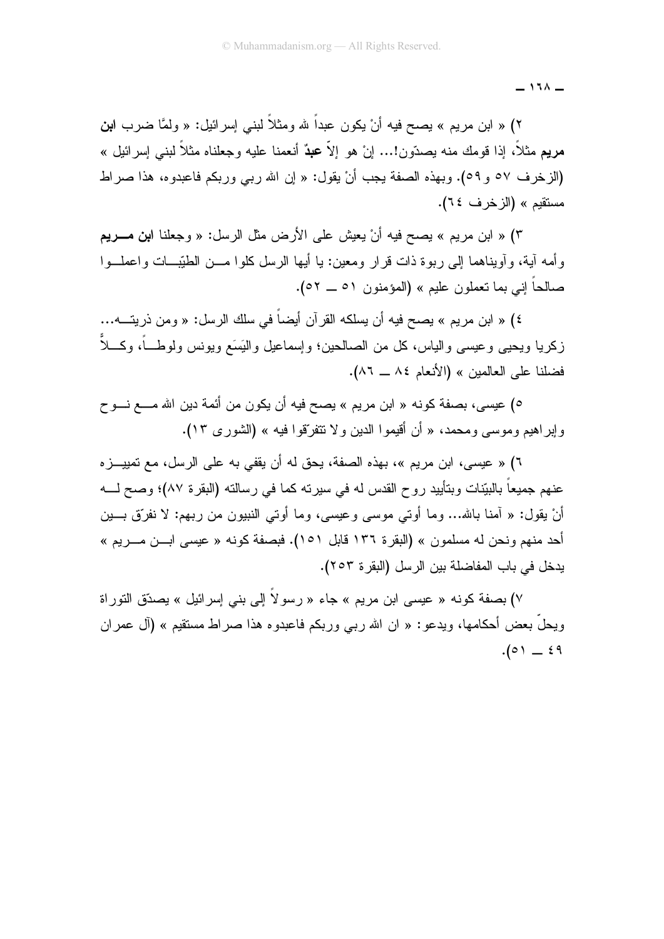$-111 -$ 

۲) « ابن مريم » بصح فيه أنْ يكون عبداً لله ومثلاً لبنـي إسرائيل: « ولمَّا ضـرب ا**بن** مريع مثلاً، إذا قومك منه بصدّون!... إنْ هو إلاّ ع**بد**ٌ أنعمنا عليه وجعلناه مثلاً لبني إسرائيل » (الزخرف ٥٧ و ٥٩). وبهذه الصفة يجب أنْ يقول: « إن الله ربي وربكم فاعبدوه، هذا صراط مستقدم » (الزخرف ٢٤).

٣) « ابن مريع » يصح فيه أنْ يعيش على الأرض مثل الرسل: « وجعلنا ا**بن مــــري**م و أمه آبة، و آوبناهما إلى ربوة ذات قر ار ومعين: با أبها الرسل كلوا مـــن الطبّيـــات واعملــوا صالحاً إني بما نعملون عليم » (المؤمنون ٥١ ــ ٥٢).

٤) « ابن مريم » يصح فيه أن يسلكه القرآن أيضاً في سلك الرسل: « ومن ذريتـــه... زكريا ويحيى وعيسى والياس، كل من الصالحين؛ وإسماعيل واليَسَع ويونس ولوطــــاً، وكــــلاً فضلنا على العالمين » (الأنعام ٨٤ ــ ٨٦).

٥) عيسى، بصفة كونه « ابن مريم » يصح فيه أن يكون من أئمة دين الله مــــع نـــو ح وإيراهيم وموسى ومحمد، « أن أقيموا الدين ولا تتفرَّقوا فيه » (الشورى ١٣).

٦) « عيسى، ابن مريم »، بهذه الصفة، يحق له أن يقفي به على الرسل، مع تمييــز ه عنهم جميعاً بالبيّنات وبتأييد روح القدس له في سيرته كما في رسالته (البقرة ٨٧)؛ وصح لــــه أنْ يقول: « آمنا بالله... وما أوتى موسى وعيسى، وما أوتى النبيون من ربهم: لا نفرِّق بـــين أحد منهم ونحن له مسلمون » (البقرة ١٣٦ قابل ١٥١). فبصفة كونه « عيسى ابـــن مـــريم » يدخل في باب المفاضلة بين الرسل (البقر ة ٢٥٣).

٧) بصفة كونه « عيسى ابن مريم » جاء « رسولاً إلى بني إسرائيل » بصدّق التوراة ويحلُّ بعض أحكامها، ويدعو: « ان الله ربي وربكم فاعبدوه هذا صراط مستقيم » (آل عمران  $.(\circ) = 19$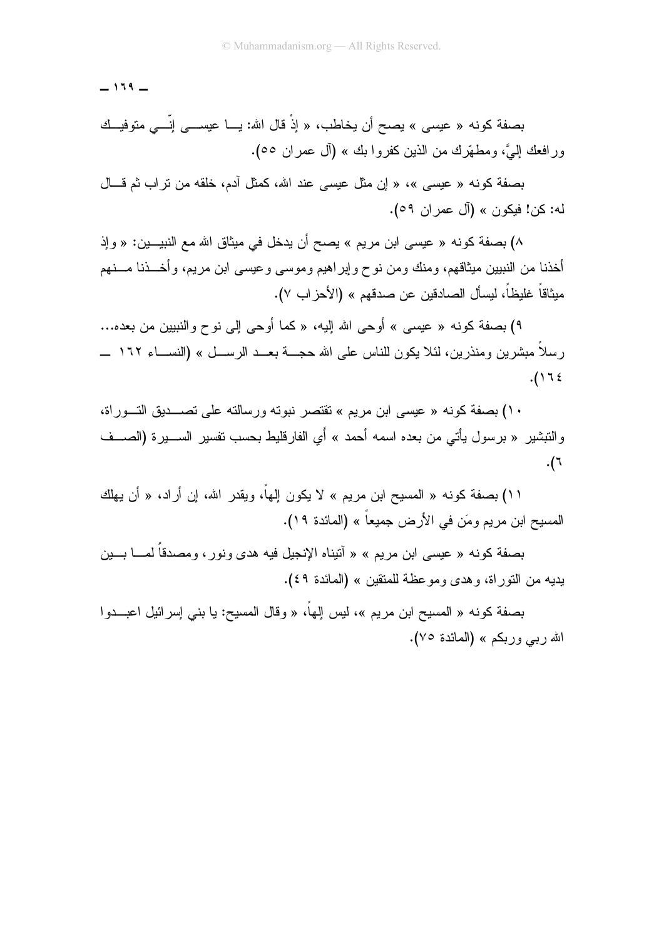$-119 -$ 

بصفة كونه « عيسى » يصح أن يخاطب، « إذْ قال الله: يـــا عيســـى إنّـــى متوفيــك ور افعك إليَّ، ومطهَّرك من الذين كفروا بك » (أل عمر ان ٥٥).

بصفة كونه « عيسى »، « إن مثل عيسى عند الله، كمثل آدم، خلقه من تراب ثم قـــال له: كن! فيكون » (آل عمر ان ٥٩).

۸) بصفة كونه « عيسى ابن مريم » يصح أن يدخل في ميثاق الله مع النبيـــين: « وإذ أخذنا من النبيين ميثاقهم، ومنك ومن نوح وإبر اهيم وموسى وعيسى ابن مريم، وأخـــذنا مـــنهم ميثاقاً غليظاً، ليسأل الصادقين عن صدقهم » (الأحز اب ٧).

٩) بصفة كونه « عيسى » أو حي الله إليه، « كما أو حي إلى نو ح و النبيين من بعده... ر سلاً مبشر بن و منذر بن، لئلا يكون للناس على الله حجـــة بعـــد الر ســـل » (النســـاء ١٦٢ ــــ  $.()$ ٦٤

۱۰) بصفة كونه « عيسى ابن مريم » تقتصر نبوته ور سالته على تصـــديق التــور اة، و التبشير « بر سول يأتي من بعده اسمه أحمد » أي الفار قليط بحسب نفسير الســــير ة (الصــــف .(٦

١١) بصفة كونه « المسيح ابن مريم » لا يكون إلهاً، ويقدر الله، إن أر اد، « أن يهلك المسيح ابن مريم ومَن في الأرض جميعاً » (المائدة ١٩).

بصفة كونه « عيسى ابن مريم » « آنيناه الإنجيل فيه هدى ونور ، ومصدقا لمــــا بــــين يديه من النوراة، وهدى وموعظة للمتقين » (المائدة ٤٩).

بصفة كونه « المسيح ابن مريم »، ليس إلهاً، « وقال المسيح: يا بنى إسر ائيل اعبـــدو ا الله ربي وربكم » (المائدة ٧٥).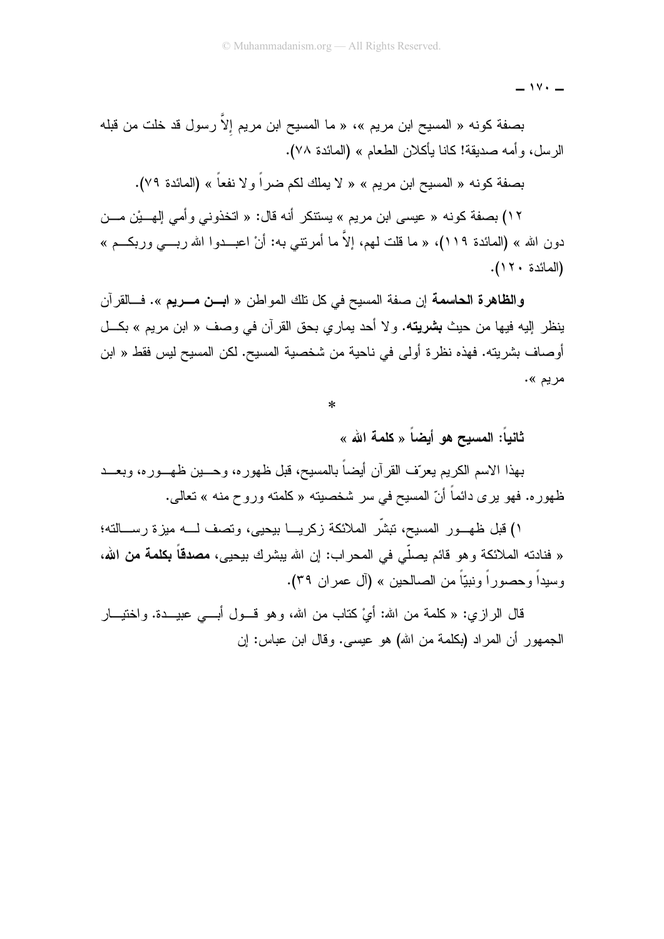$\overline{\phantom{0}}$   $\overline{\phantom{0}}$ 

بصفة كونه « المسيح ابن مريم »، « ما المسيح ابن مريم إلاّ رسول قد خلت من قبله الرسل، و أمه صديقة! كانا يأكلان الطعام » (المائدة ٧٨).

بصفة كونه « المسيح ابن مريم » « لا يملك لكم ضراً و لا نفعاً » (المائدة ٧٩).

١٢) بصفة كونه « عيسى ابن مريم » يستنكر أنه قال: « اتخذوني وأمي إلهـــيْن مـــن دون الله » (المائدة ١١٩)، « ما قلت لهم، إلاّ ما أمرتنى به: أنْ اعبــدوا الله ربـــى وربكـــم » (المائدة ١٢٠).

وا**لظاهرة الحاسمة** إن صفة المسيح في كل تلك المواطن « ا**بــن مـــريم** ». فـــالقرآن بنظر البه فيها من حبث **بشريته.** و لا أحد بمار ي بحق القر آن في وصف « ابن مر بم » بكـــل أوصاف بشريته. فهذه نظرة أولى في ناحية من شخصية المسيح. لكن المسيح ليس فقط « ابن مريم ».

 $\ast$ 

ثانياً: المسبح هو أيضاً « كلمة الله »

بهذا الاسم الكريم يعرّف القرآن أيضاً بالمسيح، قبل ظهوره، وحــــين ظهـــوره، وبعـــد ظهوره. فهو بري دائماً أنّ المسيح في سر شخصيته « كلمته وروح منه » تعالى.

١) قبل ظهــور المسيح، تبشَّر الملائكة زكريـــا بيحيى، وتصف لـــه ميزة رســـالته؛ « فنادته الملائكة وهو قائم يصلِّي في المحراب: إن الله ببشرك بيحيي، **مصدقاً بكلمة من الله**، وسيداً وحصوراً ونبيّاً من الصالحين » (آل عمر إن ٣٩).

قال الرازي: « كلمة من الله: أيْ كتاب من الله، وهو قـــول أبــــي عبيــــدة. واختيـــار الجمهور أن المر اد (بكلمة من الله) هو عيسى. وقال ابن عباس: إن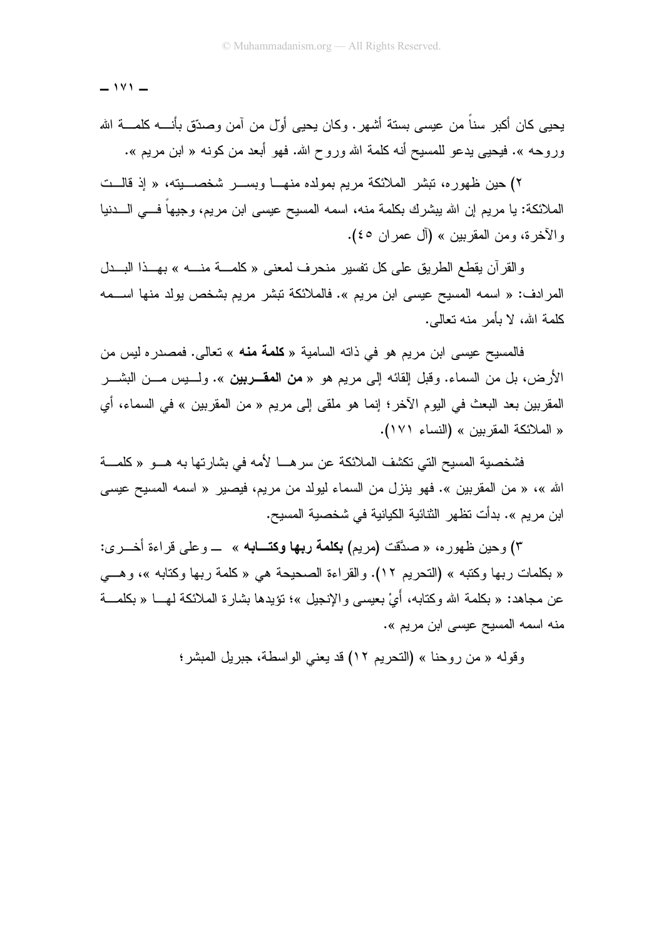$-111 -$ 

يحيى كان أكبر سناً من عيسى بستة أشهر . وكان يحيى أول من آمن وصدّق بأنــــه كلمــــة الله وروحه ». فيحيى يدعو للمسيح أنه كلمة الله وروح الله. فهو أبعد من كونه « ابن مريع ».

۲) حين ظهور ه، تبشر الملائكة مربم بمولده منهـــا وبســـر شخصــــبته، « إذ قالـــت الملائكة: يا مريم إن الله يبشرك بكلمة منه، اسمه المسيح عيسى ابن مريم، وجيهاً فـــى الــــدنيا والأخرة، ومن المقربين » (أل عمران ٤٥).

والقرآن يقطع الطريق على كل تفسير منحرف لمعنى «كلمة منسه » بهـذا البــدل المرادف: « اسمه المسيح عيسى ابن مريم ». فالملائكة تبشر مريم بشخص يولد منها اســـمه كلمة الله، لا بأمر منه نعالمي.

فالمسيح عيسى ابن مريم هو في ذاته السامية « **كلمة منه** » تعالى. فمصدره ليس من الأرض، بل من السماء. وقبل القائه إلى مريم هو « **من المقــــربين** ». ولــــبس مــــن البشــــر المقربين بعد البعث في اليوم الآخر ؛ إنما هو ملقى إلى مريم « من المقربين » في السماء، أي « الملائكة المقربين » (النساء ١٧١).

فشخصية المسيح التي تكشف الملائكة عن سر هـــا لأمه في بشار تها به هـــو « كلمـــة الله »، « من المقربين ». فهو ينزل من السماء ليولد من مريم، فيصير « اسمه المسيح عيسى ابن مريم ». بدأت تظهر الثنائية الكيانية في شخصية المسيح.

٣) و حين ظهور ه، « صدَّقت (مريم) **بكلمة ربها وكتـــابـه** » ـــ و علي قر اءة أخـــر ي: « بكلمات ربها وكتبه » (التحريم ١٢). والقراءة الصحيحة هي « كلمة ربها وكتابه »، وهــي عن مجاهد: « بكلمة الله وكتابه، أَيْ بعيسى و الإنجيل »؛ تؤيدها بشار ة الملائكة لهــــا « بكلمـــة منه اسمه المسيح عيسى ابن مريم ».

وقوله « من روحنا » (التحريم ١٢) قد يعني الواسطة، جبريل المبشر؛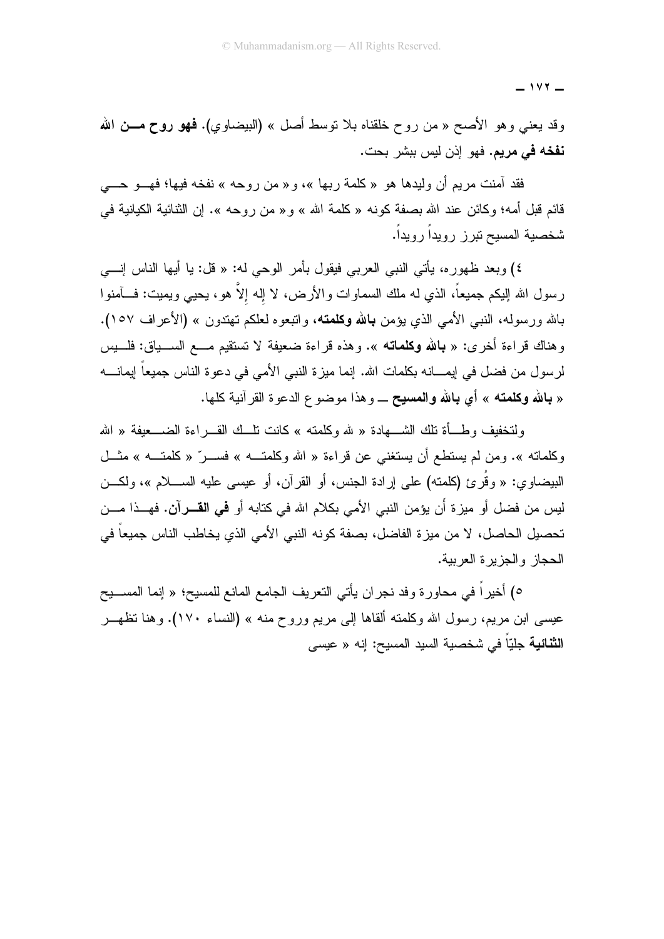$-111 -$ 

وقد يعني وهو الأصـح « من روح خلقناه بـلا نوسط أصل » (البيضـاوي). فمهو روح مـــن الله **نفخه في مريم.** فهو إذن ليس ببشر بحت.

فقد آمنت مريع أن وليدها هو «كلمة ربها »، و« من روحه » نفخه فيها؛ فهـــو حــــي قائم قبل أمه؛ وكائن عند الله بصفة كونه « كلمة الله » و« من روحه ». إن الثنائية الكيانية في شخصية المسيح نيرز رويدأ رويداً.

٤) وبعد ظهورِ ه، يأتي النبي العربي فيقول بأمر الوحي له: « قل: يا أيها الناس إنسي رسول الله الليكم جميعاً، الذي له ملك السماوات والأرض، لا إله إلاَّ هو، يحيى ويميت: فــــأمنوا بالله ورسوله، النبي الأمبي الذي يؤمن **بالله وكلمته**، واتبعوه لعلكم تهتدون » (الأعراف ١٥٧). وهناك قراءة أخرى: « **بالله وكلماته** ». وهذه قراءة ضعيفة لا نستقيم مـــع الســـياق: فلـــيس لرسول من فضل في إيمــــانـه بكلمات الله. إنمـا ميز ة النبي الأمي في دعو ة الناس جميعاً إيمانـــــه « بالله وكلمته » أي بالله والمسبح \_ و هذا موضوع الدعوة القر آنية كلها.

ولتخفيف وطَّـأة تلك الشَّـــهادة « لله وكلَّمته » كانت تلَّــك القـــر اءة الضــــعيفة « الله وكلماته ». ومن لم يستطع أن يستغني عن قراءة « الله وكلمتـــه » فســـرٌ « كلمتـــه » مثـــل البيضاوي: « وقُرٍ يَ (كلمته) على إر ادة الجنس، أو القرآن، أو عبسى عليه الســــلام »، ولكـــن لبس من فضل أو مبز ة أَن بوَمن النبي الأمي بكلام الله في كتابه أو **في القـــر** آ**ن.** فهـــذا مـــن تحصيل الحاصل، لا من ميزة الفاضل، بصفة كونه النبي الأمي الذي يخاطب الناس جميعاً في الحجاز والجزيرة العربية.

٥) أخيراً في محاورة وفد نجران يأتي النعريف الجامع المانع للمسيح؛ « إنما المســـيح عيسى ابن مريع، رسول الله وكلمته ألقاها إلى مريع وروح منه » (النساء ١٧٠). وهنا تظهـــر ا**لثنائية** جليّاً في شخصية السيد المسيح: إنه « عيسى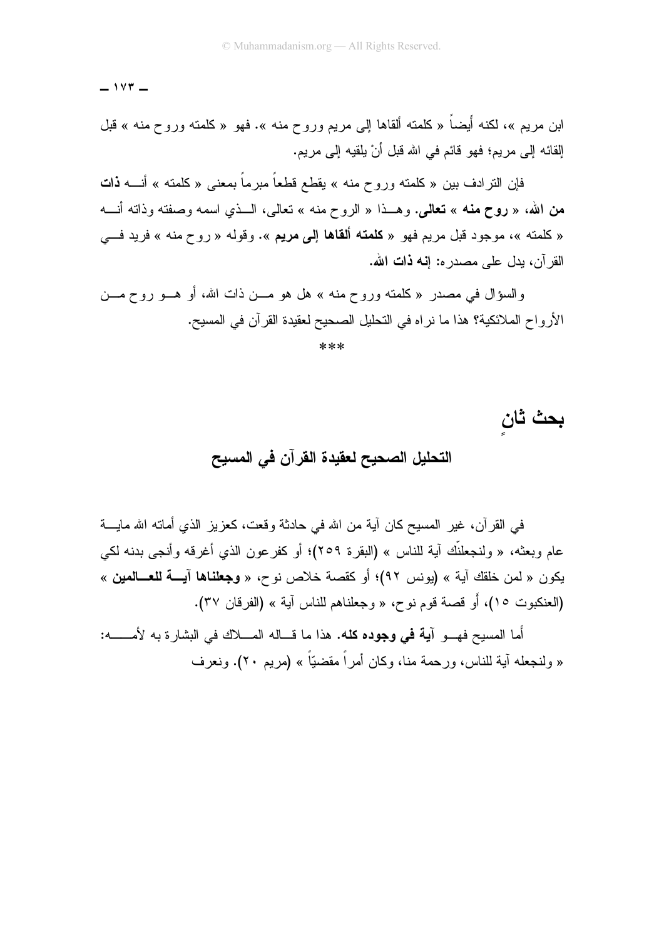$-157-$ 

ابن مريم »، لكنه أيضاً « كلمته ألقاها إلى مريم وروح منه ». فهو « كلمته وروح منه » قبل القائه إلى مريم؛ فهو قائم في الله قبل أنْ يلقيه إلى مريم.

فإن النرادف بين « كلمنه وروح منه » يقطع قطعاً مبرماً بمعنى « كلمنه » أنــــه **ذات** من الله، « روح منه » تعالى. وهــذا « الروح منه » نعالى، الـــذي اسمه وصفته وذاته أنـــه « كلمته »، موجود قبل مريم فهو « **كلمته ألقاها إلى مريم** ». وقوله « روح منه » فريد فــي القر آن، بدل علي مصدر ه: إ**نـه ذات الله.** 

والسؤال في مصدر « كلمته وروح منه » هل هو مـــن ذات الله، أو هـــو روح مـــن الأرواح الملائكية؟ هذا ما نراه في النحليل الصحيح لعقيدة القرآن في المسيح.

\*\*\*

بحث ثان التحليل الصحيح لعقيدة القرآن في المسيح

في القر آن، غير المسيح كان آية من الله في حادثة وقعت، كعزيز الذي أماته الله مايــــة عام وبعثه، « ولنجعلنَّك آية للناس » (البقرة ٢٥٩)؛ أو كفرعون الذي أغرقه وأنجى بدنه لكي يكون « لمن خلقك آية » (يونس ٩٢)؛ أو كقصة خلاص نوح، « **وجعلناها آيـــة للعـــالمين** » (العنكبوت ١٥)، أو قصة قوم نوح، « وجعلناهم للناس آية » (الفرقان ٣٧).

أما المسيح فهـــو آ**يـة في وجوده كله.** هذا ما قـــاله المــــلاك في البشار ة به لأمـــــــه: « ولِنجعله آية للناس، ورحمة منا، وكان أمراً مقضيّاً » (مريع ٢٠). ونعرف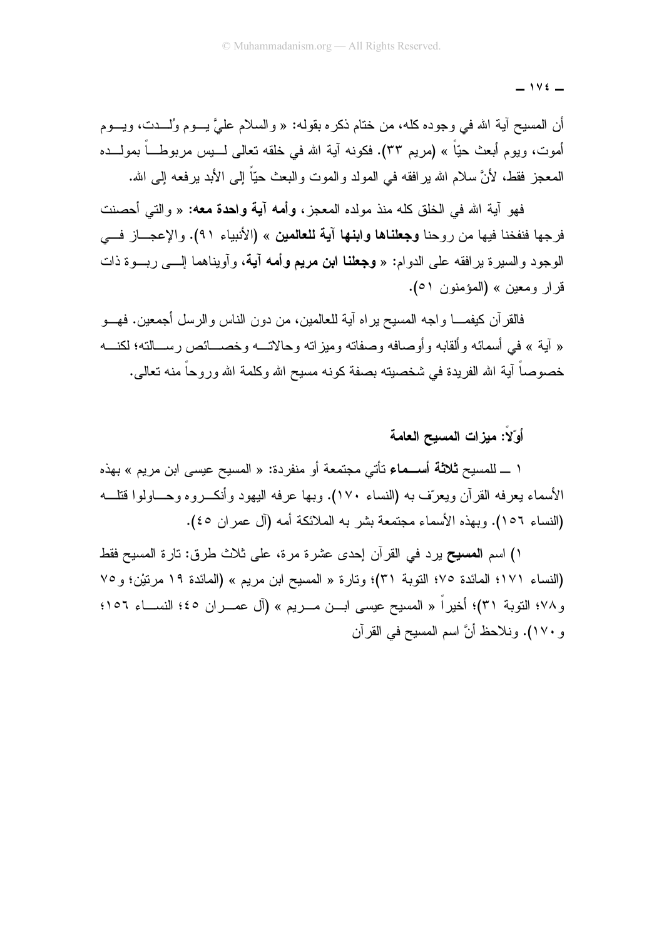$-116$ 

أن المسيح آية الله في وجوده كله، من ختام ذكره بقوله: « والسلام عليَّ بـــوم وُلــــدت، ويـــوم أموت، ويوم أبعث حيّاً » (مريم ٣٣). فكونه آية الله في خلقه تعالى لـــيس مربوطــــاً بمولــــده المعجز فقط، لأنَّ سلام الله بر افقه في المولد والموت والبعث حيّاً إلى الأبد برفعه إلى الله.

فهو آبة الله في الخلق كله منذ مولده المعجز ، وأمه آ**بـة واحدة معه:** « و التـَّى أحصنت فرجها فنفخنا فيها من روحنا **وجعلناها وابنها آية للعالمين** » (الأنبياء ٩١). والإعجـــاز فـــي الوجود والسيرة برافقه على الدوام: « **وجعلنا ابن مريع وأمه آيـة،** وأويناهما إلــــى ربـــوة ذات قرار ومعين » (المؤمنون ٥١).

فالقرآن كيفمــــا و اجه المسيح بر اه آية للعالمين، من دون الناس و الرسل أجمعين. فهـــو « آية » في أسمائه وألقابه وأوصافه وصفاته وميزاته وحالاتـــه وخصـــائص رســـالته؛ لكنـــه خصوصاً آبة الله الفر بدة في شخصبته بصفة كونه مسبح الله وكلمة الله ور و حاً منه تعالى.

أَوِّلاً: مبزَّات المسبح العامة

١ ـــ للمسيح **ثلاثة أســـمـاء** تأتي مجتمعة أو منفردة: « المسيح عيسى ابن مريم » بهذه الأسماء يعرفه القرآن ويعرّف به (النساء ١٧٠). وبها عرفه اليهود وأنكـــروه وحــــاولوا قتلــــه (النساء ١٥٦). وبهذه الأسماء مجتمعة بشر به الملائكة أمه (آل عمر ان ٤٥).

י) اسم المسيح برد في القر آن إحدى عشر ة مر ة، على ثلاث طر ق: تار ة المسيح فقط (النساء ١٧١؛ المائدة ٧٥؛ التوبة ٣١)؛ وتارة « المسيح ابن مريع » (المائدة ١٩ مرتيْن؛ و ٧٥ و ٧٨؛ التوبة ٣١)؛ أخيراً « المسيح عيسى ابــن مـــريم » (آل عمـــران ٤٥؛ النســـاء ١٥٦؛ و ١٧٠). ونلاحظ أنَّ اسم المسيح في القرآن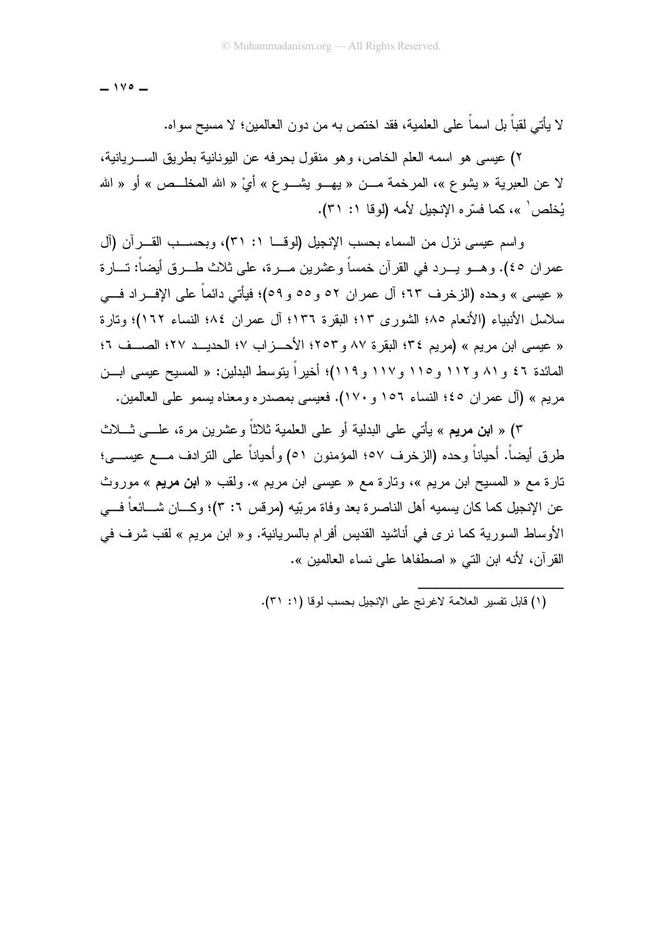$-140 -$ 

لا يأتـي لقباً بل اسماً علـي الـعلمية، فقد اختص بـه من دون الـعالمين؛ لا مسيح سواه.

٢) عيسى هو اسمه العلم الخاص، و هو منقول بحر فه عن اليونانية بطريق الســـر يانية، لا عن العبرية « يشوع »، المرخمة مـــن « يهـــو يشـــوع » أيْ « الله المخلـــص » أو « الله بُخلص' »، كما فسّر ه الإنجيل لأمه (لوقا ١: ٣١).

واسم عيسى نزل من السماء بحسب الإنجيل (لوف) ١: ٣١)، وبحســب القـــرأن (آل عمران ٤٥). وهـــو يـــرد في القرآن خمساً وعشرين مـــرة، على ثلاث طـــرق أيضاً: تـــارة « عيسى » وحده (الزخرف ٦٣؛ آل عمر ان ٥٢ و ٥٥ و ٥٩)؛ فيأتي دائماً على الإف راد فـــي سلاسل الأنبياء (الأنعام ٨٥؛ الشوري ١٣؛ البقرة ١٣٦؛ آل عمران ٨٤؛ النساء ١٦٢)؛ وتارة « عيسى ابن مريم » (مريم ٣٤؛ البقر ة ٨٧ و ٢٥٣؛ الأحــز اب ١٧؛ الحديــد ٢٧؛ الصــف ٢؛ المائدة ٤٦ و ٨١ و ١١٢ و ١١٥ و ١١٧ و ١١٩)؛ أخير اً يتوسط البدلين: « المسيح عيسى ابــن مريم » (آل عمر ان ٤٥؛ النساء ١٥٦ و ١٧٠). فعيسى بمصدر ه و معناه يسمو على العالمين.

٣) « ا**بن مريم** » يأتي على البدلية أو على العلمية ثلاثاً وعشرين مرة، علـــي ثــــلاث طرق أيضاً. أَحياناً وحده (الزخرف ٥٧؛ المؤمنون ٥١) وأَحياناً على الترادف مـــع عيســـى؛ تارة مع « المسيح ابن مريم »، وتارة مع « عيسى ابن مريم ». ولقب « ا**بن مريم** » موروث عن الإنجيل كما كان يسميه أهل الناصر ة بعد و فاة مر بّيه (مر قس ٢: ٣)؛ وكـــان شـــائعاً فــــى الأوساط السور بـة كما نر ي في أناشيد القديس أفر ام بالسر بانية. و « ابن مر يم » لقب شر ف في القر آن، لأنه ابن التي « اصطفاها على نساء العالمين ».

<sup>(</sup>١) قابل تفسير العلامة لاغرنج على الإنجيل بحسب لوقا (١: ٣١).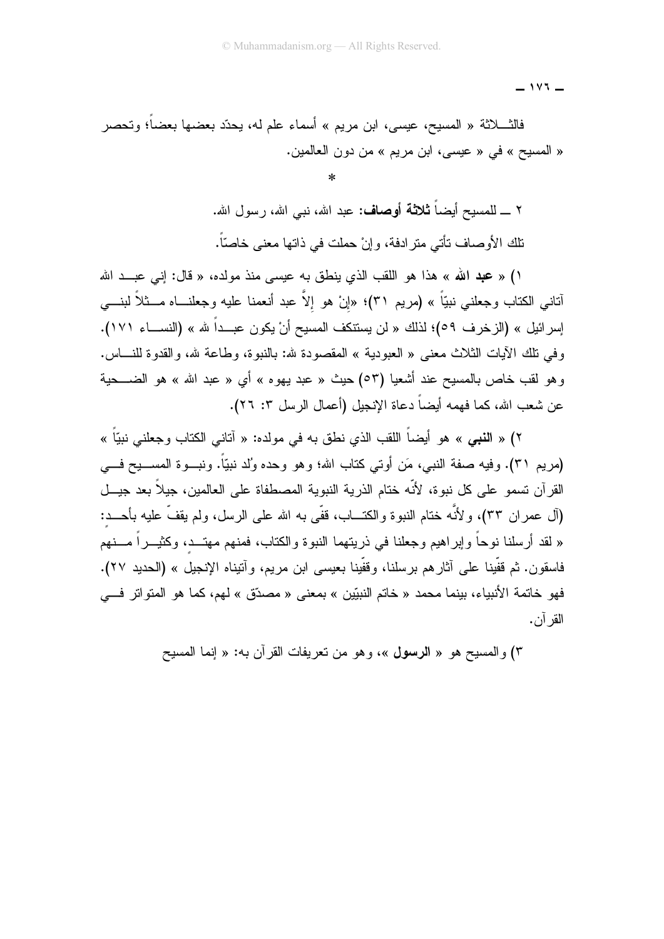$-111 -$ 

فالثــــلاثة « المسيح، عيسى، ابن مريم » أسماء علم له، يحدّد بعضها بعضاً؛ وتحصر « المسيح » في « عيسى، ابن مريم » من دون العالمين.

> ٢ \_ للمسيح أيضاً **ثلاثة أوصاف:** عبد الله، نبي الله، رسول الله. تلك الأوصاف نأتـى مترادفة، وإنْ حملت فـى ذاتها معنـى خاصنًّا.

١) « **عبد الله** » هذا هو اللقب الذي ينطق به عيسى منذ مولده، « قال: إني عبــد الله أنانـي الكتاب وجعلنـي نبيّاً » (مريم ٣١)؛ «إنْ هو إلاّ عبد أنـعمنا عليه وجعلنـــاه مـــثلاً لبنــــي إسرائيل » (الزخرف ٥٩)؛ لذلك « لن يستنكف المسيح أنْ يكون عبــداً لله » (النســـاء ١٧١). وفي نلك الآيات الثلاث معنى « العبودية » المقصودة لله: بالنبوة، وطاعة لله، والقدوة للنــــاس. وهو لقب خاص بالمسيح عند أشعيا (٥٣) حيث « عبد يهوه » أي « عبد الله » هو الضــــحية عن شعب الله، كما فهمه أيضاً دعاة الإنجيل (أعمال الرسل ٣: ٢٦).

٢) « النبي » هو أيضاً اللقب الذي نطق به في مولده: « آناني الكتاب وجعلني نبيّاً » (مريم ٣١). وفيه صفة النبي، مَن أوتـي كتاب الله؛ وهو وحده وُلد نبيّاً. ونبـــوة المســـيح فــــي القرآن تسمو على كل نبوة، لأنّه ختام الذرية النبوية المصطفاة على العالمين، جيلاً بعد جيــل (آل عمران ٣٣)، ولأنَّه ختام النبوة والكتـــاب، قفَّى به الله علـى الرسل، ولم يقفَّ عليه بأحـــد: « لقد أرسلنا نوحاً وإبراهيم وجعلنا في ذريتهما النبوة والكتاب، فمنهم مهتـــد، وكثيـــراً مــــنهم فاسقون. ثم قفّينا على آثار هم برسلنا، وقفّينا بعيسى ابن مريم، وآتيناه الإنجيل » (الحديد ٢٧). فهو خاتمة الأنبياء، بينما محمد « خاتم النبيّين » بمعنى « مصدّق » لهم، كما هو المتواتر فــــى القر آن.

٣) والمسيح هو « الرسول »، وهو من نعريفات القرآن به: « إنما المسيح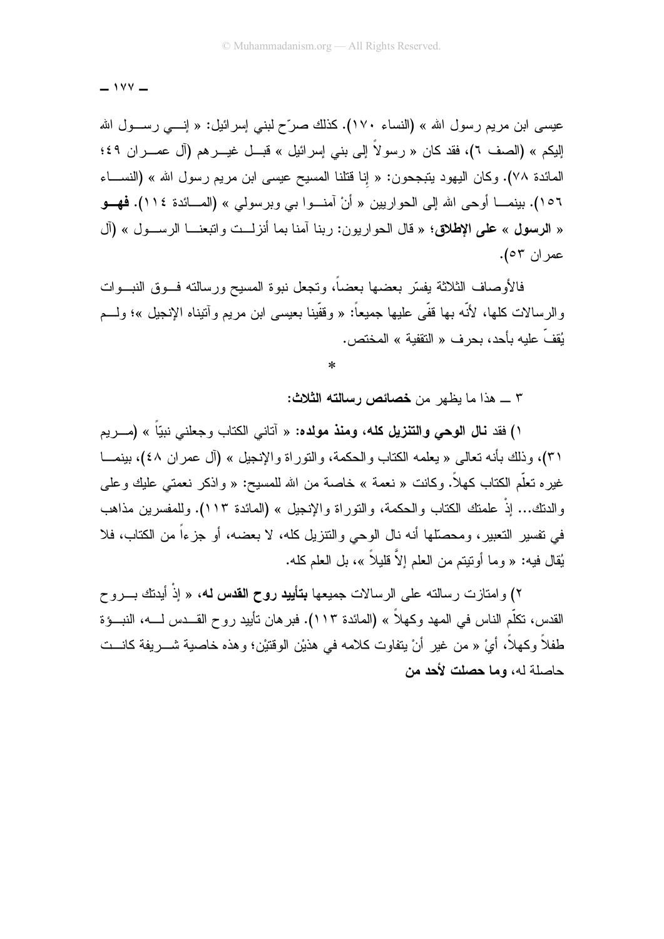$-144$ 

عيسى ابن مريم رسول الله » (النساء ١٧٠). كذلك صرّح لبني إسرائيل: « إنــــى رســـول الله الِيكم » (الصف ٦)، فقد كان « رسولاً إلى بني إسرائيل » قبـــل غيـــرهم (آل عمـــران ٤٩؛ المائدة ٧٨). وكان اليهود يتبجحون: « إنا قتلنا المسيح عيسى ابن مريم رسول الله » (النســـاء ١٥٦). بينمــــا أو حي الله إلى الحواريين « أنْ آمنـــوا بـي وبرسولي » (المـــائدة ١١٤). **فهـــو** « الرسول » على الإطلاق؛ « قال الجواريون: ربنا آمنا بما أنزلت واتبعنــا الرســول » (آل عمر ان ٥٣).

فالأوصياف الثلاثة يفسّر بعضها بعضاً، وتجعل نبوة المسيح ورسالته فسوق النبسوات , الر سالات كلـها، لأنَّه بـها قفَّى عليها جميعاً: « وقفَّينا بـعيسى ابن مريم وآنيناه الإنـجيل »؛ ولـــم يُقفّ عليه بأحد، بحر ف « النقفية » المختص.

٣ \_ هذا ما بظهر ٍ من خصائص رسالته الثلاث:

י) فقد **نال الوحي والتنزيل كله، ومنذ مولده:** « آتاني الكتاب وجعلني نبيّاً » (مـــريم ٣١)، وذلك بأنه تعالى « يعلمه الكتاب والحكمة، والنوراة والإنجيل » (أل عمر إن ٤٨)، بينمـــا غير ه تعلُّم الكتاب كهلاً. وكانت « نعمة » خاصة من الله للمسيح: « و اذكر نعمتي عليك و علي والدنك... إذْ علمتك الكتاب والحكمة، والتوراة والإنجيل » (المائدة ١١٣). وللمفسرين مذاهب في نفسير النعبير، ومحصَّلها أنه نال الوحي والنتزيل كله، لا بعضه، أو جزءاً من الكتاب، فلا يُقال فيه: « وما أونيتم من العلم إلاّ قليلاً »، بل العلم كله.

۲) وامتازت رسالته على الرسالات جميعها **بتأييد روح القدس له،** « إذْ أيدنك بــــروح القدس، تكلُّم الناس في المهد وكهلاً » (المائدة ١١٣). فبر هان تأييد روح القـــدس لــــه، النبـــوْة طفلاً وكهلاً، أيْ « من غير أنْ يتفاوت كلامه في هذيْن الوقتيْن؛ وهذه خاصية شــــريفة كانـــت حاصلة له، وما حصلت لأحد من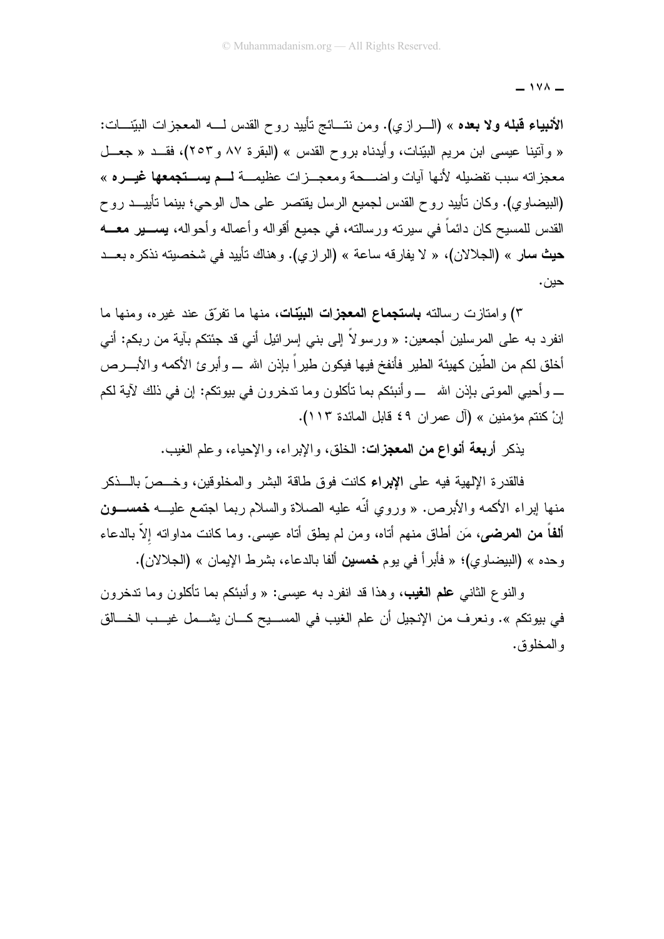$-144-$ 

**الأنبياء قبله ولا بعده** » (الـــرازي). ومن نتـــائج تأييد روح القدس لــــه المعجزات البيّنــــات: « وأتينا عيسى ابن مريع البيّنات، وأيدناه بروح القدس » (البقرة ٨٧ و٢٥٣)، فقــد « جعــل معجز اته سبب تفضيله لأنها آيات واضــــحة ومعجـــز ات عظيمـــة لمـــم يســـتجمعها غيـــره » (البيضاوي). وكان تأييد روح القدس لجميع الرسل يقتصر على حال الوحي؛ بينما تأييـــد روح القدس للمسيح كان دائماً في سيرته ورسالته، في جميع أقواله وأعماله وأحواله، يســـير معـــه حيث سار » (الجلالان)، « لا يفار قه ساعة » (الر از ي). و هناك تأييد في شخصيته نذكر ه بعــد حين.

٣) وامتازت رسالته **باستجماع المعجزات البيّنات**، منها ما تفرّق عند غيره، ومنها ما انفرد به على المرسلين أجمعين: « ورسولاً إلى بني إسرائيل أني قد جئتكم بآية من ربكم: أني أخلق لكم من الطَّين كهيئة الطير فأنفخ فيها فيكون طيراً بإذن الله \_ وأبرئ الأكمه والأبــــرص \_ وأحيى الموتى بإذن الله \_ وأنبئكم بما تأكلون وما تدخرون في بيوتكم: إن في ذلك لآية لكم إنْ كنتم مؤمنين » (آل عمر ان ٤٩ قابل المائدة ١١٣).

يذكر أ**ربعة أنواع من المعجزات:** الخلق، والإبراء، والإحياء، وعلم الغيب.

فالقدر ة الإلهية فيه على الإبراء كانت فوق طاقة البشر والمخلوقين، و خــص ّ بالـــذكر منها لبراء الأكمه والأبرص. « وروي أنَّه عليه الصلاة والسلام ربما اجتمع عليـــه **خمســـون ألفاً من المرضى،** مَن أطاق منهم أناه، ومن لم يطق أناه عيسى. وما كانت مداوانه إلاّ بالدعاء وحده » (البيضاوي)؛ « فأبرأ في يوم **خمسين** ألفا بالدعاء، بشرط الإيمان » (الجلالان).

والنوع الثاني **علم الغيب،** وهذا قد انفر د به عبسي: « وأنبئكم بما تأكلون وما تدخرون في بيوتكم ». ونعرف من الإنجيل أن علم الغيب في المســـيح كـــان يشـــمل غيـــب الخـــالق و المخلوق.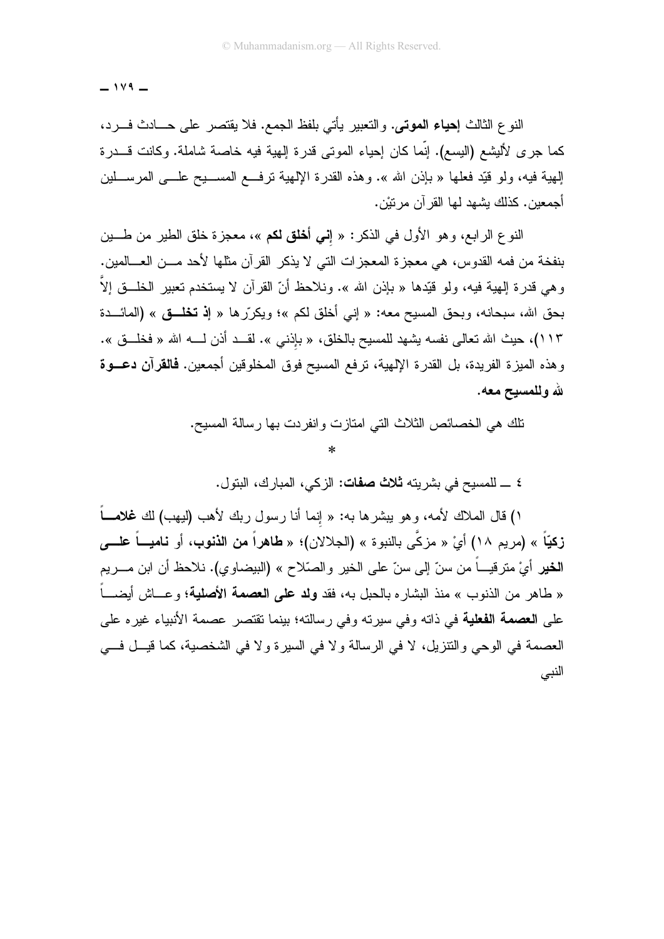$-149 -$ 

النوع الثالث إ**حياء الموتى.** والتعبير يأتي بلفظ الجمع. فلا يقتصر على حـــادث فـــرد، كما جرى لأليشع (اليسع). إنَّما كان إحياء الموتى قدرة إلهية فيه خاصة شاملة. وكانت قـــدرة الِهية فيه، ولو قُيِّد فعلها « بإذن الله ». وهذه القدرة الإلهية ترفـــع المســــيح علــــي المرســـلين أجمعين. كذلك بشهد لها القر آن مر نبْن.

النوع الرابع، وهو الأول في الذكر: « إ**ني أخلق لكم** »، معجزة خلق الطير من طــــين بنفخة من فمه القدوس، هي معجز ة المعجز ات التي لا يذكر القر آن مثلها لأحد مـــن العــــالمين. وهي قدرة الهية فيه، ولو قُيِّدها « بإذن الله ». ونلاحظ أنّ القرآن لا يستخدم تعبير الخلَّــق إلاّ ا بحق الله، سبحانه، وبحق المسيح معه: « إني أخلق لكم »؛ ويكرِّر ها « إ**ذ تخلُّــق** » (المائـــدة ١١٣)، حيث الله تعالى نفسه يشهد للمسيح بالخلق، « بإذني ». لقــد أذن لــــه الله « فخلـــق ». وهذه الميزة الفريدة، بل القدرة الإلهية، ترفع المسيح فوق المخلوقين أجمعين. **فالق**رآ**ن دعـــوة** لله وللمسبح معه.

تلك هي الخصائص الثلاث التي امتازت وانفردت بها رسالة المسيح.

 $\ast$ 

٤ \_ للمسيح في بشريته ثلاث صفات: الزكي، المبارك، البتول.

') قال الملاك لأمه، وهو ببشرها به: « إنما أنا رسول ربك لأهب (ليهب) لك **غلامــــ**اً زكيّاً » (مريم ١٨) أيْ « مزكّى بالنبوة » (الجلالان)؛ « طاهراً من الذنوب، أو ناميـــاً علــــى **الخير** أيْ مترقيــــاً من سنّ إلى سنّ على الخير والصّلاح » (البيضاوي). نلاحظ أن ابن مــــريم « طاهر من الذنوب » منذ البشاره بالحبل به، فقد **ولد على العصمة الأصلية؛** وعـــاش أيضــــاً على ا**لعصمة الفعلية** في ذاته وفي سيرته وفي رسالته؛ بينما تقتصر عصمة الأنبياء غيره على العصمة في الوحي والنتزيل، لا في الرسالة ولا في السيرة ولا في الشخصية، كما قيــل فـــي النبي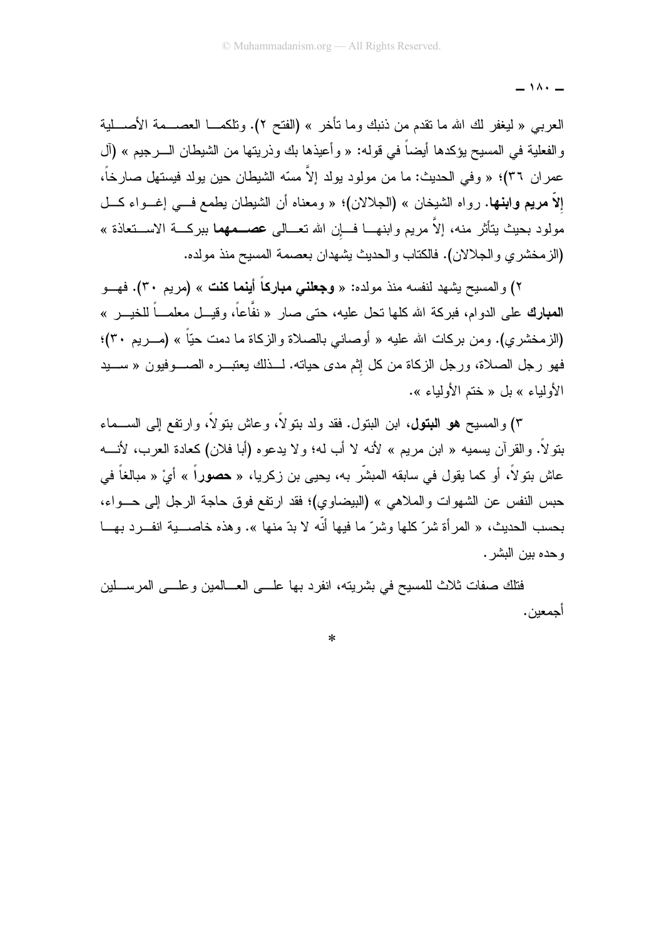$-11.2$ 

العربـي « ليغفر لك الله ما نقدم من ذنبك وما نأخر » (الفتح ٢). ونلكمـــا العصــــمة الأصــــلية والفعلية في المسيح بؤكدها أيضاً في قوله: « وأعيذها بك وذريتها من الشيطان الــــرجيم » (آل عمر ان ٣٦)؛ « وفي الحديث: ما من مولود يولد إلاّ مسّه الشيطان حين يولد فيستهل صار خاً، إلاّ مريع وابنها. رواه الشيخان » (الجلالان)؛ « ومعناه أن الشيطان بطمع في إغــواء كــل مولود بحيث يتأثَّر منه، إلاَّ مريم وابنهـــا فـــاٍن الله تعـــالـى **عصـــمهما** ببركـــة الاســـتعاذة » (الزمخشري والجلالان). فالكتاب والحديث يشهدان بعصمة المسيح منذ مولده.

٢) والمسيح يشهد لنفسه منذ مولده: « **وجعلني مباركاً أينما كنت** » (مريم ٣٠). فهــو ا**لمبارك** على الدوام، فبركة الله كلها تحل عليه، حتى صار « نفَّاعاً، وقيـــل معلمـــاً للخيـــر » (الزمخشري). ومن بركات الله عليه « أوصانبي بالصلاة والزكاة ما دمت حيّاً » (مــــريم ٣٠)؛ فهو رجل الصلاة، ورجل الزكاة من كل إثم مدى حياته. لـــذلك يعتبــــره الصـــــوفيون « ســــيد الأولياء » بل « ختم الأولياء ».

٣) و المسيح هو البتولي، ابن البتول. فقد ولد بتو لاً، و عاش بتو لاً، و ارتفع إلى الســـماء بنولاً. والقرآن بسميه « ابن مريع » لأنه لا أب له؛ ولا يدعوه (أبا فلان) كعادة العرب، لأنــــه عاش بتولاً، أو كما يقول في سابقه المبشّر به، يحيى بن زكريا، « حصوراً » أيْ « مبالغاً في حبس النفس عن الشهوات والملاهي » (البيضاوي)؛ فقد ارتفع فوق حاجة الرجل إلى حـــواء، بحسب الحديث، « المر أة شرّ كلَّها وشرّ ما فيها أنَّه لا بدّ منها ». وهذه خاصــــية انفـــرد بهـــا و حده بين البشر .

فتلك صفات ثلاث للمسيح في بشريته، انفرد بها علـــي العـــالمين وعلـــي المرســـلين أجمعبن.

 $\ast$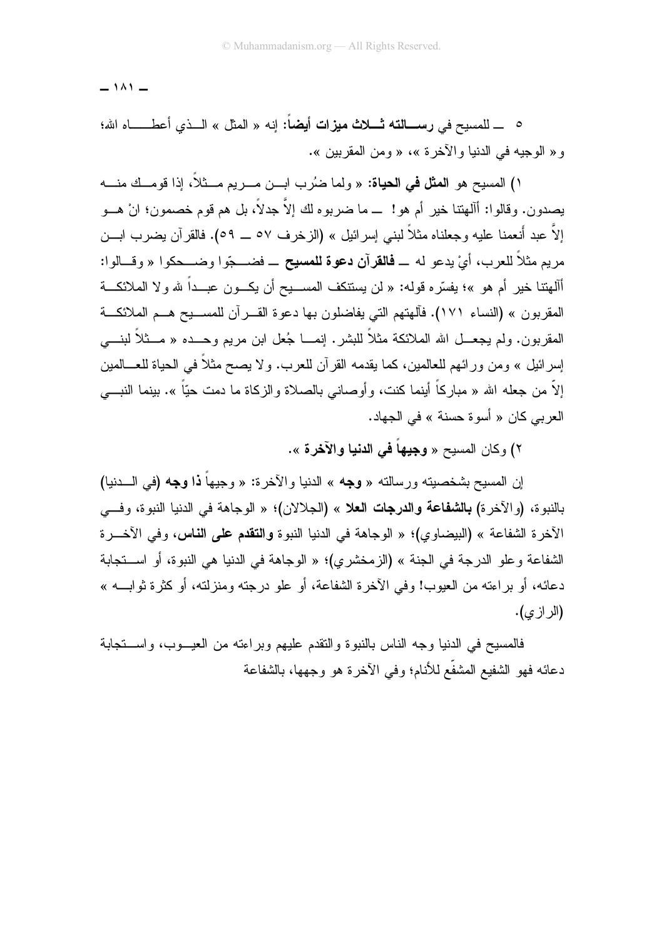$-141 -$ 

و « الوجيه في الدنيا والآخر ة »، « ومن المقربين ».

י) المسيح هو ا**لمثل في الحياة**: « ولما ضُرِب ابــن مـــريم مـــثلاً، إذا قومـــك منـــه يصدون. وقالوا: أآلهنتا خير أم هو! ــ ما ضربوه لك إلاَّ جدلاً، بل هم قوم خصمون؛ انْ هـــو إلاَّ عبد أنعمنا عليه وجعلناه مثلاً لبني إسرائيل » (الزخرف ٥٧ ـــ ٥٩). فالقرآن يضرب ابـــن مربع مثلاً للعرب، أيْ بدعو له \_ **فالق**رآ**ن دعوة للمسيح** \_ فضـــجّوا وضـــحكوا « وقــالوا: أآلهتنا خير أم هو »؛ يفسّره قوله: « لن يستنكف المســـيح أن يكـــون عبـــداً لله ولا الملائكـــة المقربون » (النساء ١٧١). فآلهتهم التي يفاضلون بها دعوة القـــر آن للمســـيح هـــم الملائكـــة المقربون. ولم يجعـــل الله الملائكة مثلاً للبشر. إنمــــا جُعل ابن مريم وحـــده « مـــثلاً لبنــــي إسرائيل » ومن ورائهم للعالمين، كما يقدمه القرآن للعرب. ولا يصح مثلاً في الحياة للعـــالمين إلاّ من جعله الله « مباركاً أينما كنت، وأوصانـى بالصـلاة والزكـاة ما دمت حيّاً ». بينما النبــــى العربي كان « أسوة حسنة » في الجهاد.

٢) وكان المسيح « **وجيهاً في الدنيا والآخرة** ».

إن المسيح بشخصيته ورسالته « **وجه** » الدنيا والآخرة: « وجيهاً **ذا وجه (**في الـــدنيا) بالنبو ة، (والآخر ة) **بالشفاعة والدرجات الع**لا » (الجلالان)؛ « الوجاهة في الدنيا النبوة، وف*ي* الآخر ة الشفاعة » (البيضاوي)؛ « الوجاهة في الدنيا النبوة وا**لتقدم على الناس،** وفي الآخــر ة الشفاعة و علو الدرجة في الجنة » (الزمخشري)؛ « الوجاهة في الدنيا هي النبوة، أو اســـتجابة دعائه، أو براءته من العيوب! وفي الآخرة الشفاعة، أو علو درجته ومنزلته، أو كثرة ثوابــــه » (الر از ی).

فالمسيح في الدنيا وجه الناس بالنبوة والنقدم عليهم وبراءته من العيـــوب، واســـنجابة دعائه فهو الشفيع المشفّع للأنام؛ وفي الآخرة هو وجهها، بالشفاعة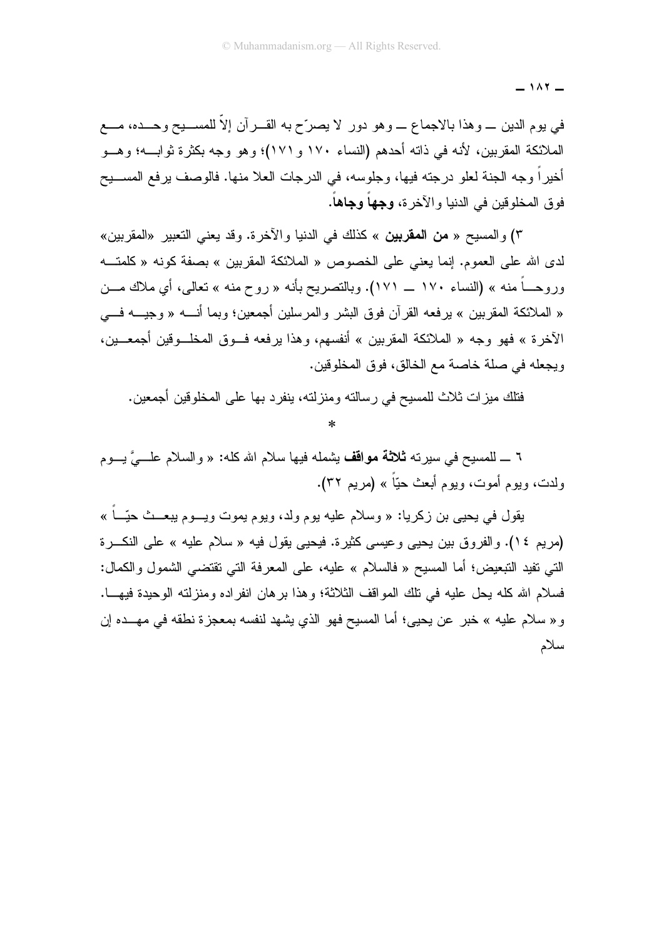$-111$ 

في يوم الدين \_ وهذا بالاجماع \_ وهو دور لا يصرِّح به القـــران إلاّ للمســـيح وحـــده، مــــع الملائكة المقربين، لأنه في ذاته أحدهم (النساء ١٧٠ و ١٧١)؛ وهو وجه بكثرة ثوابـــه؛ وهـــو أخيراً وجه الجنة لعلو درجته فيها، وجلوسه، في الدرجات العلا منها. فالوصف يرفع المســـيح فوق المخلوقين في الدنيا و الآخر ة، وجهاً وجاهاً.

٣) والمسيح « **من المقربين** » كذلك في الدنيا والآخرة. وقد يعني التعبير «المقربين» لدى الله على العموم. إنما يعني على الخصوص « الملائكة المقربين » بصفة كونه « كلمتــه وروحــــاً منه » (النساء ١٧٠ ــــ ١٧١). وبالنصريح بأنه « روح منه » تعالى، أي ملاك مـــن « الملائكة المقرِّبين » يرفِّعه القرآن فوق البشر والمرسلين أجمعين؛ وبما أنَّـــه « وجيـــه فــــى الآخر ة » فهو وجه « الملائكة المقربين » أنفسهم، وهذا يرفعه فــوق المخلــوقين أجمعــين، ويجعله في صلة خاصة مع الخالق، فوق المخلوفين.

فتلك ميزات ثلاث للمسيح في رسالته ومنزلته، ينفرد بها على المخلوفين أجمعين.

 $\ast$ 

٦ \_ للمسيح في سيرته **ثلاثة مواقف** بشمله فيها سلام الله كله: « والسلام علـــيَّ بـــوم ولدت، ويوم أموت، ويوم أبعث حيًّا » (مريم ٣٢).

يقول في يحيى بن زكريا: « وسلام عليه يوم ولد، ويوم يموت ويـــوم يبعـــث حيّـــا » (مريم ١٤). والفروق بين يحيى وعيسى كثيرة. فيحيى يقول فيه « سلام عليه » على النكـــرة النَّبي تفيد التَّبعيض؛ أما المسيح « فالسلام » عليه، على المعرفة الَّتي تقتضـي الشَّمول والكمال: فسلام الله كله يحل عليه في تلك المواقف الثلاثة؛ وهذا برهان انفر اده ومنزلته الوحيدة فيهـــا. و « سلام عليه » خبر ٍ عن يحيى؛ أما المسيح فهو الذي يشهد لنفسه بمعجزة نطقه في مهـــده إن سلام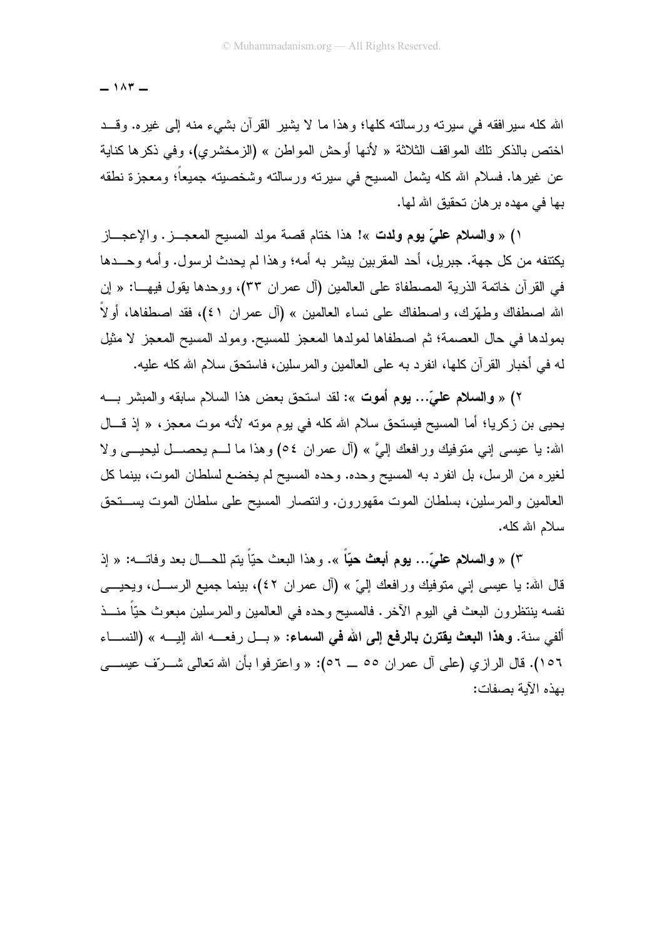$-107-$ 

الله كله سيرافقه في سيرته ورسالته كلها؛ وهذا ما لا يشير القرآن بشيء منه إلى غيره. وقــد اختص بالذكر تلك المواقف الثلاثة « لأنها أوحش المواطن » (الزمخشري)، وفي ذكر ها كناية عن غيرها. فسلام الله كله بِشمل المسيح في سيرته ورسالته وشخصيته جميعاً؛ ومعجزة نطقه بـها فـي مـهده بر هان تحقبق الله لـها.

١) « والسلام علىَّ يوم ولدت »! هذا ختام قصة مولد المسيح المعجــز. والإعجـــاز يكتنفه من كل جهة. جبر بل، أحد المقر بين بيشر به أمه؛ و هذا لم يحدث لر سول. و أمه و حـــدها في القرآن خاتمة الذرية المصطفاة على العالمين (آل عمران ٣٣)، ووحدها يقول فيهـــــا: « إن الله اصطفاك وطهَّرك، واصطفاك على نساء العالمين » (آل عمر ان ٤١)، فقد اصطفاها، أولاً بمولدها في حال العصمة؛ ثم اصطفاها لمولدها المعجز للمسبح. ومولد المسبح المعجز لا مثيل له في أخبار القرآن كلها، انفرد به على العالمين والمرسلين، فاستحق سلام الله كله عليه.

٢) « والسلام عليِّ... يوم أموت »: لقد استحق بعض هذا السلام سابقه والمبشر بـــه يحيى بن زكريا؛ أما المسيح فيستحق سلام الله كله في يوم موته لأنه موت معجز، « إذ قـــال الله: يا عيسى إني متوفيك ورافعك إليَّ » (أل عمران ٥٤) وهذا ما لـــم يحصـــل ليحيـــي ولا لغيره من الرسل، بل انفرد به المسيح وحده. وحده المسيح لم يخضع لسلطان الموت، بينما كل العالمين والمرسلين، بسلطان الموت مقهورون. وانتصار المسيح على سلطان الموت يستحق سلام الله كله.

٣) « وال**سلام عليّ... يوم أبعث حيّاً** ». وهذا البعث حيّاً يتم للحـــال بعد وفاتــــه: « إذ قال الله: يا عيسى إني متوفيك ورافعك إليّ » (آل عمران ٤٢)، بينما جميع الرســـل، ويحيـــي نفسه بنتظرون البعث في اليوم الآخر . فالمسيح وحده في العالمين والمرسلين مبعوث حيّاً منـــذ ألفي سنة. **وهذا البعث يقترن بالرفع إلى الله في السماء:** « بــل رفعـــه الله إليــــه » (النســـاء ١٥٦). قال الرازي (علي أل عمران ٥٥ \_ ٥٦): « واعترفوا بأن الله تعالى شــرّف عيســـي بهذه الآبة بصفات: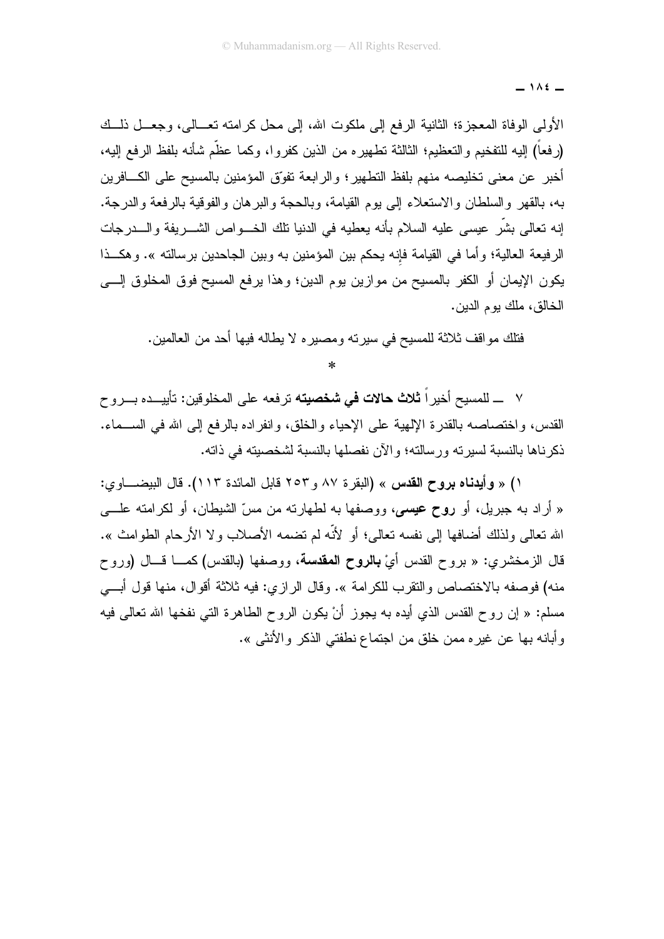$-105$ 

الأولى الوفاة المعجزة؛ الثانية الرفع إلى ملكوت الله، إلى محل كرامته نعــالى، وجعــل ذلــك (رفعاً) إليه للتفخيم والتعظيم؛ الثالثة تطهيره من الذين كفروا، وكما عظَّم شأنه بلفظ الرفع إليه، أخبر ٍ عن معنى تخليصه منهم بلفظ التطهير ؛ والر ابعة تفوِّق المؤمنين بالمسيح على الكـــافرين به، بالقهر والسلطان والاستعلاء إلى بو م القبامة، وبالحجة و البر هان و الفوقية بالر فعة و الدر جة. إنه نعالى بشَّر عيسى عليه السلام بأنه يعطيه في الدنيا نلك الخـــواص الشــــريفة والــــدرجات الرفيعة العالية؛ وأما في القيامة فإنه يحكم بين المؤمنين به وبين الجاحدين برسالته ». وهكــذا يكون الإيمان أو الكفر بالمسيح من موازين يوم الدين؛ وهذا يرفع المسيح فوق المخلوق إلـــي الخالق، ملك يوم الدين.

فتلك مواقف ثلاثة للمسيح في سيرته ومصيره لا يطاله فيها أحد من العالمين.

٧ ـــ للمسيح أخير اً **ثلاث حالات في شخصيته** تر فعه على المخلو قين: تأييـــده بـــروح القدس، واختصاصه بالقدرة الإلهية على الإحياء والخلق، وانفراده بالرفع إلى الله في الســـماء. ذكر ناها بالنسبة لسبر ته ور سالته؛ و الآن نفصلها بالنسبة لشخصبته في ذاته.

١) « وأيدناه بروح القدس » (البقرة ٨٧ و٢٥٣ قابل المائدة ١١٣). قال البيضــــاوي: « أراد به جبريل، أو **روح عيسى**، ووصفها به لطهارنه من مسّ الشيطان، أو لكرامنه علــــى الله نعالى ولذلك أضافها إلى نفسه نعالى؛ أو لأنَّه لم نضمه الأصلاب ولا الأرحام الطوامث ». قال الزمخشري: « بروح القدس أيْ **بالروح المقدسة**، ووصفها (بالقدس) كمـــا قـــال (وروح منه) فوصفه بالاختصاص والنقرب للكرامة ». وقال الرازي: فيه ثلاثة أقوال، منها قول أبـــي مسلم: « إن روح القدس الذي أيده بـه يجوز أنْ يكون الروح الطاهرة التـّي نفخها الله تعالى فيه وأبانه بها عن غيره ممن خلق من اجتماع نطفتي الذكر والأنثبي ».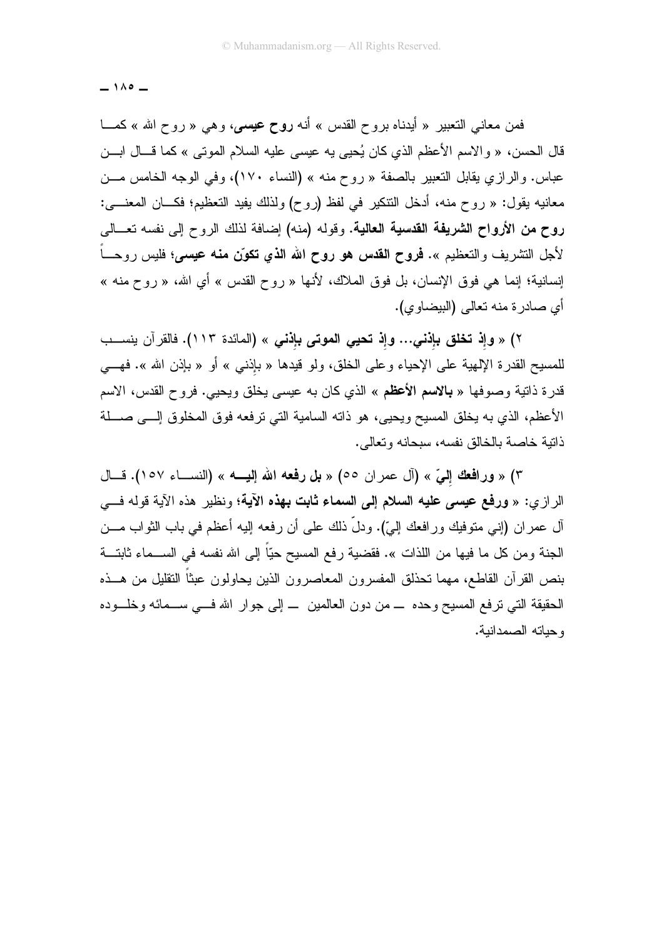$-100-$ 

فمن معاني النعبير « أيدناه بروح القدس » أنه **روح عيسى،** وهي « روح الله » كمـــا قال الحسن، « والاسم الأعظم الذي كان يُحيى يه عيسى عليه السلام الموتى » كما قـــال ابـــن عباس. والرازي يقابل التعبير بالصفة « روح منه » (النساء ١٧٠)، وفي الوجه الخامس مـــن معانيه يقول: « روح منه، أدخل النتكير في لفظ (روح) ولذلك يفيد التعظيم؛ فكـــان المعنــــي: روح من الأرواح الشريفة القدسية العالية. وقوله (منه) إضافة لذلك الروح إلى نفسه نعــالى لأجل التشريف والتعظيم ». **فروح القدس هو روح الله الذي تكوّن منه عيسى؛** فليس روحــاً إنسانية؛ إنما هي فوق الإنسان، بل فوق الملاك، لأنها « روح القدس » أي الله، « روح منه » أي صادرة منه تعالى (البيضاوي).

٢) « وإذ تخلق بإذنـي... وإذ تحيى الموتى بإذنـى » (المائدة ١١٣). فالقرآن ينســب للمسيح القدرة الإلهية على الإحياء وعلى الخلق، ولو قيدها « بإذنبي » أو « بإذن الله ». فهـــي قدرة ذاتية وصوفها « **بالاسم الأعظم** » الذي كان به عيسى يخلق ويحيى. فروح القدس، الاسم الأعظم، الذي به يخلق المسيح ويحيى، هو ذاته السامية التي ترفعه فوق المخلوق إلـــي صــــلة ذاتية خاصة بالخالق نفسه، سبحانه وتعالى.

٣) « ورافعك إلىّ » (آل عمر ان ٥٥) « بل رفعه الله إليه » (النســاء ١٥٧). فــال الرازي: « ورفع عي*سى* عليه السلام إلى السماء ثابت بهذه الآية؛ ونظير هذه الآية قوله ف<sub>سى</sub> أل عمر ان (إنـي منوفيك ورافعك إلـيّ). ودلَّ ذلك علـي أن رفعه إليه أعظم فـي باب الثواب مـــن الجنة ومن كل ما فيها من اللذات ». فقضية رفع المسيح حيّاً إلى الله نفسه في الســـماء ثابتـــة بنص القرآن القاطع، مهما نحذلق المفسرون المعاصرون الذين يحاولون عبثاً النقليل من هـــذه المحقيقة التبي نزفع المسيح وحده ــــ من دون العالمين ـــ إلى جوار الله فـــي ســـمائه وخلـــوده وحياته الصمدانية.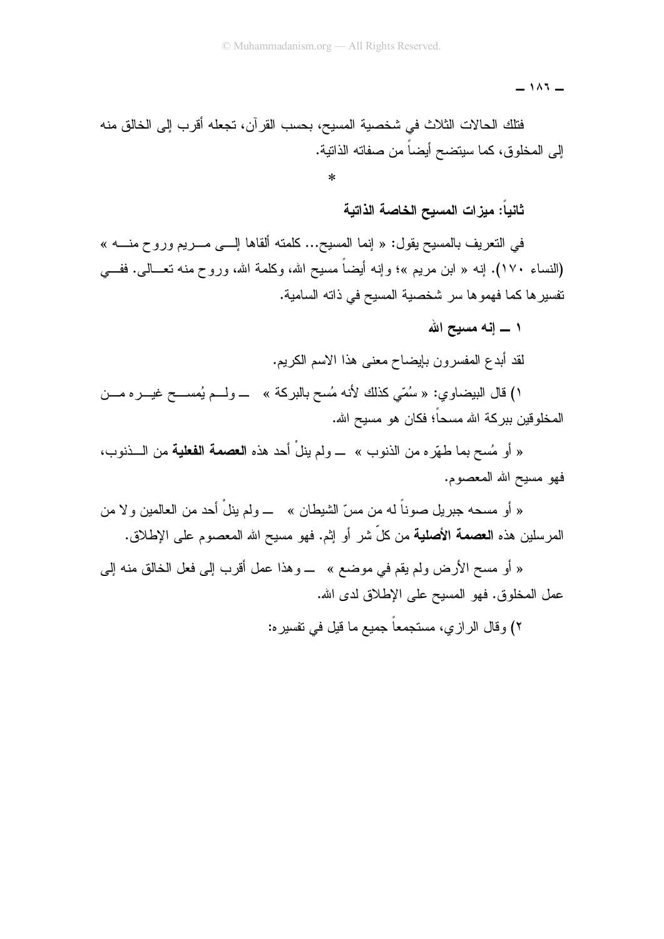$-111 -$ 

فتلك الحالات الثلاث في شخصية المسيح، بحسب القرآن، تجعله أقرب إلى الخالق منه إلى المخلوق، كما سيتضح أيضاً من صفاته الذاتية.

ثانياً: ميزات المسيح الخاصة الذاتية

في النعريف بالمسيح يقول: « إنما المسيح... كلمنه ألقاها إلـــي مــــريم وروح منــــه » (النساء ١٧٠). إنه « ابن مريم »؛ وإنه أيضاً مسيح الله، وكلمة الله، وروح منه تعـــالـي. ففــــي نفسير ها كما فهموها سر شخصية المسيح في ذاته السامية.

۱ ــــ انـه مسبـح الله

لقد أبدع المفسرون بإيضاح معنى هذا الاسم الكريم.

١) قال البيضاوي: « سُمَّى كذلك لأنه مُسح بالبركة » ـــ ولـــم يُمســـح غيــــره مــــن المخلوقين ببركة الله مسحاً؛ فكان هو مسيح الله.

« أو مُسح بما طهّره من الذنوب » ــــ ولم ينلْ أحد هذه ا**لعصمة الفعلية** من الــــذنوب، فهو مسيح الله المعصوم.

« أو مسحه جبريل صوناً له من مسّ الشيطان » ـــ ولم ينلْ أحد من العالمين و لا من المرسلين هذه ا**لعصمة الأصلية** من كلّ شر أو إثم. فهو مسيح الله المعصوم على الإطلاق.

« أو مسح الأرض ولم يقم في موضع » ــــ وهذا عمل أقرب إلى فعل الخالق منه إلى عمل المخلوق. فهو المسيح على الإطلاق لدى الله.

٢) وقال الرازي، مستجمعاً جميع ما قيل في تفسير ه: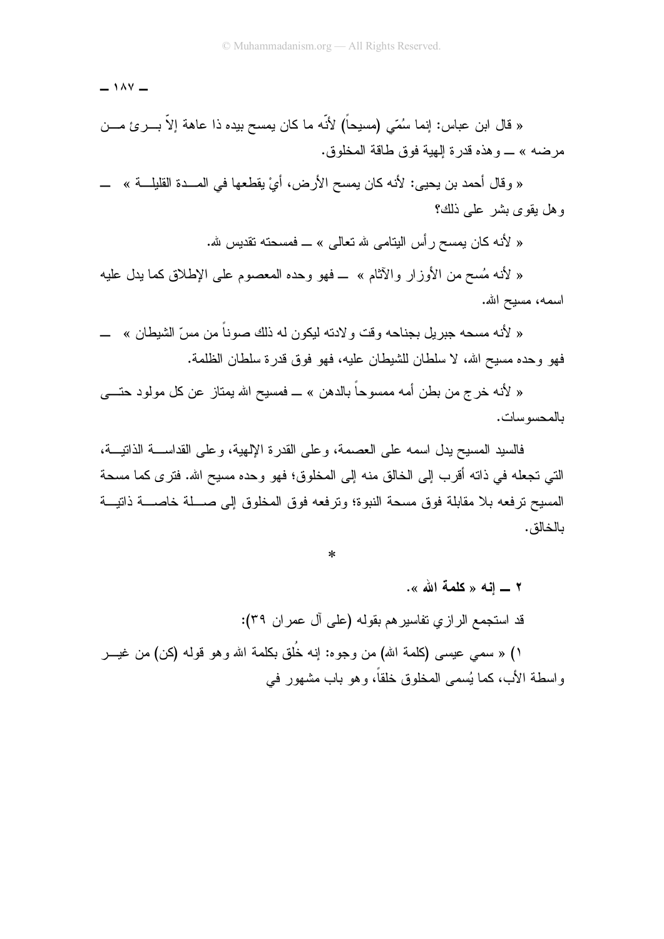$\sim$  1  $\land$  Y  $\sim$ 

« قال ابن عباس: إنما سُمّي (مسيحاً) لأنّه ما كان يمسح بيده ذا عاهة إلاّ بـــــرئ مــــن مرضه » ـــ و هذه قدر ة الِمِية فو ق طاقة المخلو ق.

« وقال أحمد بن يحيى: لأنه كان يمسح الأرض، أيْ يقطعها في المـــدة القليلـــة » ــــــــــــــــــــــــــــــ وهل يقوى بشر على ذلك؟

« لأنه كان بمسح ر أس البِتامي لله تعالى » ـــ فمسحته تقديس لله.

« لأنه مُسح من الأوزار والآثام » ــ فهو وحده المعصوم على الإطلاق كما يدل عليه اسمه، مسيح الله.

« لأنه مسحه جبر بل بجناحه وقت و لادته لبكون له ذلك صوناً من مسِّ الشيطان » ــــــــــــــــــــــــــــــــــ فهو وحده مسيح الله، لا سلطان للشيطان عليه، فهو فوق قدر ة سلطان الظلمة.

« لأنه خرج من بطن أمه ممسوحاً بالدهن » ــ فمسيح الله يمتاز عن كل مولود حتـــي بالمحسو سات.

فالسيد المسيح يدل اسمه على العصمة، و على القدر ة الإلهية، و على القداســـة الذاتيـــة، التي تجعله في ذاته أقرب إلى الخالق منه إلى المخلوق؛ فهو وحده مسيح الله. فترى كما مسحة المسيح ترفعه بلا مقابلة فوق مسحة النبوة؛ وترفعه فوق المخلوق إلى صـــلة خاصــــة ذاتيـــة بالخالق.

 $\ast$ 

٢ \_ إنه « كلمة الله ». قد استجمع الرازي تفاسيرهم بقوله (على آل عمر ان ٣٩): ۱) « سمي عيسى (كلمة الله) من وجوه: إنه خُلق بكلمة الله وهو قوله (كن) من غيـــر و اسطة الأب، كما يُسمى المخلوق خلقاً، و هو باب مشهور ً في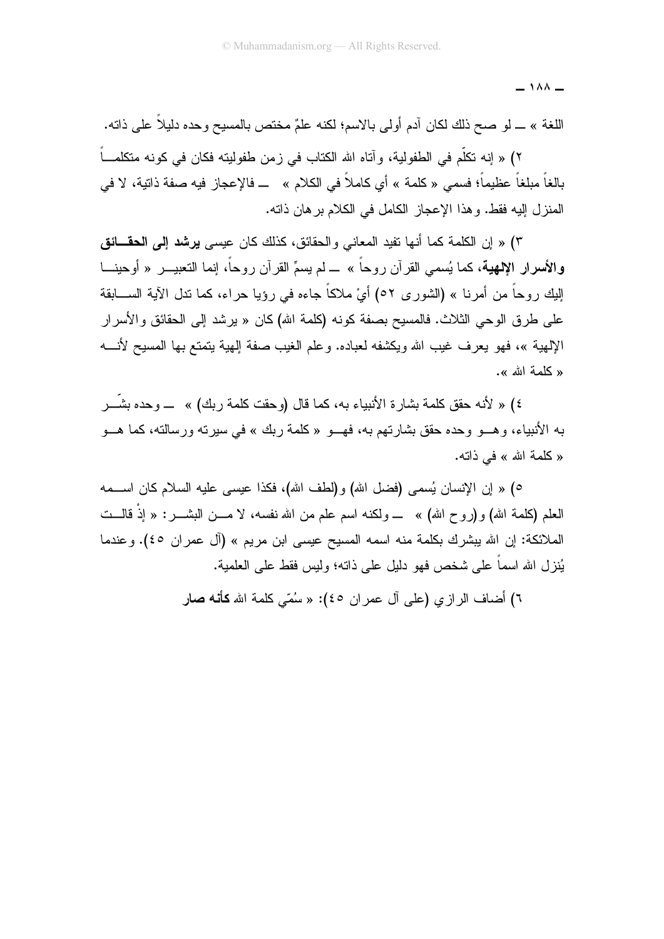$\overline{\phantom{0}}$  1  $\wedge\wedge\overline{\phantom{0}}$ 

اللغة » ــ لو صـح ذلك لكان أدم أولـى بـالاسم؛ لكنـه علمٌ مختص بالمسيح وحده دليلاً علـى ذاتـه.

٢) « إنه تكلَّم في الطفولية، و آتاه الله الكتاب في ز من طفوليته فكان في كو نه متكلمـــاً بالغاً مبلغاً عظيماً؛ فسمى « كلمة » أي كاملاً في الكلام » ـــ فالإعجاز فيه صفة ذاتية، لا في المنزل إليه فقط. وهذا الإعجاز الكامل في الكلام بر هان ذاته.

٣) « إن الكلمة كما أنها نفيد المعاني والحقائق، كذلك كان عيسى **يرشد إلى الحقـــائق** والأسرار الإلهية، كما يُسمى القرآن روحاً » ـــ لم يسمِّ القرآن روحاً، إنما النعبيــــر « أوحينــــا إليك روحاً من أمرنا » (الشورى ٥٢) أيْ ملاكاً جاءه في رؤيا حراء، كما ننل الآية الســـابقة علي طر ق الوحي الثلاث. فالمسيح بصفة كونه (كلمة الله) كان « يرشد إلى الحقائق والأسرار الإلهية »، فهو يعرف غيب الله ويكشفه لعباده. وعلم الغيب صفة إلهية يتمتع بها المسيح لأنسه « كلمة الله ».

٤) « لأنه حقق كلمة بشارة الأنبياء به، كما قال (وحقت كلمة ربك) » ــــ وحده بشّـــر به الأنبياء، وهـــو وحده حقق بشارتهم به، فهـــو « كلمة ربك » في سيرته ورسالته، كما هـــو « كلمة الله » في ذاته.

٥) « إن الإنسان يُسمى (فضل الله) و(لطف الله)، فكذا عيسى عليه السلام كان اســـمه العلم (كلمة الله) و(روح الله) » ـــ ولكنه اسم علم من الله نفسه، لا مــــن البشــــر : « إذْ قالـــت الملائكة: إن الله يبشرك بكلمة منه اسمه المسيح عيسى ابن مريم » (أل عمران ٤٥). وعندما يُنز ل الله اسماً على شخص فهو دليل على ذاته؛ وليس فقط على العلمية.

٦) أضاف الر از ي (علي آل عمر ان ٤٥): « سُمّي كلمة الله **كأنه صا**ر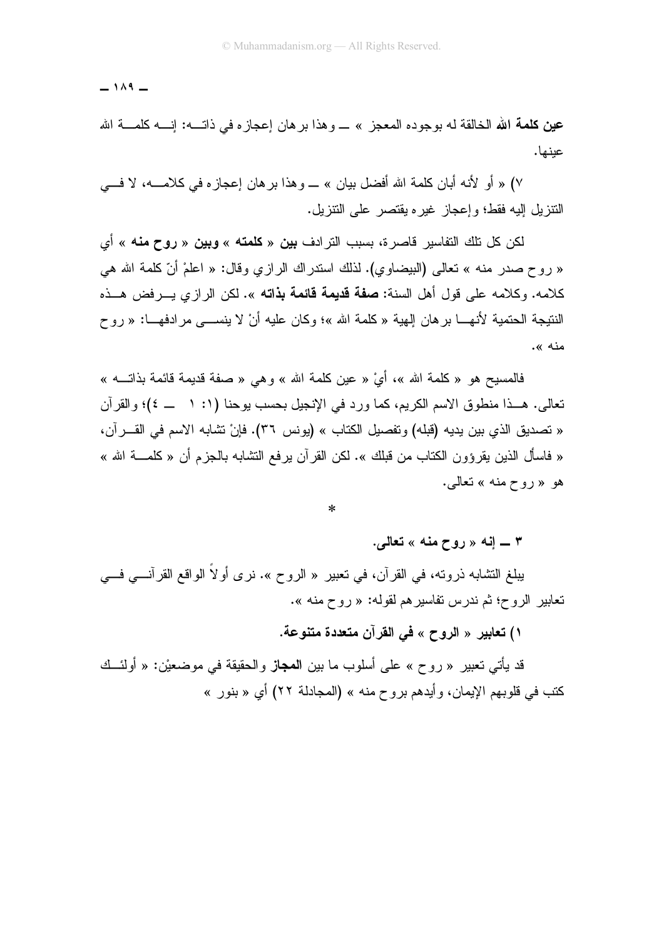$-14 -$ 

عينها.

y) « أو الأنه أبان كلمة الله أفضل بيان » ـــ و هذا بر هان إعجاز ه في كلامــــه، لا فــــي النتزيل البه فقط؛ وإعجاز غير ه بقتصر على النتزيل.

لكن كل تلك التفاسير قاصرة، بسبب الترادف **بين** « **كلمته** » **وبين** « **روح منه** » أي « روح صدر منه » تعالى (البيضاوي). لذلك استدراك الرازي وقال: « اعلمْ أنّ كلمة الله هي كلامه. وكلامه على قول أهل السنة: **صفة قديمة قائمة بذاته** ». لكن الرازي يـــرفض هـــذه النتيجة الحتمية لأنهـــا برهان الِهية « كلمة الله »؛ وكان عليه أنْ لا ينســـى مر ادفهـــا: « روح منه ».

فالمسيح هو « كلمة الله »، أيْ « عين كلمة الله » وهي « صفة قديمة قائمة بذاتــــه » تعالى. هــذا منطوق الاسم الكريم، كما ورد في الإنجيل بحسب يوحنا (١: ١ ـــ ٤)؛ والقرآن « تصديق الذي بين يديه (قبله) وتفصيل الكتاب » (يونس ٣٦). فإنْ تشابه الاسم في القــــرآن، « فاسأل الذين يقرؤون الكتاب من قبلك ». لكن القرآن يرفع التشابه بالجزم أن « كلمــــة الله » هو «روح منه » تعالى.

 $\ast$ 

۳ ــــ إنـه « روح منـه » تـعالـي.

يبلغ النشابه ذروته، في القرآن، في تعبير « الروح ». نرى أولاً الواقع القرآنـــي فـــي تعابير الروح؛ ثم ندرس تفاسير هم لقوله: « روح منه ».

١) تعابير « الروح » في القرآن متعددة متنوعة.

قد يأتي تعبير « روح » على أسلوب ما بين ا**لمجاز** والحقيقة في موضعيْن: « أولئـــك كتب في قلوبهم الإيمان، وأيدهم بروح منه » (المجادلة ٢٢) أي « بنور »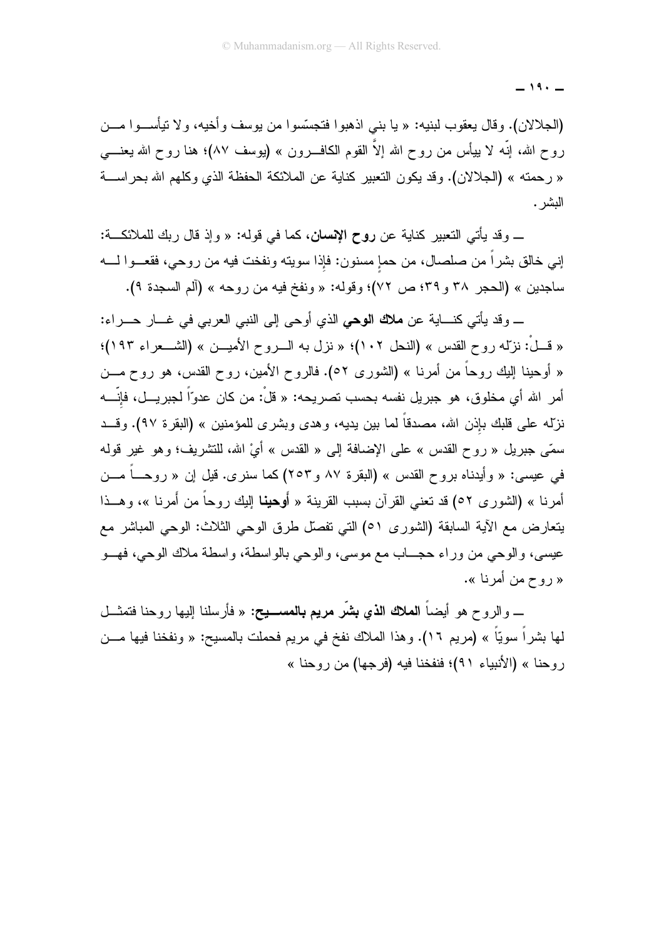$-19. -$ 

(الجلالان). وقال يعقوب لبنيه: « يا بني اذهبوا فتجسَّسوا من يوسف وأخيه، ولا تيأســـوا مـــن روح الله، إنَّه لا بيأس من روح الله إلاَّ القوم الكافــــرون » (يوسف ٨٧)؛ هنا روح الله يعنــــي « ر حمته » (الجلالان). وقد يكون التعبير كناية عن الملائكة الحفظة الذي وكلهم الله بحر اســـة البشر .

\_ وقد يأتي التعبير كناية عن **روح الإنسان**، كما في قوله: « وإذ قال ربك للملائكـــة: إني خالق بشراً من صلصال، من حمإ مسنون: فإذا سويته ونفخت فيه من روحي، فقعـــوا لــــه ساجدين » (الحجر ٣٨ و ٣٩؛ ص ٧٢)؛ وقوله: « ونفخ فيه من روحه » (ألم السجدة ٩).

\_ وقد يأتي كنساية عن **ملاك الوحي** الذي أوجي إلى النبي العربي في غسار حسر اء: « قَــلْ: نزلِّه روح القدس » (النحل ١٠٢)؛ « نزل به الـــروح الأميـــن » (الشـــعراء ١٩٣)؛ « أوحينا إليك روحاً من أمرنا » (الشورى ٥٢). فالروح الأمين، روح القدس، هو روح مـــن أمر الله أي مخلوق، هو جبر بِل نفسه بحسب تصر بِحه: « قلْ: من كان عدوّاً لجبر بِــل، فإنّــــه نزلّه علي قلبك بإذن الله، مصدقاً لما بين يديه، و هدى وبشر ى للمؤمنين » (البقر ة ٩٧). وقــد سمّى جبريل « روح القدس » على الإضافة إلى « القدس » أيْ الله، للتشريف؛ وهو غير قوله في عيسى: « وأيدناه بروح القدس » (البقرة ٨٧ و٢٥٣) كما سنرى. قيل إن « روحـــاً مـــن أمرنـا » (الشورى ٥٢) قد نـعنـى القرآن بسبب القرينـة « أوهينـا إليك روحاً من أمرنـا »، وهـــذا يتعارض مع الآية السابقة (الشورى ٥١) التي تفصل طرق الوحي الثلاث: الوحي المباشر مع عيسي، والوحي من وراء حجــــاب مع موسى، والوحي بالواسطة، واسطة ملاك الوحي، فهـــو « روح من أمرنا ».

\_ والروح هو أيضـاً **الملاك الذي بشَّر مريم بالمســـيح:** « فأرسلنا إليها روحنا فتمثـــل لمها بشراً سويّاً » (مريم ١٦). وهذا الملاك نفخ في مريم فحملت بالمسيح: « ونفخنا فيها مـــن روحنا » (الأنبياء ٩١)؛ فنفخنا فيه (فرجها) من روحنا »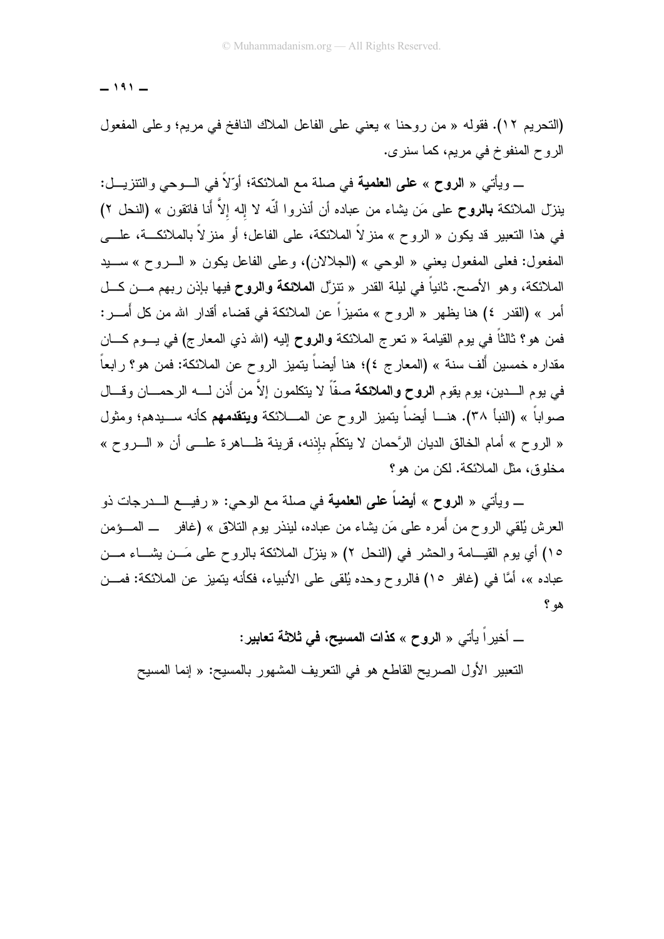$-191 -$ 

(التحريم ١٢). فقوله « من روحنا » يعني على الفاعل الملاك النافخ في مريم؛ وعلى المفعول الروح المنفوخ في مريع، كما سنري.

\_ ويأتي « ا**لروح** » **على العلمية** في صلة مع الملائكة؛ أوّلاً في الـــوحي والتنزيـــل: ينزل الملائكة **بالروح** على مَن يشاء من عباده أن أنذروا أنّه لا إله إلاَّ أنا فاتقون » (النحل ٢) في هذا التعبير قد يكون « الروح » منز لاً الملائكة، على الفاعل؛ أو منز لاً بالملائكـــة، علــــي المفعول: فعلي المفعول يعني « الوحي » (الجلالان)، وعلي الفاعل يكون « السروح » سبيد الملائكة، و هو الأصح. ثانياً في ليلة القدر « تتزَّل ا**لملائكة والروح** فيها بإذن ربهم مـــن كـــل أمر » (القدر ٤) هنا يظهر « الروح » متميز اً عن الملائكة في قضاء أقدار الله من كل أُمـــر : فمن هو؟ ثالثاً في يوم القيامة « تعرج الملائكة **والروح** إليه (الله ذي المعارج) في يـــوم كــــان مقداره خمسين أُلف سنة » (المعارج ٤)؛ هنا أيضاً يتميز الروح عن الملائكة: فمن هو؟ رابعاً في يوم الـــدين، يوم يقوم ا**لروح والملائكة** صفّاً لا يتكلمون إلاَّ من أذن لــــه الرحمــــان وقـــال صواباً » (النبأ ٣٨). هنـــا أيضاً يتميز الروح عن المــــلائكة **ويتقدمهم** كأنه ســـيدهم؛ ومثول « الروح » أمام الخالق الديان الرَّحمان لا ينكلُّم بإذنه، قرينة ظـــاهرة علــــى أن « الــــروح » مخلوق، مثل الملائكة. لكن من هو؟

\_ ويأتي « **الروح** » أ**يضاً على العلمية** في صلة مع الوحي: « رفيـــع الـــدرجات ذو العرش يُلقى الروح من أُمره على مَن بِشاء من عباده، لينذر يوم النلاق » (غافر ــ المـــؤمن ١٥) أي يوم القيـــامة والحشر في (النحل ٢) « ينزل الملائكة بالروح على مَـــن يشـــاء مـــن عباده »، أمَّا في (غافر ١٥) فالروح وحده يُلقى على الأنبياء، فكأنه بتميز عن الملائكة: فمـــن هو ؟

\_ أخيراً يأتي « الروح » كذات المسيح، في ثلاثة تعابير:

النعبير الأول الصريح القاطع هو في النعريف المشهور بالمسيح: « إنما المسيح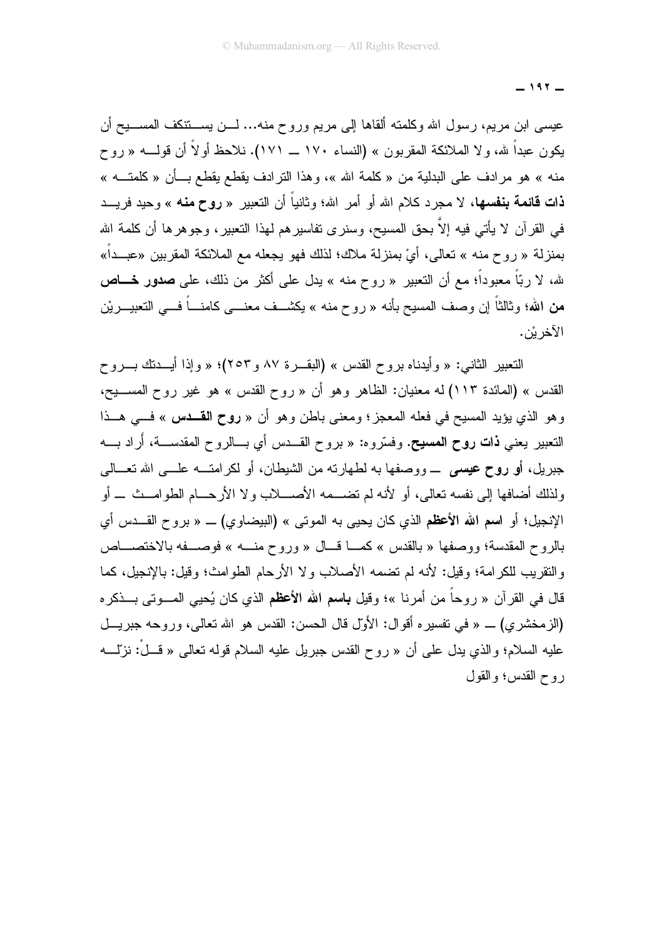$-197-$ 

عيسى ابن مريع، رسول الله وكلمته ألقاها إلى مريع وروح منه... لـــن يســــنتكف المســــيح أن يكون عبداً لله، ولا الملائكة المقربون » (النساء ١٧٠ ــ ١٧١). نلاحظ أولاً أن قولــــه « روح منه » هو مرادف على البدلية من « كلمة الله »، وهذا الترادف يقطع يقطع بــأن « كلمتـــه » **ذات قائمة بنفسها،** لا مجرد كلام الله أو أمر الله؛ وثانياً أن النعبير « **روح من**ه » وحيد فريـــد في القرآن لا يأتي فيه إلاَّ بحق المسيح، وسنرى نفاسير هم لهذا النعبير ، وجوهرها أن كلمة الله بمنزلة « روح منه » تعالى، أيْ بمنزلة ملاك؛ لذلك فهو يجعله مع الملائكة المقربين «عبــداً» لله، لا ربّاً معبوداً؛ مع أن النعبير « روح منه » بدل على أكثر من ذلك، على **صدور خــــاص** من الله؛ وثالثاً إن وصف المسيح بأنه « روح منه » بكشــف معنـــي كامنـــاً فـــي النعبيـــريْن الآخر بْن.

النعبير الثاني: « وأيدناه بروح القدس » (البقــرة ٨٧ و ٢٥٣)؛ « وإذا أيـــدتك بــروح القدس » (المائدة ١١٣) له معنيان: الظاهر وهو أن « روح القدس » هو غير روح المســـيح، وهو الذي يؤيد المسيح في فعله المعجز؛ ومعنى باطن وهو أن « **روح القـــدس** » فـــي هـــذا النعبير يعني **ذات روح المسيح.** وفسّروه: « بروح القـــدس أي بـــالروح المقدســـة، أراد بــــه جبريل، أو روح عيسى \_ ووصفها به لطهارته من الشيطان، أو لكر امتـــه علــــى الله تعـــالـى ولذلك أضافها إلى نفسه تعالى، أو 'لأنه لم تضـــمه الأصــــلاب و لا الأر حـــام الطو امـــث ـــ أو الإنجيل؛ أو ا**سم الله الأعظم** الذي كان يحيى به الموتى » (البيضاوي) ــ « بروح القــدس أي بالروح المقدسة؛ ووصفها « بالقدس » كمــا قــال « وروح منــه » فوصـــفه بالاختصـــاص والنقريب للكر امة؛ وقيل: لأنه لم تضمه الأصلاب ولا الأرحام الطوامث؛ وقيل: بالإنجيل، كما قال في القرآن « روحاً من أمرنا »؛ وقيل **بـاسم الله الأعظم** الذي كان يُحيى المـــوتي بـــذكره (الزمخشري) \_ « في نفسيره أقوال: الأول قال الحسن: القدس هو الله نعالي، وروحه جبريـــل عليه السلام؛ والذي يدل علي أن « روح القدس جبريل عليه السلام قوله نعالمي « قَـــلْ: نزيّـلــــه ر و ح القدس؛ و القول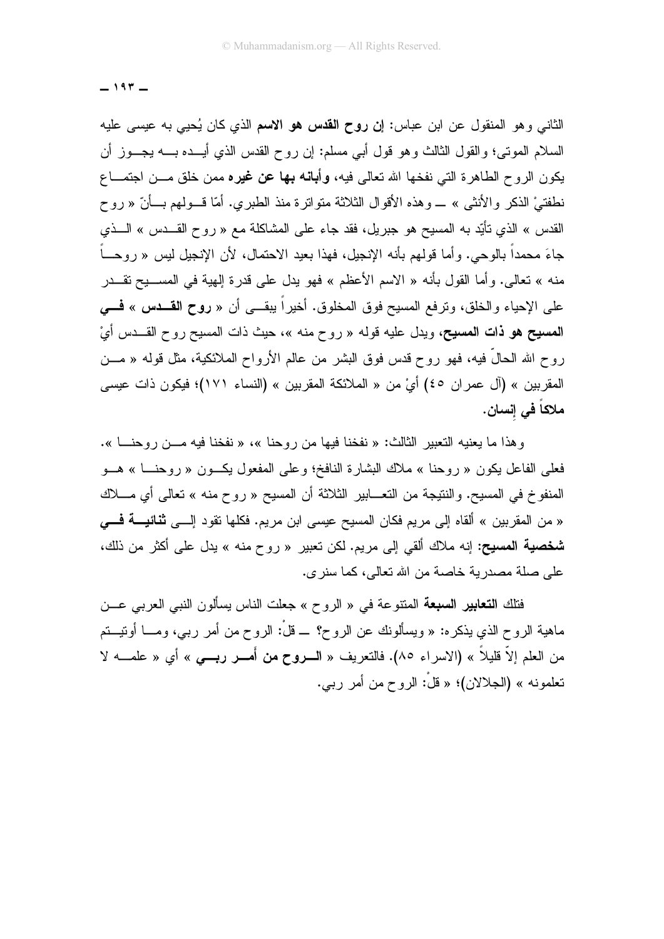$-197-$ 

الثاني وهو المنقول عن ابن عباس: إ**ن روح القدس هو الاسم** الذي كان يُحيى به عيسى عليه السلام الموتبي؛ والقول الثالث وهو قول أبي مسلم: إن روح القدس الذي أيـــده بــــه يجـــوز أن يكون الروح الطاهرة التي نفخها الله تعالى فيه، **وأبانـه بـها عن غيره** ممن خلق مـــن اجتمـــاع نطفتيْ الذكر والأنثى » \_ وهذه الأقوال الثلاثة متواترة منذ الطبري. أمّا قــولهم بــأنّ « روح القدس » الذي نأيِّد به المسيح هو جبريل، فقد جاء على المشاكلة مع « روح القـــدس » الـــذي جاءَ محمداً بالوحي. وأما قولهم بأنه الإنجيل، فهذا بعيد الاحتمال، لأن الإنجيل ليس « روحـــاً منه » تعالى. وأما القول بأنه « الاسم الأعظم » فهو يدل على قدرة إلهية في المســـيح تقـــدر على الإحياء والخلق، ونرفع المسيح فوق المخلوق. أخيراً بيقـــي أن « **روح القـــدس » فـــي** المصيح هو ذات المصيح، ويدل عليه قوله « روح منه »، حيث ذات المسيح روح القــدس أيْ روح الله الحالِّ فيه، فهو روح قدس فوق البشر من عالم الأرواح الملائكية، مثل قوله « مـــن المقربين » (آل عمران ٤٥) أيْ من « الملائكة المقربين » (النساء ١٧١)؛ فيكون ذات عيسى ملاكاً في إنسان.

وهذا ما يعنيه النعبير الثالث: « نفخنا فيها من روحنا »، « نفخنا فيه مـــن روحنــــا ». فعلي الفاعل بكون « روحنا » ملاك البشارة النافخ؛ وعلى المفعول بكــون « روحنـــا » هـــو المنفوخ في المسيح. والنتيجة من التعـــابير الثلاثة أن المسيح « روح منه » تعالى أي مــــلاك « من المقربين » ألقاه إلى مريم فكان المسيح عيسى ابن مريم. فكلها تقود إلـــى **ثنائيـــة فـــى شخصية المسيح:** إنه ملاك ألقى إلى مريم. لكن تعبير « روح منه » يدل على أكثر من ذلك، على صلة مصدرية خاصة من الله تعالى، كما سنر ي.

فتلك ا**لتعابير السبعة** المنتوعة في « الروح » جعلت الناس يسألون النبي العربي عـــن ماهية الروح الذي يذكره: « ويسألونك عن الروح؟ \_ قلْ: الروح من أمر ربـي، ومــــا أونيــــتم من العلم إلاَّ قليلاً » (الاسراء ٨٥). فالتعريف « السروح من أُمسر ربسي » أي « علمــــه لا تعلمونه » (الجلالان)؛ « قلْ: الروح من أمر ربي.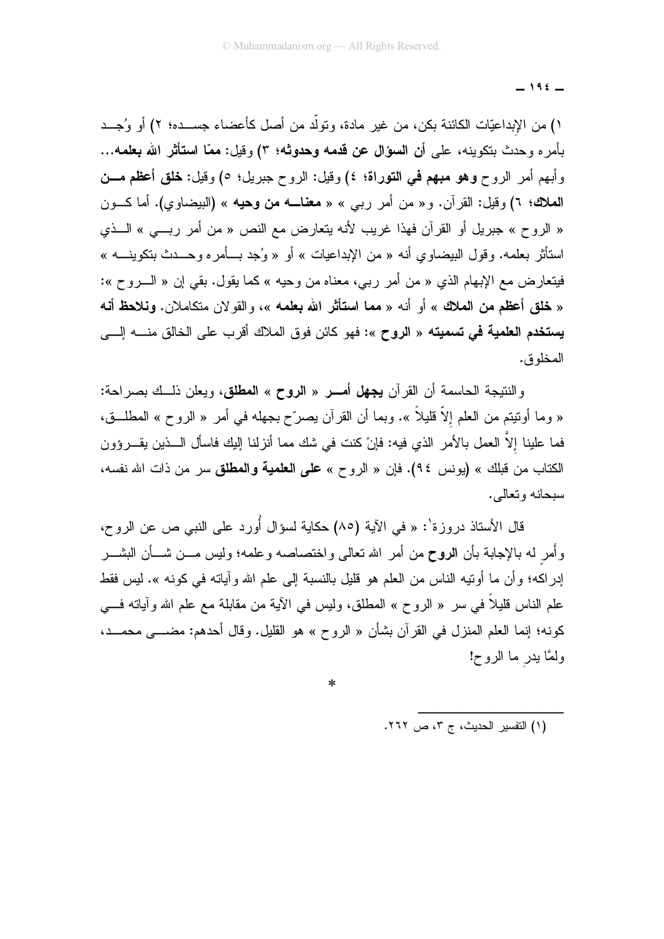$-196$ 

١) من الإبداعيّات الكائنة بكن، من غير مادة، وتولَّد من أصل كأعضاء جســـده؛ ٢) أو وُجـــد بأمر ه وحدث بنكوينه، على أن السؤال عن قدمه وحدوثه؛ ٣) وقيل: ممّا استأثر الله بعلمه... وأبهم أمر الروح **وهو مبهم في التوراة؛ ٤)** وقيل: الروح جبريل؛ ٥) وقيل: **خلق أعظم مـــن** المعلك؛ ٦) وقيل: القرآن. و« من أمر ربي » « معناـــه من وحيه » (البيضاوي). أما كـــون « الروح » جبريل أو القرآن فهذا غريب لأنه يتعارض مع النص « من أمر ربسي » الـــذي استأثر بعلمه. وقول البيضاوي أنه « من الإبداعيات » أو « وُجد بـــأمره وحـــدث بتكوينــــه » فيتعارض مع الإبهام الذي « من أمر ربي، معناه من وحيه » كما يقول. بقى إن « الــــروح »: « خلق أعظم من الملك » أو أنه « مما استأثر الله بعلمه »، والقولان متكاملان. ونلاحظ أنه ي**ستخدم العلمية في تسميته** « ا**لروح** »: فهو كائن فوق الملاك أقرب على الخالق منــــه إلــــى المخلوق.

والنتيجة الحاسمة أن القرآن **يجهل أمـــر** « ا**لروح** » ا**لمطلق،** ويعلن ذلــك بصراحة: « وما أونيتم من العلم إلاَّ قليلاً ». وبما أن القرآن يصرِّح بجهله في أمر « الروح » المطلَّــق، فما علينا إلاَّ العمل بالأمر الذي فيه: فإنْ كنت في شك مما أنزلنا إليك فاسأل الـــذين يقـــرؤون الكتاب من قبلك » (يونس ٩٤). فإن « الروح » على العلمية والمطلق سر من ذات الله نفسه، سيجانه وتعالى.

قال الأستاذ دروزة': « في الآية (٨٥) حكاية لسؤال أُورد على النبي ص عن الروح، وأُمر له بالإجابة بأن الروح من أمر الله نعالى واختصاصه وعلمه؛ وليس مـــن شـــأن البشـــر إدر اكه؛ و أن ما أو تبه الناس من العلم هو قليل بالنسبة إلى علم الله و آباته في كونه ». ليس فقط علم الناس قليلاً في سر « الروح » المطلق، وليس في الآية من مقابلة مع علم الله وآياته فـــي كونه؛ إنما العلم المنزل في القرآن بشأن « الروح » هو القليل. وقال أحدهم: مضــــي محمـــد، ولمَّا يدر ما الروح!

 $\ast$ 

(١) التفسير الحديث، ج ٣، ص ٢٦٢.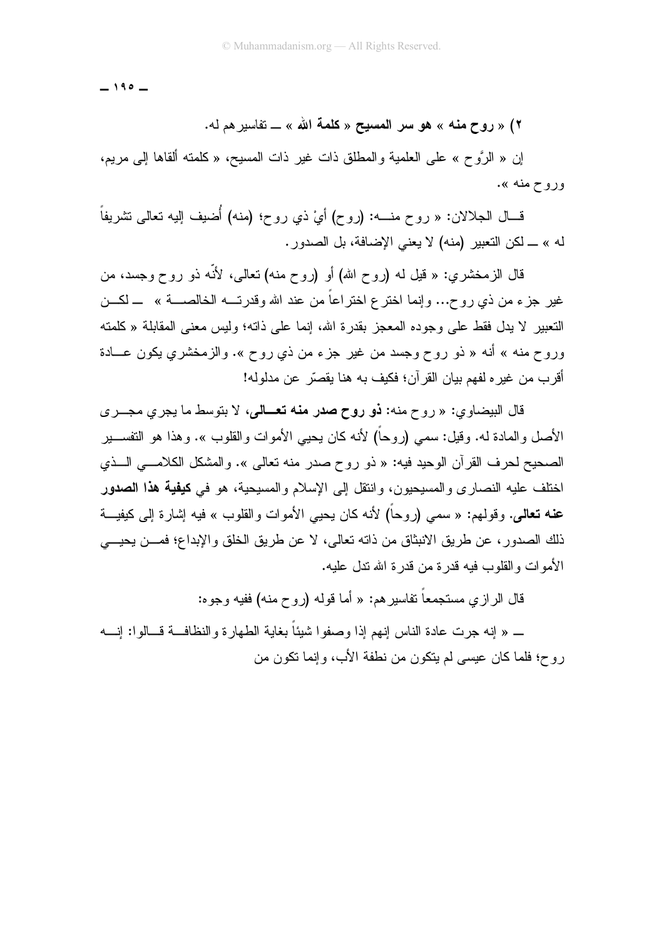$-190-$ 

٢) « روح منه » هو سر المسيح « كلمة الله » \_ تفاسير هم له.

إن « الرَّوح » على العلمية والمطلق ذات غير ذات المسيح، « كلمته ألقاها إلى مريم، وروح منه ».

قـــال الـجلالان: « روح منــــه: (روح) أيْ ذي روح؛ (منه) أُضيف إليه نعالى نشريفاً له » ــ لكن التعبير (منه) لا يعني الإضافة، بل الصدور .

قال الزمخشري: « قَبْل له (روح الله) أو (روح منه) تعالى، لأنَّه ذو روح وجسد، من غير جزء من ذي روح... وإنما اختر ع اختراعاً من عند الله وقدرتــــه الخالصـــــة » ــــ لكــــن التعبير لا يدل فقط على وجوده المعجز بقدرة الله، إنما على ذاته؛ وليس معنى المقابلة « كلمته وروح منه » أنه « ذو روح وجسد من غير جزء من ذي روح ». والزمخشري يكون عـــادة أقرب من غيره لفهم بيان القرآن؛ فكيف به هنا يقصّر عن مدلوله!

قال البيضاوي: « روح منه: **نو روح صدر منه تعــالي**، لا بتوسط ما يجرى مجــرى الأصل والمادة له. وقيل: سمى (روحاً) لأنه كان يحيى الأموات والقلوب ». وهذا هو التفســـير الصحيح لحرف القرآن الوحيد فيه: « ذو روح صدر منه تعالى ». والمشكل الكلامـــي الـــذي اختلف عليه النصاري والمسيحيون، وانتقل إلى الإسلام والمسيحية، هو في **كيفية هذا الصدور** ع**نه تعالى**. وقولـهم: « سمـى (روحاً) لأنه كان يحيى الأموات والقلوب » فيه إشارة إلى كيفيـــة ذلك الصدور، عن طريق الانبثاق من ذاته تعالى، لا عن طريق الخلق والإبداع؛ فمـــن يحيـــي الأموات والقلوب فيه قدر ة من قدر ة الله تدل عليه.

قال الرازي مستجمعاً نفاسيرهم: « أما قوله (روح منه) ففيه وجوه:

\_ « إنه جرت عادة الناس إنهم إذا وصفوا شيئًا بغاية الطهارة والنظافــة قـــالوا: إنـــه روح؛ فلما كان عيسى لم ينكون من نطفة الأب، وإنما نكون من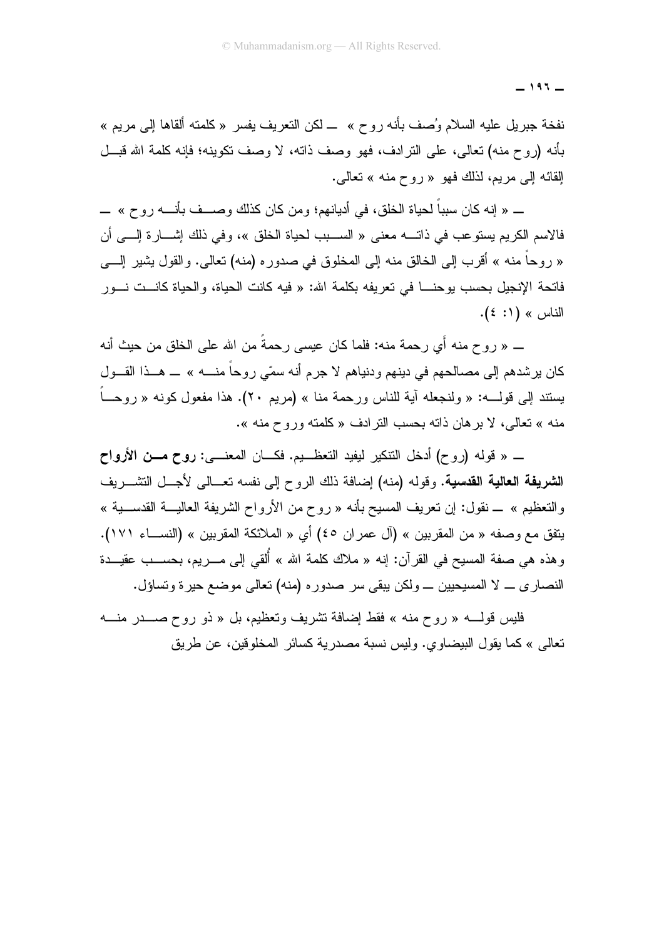$-197-$ 

نفخة جبريل عليه السلام وُصف بأنه روح » ــ لكن النعريف يفسر « كلمته ألقاها إلى مريع » بأنه (روح منه) تعالى، على الترادف، فهو وصف ذاته، لا وصف تكوينه؛ فإنه كلمة الله قبـــل القائه إلى مريم، لذلك فهو « روح منه » تعالى.

\_ « إنه كان سبباً لحياة الخلق، في أديانهم؛ ومن كان كذلك وصـــف بأنـــه روح » \_ فالاسم الكريم يستوعب في ذاتــــه معنى « الســـبب لـحياة الخلق »، وفي ذلك إشــــارة إلــــي أن « روحاً منه » أقرب إلى الخالق منه إلى المخلوق في صدوره (منه) تعالى. والقول بشير إلــــي فاتحة الإنجيل بحسب بو حنــــا في تعريفه بكلمة الله: « فيه كانت الحياة، و الحياة كانـــت نـــور  $\lfloor \frac{2}{2} \rfloor$ الناس » (1: ٤).

ـــ « روح منه أَي رحمة منه: فلما كان عيسى رحمةً من الله على الخلق من حيث أنه كان پر شدهم إلى مصالحهم في دينهم و دنياهم لا جر م أنه سمّي ر و حاً منــــه » ـــ هـــذا القـــول يستند إلى قولــــه: « ولنجعله آية للناس ورحمة منا » (مريع ٢٠). هذا مفعول كونه « روحـــاً منه » تعالى، لا بر هان ذاته بحسب النر ادف « كلَّمته ور و ح منه ».

\_ « قوله (روح) أدخل النتكير ليفيد النعظــيم. فكـــان المعنــــي: روح مـــن الأرواح الشريفة العالية القدسية. وقوله (منه) إضافة ذلك الروح إلى نفسه تعــالى لأجــل التشـــريف والتعظيم » \_ نقول: إن تعريف المسيح بأنه « روح من الأرواح الشريفة العاليـــة القدســـية » يتفق مع وصفه « من المقربين » (آل عمران ٤٥) أي « الملائكة المقربين » (النســاء ١٧١). وهذه هي صفة المسيح في القرآن: إنه « ملاك كلمة الله » أُلقى إلى مــــريم، بـحســـب عقيــــدة النصاري \_ لا المسيحيين \_ ولكن يبقى سر صدوره (منه) نعالى موضع حيرة ونساؤل.

فليس قولــــه « روح منه » فقط إضافة تشريف وتعظيم، بل « ذو روح صـــــدر منــــه تعالى » كما يقول البيضاوي. وليس نسبة مصدرية كسائر المخلوفين، عن طريق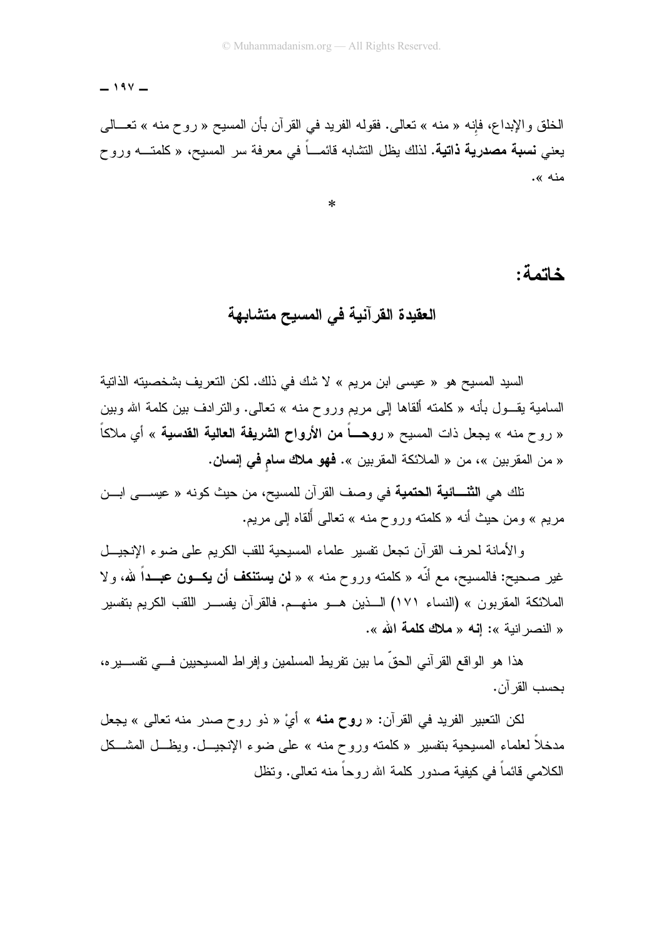$-194$ 

الخلق والإبداع، فإنه « منه » تعالى. فقوله الفريد في القرآن بأن المسيح « روح منه » تعـــالـي يعني **نسبة مصدرية ذاتية.** لذلك يظل التشابه قائمـــاً في معرفة سر المسيح، « كلمتـــه وروح منه ».

 $\ast$ 

#### خاتمة:

### العقيدة القر آنية في المسيح متشابهة

السيد المسيح هو « عيسى ابن مريم » لا شك في ذلك. لكن التعريف بشخصيته الذاتية السامية يقـــول بأنـه « كلمتـه ألقاها إلـى مريم وروح منـه » نـعالـى. والنترادف بين كلمـة الله وبين « روح منه » يجعل ذات المسيح « **روحــــاً من الأرواح الشريفة العالية القدسية** » أي ملاكاً « من المقربين »، من « الملائكة المقربين ». فهو ملاك سلم في إنسان.

تلك هي ا**لثنـــائية الحتمية** في وصف القرآن للمسيح، من حيث كونـه « عيســـى ابـــن مريع » ومن حيث أنه « كلمته وروح منه » تعالى أُلقاه إلى مريع.

والأمانة لحرف القرآن تجعل تفسير علماء المسيحية للقب الكريع على ضوء الإنجيـــل غير صحيح: فالمسيح، مع أنَّه « كلمته وروح منه » « **لن يستنكف أن يكـــون عبـــد**اً لله، ولا الملائكة المقربون » (النساء ١٧١) الـــذين هـــو منهـــم. فالقرآن يفســـر اللقب الكريم بتفسير « النصر انية »: إنه « ملاك كلمة الله ».

هذا هو الواقع القرآني الحقِّ ما بين نفريط المسلمين وإفراط المسيحيين فـــي نفســـيره، بحسب القر آن.

لكن التعبير الفريد في القرآن: « **روح منه** » أيْ « ذو روح صدر منه تعالى » يجعل مدخلاً لعلماء المسيحية بتفسير « كلمته وروح منه » على ضوء الإنجيـــل. ويظـــل المشـــكل الكلامبي قائماً في كيفية صدور كلمة الله روحاً منه تعالى. وتظل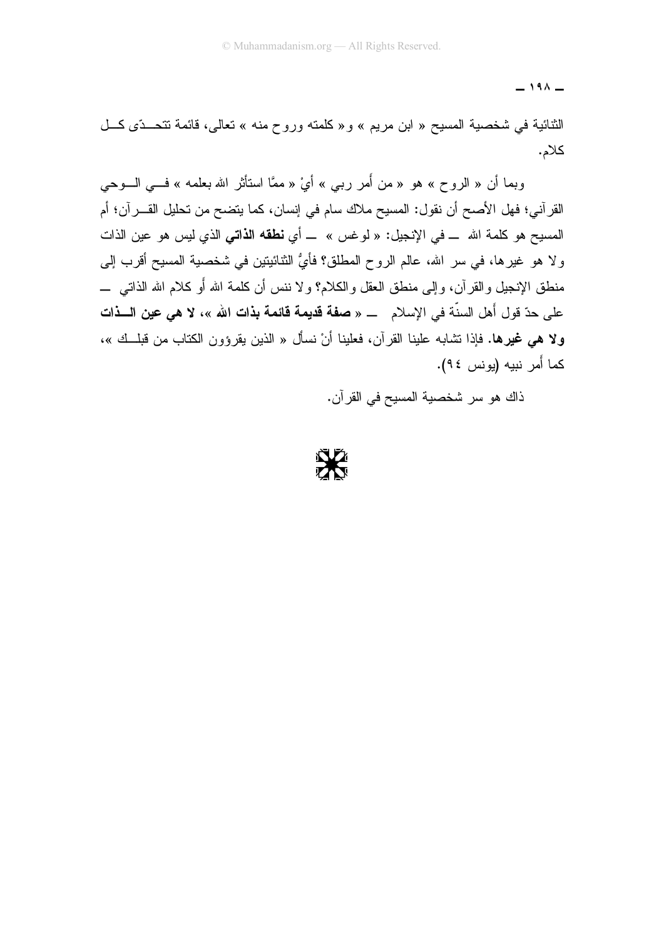$-191 -$ 

الثنائية في شخصية المسيح « ابن مريع » و « كلمته وروح منه » تعالى، قائمة نتحتَّى كـل كلام.

وبما أن « الروح » هو « من أُمر ربي » أيْ « ممَّا استأثر الله بعلمه » فـــي الـــوحي القرآني؛ فهل الأصح أن نقول: المسيح ملاك سام في إنسان، كما يتضح من تحليل القـــرآن؛ أم المسيح هو كلمة الله \_ في الإنجيل: « لوغس » \_ أي **نطقه الذاتي** الذي ليس هو عين الذات و لا هو غيرها، في سر الله، عالم الروح المطلق؟ فأيُّ النِّنائيتين في شخصية المسيح أقرب إلى منطق الإنجيل والقرآن، وإلى منطق العقل والكلام؟ ولا ننس أن كلمة الله أو كلام الله الذاتبي ــــ على حدّ قول أهل السنّة في الإسلام \_ « **صفة قديمة قائمة بذات الله** »، لا هي **عين الـــذات** ولا هي غيرها. فإذا نشابه علينا القرآن، فعلينا أنْ نسأل « الذين يقرؤون الكتاب من قبلــك »، كما أَمر نبيه (يونس ٩٤).

ذاك هو سر شخصبة المسيح في القرآن.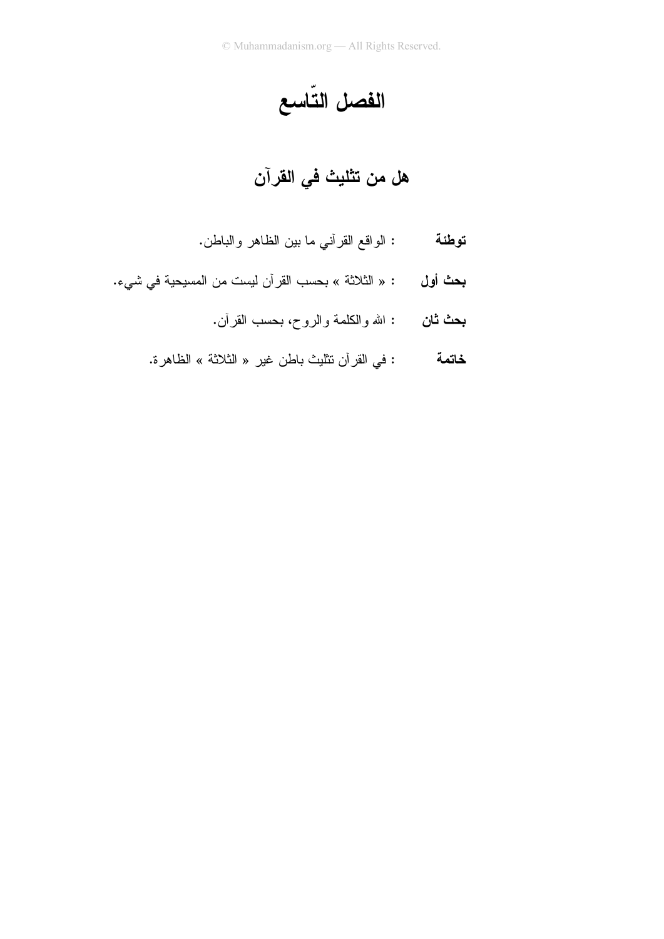الفصل التّاسع

# هل من تثليث في القرآن

- : الواقع القرأني ما بين الظاهر والباطن. توطئة
- **بحث أول :** « الثلاثة » بحسب القرآن ليست من المسيحية في شيء.
	- **بحث ثان :** الله والكلمة والروح، بحسب القرآن.
	- : في القرآن نتثليث باطن غير « الثلاثة » الظاهرة. خاتمة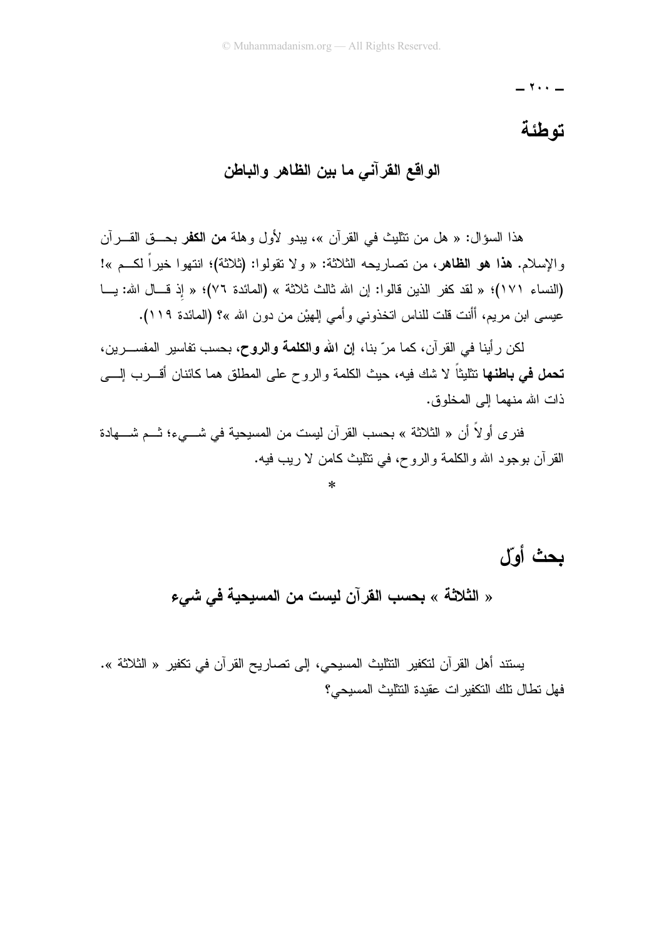$\cdot \cdot -$ 

# توطئة

## الواقع القرآني ما بين الظاهر والباطن

هذا السؤال: « هل من تثلبتْ في القرآن »، بيدو الأول وهلة **من الكفر** بحـــق القـــرآن والإسلام. هذا هو الظاهر، من تصاريحه الثلاثة: « ولا تقولوا: (ثلاثة)؛ انتهوا خيراً لكــم »! (النساء ١٧١)؛ « لقد كفر الذين قالوا: إن الله ثالث ثلاثة » (المائدة ٧٦)؛ « إذ قـال الله: يــا عيسى ابن مريم، أأنت قلت للناس انخذوني وأمي إلهيْن من دون الله »؟ (المائدة ١١٩).

لكن ر أينا في القر آن، كما مر ّ بنا، إ**ن الله والكلمة والروح،** بحسب تفاسير المفســـر بن، **تحمل في بـاطنـهـا** تتثليثاً لا شك فيـه، حيث الكلمـة والروح علمي المطلق همـا كائنـان أقـــــرب الِـــــي ذات الله منهما إلى المخلوق.

فنر ي أو لاً أن « الثلاثة » بحسب القرآن ليست من المسيحية في شـــيء؛ ثـــم شــــهادة القرِّ أن بوجود الله والكلَّمة والرَّوح، في نتثليث كامن لا ربيب فيه.

بحث أول

« الثلاثة » بحسب القرآن ليست من المسيحية في شيء

يستند أهل القر آن لتكفير التثليث المسيحي، إلى تصاريح القر آن في تكفير « الثلاثة ». فهل تطال تلك التكفير ات عقيدة التثليث المسبحي؟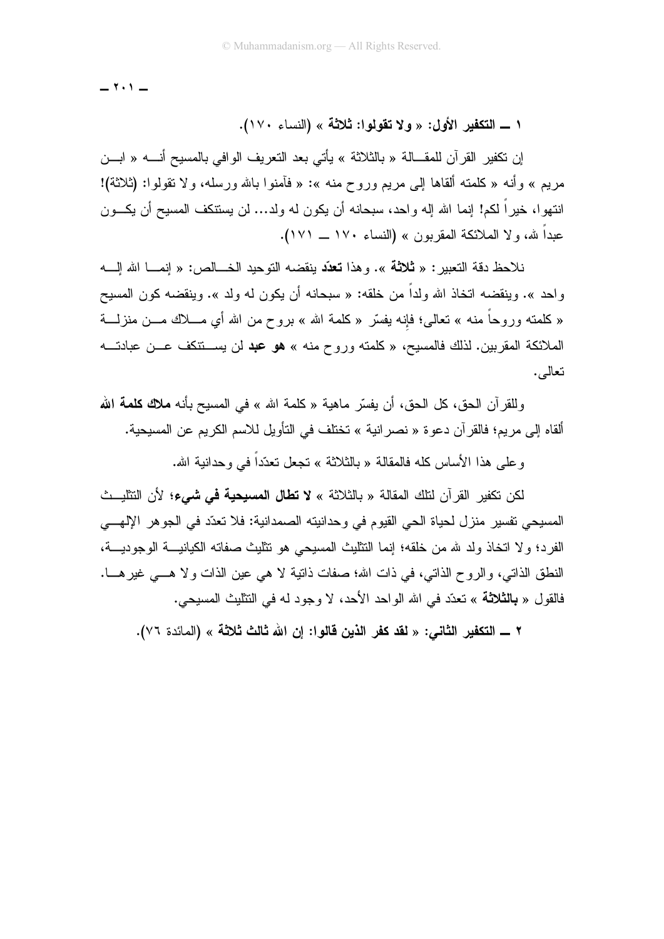$-111$ 

ا ـ التكفير الأول: « ولا تقولوا: ثلاثة » (النساء ١٧٠).

إن تكفير القرآن للمقــالة « بالثلاثة » يأتي بعد التعريف الوافي بالمسيح أنــــه « ابـــن مريع » وأنه « كلمته ألقاها إلى مريع وروح منه »: « فأمنوا بالله ورسله، ولا تقولوا: (ثلاثة)! انتهوا، خيراً لكم! إنما الله إله واحد، سبحانه أن يكون له ولد… لن يستنكف المسيح أن يكـــون عبداً لله، ولا الملائكة المقربون » (النساء ١٧٠ ــ ١٧١).

نلاحظ دقة التعبير : « **ثلاثة** ». و هذا **تعدّد** بنقضه التوحيد الخـــالص: « إنمـــا الله إلــــه واحد ». وينقضه اتخاذ الله ولداً من خلقه: « سبحانه أن يكون له ولد ». وينقضه كون المسيح « كلمته وروحاً منه » تعالى؛ فإنه بفسَّر « كلمة الله » بروح من الله أي مــــلاك مــــن منزلــــة الملائكة المقربين. لذلك فالمسيح، « كلمته وروح منه » هو عبد لن يســـنتكف عـــن عبادتــــه تعالى.

وللقرآن الحق، كل الحق، أن يفسِّر ماهية « كلمة الله » في المسيح بأنه **ملاك كلمة الله** ألقاه إلى مريم؛ فالقرآن دعوة « نصر انية » تختلف في التأويل للاسم الكريم عن المسيحية.

و علي هذا الأساس كله فالمقالة « بالثلاثة » تجعل تعدّداً في و حدانية الله.

لكن تكفير القر آن لنلك المقالة « بالثلاثة » لا **تطال المسيحية في شيء؛** لأن النثليــث المسيحي تفسير ِ منز ل لحياة الحي القيوم في وحدانيته الصمدانية: فلا تعدّد في الجو هر الإلهـــي الفرد؛ ولا اتخاذ ولد لله من خلقه؛ إنما النتايث المسيحي هو نتايث صفاته الكيانيــــة الوجوديــــة، النطق الذاتـي، والروح الذاتـي، فـي ذات الله؛ صفات ذاتية لا هـي عين الذات ولا هـــي غير هـــا. فالقول « **بالثلاثة** » تعدّد في الله الواحد الأحد، لا وجود له في التثليث المسيحي.

٢ ــــ التكفير الثاني: « لقد كفر الذين قالوا: إن الله ثالث ثلاثة » (المائدة ٧٦).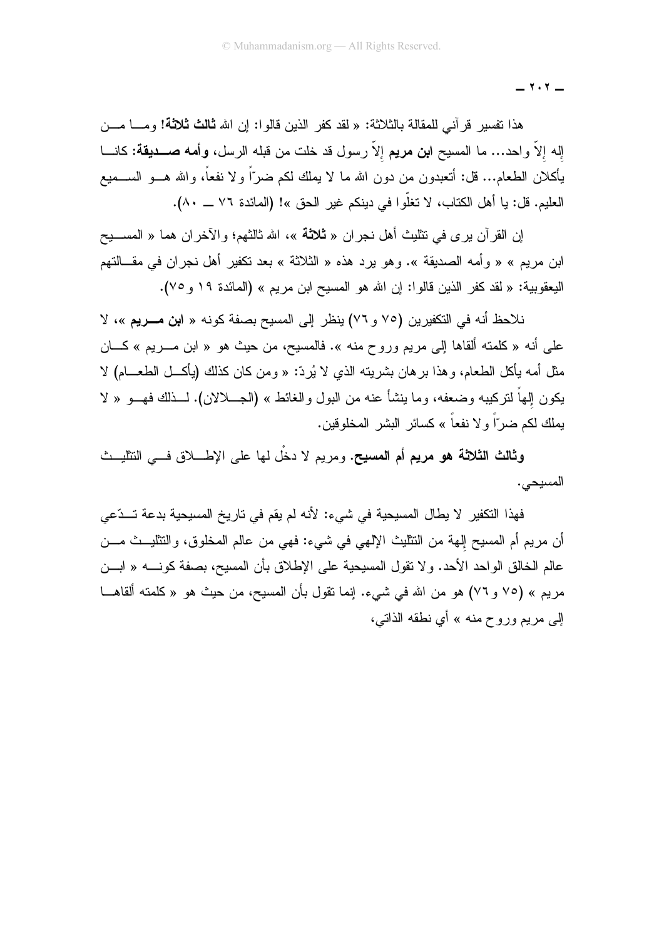$-1.7 -$ 

هذا نفسير قرآني للمقالة بالثلاثة: « لقد كفر الذين قالوا: إن الله **ثالث ثلاثة!** ومـــا مـــن إله إلاَّ واحد… ما المسيح ا**بن مريم** إلاَّ رسول قد خلت من قبله الرسل، **وأمه صـــديقة:** كانـــا يأكلان الطعام... فل: أنعبدون من دون الله ما لا يملك لكم ضرَّاً ولا نفعاً، والله هـــو الســـميع العليم. قل: يا أهل الكتاب، لا تغلُّوا في دينكم غير الحق »! (المائدة ٧٦ ـــ ٨٠).

إن القرآن يرى في نتثليث أهل نجران « **ثلاثة** »، الله ثالثهم؛ والأخران هما « المســــبح ابن مريع » « وأمه الصديقة ». وهو يرد هذه « الثلاثة » بعد نكفير أهل نجران في مقـــالتهم اليعقوبية: « لقد كفر الذين قالوا: إن الله هو المسيح ابن مريم » (المائدة ١٩ و ٧٥).

نلاحظ أنه في التكفيرين (٧٥ و ٧٦) ينظر إلى المسيح بصفة كونه « ا**بن مــــريم** »، لا علي أنه « كلَّمته ألقاها إلي مريع وروح منه ». فالمسيح، من حيث هو « ابن مـــريع » كــــان مثل أمه بأكل الطعام، و هذا بر هان بشر بنه الذي لا بُر دٌ: « و من كان كذلك (بأكـــل الطعـــام) لا يكون إلهاً لتركيبه وضعفه، وما بنشأ عنه من البول والغائط » (الجـــلالان). لـــذلك فهـــو « لا يملك لكم ضرّاً و لا نفعاً » كسائر البشر المخلوقين.

وثالث الثلاثة هو مريع أم المسيح. ومريم لا دخَّل لها على الإطــــلاق فـــي التثليـــث المسبحي.

فهذا النكفير. لا يطال المسيحية في شيء: لأنه لم يقم في تاريخ المسيحية بدعة تــدّعي أن مريم أم المسيح إليهة من النثليث الإلهي في شيء: فهي من عالم المخلوق، والنثليــث مـــن عالم الخالق الواحد الأحد. ولا تقول المسيحية على الإطلاق بأن المسيح، بصفة كونـــــه « ابــــن مريم » (٧٥ و ٧٦) هو من الله في شيء. إنما نقول بأن المسيح، من حيث هو « كلمته ألقاهـــا اِلبي مريع وروح منه » أي نطقه الذاتبي،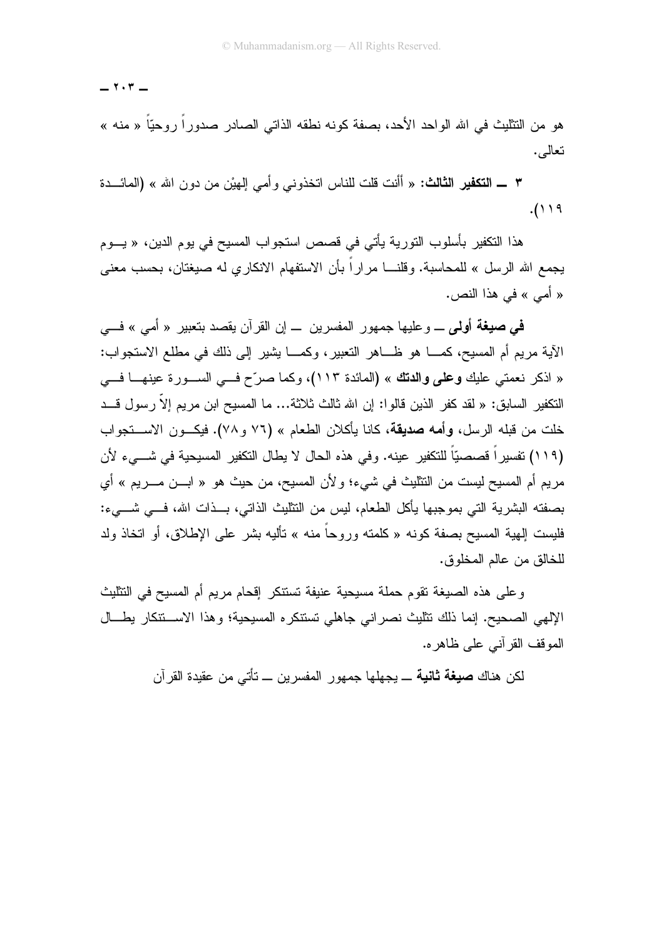$-1.7 -$ 

هو من النتليث في الله الواحد الأحد، بصفة كونه نطقه الذاتي الصادر صدورًا روحيًّا « منه » نعالمي.

٣ ـــ التكفير الثالث: « أأنت قلت للناس اتخذوني و أمي الهيْن من دون الله » (المائـــدة  $.()$  ) ٩

هذا التكفير بأسلوب التورية يأتي في قصص استجواب المسيح في يوم الدين، « يـــوم يجمع الله الرسل » للمحاسبة. وقلنــــا مراراً بأن الاستفهام الانكاري له صبغتان، بحسب معنى « أمي » في هذا النص.

في صيغة أولى \_ وعليها جمهور المفسرين \_ إن القرآن يقصد بتعبير « أمي » فـــي الآية مريع أم المسيح، كمــــا هو ظــــاهر التعبير ، وكمــــا يشير إلى ذلك في مطلع الاستجواب: « اذكر نعمتي عليك **وعلى والدتك** » (المائدة ١١٣)، وكما صرّح فــي الســورة عينهـــا فـــي النكفير السابق: « لقد كفر الذين قالوا: إن الله ثالث ثلاثة... ما المسيح ابن مريم إلاّ رسول قـــد خلت من قبله الرسل، **وأمه صديقة**، كانا يأكلان الطعام » (٧٦ و ٧٨). فيكـــون الاســــنجواب (١١٩) تفسيراً قصصيّاً للتكفير عينه. وفي هذه الحال لا يطال التكفير المسيحية في شـــيء لأن مريم أم المسيح ليست من التثليث في شيء؛ و لأن المسيح، من حيث هو « ابـــن مـــريم » أي بصفته البشرية التي بموجبها يأكل الطعام، ليس من النثليث الذاتي، بـــذات الله، فــــى شــــىء: فليست إليهية المسيح بصفة كونه « كلمته وروحاً منه » نأليه بشر على الإطلاق، أو اتخاذ ولد للخالق من عالم المخلوق.

وعلى هذه الصيغة نقوم حملة مسيحية عنيفة تستنكر إقحام مريم أم المسيح في النثليث الإلهي الصحيح. إنما ذلك نتليث نصراني جاهلي تستنكره المسيحية؛ وهذا الاستنتكار يطسال الموقف القر آني علي ظاهر ه.

لكن هناك **صيغة ثانية** ـــ يجهلها جمهور المفسر بن ـــ تأت*ي* من عقيدة القر آن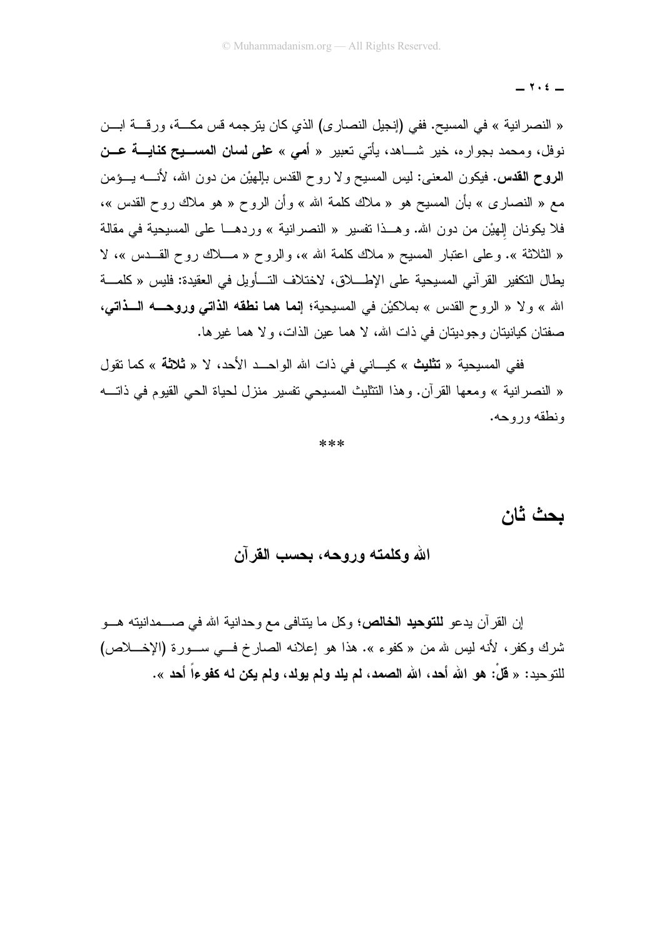$-1.5$ 

« النصر انية » في المسيح. ففي (إنجيل النصاري) الذي كان يترجمه قس مكـــة، ورقـــة ابـــن نوفل، ومحمد بجوار ه، خير شـــاهد، يأتي تعبير « أ*مي* » على لسان المســـيح كنايــــة عـــن الروح القدس. فيكون المعنى: ليس المسيح ولا روح القدس بالِهيْن من دون الله، لأنـــــه يـــؤمن مع « النصاري » بأن المسيح هو « ملاك كلمة الله » و أن الروح « هو ملاك روح القدس »، فلا يكونان الهيْن من دون الله. وهــذا تفسير « النصر انية » وردهـــا على المسيحية في مقالة « الثلاثة ». وعلى اعتبار المسبح « ملاك كلمة الله »، والروح « مـــلاك روح القـــدس »، لا يطال التكفير القرآني المسيحية على الإطــــلاق، لاختلاف التـــأويل في العقيدة: فليس « كلمـــة الله » ولا « الروح القدس » بملاكيْن في المسيحية؛ إ**نما هما نطقه الذاتبي وروحـــه الـــذاتبي،** صفتان كيانيتان وجوديتان في ذات الله، لا هما عين الذات، ولا هما غير ها.

ففي المسبحبة « **تثليث** » كبـــاني في ذات الله الواحـــد الأحد، لا « **ثلاثة** » كما تقول « النصر انية » ومعها القرآن. وهذا النتثليث المسيحي نفسير منزل لحياة الحي القيوم في ذاتــــه ونطقه وروحه.

\*\*\*

بحث ثان

الله وكلمته وروحه، بحسب القرآن

إن القر آن يدعو **للتوحيد الخالص؛** وكل ما يتنافى مع وحدانية الله في صــــمدانيته هـــو شرك وكفر، لأنه ليس لله من «كفوء ». هذا هو إعلانه الصارخ فسي سـورة (الإخـــلاص) للتوحيد: « قُلْ: هو الله أحد، الله الصمد، لم يلد ولم يولد، ولم يكن له كفوءاً أحد ».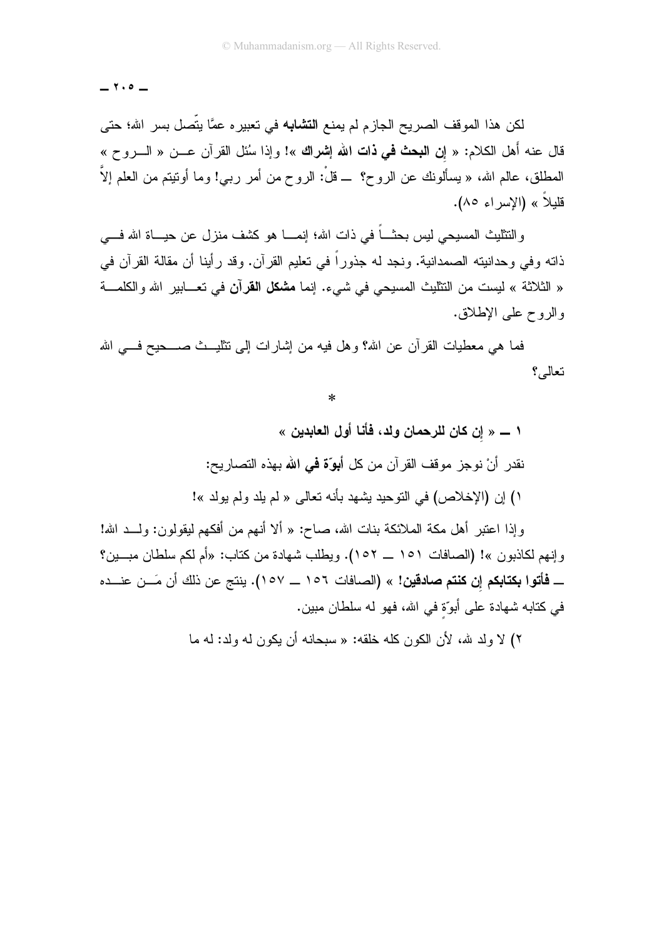$-7.0 -$ 

لكن هذا الموقف الصريح الجازم لم يمنع ا**لتشابه** في تعبيره عمًّا يتَّصل بسر الله؛ حتى قال عنه أهل الكلام: « إ**ن البحث في ذات الله إشراك** »! وإذا سُئل القرآن عـــن « الــــروح » المطلق، عالم الله، « يسألونك عن الروح؟ ــ قلْ: الروح من أمر ربي! وما أونيتم من العلم إلاَّ قليلاً » (الاسراء ٨٥).

والنتثليث المسيحي ليس بحثــــاً في ذات الله؛ إنمــــا هو كشف منزل عن حيــــاة الله فــــي ذاته و في و حدانبته الصمدانية. و نجد له جذور اً في تعليم القر آن. و قد ر أبنا أن مقالة القر آن في « الثلاثة » ليست من التتليث المسيحي في شيء. إنما **مشكل القرآن** في تعـــابير الله والكلمـــة والروح علي الإطلاق.

فما هي معطيات القرآن عن الله؟ وهل فيه من إشارات إلى تتليـــث صــــحيح فـــي الله تعالى؟

 $\ast$ 

١ ـــــ « إن كان للرحمان ولد، فأنا أول العابدين » نقدر ۖ أَنْ نوجزٍ ۖ موقف القرِّ آن من كل أَبِوَّةٍ فَمِي الله بِهذه التصار بِح: ا) إن (الإخلاص) في النوحيد يشهد بأنه تعالى « لم يلد ولم يولد »!

وإذا اعتبر أهل مكة الملائكة بنات الله، صـاح: « ألا أنـهم من أفكـهم ليقولون: ولـــد الله! وإنهم لكاذبون »! (الصافات ١٥١ ـــ ١٥٢). ويطلب شهادة من كتاب: «أم لكم سلطان مبـــين؟ ـــ فأتوا بكتابكم إن كنتم صادقين! » (الصـافات ١٥٦ ـــ ١٥٧). ينتج عن ذلك أن مَـــن عنـــده في كتابه شهادة على أبوّة في الله، فهو له سلطان مبين.

٢) لا ولد سِّه، لأن الكون كله خلقه: « سبحانه أن بكون له ولد: له ما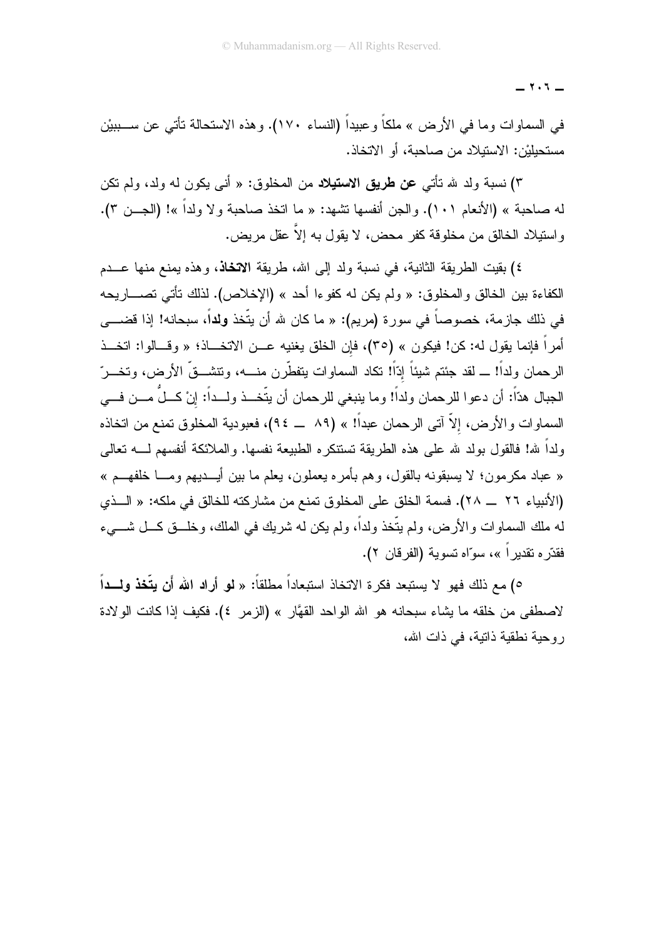$-1.5 -$ 

في السماوات وما في الأرض » ملكاً وعبيداً (النساء ١٧٠). وهذه الاستحالة تأتـي عن ســـببيْن مستحبليْن: الاستبلاد من صاحبة، أو الاتخاذ.

٣) نسبة ولد لله تأتي عن طريق الاستيلاد من المخلوق: « أني يكون له ولد، ولم تكن له صاحبة » (الأنعام ١٠١). والجن أنفسها تشهد: « ما اتخذ صاحبة ولا ولداً »! (الجـــن ٣). و استيلاد الخالق من مخلوقة كفر محض، لا يقول به إلاّ عقل مر يض.

٤) بقيت الطريقة الثانية، في نسبة ولد إلى الله، طريقة الاتخاذ، وهذه يمنع منها عـــدم الكفاءة بين الخالق والمخلوق: « ولم يكن له كفوءا أحد » (الإخلاص). لذلك نأتـي نصــــاريـحه في ذلك جازمة، خصوصاً في سورة (مريم): « ما كان لله أن يتّخذ **ولداً**، سبحانه! إذا قضــــي أمراً فإنما يقول له: كن! فيكون » (٣٥)، فإن الخلق يغنيه عـــن الاتخــــاذ؛ « وقـــالوا: اتخـــذ الرحمان ولداً! ـــ لقد جئتم شبناً إدّاً! تكاد السماوات بنفطَّرن منــــه، وتتشـــقّ الأرض، وتخـــرّ الجبال هدّاً: أن دعوا للرحمان ولداً! وما ينبغي للرحمان أن يتّخــذ ولــداً: إنْ كــلٌ مـــن فـــي السماوات والأرض، إلاّ آتـى الرحمان عبداً! » (٨٩ ـــ ٩٤)، فعبودية المخلوق تمنـع من اتخاذه ولداً لله! فالقول بولد لله على هذه الطريقة نستنكره الطبيعة نفسها. والملائكة أنفسهم لـــــه نعالـي « عباد مكرمون؛ لا يسبقونه بالقول، وهم بأمره يعملون، يعلم ما بين أيـــديهم ومـــا خلفهـــم » (الأنبياء ٢٦ \_\_ ٢٨). فسمة الخلق على المخلوق تمنع من مشاركته للخالق في ملكه: « الــذي له ملك السماوات والأرض، ولم يتَّخذ ولداً، ولم يكن له شريك في الملك، وخلـــق كـــل شــــيء فقدّر م تقدير اً »، سوّاه تسوية (الفر قان ٢).

٥) مع ذلك فهو لا يستبعد فكرة الاتخاذ استبعاداً مطلقاً: « لو أراد الله أن يتَّخذ ولـــداً لاصطفى من خلقه ما بشاء سبحانه هو الله الواحد القهَّار » (الزمر ٤). فكيف إذا كانت الولادة ر وحية نطقية ذاتية، في ذات الله،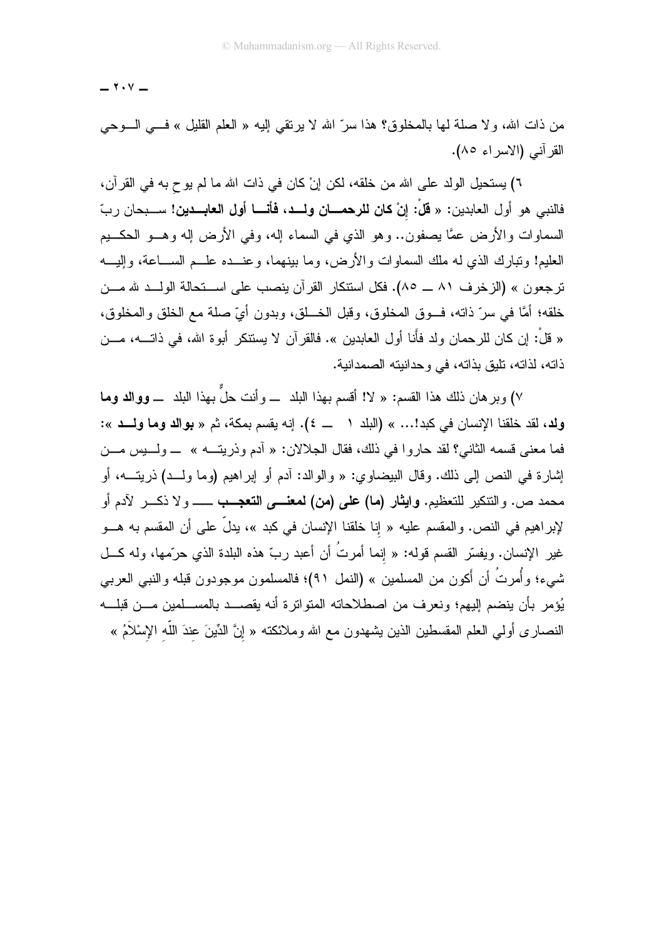$\cdot$   $\cdot$   $-$ 

من ذات الله، ولا صلَّة لـها بالمخلوق؟ هذا سرَّ الله لا يرتقي إليه « العلم القليل » فـــي الـــوحي القرآني (الاسراء ٨٥).

٦) يستحيل الولد على الله من خلقه، لكن إنْ كان في ذات الله ما لم يوح به في القرآن، فالنبي هو أول العابدين: « **قلْ: إنْ كان للرحمــــان ولـــد، فأنـــــا أول الـعابـــدين!** ســـبحان ربّ السماوات والأرض عمًّا بصفون.. وهو الذي في السماء إله، وفي الأرض إله وهـــو الـحكـــيم العليم! ونبارك الذي له ملك السماوات والأرض، وما بينهما، وعنـــده علـــم الســـاعة، وإليـــه ترجعون » (الزخرف ٨١ ـــ ٨٥). فكل استتكار القرآن بنصب على اســتحالة الولــد شامـــن خلقه؛ أمَّا في سرِّ ذاته، فــوق المخلوق، وقبل الخـــلق، وبدون أيّ صلة مع الخلق والمخلوق، « قلْ: إن كان للرحمان ولد فأنا أول العابدين ». فالقرآن لا يستنكر أبوة الله، في ذاتـــه، مـــن ذاته، لذاته، تليق بذاته، في وحدانيته الصمدانية.

٧) وبر هان ذلك هذا القسم: « لا! أقسم بهذا البلد ــــ وأنت حلٌّ بهذا البلد ــــ ووالد وما ولد، لقد خلقنا الإنسان في كبد!... » (البلد ١ ـــ ٤). إنه يقسم بمكة، ثم « بوالد وما ولـــد »: فما معنى قسمه الثاني؟ لقد حاروا في ذلك، فقال الجلالان: « أدم وذريتـــه » \_ ولــــبس مـــن إشارة في النص إلى ذلك. وقال البيضاوي: « والوالد: أدم أو إبراهيم (وما ولــد) ذريتـــه، أو محمد ص. والنتكير للتعظيم. **وايثار (ما) على (من) لمعنــــى التعجـــب** ــــــــــولا ذكــــر لآدم أو لإبراهيم في النص. والمقسم عليه « إنا خلقنا الإنسان في كبد »، يدلُّ على أن المقسم به هـــو غير الإنسان. ويفسّر القسم قوله: « إنما أمرتُ أن أعبد ربّ هذه البلدة الذي حرّمها، وله كـــل شمىء؛ وأُمرتُ أن أكون من المسلمين » (النمل ٩١)؛ فالمسلمون موجودون قبله والنبي العربي يُؤمر بأن ينضم إليهم؛ ونعرف من اصطلاحاته المتواترة أنه يقصـــد بالمســلمين مـــن قبلـــه النصـار ى أولـي الـعلم المقسطين الذين يشـهدون مـع الله ومـلائكتـه « إنَّ الدِّينَ عندَ اللَّه الإسْلاَمُ »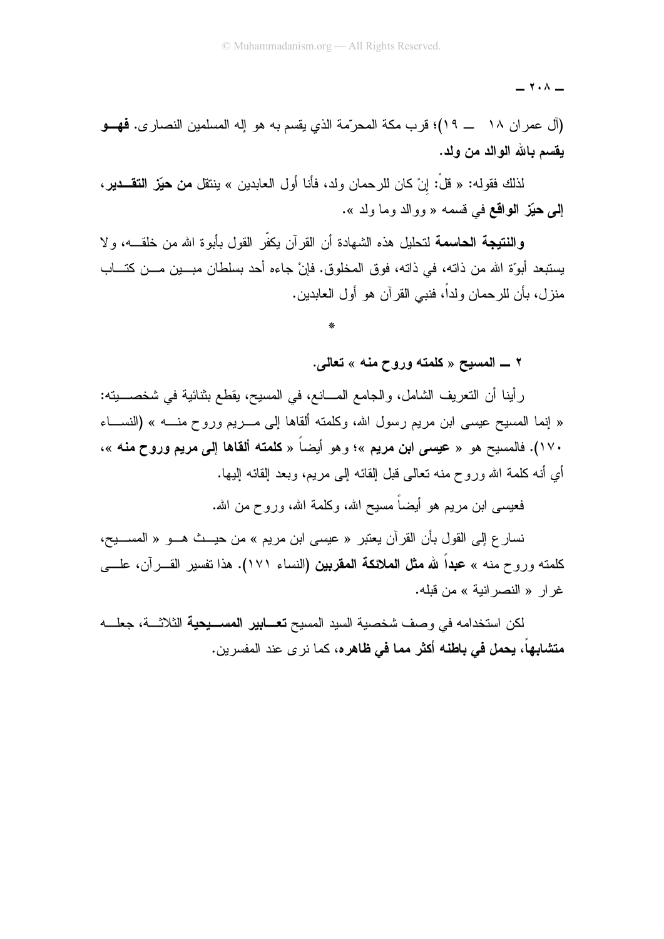$\cdot \cdot$   $-$ 

(آل عمر ان ١٨ ـــ ١٩)؛ قرب مكة المحرّمة الذي يقسم به هو إله المسلمين النصـار ي. فهـــو يقسم بالله الوالد من ولد.

لذلك فقوله: « قلَّ: إنْ كان للرحمان ولد، فأنا أول العابدين » ينتقل **من حيّز التقـــدير**، إلى حيَّز الواقع في قسمه « ووالد وما ولد ».

**والنتيجة الحاسمة ل**تحليل هذه الشهادة أن القر آن يكفّر القول بأبو ة الله من خلقــــه، و لا يستبعد أبوَّة الله من ذاته، في ذاته، فوق المخلوق. فإنْ جاءه أحد بسلطان مبـــين مـــن كتـــاب منزل، بأن للرحمان ولداً، فنبي القرآن هو أول العابدين.

٢ \_ المسيح « كلمته وروح منه » تعالى.

رِ أينا أن النعريف الشامل، والجامع المــــانـع، في المسيح، يقطـع بثنائية في شخصـــــبنـه: « إنما المسيح عيسى ابن مريع رسول الله، وكلمته ألقاها إلى مــــريع وروح منـــــه » (النســــاء ١٧٠). فالمسيح هو « عي*سى* ابن مريم »؛ وهو أيضاً « كلمته ألقاها إلى مريم وروح منه »، أي أنه كلمة الله وروح منه نعالمي قبل القائه الى مريع، وبعد القائه اليها.

فعيسى ابن مريع هو أيضاً مسيح الله، وكلمة الله، وروح من الله.

نسار ع إلى القول بأن القرآن يعتبر « عيسى ابن مريم » من حيـــث هـــو « المســـيح، كلمته وروح منه » عبداً لله مثل الملائكة المقربين (النساء ١٧١). هذا نفسير القـــرآن، علــــى غر ار « النصر انية » من قبله.

لكن استخدامه في وصف شخصية السيد المسيح **تعـــابير المســـيحية** الثلاثـــة، جعلــــه **متشابهاً، يحمل في باطنه أكثر مما في ظاهره،** كما نر ي عند المفسر ين.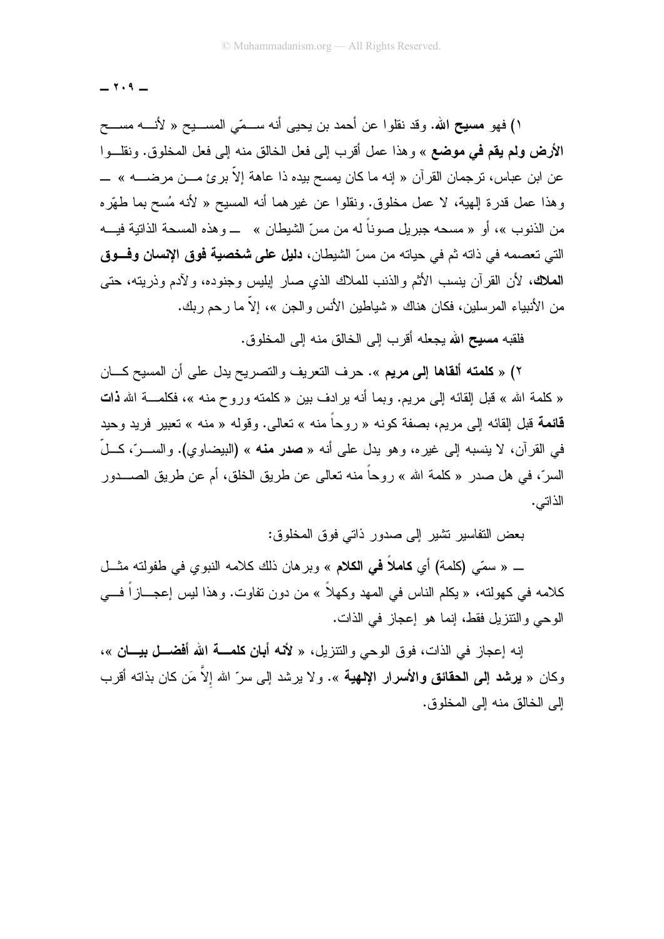$-7.9-$ 

١) فهو م**سيح** الله. وقد نقلوا عن أحمد بن يحيى أنه ســـمّى المســـيح « لأنــــه مســـح الأ**رض ولم يقم في موضع** » و هذا عمل أقرب إلى فعل الخالق منه إلى فعل المخلوق. ونقلــو ا عن ابن عباس، ترجمان القر آن « إنه ما كان يمسح بيده ذا عاهة إلاّ بر ئ مـــن مرضـــــه » ــــــــــــــــــــــ وهذا عمل قدرة الِهية، لا عمل مخلوق. ونقلوا عن غيرهما أنه المسيح « لأنه مُسح بما طهَّره من الذنوب »، أو « مسحه جبريل صوناً له من مسّ الشيطان » ــــ وهذه المسحة الذاتية فيــــه التي تعصمه في ذاته ثم في حياته من مسِّ الشيطان، **دليل على شخصية فوق الإنسان وفـــوق الملاك،** لأن القرآن بنسب الأثم والذنب للملاك الذي صار إبلبس وجنوده، ولآدم وذريته، حتى من الأنبياء المرسلين، فكان هناك « شياطين الأنس والجن »، إلاَّ ما رحم ربك.

.<br>فلقبه **مسيح الله** يجعله أقر ب إلى الخالق منه إلى المخلوق.

٢) « **كلمته ألقاها إلى مريم** ». حرف التعريف والتصريح بدل على أن المسيح كـــان « كلمة الله » قبل القائه إلى مربع. وبما أنه بر ادف بين « كلمته وروح منه »، فكلمــــة الله **ذات** قائمة قبل إلقائه إلى مريم، بصفة كونه « روحاً منه » تعالى. وقوله « منه » تعبير فريد وحيد في القرآن، لا ينسبه إلى غيره، وهو يدل على أنه « **صدر منه** » (البيضاوي). والســـرّ، كـــلّ السرّ، في هل صدر « كلمة الله » روحاً منه تعالى عن طريق الخلق، أم عن طريق الصــــدور الذاتبي.

بعض النفاسير نشير إلى صدور ذاتي فوق المخلوق:

\_ « سمّى (كلمة) أي **كاملاً في الكلام** » وبرهان ذلك كلامه النبوي في طفولته مثــل كلامه في كهولته، « يكلم الناس في المهد وكهلاً » من دون تفاوت. وهذا ليس إعجـــازاً فـــي الوحي والنتزيل فقط، إنما هو إعجاز في الذات.

إنه إعجاز في الذات، فوق الوحي والنتزيل، « لأنه أ**بان كلمـــة الله أفضـــل بيـــان** »، وكان « **برشد إلى الحقائق والأسرار الإلهية** ». ولا برشد إلى سرّ الله إلاّ مَن كان بذاته أقرب إلى الخالق منه إلى المخلوق.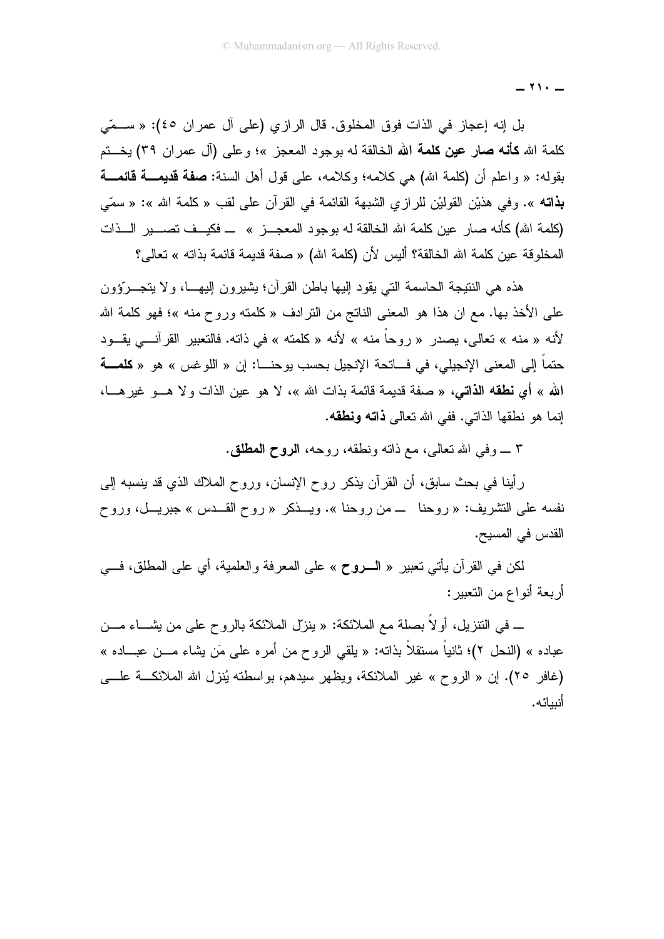$\cdot$   $-$ 

بل إنه إعجاز في الذات فوق المخلوق. قال الرازي (على آل عمران ٤٥): « ســمّى كلمة الله **كأنه صار عين كلمة الله ا**لخالقة له بوجود المعجز »؛ وعلى (آل عمر إن ٣٩) يخستم بقوله: « واعلم أن (كلمة الله) هي كلامه؛ وكلامه، على قول أهل السنة: **صفة قديمـــة قائمـــة بذاته** ». وفي هذيْن القوليْن للرازي الشبهة القائمة في القرآن على لقب « كلمة الله »: « سمّى (كلمة الله) كأنه صار عين كلمة الله الخالقة له بوجود المعجـــز » ـــ فكيـــف تصــــير الـــذات المخلوقة عين كلمة الله الخالقة؟ أليس لأن (كلمة الله) « صفة قديمة قائمة بذاته » تعالى؟

هذه هي النتيجة الحاسمة التي يقود إليها باطن القرآن؛ يشيرون إليهـــا، ولا يتجـــروّون على الأخذ بها. مع ان هذا هو المعنى الناتج من النرادف «كلمته وروح منه »؛ فهو كلمة الله لأنه « منه » تعالى، يصدر « روحاً منه » لأنه « كلمته » في ذاته. فالتعبير القرآنـــي يقـــود حتماً إلى المعنى الإنجيلي، في فساتحة الإنجيل بحسب يوحنــــا: إن « اللو غس » هو « **كلمـــة** الله » أي نطقه الذاتي، « صفة قديمة قائمة بذات الله »، لا هو عين الذات و لا هـــو غير هـــا، إنما هو نطقها الذاتبي. ففي الله تعالى **ذاته ونطقه**.

٣ \_ وفي الله تعالى، مع ذاته ونطقه، روحه، الروح المطلق.

رأينا في بحث سابق، أن القرآن يذكر روح الإنسان، وروح الملاك الذي قد ينسبه إلى نفسه على التشريف: « روحنا ـــ من روحنا ». ويـــذكر « روح القـــدس » جبريـــل، وروح القدس في المسيح.

لكن في القرآن يأتي تعبير « السروح » على المعرفة والعلمية، أي على المطلق، فـــي أر بعة أنواع من التعبير :

ــ في النتزيل، أولاً بصلة مع الملائكة: « ينزل الملائكة بالروح على من يشـــاء مـــن عباده » (النحل ٢)؛ ثانياً مستقلاً بذاته: « يلقى الروح من أمره على مَن يشاء مـــن عبـــاده » (غافر ٢٥). إن « الروح » غير الملائكة، ويظهر سيدهم، بواسطنه يُنزل الله الملائكـــة علــــى أنىيائه.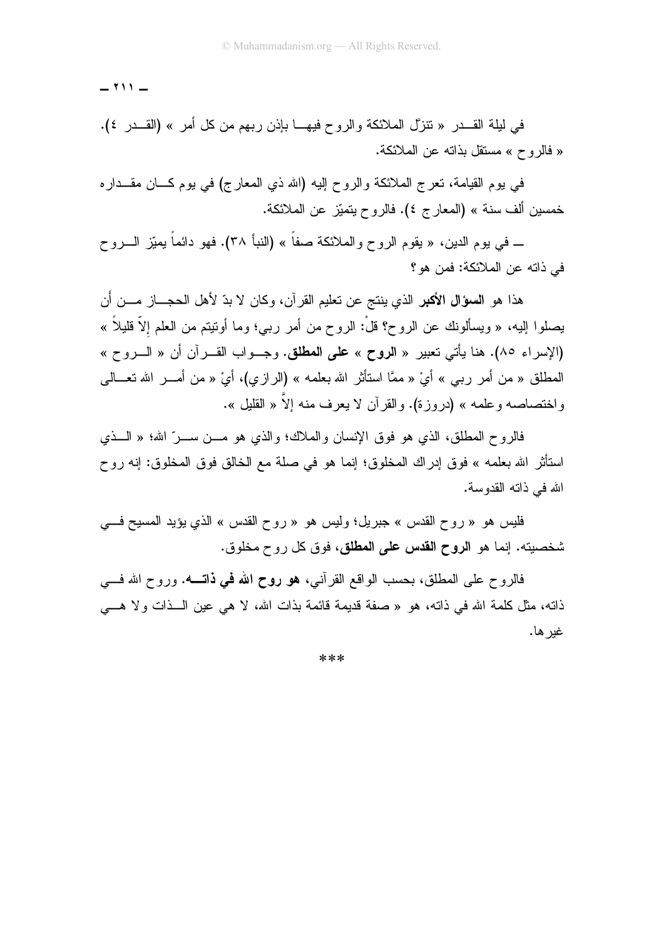$- 111 -$ 

في ليلة القـــدر « تتزَّل الملائكة والروح فيهـــا بإذن ربهم من كل أمر » (القـــدر ٤). « فالروح » مستقل بذاته عن الملائكة.

في بوم القيامة، تعرج الملائكة والروح إليه (الله ذي المعارج) في بوم كـــان مقـــداره خمسين ألف سنة » (المعارج ٤). فالروح بتميّز عن الملائكة.

ـــ في يوم الدين، « يقوم الروح والملائكة صفاً » (النبأ ٣٨). فهو دائماً يميّز الــــروح في ذاته عن الملائكة: فمن هو ؟

هذا هو ا**لسؤال الأكبر** الذي ينتج عن تعليم القرآن، وكان لا بدّ لأهل الحجـــاز مــــن أن يصلوا الِيه، « ويسألونك عن الروح؟ قلْ: الروح من أمر ربـي؛ وما أوننيتم من العلم إلاّ قليلاً » (الإسراء ٨٥). هنا يأتي نعبير « الروح » على المطلق. وجـواب القــرآن أن « الـــروح » المطلق « من أمر ربي » أيْ « ممَّا استأثر الله بعلمه » (الرازي)، أيْ « من أمـــر الله تعـــالـي واختصاصه وعلمه » (دروزة). والقرآن لا يعرف منه إلاَّ « القليل ».

فالروح المطلق، الذي هو فوق الإنسان والملاك؛ والذي هو مـــن ســـر ِّ الله؛ « الـــذي استأثر الله بعلمه » فوق إدراك المخلوق؛ إنما هو في صلة مع الخالق فوق المخلوق: إنه روح الله في ذاته القدوسة.

فليس هو « روح القدس » جبريل؛ وليس هو « روح القدس » الذي يؤيد المسيح في شخصيته. إنما هو ا**لروح القدس على المطلق**، فوق كل روح مخلوق.

فالروح على المطلق، بحسب الواقع القرأنبي، هو روح الله في ذاتــــه. وروح الله فــــي ذاته، مثل كلمة الله في ذاته، هو « صفة قديمة قائمة بذات الله، لا هي عين الــذات ولا هـــي غير ها.

\*\*\*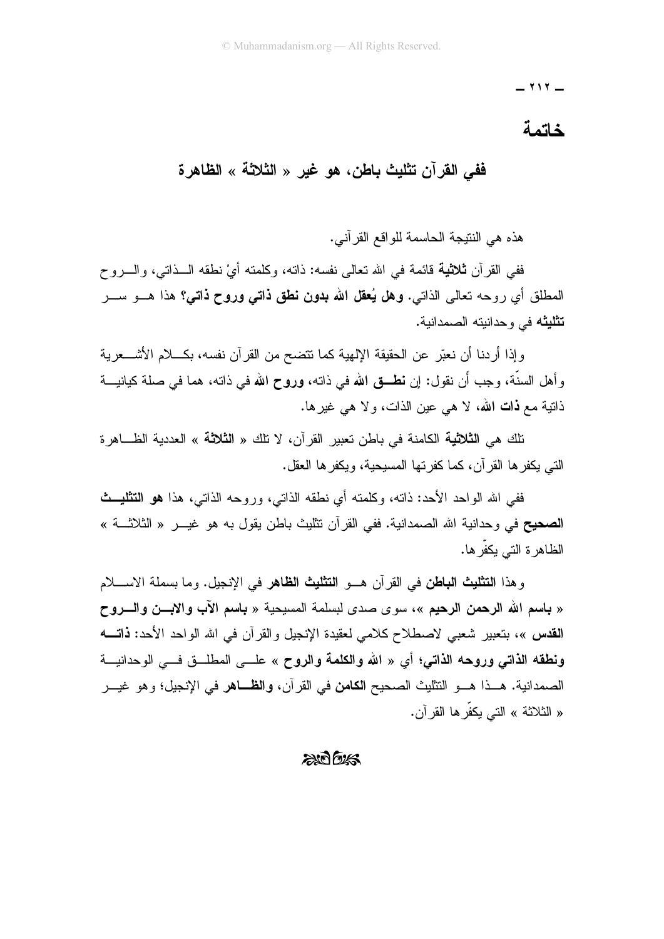$- 111 -$ 

#### خاتمة

## فَفَى القرآن تثليث باطن، هو غير « الثلاثة » الظاهرة

هذه هي النتيجة الحاسمة للواقع القر آني.

ففي القرآن **ثلاثية** قائمة في الله تعالى نفسه: ذاته، وكلمته أيْ نطقه الـــذاتي، والــــروح المطلق أي روحه تعالى الذاتي. **وهل يُعقل الله بدون نطق ذاتـي وروح ذاتـي؟** هذا هـــو ســـر **تثليثه** في وحدانيته الصمدانية.

وإذا أردنا أن نعبّر عن الحقيقة الإلهية كما نتضح من القرآن نفسه، بكـــلام الأشــــعرية وأهل السنَّة، وجب أن نقول: إن **نطــق** الله في ذاته، وروح الله في ذاته، هما في صلة كيانيـــة ذاتية مع **ذات الله،** لا هي عين الذات، و لا هي غير ها.

تلك هي ا**لثلاثية** الكامنة في باطن تعبير القر آن، لا تلك « **الثلاثة** » العددية الظـــاهر ة النبي يكفرها القرآن، كما كفرتها المسيحية، ويكفرها العقل.

ففي الله الواحد الأحد: ذاته، وكلمته أي نطقه الذاتي، وروحه الذاتي، هذا **هو التثليث** الصحيح في وحدانية الله الصمدانية. ففي القرآن نتثليث باطن يقول به هو غيـــر « الثلاثـــة » الظاهرة التبي يكفرها.

وهذا ا**لتثليث الباطن** في القرآن هــو ا**لتثليث الظاهر** في الإنجيل. وما بسملة الاســــلام « باسع الله الرحمن الرحيع »، سوى صدى لبسلمة المسيحية « باسع الآب والابسن والسروح القدس »، بتعبير شعبي لاصطلاح كلامي لعقيدة الإنجيل والقرآن في الله الواحد الأحد: **ذاتـــه** ونطقه الذاتي وروحه الذاتي؛ أي « الله والكلمة والروح » علـــ المطلــق فـــ الوحدانيـــة الصمدانية. هــذا هــو النتثليث الصحيح ا**لكامن** في القرآن، **والظــاهر** في الإنجيل؛ وهو غيـــر « الثلاثة » التي يكفِّرها القرآن.

#### $206$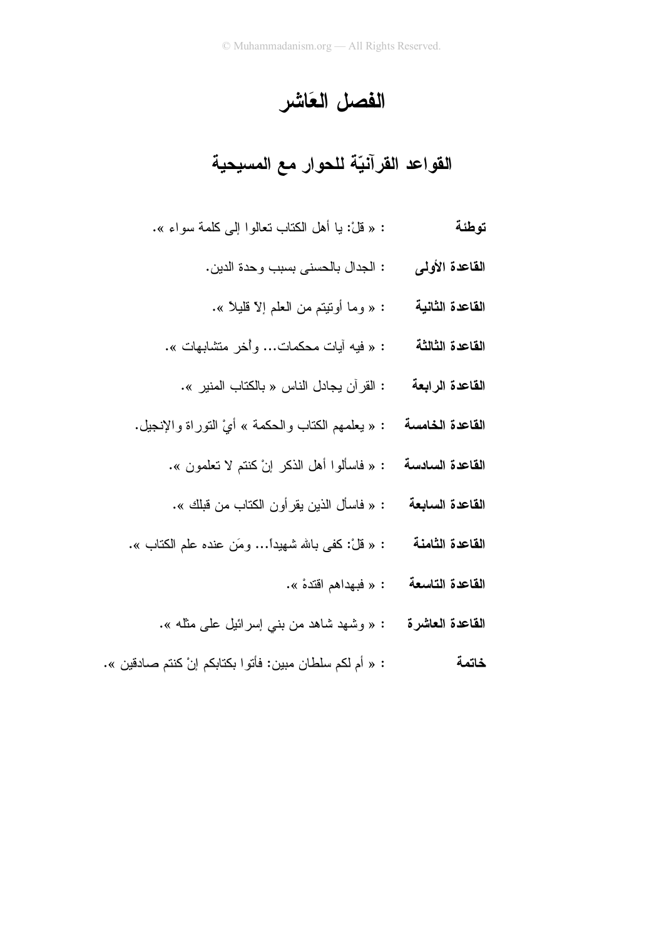الفصل العَاشر

القواعد القرآنيّة للحوار مع المسيحية

- : « قُلْ: يا أهل الكتاب تعالو ا إلى كلمة سواء ». توطئة
	- القاعدة الأولى : الجدال بالحسنى بسبب وحدة الدين.
	- ا**لقاعدة الثانية للغير :** « وما أوتيتم من العلم إلاّ قليلاً ».
	- ا**لقاعدة الثالثة من عند** الله عنه الله عنه عنه الله عنه عنه الله عنه الله عنه الله عنه الله عنه الله عنه الله ع<br>و الله عنه الله عنه الله عنه الله عنه الله عنه الله عنه الله عنه الله عنه الله عنه الله عنه الله عنه الله عنه
		- ا**لقاعدة الرابعة هي :** القرآن يجادل الناس « بالكتاب المنير ».
- ا**لقاعدة الخامسة هي** : « بعلمهم الكتاب والحكمة » أيْ التوراة والإنجيل.
	- القاعدة السادسة : « فاسألوا أهل الذكر إنْ كنتم لا تعلمون ».
	- ا**لقاعدة السابعة من** : « فاسأل الذين يقر أو ن الكتاب من قبلك ».
- القاعدة الثامنة " : « قلْ: كفي بالله شهيداً... ومَن عنده علم الكتاب ».
	- القاعدة التاسعة : « فبهداهم اقتدهْ ».
	- القاعدة العاشرة : « وشهد شاهد من بني إسرائيل على مثله ».
- : « أم لكم سلطان مبين: فأتو ا بكتابكم إنْ كنتم صادقين ». خاتمة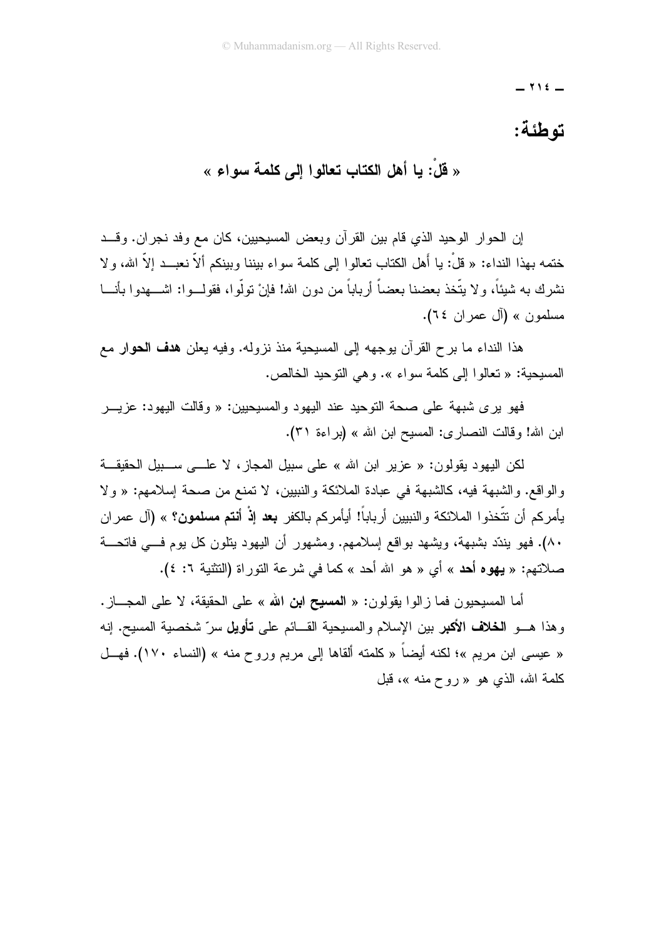$-$  712  $-$ 

# توطئة:

« قُلْ: يا أهل الكتاب تعالوا إلى كلمة سواء »

إن الحوار الوحيد الذي قام بين القرآن وبعض المسيحيين، كان مع وفد نجران. وقــد ختمه بهذا النداء: « قلْ: يا أهل الكتاب تعالوا إلى كلمة سواء بيننا وبينكم ألاّ نعبــد إلاّ الله، و لا نشر ك به شيئاً، و لا يتَّخذ بعضنا بعضاً أر باباً من دون الله! فإنْ تولُّو ا، فقولـــوا: اشــــهدوا بأنـــا مسلمون » (آل عمر ان ٢٤).

هذا النداء ما برح القرآن بوجهه إلى المسيحية منذ نزوله. وفيه يعلن هدف الحوار مع المسيحية: « تعالوا إلى كلمة سواء ». وهي التوحيد الخالص.

فهو برى شبهة على صحة التوحيد عند اليهود والمسيحيين: « وقالت اليهود: عزيـــر ابن الله! وقالت النصار ي: المسيح ابن الله » (بر اءة ٣١).

لكن اليهود يقولون: « عزير ابن الله » على سبيل المجاز، لا علـــي ســـبيل الحقيقـــة والواقع. والشبهة فيه، كالشبهة في عبادة الملائكة والنبيين، لا تمنع من صحة إسلامهم: « ولا يأمركم أن نتَّخذوا الملائكة والنبيين أرباباً! أيأمركم بالكفر **بعد إذْ أنتم مسلمون؟** » (آل عمران ٨٠). فهو بندّد بشبهة، ويشهد بواقع إسلامهم. ومشهور أن اليهود بنلون كل يوم فسي فاتحسة صلاتهم: « يهوه أحد » أي « هو الله أحد » كما في شرعة التوراة (التثنية ٦: ٤).

أما المسيحيون فما ز الو ا يقولون: « ا**لمسيح ابن الله** » على الحقيقة، لا على المجـــاز . وهذا هـــو ا**لـخلاف الأكبر** بين الإسلام والمسيحية القـــائم على **تأويل** سرّ شخصية المسيح. إنه « عيسى ابن مريم »؛ لكنه أيضاً « كلمته ألقاها إلى مريم وروح منه » (النساء ١٧٠). فهــل كلمة الله، الذي هو « روح منه »، قبل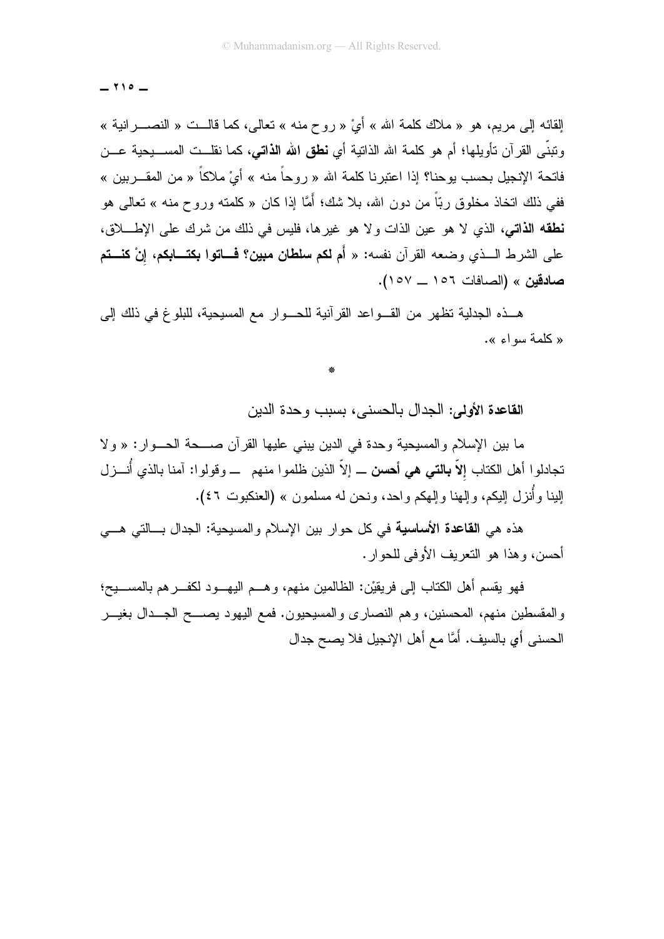$$
- 110 -
$$

القائه إلى مريم، هو « ملاك كلمة الله » أيْ « روح منه » تعالى، كما قالــت « النصـــرانية » ونبنِّي القرآن نأويلها؛ أم هو كلمة الله الذاتية أي **نطق الله الذاتـي،** كما نقلــت المســـيحية عـــن فاتحة الإنجيل بحسب يوحنا؟ إذا اعتبر نا كلمة الله « ر و حاً منه » أيْ ملاكاً « من المقـــر بين » ففي ذلك اتخاذ مخلوق ربّاً من دون الله، بلا شك؛ أمَّا إذا كان « كلمته وروح منه » تعالى هو .<br>**نطقه الذاتبي،** الذي لا هو عين الذات و لا هو غير ها، فليس في ذلك من شرك علي الإطـــــلاق، على الشرط الـــذي وضعه القرآن نفسه: « أُم لكم **سلطان مبين؟ فـــاتوا بكتـــابكم**، إ**نْ كنـــتم** صادقين » (الصافات ١٥٦ \_ ١٥٧).

هـــذه الـجدلية نظهر من القـــواعد القرأنية للـحـــوار مـع المسيحية، للبلوغ في ذلك إلى « كلمة سواءِ ».

القاعدة الأولى: الجدال بالحسني، بسبب وحدة الدبن

ما بين الإسلام والمسيحية وحدة في الدين يبني عليها القرآن صــــحة الحـــوار: « ولا تجادلوا أهل الكتاب إلاّ **بالتي هي أحسن** ــ إلاّ الذين ظلموا منهم ــ وقولوا: آمنا بالذي أنـــزل الِبِنا وأنزل البِكم، والِهنا والِهكم واحد، ونحن له مسلمون » (العنكبوت ٤٦).

هذه هي القاعدة الأساسية في كل حوار بين الإسلام والمسيحية: الجدال بسالتي هـــي أحسن، و هذا هو النعريف الأوفى للحوار .

فهو يقسم أهل الكتاب إلى فريقيْن: الظالمين منهم، وهـــم اليهـــود لكفــــرهم بالمســـيح؛ والمقسطين منهم، المحسنين، وهم النصاري والمسيحيون. فمع اليهود يصــــح الجـــدال بغيـــر الحسني أي بالسيف. أَمَّا مع أهل الإنجيل فلا يصح جدال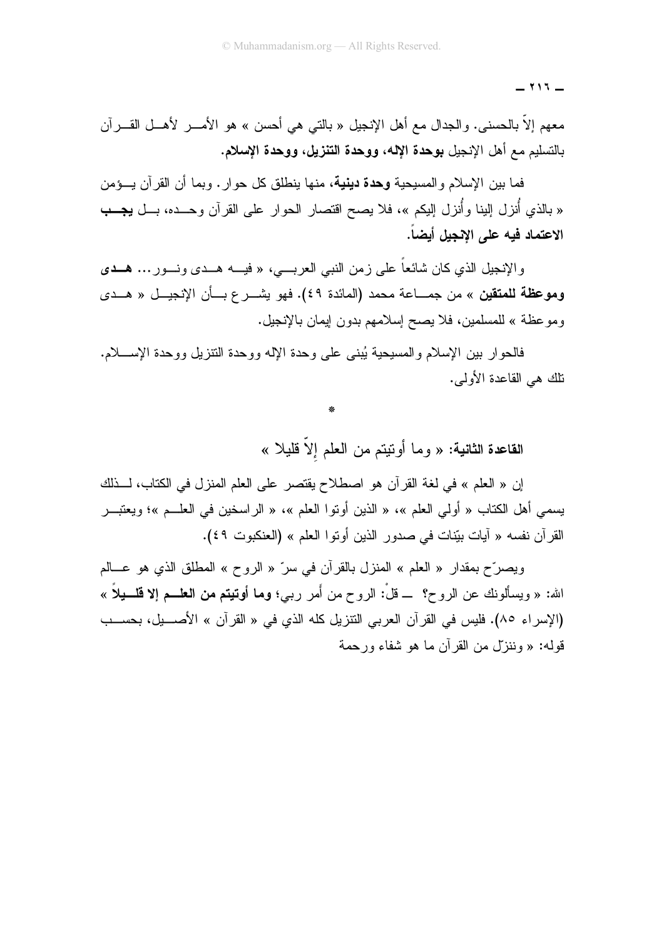$- 115 -$ 

معهم إلاَّ بالحسنبي. والجدال مع أهل الإنجيل « بالتبي هي أحسن » هو الأمــــــر لأهــــل القــــــرآن بالتسليم مع أهل الإنجيل بوحدة الإله، ووحدة التنزيل، ووحدة الإسلام.

فما بين الإسلام والمسبحية **وحدة دينية**، منها بنطلق كل حوار . وبما أن القرآن بـــؤمن « بالذي أُنزل إلينا وأُنزل إليكم »، فلا يصح اقتصار الحوار على القرآن وحــده، بــل يجــب الاعتماد فيه على الإنجيل أيضاً.

والإنجيل الذي كان شائعاً على زمن النبي العربـــي، « فيــــه هـــدى ونـــور ... هـــدى وموعظة للمتقين » من جمـــاعة محمد (المائدة ٤٩). فهو يشـــرع بـــأن الإنجيـــل « هـــدى وموعظة » للمسلمين، فلا يصح إسلامهم بدون إيمان بالإنجيل.

فالحوار بين الإسلام والمسيحية يُبنى على وحدة الإله ووحدة النتزيل ووحدة الإســــلام. نلك هي القاعدة الأولى.

القاعدة الثانية: « وما أونيتم من العلم إلاّ قليلا »

إن « العلم » في لغة القر أن هو اصطلاح يقتصر على العلم المنز ل في الكتاب، لــذلك يسمى أهل الكتاب « أولى العلم »، « الذين أونوا العلم »، « الراسخين في العلــم »؛ ويعتبـــر القرآن نفسه « آيات بيّنات في صدور الذين أوتوا العلم » (العنكبوت ٤٩).

ويصرِّح بمقدار « العلم » المنزل بالقرآن في سرِّ « الروح » المطلق الذي هو عـــالم الله: « ويسألونك عن الروح؟ ــ قلْ: الروح من أُمر ربي؛ وما أوتيتم من العلـــم إلا قلــــيلاً » (الإسراء ٨٥). فليس في القرآن العربي التتزيل كله الذي في « القرآن » الأصـــيل، بحســب قوله: « وننزلٌ من القرآن ما هو شفاء ورحمة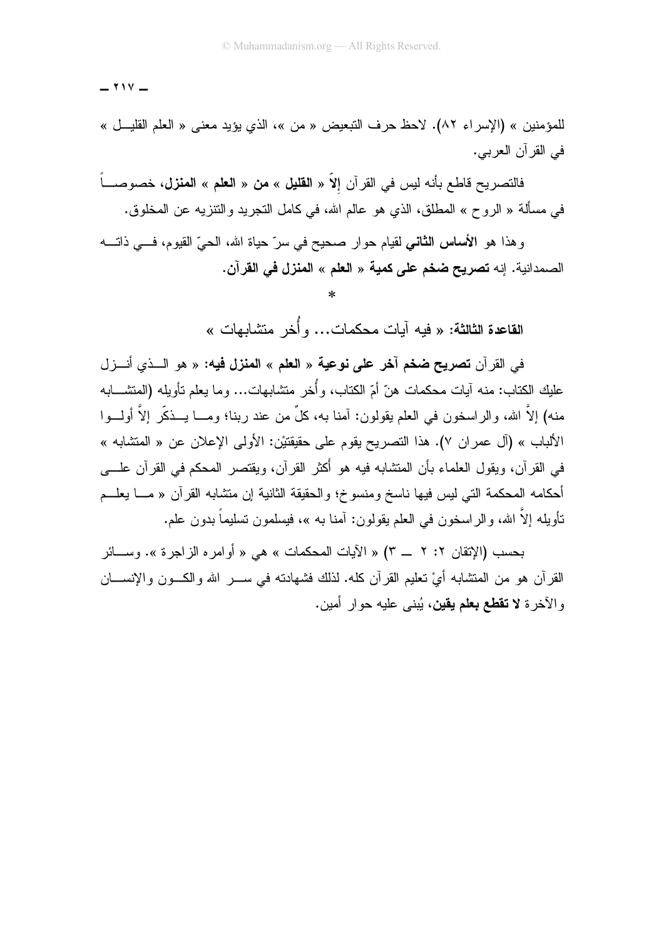$$
- \mathbf{111} -
$$

للمؤمنين » (الإسراء ٨٢). لاحظ حرف التبعيض « من »، الذي يؤيد معنى « العلم القليـل » في القرآن العربي.

فالتصريح قاطع بأنه ليس في القرآن إلاّ « ا**لقليل** » **من** « ا**لعلم** » ا**لمنزل،** خصوصــــاً في مسألة « الروح » المطلق، الذي هو عالم الله، في كامل التجريد والنتزيه عن المخلوق.

و هذا هو الأ**ساس الثاني** لقيام حوار صحيح في سرّ حياة الله، الحيّ القيوم، فـــي ذاتـــه الصمدانية. إنه **تصريح ضخم على كمية** « ا**لعلم** » ا**لمنزل في القر**آن.

القاعدة الثالثة: « فيه آيات محكمات... و أُخر متشابهات »

في القرآن **تصريح ضخم آخر على نوعية** « ا**لعلم** » ا**لمنزل فيه:** « هو السذي أنسزل عليك الكتاب: منه آيات محكمات هنّ أمّ الكتاب، و أُخر متشابهات... و ما يعلم تأويله (المتشـــابه منه) إلاَّ الله، والراسخون في العلم يقولون: آمنا به، كلَّ من عند ربنا؛ ومـــا يـــذكَّر إلاَّ أولـــوا الألباب » (آل عمران ٧). هذا التصريح يقوم على حقيقتيْن: الأولى الإعلان عن « المتشابه » في القرآن، ويقول العلماء بأن المنتثىابه فيه هو أَكثر القرآن، ويقتصر المحكم في القرآن علــــي أحكامه المحكمة التي ليس فيها ناسخ ومنسوخ؛ والحقيقة الثانية إن متشابه القرآن « مـــا يعلـــم تأويله إلاّ الله، و الر اسخون في العلم يقولون: آمنا به »، فيسلمون تسليماً بدون علم.

بحسب (الإتقان ٢: ٢ \_ ٣) « الآيات المحكمات » هي « أو امره الزاجرة ». وســـائر القرآن هو من المتشابه أيْ نعليم القرآن كله. لذلك فشهادته في ســـر الله والكـــون والإنســـان و الآخر ة لا **تقطع بعلم يقين**، يُبنى عليه حوار أمين.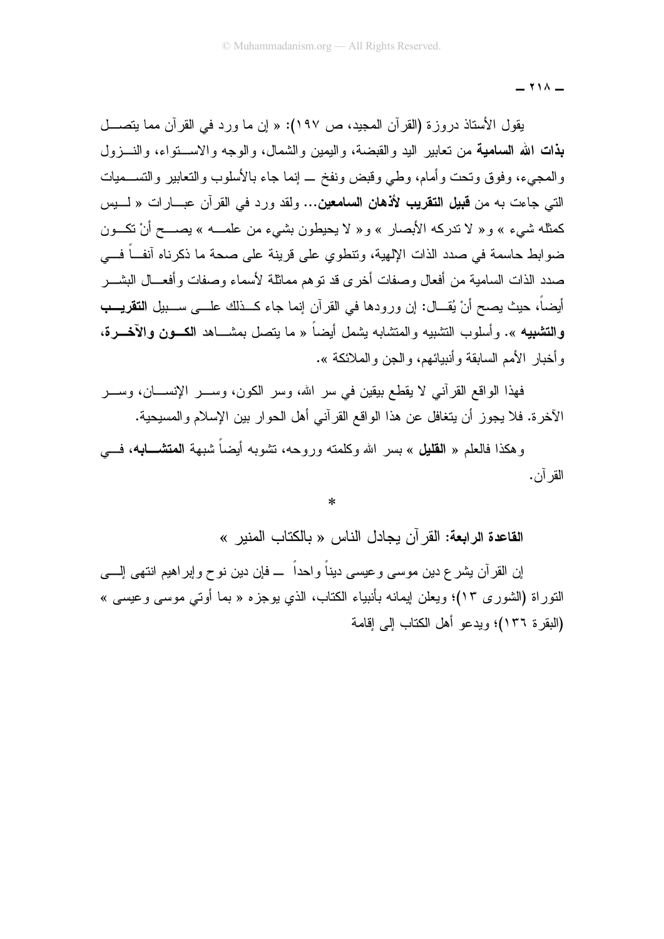$\sim$   $\sim$   $-$ 

يقول الأستاذ دروزة (القرآن المجيد، ص ١٩٧): « إن ما ورد في القرآن مما يتصـــل **بذات الله السامية** من تعابير اليد والقبضة، واليمين والشمال، والوجه والاســــتواء، والنــــزول والمعجىء، وفوق وتحت وأمام، وطبي وقبض ونفخ \_ إنما جاء بالأسلوب والتعابير والتســـميات التي جاءت به من **قبيل التقريب لأذهان السامعين...** ولقد ورد في القرآن عبــارات « لـــيس كمثله شيء » و« لا ندركه الأبصار » و« لا يحيطون بشيء من علمـــه » يصـــح أنْ نكـــون ضوابط حاسمة في صدد الذات الإلهية، وتنطوي على قرينة على صحة ما ذكرناه أنف ً فـــي صدد الذات السامية من أفعال وصفات أخرى قد نوهم مماثلة لأسماء وصفات وأفعـــال البشــــر أيضاً، حيث يصح أنْ يُقـــال: إن ورودها في القرآن إنما جاء كـــذلك علـــي ســـبيل ا**لتقريـــب** والتشبيه ». وأسلوب التشبيه والمتشابه يشمل أيضاً « ما يتصل بمشـــاهد الكـــون والآخـــرة، و أخبار الأمم السابقة و أنبيائهم، و الجن و الملائكة ».

فهذا الواقع القرآني لا يقطع بيقين في سر الله، وسر الكون، وســـر الإنســــان، وســـر الآخرة. فلا يجوز أن يتغافل عن هذا الواقع القرآني أهل الحوار بين الإسلام والمسيحية.

وهكذا فالعلم « ا**لقليل** » بسر الله وكلمته وروحه، تشوبه أيضاً شبهة ا**لمتشـــابـه**، فــــي القر آن.

 $\ast$ 

القاعدة الرابعة: القر آن بجادل الناس « بالكتاب المنبر »

إن القرآن بشرع دين موسى وعيسى ديناً واحداً ــــ فإن دين نوح وإبراهيم انتهى إلــــي النَّوراة (الشُّوري ١٣)؛ ويعلن ايمانـه بأنبياء الكتاب، الذي يوجزه « بما أوتـي موسـي وعيسـي » (البقرة ١٣٦)؛ ويدعو أهل الكتاب إلى إقامة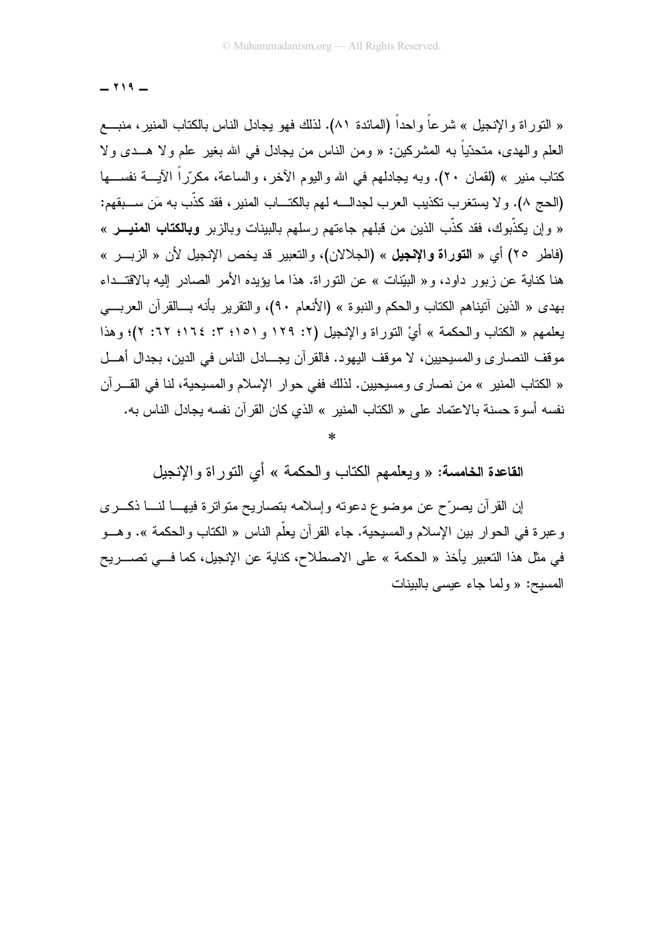$-119 -$ 

« النَّور اة والإنجيل » شرعاً واحداً (المائدة ٨١). لذلك فهو يجادل الناس بالكتاب المنير، منبــــع العلم والبهدي، متحدِّياً به المشركين: « ومن الناس من يجادل في الله بغير ً علم ولا هـــدي ولا كتاب منير » (لقمان ٢٠). وبه يجادلهم في الله واليوم الآخر، والساعة، مكرّراً الآيـــة نفســـها (الحج ٨). و لا يستغر ب تكذيب العر ب لجدالـــه لهم بالكتـــاب المنبر ، فقد كذَّب به مَن ســـبقهم: « و إن يكذّبوك، فقد كذّب الذين من قبلهم جاءتهم رسلهم بالبينات وبالزبر **وبالكتاب المنيـــر** » (فاطر ٢٥) أي « التوراة والإنجيل » (الجلالان)، والتعبير قد يخص الإنجيل لأن « الزبـــر » هنا كناية عن زبور داود، و« البيّنات » عن النوراة. هذا ما يؤيده الأمر الصادر إليه بالاقتــداء بهدي « الذين أنيناهم الكتاب والحكم والنبوة » (الأنعام ٩٠)، والنقرير بأنه بـــالقرآن العربــــى يعلمهم « الكتاب والحكمة » أيْ النوراة والإنجيل (٢: ١٢٩ و ١٥١؛ ٣: ١٦٤؛ ٢٢: ٢)؛ وهذا موقف النصاري والمسيحيين، لا موقف اليهود. فالقرآن يجـــادل الناس في الدين، بجدال أهـــل « الكتاب المنير » من نصار ي و مسيحيين. لذلك ففي حو ار الإسلام و المسيحية، لنا في القـــر آن نفسه أسو ة حسنة بالاعتماد على « الكتاب المنير » الذي كان القر آن نفسه بجادل الناس به.

القاعدة الخامسة: « ويعلمهم الكتاب والحكمة » أي النوراة والإنجيل

إن القرآن بصرّح عن موضوع دعونه وإسلامه بتصاريح متواترة فيهــا لنـــا ذكـــرى وعبرة في الحوار بين الإسلام والمسيحية. جاء القرآن يعلم الناس « الكتاب والحكمة ». وهـــو في مثل هذا التعبير يأخذ « الحكمة » على الاصطلاح، كناية عن الإنجيل، كما فـــي تصــــريح المسيح: « ولما جاء عيسى بالبينات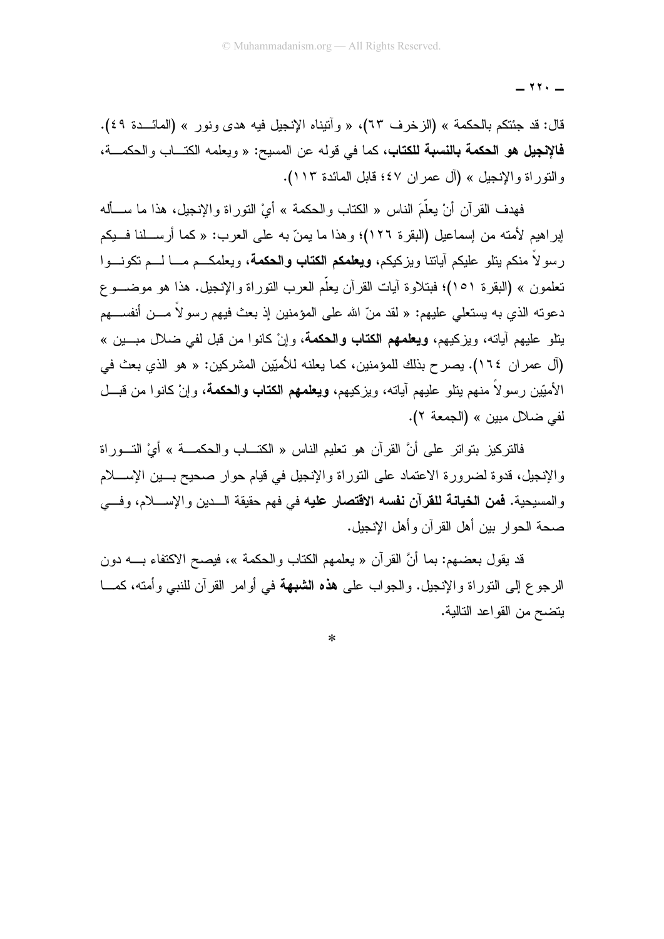$\lambda$   $\lambda$   $-$ 

قال: قد جئتكم بالحكمة » (الزخرف ٦٣)، « وآنيناه الإنجيل فيه هدى ونور » (المائـــدة ٤٩). **فالإنجيل هو الحكمة بالنسبة للكتاب،** كما في قوله عن المسيح: « ويعلمه الكتـــاب والحكمـــة، والتور اة والإنجيل » (آل عمر ان ٤٧؛ قابل المائدة ١١٣).

فهدف القر آن أنْ بعلَّمَ الناس « الكتاب و الحكمة » أيْ النَّور اة و الإنجيل، هذا ما ســـأله إبراهيم لأمته من إسماعيل (البقرة ١٢٦)؛ وهذا ما يمنّ به على العرب: « كما أرســـلنا فـــبكم ر سو لاً منكم بِتلو عليكم آباتنا و بزكيكم، **ويعلمكم الكتاب والحكمة،** ويعلمكـــم مـــا لــــم تكونـــوا تعلمون » (البقرة ٥١)؛ فبتلاوة أيات القرأن يعلّم العرب النّوراة والإنجيل. هذا هو موضـــوع دعوته الذي به يستعلى عليهم: « لقد منّ الله على المؤمنين إذ بعث فيهم رسو لاً مـــن أنفســـهم يتلو عليهم آياته، ويزكيهم، **ويعلمهم الكتاب والحكمة**، وإنْ كانوا من قبل لفي ضلال مبـــين » (آل عمر ان ١٦٤). يصرح بذلك للمؤمنين، كما يعلنه للأميِّين المشركين: « هو الذي بعث في الأميِّين رسو لاً منهم يتلو عليهم آياته، ويزكيهم، **ويعلمهم الكتاب والحكمة**، وإنْ كانوا من قبـــل لفي ضلال مبين » (الجمعة ٢).

فالتركيز بتواتر على أنَّ القرآن هو تعليم الناس « الكتـــاب والـحكمـــة » أيَّ التـــوراة والإنجيل، قدوة لضرورة الاعتماد على التوراة والإنجيل في قيام حوار صحيح بسين الإســـلام والمسيحية. **فمن الخيانة للقرآن نفسه الاقتصار عليه** في فهم حقيقة الـــدين والإســــلام، وفـــي صحة الحوار بين أهل القر آن و أهل الإنجيل.

قد يقول بعضهم: بما أنَّ القرآن « يعلمهم الكتاب والحكمة »، فيصح الاكتفاء بـــــه دون الرجوع إلى النوراة والإنجيل. والجواب على هذه الشبهة في أوامر القرآن للنبي وأمته، كمـــا بنضح من القو اعد التالية.

 $\ast$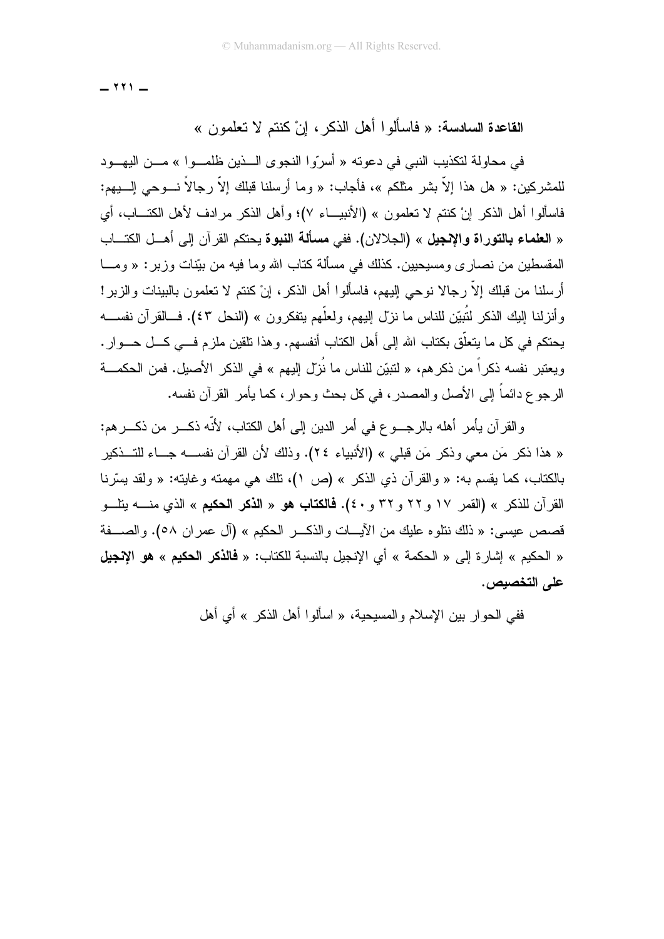$111 -$ 

## القاعدة السادسة: « فاسألو ا أهل الذكر ، إنْ كنتم لا تعلمون »

في محاولة لتكذيب النبي في دعوته « أسرّوا النجوي الـــذين ظلمـــوا » مـــن اليهـــود للمشركين: « هل هذا إلاّ بشر مثلكم »، فأجاب: « وما أرسلنا قبلك إلاّ رجالاً نـــوحى إلــــبيهم: فاسألوا أهل الذكر إنْ كنتم لا تعلمون » (الأنبيـــاء ٧)؛ وأهل الذكر مرادف لأهل الكتـــاب، أي « العلماء بالتوراة والإنجيل » (الجلالان). ففي مسألة النبوة بحتكم القرآن إلى أهــل الكتـــاب المقسطين من نصاري ومسيحيين. كذلك في مسألة كتاب الله وما فيه من بيّنات وزبر : « ومـــا أرسلنا من قبلك إلاّ رجالا نوحي إليهم، فاسألوا أهل الذكر، إنْ كنتم لا تعلمون بالبينات والزبر! وأنزلنا إليك الذكر لتُبيِّن للناس ما نزل إليهم، ولعلَّهم يتفكرون » (النحل ٤٣). فــالقرآن نفســـه يحتكم في كل ما يتعلَّق بكتاب الله إلى أهل الكتاب أنفسهم. وهذا تلقين ملزم فـــي كـــل حـــوار . ويعتبر نفسه ذكراً من ذكرهم، « لتبيّن للناس ما نُزلّ إليهم » في الذكر الأصبل. فمن الحكمـــة الرجوع دائماً إلى الأصل والمصدر، في كل بحث وحوار، كما يأمر القرآن نفسه.

و القرآن بِأمر أهله بالرجسوع في أمر الدين إلى أهل الكتاب، لأنّه ذكـــر من ذكـــر هم: « هذا ذكر مَن معي وذكر مَن قبلي » (الأنبياء ٢٤). وذلك لأن القرآن نفســـه جـــاء للتـــذكير بالكتاب، كما يقسم به: « والقرآن ذي الذكر » (ص ١)، نلك هي مهمته وغايته: « ولقد يسَّرنا قصص عيسى: « ذلك ننلوه عليك من الأيسات والذكــــر الحكيم » (آل عمران ٥٨). والصــــفة « الحكيم » إشار ة إلى « الحكمة » أي الإنجيل بالنسبة للكتاب: « فالذكر الحكيم » هو الإنجيل على التخصيص.

ففي الحو ار بين الإسلام والمسبحية، « اسألوا أهل الذكر » أي أهل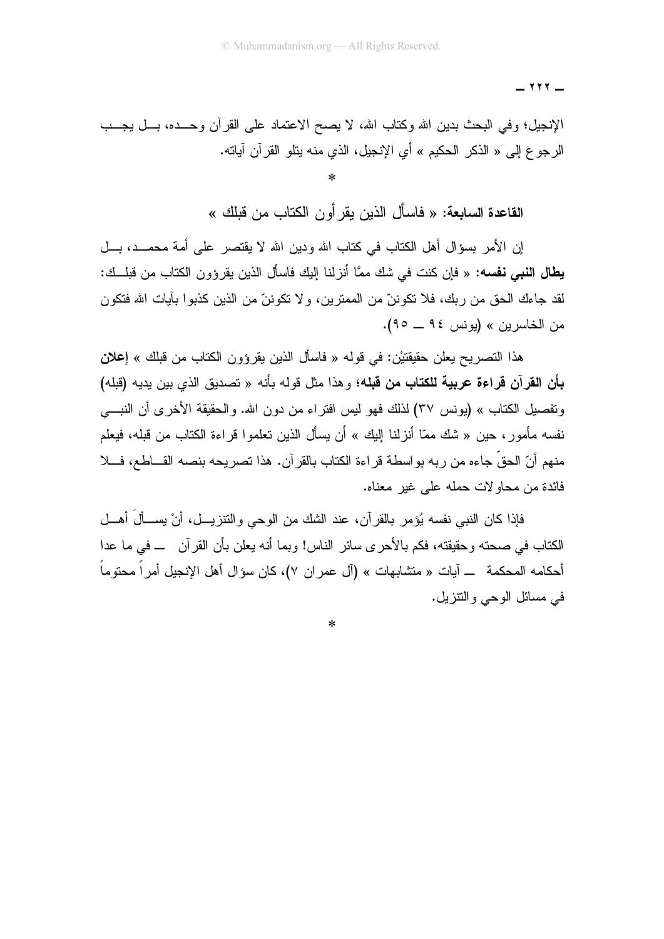$\gamma \gamma \gamma$   $-$ 

الإنجيل؛ وفي البحث بدين الله وكناب الله، لا يصح الاعتماد على القرآن وحـــده، بـــل يجـــب الرجوع إلى « الذكر الحكيم » أي الإنجيل، الذي منه يتلو القرآن آياته.  $\ast$ 

القاعدة السابعة: « فاسأل الذين يقر أو ن الكتاب من قبلك »

إن الأمر بسؤال أهل الكتاب في كتاب الله ودين الله لا يقتصر على أمة محمــد، بـــل **يطال النبي نفسه:** « فإن كنت في شك ممَّا أنزلنا إليك فاسأل الذين يقرؤون الكتاب من قبلــك: لقد جاءك الحق من ربك، فلا تكوننّ من الممترين، و لا تكوننّ من الذين كذبوا بآيات الله فتكون من الخاسر بن » (بونس ٩٤ ــ ٩٥).

هذا التصريح يعلن حقيقتيْن: في قوله « فاسأل الذين يقرؤون الكتاب من قبلك » إ**علان** بأن القرآن قراءة عربية للكتاب من قبله؛ و هذا مثل قوله بأنه « تصديق الذي بين يديه (قبله) و تفصيل الكتاب » (يو نس ٣٧) لذلك فهو ليس افتر اء من دو ن الله. و الحقيقة الأخر ي أن النبــــي نفسه مأمور ، حين « شك ممّا أنزلنا البك » أن يسأل الذين تعلموا قراءة الكتاب من قبله، فيعلم منهم أنّ الحقّ جاءه من ربه بواسطة قراءة الكتاب بالقرآن. هذا تصريحه بنصه القـــاطـع، فـــلا فائدة من محاو لات حمله على غبر معناه.

فإذا كان النبي نفسه يُؤمر بالقرآن، عند الشك من الوحي والنتزيـــل، أنْ يســـألَ أهـــل الكتاب في صبحته و حقيقته، فكم بالأجر ي سائر الناس! وبما أنه يعلن بأن القر آن ـــ في ما عدا . أحكامه المحكمة ـــ آيات « متشابهات » (آل عمر ان ٧)، كان سؤال أهل الإنجيل أمراً محتوماً في مسائل الوحى والنتزيل.

 $\ast$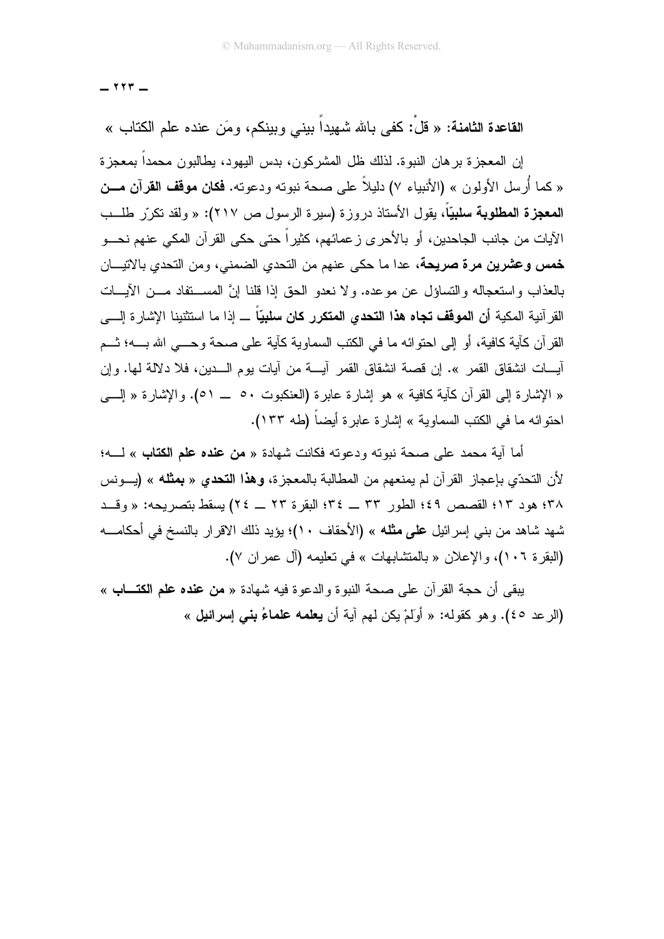$117 -$ 

القاعدة الثامنة: « قلْ: كفي بالله شهيداً بيني وبينكم، ومَن عنده علم الكتاب »

إن المعجز ة بر هان النبو ة. لذلك ظل المشر كو ن، بدس اليهو د، يطالبو ن محمداً بمعجز ة « كما أُر سل الأولون » (الأنبياء ٧) دليلاً على صحة نبوته ودعوته. **فكان موقف القرآن مــن** ا**لمعجزة المطلوبة سلبيّاً،** يقول الأستاذ دروزة (سيرة الرسول ص ٢١٧): « ولقد تكرّر طلــب الآيات من جانب الجاحدين، أو بالأحرى ز عمائهم، كثيراً حتى حكى القرآن المكي عنهم نحـــو **خمس وعشرين مرة صريحة**، عدا ما حكى عنهم من النحدي الضمني، ومن النحدي بالانيـــان بالعذاب واستعجاله والتساؤل عن موعده. ولا نعدو الحق إذا قلنا إنَّ المســـتفاد مـــن الآيــــات القر آنية المكية أ**ن الموقف تجاه هذا التحدي المتكرر كان سلبيّاً** ـــ إذا ما استثنينا الإشارة إلــــى القرآن كآية كافية، أو إلى احتوائه ما في الكتب السماوية كآية على صحة وحـــي الله بــــه؛ ثـــم آيــــات انشقاق القمر ». إن قصــة انشقاق القمر آيــــة من آيات يوم الــــدين، فلا دلالـة لـها. وإن « الإشارة إلى القرآن كآية كافية » هو إشارة عابرة (العنكبوت ٥٠ \_ ٥١). والإشارة « إلـــي احتو ائه ما في الكتب السماوية » إشار ة عابر ة أبضاً (طه ١٣٣).

أما آية محمد على صحة نبوته ودعوته فكانت شهادة « **من عنده علم الكتاب** » لــــه؛ لأن النحدّي بإعجاز القرآن لم يمنعهم من المطالبة بالمعجزة، **وهذا النحدي « بمثله** » (يـــونس ٣٨؛ هو د ١٣؛ القصص ٤٩؛ الطور ٣٣ ــ ٣٤؛ البقر ة ٢٣ ــ ٢٤) بسقط بتصر بحه: « وقــد شهد شاهد من بني إسرائيل ع<mark>لى مثله</mark> » (الأحقاف ١٠)؛ يؤيد ذلك الاقرار بالنسخ في أحكامــــه (البقرة ١٠٦)، والإعلان « بالمتشابهات » في تعليمه (آل عمر إن ٧).

يبقى أن حجة القرآن على صحة النبوة والدعوة فيه شهادة « **من عنده علم الكتـــاب** » (الرعد ٤٥). وهو كقوله: « أولَمْ يكن لهم آية أن **يعلمه علماءُ بني** إ**سرائيل** »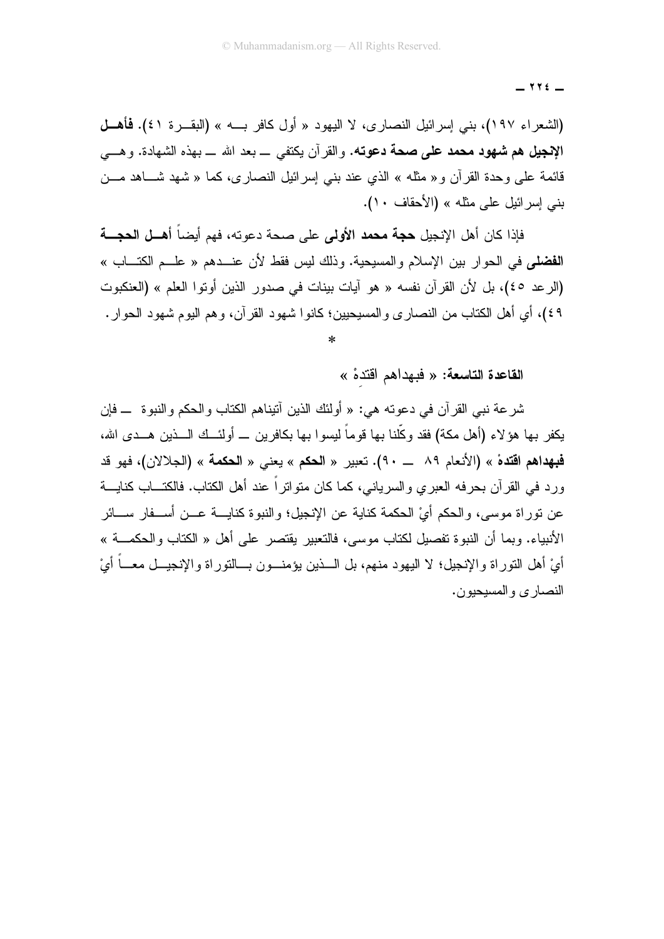$\forall$   $\forall$   $\in$   $-$ 

(الشعراء ١٩٧)، بني إسرائيل النصارى، لا اليهود « أول كافر بـــه » (البقـــرة ٤١). فأهـــل الإنجيل هم شهود محمد على صحة دعوته. والقرآن يكتفي \_ بعد الله \_ بهذه الشهادة. وهـــي قائمة على وحدة القرآن و « مثله » الذي عند بنبي إسرائيل النصارى، كما « شهد شـــاهد مـــن بني إسر ائبل على مثله » (الأحقاف ١٠).

فإذا كان أهل الإنجيل **حجة محمد الأولى** على صحة دعوته، فهم أيضاً أ**هــل الحجـــة** الفضلي في الجوار بين الإسلام والمسبحية. وذلك ليس فقط لأن عنــدهم « علــم الكنـــاب » (الرعد ٤٥)، بل لأن القرآن نفسه « هو آيات بينات في صدور الذين أوتوا العلم » (العنكبوت ٤٩)، أي أهل الكتاب من النصـار ي والمسيحيين؛ كانوا شـهود القرآن، وهم اليوم شـهود الـحوار .

القاعدة التاسعة: « فبهداهم اقتدهْ »

شرعة نبي القرآن في دعوته هي: « أولئك الذين آنيناهم الكتاب والحكم والنبوة ـــ فإن يكفر بـها هوَ لاء (أهل مكة) فقد وكِّلنا بـها قوماً ليسوا بـها بكافرين ــــ أولئـــك الــــذين هـــدى الله، فبهداهم اقتدهْ » (الأنعام ٨٩ \_\_ ٩٠). تعبير « الحكم » يعني « الحكمة » (الجلالان)، فهو قد ورد في القرآن بحرفه العبري والسرياني، كما كان متواتراً عند أهل الكتاب. فالكتـــاب كنايــــة عن نوراة موسى، والحكم أيْ الحكمة كناية عن الإنجيل؛ والنبوة كنايــــة عـــن أســـفار ســـائر الأنبياء. وبما أن النبوة تفصيل لكتاب موسى، فالتعبير يقتصر على أهل « الكتاب والحكمـــة » أيْ أهل النّوراة والإنجيل؛ لا اليهود منهم، بل الــــذين يؤمنــــون بــــالنّوراة والإنجيـــل معــــاً أيْ النصار ي و المسيحيو ن.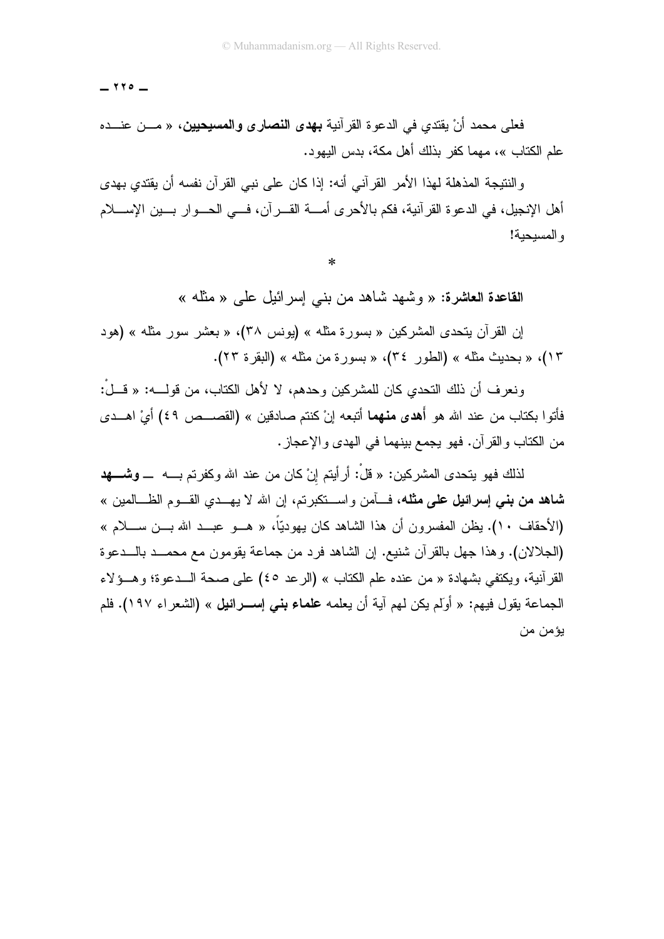$110 -$ 

فعلى محمد أنْ يقتدي في الدعوة القرآنية **بهدى النصارى والمسيحيين،** « مـــن عنـــده علم الكتاب »، مهما كفر بذلك أهل مكة، بدس اليهود.

و النتيجة المذهلة لهذا الأمر القر آني أنه: إذا كان على نبي القر آن نفسه أن بقتدي بهدي أهل الإنجيل، في الدعوة القرآنية، فكم بالأحرى أمــــة القــــرآن، فــــى الـحـــوار بــــين الإســـــلام و المسيحية!

 $\ast$ 

القاعدة العاشرة: « وشَّهد شاهد من بني إسر ائيل على « مثَّله »

اِنِ القرآن بِتحدى المشركين « بسورة مثله » (يونس ٣٨)، « بعشر سور مثله » (هود ١٣)، « بحديث مثله » (الطور ٣٤)، « بسورة من مثله » (البقرة ٢٣).

ونعر ف أن ذلك التحدي كان للمشر كين و حدهم، لا لأهل الكتاب، من قولــــه: « قـــلْ: فأتوا بكتاب من عند الله هو أ**هدي منهما** أتبعه إنْ كنتم صادقين » (القصـــص ٤٩) أيْ اهـــدي من الكتاب والقرآن. فهو يجمع بينهما في الهدى والإعجاز .

لذلك فهو يتحدى المشركين: « قلْ: أر أيتم إنْ كان من عند الله وكفرتم بــــه ـــ **وشـــــهد شاهد من بنبي إسرائيل علمي مثله،** فسأمن واســـنكبرتم، إن الله لا يهـــدي القـــوم الظـــالمين » (الأحقاف ١٠). يظن المفسرون أن هذا الشاهد كان يهوديًّا، « هـــو عبـــد الله بـــن ســــلام » (الجلالان). وهذا جهل بالقرآن شنيع. إن الشاهد فرد من جماعة يقومون مع محمــد بالـــدعوة القر أنية، ويكتفي بشهادة « من عنده علم الكتاب » (الرعد ٤٥) على صحة الـــدعوة؛ وهـــؤلاء الجماعة يقول فيهم: « أولَم يكن لهم آية أن يعلمه **علماء بني** إســـرائ**يل** » (الشعر اء ١٩٧). فلم يؤمن من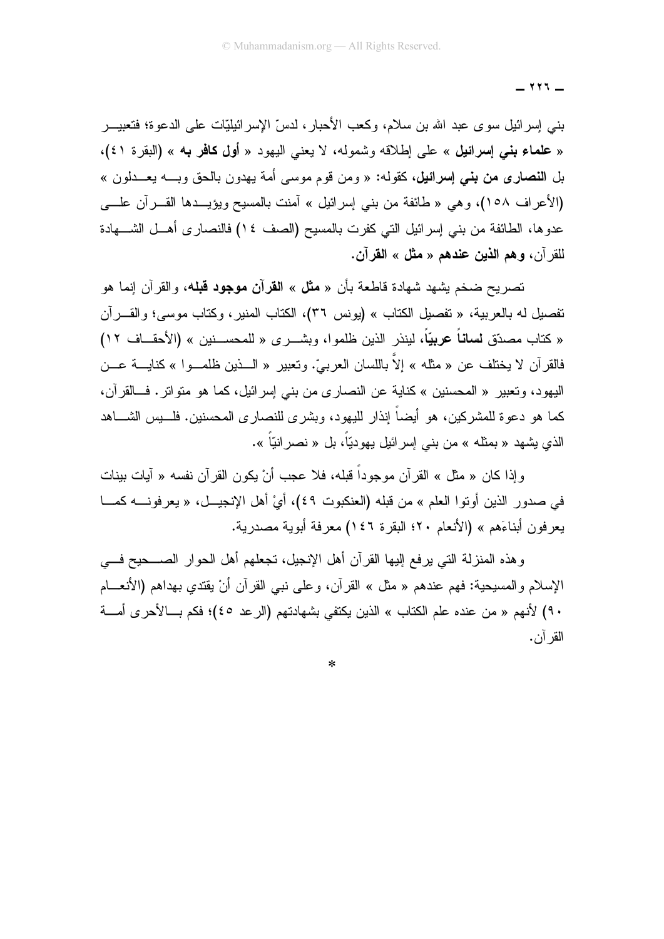$111 -$ 

بني إسرائيل سوى عبد الله بن سلام، وكعب الأحبار ، لدسِّ الإسرائيليّات على الدعوة؛ فتعبيـــــر « علماء بني إسرائيل » على إطلاقه وشموله، لا يعني اليهود « أول كافر به » (البقرة ٤١)، بل ا**لنصاري من بني إسرائيل،** كقوله: « ومن قوم موسى أمة يهدون بالحق وبـــه يعـــدلون » (الأعراف ١٥٨)، وهي « طائفة من بني إسرائيل » آمنت بالمسيح ويؤيــدها القـــر آن علــــي عدوها، الطائفة من بني إسرائيل التي كفرت بالمسيح (الصف ١٤) فالنصاري أهــل الشــــهادة للقر آن، وهم الذين عندهم « مثل » القرآن.

تصريح ضخم يشهد شهادة قاطعة بأن « **مثل** » ا**لقرآن موجود قبل**ه، والقرآن إنما هو نفصيل له بالعربية، « نفصيل الكتاب » (يونس ٣٦)، الكتاب المنير، وكتاب موسى؛ والقـــرآن « كتاب مصدّق **لساناً عربيّاً،** لينذر الذين ظلموا، وبشـــرى « للمحســـنين » (الأحقـــاف ١٢) فالقرآن لا يختلف عن « مثله » إلاّ باللسان العربيّ. وتعبير « الـــذين ظلمـــوا » كنايــــة عـــن اليهود، وتعبير « المحسنين » كناية عن النصارى من بني إسرائيل، كما هو متواتر. فــالقرآن، كما هو دعوة للمشركين، هو أيضاً إنذار لليهود، وبشر ي للنصار ي المحسنين. فلــــيس الشــــاهد الذي يشهد « بمثله » من بني إسرائيل يهوديّاً، بل « نصر انيّاً ».

وإذا كان « مثل » القرآن موجوداً قبله، فلا عجب أنْ يكون القرآن نفسه « آيات بينات في صدور الذين أوتوا العلم » من قبله (العنكبوت ٤٩)، أيْ أهل الإنجيـــل، « يعرفونــــه كمــــا يعرفون أبناءَهم » (الأنعام ٢٠؛ البقرة ١٤٦) معرفة أبوية مصدرية.

وهذه المنزلة النبي برفع إليها القرآن أهل الإنجيل، تجعلهم أهل الحوار الصــــحيح فــــي الإسلام والمسيحية: فهم عندهم « مثل » القرآن، وعلى نبي القرآن أنْ يقتدي بهداهم (الأنعـــام ٩٠) لأنهم « من عنده علم الكتاب » الذين يكتفي بشهادتهم (الرعد ٤٥)؛ فكم بـــالأحرى أمــــة القر آن.

 $\ast$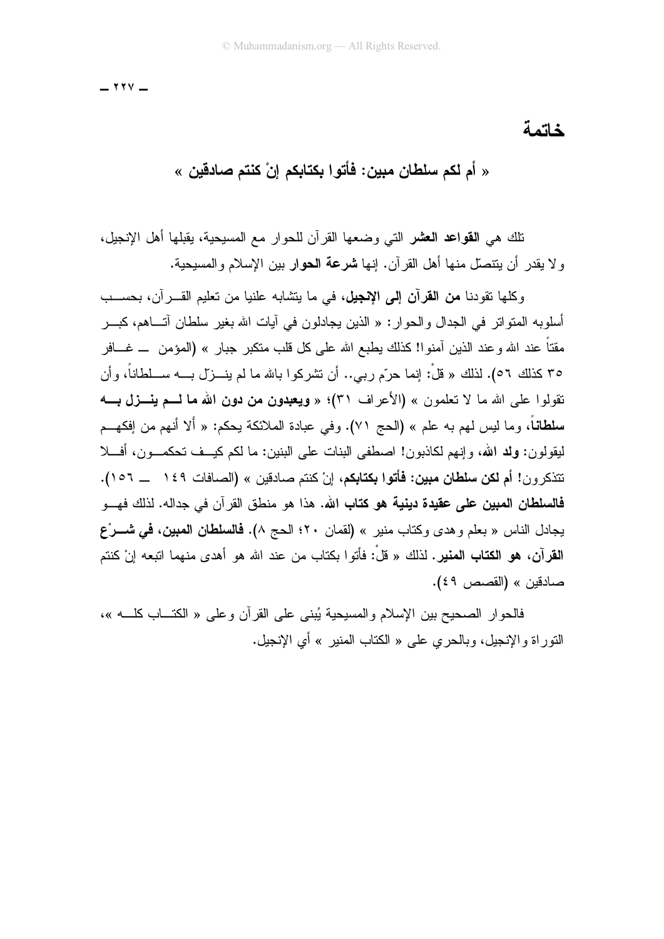$111$ 

خاتمة

« أم لكم سلطان مبين: فأتوا بكتابكم إنْ كنتم صادقين »

تلك هي ا**لقواعد العشر** التي وضعها القرآن للحوار مع المسيحية، يقبلها أهل الإنجيل، و لا بقدرٍ أن ينتصلَّ منها أهل القرِّ آن. إنها **شرعة الحو**ار بين الإسلام والمسبحية.

وكلَّها تقودنا **من القرآن إلى الانجيل، ف**ي ما بتشابه علنبا من تعليم القـــر آن، بـحســـب أسلو به المتو اتر في الجدال و الحو ار : « الذين بجادلو ن في آبات الله بغير سلطان آتـــاهم، كيـــر مقتاً عند الله و عند الذين آمنو !! كذلك يطبع الله على كل قلب منكبر جبار » (المؤمن ــ غـــافر ٣٥ كذلك ٥٦). لذلك « قلْ: إنما حرّم ربي.. أن تشركوا بالله ما لم بنــزل بــه ســلطاناً، وأن نقولوا على الله ما لا تعلمون » (الأعراف ٣١)؛ « ويعبدون من دون الله ما لـــم ينـــزل بــــه سلطاناً، وما ليس لهم به علم » (الحج ٧١). وفي عبادة الملائكة يحكم: « ألا أنهم من إفكهــم ليقولون: ولد الله، وإنهم لكاذبون! اصطفى البنات على البنين: ما لكم كيــف تحكمـــون، أفــــلا نتذكرون! أم **لكن سلطان مبين: فأتوا بكتابك**م، إنْ كنتم صادقين » (الصافات ١٤٩ ـــ ١٥٦). **فالسلطان المبين على عقيدة دينية هو كتاب الله.** هذا هو منطق القرآن في جداله. لذلك فهـــو يجادل الناس « بعلم وهدى وكتاب منير » (لقمان ٢٠؛ الحج ٨). فال**سلطان المبين، في شـــر**ْع **القرآن، هو الكتاب المنير.** لذلك « قلْ: فأتوا بكتاب من عند الله هو أهدى منهما اتبعه إنْ كنتم صادقين » (القصص ٤٩).

فالحوار الصحيح بين الإسلام والمسيحية يُبنى على القرآن وعلى « الكتـــاب كلــــه »، النَّور إة والإنجيل، وبالحرِّ ي علي « الكتاب المنبر » أي الإنجيل.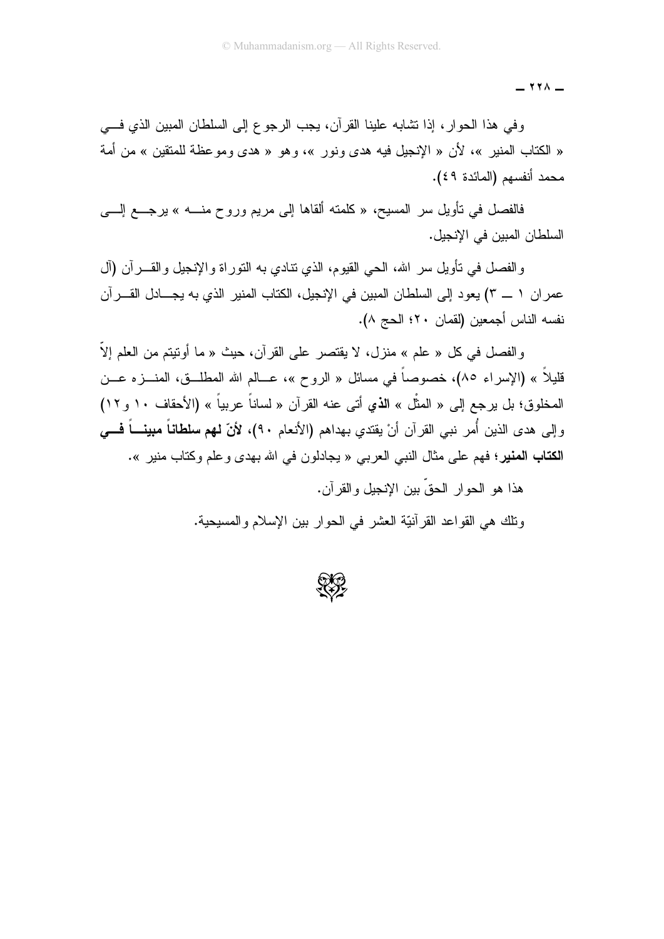$-$  ۲۲۸  $-$ 

وفي هذا الحوار، إذا نشابه علينا القرآن، يجب الرجوع إلى السلطان المبين الذي فسي « الكتاب المنير »، لأن « الإنجيل فيه هدى ونور »، وهو « هدى ومو عظة للمنقين » من أمة محمد أنفسهم (المائدة ٤٩).

فالفصل في نأويل سر المسيح، « كلمته ألقاها إلى مريم وروح منــــه » برجــــع إلــــي السلطان المبين في الإنجيل.

والفصل في نأويل سر الله، الحي القيوم، الذي نتادي به النور اة والإنجيل والقــــرأن (أل عمران ١ \_ ٣) يعود إلى السلطان المبين في الإنجيل، الكتاب المنير الذي به يجــادل القـــرآن نفسه الناس أجمعين (لقمان ٢٠؛ الحج ٨).

والفصل في كل « علم » منزل، لا يقتصر على القرآن، حيث « ما أونتيتم من العلم إلاَّ قليلاً » (الإسراء ٨٥)، خصوصاً في مسائل « الروح »، عـــالم الله المطلـــق، المنــــزه عـــن المخلوق؛ بل برجع إلى « المثُّل » الذي أتى عنه القرآن « لساناً عربياً » (الأحقاف ١٠ و ١٢) و إلى هدى الذين أُمر نبي القرآن أنْ يقتدي بهداهم (الأنعام ٩٠)، لأنّ **لهم سلطاناً مبينـــاً فـــي** الكتاب المنير؛ فهم على مثال النبي العربي « يجادلون في الله بهدي وعلم وكتاب منير ».

> هذا هو الحوار الحقِّ بين الإنجيل والقرآن. ونلك هي القو اعد القر آنيّة العشر ً في الحو ار بين الإسلام و المسيحية.

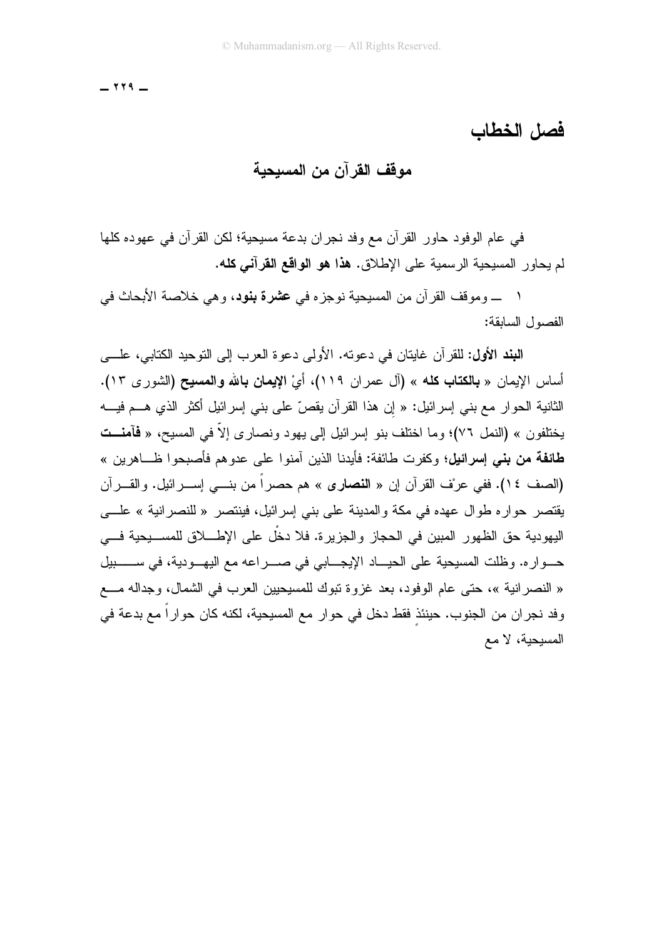$- 119 -$ 

فصل الخطاب

## مو <u>قف</u> القر آن من المسبحية

في عام الوفود حاور القرآن مع وفد نجران بدعة مسيحية؛ لكن القرآن في عهوده كلها لم بحاور المسبحية الرسمية على الإطلاق. **هذا هو الواقع القرآني كله.** 

١ ـــــ وموقف القرآن من المسيحية نوجزه في عشرة بنود، وهي خلاصة الأبحاث في الفصول السابقة:

اللُّبند الأول: للقرآن غايتان في دعوته. الأولى دعوة العرب إلى التوحيد الكتابي، علـــي أساس الإيمان « **بالكتاب كله** » (آل عمران ١١٩)، أيْ **الإيمان بالله والمسيح (ا**لشورى ١٣). الثانية الحوار مع بني إسرائيل: « إن هذا القرآن يقصّ على بني إسرائيل أكثر الذي هـــم فيــــه بختلفون » (النمل ٧٦)؛ وما اختلف بنو إسرائيل إلى بـهود ونصار ي إلاّ في المسبح، « فَآمنــت **طائفة من بني إسرائيل؛** وكفرت طائفة: فأبدنا الذين آمنوا على عدوهم فأصبحوا ظــاهرين » (الصف ١٤). ففي عرْف القرآن إن « **النصارى** » هم حصراً من بنـــي إســـرائيل. والقـــرآن يقتصر حوار ه طوال عهده في مكة والمدينة على بني إسرائيل، فينتصر « للنصر انية » علـــي اليهودية حق الظهور المبين في الحجاز والجزيرة. فلا دخْل على الإطــــلاق للمســـيحية فــــي حـــواره. وظلت المسيحية على الحيـــاد الإيجـــابي في صــــراعه مع اليهـــودية، في ســـــــبيل « النصر انية »، حتى عام الوفود، بعد غزوة نبوك للمسيحيين العرب في الشمال، وجداله مـــع وفد نجر ان من الجنوب. حينئذ فقط دخل في حوار ٍ مع المسيحية، لكنه كان حوار اً مع بدعة في المسيحية، لا مع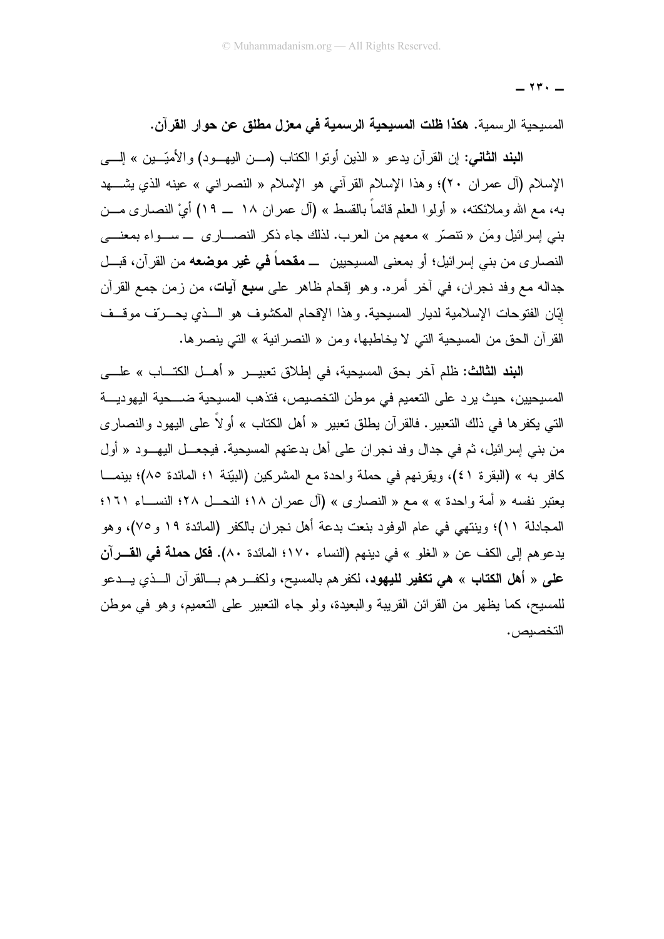$\mathsf{Y}$   $\mathsf{Y}$   $\mathsf{Y}$   $\mathsf{Y}$   $\mathsf{Y}$   $\mathsf{Y}$   $\mathsf{Y}$   $\mathsf{Y}$   $\mathsf{Y}$   $\mathsf{Y}$   $\mathsf{Y}$   $\mathsf{Y}$   $\mathsf{Y}$   $\mathsf{Y}$   $\mathsf{Y}$   $\mathsf{Y}$   $\mathsf{Y}$   $\mathsf{Y}$   $\mathsf{Y}$   $\mathsf{Y}$   $\mathsf{Y}$   $\mathsf{Y}$   $\mathsf{Y}$   $\mathsf{Y}$ 

المسيحية الرسمية. هكذا **ظلت المسيحية الرسمية في معزل مطلق عن حو**ار ا**لقرآن.** 

اللُّبند الثَّاني: إن القرآن يدعو « الذين أوتوا الكتاب (مـــن اليهـــود) والأميّـــين » إلــــي الإسلام (آل عمران ٢٠)؛ وهذا الإسلام القرآني هو الإسلام « النصراني » عينه الذي يشـــهد به، مع الله وملائكته، « أولوا العلم فائماً بالقسط » (آل عمران ١٨ \_ ١٩) أيْ النصارى مـــن بني إسرائيل ومَن « نتصرُّ » معهم من العرب. لذلك جاء ذكر النصــــاري ــــ ســـواء بمعنــــي النصاري من بنبي إسرائيل؛ أو بمعنى المسيحيين ـــ **مقحماً في غير موضعه** من القرآن، قبـــل جداله مع وفد نجران، في آخر أمره. وهو إقحام ظاهر على **سبع آيات**، من زمن جمع القرآن إبّان الفتوحات الإسلامية لديار المسيحية. وهذا الإقحام المكشوف هو الــذي يحــرّف موقــف القرآن الحق من المسيحية التي لا يخاطبها، ومن « النصر انية » التي ينصر ها.

البند الثالث: ظلم آخر بحق المسبحية، في اطلاق تعبيــر « أهــل الكتــاب » علـــي المسيحيين، حيث يرد على التعميم في موطن التخصيص، فتذهب المسيحية ضــــحية اليهوديـــة التي بكفر ها في ذلك التعبير . فالقر آن بطلق تعبير « أهل الكتاب » أو لاً على البـهود و النصـار ي من بني إسرائيل، ثم في جدال وفد نجران على أهل بدعتهم المسيحية. فيجعـــل اليهـــود « أول كافر به » (البقرة ٤١)، ويقرنهم في حملة واحدة مع المشركين (البيّنة ١؛ المائدة ٨٥)؛ بينمـــا يعتبر نفسه « أمة واحدة » » مع « النصارى » (آل عمر ان ١٨؛ النحــل ٢٨؛ النســـاء ١٦١؛ المجادلة ١١)؛ وينتهي في عام الوفود بنعت بدعة أهل نجران بالكفر (المائدة ١٩ و ٧٥)، وهو يدعوهم إلى الكف عن « الغلو » في دينهم (النساء ١٧٠؛ المائدة ٨٠). **فكل حملة في القــــرآن على** « أ**هل الكتاب** » **هي تكفير لليهود**، لكفر هم بالمسيح، ولكفـــر هم بــــالقرآن الــــذي يــــدعو للمسبح، كما يظهر من القرائن القريبة والبعيدة، ولو جاء التعبير على التعميم، وهو في موطن التخصيص .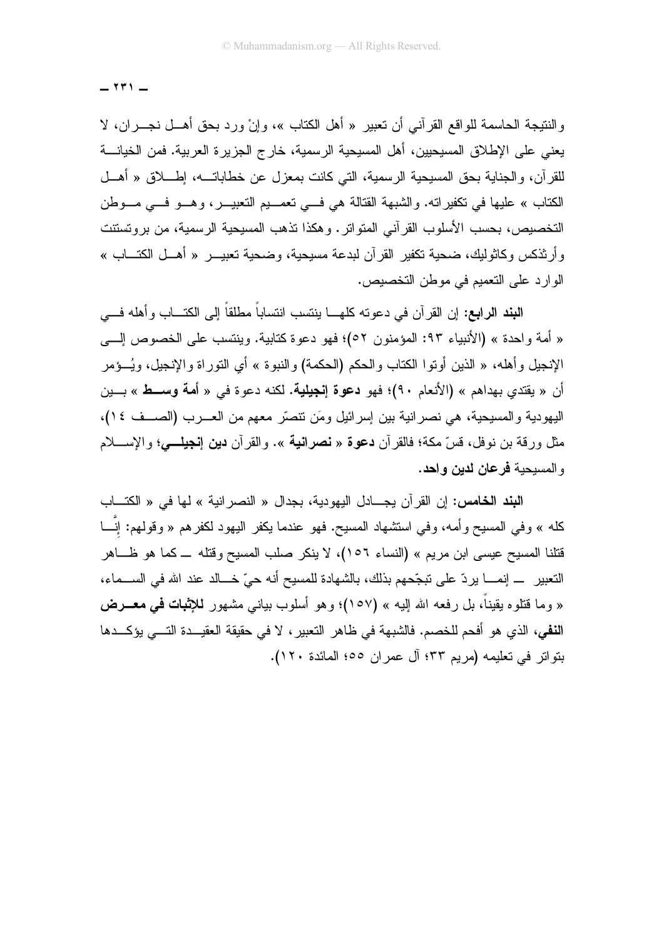$141 -$ 

والنتيجة الحاسمة للواقع القرآني أن تعبير « أهل الكتاب »، وإنْ ورد بحق أهـــل نجـــران، لا يعني على الإطلاق المسيحيين، أهل المسيحية الرسمية، خارج الجزيرة العربية. فمن الخيانــــة للقرآن، والجناية بحق المسيحية الرسمية، التي كانت بمعزل عن خطاباتـــه، إطــــلاق « أهـــل الكتاب » عليها في تكفير اته. والشبهة القتالة هي في تعصيم التعبيـــر، وهـــو فـــي مـــوطن التخصيص، بحسب الأسلوب القرآني المتواتر . وهكذا تذهب المسيحية الرسمية، من بروتستنت و أرثنكس وكاثوليك، ضحية تكفير القرآن لبدعة مسيحية، وضحية تعبيـــر « أهـــل الكتـــاب » الوارد على التعميم في موطن التخصيص.

ا**لنِند الرابع:** إن القرآن في دعونه كلهـــا بنِنسب انتساباً مطلقاً إلى الكتـــاب وأهله فـــي « أمة واحدة » (الأنبياء ٩٣: المؤمنون ٥٢)؛ فهو دعوة كتابية. وينتسب على الخصوص إلـــي الإنجيل وأهله، « الذين أوتوا الكتاب والحكم (الحكمة) والنبوة » أي التوراة والإنجيل، ويُــؤمر أن « يقتدى بهداهم » (الأنعام ٩٠)؛ فهو **دعوة إنجيلية.** لكنه دعوة في « أ**مة وســط** » بـــين اليهودية والمسيحية، هي نصر انية بين إسرائيل ومَن نتصرَّر معهم من العـــرب (الصـــف ١٤)، مثل ورقة بن نوفل، قسّ مكة؛ فالقرآن **دعوة** « **نصرانية** ». والقرآن **دين إنجيلـــي؛** والإســــلام و المسيحية فرعان لدين واحد.

البند الخامس: إن القرآن يجـــادل اليهودية، بجدال « النصر انية » لها في « الكتـــاب كله » وفي المسيح وأمه، وفي استشهاد المسيح. فهو عندما يكفر اليهود لكفرهم « وقولهم: إنَّـــا قتلنا المسيح عيسى ابن مريم » (النساء ١٥٦)، لا ينكر صلب المسيح وقتله ـــ كما هو ظـــاهر التعبير إنمـــــا يردّ على نبجّحهم بذلك، بالشهادة للمسيح أنه حيّ خـــالد عند الله في الســـماء، « وما قُتلوه يقيناً، بل رفعه الله البيه » (١٥٧)؛ وهو أسلوب بيانـي مشـهور للإ**ثبات فـي مـعــــرض** النفي، الذي هو أفحم للخصم. فالشبهة في ظاهر التعبير ، لا في حقيقة العقيـــدة التــــي يؤكـــدها بِنَو ابْنِ في تعليمه (مريم ٣٣؛ آل عمر ان ١٥٥؛ المائدة ١٢٠).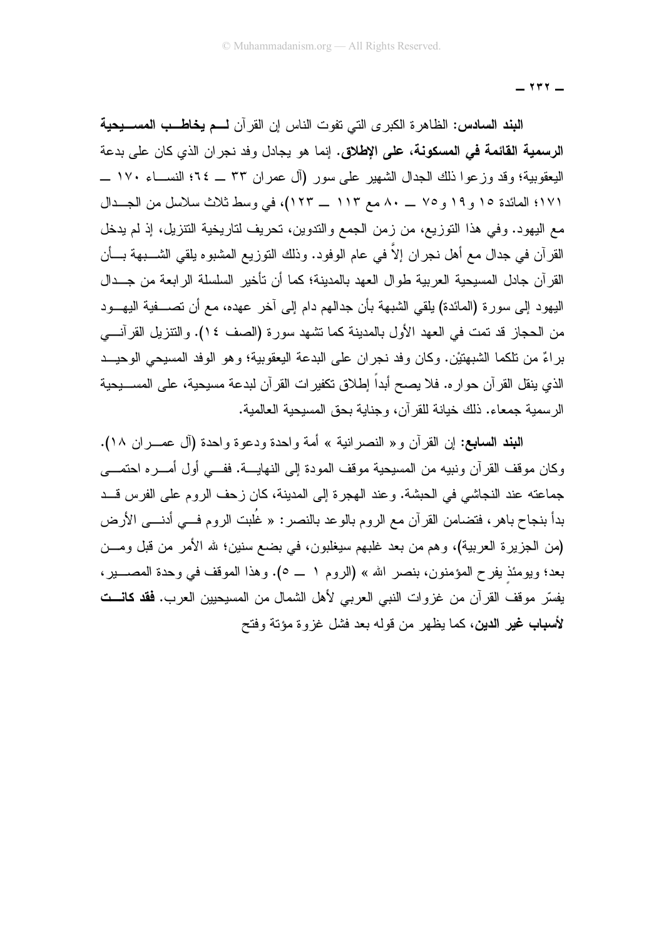$\gamma \gamma$   $-$ 

البند السادس: الظاهرة الكبرى التي نفوت الناس إن القرآن لــم يخاطــب المســـيحية **الرسمية القائمة في المسكونة، على الإطلاق.** إنما هو يجادل وفد نجران الذي كان على بدعة اليعقوبية؛ وقد وزعوا ذلك الجدال الشهير على سور (آل عمران ٣٣ \_ ٢٤؛ النســـاء ١٧٠ \_ ١٧١؛ المائدة ١٥ و ١٩ و ٢٥ \_ ٨٠ مع ١١٣ \_ ١٢٣)، في وسط ثلاث سلاسل من الجــدال مع اليهود. وفي هذا التوزيع، من زمن الجمع والتدوين، تحريف لتاريخية النتزيل، إذ لم يدخل القرآن في جدال مع أهل نجران إلاَّ في عام الوفود. وذلك النوزيع المشبوه يلقي الشــــبهة بـــأن القرآن جادل المسيحية العربية طوال العهد بالمدينة؛ كما أن تأخير السلسلة الرابعة من جـدال اليهود إلى سورة (المائدة) يلقى الشبهة بأن جدالهم دام إلى آخر عهده، مع أن تصـــفية اليهـــود من الحجاز قد تمت في العهد الأول بالمدينة كما تشهد سورة (الصف ١٤). والتنزيل القرآنيي براءٌ من تلكما الشبهتيْن. وكان وفد نجران على البدعة اليعقوبية؛ وهو الوفد المسيحي الوحيــد الذي ينقل القر آن حو ار ه. فلا يصح أبداً اِطلاق نكفير ات القر آن لبدعة مسيحية، على المســـبحية الر سمية جمعاء. ذلك خيانة للقر آن، وجناية بحق المسيحية العالمية.

النبند السابع: إن القرآن و« النصرانية » أمة واحدة ودعوة واحدة (آل عصـران ١٨). وكان موقف القرآن ونبيه من المسيحية موقف المودة إلى النهايـــة. ففـــى أول أمـــره احتمـــى جماعته عند النجاشي في الحبشة. وعند الهجرة إلى المدينة، كان زحف الروم على الفرس قــد بدأ بنجاح باهر ، فتضامن القرآن مع الروم بالوعد بالنصر : « غُلبت الروم فـــي أدنـــي الأرض (من الجزيرة العربية)، وهم من بعد غلبهم سيغلبون، في بضم سنين؛ لله الأمر من قبل ومـــن بعد؛ ويومئذٍ يفرح المؤمنون، بنصر الله » (الروم ١ \_ ٥). وهذا الموقف في وحدة المصـــــير، يفسّر موقف القرآن من غزوات النبي العربي لأهل الشمال من المسيحيين العرب. **فقد كانـــت** لأسباب غير الدين، كما يظهر ًمن قوله بعد فشل غزوة مؤتة وفتح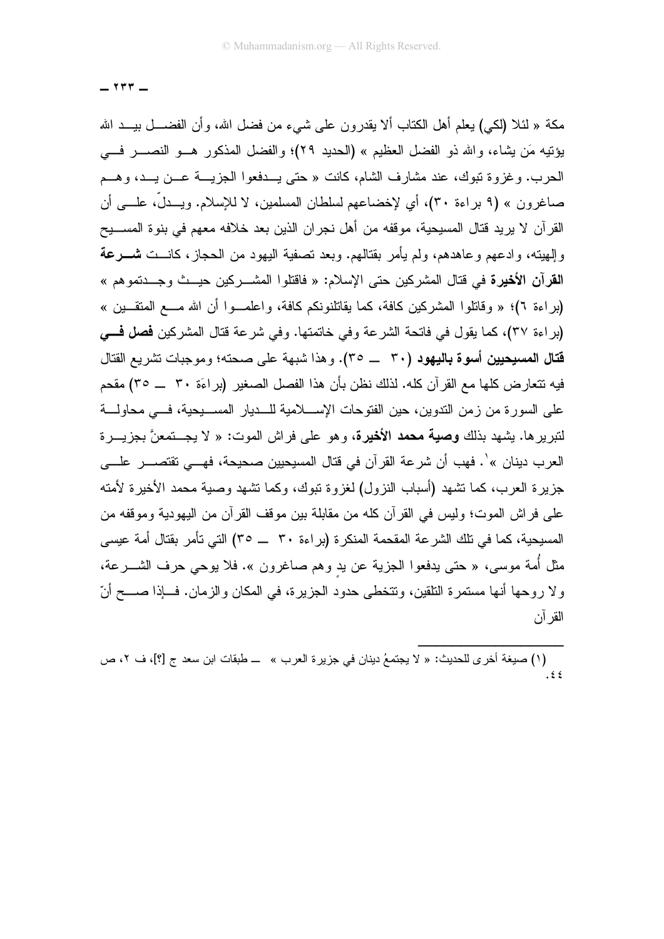$\mathbf{y}$ 

مكة « لَئلا (لكي) يعلم أهل الكتاب ألا يقدرون على شيء من فضل الله، وأن الفضـــل بيـــد الله يؤنيه مَن يشاء، والله ذو الفضل العظيم » (الحديد ٢٩)؛ والفضل المذكور هــو النصـــر فـــي الحرب. وغزوة تبوك، عند مشارف الشام، كانت « حتى يــدفعوا الجزيـــة عـــن يـــد، وهـــم صاغرون » (٩ براءة ٣٠)، أي لإخضاعهم لسلطان المسلمين، لا للإسلام. ويـــدلَّ، علــــي أن القرآن لا يريد قتال المسيحية، موقفه من أهل نجران الذين بعد خلافه معهم في بنوة المســـيح وإلهيته، وادعهم وعاهدهم، ولم يأمر بقتالهم. وبعد تصفية اليهود من الحجاز، كانـــت شــــرعة القرآن الأخيرة في قتال المشركين حتى الإسلام: « فاقتلوا المشـــركين حيـــث وجـــدتموهم » (براءة ٢)؛ « وقاتلوا المشركين كافة، كما يقاتلنونكم كافة، واعلمـوا أن الله مــع المتقــين » (براءة ٣٧)، كما يقول في فاتحة الشرعة وفي خاتمتها. وفي شرعة قتال المشركين فصل فسي قتال المسيحيين أسوة باليهود (٣٠ \_\_ ٣٥). وهذا شبهة على صحته؛ وموجبات نشريع القتال فيه نتعار ض كلها مع القر آن كله. لذلك نظن بأن هذا الفصل الصغير (بر اءَة ٣٠ \_\_ ٣٥) مقحم على السورة من زمن الندوين، حين الفتوحات الإســــلامية للــــديار المســــبحية، فــــى محاولــــة لنبريرها. يشهد بذلك **وصية محمد الأخيرة**، وهو على فراش الموت: « لا يجـــنمعنَّ بجزيــــرة العرب دينان »'. فهب أن شرعة القرآن في قتال المسيحيين صحيحة، فهـــي تقتصـــر علـــي جزيرة العرب، كما تشهد (أسباب النزول) لغزوة نبوك، وكما تشهد وصبة محمد الأخيرة لأمته على فراش الموت؛ وليس في القرآن كله من مقابلة بين موقف القرآن من اليهودية وموقفه من المسيحية، كما في تلك الشرعة المقحمة المنكرة (براءة ٣٠ \_\_ ٣٥) التي تأمر بقتال أمة عيسى مثل أمة موسى، « حتى يدفعوا الجزية عن يد وهم صاغرون ». فلا يوحي حرف الشــــرعة، و لا روحها أنها مستمرة التلقين، وتتخطى حدود الجزيرة، في المكان والزمان. فـــاذا صــــح أنّ القر آن

<sup>(</sup>١) صيغة أخرى للحديث: « لا يجتمعُ دينان في جزيرة العرب » ــ طبقات ابن سعد ج [؟]، ف ٢، ص  $\frac{1}{2}$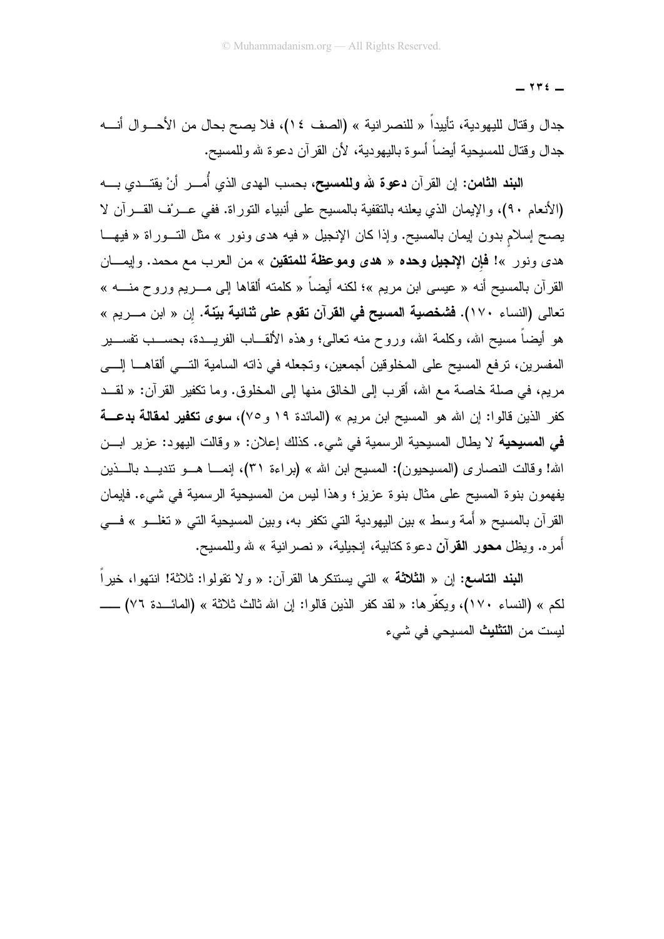$\forall$   $\forall$   $\in$ 

جدال وقتال لليهودية، تأييداً « للنصر انية » (الصف ١٤)، فلا يصح بحال من الأحـــوال أنــــه جدال وقتال للمسيحية أيضـاً أسوة باليهودية، لأن القرآن دعوة لله وللمسيح.

ا**لبند الثامن:** إن القرآن **دعوة لله وللمسيح،** بحسب الهدى الذي أُمـــر أنْ يقتـــدى بــــه (الأنعام ٩٠)، والإيمان الذي يعلنه بالنقفية بالمسيح على أنبياء النوراة. ففي عـــرف القـــرآن لا يصح إسلام بدون إيمان بالمسيح. وإذا كان الإنجيل « فيه هدى ونور » مثل التـــوراة « فيهـــا هدى ونور »! **فإن الإنجيل وحده** « **هدى وموعظة للمتقين** » من العرب مع محمد. وإيمـــان القرآن بالمسيح أنه « عيسى ابن مريم »؛ لكنه أيضاً « كلمته ألقاها إلى مــــريم وروح منــــه » تعالى (النساء ١٧٠). فشخصية المسيح في القرآن تقوم على ثنائية بيّنة. إن « ابن مـــريم » هو أيضاً مسيح الله، وكلمة الله، وروح منه تعالى؛ وهذه الألقـــاب الفريــــدة، بـحســـب تفســــبر المفسرين، نرفع المسيح على المخلوقين أجمعين، ونجعله في ذانه السامية التـــي ألقاهــــا إلــــي مريم، في صلة خاصـة مـع الله، أقرب إلى الخالق منها إلى المخلوق. وما نكفير القرآن: « لقــد كفر الذين قالوا: إن الله هو المسيح ابن مريم » (المائدة ١٩ و ٧٥)، **سوى تكفير لمقالة بدعـــة** في المسيحية لا يطال المسيحية الرسمية في شيء. كذلك إعلان: « وقالت اليهود: عزير ابـــن الله! وقالت النصاري (المسيحيون): المسيح ابن الله » (براءة ٣١)، إنمـــا هـــو نتديـــد بالــــذين يفهمون بنوة المسيح على مثال بنوة عزيز ؛ وهذا ليس من المسيحية الرسمية في شيء. فإيمان القرآن بالمسيح « أُمة وسط » بين اليهودية التي نكفر به، وبين المسيحية التي « نغلـــو » فـــي أمره. ويظل **محور القرآن** دعوة كتابية، إنجيلية، « نصر انية » لله وللمسيح.

ا**لبِند التاسع:** إن « ا**لثلاثة** » التي يستنكر ها القر آن: « و لا تقولو ا: ثلاثة! انتهو ا، خير اً لكم » (النساء ١٧٠)، ويكفِّرها: « لقد كفر الذين قالوا: إن الله ثالث ثلاثة » (المائـــدة ٧٦) ـــــــــ ليست من ا**لتثليث** المسيحي في شيء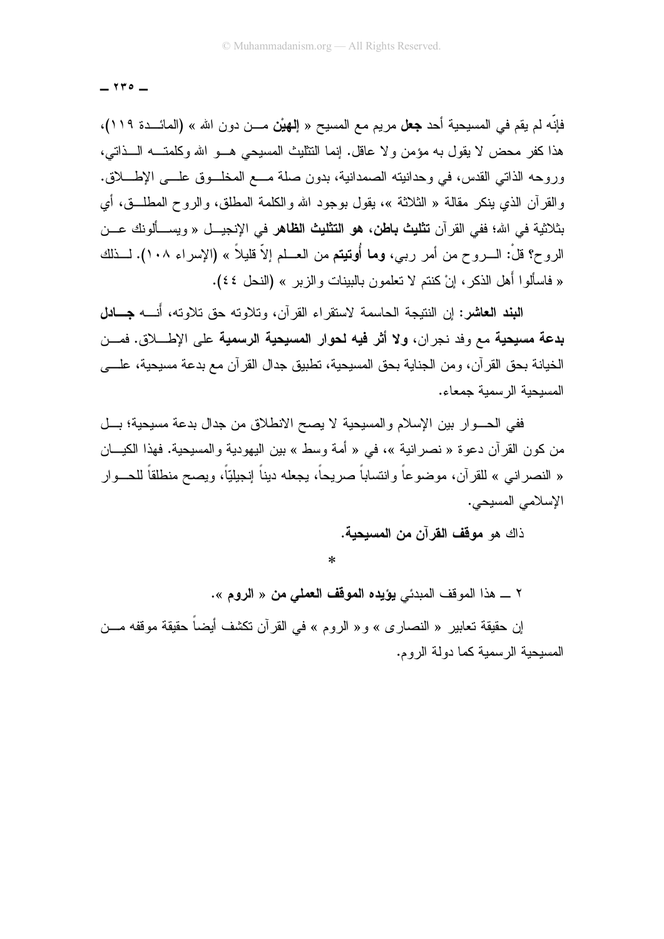$\tau$ ro  $-$ 

فإنّه لم يقم في المسيحية أحد **جعل** مريم مع المسيح « إ**لهيْن** مـــن دون الله » (المائـــدة ١١٩)، هذا كفر محض لا يقول به مؤمن ولا عاقل. إنما النتليث المسيحي هـــو الله وكلمتـــه الـــذاتي، وروحه الذاتي القدس، في وحدانيته الصمدانية، بدون صلة مـــع المخلـــوق علـــي الإطــــلاق. والقرآن الذي ينكر مقالة « الثلاثة »، يقول بوجود الله والكلمة المطلق، والروح المطلَّــق، أي بثلاثية في الله؛ ففي القرآن **تثليث باطن، هو التثليث الظاهر** في الإنجيــل « ويســـألونك عـــن الروح؟ قلْ: الـــروح من أمر ربـي، **وما أُوتيتم** من العـــلم إلاّ قليلاً » (الإسراء ١٠٨). لـــذلك « فاسألوا أهل الذكر، إنْ كنتم لا تعلمون بالبينات والزبر » (النحل ٤٤).

ال**بند العاشر:** إن النتيجة الجاسمة لاستقراء القرآن، وتلاوته حق تلاوته، أُنسه جسادل بدعة مسيحية مع وفد نجران، ولا أثر فيه لحوار المسيحية الرسمية على الإطـــــلاق. فمـــن الخيانة بحق القرآن، ومن الجناية بحق المسيحية، تطبيق جدال القرآن مع بدعة مسيحية، علــــى المسحنة الرسمنة حمعاء.

ففي الحسوار بين الإسلام والمسيحية لا يصح الانطلاق من جدال بدعة مسيحية؛ بسل من كون القرآن دعوة « نصر انية »، في « أمة وسط » بين اليهودية والمسيحية. فهذا الكيـــان « النصر انـي » للقرآن، موضوعاً وانتساباً صريحاً، يجعله ديناً إنجيليّاً، ويصـح منطلقاً للحـــوار الإسلامي المسيحي.

ذاك هو **موقف القرآن من المسبحبة.** 

 $\ast$ 

٢ \_ هذا الموقف المبدئي **يؤيده الموقف العملى من** « ا**لروم** ».

إن حقيقة تعابير « النصارى » و« الروم » في القرآن نكشف أيضاً حقيقة موقفه مـــن المسبحبة الرسمبة كما دولة الروم.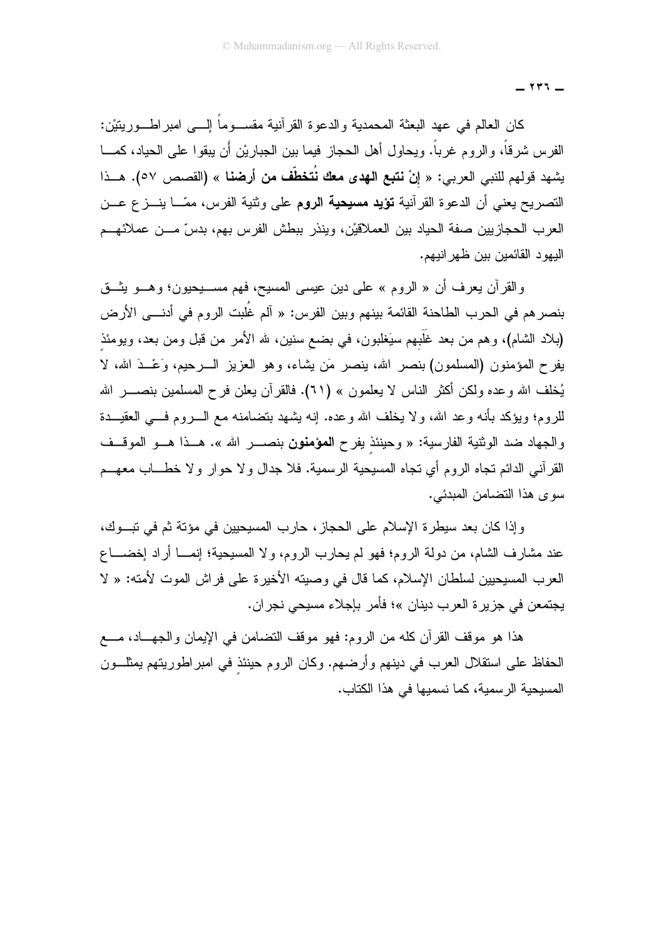$144 -$ 

كان العالم في عهد البعثة المحمدية والدعوة القرآنية مقســـوماً إلــــي امبراطـــوريتيْن: الفرس شرقاً، والروم غرباً. ويحاول أهل الحجاز فيما بين الجباريْن أن يبقوا على الحياد، كمـــا يشهد قولهم للنبي العربي: « إنْ **نتبع الهدى معك نُتخطّف من أرضنا** » (القصص ٥٧). هــذا التصريح يعني أن الدعوة القرآنية **تؤيد مسيحية الروم** على وثنية الفرس، ممّـــا ينـــز ع عـــن العرب الحجازيين صفة الحياد بين العملاقيْن، وينذر ببطش الفرس بهم، بدسّ مـــن عملائهـــم اليھو د القائمين بين ظهر انيھم.

والقرآن يعرف أن « الروم » على دين عيسى المسيح، فهم مســــيحيون؛ وهـــو يثـــق بنصر هم في الحرب الطاحنة القائمة بينهم وبين الفرس: « آلم غُلبت الروم في أدنـــي الأرض (بلاد الشام)، وهم من بعد غَلَبهم سَيَغلبون، في بضع سنين، لله الأمر من قبل ومن بعد، ويومئذ يفرح المؤمنون (المسلمون) بنصر الله، ينصر مَن يشاء، وهو العزيز الـــرحيم، وَعْـــدَ الله، لا يُخلِّف الله وعده ولكن أكثر الناس لا يعلمون » (٦١). فالقرآن يعلن فرح المسلمين بنصـــــر الله للروم؛ ويؤكد بأنه وعد الله، ولا يخلف الله وعده. إنه يشهد بتضامنه مع الـــــروم فــــي الـعقيــــدة والجهاد ضد الوثنية الفارسية: « وحينئذ يفرح ا**لمؤمنون** بنصـــر الله ». هــذا هـــو الموقــف القرآني الدائم نجاه الروم أي نجاه المسيحية الرسمية. فلا جدال ولا حوار ولا خطـــاب معهـــم سوى هذا التضامن المبدئي.

وإذا كان بعد سيطرة الإسلام على الحجاز، حارب المسيحيين في مؤتة ثم في تبــوك، عند مشارف الشام، من دولة الروم؛ فهو لم يحارب الروم، ولا المسيحية؛ إنمــــا أراد إخضـــــاع العرب المسيحيين لسلطان الإسلام، كما قال في وصيته الأخيرة على فراش الموت لأمته: « لا يجتمعن في جزيرة العرب دينان »؛ فأمر بإجلاء مسيحي نجران.

هذا هو موقف القرآن كله من الروم: فهو موقف التضامن في الإيمان والجهـــاد، مــــع الحفاظ على استقلال العرب في دينهم وأرضهم. وكان الروم حينئذ في امبر اطوريتهم يمثلـــون المسيحية الرسمية، كما نسميها في هذا الكتاب.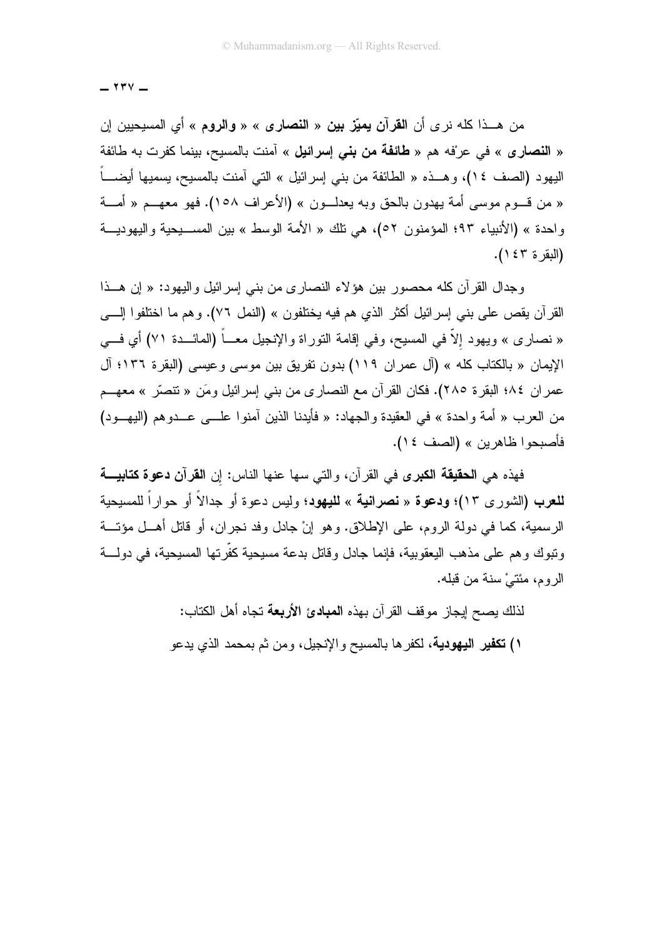$\mathsf{Y}\mathsf{Y}\mathsf{Y}$   $-$ 

من هــذا كله نرى أن ا**لقرآن يميّز بين** « ا**لنصارى** » « **والروم** » أي المسيحيين إن « النصارى » في عرْفه هم « طائفة من بنى إسرائيل » آمنت بالمسيح، بينما كفرت به طائفة اليهود (الصف ٢٤)، وهــذه « الطائفة من بنبي إسرائيل » التي آمنت بالمسيح، يسميها أيضــــا « من قــوم موسى أمة يهدون بالحق وبه يعدلــون » (الأعراف ١٥٨). فهو معهــم « أمـــة واحدة » (الأنبياء ٩٣؛ المؤمنون ٥٢)، هي نلك « الأمة الوسط » بين المســـبحية واليهوديـــة (البقر ة ٤٣).

و جدال القر آن كله محصور بين هوَ لاء النصار ي من بني إسر ائيل و اليهود: « إن هـــذا القرآن يقص على بني إسرائيل أكثر الذي هم فيه يختلفون » (النمل ٧٦). وهم ما اختلفوا إلــــي « نصارى » ويهود إلاَّ في المسيح، وفي إقامة النوراة والإنجيل معـــاً (المائـــدة ٧١) أي فـــى الإيمان « بالكتاب كله » (آل عمران ١١٩) بدون تفريق بين موسى وعيسى (البقرة ١٣٦؛ آل عمر ان ١٨٤ البقرة ٢٨٥). فكان القرآن مع النصاري من بني إسرائيل ومَن « تنصَّر » معهـــم من العرب « أمة واحدة » في العقيدة والجهاد: « فأيدنا الذين آمنوا علـــي عـــدوهم (اليهـــود) فأصبحوا ظاهرين » (الصف ١٤).

فهذه هي الحقيقة الكبرى في القرآن، والتي سها عنها الناس: إن القرآن دعوة كتابية **للعرب (ا**لشورى ١٣)؛ **ودعوة** « **نصرانية** » **لليهود**؛ وليس دعوة أو جدالاً أو حواراً للمسيحية الرسمية، كما في دولة الروم، على الإطلاق. وهو إنْ جادل وفد نجر ان، أو قاتل أهـــل مؤتـــة ونبوك وهم على مذهب اليعقوبية، فإنما جادل وقاتل بدعة مسيحية كفَّرتها المسيحية، في دولــــة الر و م، مئتيُّ سنة من قبله.

> لذلك يصح إيجاز موقف القرآن بهذه ا**لمبادئ الأربعة** تجاه أهل الكتاب: ١) **تكفير اليهودية،** لكفر ها بالمسيح والإنجيل، ومن ثم بمحمد الذي يدعو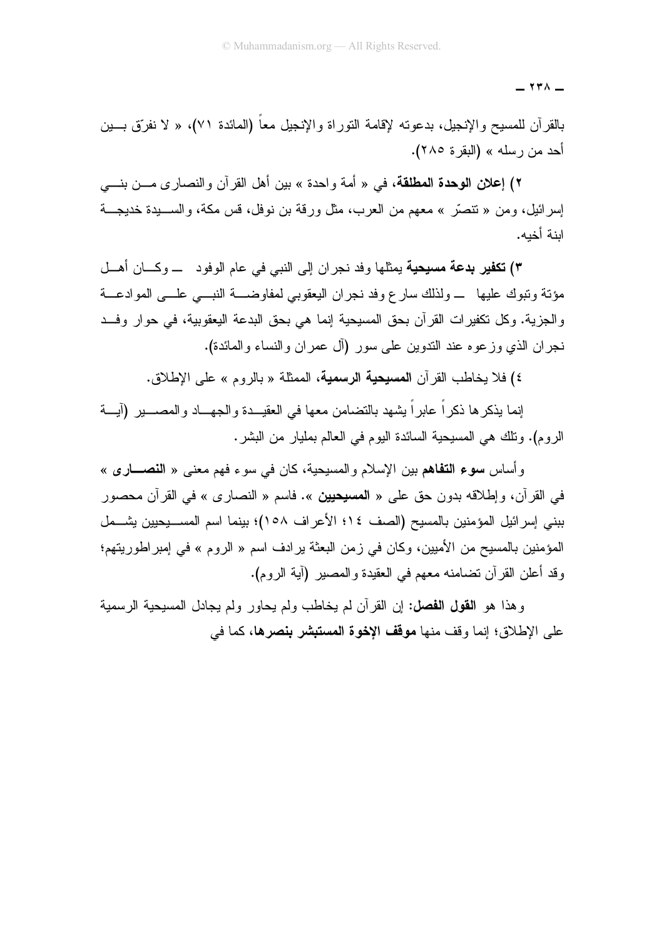$\mathsf{Y} \mathsf{Y} \wedge -$ 

بالقرآن للمسيح والإنجيل، بدعوته لإقامة النوراة والإنجيل معا (المائدة ٧١)، « لا نفرَّق بـــين أحد من رسله » (البقرة ٢٨٥).

٢) إعلان الوحدة المطلقة، في « أمة واحدة » بين أهل القرآن والنصار ي مـــن بنــــي إسرائيل، ومن « تتصرُّ » معهم من العرب، مثل ورقة بن نوفل، قس مكة، والســـيدة خديجـــة اينة أخيه.

٣) تكفير بدعة مسيحية يمثلها وفد نجران إلى النبي في عام الوفود ـــ وكـــان أهـــل مؤنة ونبوك عليها \_ ولذلك سارع وفد نجران اليعقوبي لمفاوضــــة النبـــي علـــي الموادعـــة و الجزية. وكل تكفير ات القرآن بحق المسيحية إنما هي بحق البدعة اليعقوبية، في حوار وفــد نجر إن الذي وزعوه عند الندوين على سور (آل عمر إن والنساء والمائدة).

٤) فلا يخاطب القر آن ا**لمسيحية الرسمية**، الممثلة « بالر و م » على الإطلاق.

إنما يذكر ها ذكر اً عابر اً يشهد بالتضامن معها في العقيـــدة و الجهـــاد و المصـــــير (آيـــة الروم). ونلك هي المسيحية السائدة اليوم في العالم بمليار من البشر .

وأساس **سوء التفاه**م بين الإسلام والمسيحية، كان في سوء فهم معنى « **النصـــاري** » في القرآن، وإطلاقه بدون حق على « ا**لمسيحيين** ». فاسم « النصار ي » في القرآن محصور بيني إسر ائيل المؤمنين بالمسبح (الصف ١٤؛ الأعر اف ٥٨)؛ بينما اسم المســـبحبين بشـــمل المؤمنين بالمسيح من الأميين، وكان في زمن البعثة ير ادف اسم « الروم » في إمبر اطوريتهم؛ وقد أعلن القرآن تضامنه معهم في العقيدة والمصبر (آية الروم).

و هذا هو ا**لقول الفصل:** إن القرآن لم يخاطب ولم يحاور ولم يجادل المسيحية الرسمية على الإطلاق؛ إنما وقف منها **موقف الإخوة المستبشر بنصرها،** كما في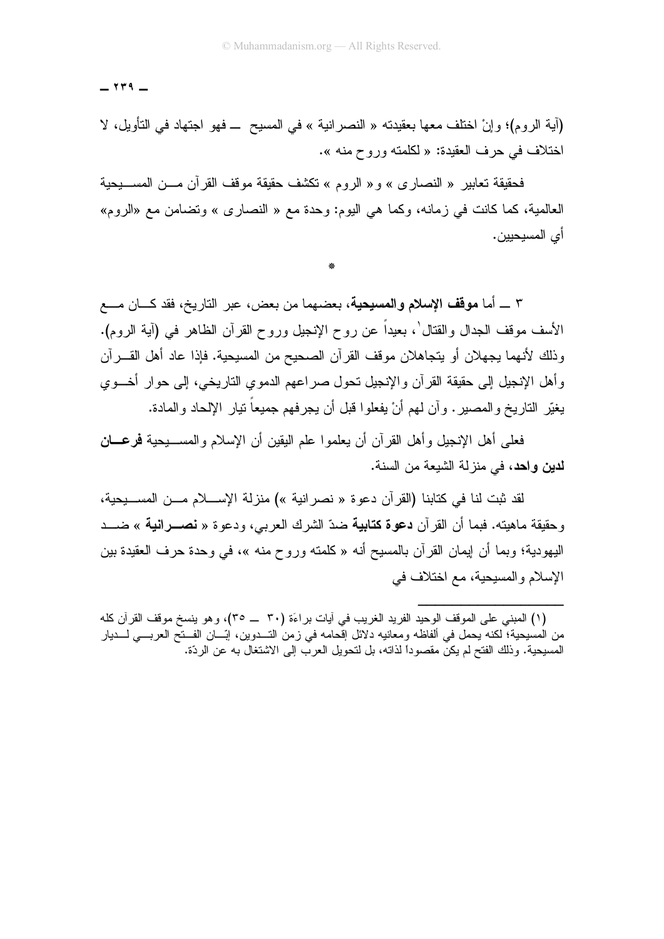$144 -$ 

(آية الروم)؛ وإنْ اختلف معها بعقيدته « النصر انية » في المسيح ــ فهو اجتهاد في التأويل، لا اختلاف في حرف العقيدة: « لكلمته وروح منه ».

فحقيقة تعابير « النصار ي » و « الروم » تكشف حقيقة موقف القرآن مـــن المســــيحية العالمية، كما كانت في زمانه، وكما هي اليوم: وحدة مع « النصاري » وتضامن مع «الروم» أي المسيحيين.

٣ \_ أما **موقف الإسلام والمسيحية**، بعضهما من بعض، عبر التاريخ، فقد كـــان مــــع الأسف موقف الـجدال والقتال ٰ، بـعيداً عن روح الإنـجيل وروح القرآن الظاهر فـي (آيـة الروم). وذلك لأنهما يجهلان أو يتجاهلان موقف القرآن الصحيح من المسيحية. فإذا عاد أهل القـــرآن وأهل الإنجيل إلى حقيقة القرآن والإنجيل نحول صراعهم الدموي الناريخي، إلى حوار أخـــوي يغيِّر الناريخ والمصير . و أن لهم أنْ يفعلوا قبل أن يجرفهم جميعاً نيار الإلحاد والمادة.

فعلمي أهل الإنجيل وأهل القرآن أن يعلموا علم اليقين أن الإسلام والمســــيحية فرعــــان لدين واحد، في منزلة الشيعة من السنة.

لقد ثبت لنا في كتابنا (القر آن دعو ة « نصر انبة ») منزلة الإســــلام مـــن المســـبحبة، وحقيقة ماهيته. فبما أن القرآن **دعوة كتابية** ضدّ الشرك العربي، ودعوة « **نصـــرانية** » ضـــد اليهودية؛ وبما أن ايمان القرآن بالمسيح أنه « كلمته وروح منه »، في وحدة حرف العقيدة بين الإسلام والمسيحية، مع اختلاف في

<sup>(</sup>١) المبنى على الموقف الوحيد الفريد الغريب في أيات براءَة (٣٠ \_ ٣٥)، وهو ينسخ موقف القرآن كله من الْمَسْيِحية؛ لكنه يحمل في ألفاظه ومعانيه دلائل إقحامه في زمن التـــدوين، إبّـــان الفـــنح العربـــي لــــديار المسيحية. وذلك الفتح لم يكن مقصوداً لذاته، بل لتحويل العرب إلى الاشتغال به عن الردّة.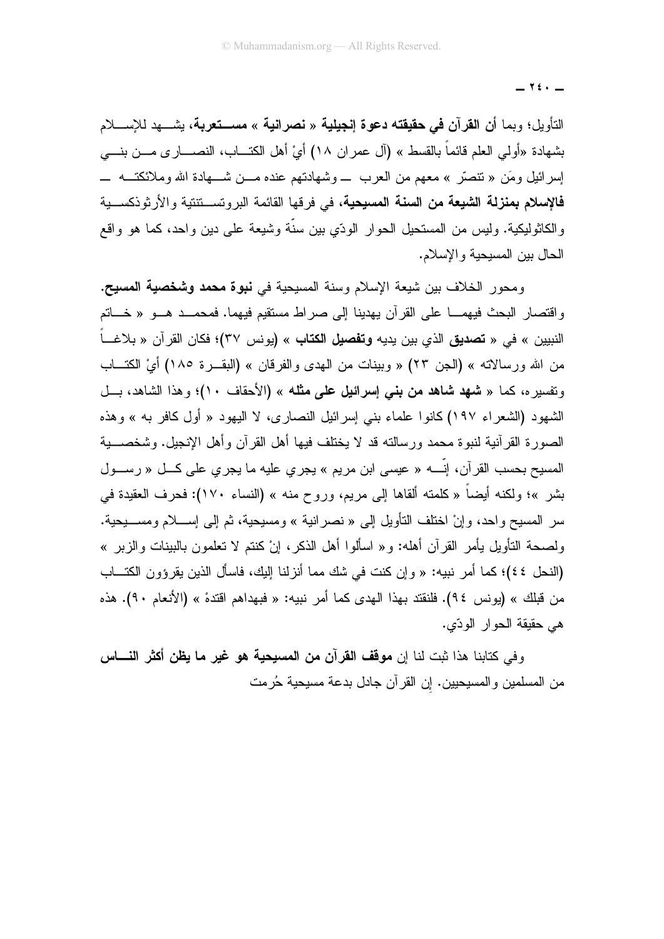$\forall$   $\in$   $-$ 

التأويل؛ وبما أ**ن القرآن في حقيقته دعوة إنجيلية** « **نصرانية** » **مســـتعربـة**، بِشــــهد للإســــلام بشهادة «أولى العلم قائماً بالقسط » (آل عمر ان ١٨) أيْ أهل الكتـــاب، النصــــار ي مـــن بنــــى إسر ائيل ومَن « تنصرّ » معهم من العرب \_ وشهادتهم عنده مـــن شـــهادة الله وملائكتـــه \_ فالإسلام بمنزلة الشيعة من السنة المسيحية، في فرقها القائمة البروتســتتتية والأرثوذكســية والكاثوليكية. وليس من المستحيل الحوار الودّي بين سنّة وشيعة على دين واحد، كما هو واقع الحال بين المسيحية والإسلام.

ومحور الخلاف بين شيعة الإسلام وسنة المسيحية في **نبوة محمد وشخصية المسيح.** واقتصار البحث فيهمـــا على القرآن يهدينا إلى صراط مستقيم فيهما. فمحمـــد هـــو « خـــاتم النبيين » في « **تصديق** الذي بين يديه **وتفصيل الكتاب** » (يونس ٣٧)؛ فكان القرآن « بلاغـــاً من الله ورسالاته » (الجن ٢٣) « وبينات من الهدى والفرقان » (البقــرة ١٨٥) أيْ الكتــاب وتفسير ه، كما « **شهد شاهد من بنبي إسرائيل علمي مثله** » (الأحقاف ١٠)؛ وهذا الشاهد، بـــل الشهود (الشعراء ١٩٧)كانوا علماء بني إسرائيل النصارى، لا اليهود « أول كافر به » وهذه الصورة القرآنية لنبوة محمد ورسالته قد لا يختلف فيها أهل القرآن وأهل الإنجيل. وشخصــــية المسيح بحسب القرآن، إنَّـــــه « عيسى ابن مريم » يجرى عليه ما يجرى على كــــل « رســــول بِشْرٍ »؛ ولكنه أيضاً « كلمته ألقاها إلى مريم، وروح منه » (النساء ١٧٠): فحرف العقيدة في سر المسيح واحد، وإنْ اختلف التأويل إلى « نصرانية » ومسيحية، ثم إلى إســـلام ومســـيحية. ولصحة التأويل يأمر القرآن أهله: و « اسألوا أهل الذكر ، إنْ كنتم لا تعلمون بالبينات والزبر » (النحل ٤٤)؛ كما أمر نبيه: « وإن كنت في شك مما أنزلنا إليك، فاسأل الذين يقرؤون الكتـــاب من قبلك » (يونس ٩٤). فلنقتد بهذا الهدى كما أمر نبيه: « فبهداهم اقتدهْ » (الأنعام ٩٠). هذه هي حقيقة الحوار الودّى.

وفي كتابنا هذا ثبت لنا إن **موقف القرآن من المسيحية هو غير ما يظن أكثر النــــاس** من المسلمين والمسيحيين. إن القرآن جادل بدعة مسيحية حُرمت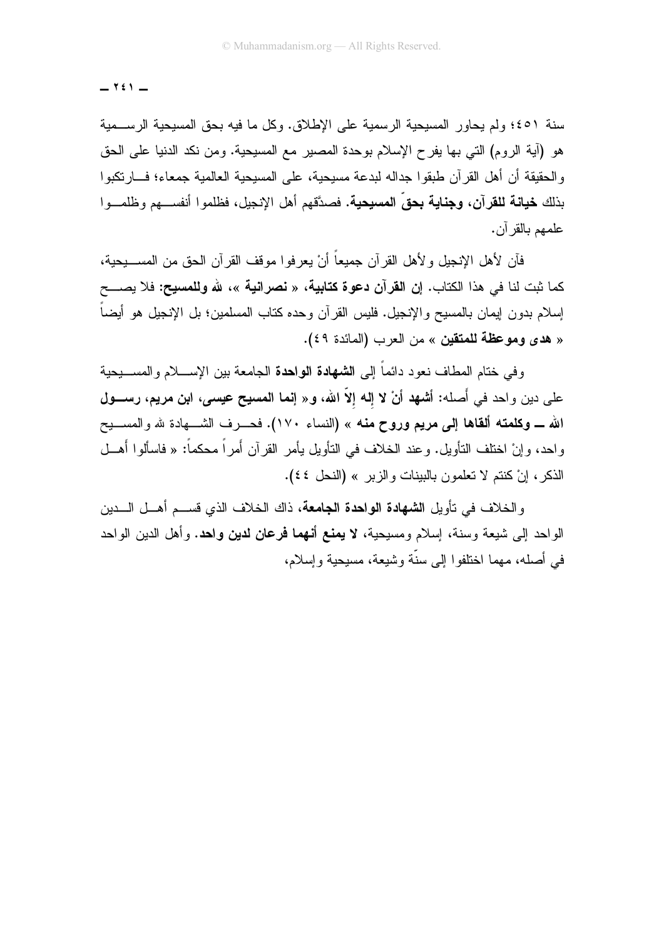$Y \in Y -$ 

سنة ٤٥١؛ ولم يحاور المسيحية الرسمية على الإطلاق. وكل ما فيه بحق المسيحية الرســـمية هو (آية الروم) التي بها يفرح الإسلام بوحدة المصير مع المسيحية. ومن نكد الدنيا على الحق و الحقيقة أن أهل القر آن طبقو ا جداله لبدعة مسيحية، على المسيحية العالمية جمعاء؛ فـــار تكبو ا بذلك **خيانة للق**رآ**ن، وجناية بحقِّ المسيحية.** فصدَّقهم أهل الإنجيل، فظلمو ا أنفســـهم وظلمـــو ا علمهم بالقر آن.

فآن لأهل الإنجيل و لأهل القر آن جميعاً أنْ يعر فو ا مو قف القر آن الحق من المســـيحية، كما ثبت لنا في هذا الكتاب. إن ا**لق**رآن **دعوة كتابية،** « **نصرانية** »، لله **وللمسيح:** فلا يصـــح إسلام بدون إيمان بالمسيح والإنجيل. فليس القرآن وحده كتاب المسلمين؛ بل الإنجيل هو أيضاً « هدى وموعظة للمتقين » من العرب (المائدة ٤٩).

و في ختام المطاف نعو د دائماً إلى ا**لشهادة الواحدة** الجامعة بين الإســــلام و المســـبحبة علي دين و احد في أَصله: أشهد أنْ لا إله إلاّ الله، و « إنما المسيح عيسى، ابن مريم، رســـول الله ـــ وكلمته ألقاها إلى مريع وروح منه » (النساء ١٧٠). فحـــرف الشــــهادة لله والمســـيح و احد، و إنْ اختلف النّأويل. و عند الخلاف في النّأويل يأمر ِ القرآن أُمراً محكماً: « فاسألوا أَهــل الذكر، إنْ كنتم لا تعلمون بالبينات والزير » (النحل ٤٤).

و الخلاف في تأويل ا**لشهادة الواحدة الجامعة**، ذاك الخلاف الذي قســـم أهـــل الــــدين الواحد إلى شيعة وسنة، إسلام ومسيحية، لا يعنع أنهما فرعان لدين واحد. وأهل الدين الواحد في أصله، مهما اختلفوا إلى سنَّة وشيعة، مسيحية وإسلام،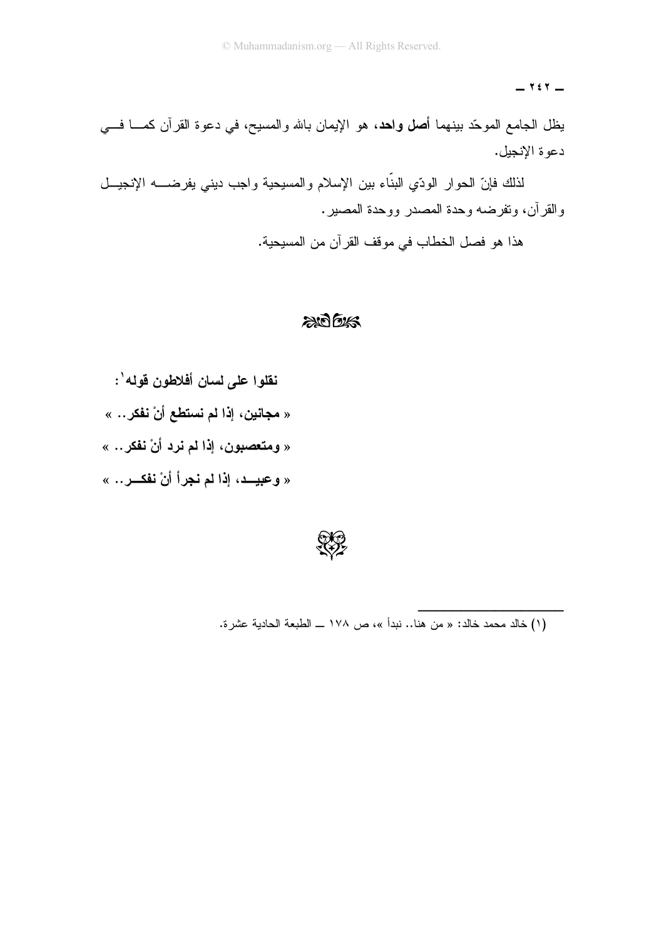$Y \in Y$   $-$ 

يظل الجامع الموحّد بينهما أ**صل واحد**، هو الإيمان بالله والمسيح، في دعوة القرآن كمــــا فــــي دعو ة الإنجيل.

لذلك فإنّ الحوار الودّي البنّاء بين الإسلام والمسيحية واجب ديني يفرضــــه الإنجيـــل والقرآن، وتفرضه وحدة المصدر ووحدة المصير.

هذا هو فصل الخطاب في موقف القرآن من المسيحية.

## $206$

نقلوا على لسان أفلاطون قوله': « مجانين، إذا لم نستطع أنْ نفكر .. » « ومتعصبون، إذا لم نرد أنْ نفكر .. » « وعبيــد، إذا لم نجراً أنْ نفكــر.. »



(١) خالد محمد خالد: « من هنا.. نبدأ »، ص ١٧٨ ـــ الطبعة الحادية عشرة.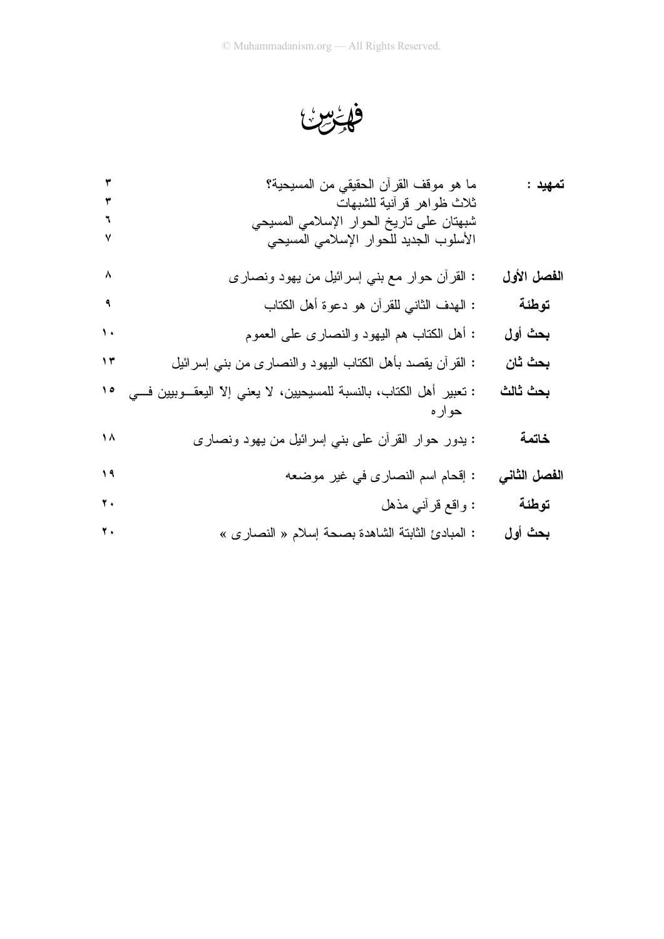فائرس

| ۳                 | ما هو موقف القرأن الحقيقي من المسيحية؟<br>ثلاث ظواهر قرأنية للشبهات<br>شبهتان على ناريخ الحوار الإسلامي المسيحي<br>الأسلوب الجديد للحوار الإسلامي المسيحي | تمهيد :      |
|-------------------|-----------------------------------------------------------------------------------------------------------------------------------------------------------|--------------|
| $\lambda$         | : القرأن حوار مع بني إسرائيل من يهود ونصارى                                                                                                               | الفصل الأول  |
| $\mathbf{A}$      | : المهدف الثاني للقرأن هو دعوة أهل الكتاب                                                                                                                 | توطئة        |
| $\mathbf{\hat{}}$ | : أهل الكتاب هم اليهود والنصارى على العموم                                                                                                                | بحث أول      |
| ۱۳                | : القرأن يقصد بأهل الكتاب اليهود والنصارى من بني إسرائيل                                                                                                  | بحث ثان      |
| ه ۱               | : تعبير أهل الكتاب، بالنسبة للمسيحيين، لا يعني إلا اليعقـــوبيين فــــي                                                                                   | بحث ثالث     |
| ۱۸                | : بدور حوار القرأن على بنبي إسرائيل من يهود ونصارى                                                                                                        | خاتمة        |
| ۱۹                | : إقحام اسم النصارى في غير موضعه                                                                                                                          | الفصل الثاني |
| ۲.                | : واقع قرأني مذهل                                                                                                                                         | توطئة        |
| ۲.                | : المبادئ الثابتة الشاهدة بصحة إسلام « النصارى »                                                                                                          | بحث أول      |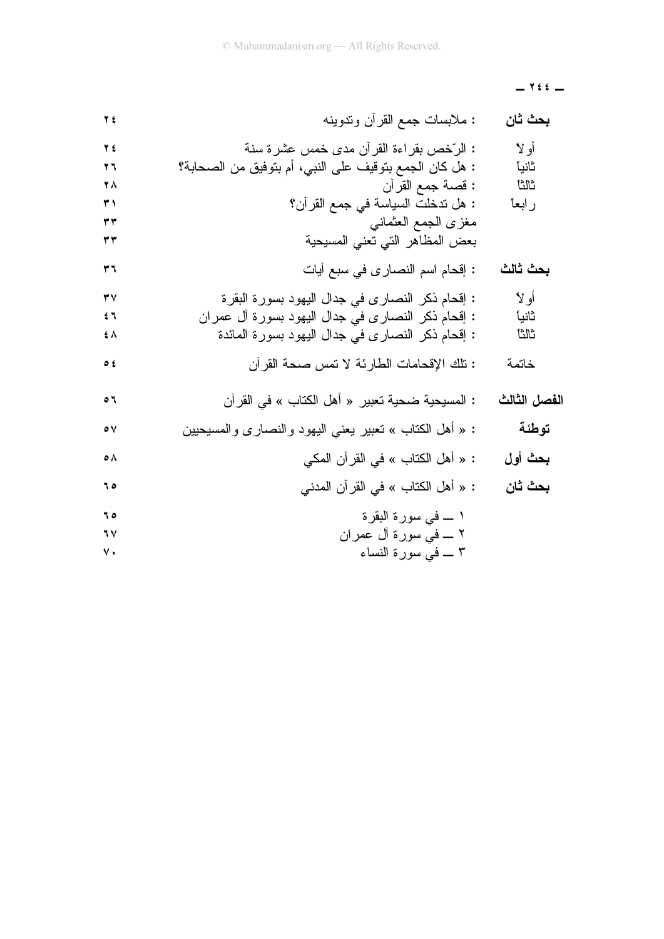$1$   $2$   $2$   $-$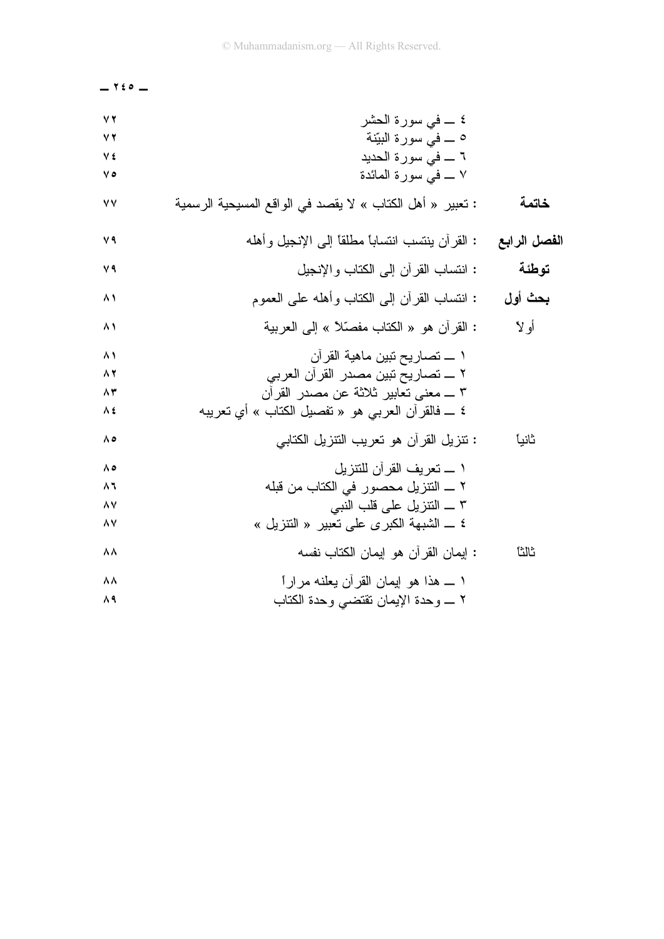| $ 150 -$      |                                                            |              |
|---------------|------------------------------------------------------------|--------------|
| YY            | ٤ ــــ في سورة الحشر                                       |              |
| $\vee$ $\vee$ | 0 ـــ فـي سورة البيّنة                                     |              |
| ٧٤            | ٦ __ في سورة الحديد                                        |              |
| ه ۷           | ٧ ــــ في سورة المائدة                                     |              |
| ٧V            | : تعبير  « أهل الكتاب » لا يقصد في الواقع المسيحية الرسمية | خاتمة        |
| ٧٩            | : القرأن ينتسب انتسابًا مطلقًا إلى الإنجيل وأهله           | الفصل الرابع |
| ۷۹            | : انتساب القرأن إلىي الكتاب والإنجيل                       | توطئة        |
| ۸۱            | : انتساب القرأن إلىي الكتاب وأهله علىي العموم              | بحث أول      |
| ۸١            | : القران هو « الكتاب مفصّلاً » إلى العربية                 | أولا         |
| $\wedge$      | ١ ـــــ تصــاريـح نبين مـاهيـة القر أن                     |              |
| 82            | ٢ ــــ تصــاريـح نبين مصـدر القر أن الـعربـي               |              |
| $\wedge$ ٣    | ٣ ـــ معنىي تعابير ثلاثة عن مصدر القرأن                    |              |
| ≯ ∧           | ٤ ـــ فالقرآن العربي هو « تفصيل الكتاب » أي تعريبه         |              |
| ه ۸           | : نتزيل القرأن هو نعريب النتزيل الكتابي                    | ثانيا        |
| ه ۸           | ١ _ نعريف القرآن للنتزيل                                   |              |
| ۸٦            | ٢ _ النتزيل محصور في الكتاب من قبله                        |              |
| ۸٧            | ٣ ــــ النتزيل على قلب النبي                               |              |
| ۸۷            | ٤ ـــ الشبهة الكبرى على نعبير « النتزيل »                  |              |
| Λ Λ           | : إيمان القرآن هو إيمان الكتاب نفسه                        | ثالثا        |
| ۸۸            | ١ ـــ هذا هو إيمان القرأن يعلنه مرارًا                     |              |
| ۸۹            | ٢ ــــــــــوحدة الإيمان نقتضـــي وحدة الكتاب              |              |
|               |                                                            |              |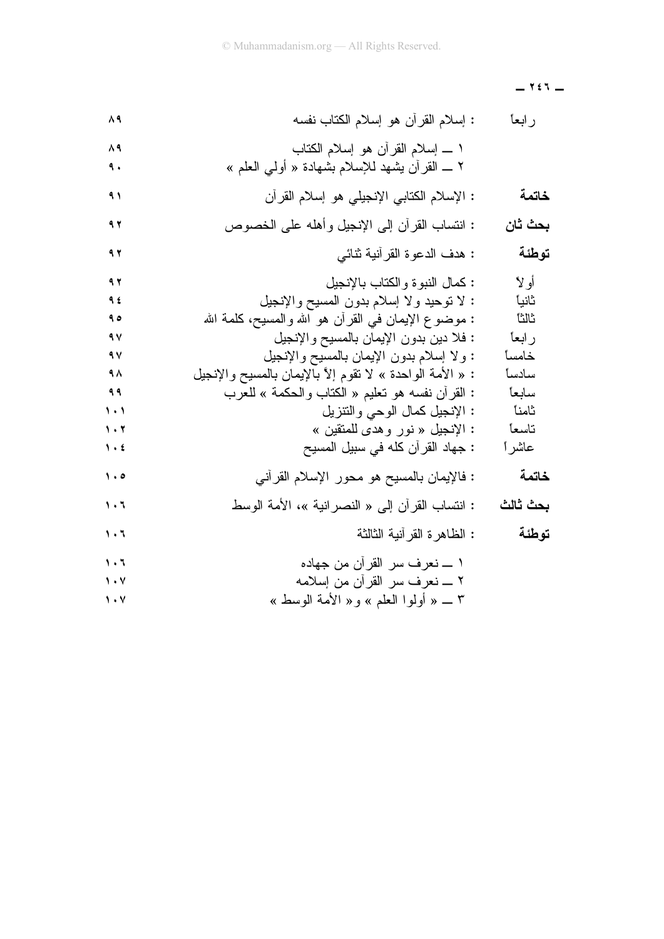$Y \in T$   $-$ 

| ۸۹                            | : إسلام القرآن هو إسلام الكتاب نفسه                         | رابعأ    |
|-------------------------------|-------------------------------------------------------------|----------|
| ۸٩                            | ١ ــــ إسلام القرأن هو إسلام الكتاب                         |          |
| ٩.                            | ٢ ـــ القرأن يشهد للإسلام بشهادة « أولىي العلم »            |          |
| ۹۱                            | : الإسلام الكتابي الإنجيلي هو إسلام القرأن                  | خاتمة    |
| 97                            | : انتساب القرأن إلىي الإنجيل وأهله على الخصوص               | بحث ثان  |
| ۹۲                            | : هدف الدعوة القرآنية ثنائبي                                | توطئة    |
| 97                            | : كمال النبوة والكتاب بالإنجيل                              | أو لا    |
| ٩٤                            | : لا نوحيد ولا إسلام بدون المسيح والإنجيل                   | ثانياً   |
| ه ۹                           | : موضوع الإيمان في القرأن هو الله والمسيح، كلمة الله        | ثالثا    |
| ٩V                            | : فلا دين بدون الإيمان بالمسيح والإنجيل                     | ر ابعاً  |
| ٩V                            | : ولا إسلام بدون الإيمان بالمسيح والإنجيل                   | خامسأ    |
| ٩٨                            | : « الأمة الواحدة » لا تقوم إلاَّ بالإيمان بالمسيح والإنجيل | سادسأ    |
| ۹۹                            | : القرأن نفسه هو نعليم « الكتاب والحكمة » للعرب             | سابعأ    |
| $\lambda$                     | : الإنجيل كمال الوحي والنتزيل                               | ثامناً   |
| $\mathbf{1} \cdot \mathbf{r}$ | : الإنجيل « نور وهدى للمتقين »                              | تاسعا    |
| $\mathbf{y}$ .                | : جهاد القرآن كله في سبيل المسيح                            | عاشر ا   |
| $\cdot \cdot$                 | : فالإيمان بالمسيح هو محور الإسلام القرأنـي                 | خاتمة    |
| $\mathbf{1} \cdot \mathbf{1}$ | : انتساب القرآن إلى « النصر انية »، الأمة الوسط             | بحث ثالث |
| $\mathbf{1} \cdot \mathbf{1}$ | : الظاهرة القرآنية الثالثة                                  | توطئة    |
| 1.7                           | ١ ــــ نعرف سر القرأن من جهاده                              |          |
| $\mathsf{y} \cdot \mathsf{y}$ | ٢ ـــ نعرف سر القرأن من إسلامه                              |          |
| $\mathsf{y} \cdot \mathsf{y}$ | ٣ _ « أولوا العلم » و« الأمة الوسط »                        |          |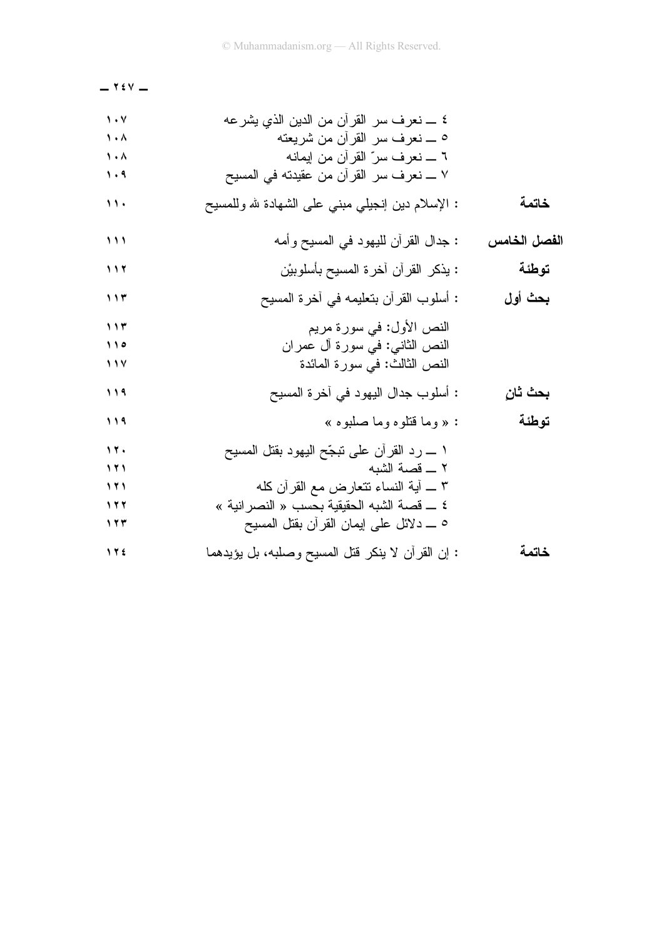$-$  Y  $\epsilon$  V  $-$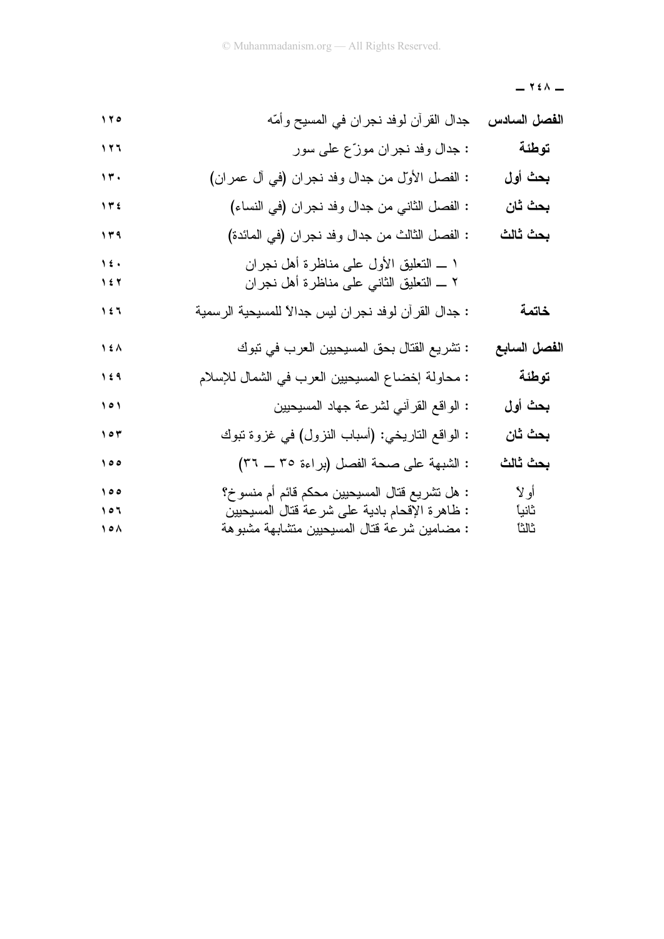$Y \in \Lambda$  -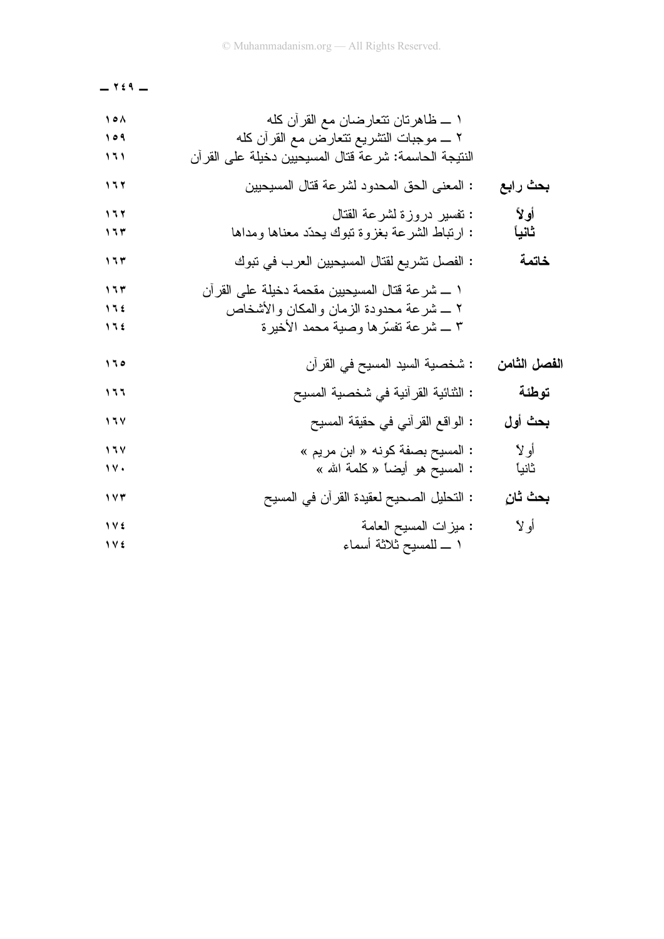$Y \in 9$  -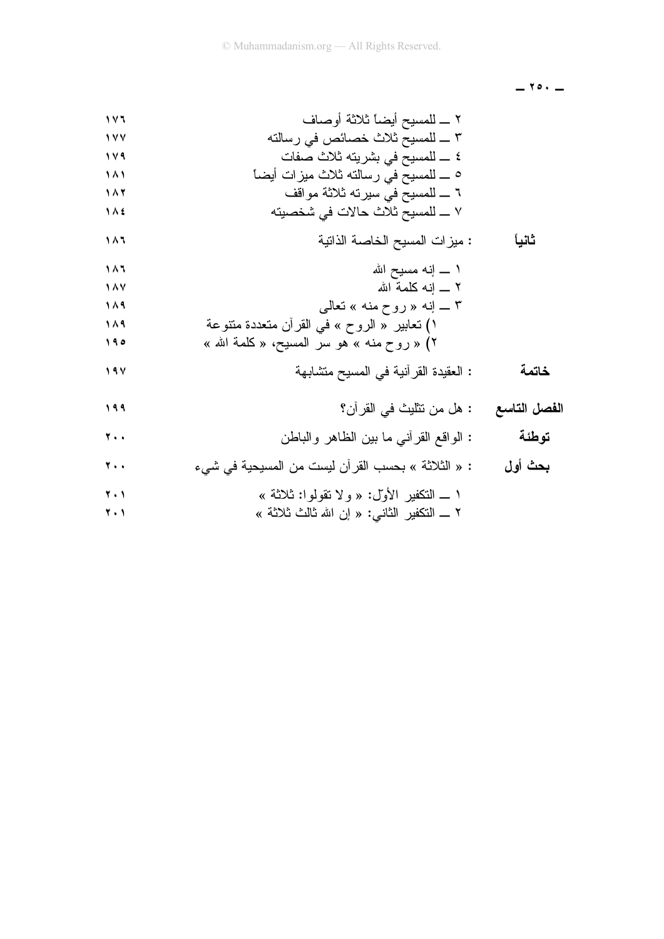$-10.7$ 

$$
\begin{array}{c}\n\text{1 A1} \\
\text{1 A2} \\
\text{1 A3} \\
\text{1 A4}\n\end{array}
$$

$$
1 \wedge Y = \left[ \begin{array}{ccccc} 1 & 0 & 0 & 0 & 0 \\ 0 & 0 & 0 & 0 & 0 \\ 0 & 0 & 0 & 0 & 0 \\ 0 & 0 & 0 & 0 & 0 \\ 0 & 0 & 0 & 0 & 0 \\ 0 & 0 & 0 & 0 & 0 \\ 0 & 0 & 0 & 0 & 0 \\ 0 & 0 & 0 & 0 & 0 \\ 0 & 0 & 0 & 0 & 0 \\ 0 & 0 & 0 & 0 & 0 \\ 0 & 0 & 0 & 0 & 0 \\ 0 & 0 & 0 & 0 & 0 \\ 0 & 0 & 0 & 0 & 0 \\ 0 & 0 & 0 & 0 & 0 \\ 0 & 0 & 0 & 0 & 0 & 0 \\ 0 & 0 & 0 & 0 & 0 & 0 \\ 0 & 0 & 0 & 0 & 0 & 0 \\ 0 & 0 & 0 & 0 & 0 & 0 \\ 0 & 0 & 0 & 0 & 0 & 0 \\ 0 & 0 & 0 & 0 & 0 & 0 & 0 \\ 0 & 0 & 0 & 0 & 0 & 0 & 0 \\ 0 & 0 & 0 & 0 & 0 & 0 & 0 \\ 0 & 0 & 0 & 0 & 0 & 0 & 0 \\ 0 & 0 & 0 & 0 & 0 & 0 & 0 \\ 0 & 0 & 0 & 0 & 0 & 0 & 0 \\ 0 & 0 & 0 & 0 & 0 & 0 & 0 \\ 0 & 0 & 0 & 0 & 0 & 0 & 0 \\ 0 & 0 & 0 & 0 & 0 & 0 & 0 \\ 0 & 0 & 0 & 0 & 0 & 0 & 0 \\ 0 & 0 & 0 & 0 & 0 & 0 & 0 \\ 0 & 0 & 0 & 0 & 0 & 0 & 0 \\ 0 & 0 & 0 & 0 & 0 & 0 & 0 \\ 0 & 0 & 0 & 0 & 0 & 0 & 0 \\ 0 & 0 & 0 & 0 & 0 & 0 & 0 \\ 0 & 0 & 0 & 0 & 0 & 0 & 0 \\ 0 & 0 & 0 & 0 & 0 & 0 & 0 \\ 0 & 0 & 0 & 0 & 0 & 0 & 0 \\ 0 & 0 & 0 & 0 & 0 & 0 & 0 \\ 0 & 0 & 0 & 0 & 0 & 0 & 0 \\ 0 & 0 & 0 & 0 & 0 & 0 & 0 \\
$$

$$
\begin{array}{lll}\n\text{1.1} & \text{1.2} & \text{1.3} \\
\text{2.4} & \text{2.5} & \text{3.6} \\
\text{3.6} & \text{4.7} & \text{5.8} \\
\text{4.7} & \text{5.8} & \text{6.8} \\
\text{5.9} & \text{6.9} & \text{7.9} \\
\text{7.1} & \text{8.9} & \text{9.9} \\
\text{1.1} & \text{1.8} & \text{1.9} \\
\text{1.1} & \text{1.9} & \text{1.9} \\
\text{1.1} & \text{1.9} & \text{1.9} \\
\text{1.1} & \text{1.9} & \text{1.9} \\
\text{1.1} & \text{1.9} & \text{1.9} \\
\text{1.1} & \text{1.9} & \text{1.9} \\
\text{1.1} & \text{1.9} & \text{1.9} \\
\text{1.1} & \text{1.9} & \text{1.9} \\
\text{1.1} & \text{1.9} & \text{1.9} \\
\text{1.1} & \text{1.9} & \text{1.9} \\
\text{1.1} & \text{1.9} & \text{1.9} \\
\text{1.1} & \text{1.9} & \text{1.9} \\
\text{1.1} & \text{1.9} & \text{1.9} \\
\text{1.1} & \text{1.9} & \text{1.9} \\
\text{1.1} & \text{1.9} & \text{1.9} \\
\text{1.1} & \text{1.9} & \text{1.9} \\
\text{1.1} & \text{1.9} & \text{1.9} \\
\text{1.1} & \text{1.9} & \text{1.9} \\
\text{1.1} & \text{1.9} & \text{1.9} \\
\text{1.1} & \text{1.9} & \text{1.9} \\
\text{1.1} & \text{1.9} & \text
$$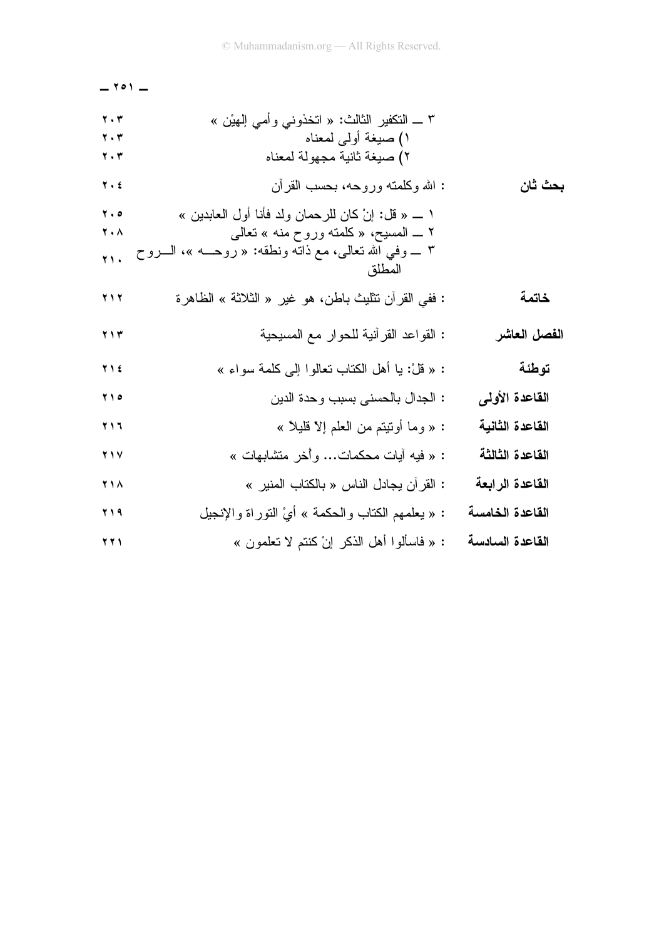|                 |                                                                                                                                                                                | $ \circ$ $\circ$ $-$                                                                      |
|-----------------|--------------------------------------------------------------------------------------------------------------------------------------------------------------------------------|-------------------------------------------------------------------------------------------|
|                 | ٣ _ النكفير الثالث: « انخذونـي وأمـي الِمهيْن »<br>١) صيغة أولىي لمعناه<br>٢) صيغة ثانية مجهولة لمعناه                                                                         | $\mathbf{y}$ . $\mathbf{r}$<br>$\mathbf{y}$ . $\mathbf{r}$<br>$\mathbf{y}$ . $\mathbf{r}$ |
| بحث ثان         | : الله وكلمته وروحه، بحسب القرأن                                                                                                                                               | $\overline{Y}$ . $\epsilon$                                                               |
|                 | ١ _ « قل: إنْ كان للرحمان ولد فأنا أول العابدين »<br>٢ ـــ المسيح، « كلَّمته وروح منه » تعالى<br>٣ ــــ وفـي الله نـعالـي، مـع ذانـه ونطقه: « روحــــه »، الـــــروح<br>المطلق | $\mathbf{y}$ . $\mathbf{o}$<br>۲۰۸<br><b>TI.</b>                                          |
| خاتمة           | : ففي القرأن نتثليث باطن، هو غير « الثلاثة » الظاهرة                                                                                                                           | <b>Y</b> 1 Y                                                                              |
| الفصل العاشر    | : القواعد القرأنية للحوار مع المسيحية                                                                                                                                          | $Y \wedge Y$                                                                              |
| توطئة           | : « قُلْ: يا أهل الكتاب تعالوا إلى كلمة سواء »                                                                                                                                 | <b>T 1 2</b>                                                                              |
| القاعدة الأولى  | : الجدال بالحسنى بسبب وحدة الدين                                                                                                                                               | 710                                                                                       |
| القاعدة الثانية | : « وما أوننيتم من العلم إلاّ قليلاً »                                                                                                                                         | $\mathbf{y}$                                                                              |
| القاعدة الثالثة | : « فيه أيات محكمات وأخر متشابهات »                                                                                                                                            | <b>٢١٧</b>                                                                                |
| القاعدة الرابعة | : القرآن يجادل الناس « بالكتاب المنير »                                                                                                                                        | <b>٢١٨</b>                                                                                |
| القاعدة الخامسة | : « يعلمهم الكتاب والحكمة » أيْ النوراة والإنجيل                                                                                                                               | <b>٢١٩</b>                                                                                |
| القاعدة السادسة | : « فاسألوا أهل الذكر إنْ كنتم لا تعلمون »                                                                                                                                     | <b>٢٢١</b>                                                                                |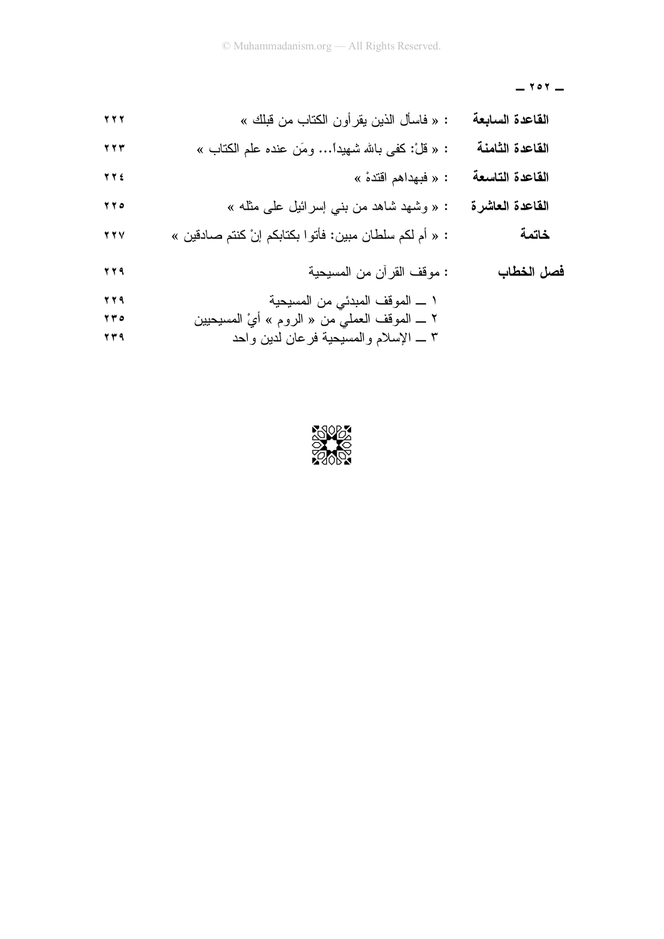$-$  ۲۰۲ $-$ 

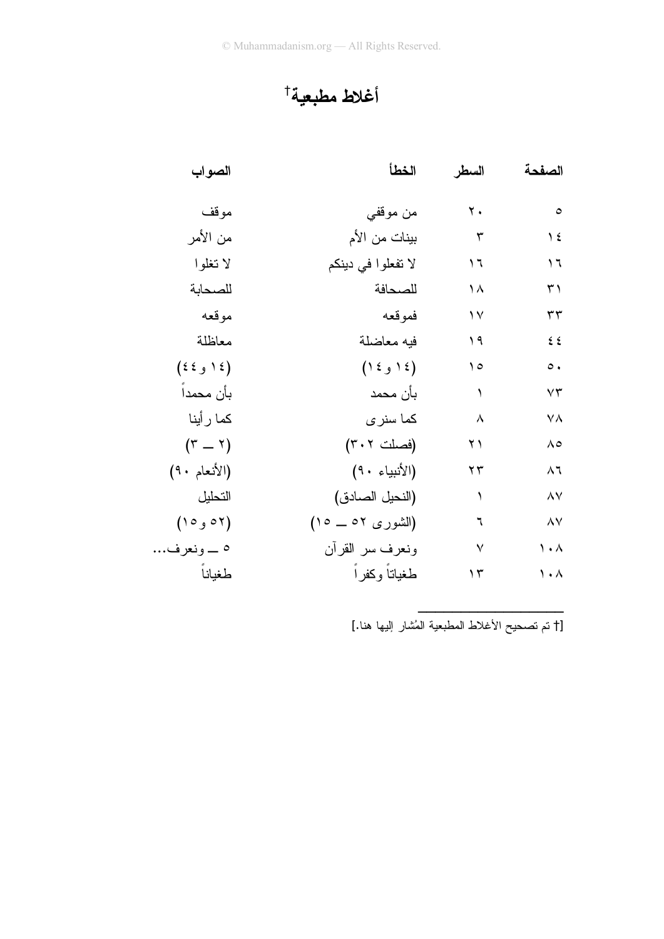## أغلاط مطبعية†

| الصواب                  | الخطأ               | السطر        | الصفحة                |
|-------------------------|---------------------|--------------|-----------------------|
| موقف                    | من موقفي            | ۲.           | $\circ$               |
| من الأمر                | بينات من الأم       | $\mathbf{r}$ | $\frac{1}{2}$         |
| لا تغلوا                | لا تفعلوا في دينكم  | ۲ (          | ۲ (                   |
| للصحابة                 | للصحافة             | ۱۸           | ۳۱                    |
| موقعه                   | فموقعه              | ۱۷           | ٣٣                    |
| معاظلة                  | فيه معاضلة          | ۹ (          | ٤٤                    |
| $(36 \text{ }\epsilon)$ | $(1 \xi)$ ( د و ١٤) | ه ۱          | $\circ$ .             |
| بأن محمدا               | بأن محمد            | ١            | $\vee \tau$           |
| كما ر أينا              | كما سنرى            | $\lambda$    | ٧A                    |
| $(\tau - \tau)$         | (فصلت ٣٠٢)          | ۲۱           | $\Lambda$ 0           |
| (الأنعام ٩٠)            | (الأنبياء ٩٠)       | ۲۳           | ۸٦                    |
| التحليل                 | (النحيل الصادق)     | ١            | $\wedge\vee$          |
| (٥٢ و١٥)                | (الشوری ٥٢ ــ ١٥)   | ٦            | $\wedge\vee$          |
| ٥ _ ونعرف               | ونعرف سر القرأن     | $\checkmark$ | $\lambda$ . $\lambda$ |
| طغياناً                 | طغياتاً وكفراً      | ۲ (          | $\lambda$ . $\lambda$ |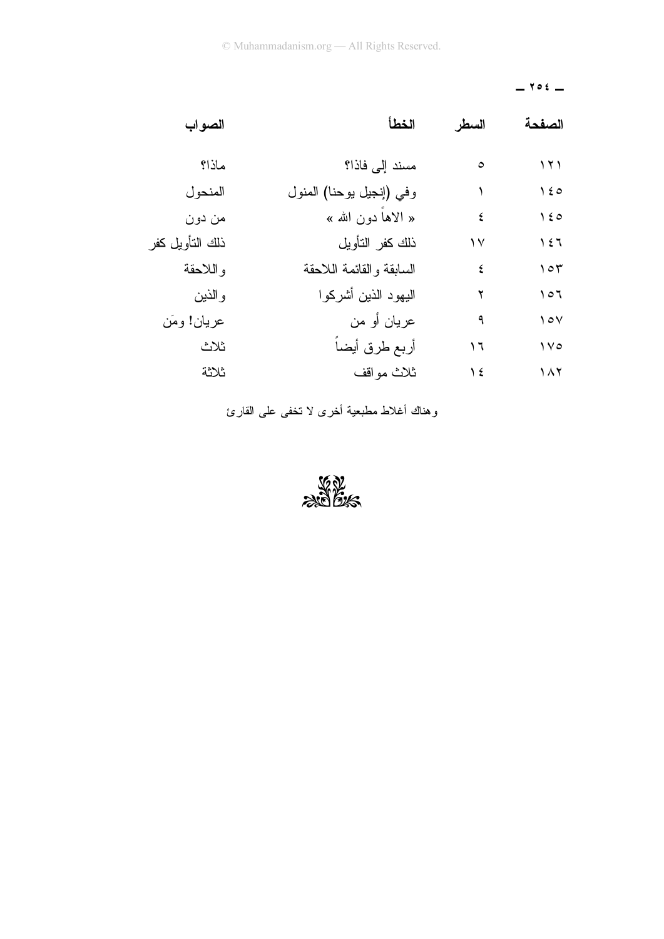## $-$  102  $-$

| الصفحة        | السطر         | الخطأ                    | الصواب          |
|---------------|---------------|--------------------------|-----------------|
| ۱۲۱           | $\circ$       | مسند إلى فاذا؟           | ماذا؟           |
| $\lambda \xi$ |               | وفي (إنجيل بوحنا) المنول | المنحو ل        |
| $\lambda \xi$ | ٤             | « الاهاً دون الله »      | من دون          |
| ۱٤٦           | ۱۷            | ذلك كفر التأويل          | ذلك التأويل كفر |
| ۱٥٣           | ٤             | السابقة والقائمة اللاحقة | و اللاحقة       |
| 107           | ۲             | البهود الذين أشركوا      | والذين          |
| $\sqrt{2}$    | ٩             | عريان أو من              | عريان! ومَن     |
| $\sqrt{6}$    | ۲ (           | أربع طرق أيضا            | ثلاث            |
| $\lambda$     | $\frac{1}{2}$ | ثلاث مواقف               | ثلاثة           |

وهناك أغلاط مطبعية أخرى لا نخفى على القارئ

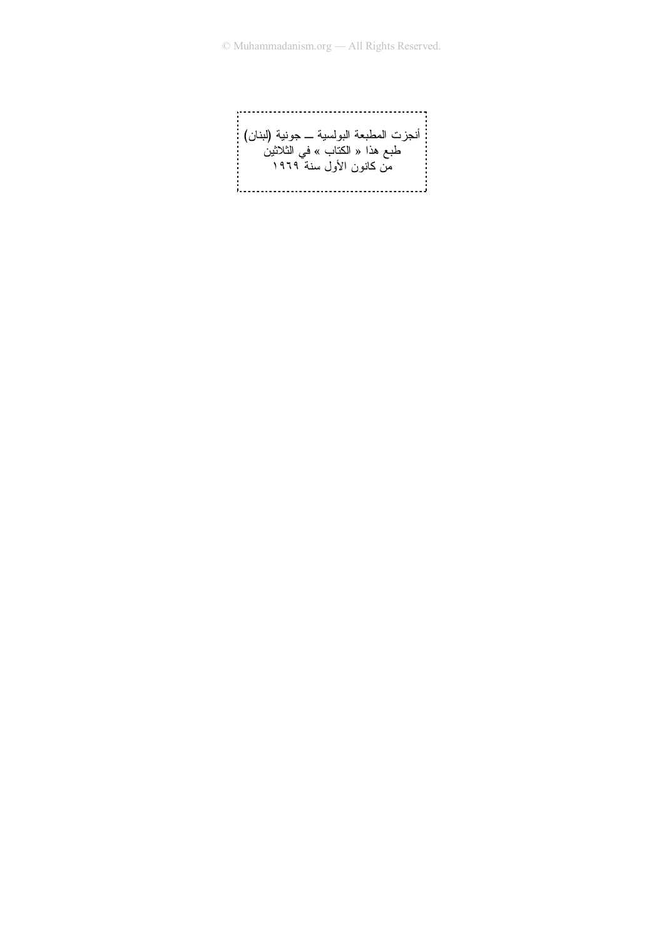أنجزت المطبعة البولسية ــــ جونية (لبنان) :<br>طبع هذا « الكتاب » في الثلاثين<br>من كانون الأول سنة ١٩٦٩